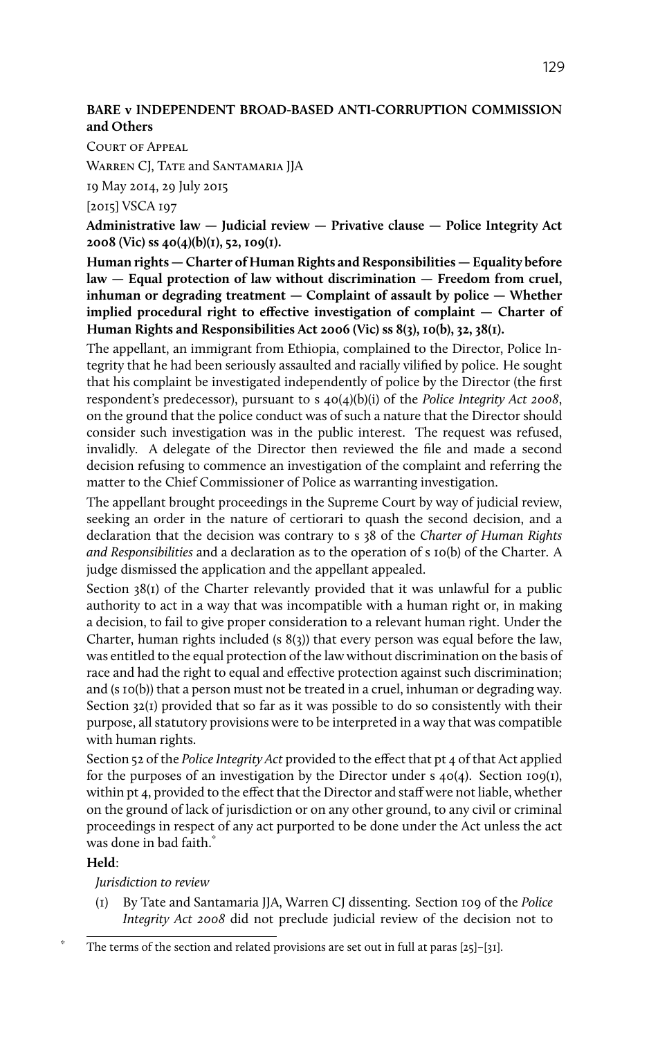## **BARE v INDEPENDENT BROAD-BASED ANTI-CORRUPTION COMMISSION and Others**

Court of Appeal

WARREN CJ, TATE and SANTAMARIA JJA

19 May 2014, 29 July 2015

[2015] VSCA 197

**Administrative law — Judicial review — Privative clause — Police Integrity Act 2008 (Vic) ss 40(4)(b)(1), 52, 109(1).**

**Human rights — Charter of Human Rights and Responsibilities — Equality before law — Equal protection of law without discrimination — Freedom from cruel, inhuman or degrading treatment — Complaint of assault by police — Whether implied procedural right to effective investigation of complaint — Charter of Human Rights and Responsibilities Act 2006 (Vic) ss 8(3), 10(b), 32, 38(1).**

The appellant, an immigrant from Ethiopia, complained to the Director, Police Integrity that he had been seriously assaulted and racially vilified by police. He sought that his complaint be investigated independently of police by the Director (the first respondent's predecessor), pursuant to s 40(4)(b)(i) of the *Police Integrity Act 2008*, on the ground that the police conduct was of such a nature that the Director should consider such investigation was in the public interest. The request was refused, invalidly. A delegate of the Director then reviewed the file and made a second decision refusing to commence an investigation of the complaint and referring the matter to the Chief Commissioner of Police as warranting investigation.

The appellant brought proceedings in the Supreme Court by way of judicial review, seeking an order in the nature of certiorari to quash the second decision, and a declaration that the decision was contrary to s 38 of the *Charter of Human Rights and Responsibilities* and a declaration as to the operation of s 10(b) of the Charter. A judge dismissed the application and the appellant appealed.

Section 38(1) of the Charter relevantly provided that it was unlawful for a public authority to act in a way that was incompatible with a human right or, in making a decision, to fail to give proper consideration to a relevant human right. Under the Charter, human rights included (s 8(3)) that every person was equal before the law, was entitled to the equal protection of the law without discrimination on the basis of race and had the right to equal and effective protection against such discrimination; and (s 10(b)) that a person must not be treated in a cruel, inhuman or degrading way. Section 32(1) provided that so far as it was possible to do so consistently with their purpose, all statutory provisions were to be interpreted in a way that was compatible with human rights.

Section 52 of the *Police Integrity Act* provided to the effect that pt 4 of that Act applied for the purposes of an investigation by the Director under  $s$  40(4). Section 109(1), within pt 4, provided to the effect that the Director and staff were not liable, whether on the ground of lack of jurisdiction or on any other ground, to any civil or criminal proceedings in respect of any act purported to be done under the Act unless the act was done in bad faith.<sup>\*</sup>

#### **Held**:

*Jurisdiction to review*

(1) By Tate and Santamaria JJA, Warren CJ dissenting. Section 109 of the *Police Integrity Act 2008* did not preclude judicial review of the decision not to

The terms of the section and related provisions are set out in full at paras  $[25]-[31]$ .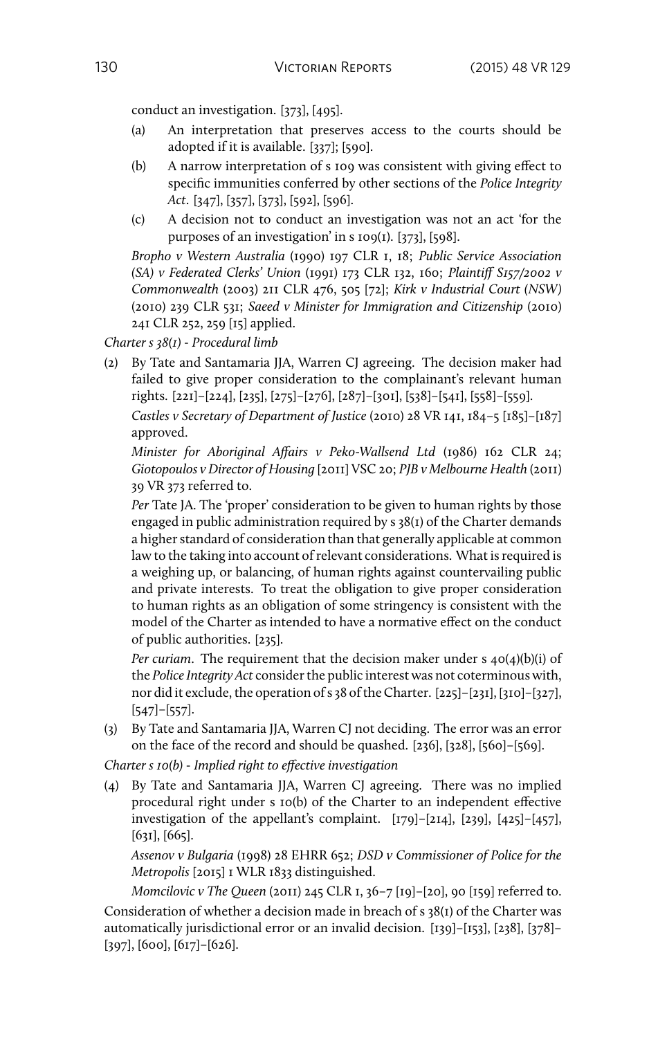conduct an investigation. [373], [495].

- (a) An interpretation that preserves access to the courts should be adopted if it is available. [337]; [590].
- (b) A narrow interpretation of s 109 was consistent with giving effect to specific immunities conferred by other sections of the *Police Integrity Act*. [347], [357], [373], [592], [596].
- (c) A decision not to conduct an investigation was not an act 'for the purposes of an investigation' in s 109(1). [373], [598].

*Bropho v Western Australia* (1990) 197 CLR 1, 18; *Public Service Association (SA) v Federated Clerks' Union* (1991) 173 CLR 132, 160; *Plaintiff S157/2002 v Commonwealth* (2003) 211 CLR 476, 505 [72]; *Kirk v Industrial Court (NSW)* (2010) 239 CLR 531; *Saeed v Minister for Immigration and Citizenship* (2010) 241 CLR 252, 259 [15] applied.

*Charter s 38(1) - Procedural limb*

(2) By Tate and Santamaria JJA, Warren CJ agreeing. The decision maker had failed to give proper consideration to the complainant's relevant human rights. [221]–[224], [235], [275]–[276], [287]–[301], [538]–[541], [558]–[559].

*Castles v Secretary of Department of Justice* (2010) 28 VR 141, 184–5 [185]–[187] approved.

*Minister for Aboriginal Affairs v Peko-Wallsend Ltd* (1986) 162 CLR 24; *Giotopoulos v Director of Housing* [2011] VSC 20; *PJB v Melbourne Health* (2011) 39 VR 373 referred to.

*Per* Tate JA. The 'proper' consideration to be given to human rights by those engaged in public administration required by s 38(1) of the Charter demands a higher standard of consideration than that generally applicable at common law to the taking into account of relevant considerations. What is required is a weighing up, or balancing, of human rights against countervailing public and private interests. To treat the obligation to give proper consideration to human rights as an obligation of some stringency is consistent with the model of the Charter as intended to have a normative effect on the conduct of public authorities. [235].

*Per curiam*. The requirement that the decision maker under s 40(4)(b)(i) of the *Police Integrity Act* consider the public interest was not coterminous with, nor did it exclude, the operation of s 38 of the Charter. [225]–[231], [310]–[327], [547]–[557].

(3) By Tate and Santamaria JJA, Warren CJ not deciding. The error was an error on the face of the record and should be quashed. [236], [328], [560]–[569].

*Charter s 10(b) - Implied right to effective investigation*

(4) By Tate and Santamaria JJA, Warren CJ agreeing. There was no implied procedural right under s 10(b) of the Charter to an independent effective investigation of the appellant's complaint. [179]–[214], [239], [425]–[457], [631], [665].

*Assenov v Bulgaria* (1998) 28 EHRR 652; *DSD v Commissioner of Police for the Metropolis* [2015] 1 WLR 1833 distinguished.

*Momcilovic v The Queen* (2011) 245 CLR 1, 36–7 [19]–[20], 90 [159] referred to. Consideration of whether a decision made in breach of s 38(1) of the Charter was automatically jurisdictional error or an invalid decision. [139]–[153], [238], [378]– [397], [600], [617]–[626].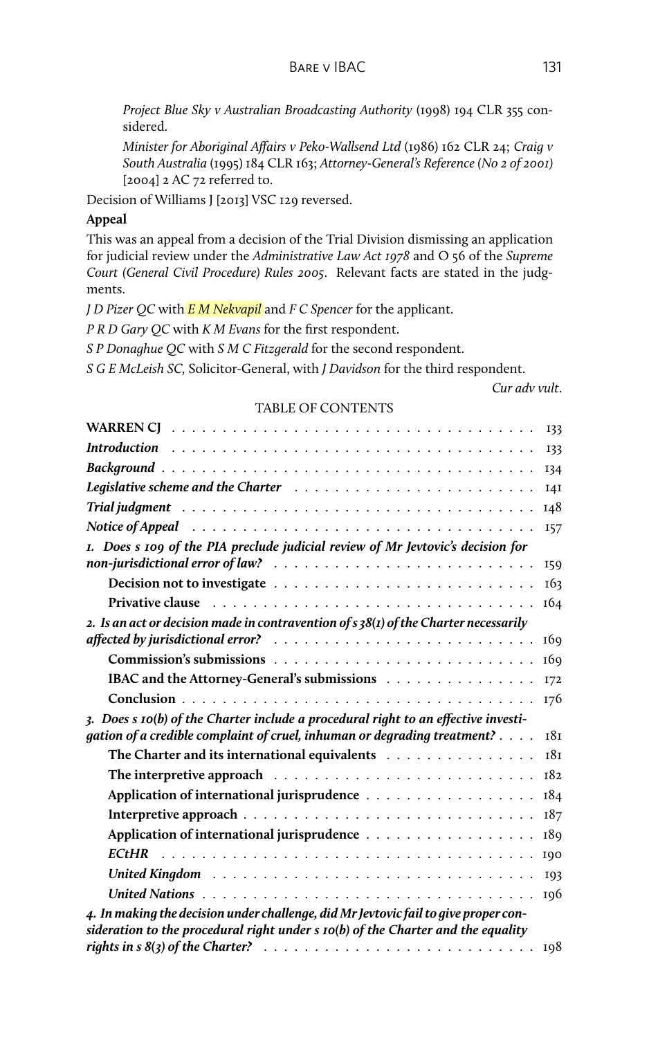BARE V IBAC 131

*Project Blue Sky v Australian Broadcasting Authority* (1998) 194 CLR 355 considered.

*Minister for Aboriginal Affairs v Peko-Wallsend Ltd* (1986) 162 CLR 24; *Craig v South Australia* (1995) 184 CLR 163; *Attorney-General's Reference (No 2 of 2001)* [2004] 2 AC 72 referred to.

Decision of Williams J [2013] VSC 129 reversed.

#### **Appeal**

This was an appeal from a decision of the Trial Division dismissing an application for judicial review under the *Administrative Law Act 1978* and O 56 of the *Supreme Court (General Civil Procedure) Rules 2005*. Relevant facts are stated in the judgments.

*J D Pizer QC* with *E M Nekvapil* and *F C Spencer* for the applicant.

*P R D Gary QC* with *K M Evans* for the first respondent.

*S P Donaghue QC* with *S M C Fitzgerald* for the second respondent.

*S G E McLeish SC,* Solicitor-General, with *J Davidson* for the third respondent.

*Cur adv vult*.

| 133                                                                                                                                                                                                             |  |
|-----------------------------------------------------------------------------------------------------------------------------------------------------------------------------------------------------------------|--|
| 133                                                                                                                                                                                                             |  |
| <b>134</b>                                                                                                                                                                                                      |  |
| Legislative scheme and the Charter (all contained all contained all contained all contained and the Charter al<br>I4I                                                                                           |  |
| 148                                                                                                                                                                                                             |  |
| Notice of Appeal responses in the service of Appeal responses in the service of Appeal<br><b>I57</b>                                                                                                            |  |
| I. Does s 109 of the PIA preclude judicial review of Mr Jevtovic's decision for<br>159                                                                                                                          |  |
|                                                                                                                                                                                                                 |  |
| 163                                                                                                                                                                                                             |  |
| Privative clause recommended and the contract of the contract of the contract of the contract of the contract o<br>164                                                                                          |  |
| 2. Is an act or decision made in contravention of $s$ 38(1) of the Charter necessarily<br>affected by jurisdictional error? $\ldots \ldots \ldots \ldots \ldots \ldots \ldots \ldots \ldots$<br>16 <sub>9</sub> |  |
| 16 <sub>9</sub>                                                                                                                                                                                                 |  |
| IBAC and the Attorney-General's submissions                                                                                                                                                                     |  |
| I72                                                                                                                                                                                                             |  |
| I76                                                                                                                                                                                                             |  |
| 3. Does s 10(b) of the Charter include a procedural right to an effective investi-<br>gation of a credible complaint of cruel, inhuman or degrading treatment?<br>18 <sub>I</sub>                               |  |
| The Charter and its international equivalents<br>181                                                                                                                                                            |  |
| 182                                                                                                                                                                                                             |  |
| 184                                                                                                                                                                                                             |  |
| 187                                                                                                                                                                                                             |  |
| 189                                                                                                                                                                                                             |  |
| 190                                                                                                                                                                                                             |  |
| 193                                                                                                                                                                                                             |  |
| 196                                                                                                                                                                                                             |  |
| 4. In making the decision under challenge, did Mr Jevtovic fail to give proper con-<br>sideration to the procedural right under $s$ $10(b)$ of the Charter and the equality                                     |  |
| 198                                                                                                                                                                                                             |  |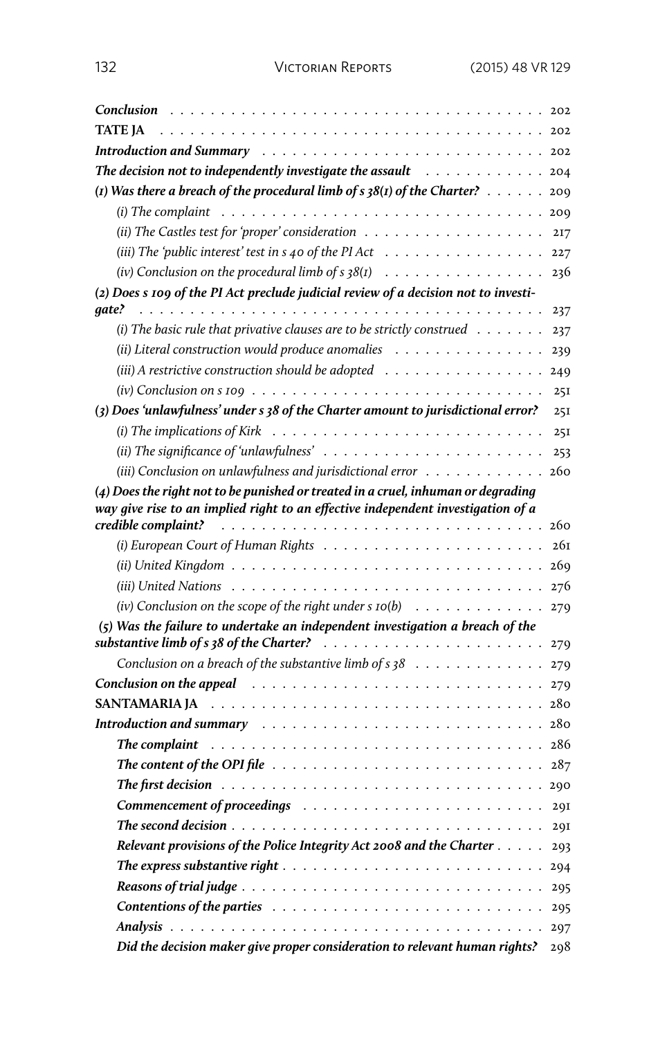| Conclusion                                                                                                                                                                       | 202 |
|----------------------------------------------------------------------------------------------------------------------------------------------------------------------------------|-----|
| TATE JA<br>. 202<br>and a state<br>$\frac{1}{2}$ , $\frac{1}{2}$ , $\frac{1}{2}$ , $\frac{1}{2}$ , $\frac{1}{2}$ , $\frac{1}{2}$ , $\frac{1}{2}$ , $\frac{1}{2}$ , $\frac{1}{2}$ |     |
| <b>Introduction and Summary</b><br>$\sim$                                                                                                                                        | 202 |
| The decision not to independently investigate the assault $\ldots \ldots \ldots \ldots \ldots$                                                                                   |     |
| (1) Was there a breach of the procedural limb of $s$ 38(1) of the Charter? $\dots$ .                                                                                             | 200 |
| (i) The complaint $\ldots \ldots \ldots \ldots \ldots \ldots \ldots \ldots \ldots \ldots$                                                                                        | 200 |
|                                                                                                                                                                                  | 217 |
| (iii) The 'public interest' test in $s$ 40 of the PI Act                                                                                                                         | 227 |
| (iv) Conclusion on the procedural limb of $s$ 38(1)                                                                                                                              | 236 |
| (2) Does s 109 of the PI Act preclude judicial review of a decision not to investi-                                                                                              |     |
| qate?                                                                                                                                                                            | 237 |
| (i) The basic rule that privative clauses are to be strictly construed $\ldots \ldots$                                                                                           | 237 |
| (ii) Literal construction would produce anomalies $\ldots \ldots \ldots \ldots \ldots$                                                                                           | 239 |
| (iii) A restrictive construction should be adopted                                                                                                                               | 249 |
|                                                                                                                                                                                  | 25I |
| (3) Does 'unlawfulness' under s 38 of the Charter amount to jurisdictional error?                                                                                                | 25I |
| (i) The implications of Kirk $\dots \dots \dots \dots \dots \dots \dots \dots \dots \dots \dots$                                                                                 | 25I |
| (ii) The significance of 'unlawfulness' $\dots \dots \dots \dots \dots \dots \dots \dots$                                                                                        | 253 |
| (iii) Conclusion on unlawfulness and jurisdictional error                                                                                                                        | 260 |
| (4) Does the right not to be punished or treated in a cruel, inhuman or degrading                                                                                                |     |
| way give rise to an implied right to an effective independent investigation of a<br>credible complaint?                                                                          | 260 |
|                                                                                                                                                                                  | 261 |
|                                                                                                                                                                                  | 269 |
|                                                                                                                                                                                  | 276 |
| (iv) Conclusion on the scope of the right under $s$ 10(b) $\ldots \ldots \ldots \ldots$                                                                                          | 279 |
| (5) Was the failure to undertake an independent investigation a breach of the                                                                                                    |     |
| substantive limb of s 38 of the Charter?                                                                                                                                         | 279 |
| Conclusion on a breach of the substantive limb of $s38$                                                                                                                          | 279 |
| Conclusion on the appeal resonance of the service of the service of the contract of the contract of the contract of                                                              | 279 |
| <b>SANTAMARIA JA</b>                                                                                                                                                             |     |
| Introduction and summary resources and such a series and summary resources and summary                                                                                           |     |
| The complaint                                                                                                                                                                    |     |
| The content of the OPI file $\ldots \ldots \ldots \ldots \ldots \ldots \ldots \ldots \ldots$                                                                                     | 287 |
|                                                                                                                                                                                  |     |
|                                                                                                                                                                                  | 291 |
|                                                                                                                                                                                  | 20I |
| Relevant provisions of the Police Integrity Act 2008 and the Charter                                                                                                             | 293 |
|                                                                                                                                                                                  | 294 |
|                                                                                                                                                                                  | 295 |
| Contentions of the parties $\ldots \ldots \ldots \ldots \ldots \ldots \ldots \ldots \ldots \ldots 295$                                                                           |     |
|                                                                                                                                                                                  |     |
| Did the decision maker give proper consideration to relevant human rights?                                                                                                       | 298 |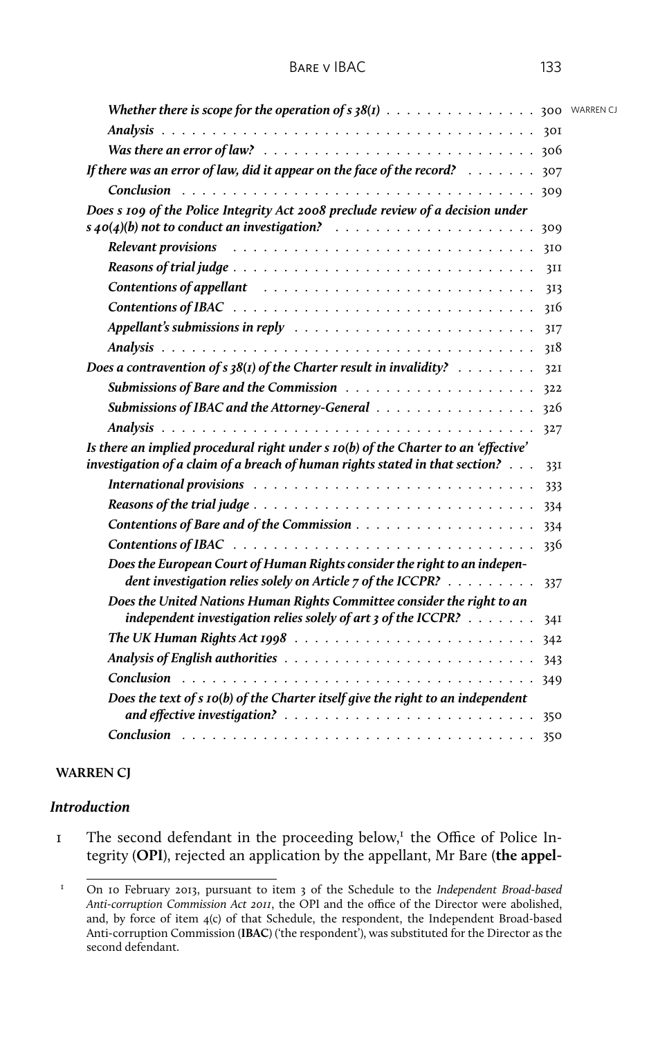| <b>Whether there is scope for the operation of s 38(1)</b> 300 WARRENCJ                                                                                                                                                       |     |  |
|-------------------------------------------------------------------------------------------------------------------------------------------------------------------------------------------------------------------------------|-----|--|
|                                                                                                                                                                                                                               |     |  |
|                                                                                                                                                                                                                               |     |  |
| If there was an error of law, did it appear on the face of the record? $\ldots \ldots$ 307                                                                                                                                    |     |  |
|                                                                                                                                                                                                                               |     |  |
| Does s 109 of the Police Integrity Act 2008 preclude review of a decision under                                                                                                                                               |     |  |
|                                                                                                                                                                                                                               | 309 |  |
|                                                                                                                                                                                                                               | 310 |  |
| Reasons of trial judge $\ldots \ldots \ldots \ldots \ldots \ldots \ldots \ldots \ldots \ldots \ldots$                                                                                                                         | 3II |  |
| Contentions of appellant resources in the set of the set of the set of the set of the set of the set of the set of the set of the set of the set of the set of the set of the set of the set of the set of the set of the set | 313 |  |
|                                                                                                                                                                                                                               | 310 |  |
| Appellant's submissions in reply $\ldots \ldots \ldots \ldots \ldots \ldots \ldots \ldots \ldots$                                                                                                                             | 317 |  |
|                                                                                                                                                                                                                               | 318 |  |
| Does a contravention of $s$ 38(1) of the Charter result in invalidity? $\ldots \ldots \ldots$                                                                                                                                 | 32I |  |
|                                                                                                                                                                                                                               | 322 |  |
| Submissions of IBAC and the Attorney-General 326                                                                                                                                                                              |     |  |
|                                                                                                                                                                                                                               | 327 |  |
| Is there an implied procedural right under s 10(b) of the Charter to an 'effective'                                                                                                                                           |     |  |
| investigation of a claim of a breach of human rights stated in that section?                                                                                                                                                  | 33I |  |
|                                                                                                                                                                                                                               | 333 |  |
|                                                                                                                                                                                                                               |     |  |
|                                                                                                                                                                                                                               |     |  |
|                                                                                                                                                                                                                               | 336 |  |
| Does the European Court of Human Rights consider the right to an indepen-<br>dent investigation relies solely on Article 7 of the ICCPR?                                                                                      | 337 |  |
| Does the United Nations Human Rights Committee consider the right to an<br>independent investigation relies solely of art $3$ of the ICCPR? $\ldots \ldots \ldots$                                                            |     |  |
|                                                                                                                                                                                                                               |     |  |
|                                                                                                                                                                                                                               |     |  |
|                                                                                                                                                                                                                               |     |  |
| Does the text of s 10(b) of the Charter itself give the right to an independent                                                                                                                                               |     |  |
|                                                                                                                                                                                                                               | 350 |  |

#### **WARREN CJ**

#### *Introduction*

I The second defendant in the proceeding below,<sup>I</sup> the Office of Police Integrity (**OPI**), rejected an application by the appellant, Mr Bare (**the appel-**

<sup>1</sup> On 10 February 2013, pursuant to item 3 of the Schedule to the *Independent Broad-based Anti-corruption Commission Act 2011*, the OPI and the office of the Director were abolished, and, by force of item 4(c) of that Schedule, the respondent, the Independent Broad-based Anti-corruption Commission (**IBAC**) ('the respondent'), was substituted for the Director as the second defendant.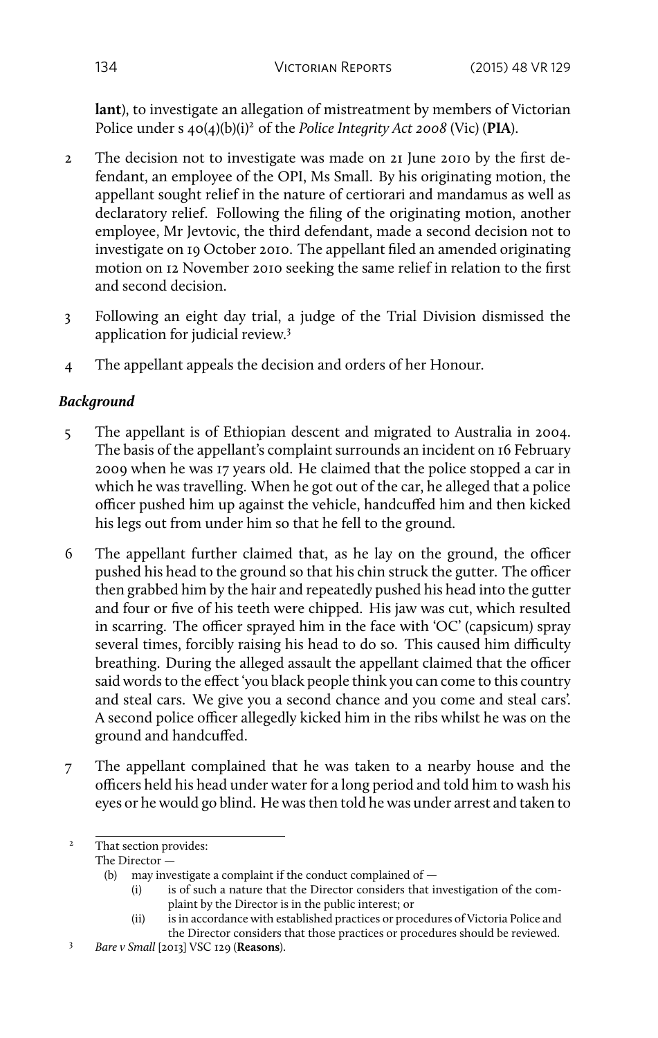**lant**), to investigate an allegation of mistreatment by members of Victorian Police under s  $40(4)(b)(i)^2$  of the *Police Integrity Act 2008* (Vic) (PIA).

- 2 The decision not to investigate was made on 21 June 2010 by the first defendant, an employee of the OPI, Ms Small. By his originating motion, the appellant sought relief in the nature of certiorari and mandamus as well as declaratory relief. Following the filing of the originating motion, another employee, Mr Jevtovic, the third defendant, made a second decision not to investigate on 19 October 2010. The appellant filed an amended originating motion on 12 November 2010 seeking the same relief in relation to the first and second decision.
- 3 Following an eight day trial, a judge of the Trial Division dismissed the application for judicial review.<sup>3</sup>
- 4 The appellant appeals the decision and orders of her Honour.

# *Background*

- 5 The appellant is of Ethiopian descent and migrated to Australia in 2004. The basis of the appellant's complaint surrounds an incident on 16 February 2009 when he was 17 years old. He claimed that the police stopped a car in which he was travelling. When he got out of the car, he alleged that a police officer pushed him up against the vehicle, handcuffed him and then kicked his legs out from under him so that he fell to the ground.
- 6 The appellant further claimed that, as he lay on the ground, the officer pushed his head to the ground so that his chin struck the gutter. The officer then grabbed him by the hair and repeatedly pushed his head into the gutter and four or five of his teeth were chipped. His jaw was cut, which resulted in scarring. The officer sprayed him in the face with 'OC' (capsicum) spray several times, forcibly raising his head to do so. This caused him difficulty breathing. During the alleged assault the appellant claimed that the officer said words to the effect 'you black people think you can come to this country and steal cars. We give you a second chance and you come and steal cars'. A second police officer allegedly kicked him in the ribs whilst he was on the ground and handcuffed.
- 7 The appellant complained that he was taken to a nearby house and the officers held his head under water for a long period and told him to wash his eyes or he would go blind. He was then told he was under arrest and taken to

<sup>&</sup>lt;sup>2</sup> That section provides:

The Director —

<sup>(</sup>b) may investigate a complaint if the conduct complained of  $-$ 

<sup>(</sup>i) is of such a nature that the Director considers that investigation of the complaint by the Director is in the public interest; or

<sup>(</sup>ii) is in accordance with established practices or procedures of Victoria Police and the Director considers that those practices or procedures should be reviewed.

<sup>3</sup> *Bare v Small* [2013] VSC 129 (**Reasons**).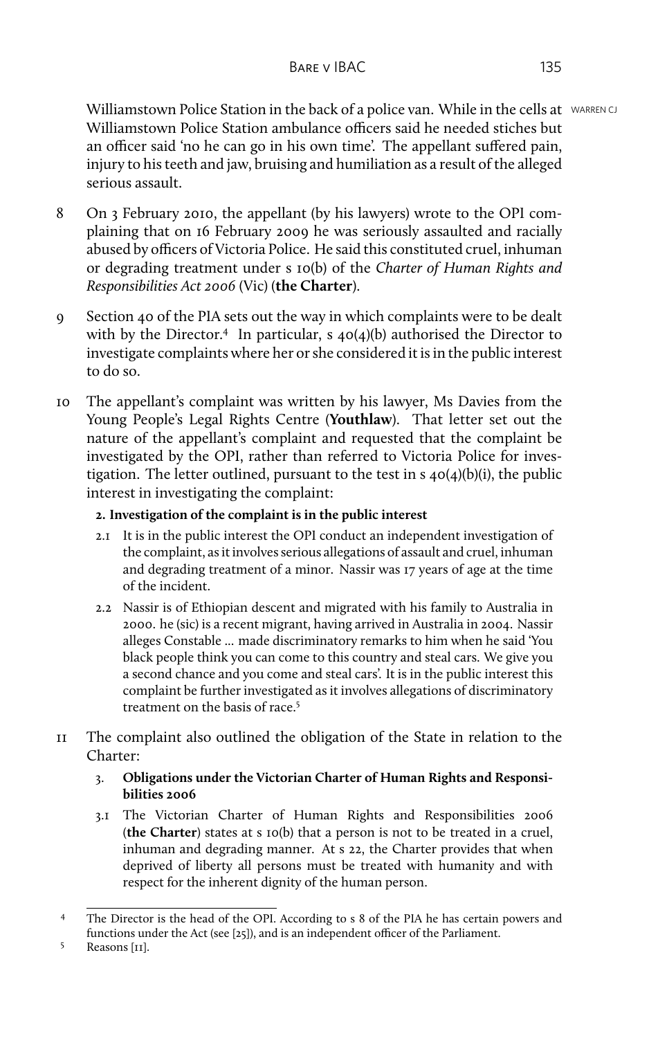Williamstown Police Station in the back of a police van. While in the cells at WARREN CJ Williamstown Police Station ambulance officers said he needed stiches but an officer said 'no he can go in his own time'. The appellant suffered pain, injury to his teeth and jaw, bruising and humiliation as a result of the alleged serious assault.

- 8 On 3 February 2010, the appellant (by his lawyers) wrote to the OPI complaining that on 16 February 2009 he was seriously assaulted and racially abused by officers of Victoria Police. He said this constituted cruel, inhuman or degrading treatment under s 10(b) of the *Charter of Human Rights and Responsibilities Act 2006* (Vic) (**the Charter**).
- 9 Section 40 of the PIA sets out the way in which complaints were to be dealt with by the Director.<sup>4</sup> In particular, s 40(4)(b) authorised the Director to investigate complaints where her or she considered it is in the public interest to do so.
- 10 The appellant's complaint was written by his lawyer, Ms Davies from the Young People's Legal Rights Centre (**Youthlaw**). That letter set out the nature of the appellant's complaint and requested that the complaint be investigated by the OPI, rather than referred to Victoria Police for investigation. The letter outlined, pursuant to the test in s 40(4)(b)(i), the public interest in investigating the complaint:

## **2. Investigation of the complaint is in the public interest**

- 2.1 It is in the public interest the OPI conduct an independent investigation of the complaint, as it involves serious allegations of assault and cruel, inhuman and degrading treatment of a minor. Nassir was 17 years of age at the time of the incident.
- 2.2 Nassir is of Ethiopian descent and migrated with his family to Australia in 2000. he (sic) is a recent migrant, having arrived in Australia in 2004. Nassir alleges Constable ... made discriminatory remarks to him when he said 'You black people think you can come to this country and steal cars. We give you a second chance and you come and steal cars'. It is in the public interest this complaint be further investigated as it involves allegations of discriminatory treatment on the basis of race.<sup>5</sup>
- 11 The complaint also outlined the obligation of the State in relation to the Charter:

## 3. **Obligations under the Victorian Charter of Human Rights and Responsibilities 2006**

3.1 The Victorian Charter of Human Rights and Responsibilities 2006 (**the Charter**) states at s 10(b) that a person is not to be treated in a cruel, inhuman and degrading manner. At s 22, the Charter provides that when deprived of liberty all persons must be treated with humanity and with respect for the inherent dignity of the human person.

<sup>4</sup> The Director is the head of the OPI. According to s 8 of the PIA he has certain powers and functions under the Act (see [25]), and is an independent officer of the Parliament.

<sup>5</sup> Reasons [11].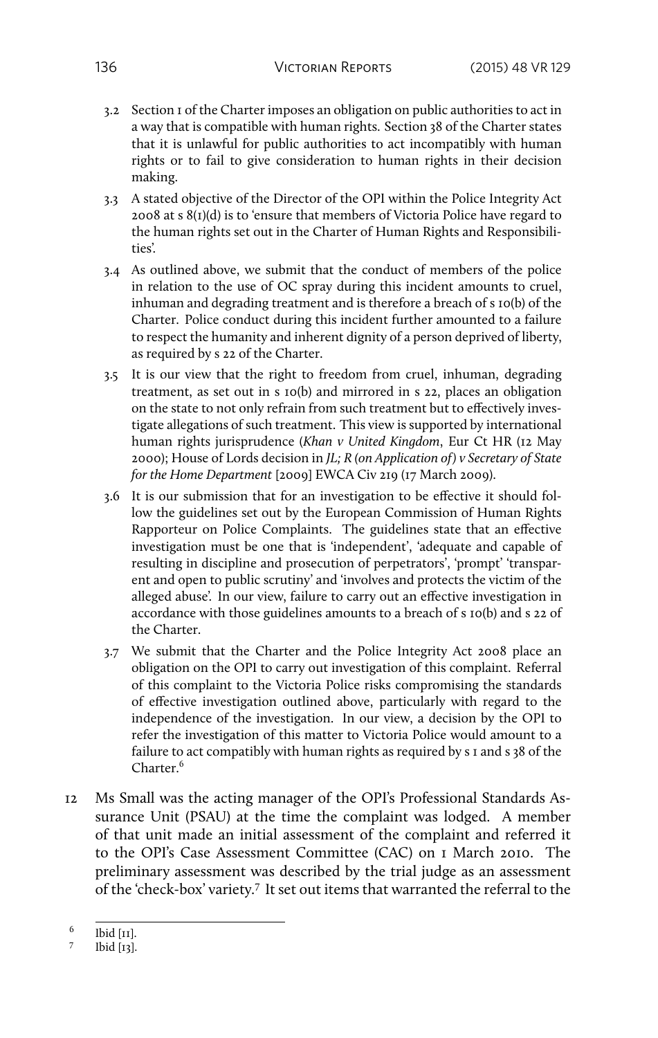- 3.2 Section 1 of the Charter imposes an obligation on public authorities to act in a way that is compatible with human rights. Section 38 of the Charter states that it is unlawful for public authorities to act incompatibly with human rights or to fail to give consideration to human rights in their decision making.
- 3.3 A stated objective of the Director of the OPI within the Police Integrity Act 2008 at s 8(1)(d) is to 'ensure that members of Victoria Police have regard to the human rights set out in the Charter of Human Rights and Responsibilities'.
- 3.4 As outlined above, we submit that the conduct of members of the police in relation to the use of OC spray during this incident amounts to cruel, inhuman and degrading treatment and is therefore a breach of s 10(b) of the Charter. Police conduct during this incident further amounted to a failure to respect the humanity and inherent dignity of a person deprived of liberty, as required by s 22 of the Charter.
- 3.5 It is our view that the right to freedom from cruel, inhuman, degrading treatment, as set out in s 10(b) and mirrored in s 22, places an obligation on the state to not only refrain from such treatment but to effectively investigate allegations of such treatment. This view is supported by international human rights jurisprudence (*Khan v United Kingdom*, Eur Ct HR (12 May 2000); House of Lords decision in *JL; R (on Application of) v Secretary of State for the Home Department* [2009] EWCA Civ 219 (17 March 2009).
- 3.6 It is our submission that for an investigation to be effective it should follow the guidelines set out by the European Commission of Human Rights Rapporteur on Police Complaints. The guidelines state that an effective investigation must be one that is 'independent', 'adequate and capable of resulting in discipline and prosecution of perpetrators', 'prompt' 'transparent and open to public scrutiny' and 'involves and protects the victim of the alleged abuse'. In our view, failure to carry out an effective investigation in accordance with those guidelines amounts to a breach of s 10(b) and s 22 of the Charter.
- 3.7 We submit that the Charter and the Police Integrity Act 2008 place an obligation on the OPI to carry out investigation of this complaint. Referral of this complaint to the Victoria Police risks compromising the standards of effective investigation outlined above, particularly with regard to the independence of the investigation. In our view, a decision by the OPI to refer the investigation of this matter to Victoria Police would amount to a failure to act compatibly with human rights as required by s 1 and s 38 of the Charter.<sup>6</sup>
- 12 Ms Small was the acting manager of the OPI's Professional Standards Assurance Unit (PSAU) at the time the complaint was lodged. A member of that unit made an initial assessment of the complaint and referred it to the OPI's Case Assessment Committee (CAC) on 1 March 2010. The preliminary assessment was described by the trial judge as an assessment of the 'check-box' variety.<sup>7</sup> It set out items that warranted the referral to the

<sup>6</sup> Ibid [11].

<sup>7</sup> Ibid [13].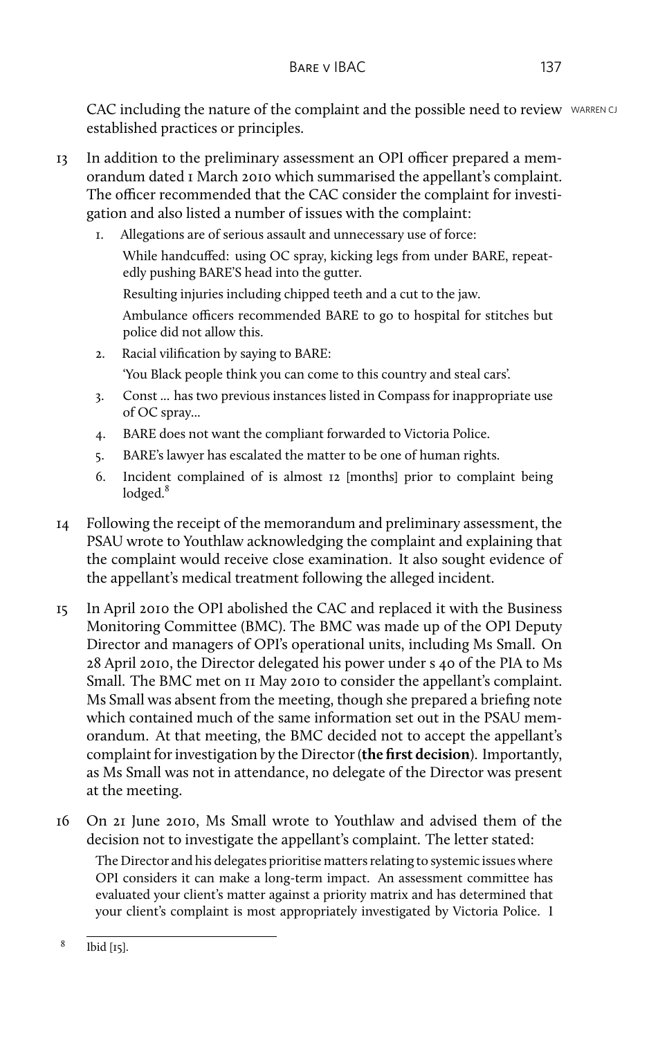CAC including the nature of the complaint and the possible need to review WARREN CJ established practices or principles.

- 13 In addition to the preliminary assessment an OPI officer prepared a memorandum dated 1 March 2010 which summarised the appellant's complaint. The officer recommended that the CAC consider the complaint for investigation and also listed a number of issues with the complaint:
	- 1. Allegations are of serious assault and unnecessary use of force: While handcuffed: using OC spray, kicking legs from under BARE, repeatedly pushing BARE'S head into the gutter.
		- Resulting injuries including chipped teeth and a cut to the jaw.

Ambulance officers recommended BARE to go to hospital for stitches but police did not allow this.

2. Racial vilification by saying to BARE:

'You Black people think you can come to this country and steal cars'.

- 3. Const ... has two previous instances listed in Compass for inappropriate use of OC spray...
- 4. BARE does not want the compliant forwarded to Victoria Police.
- 5. BARE's lawyer has escalated the matter to be one of human rights.
- 6. Incident complained of is almost 12 [months] prior to complaint being lodged.<sup>8</sup>
- 14 Following the receipt of the memorandum and preliminary assessment, the PSAU wrote to Youthlaw acknowledging the complaint and explaining that the complaint would receive close examination. It also sought evidence of the appellant's medical treatment following the alleged incident.
- 15 In April 2010 the OPI abolished the CAC and replaced it with the Business Monitoring Committee (BMC). The BMC was made up of the OPI Deputy Director and managers of OPI's operational units, including Ms Small. On 28 April 2010, the Director delegated his power under s 40 of the PIA to Ms Small. The BMC met on 11 May 2010 to consider the appellant's complaint. Ms Small was absent from the meeting, though she prepared a briefing note which contained much of the same information set out in the PSAU memorandum. At that meeting, the BMC decided not to accept the appellant's complaint for investigation by the Director (**the first decision**). Importantly, as Ms Small was not in attendance, no delegate of the Director was present at the meeting.
- 16 On 21 June 2010, Ms Small wrote to Youthlaw and advised them of the decision not to investigate the appellant's complaint. The letter stated: The Director and his delegates prioritise matters relating to systemic issues where OPI considers it can make a long-term impact. An assessment committee has evaluated your client's matter against a priority matrix and has determined that your client's complaint is most appropriately investigated by Victoria Police. I

<sup>8</sup> Ibid [15].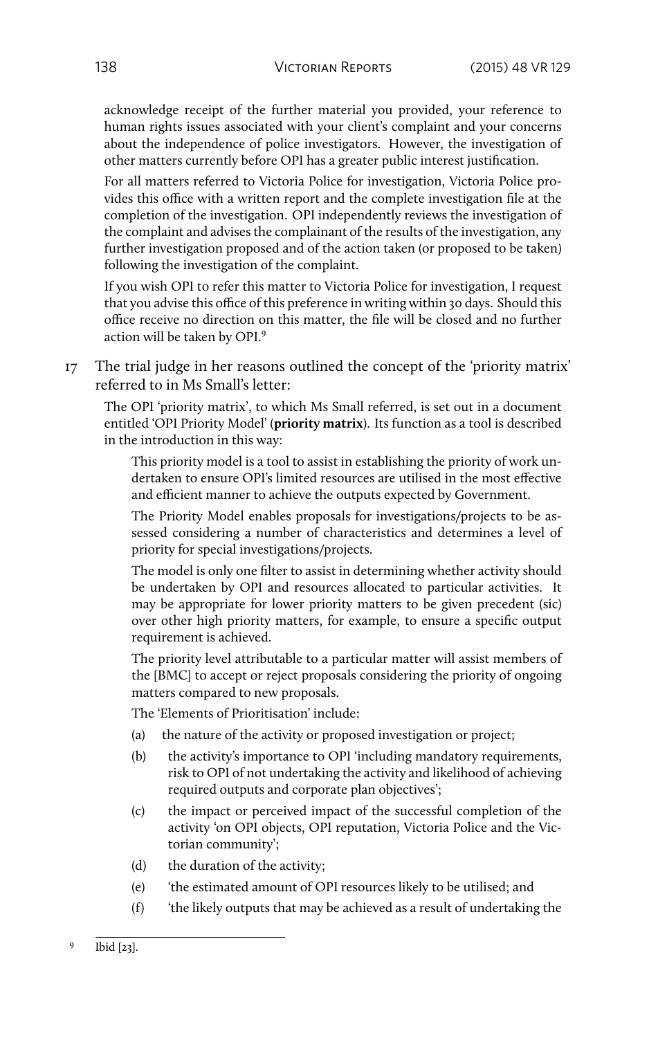acknowledge receipt of the further material you provided, your reference to human rights issues associated with your client's complaint and your concerns about the independence of police investigators. However, the investigation of other matters currently before OPI has a greater public interest justification.

For all matters referred to Victoria Police for investigation, Victoria Police provides this office with a written report and the complete investigation file at the completion of the investigation. OPI independently reviews the investigation of the complaint and advises the complainant of the results of the investigation, any further investigation proposed and of the action taken (or proposed to be taken) following the investigation of the complaint.

If you wish OPI to refer this matter to Victoria Police for investigation, I request that you advise this office of this preference in writing within 30 days. Should this office receive no direction on this matter, the file will be closed and no further action will be taken by OPI.<sup>9</sup>

17 The trial judge in her reasons outlined the concept of the 'priority matrix' referred to in Ms Small's letter:

The OPI 'priority matrix', to which Ms Small referred, is set out in a document entitled 'OPI Priority Model' (**priority matrix**). Its function as a tool is described in the introduction in this way:

This priority model is a tool to assist in establishing the priority of work undertaken to ensure OPI's limited resources are utilised in the most effective and efficient manner to achieve the outputs expected by Government.

The Priority Model enables proposals for investigations/projects to be assessed considering a number of characteristics and determines a level of priority for special investigations/projects.

The model is only one filter to assist in determining whether activity should be undertaken by OPI and resources allocated to particular activities. It may be appropriate for lower priority matters to be given precedent (sic) over other high priority matters, for example, to ensure a specific output requirement is achieved.

The priority level attributable to a particular matter will assist members of the [BMC] to accept or reject proposals considering the priority of ongoing matters compared to new proposals.

The 'Elements of Prioritisation' include:

- (a) the nature of the activity or proposed investigation or project;
- (b) the activity's importance to OPI 'including mandatory requirements, risk to OPI of not undertaking the activity and likelihood of achieving required outputs and corporate plan objectives';
- (c) the impact or perceived impact of the successful completion of the activity 'on OPI objects, OPI reputation, Victoria Police and the Victorian community';
- (d) the duration of the activity;
- (e) 'the estimated amount of OPI resources likely to be utilised; and
- (f) 'the likely outputs that may be achieved as a result of undertaking the

<sup>9</sup> Ibid [23].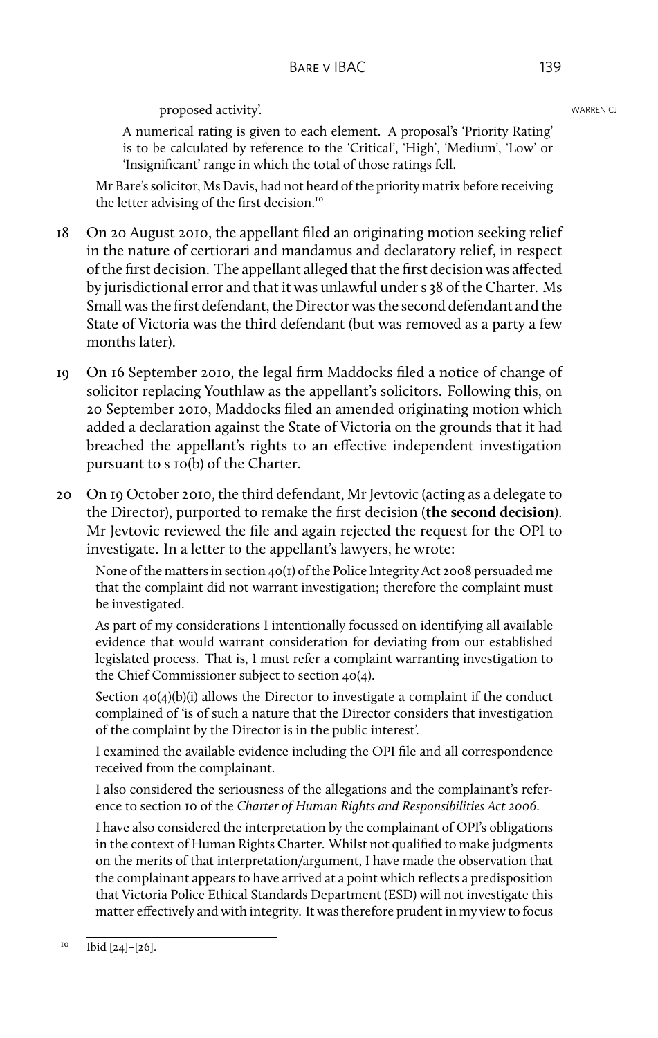## proposed activity'. The contraction of the contraction of the contraction of the contraction of the contraction of the contraction of the contraction of the contraction of the contraction of the contraction of the contract

A numerical rating is given to each element. A proposal's 'Priority Rating' is to be calculated by reference to the 'Critical', 'High', 'Medium', 'Low' or 'Insignificant' range in which the total of those ratings fell.

Mr Bare's solicitor, Ms Davis, had not heard of the priority matrix before receiving the letter advising of the first decision.<sup>10</sup>

- 18 On 20 August 2010, the appellant filed an originating motion seeking relief in the nature of certiorari and mandamus and declaratory relief, in respect of the first decision. The appellant alleged that the first decision was affected by jurisdictional error and that it was unlawful under s 38 of the Charter. Ms Small was the first defendant, the Director was the second defendant and the State of Victoria was the third defendant (but was removed as a party a few months later).
- 19 On 16 September 2010, the legal firm Maddocks filed a notice of change of solicitor replacing Youthlaw as the appellant's solicitors. Following this, on 20 September 2010, Maddocks filed an amended originating motion which added a declaration against the State of Victoria on the grounds that it had breached the appellant's rights to an effective independent investigation pursuant to s 10(b) of the Charter.
- 20 On 19 October 2010, the third defendant, Mr Jevtovic (acting as a delegate to the Director), purported to remake the first decision (**the second decision**). Mr Jevtovic reviewed the file and again rejected the request for the OPI to investigate. In a letter to the appellant's lawyers, he wrote:

None of the matters in section 40(1) of the Police Integrity Act 2008 persuaded me that the complaint did not warrant investigation; therefore the complaint must be investigated.

As part of my considerations I intentionally focussed on identifying all available evidence that would warrant consideration for deviating from our established legislated process. That is, I must refer a complaint warranting investigation to the Chief Commissioner subject to section 40(4).

Section 40(4)(b)(i) allows the Director to investigate a complaint if the conduct complained of 'is of such a nature that the Director considers that investigation of the complaint by the Director is in the public interest'.

I examined the available evidence including the OPI file and all correspondence received from the complainant.

I also considered the seriousness of the allegations and the complainant's reference to section 10 of the *Charter of Human Rights and Responsibilities Act 2006*.

I have also considered the interpretation by the complainant of OPI's obligations in the context of Human Rights Charter. Whilst not qualified to make judgments on the merits of that interpretation/argument, I have made the observation that the complainant appears to have arrived at a point which reflects a predisposition that Victoria Police Ethical Standards Department (ESD) will not investigate this matter effectively and with integrity. It was therefore prudent in my view to focus

 $^{10}$  Ibid [24]-[26].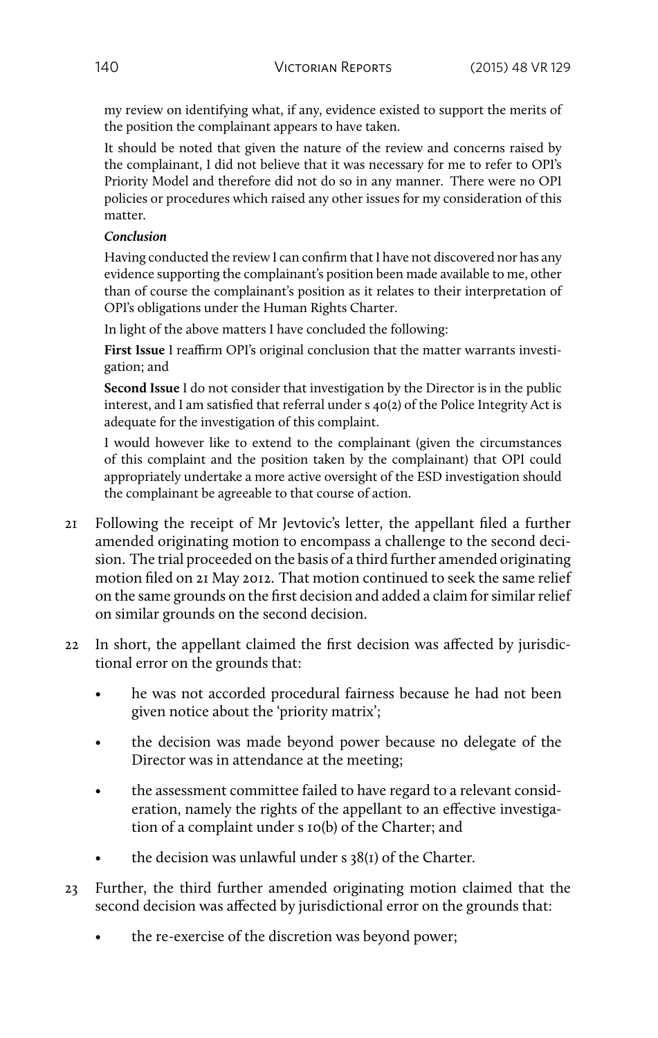my review on identifying what, if any, evidence existed to support the merits of the position the complainant appears to have taken.

It should be noted that given the nature of the review and concerns raised by the complainant, I did not believe that it was necessary for me to refer to OPI's Priority Model and therefore did not do so in any manner. There were no OPI policies or procedures which raised any other issues for my consideration of this matter.

#### *Conclusion*

Having conducted the review I can confirm that I have not discovered nor has any evidence supporting the complainant's position been made available to me, other than of course the complainant's position as it relates to their interpretation of OPI's obligations under the Human Rights Charter.

In light of the above matters I have concluded the following:

**First Issue** I reaffirm OPI's original conclusion that the matter warrants investigation; and

**Second Issue** I do not consider that investigation by the Director is in the public interest, and I am satisfied that referral under s 40(2) of the Police Integrity Act is adequate for the investigation of this complaint.

I would however like to extend to the complainant (given the circumstances of this complaint and the position taken by the complainant) that OPI could appropriately undertake a more active oversight of the ESD investigation should the complainant be agreeable to that course of action.

- 21 Following the receipt of Mr Jevtovic's letter, the appellant filed a further amended originating motion to encompass a challenge to the second decision. The trial proceeded on the basis of a third further amended originating motion filed on 21 May 2012. That motion continued to seek the same relief on the same grounds on the first decision and added a claim for similar relief on similar grounds on the second decision.
- 22 In short, the appellant claimed the first decision was affected by jurisdictional error on the grounds that:
	- he was not accorded procedural fairness because he had not been given notice about the 'priority matrix';
	- the decision was made beyond power because no delegate of the Director was in attendance at the meeting;
	- the assessment committee failed to have regard to a relevant consideration, namely the rights of the appellant to an effective investigation of a complaint under s 10(b) of the Charter; and
	- the decision was unlawful under  $s$  38( $i$ ) of the Charter.
- 23 Further, the third further amended originating motion claimed that the second decision was affected by jurisdictional error on the grounds that:
	- the re-exercise of the discretion was beyond power;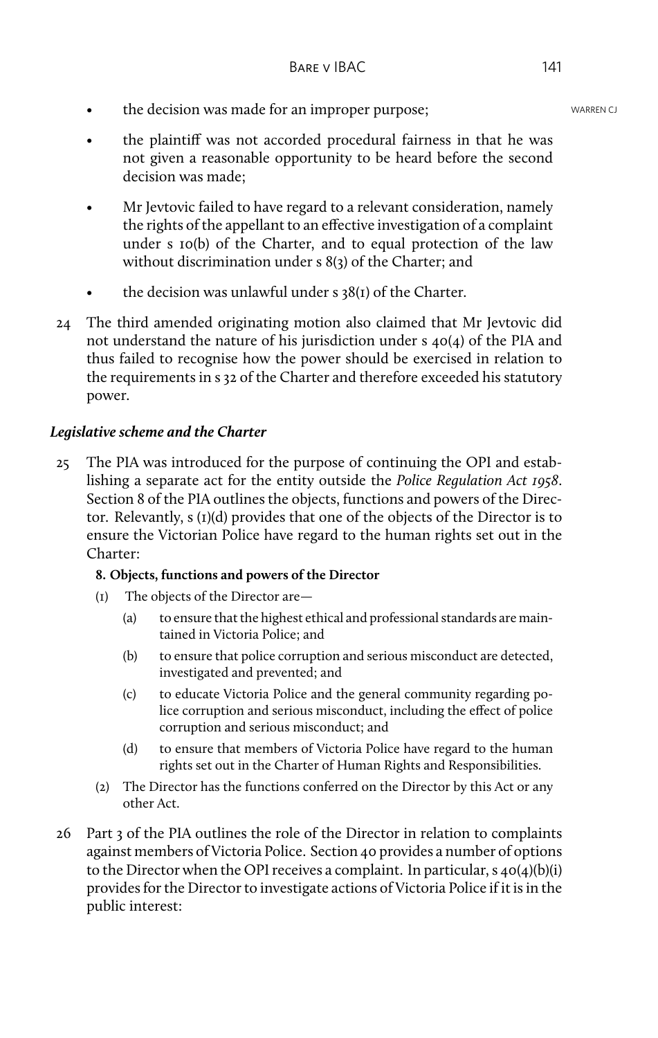- the decision was made for an improper purpose;<br>WARREN CJ
- the plaintiff was not accorded procedural fairness in that he was not given a reasonable opportunity to be heard before the second decision was made;
- Mr Jevtovic failed to have regard to a relevant consideration, namely the rights of the appellant to an effective investigation of a complaint under s 10(b) of the Charter, and to equal protection of the law without discrimination under s 8(3) of the Charter; and
- the decision was unlawful under  $s$  38(1) of the Charter.
- 24 The third amended originating motion also claimed that Mr Jevtovic did not understand the nature of his jurisdiction under s 40(4) of the PIA and thus failed to recognise how the power should be exercised in relation to the requirements in s 32 of the Charter and therefore exceeded his statutory power.

# *Legislative scheme and the Charter*

25 The PIA was introduced for the purpose of continuing the OPI and establishing a separate act for the entity outside the *Police Regulation Act 1958*. Section 8 of the PIA outlines the objects, functions and powers of the Director. Relevantly, s (1)(d) provides that one of the objects of the Director is to ensure the Victorian Police have regard to the human rights set out in the Charter:

# **8. Objects, functions and powers of the Director**

- (1) The objects of the Director are—
	- (a) to ensure that the highest ethical and professional standards are maintained in Victoria Police; and
	- (b) to ensure that police corruption and serious misconduct are detected, investigated and prevented; and
	- (c) to educate Victoria Police and the general community regarding police corruption and serious misconduct, including the effect of police corruption and serious misconduct; and
	- (d) to ensure that members of Victoria Police have regard to the human rights set out in the Charter of Human Rights and Responsibilities.
- (2) The Director has the functions conferred on the Director by this Act or any other Act.
- 26 Part 3 of the PIA outlines the role of the Director in relation to complaints against members of Victoria Police. Section 40 provides a number of options to the Director when the OPI receives a complaint. In particular,  $s$  40(4)(b)(i) provides for the Director to investigate actions of Victoria Police if it is in the public interest: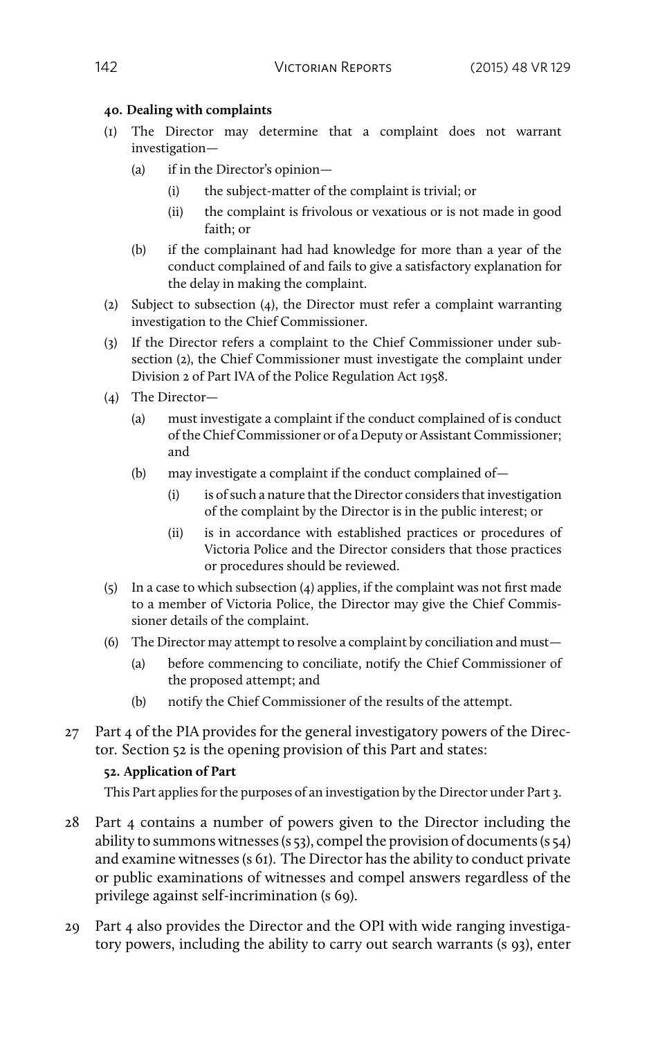## **40. Dealing with complaints**

- (1) The Director may determine that a complaint does not warrant investigation—
	- (a) if in the Director's opinion—
		- (i) the subject-matter of the complaint is trivial; or
		- (ii) the complaint is frivolous or vexatious or is not made in good faith; or
	- (b) if the complainant had had knowledge for more than a year of the conduct complained of and fails to give a satisfactory explanation for the delay in making the complaint.
- (2) Subject to subsection (4), the Director must refer a complaint warranting investigation to the Chief Commissioner.
- (3) If the Director refers a complaint to the Chief Commissioner under subsection (2), the Chief Commissioner must investigate the complaint under Division 2 of Part IVA of the Police Regulation Act 1958.
- (4) The Director—
	- (a) must investigate a complaint if the conduct complained of is conduct of the Chief Commissioner or of a Deputy or Assistant Commissioner; and
	- (b) may investigate a complaint if the conduct complained of—
		- (i) is of such a nature that the Director considers that investigation of the complaint by the Director is in the public interest; or
		- (ii) is in accordance with established practices or procedures of Victoria Police and the Director considers that those practices or procedures should be reviewed.
- (5) In a case to which subsection (4) applies, if the complaint was not first made to a member of Victoria Police, the Director may give the Chief Commissioner details of the complaint.
- (6) The Director may attempt to resolve a complaint by conciliation and must—
	- (a) before commencing to conciliate, notify the Chief Commissioner of the proposed attempt; and
	- (b) notify the Chief Commissioner of the results of the attempt.
- 27 Part 4 of the PIA provides for the general investigatory powers of the Director. Section 52 is the opening provision of this Part and states:

# **52. Application of Part**

This Part applies for the purposes of an investigation by the Director under Part 3.

- 28 Part 4 contains a number of powers given to the Director including the ability to summons witnesses (s 53), compel the provision of documents (s 54) and examine witnesses (s 61). The Director has the ability to conduct private or public examinations of witnesses and compel answers regardless of the privilege against self-incrimination (s 69).
- 29 Part 4 also provides the Director and the OPI with wide ranging investigatory powers, including the ability to carry out search warrants (s 93), enter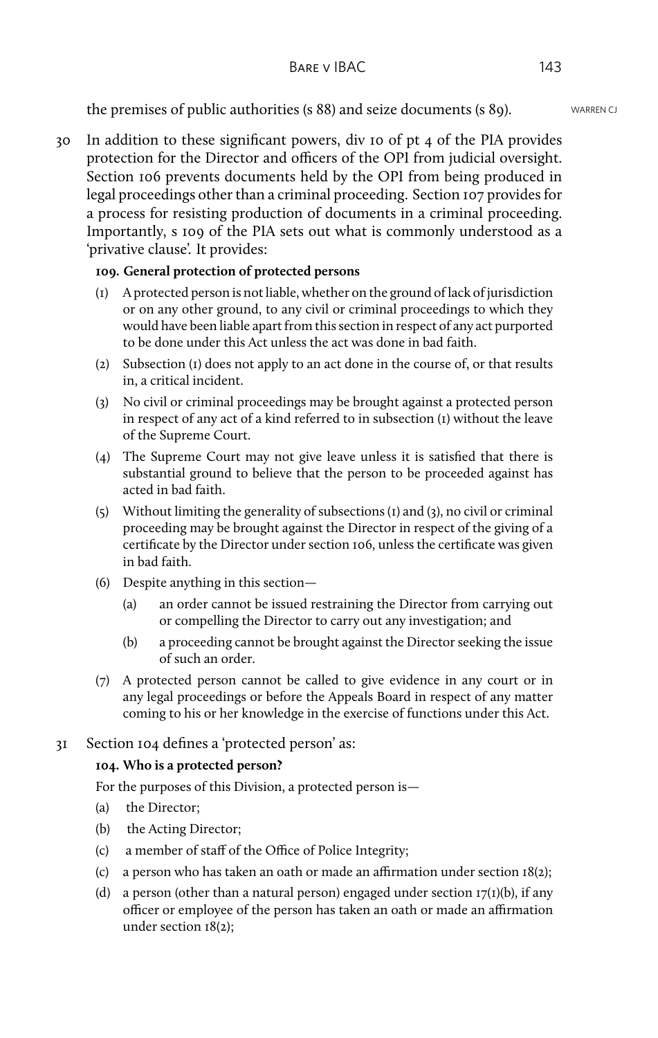the premises of public authorities (s 88) and seize documents (s 89). WARREN CJ

30 In addition to these significant powers, div 10 of pt 4 of the PIA provides protection for the Director and officers of the OPI from judicial oversight. Section 106 prevents documents held by the OPI from being produced in legal proceedings other than a criminal proceeding. Section 107 provides for a process for resisting production of documents in a criminal proceeding. Importantly, s 109 of the PIA sets out what is commonly understood as a 'privative clause'. It provides:

## **109. General protection of protected persons**

- (1) A protected person is not liable, whether on the ground of lack of jurisdiction or on any other ground, to any civil or criminal proceedings to which they would have been liable apart from this section in respect of any act purported to be done under this Act unless the act was done in bad faith.
- (2) Subsection (1) does not apply to an act done in the course of, or that results in, a critical incident.
- (3) No civil or criminal proceedings may be brought against a protected person in respect of any act of a kind referred to in subsection (1) without the leave of the Supreme Court.
- (4) The Supreme Court may not give leave unless it is satisfied that there is substantial ground to believe that the person to be proceeded against has acted in bad faith.
- (5) Without limiting the generality of subsections (1) and (3), no civil or criminal proceeding may be brought against the Director in respect of the giving of a certificate by the Director under section 106, unless the certificate was given in bad faith.
- (6) Despite anything in this section—
	- (a) an order cannot be issued restraining the Director from carrying out or compelling the Director to carry out any investigation; and
	- (b) a proceeding cannot be brought against the Director seeking the issue of such an order.
- (7) A protected person cannot be called to give evidence in any court or in any legal proceedings or before the Appeals Board in respect of any matter coming to his or her knowledge in the exercise of functions under this Act.

## 31 Section 104 defines a 'protected person' as:

## **104. Who is a protected person?**

For the purposes of this Division, a protected person is—

- (a) the Director;
- (b) the Acting Director;
- (c) a member of staff of the Office of Police Integrity;
- (c) a person who has taken an oath or made an affirmation under section 18(2);
- (d) a person (other than a natural person) engaged under section  $T(T)(b)$ , if any officer or employee of the person has taken an oath or made an affirmation under section 18(2);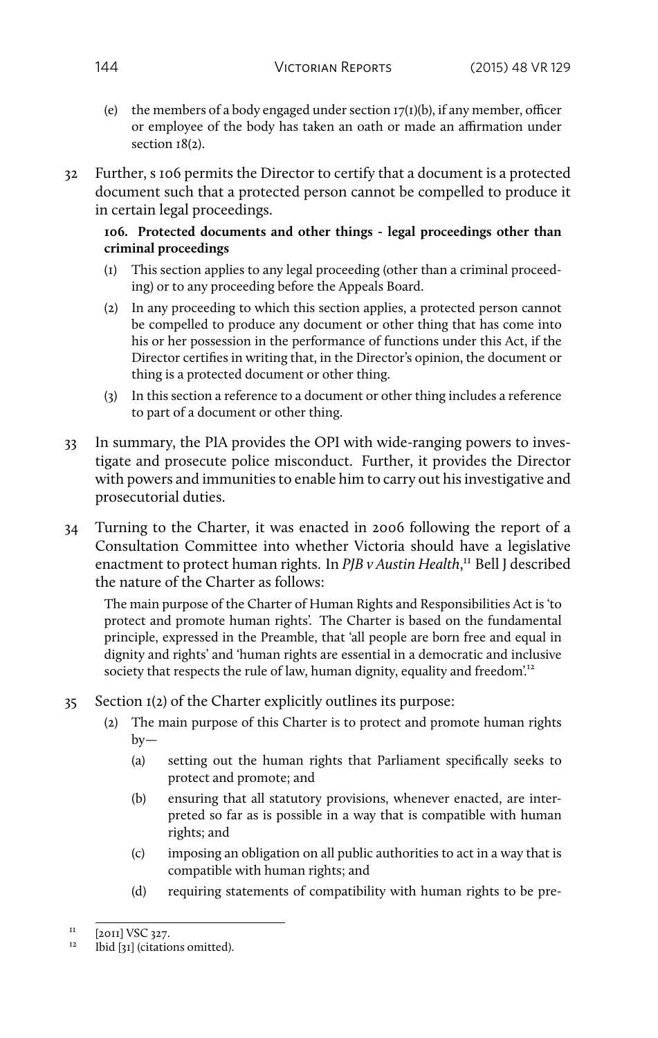- (e) the members of a body engaged under section  $I7(I)(b)$ , if any member, officer or employee of the body has taken an oath or made an affirmation under section  $18(2)$ .
- 32 Further, s 106 permits the Director to certify that a document is a protected document such that a protected person cannot be compelled to produce it in certain legal proceedings.

#### **106. Protected documents and other things - legal proceedings other than criminal proceedings**

- (1) This section applies to any legal proceeding (other than a criminal proceeding) or to any proceeding before the Appeals Board.
- (2) In any proceeding to which this section applies, a protected person cannot be compelled to produce any document or other thing that has come into his or her possession in the performance of functions under this Act, if the Director certifies in writing that, in the Director's opinion, the document or thing is a protected document or other thing.
- (3) In this section a reference to a document or other thing includes a reference to part of a document or other thing.
- 33 In summary, the PIA provides the OPI with wide-ranging powers to investigate and prosecute police misconduct. Further, it provides the Director with powers and immunities to enable him to carry out his investigative and prosecutorial duties.
- 34 Turning to the Charter, it was enacted in 2006 following the report of a Consultation Committee into whether Victoria should have a legislative enactment to protect human rights. In *PJB v Austin Health*, <sup>11</sup> Bell J described the nature of the Charter as follows:

The main purpose of the Charter of Human Rights and Responsibilities Act is 'to protect and promote human rights'. The Charter is based on the fundamental principle, expressed in the Preamble, that 'all people are born free and equal in dignity and rights' and 'human rights are essential in a democratic and inclusive society that respects the rule of law, human dignity, equality and freedom.<sup>12</sup>

- 35 Section 1(2) of the Charter explicitly outlines its purpose:
	- (2) The main purpose of this Charter is to protect and promote human rights by—
		- (a) setting out the human rights that Parliament specifically seeks to protect and promote; and
		- (b) ensuring that all statutory provisions, whenever enacted, are interpreted so far as is possible in a way that is compatible with human rights; and
		- (c) imposing an obligation on all public authorities to act in a way that is compatible with human rights; and
		- (d) requiring statements of compatibility with human rights to be pre-

 $11$  [2011] VSC 327.

<sup>12</sup> Ibid [31] (citations omitted).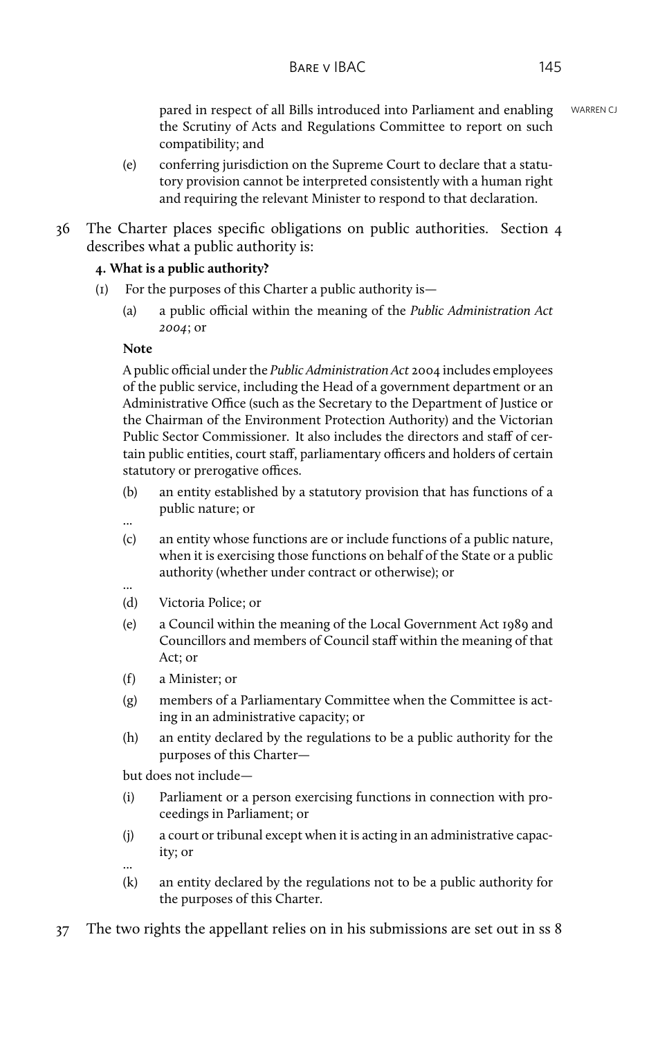pared in respect of all Bills introduced into Parliament and enabling WARREN CJ the Scrutiny of Acts and Regulations Committee to report on such compatibility; and

- (e) conferring jurisdiction on the Supreme Court to declare that a statutory provision cannot be interpreted consistently with a human right and requiring the relevant Minister to respond to that declaration.
- 36 The Charter places specific obligations on public authorities. Section 4 describes what a public authority is:

## **4. What is a public authority?**

- (1) For the purposes of this Charter a public authority is—
	- (a) a public official within the meaning of the *Public Administration Act 2004*; or

#### **Note**

A public official under the *Public Administration Act* 2004 includes employees of the public service, including the Head of a government department or an Administrative Office (such as the Secretary to the Department of Justice or the Chairman of the Environment Protection Authority) and the Victorian Public Sector Commissioner. It also includes the directors and staff of certain public entities, court staff, parliamentary officers and holders of certain statutory or prerogative offices.

- (b) an entity established by a statutory provision that has functions of a public nature; or
- ...
- (c) an entity whose functions are or include functions of a public nature, when it is exercising those functions on behalf of the State or a public authority (whether under contract or otherwise); or
- (d) Victoria Police; or
- (e) a Council within the meaning of the Local Government Act 1989 and Councillors and members of Council staff within the meaning of that Act; or
- (f) a Minister; or
- (g) members of a Parliamentary Committee when the Committee is acting in an administrative capacity; or
- (h) an entity declared by the regulations to be a public authority for the purposes of this Charter—

but does not include—

- (i) Parliament or a person exercising functions in connection with proceedings in Parliament; or
- (j) a court or tribunal except when it is acting in an administrative capacity; or
- ...
- (k) an entity declared by the regulations not to be a public authority for the purposes of this Charter.
- 37 The two rights the appellant relies on in his submissions are set out in ss 8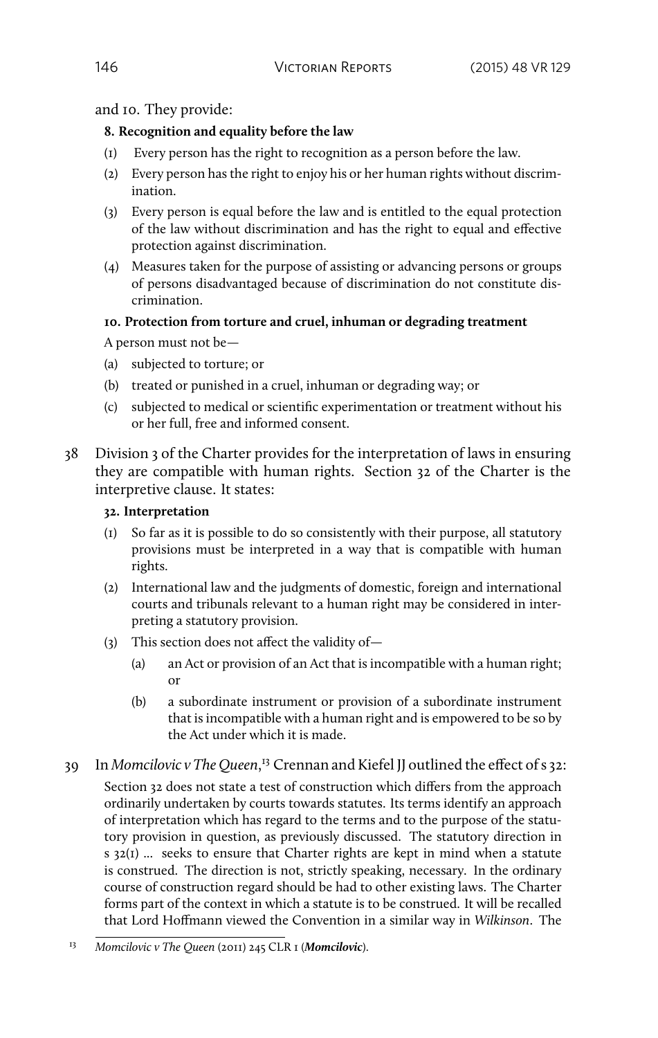and 10. They provide:

## **8. Recognition and equality before the law**

- (1) Every person has the right to recognition as a person before the law.
- (2) Every person has the right to enjoy his or her human rights without discrimination.
- (3) Every person is equal before the law and is entitled to the equal protection of the law without discrimination and has the right to equal and effective protection against discrimination.
- (4) Measures taken for the purpose of assisting or advancing persons or groups of persons disadvantaged because of discrimination do not constitute discrimination.

# **10. Protection from torture and cruel, inhuman or degrading treatment**

A person must not be—

- (a) subjected to torture; or
- (b) treated or punished in a cruel, inhuman or degrading way; or
- (c) subjected to medical or scientific experimentation or treatment without his or her full, free and informed consent.
- 38 Division 3 of the Charter provides for the interpretation of laws in ensuring they are compatible with human rights. Section 32 of the Charter is the interpretive clause. It states:

## **32. Interpretation**

- (1) So far as it is possible to do so consistently with their purpose, all statutory provisions must be interpreted in a way that is compatible with human rights.
- (2) International law and the judgments of domestic, foreign and international courts and tribunals relevant to a human right may be considered in interpreting a statutory provision.
- (3) This section does not affect the validity of—
	- (a) an Act or provision of an Act that is incompatible with a human right; or
	- (b) a subordinate instrument or provision of a subordinate instrument that is incompatible with a human right and is empowered to be so by the Act under which it is made.
- 39 In *Momcilovic v The Queen*, <sup>13</sup> Crennan and Kiefel JJ outlined the effect of s 32:

Section 32 does not state a test of construction which differs from the approach ordinarily undertaken by courts towards statutes. Its terms identify an approach of interpretation which has regard to the terms and to the purpose of the statutory provision in question, as previously discussed. The statutory direction in  $s$  32(I) ... seeks to ensure that Charter rights are kept in mind when a statute is construed. The direction is not, strictly speaking, necessary. In the ordinary course of construction regard should be had to other existing laws. The Charter forms part of the context in which a statute is to be construed. It will be recalled that Lord Hoffmann viewed the Convention in a similar way in *Wilkinson*. The

<sup>13</sup> *Momcilovic v The Queen* (2011) 245 CLR 1 (*Momcilovic*).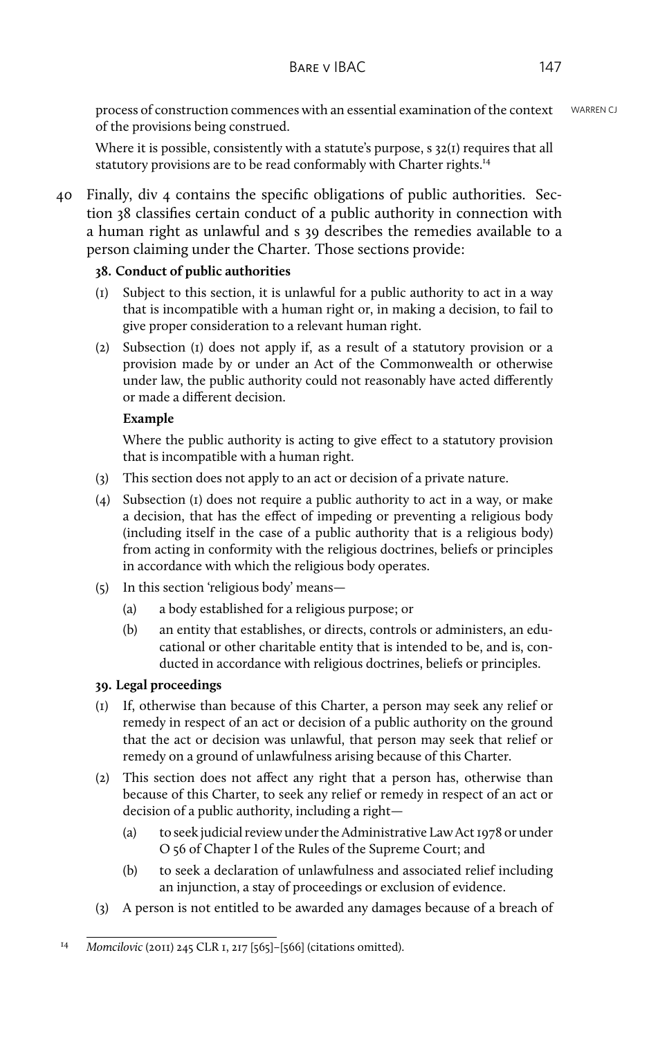process of construction commences with an essential examination of the context WARREN CJ of the provisions being construed.

Where it is possible, consistently with a statute's purpose, s 32(1) requires that all statutory provisions are to be read conformably with Charter rights.<sup>14</sup>

40 Finally, div 4 contains the specific obligations of public authorities. Section 38 classifies certain conduct of a public authority in connection with a human right as unlawful and s 39 describes the remedies available to a person claiming under the Charter. Those sections provide:

## **38. Conduct of public authorities**

- (1) Subject to this section, it is unlawful for a public authority to act in a way that is incompatible with a human right or, in making a decision, to fail to give proper consideration to a relevant human right.
- (2) Subsection (1) does not apply if, as a result of a statutory provision or a provision made by or under an Act of the Commonwealth or otherwise under law, the public authority could not reasonably have acted differently or made a different decision.

#### **Example**

Where the public authority is acting to give effect to a statutory provision that is incompatible with a human right.

- (3) This section does not apply to an act or decision of a private nature.
- (4) Subsection (1) does not require a public authority to act in a way, or make a decision, that has the effect of impeding or preventing a religious body (including itself in the case of a public authority that is a religious body) from acting in conformity with the religious doctrines, beliefs or principles in accordance with which the religious body operates.
- (5) In this section 'religious body' means—
	- (a) a body established for a religious purpose; or
	- (b) an entity that establishes, or directs, controls or administers, an educational or other charitable entity that is intended to be, and is, conducted in accordance with religious doctrines, beliefs or principles.

## **39. Legal proceedings**

- (1) If, otherwise than because of this Charter, a person may seek any relief or remedy in respect of an act or decision of a public authority on the ground that the act or decision was unlawful, that person may seek that relief or remedy on a ground of unlawfulness arising because of this Charter.
- (2) This section does not affect any right that a person has, otherwise than because of this Charter, to seek any relief or remedy in respect of an act or decision of a public authority, including a right—
	- (a) to seek judicial review under the Administrative Law Act 1978 or under O 56 of Chapter I of the Rules of the Supreme Court; and
	- (b) to seek a declaration of unlawfulness and associated relief including an injunction, a stay of proceedings or exclusion of evidence.
- (3) A person is not entitled to be awarded any damages because of a breach of

<sup>14</sup> *Momcilovic* (2011) 245 CLR 1, 217 [565]–[566] (citations omitted).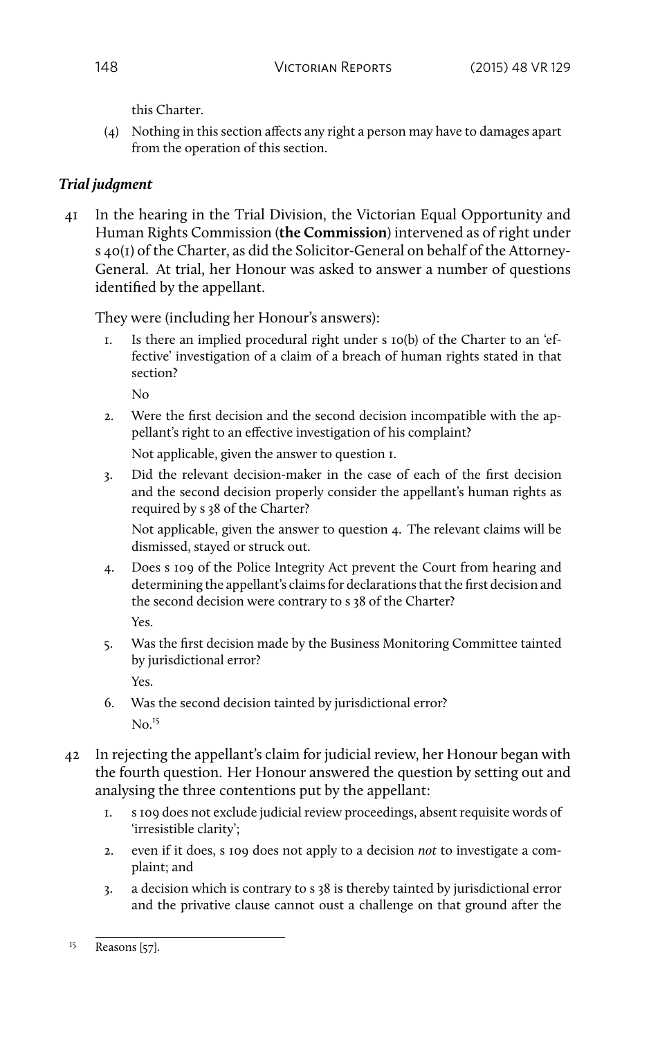this Charter.

(4) Nothing in this section affects any right a person may have to damages apart from the operation of this section.

# *Trial judgment*

41 In the hearing in the Trial Division, the Victorian Equal Opportunity and Human Rights Commission (**the Commission**) intervened as of right under s 40(1) of the Charter, as did the Solicitor-General on behalf of the Attorney-General. At trial, her Honour was asked to answer a number of questions identified by the appellant.

They were (including her Honour's answers):

1. Is there an implied procedural right under s 10(b) of the Charter to an 'effective' investigation of a claim of a breach of human rights stated in that section?

No

2. Were the first decision and the second decision incompatible with the appellant's right to an effective investigation of his complaint?

Not applicable, given the answer to question 1.

3. Did the relevant decision-maker in the case of each of the first decision and the second decision properly consider the appellant's human rights as required by s 38 of the Charter?

Not applicable, given the answer to question 4. The relevant claims will be dismissed, stayed or struck out.

- 4. Does s 109 of the Police Integrity Act prevent the Court from hearing and determining the appellant's claims for declarations that the first decision and the second decision were contrary to s 38 of the Charter? Yes.
- 5. Was the first decision made by the Business Monitoring Committee tainted by jurisdictional error? Yes.
- 6. Was the second decision tainted by jurisdictional error?  $No.<sup>15</sup>$
- 42 In rejecting the appellant's claim for judicial review, her Honour began with the fourth question. Her Honour answered the question by setting out and analysing the three contentions put by the appellant:
	- 1. s 109 does not exclude judicial review proceedings, absent requisite words of 'irresistible clarity';
	- 2. even if it does, s 109 does not apply to a decision *not* to investigate a complaint; and
	- 3. a decision which is contrary to s 38 is thereby tainted by jurisdictional error and the privative clause cannot oust a challenge on that ground after the

 $^{15}$  Reasons [57].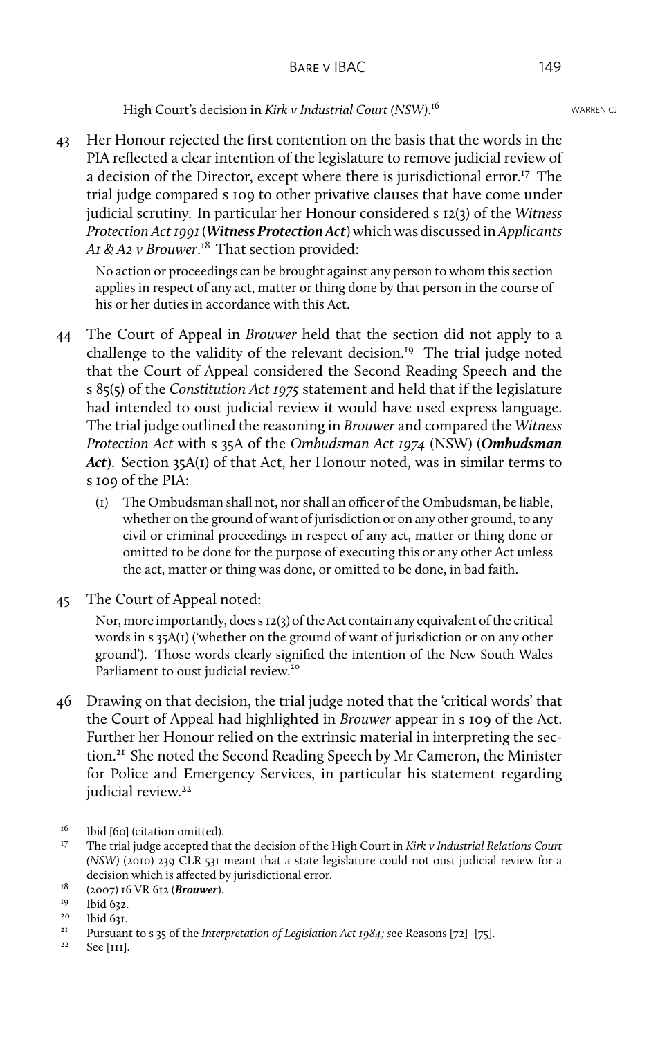High Court's decision in *Kirk v Industrial Court (NSW)* WARREN CJ . 16

43 Her Honour rejected the first contention on the basis that the words in the PIA reflected a clear intention of the legislature to remove judicial review of a decision of the Director, except where there is jurisdictional error.<sup>17</sup> The trial judge compared s 109 to other privative clauses that have come under judicial scrutiny. In particular her Honour considered s 12(3) of the *Witness Protection Act 1991*(*Witness Protection Act*) which was discussed in *Applicants A1 & A2 v Brouwer*. <sup>18</sup> That section provided:

No action or proceedings can be brought against any person to whom this section applies in respect of any act, matter or thing done by that person in the course of his or her duties in accordance with this Act.

- 44 The Court of Appeal in *Brouwer* held that the section did not apply to a challenge to the validity of the relevant decision.<sup>19</sup> The trial judge noted that the Court of Appeal considered the Second Reading Speech and the s 85(5) of the *Constitution Act 1975* statement and held that if the legislature had intended to oust judicial review it would have used express language. The trial judge outlined the reasoning in *Brouwer* and compared the *Witness Protection Act* with s 35A of the *Ombudsman Act 1974* (NSW) (*Ombudsman Act*). Section 35A(1) of that Act, her Honour noted, was in similar terms to s 109 of the PIA:
	- (1) The Ombudsman shall not, nor shall an officer of the Ombudsman, be liable, whether on the ground of want of jurisdiction or on any other ground, to any civil or criminal proceedings in respect of any act, matter or thing done or omitted to be done for the purpose of executing this or any other Act unless the act, matter or thing was done, or omitted to be done, in bad faith.
- 45 The Court of Appeal noted:

Nor, more importantly, does s 12(3) of the Act contain any equivalent of the critical words in s 35A(1) ('whether on the ground of want of jurisdiction or on any other ground'). Those words clearly signified the intention of the New South Wales Parliament to oust judicial review.<sup>20</sup>

46 Drawing on that decision, the trial judge noted that the 'critical words' that the Court of Appeal had highlighted in *Brouwer* appear in s 109 of the Act. Further her Honour relied on the extrinsic material in interpreting the section.<sup>21</sup> She noted the Second Reading Speech by Mr Cameron, the Minister for Police and Emergency Services, in particular his statement regarding judicial review.<sup>22</sup>

<sup>&</sup>lt;sup>16</sup> Ibid [60] (citation omitted).<br><sup>17</sup> The trial judge accepted the

<sup>17</sup> The trial judge accepted that the decision of the High Court in *Kirk v Industrial Relations Court (NSW)* (2010) 239 CLR 531 meant that a state legislature could not oust judicial review for a decision which is affected by jurisdictional error.

<sup>&</sup>lt;sup>18</sup> (2007) 16 VR 612 (*Brouwer*).

 $19$  Ibid 632.

 $20$  Ibid 631.

<sup>&</sup>lt;sup>21</sup> Pursuant to s 35 of the *Interpretation of Legislation Act 1984*; see Reasons [72]–[75].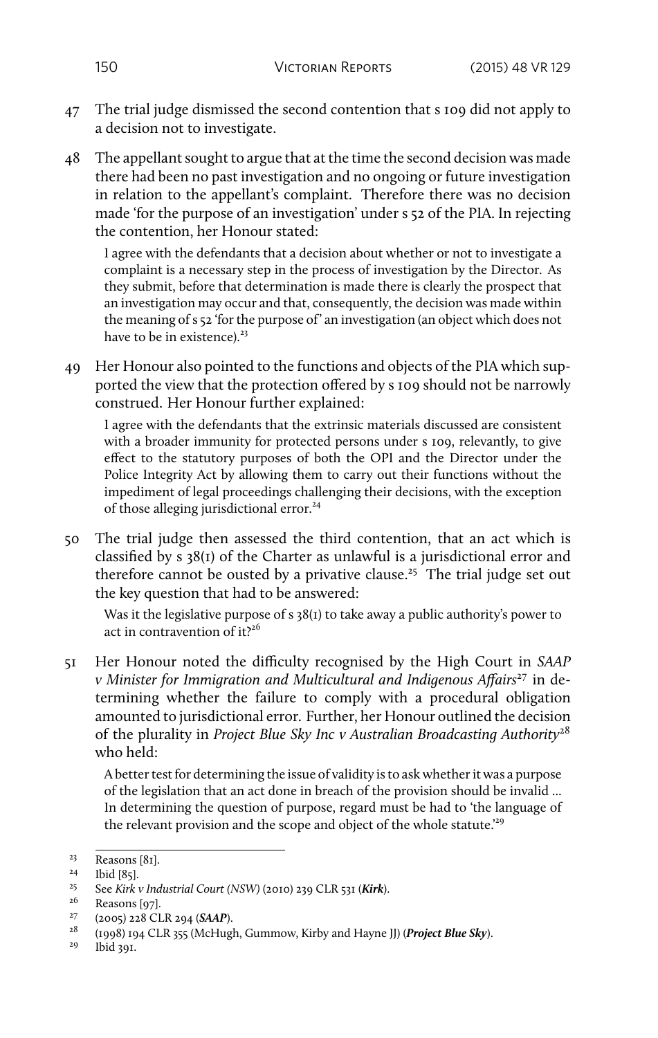- 47 The trial judge dismissed the second contention that s 109 did not apply to a decision not to investigate.
- 48 The appellant sought to argue that at the time the second decision was made there had been no past investigation and no ongoing or future investigation in relation to the appellant's complaint. Therefore there was no decision made 'for the purpose of an investigation' under s 52 of the PIA. In rejecting the contention, her Honour stated:

I agree with the defendants that a decision about whether or not to investigate a complaint is a necessary step in the process of investigation by the Director. As they submit, before that determination is made there is clearly the prospect that an investigation may occur and that, consequently, the decision was made within the meaning of s 52 'for the purpose of' an investigation (an object which does not have to be in existence). $23$ 

49 Her Honour also pointed to the functions and objects of the PIA which supported the view that the protection offered by s 109 should not be narrowly construed. Her Honour further explained:

I agree with the defendants that the extrinsic materials discussed are consistent with a broader immunity for protected persons under s 109, relevantly, to give effect to the statutory purposes of both the OPI and the Director under the Police Integrity Act by allowing them to carry out their functions without the impediment of legal proceedings challenging their decisions, with the exception of those alleging jurisdictional error.<sup>24</sup>

50 The trial judge then assessed the third contention, that an act which is classified by s 38(1) of the Charter as unlawful is a jurisdictional error and therefore cannot be ousted by a privative clause.<sup>25</sup> The trial judge set out the key question that had to be answered:

Was it the legislative purpose of s 38(1) to take away a public authority's power to act in contravention of  $it<sup>26</sup>$ 

51 Her Honour noted the difficulty recognised by the High Court in *SAAP v Minister for Immigration and Multicultural and Indigenous Affairs*<sup>27</sup> in determining whether the failure to comply with a procedural obligation amounted to jurisdictional error. Further, her Honour outlined the decision of the plurality in *Project Blue Sky Inc v Australian Broadcasting Authority*<sup>28</sup> who held:

A better test for determining the issue of validity is to ask whether it was a purpose of the legislation that an act done in breach of the provision should be invalid ... In determining the question of purpose, regard must be had to 'the language of the relevant provision and the scope and object of the whole statute.'<sup>29</sup>

 $\frac{23}{24}$  Reasons [81].

<sup>&</sup>lt;sup>24</sup> Ibid [85].

<sup>25</sup> See *Kirk v Industrial Court (NSW)* (2010) 239 CLR 531 (*Kirk*).

 $^{26}$  Reasons [97].

<sup>27</sup> (2005) 228 CLR 294 (*SAAP*).

<sup>28</sup> (1998) 194 CLR 355 (McHugh, Gummow, Kirby and Hayne JJ) (*Project Blue Sky*).

lbid 391.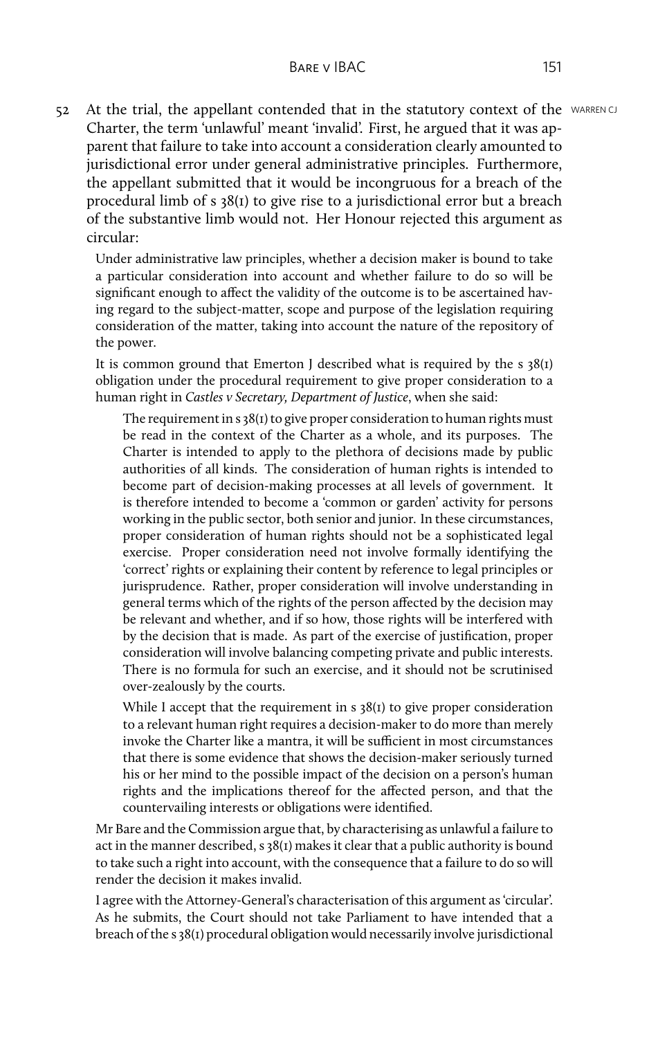52 At the trial, the appellant contended that in the statutory context of the WARRENCJ Charter, the term 'unlawful' meant 'invalid'. First, he argued that it was apparent that failure to take into account a consideration clearly amounted to jurisdictional error under general administrative principles. Furthermore, the appellant submitted that it would be incongruous for a breach of the procedural limb of s 38(1) to give rise to a jurisdictional error but a breach of the substantive limb would not. Her Honour rejected this argument as circular:

Under administrative law principles, whether a decision maker is bound to take a particular consideration into account and whether failure to do so will be significant enough to affect the validity of the outcome is to be ascertained having regard to the subject-matter, scope and purpose of the legislation requiring consideration of the matter, taking into account the nature of the repository of the power.

It is common ground that Emerton I described what is required by the s  $38(1)$ obligation under the procedural requirement to give proper consideration to a human right in *Castles v Secretary, Department of Justice*, when she said:

The requirement in s 38(1) to give proper consideration to human rights must be read in the context of the Charter as a whole, and its purposes. The Charter is intended to apply to the plethora of decisions made by public authorities of all kinds. The consideration of human rights is intended to become part of decision-making processes at all levels of government. It is therefore intended to become a 'common or garden' activity for persons working in the public sector, both senior and junior. In these circumstances, proper consideration of human rights should not be a sophisticated legal exercise. Proper consideration need not involve formally identifying the 'correct' rights or explaining their content by reference to legal principles or jurisprudence. Rather, proper consideration will involve understanding in general terms which of the rights of the person affected by the decision may be relevant and whether, and if so how, those rights will be interfered with by the decision that is made. As part of the exercise of justification, proper consideration will involve balancing competing private and public interests. There is no formula for such an exercise, and it should not be scrutinised over-zealously by the courts.

While I accept that the requirement in s 38(1) to give proper consideration to a relevant human right requires a decision-maker to do more than merely invoke the Charter like a mantra, it will be sufficient in most circumstances that there is some evidence that shows the decision-maker seriously turned his or her mind to the possible impact of the decision on a person's human rights and the implications thereof for the affected person, and that the countervailing interests or obligations were identified.

Mr Bare and the Commission argue that, by characterising as unlawful a failure to act in the manner described,  $s$  38( $t$ ) makes it clear that a public authority is bound to take such a right into account, with the consequence that a failure to do so will render the decision it makes invalid.

I agree with the Attorney-General's characterisation of this argument as 'circular'. As he submits, the Court should not take Parliament to have intended that a breach of the s 38(1) procedural obligation would necessarily involve jurisdictional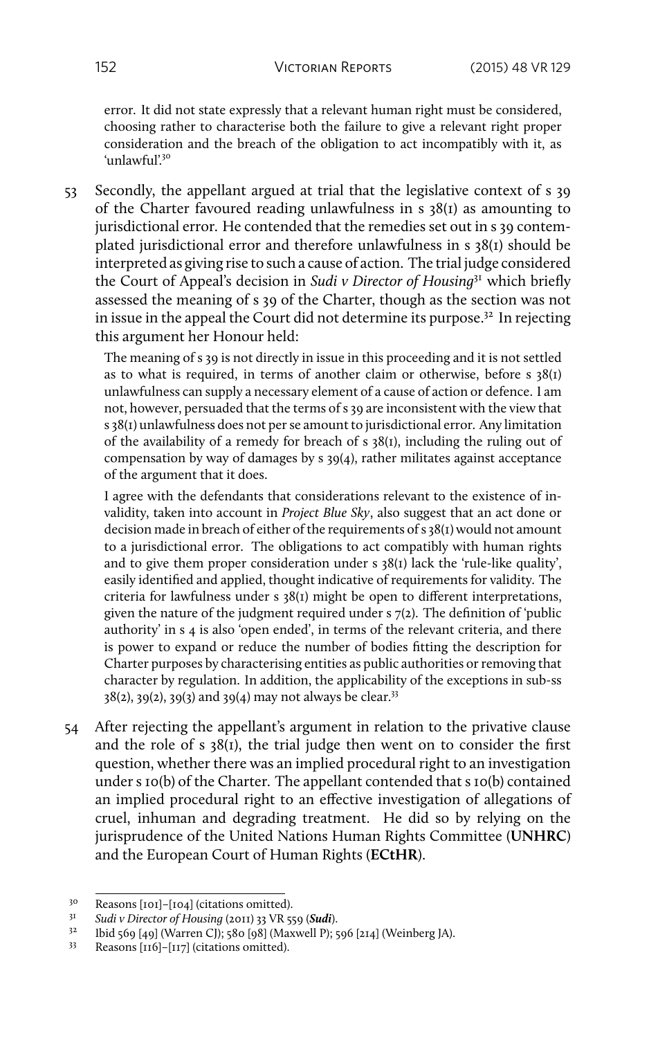error. It did not state expressly that a relevant human right must be considered, choosing rather to characterise both the failure to give a relevant right proper consideration and the breach of the obligation to act incompatibly with it, as 'unlawful'<sup>30</sup>

53 Secondly, the appellant argued at trial that the legislative context of s 39 of the Charter favoured reading unlawfulness in s 38(1) as amounting to jurisdictional error. He contended that the remedies set out in s 39 contemplated jurisdictional error and therefore unlawfulness in s 38(1) should be interpreted as giving rise to such a cause of action. The trial judge considered the Court of Appeal's decision in *Sudi v Director of Housing*<sup>31</sup> which briefly assessed the meaning of s 39 of the Charter, though as the section was not in issue in the appeal the Court did not determine its purpose.<sup>32</sup> In rejecting this argument her Honour held:

The meaning of s 39 is not directly in issue in this proceeding and it is not settled as to what is required, in terms of another claim or otherwise, before s 38(1) unlawfulness can supply a necessary element of a cause of action or defence. I am not, however, persuaded that the terms of s 39 are inconsistent with the view that s 38(1) unlawfulness does not per se amount to jurisdictional error. Any limitation of the availability of a remedy for breach of s  $38(1)$ , including the ruling out of compensation by way of damages by s 39(4), rather militates against acceptance of the argument that it does.

I agree with the defendants that considerations relevant to the existence of invalidity, taken into account in *Project Blue Sky*, also suggest that an act done or decision made in breach of either of the requirements of s 38(1) would not amount to a jurisdictional error. The obligations to act compatibly with human rights and to give them proper consideration under s 38(1) lack the 'rule-like quality', easily identified and applied, thought indicative of requirements for validity. The criteria for lawfulness under s 38(1) might be open to different interpretations, given the nature of the judgment required under s 7(2). The definition of 'public authority' in s 4 is also 'open ended', in terms of the relevant criteria, and there is power to expand or reduce the number of bodies fitting the description for Charter purposes by characterising entities as public authorities or removing that character by regulation. In addition, the applicability of the exceptions in sub-ss  $38(2)$ ,  $39(2)$ ,  $39(3)$  and  $39(4)$  may not always be clear.<sup>33</sup>

54 After rejecting the appellant's argument in relation to the privative clause and the role of s 38(1), the trial judge then went on to consider the first question, whether there was an implied procedural right to an investigation under s 10(b) of the Charter. The appellant contended that s 10(b) contained an implied procedural right to an effective investigation of allegations of cruel, inhuman and degrading treatment. He did so by relying on the jurisprudence of the United Nations Human Rights Committee (**UNHRC**) and the European Court of Human Rights (**ECtHR**).

<sup>&</sup>lt;sup>30</sup> Reasons [101]–[104] (citations omitted).<br><sup>31</sup> Sudi y Director of Housing (2011) 22 VR 51

<sup>31</sup> *Sudi v Director of Housing* (2011) 33 VR 559 (*Sudi*).

<sup>32</sup> Ibid 569 [49] (Warren CJ); 580 [98] (Maxwell P); 596 [214] (Weinberg JA).

<sup>33</sup> Reasons [116]–[117] (citations omitted).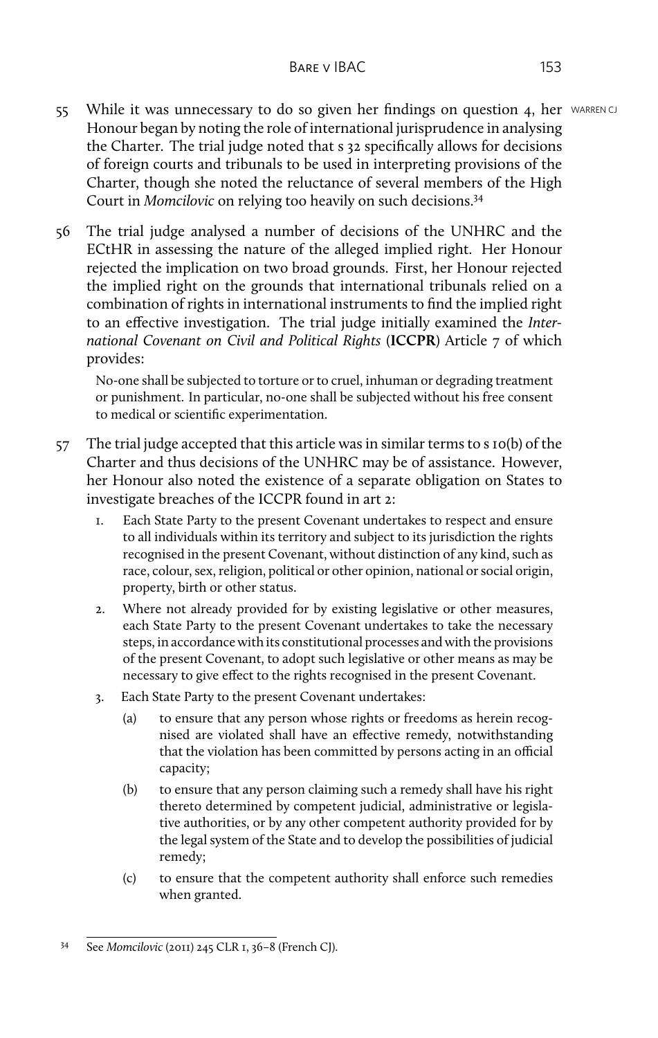- 55 While it was unnecessary to do so given her findings on question 4, her WARREN CJ Honour began by noting the role of international jurisprudence in analysing the Charter. The trial judge noted that s 32 specifically allows for decisions of foreign courts and tribunals to be used in interpreting provisions of the Charter, though she noted the reluctance of several members of the High Court in *Momcilovic* on relying too heavily on such decisions.<sup>34</sup>
- 56 The trial judge analysed a number of decisions of the UNHRC and the ECtHR in assessing the nature of the alleged implied right. Her Honour rejected the implication on two broad grounds. First, her Honour rejected the implied right on the grounds that international tribunals relied on a combination of rights in international instruments to find the implied right to an effective investigation. The trial judge initially examined the *International Covenant on Civil and Political Rights* (**ICCPR**) Article 7 of which provides:

No-one shall be subjected to torture or to cruel, inhuman or degrading treatment or punishment. In particular, no-one shall be subjected without his free consent to medical or scientific experimentation.

- 57 The trial judge accepted that this article was in similar terms to s 10(b) of the Charter and thus decisions of the UNHRC may be of assistance. However, her Honour also noted the existence of a separate obligation on States to investigate breaches of the ICCPR found in art 2:
	- 1. Each State Party to the present Covenant undertakes to respect and ensure to all individuals within its territory and subject to its jurisdiction the rights recognised in the present Covenant, without distinction of any kind, such as race, colour, sex, religion, political or other opinion, national or social origin, property, birth or other status.
	- 2. Where not already provided for by existing legislative or other measures, each State Party to the present Covenant undertakes to take the necessary steps, in accordance with its constitutional processes and with the provisions of the present Covenant, to adopt such legislative or other means as may be necessary to give effect to the rights recognised in the present Covenant.
	- 3. Each State Party to the present Covenant undertakes:
		- (a) to ensure that any person whose rights or freedoms as herein recognised are violated shall have an effective remedy, notwithstanding that the violation has been committed by persons acting in an official capacity;
		- (b) to ensure that any person claiming such a remedy shall have his right thereto determined by competent judicial, administrative or legislative authorities, or by any other competent authority provided for by the legal system of the State and to develop the possibilities of judicial remedy;
		- (c) to ensure that the competent authority shall enforce such remedies when granted.

<sup>34</sup> See *Momcilovic* (2011) 245 CLR 1, 36–8 (French CJ).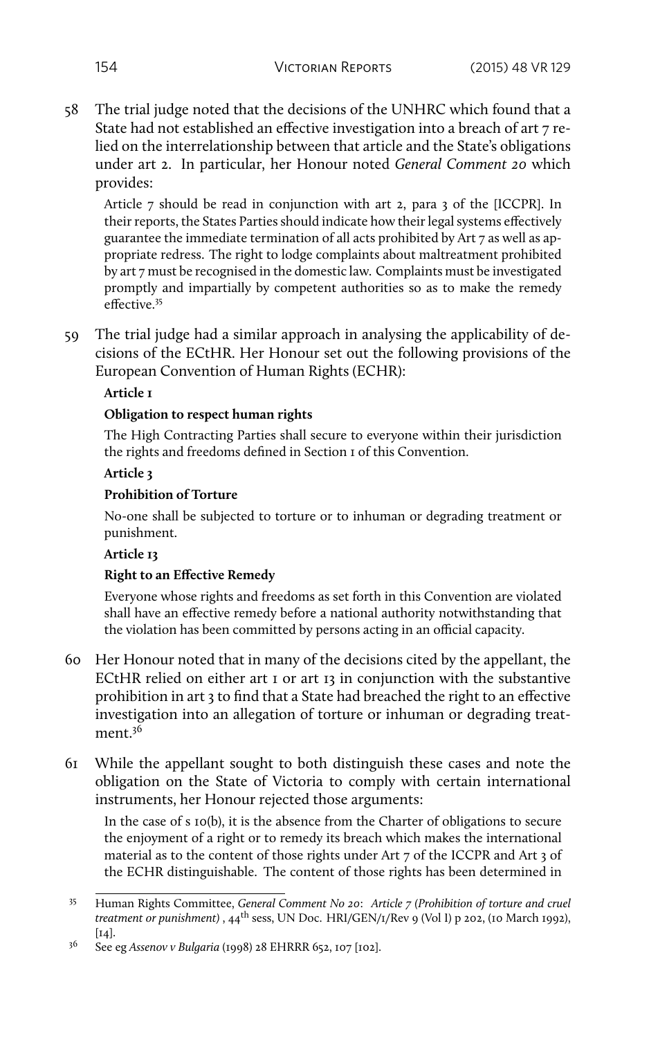58 The trial judge noted that the decisions of the UNHRC which found that a State had not established an effective investigation into a breach of art 7 relied on the interrelationship between that article and the State's obligations under art 2. In particular, her Honour noted *General Comment 20* which provides:

Article 7 should be read in conjunction with art 2, para 3 of the [ICCPR]. In their reports, the States Parties should indicate how their legal systems effectively guarantee the immediate termination of all acts prohibited by Art 7 as well as appropriate redress. The right to lodge complaints about maltreatment prohibited by art 7 must be recognised in the domestic law. Complaints must be investigated promptly and impartially by competent authorities so as to make the remedy effective.<sup>35</sup>

59 The trial judge had a similar approach in analysing the applicability of decisions of the ECtHR. Her Honour set out the following provisions of the European Convention of Human Rights (ECHR):

#### **Article 1**

#### **Obligation to respect human rights**

The High Contracting Parties shall secure to everyone within their jurisdiction the rights and freedoms defined in Section 1 of this Convention.

#### **Article 3**

#### **Prohibition of Torture**

No-one shall be subjected to torture or to inhuman or degrading treatment or punishment.

#### **Article 13**

## **Right to an Effective Remedy**

Everyone whose rights and freedoms as set forth in this Convention are violated shall have an effective remedy before a national authority notwithstanding that the violation has been committed by persons acting in an official capacity.

- 60 Her Honour noted that in many of the decisions cited by the appellant, the ECtHR relied on either art 1 or art 13 in conjunction with the substantive prohibition in art 3 to find that a State had breached the right to an effective investigation into an allegation of torture or inhuman or degrading treatment.<sup>36</sup>
- 61 While the appellant sought to both distinguish these cases and note the obligation on the State of Victoria to comply with certain international instruments, her Honour rejected those arguments:

In the case of s 10(b), it is the absence from the Charter of obligations to secure the enjoyment of a right or to remedy its breach which makes the international material as to the content of those rights under Art 7 of the ICCPR and Art 3 of the ECHR distinguishable. The content of those rights has been determined in

<sup>35</sup> Human Rights Committee, *General Comment No 20*: *Article 7 (Prohibition of torture and cruel treatment or punishment*), 44<sup>th</sup> sess, UN Doc. HRI/GEN/1/Rev 9 (Vol I) p 202, (10 March 1992),  $\lceil 14 \rceil$ .

<sup>36</sup> See eg *Assenov v Bulgaria* (1998) 28 EHRRR 652, 107 [102].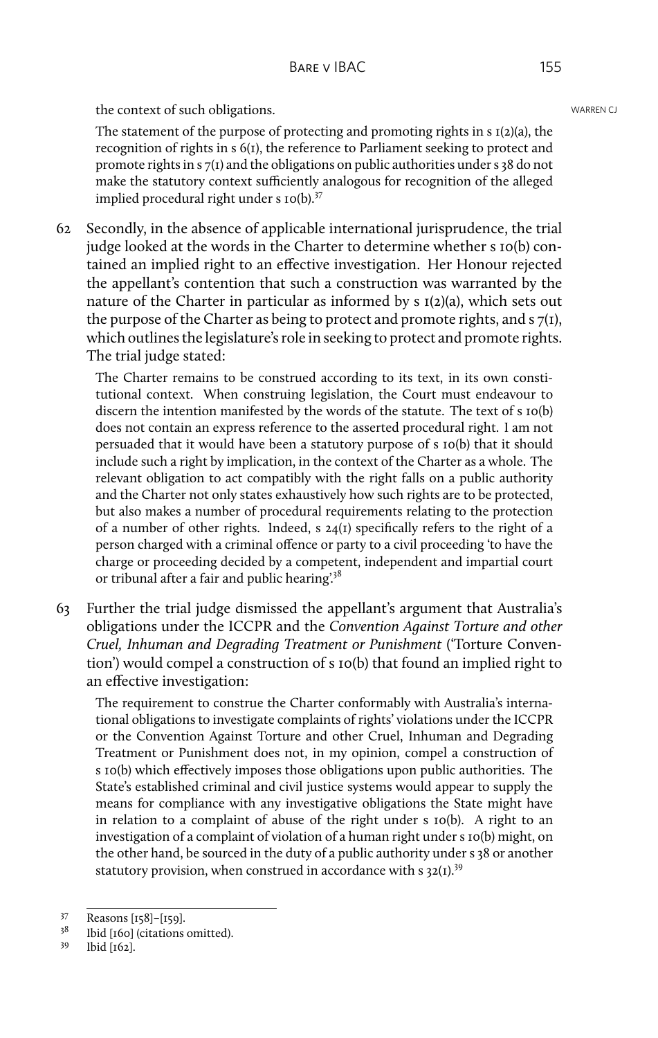the context of such obligations. WARREN CJ NOT CONTENT OF THE CONTENT OF THE CONTENT OF THE CONTENT OF THE CONTENT OF THE CONTENT OF THE CONTENT OF THE CONTENT OF THE CONTENT OF THE CONTENT OF THE CONTENT OF THE CONTENT OF

The statement of the purpose of protecting and promoting rights in s 1(2)(a), the recognition of rights in s 6(1), the reference to Parliament seeking to protect and promote rights in s 7(1) and the obligations on public authorities under s 38 do not make the statutory context sufficiently analogous for recognition of the alleged implied procedural right under  $s$  10(b).<sup>37</sup>

62 Secondly, in the absence of applicable international jurisprudence, the trial judge looked at the words in the Charter to determine whether s 10(b) contained an implied right to an effective investigation. Her Honour rejected the appellant's contention that such a construction was warranted by the nature of the Charter in particular as informed by  $s$   $I(2)(a)$ , which sets out the purpose of the Charter as being to protect and promote rights, and  $s \, \mathcal{I}(I)$ , which outlines the legislature's role in seeking to protect and promote rights. The trial judge stated:

The Charter remains to be construed according to its text, in its own constitutional context. When construing legislation, the Court must endeavour to discern the intention manifested by the words of the statute. The text of s 10(b) does not contain an express reference to the asserted procedural right. I am not persuaded that it would have been a statutory purpose of s 10(b) that it should include such a right by implication, in the context of the Charter as a whole. The relevant obligation to act compatibly with the right falls on a public authority and the Charter not only states exhaustively how such rights are to be protected, but also makes a number of procedural requirements relating to the protection of a number of other rights. Indeed, s 24(1) specifically refers to the right of a person charged with a criminal offence or party to a civil proceeding 'to have the charge or proceeding decided by a competent, independent and impartial court or tribunal after a fair and public hearing'.<sup>38</sup>

63 Further the trial judge dismissed the appellant's argument that Australia's obligations under the ICCPR and the *Convention Against Torture and other Cruel, Inhuman and Degrading Treatment or Punishment* ('Torture Convention') would compel a construction of s 10(b) that found an implied right to an effective investigation:

The requirement to construe the Charter conformably with Australia's international obligations to investigate complaints of rights' violations under the ICCPR or the Convention Against Torture and other Cruel, Inhuman and Degrading Treatment or Punishment does not, in my opinion, compel a construction of s 10(b) which effectively imposes those obligations upon public authorities. The State's established criminal and civil justice systems would appear to supply the means for compliance with any investigative obligations the State might have in relation to a complaint of abuse of the right under s 10(b). A right to an investigation of a complaint of violation of a human right under s 10(b) might, on the other hand, be sourced in the duty of a public authority under s 38 or another statutory provision, when construed in accordance with  $s$  32(1).<sup>39</sup>

 $\frac{37}{38}$  Reasons [158]–[159].

Ibid [160] (citations omitted).

<sup>39</sup> Ibid [162].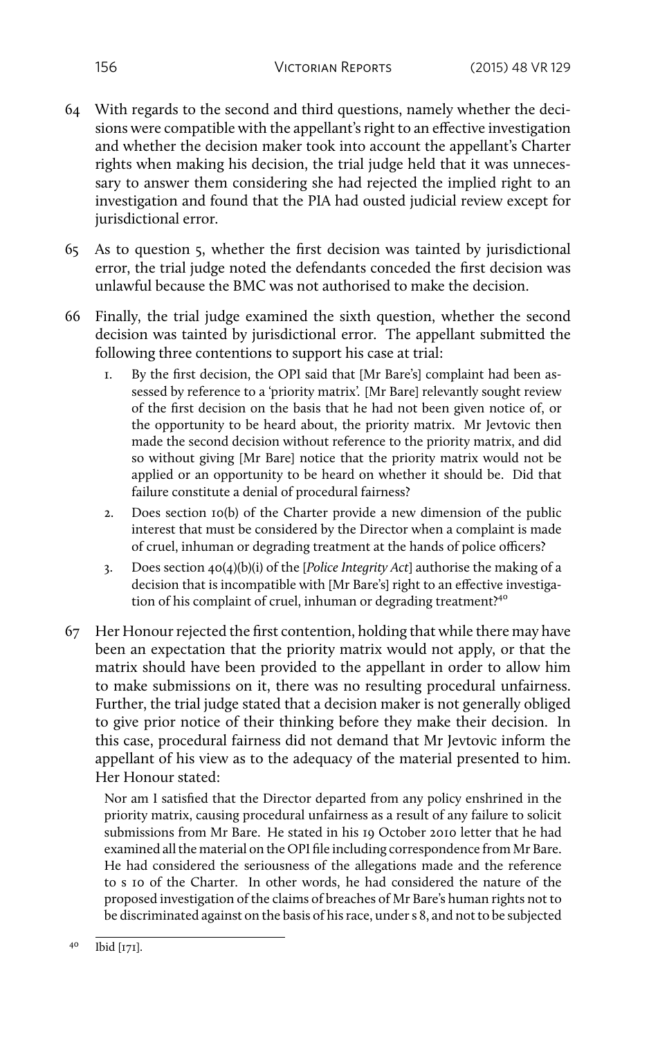- 64 With regards to the second and third questions, namely whether the decisions were compatible with the appellant's right to an effective investigation and whether the decision maker took into account the appellant's Charter rights when making his decision, the trial judge held that it was unnecessary to answer them considering she had rejected the implied right to an investigation and found that the PIA had ousted judicial review except for jurisdictional error.
- 65 As to question 5, whether the first decision was tainted by jurisdictional error, the trial judge noted the defendants conceded the first decision was unlawful because the BMC was not authorised to make the decision.
- 66 Finally, the trial judge examined the sixth question, whether the second decision was tainted by jurisdictional error. The appellant submitted the following three contentions to support his case at trial:
	- 1. By the first decision, the OPI said that [Mr Bare's] complaint had been assessed by reference to a 'priority matrix'. [Mr Bare] relevantly sought review of the first decision on the basis that he had not been given notice of, or the opportunity to be heard about, the priority matrix. Mr Jevtovic then made the second decision without reference to the priority matrix, and did so without giving [Mr Bare] notice that the priority matrix would not be applied or an opportunity to be heard on whether it should be. Did that failure constitute a denial of procedural fairness?
	- 2. Does section 10(b) of the Charter provide a new dimension of the public interest that must be considered by the Director when a complaint is made of cruel, inhuman or degrading treatment at the hands of police officers?
	- 3. Does section 40(4)(b)(i) of the [*Police Integrity Act*] authorise the making of a decision that is incompatible with [Mr Bare's] right to an effective investigation of his complaint of cruel, inhuman or degrading treatment?<sup>40</sup>
- 67 Her Honour rejected the first contention, holding that while there may have been an expectation that the priority matrix would not apply, or that the matrix should have been provided to the appellant in order to allow him to make submissions on it, there was no resulting procedural unfairness. Further, the trial judge stated that a decision maker is not generally obliged to give prior notice of their thinking before they make their decision. In this case, procedural fairness did not demand that Mr Jevtovic inform the appellant of his view as to the adequacy of the material presented to him. Her Honour stated:

Nor am I satisfied that the Director departed from any policy enshrined in the priority matrix, causing procedural unfairness as a result of any failure to solicit submissions from Mr Bare. He stated in his 19 October 2010 letter that he had examined all the material on the OPI file including correspondence from Mr Bare. He had considered the seriousness of the allegations made and the reference to s 10 of the Charter. In other words, he had considered the nature of the proposed investigation of the claims of breaches of Mr Bare's human rights not to be discriminated against on the basis of his race, under s 8, and not to be subjected

<sup>40</sup> Ibid [171].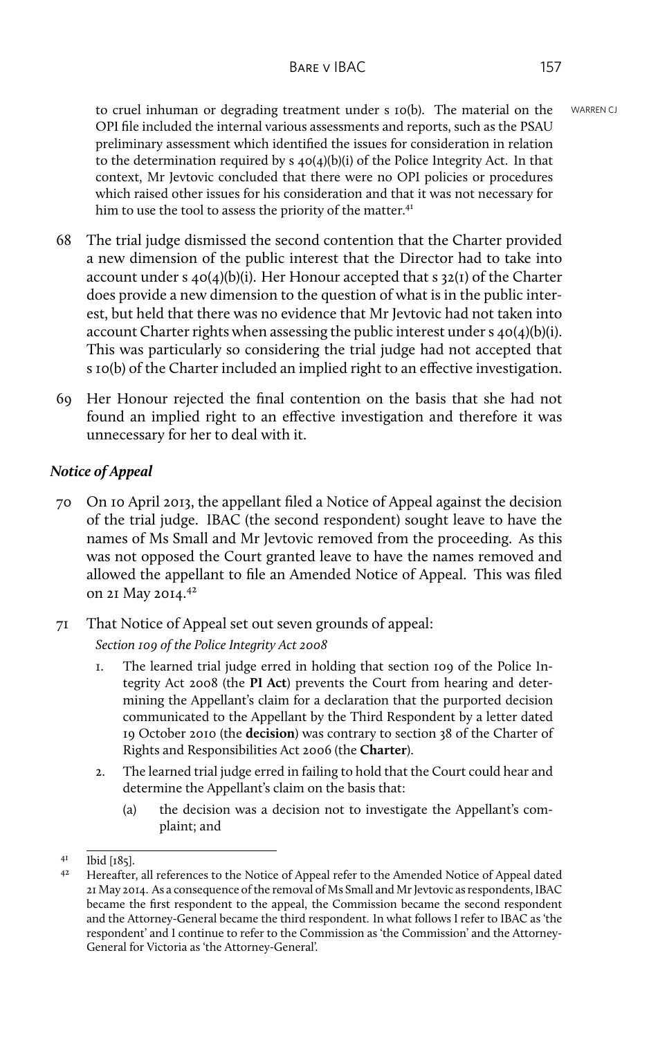to cruel inhuman or degrading treatment under s 10(b). The material on the WARREN CJ OPI file included the internal various assessments and reports, such as the PSAU preliminary assessment which identified the issues for consideration in relation to the determination required by s 40(4)(b)(i) of the Police Integrity Act. In that context, Mr Jevtovic concluded that there were no OPI policies or procedures which raised other issues for his consideration and that it was not necessary for him to use the tool to assess the priority of the matter.<sup>41</sup>

- 68 The trial judge dismissed the second contention that the Charter provided a new dimension of the public interest that the Director had to take into account under s 40(4)(b)(i). Her Honour accepted that s 32(1) of the Charter does provide a new dimension to the question of what is in the public interest, but held that there was no evidence that Mr Jevtovic had not taken into account Charter rights when assessing the public interest under s 40(4)(b)(i). This was particularly so considering the trial judge had not accepted that s 10(b) of the Charter included an implied right to an effective investigation.
- 69 Her Honour rejected the final contention on the basis that she had not found an implied right to an effective investigation and therefore it was unnecessary for her to deal with it.

# *Notice of Appeal*

- 70 On 10 April 2013, the appellant filed a Notice of Appeal against the decision of the trial judge. IBAC (the second respondent) sought leave to have the names of Ms Small and Mr Jevtovic removed from the proceeding. As this was not opposed the Court granted leave to have the names removed and allowed the appellant to file an Amended Notice of Appeal. This was filed on 21 May 2014.<sup>42</sup>
- 71 That Notice of Appeal set out seven grounds of appeal:

*Section 109 of the Police Integrity Act 2008*

- 1. The learned trial judge erred in holding that section 109 of the Police Integrity Act 2008 (the **PI Act**) prevents the Court from hearing and determining the Appellant's claim for a declaration that the purported decision communicated to the Appellant by the Third Respondent by a letter dated 19 October 2010 (the **decision**) was contrary to section 38 of the Charter of Rights and Responsibilities Act 2006 (the **Charter**).
- 2. The learned trial judge erred in failing to hold that the Court could hear and determine the Appellant's claim on the basis that:
	- (a) the decision was a decision not to investigate the Appellant's complaint; and

 $^{41}$  Ibid [185].

<sup>42</sup> Hereafter, all references to the Notice of Appeal refer to the Amended Notice of Appeal dated 21 May 2014. As a consequence of the removal of Ms Small and Mr Jevtovic as respondents, IBAC became the first respondent to the appeal, the Commission became the second respondent and the Attorney-General became the third respondent. In what follows I refer to IBAC as 'the respondent' and I continue to refer to the Commission as 'the Commission' and the Attorney-General for Victoria as 'the Attorney-General'.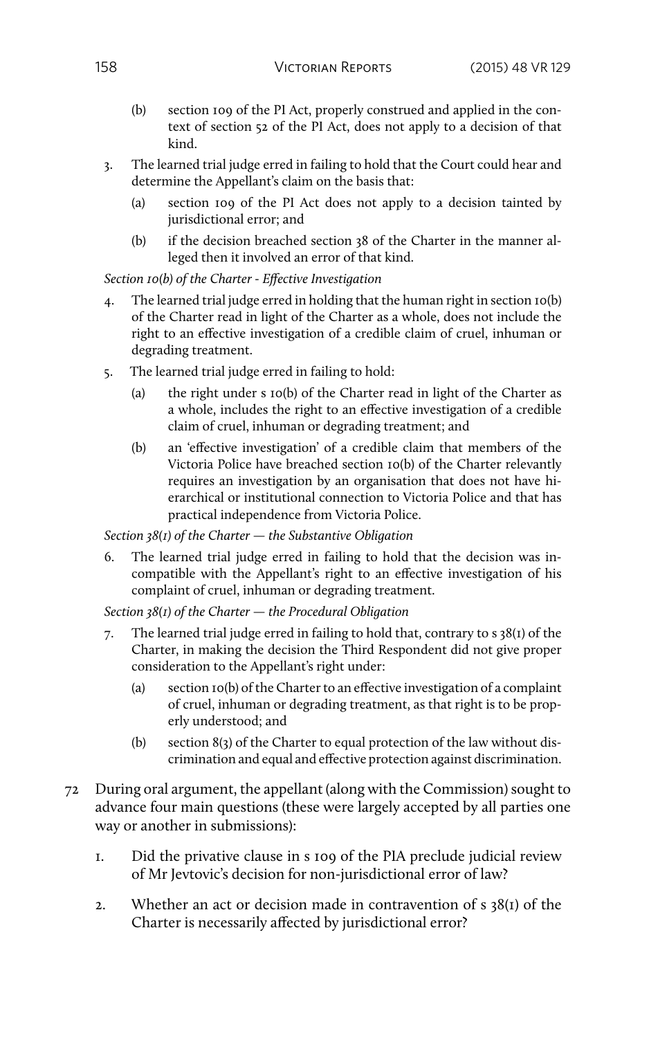- (b) section 109 of the PI Act, properly construed and applied in the context of section 52 of the PI Act, does not apply to a decision of that kind.
- 3. The learned trial judge erred in failing to hold that the Court could hear and determine the Appellant's claim on the basis that:
	- (a) section 109 of the PI Act does not apply to a decision tainted by jurisdictional error; and
	- (b) if the decision breached section 38 of the Charter in the manner alleged then it involved an error of that kind.

*Section 10(b) of the Charter - Effective Investigation*

- 4. The learned trial judge erred in holding that the human right in section 10(b) of the Charter read in light of the Charter as a whole, does not include the right to an effective investigation of a credible claim of cruel, inhuman or degrading treatment.
- 5. The learned trial judge erred in failing to hold:
	- (a) the right under s 10(b) of the Charter read in light of the Charter as a whole, includes the right to an effective investigation of a credible claim of cruel, inhuman or degrading treatment; and
	- (b) an 'effective investigation' of a credible claim that members of the Victoria Police have breached section 10(b) of the Charter relevantly requires an investigation by an organisation that does not have hierarchical or institutional connection to Victoria Police and that has practical independence from Victoria Police.

*Section 38(1) of the Charter — the Substantive Obligation*

6. The learned trial judge erred in failing to hold that the decision was incompatible with the Appellant's right to an effective investigation of his complaint of cruel, inhuman or degrading treatment.

*Section 38(1) of the Charter — the Procedural Obligation*

- 7. The learned trial judge erred in failing to hold that, contrary to s 38(1) of the Charter, in making the decision the Third Respondent did not give proper consideration to the Appellant's right under:
	- (a) section 10(b) of the Charter to an effective investigation of a complaint of cruel, inhuman or degrading treatment, as that right is to be properly understood; and
	- (b) section 8(3) of the Charter to equal protection of the law without discrimination and equal and effective protection against discrimination.
- 72 During oral argument, the appellant (along with the Commission) sought to advance four main questions (these were largely accepted by all parties one way or another in submissions):
	- 1. Did the privative clause in s 109 of the PIA preclude judicial review of Mr Jevtovic's decision for non-jurisdictional error of law?
	- 2. Whether an act or decision made in contravention of  $s$  38(1) of the Charter is necessarily affected by jurisdictional error?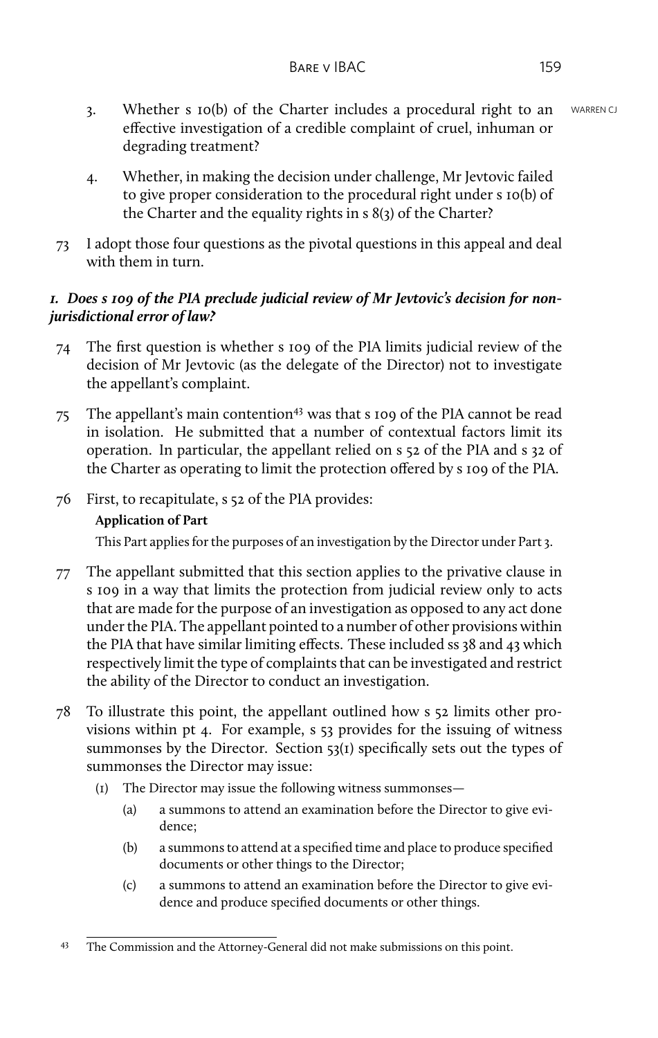- 3. Whether s 10(b) of the Charter includes a procedural right to an WARREN CJ effective investigation of a credible complaint of cruel, inhuman or degrading treatment?
- 4. Whether, in making the decision under challenge, Mr Jevtovic failed to give proper consideration to the procedural right under s 10(b) of the Charter and the equality rights in s 8(3) of the Charter?
- 73 I adopt those four questions as the pivotal questions in this appeal and deal with them in turn.

# *1. Does s 109 of the PIA preclude judicial review of Mr Jevtovic's decision for nonjurisdictional error of law?*

- 74 The first question is whether s 109 of the PIA limits judicial review of the decision of Mr Jevtovic (as the delegate of the Director) not to investigate the appellant's complaint.
- 75 The appellant's main contention<sup>43</sup> was that s 109 of the PIA cannot be read in isolation. He submitted that a number of contextual factors limit its operation. In particular, the appellant relied on s 52 of the PIA and s 32 of the Charter as operating to limit the protection offered by s 109 of the PIA.
- 76 First, to recapitulate, s 52 of the PIA provides:

# **Application of Part**

This Part applies for the purposes of an investigation by the Director under Part 3.

- 77 The appellant submitted that this section applies to the privative clause in s 109 in a way that limits the protection from judicial review only to acts that are made for the purpose of an investigation as opposed to any act done under the PIA. The appellant pointed to a number of other provisions within the PIA that have similar limiting effects. These included ss 38 and 43 which respectively limit the type of complaints that can be investigated and restrict the ability of the Director to conduct an investigation.
- 78 To illustrate this point, the appellant outlined how s 52 limits other provisions within pt 4. For example, s 53 provides for the issuing of witness summonses by the Director. Section 53(1) specifically sets out the types of summonses the Director may issue:
	- (1) The Director may issue the following witness summonses—
		- (a) a summons to attend an examination before the Director to give evidence;
		- (b) a summons to attend at a specified time and place to produce specified documents or other things to the Director;
		- (c) a summons to attend an examination before the Director to give evidence and produce specified documents or other things.

<sup>43</sup> The Commission and the Attorney-General did not make submissions on this point.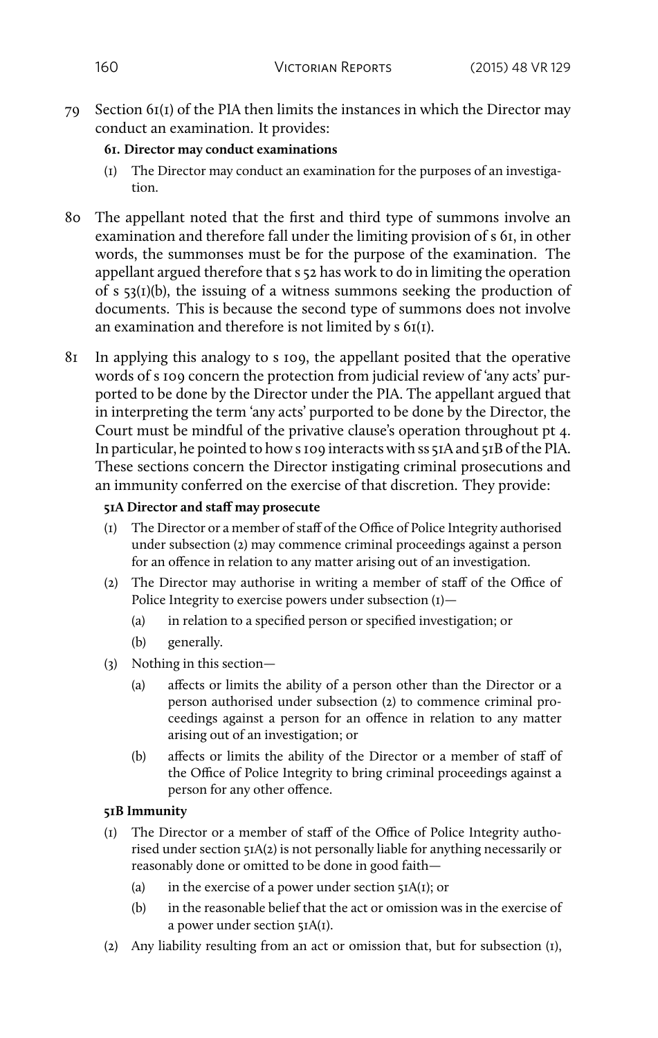79 Section 61(1) of the PIA then limits the instances in which the Director may conduct an examination. It provides:

## **61. Director may conduct examinations**

- (1) The Director may conduct an examination for the purposes of an investigation.
- 80 The appellant noted that the first and third type of summons involve an examination and therefore fall under the limiting provision of s 61, in other words, the summonses must be for the purpose of the examination. The appellant argued therefore that s 52 has work to do in limiting the operation of s  $53(1)(b)$ , the issuing of a witness summons seeking the production of documents. This is because the second type of summons does not involve an examination and therefore is not limited by s 61(1).
- 81 In applying this analogy to s 109, the appellant posited that the operative words of s 109 concern the protection from judicial review of 'any acts' purported to be done by the Director under the PIA. The appellant argued that in interpreting the term 'any acts' purported to be done by the Director, the Court must be mindful of the privative clause's operation throughout pt 4. In particular, he pointed to how s 109 interacts with ss 51A and 51B of the PIA. These sections concern the Director instigating criminal prosecutions and an immunity conferred on the exercise of that discretion. They provide:

## **51A Director and staff may prosecute**

- (1) The Director or a member of staff of the Office of Police Integrity authorised under subsection (2) may commence criminal proceedings against a person for an offence in relation to any matter arising out of an investigation.
- (2) The Director may authorise in writing a member of staff of the Office of Police Integrity to exercise powers under subsection (1)—
	- (a) in relation to a specified person or specified investigation; or
	- (b) generally.
- (3) Nothing in this section—
	- (a) affects or limits the ability of a person other than the Director or a person authorised under subsection (2) to commence criminal proceedings against a person for an offence in relation to any matter arising out of an investigation; or
	- (b) affects or limits the ability of the Director or a member of staff of the Office of Police Integrity to bring criminal proceedings against a person for any other offence.

# **51B Immunity**

- (1) The Director or a member of staff of the Office of Police Integrity authorised under section 51A(2) is not personally liable for anything necessarily or reasonably done or omitted to be done in good faith—
	- (a) in the exercise of a power under section  $5IA(I)$ ; or
	- (b) in the reasonable belief that the act or omission was in the exercise of a power under section 51A(1).
- (2) Any liability resulting from an act or omission that, but for subsection (1),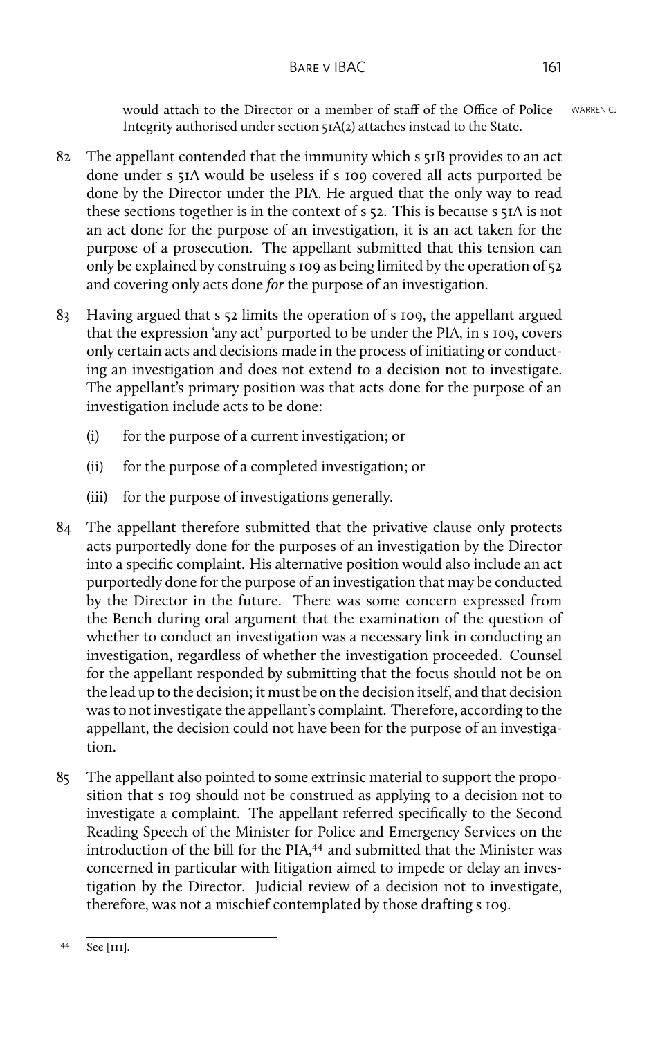would attach to the Director or a member of staff of the Office of Police WARREN CJ Integrity authorised under section 51A(2) attaches instead to the State.

- 82 The appellant contended that the immunity which s 51B provides to an act done under s 51A would be useless if s 109 covered all acts purported be done by the Director under the PIA. He argued that the only way to read these sections together is in the context of s 52. This is because s 51A is not an act done for the purpose of an investigation, it is an act taken for the purpose of a prosecution. The appellant submitted that this tension can only be explained by construing s 109 as being limited by the operation of 52 and covering only acts done *for* the purpose of an investigation.
- 83 Having argued that s 52 limits the operation of s 109, the appellant argued that the expression 'any act' purported to be under the PIA, in s 109, covers only certain acts and decisions made in the process of initiating or conducting an investigation and does not extend to a decision not to investigate. The appellant's primary position was that acts done for the purpose of an investigation include acts to be done:
	- (i) for the purpose of a current investigation; or
	- (ii) for the purpose of a completed investigation; or
	- (iii) for the purpose of investigations generally.
- 84 The appellant therefore submitted that the privative clause only protects acts purportedly done for the purposes of an investigation by the Director into a specific complaint. His alternative position would also include an act purportedly done for the purpose of an investigation that may be conducted by the Director in the future. There was some concern expressed from the Bench during oral argument that the examination of the question of whether to conduct an investigation was a necessary link in conducting an investigation, regardless of whether the investigation proceeded. Counsel for the appellant responded by submitting that the focus should not be on the lead up to the decision; it must be on the decision itself, and that decision was to not investigate the appellant's complaint. Therefore, according to the appellant, the decision could not have been for the purpose of an investigation.
- 85 The appellant also pointed to some extrinsic material to support the proposition that s 109 should not be construed as applying to a decision not to investigate a complaint. The appellant referred specifically to the Second Reading Speech of the Minister for Police and Emergency Services on the introduction of the bill for the PIA,<sup>44</sup> and submitted that the Minister was concerned in particular with litigation aimed to impede or delay an investigation by the Director. Judicial review of a decision not to investigate, therefore, was not a mischief contemplated by those drafting s 109.

<sup>44</sup> See [111].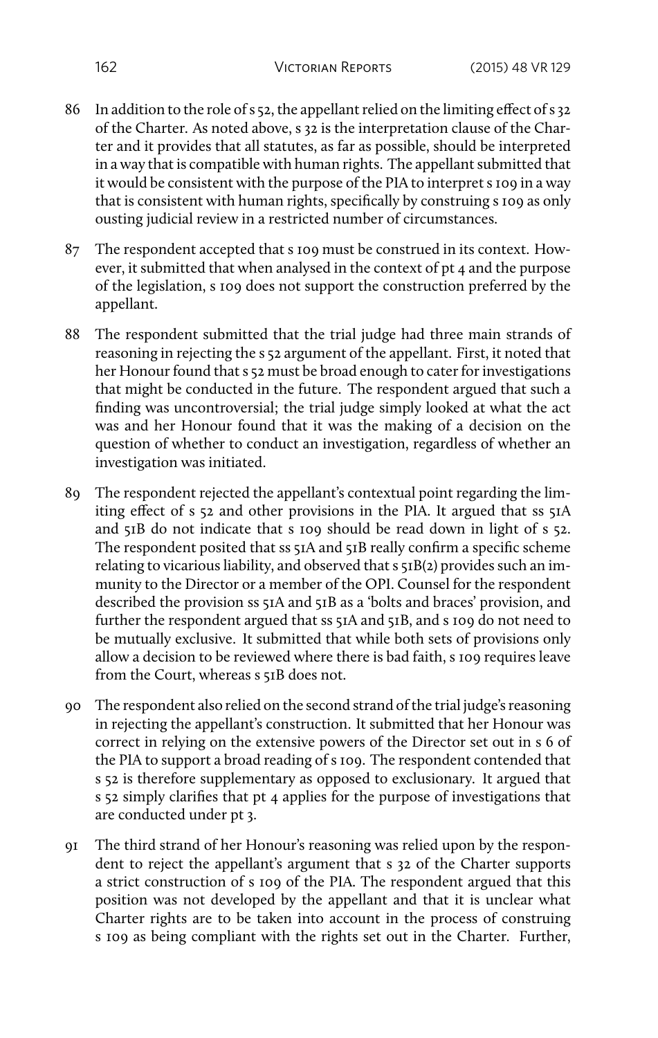- 86 In addition to the role of s 52, the appellant relied on the limiting effect of s 32 of the Charter. As noted above, s 32 is the interpretation clause of the Charter and it provides that all statutes, as far as possible, should be interpreted in a way that is compatible with human rights. The appellant submitted that it would be consistent with the purpose of the PIA to interpret s 109 in a way that is consistent with human rights, specifically by construing s 109 as only ousting judicial review in a restricted number of circumstances.
- 87 The respondent accepted that s 109 must be construed in its context. However, it submitted that when analysed in the context of pt 4 and the purpose of the legislation, s 109 does not support the construction preferred by the appellant.
- 88 The respondent submitted that the trial judge had three main strands of reasoning in rejecting the s 52 argument of the appellant. First, it noted that her Honour found that s 52 must be broad enough to cater for investigations that might be conducted in the future. The respondent argued that such a finding was uncontroversial; the trial judge simply looked at what the act was and her Honour found that it was the making of a decision on the question of whether to conduct an investigation, regardless of whether an investigation was initiated.
- 89 The respondent rejected the appellant's contextual point regarding the limiting effect of s 52 and other provisions in the PIA. It argued that ss 51A and  $51B$  do not indicate that s 109 should be read down in light of s  $52$ . The respondent posited that ss 51A and 51B really confirm a specific scheme relating to vicarious liability, and observed that s 51B(2) provides such an immunity to the Director or a member of the OPI. Counsel for the respondent described the provision ss 51A and 51B as a 'bolts and braces' provision, and further the respondent argued that ss 51A and 51B, and s 109 do not need to be mutually exclusive. It submitted that while both sets of provisions only allow a decision to be reviewed where there is bad faith, s 109 requires leave from the Court, whereas s 51B does not.
- 90 The respondent also relied on the second strand of the trial judge's reasoning in rejecting the appellant's construction. It submitted that her Honour was correct in relying on the extensive powers of the Director set out in s 6 of the PIA to support a broad reading of s 109. The respondent contended that s 52 is therefore supplementary as opposed to exclusionary. It argued that s 52 simply clarifies that pt 4 applies for the purpose of investigations that are conducted under pt 3.
- 91 The third strand of her Honour's reasoning was relied upon by the respondent to reject the appellant's argument that s 32 of the Charter supports a strict construction of s 109 of the PIA. The respondent argued that this position was not developed by the appellant and that it is unclear what Charter rights are to be taken into account in the process of construing s 109 as being compliant with the rights set out in the Charter. Further,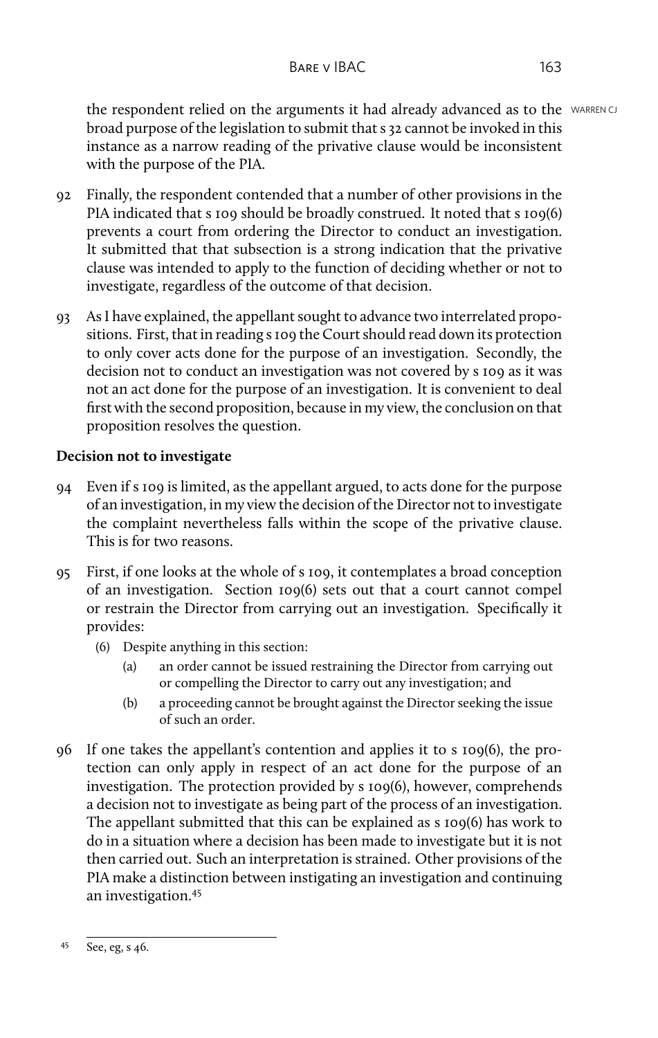the respondent relied on the arguments it had already advanced as to the WARREN CJ broad purpose of the legislation to submit that s 32 cannot be invoked in this instance as a narrow reading of the privative clause would be inconsistent with the purpose of the PIA.

- 92 Finally, the respondent contended that a number of other provisions in the PIA indicated that s 109 should be broadly construed. It noted that s 109(6) prevents a court from ordering the Director to conduct an investigation. It submitted that that subsection is a strong indication that the privative clause was intended to apply to the function of deciding whether or not to investigate, regardless of the outcome of that decision.
- 93 As I have explained, the appellant sought to advance two interrelated propositions. First, that in reading s 109 the Court should read down its protection to only cover acts done for the purpose of an investigation. Secondly, the decision not to conduct an investigation was not covered by s 109 as it was not an act done for the purpose of an investigation. It is convenient to deal first with the second proposition, because in my view, the conclusion on that proposition resolves the question.

# **Decision not to investigate**

- 94 Even if s 109 is limited, as the appellant argued, to acts done for the purpose of an investigation, in my view the decision of the Director not to investigate the complaint nevertheless falls within the scope of the privative clause. This is for two reasons.
- 95 First, if one looks at the whole of s 109, it contemplates a broad conception of an investigation. Section 109(6) sets out that a court cannot compel or restrain the Director from carrying out an investigation. Specifically it provides:
	- (6) Despite anything in this section:
		- (a) an order cannot be issued restraining the Director from carrying out or compelling the Director to carry out any investigation; and
		- (b) a proceeding cannot be brought against the Director seeking the issue of such an order.
- 96 If one takes the appellant's contention and applies it to s 109(6), the protection can only apply in respect of an act done for the purpose of an investigation. The protection provided by s 109(6), however, comprehends a decision not to investigate as being part of the process of an investigation. The appellant submitted that this can be explained as s 109(6) has work to do in a situation where a decision has been made to investigate but it is not then carried out. Such an interpretation is strained. Other provisions of the PIA make a distinction between instigating an investigation and continuing an investigation.<sup>45</sup>

<sup>45</sup> See, eg, s 46.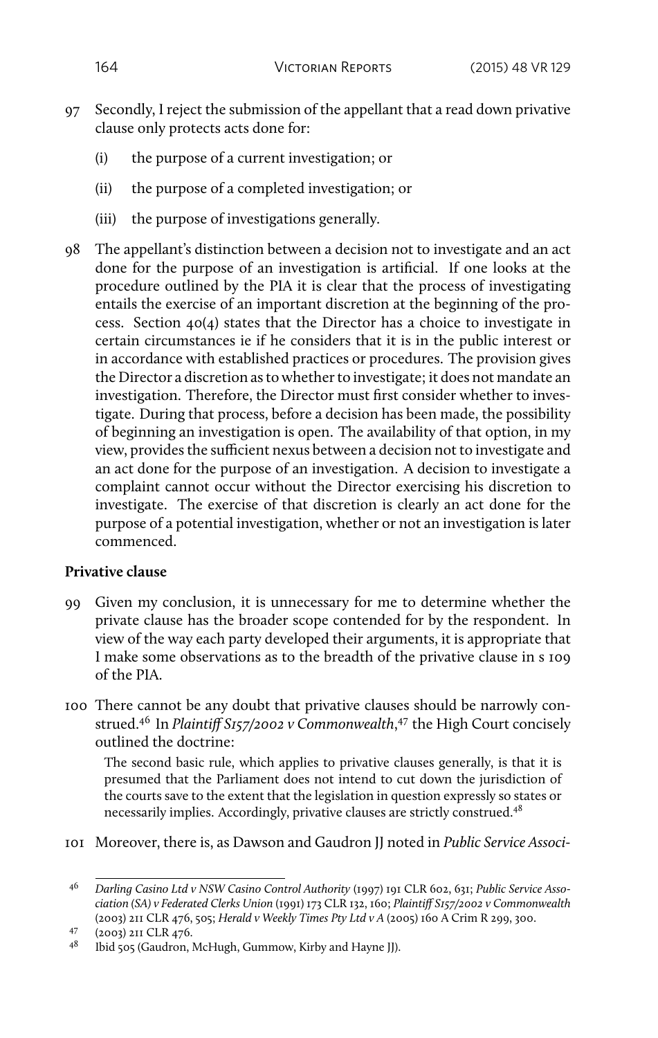- 97 Secondly, I reject the submission of the appellant that a read down privative clause only protects acts done for:
	- (i) the purpose of a current investigation; or
	- (ii) the purpose of a completed investigation; or
	- (iii) the purpose of investigations generally.
- 98 The appellant's distinction between a decision not to investigate and an act done for the purpose of an investigation is artificial. If one looks at the procedure outlined by the PIA it is clear that the process of investigating entails the exercise of an important discretion at the beginning of the process. Section 40(4) states that the Director has a choice to investigate in certain circumstances ie if he considers that it is in the public interest or in accordance with established practices or procedures. The provision gives the Director a discretion as to whether to investigate; it does not mandate an investigation. Therefore, the Director must first consider whether to investigate. During that process, before a decision has been made, the possibility of beginning an investigation is open. The availability of that option, in my view, provides the sufficient nexus between a decision not to investigate and an act done for the purpose of an investigation. A decision to investigate a complaint cannot occur without the Director exercising his discretion to investigate. The exercise of that discretion is clearly an act done for the purpose of a potential investigation, whether or not an investigation is later commenced.

# **Privative clause**

- 99 Given my conclusion, it is unnecessary for me to determine whether the private clause has the broader scope contended for by the respondent. In view of the way each party developed their arguments, it is appropriate that I make some observations as to the breadth of the privative clause in s 109 of the PIA.
- 100 There cannot be any doubt that privative clauses should be narrowly construed.<sup>46</sup> In *Plaintiff S157/2002 v Commonwealth*, <sup>47</sup> the High Court concisely outlined the doctrine:

The second basic rule, which applies to privative clauses generally, is that it is presumed that the Parliament does not intend to cut down the jurisdiction of the courts save to the extent that the legislation in question expressly so states or necessarily implies. Accordingly, privative clauses are strictly construed.<sup>48</sup>

101 Moreover, there is, as Dawson and Gaudron JJ noted in *Public Service Associ-*

<sup>46</sup> *Darling Casino Ltd v NSW Casino Control Authority* (1997) 191 CLR 602, 631; *Public Service Association (SA) v Federated Clerks Union* (1991) 173 CLR 132, 160; *Plaintiff S157/2002 v Commonwealth* (2003) 211 CLR 476, 505; *Herald v Weekly Times Pty Ltd v A* (2005) 160 A Crim R 299, 300.

 $^{47}$  (2003) 2II CLR 476.

<sup>48</sup> Ibid 505 (Gaudron, McHugh, Gummow, Kirby and Hayne JJ).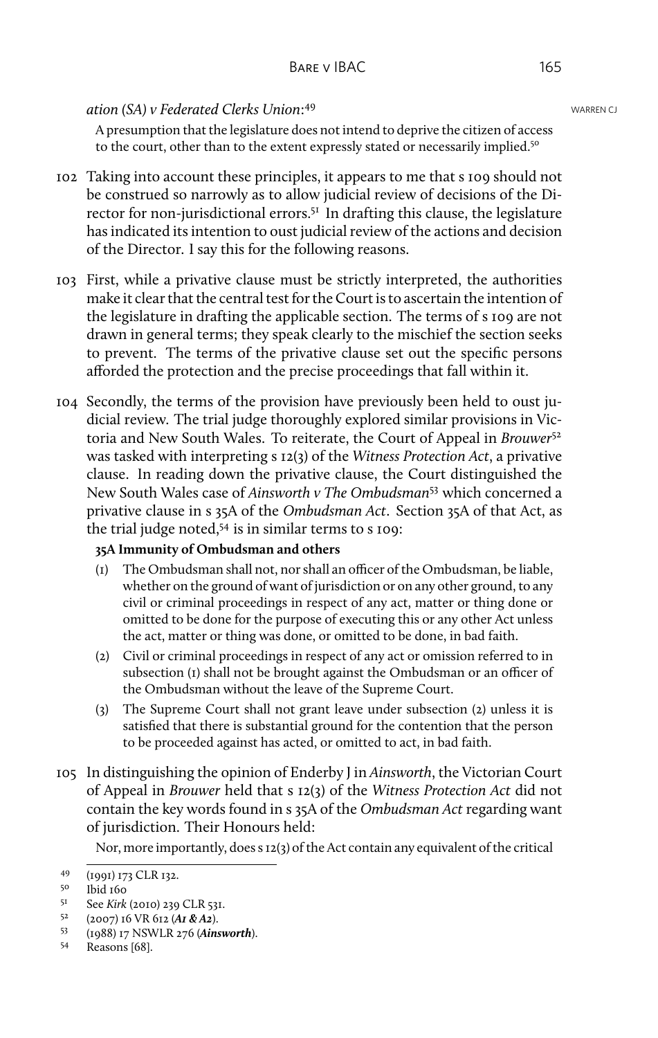### **ation (SA) v Federated Clerks Union: <sup>49</sup> Clerks** 2014 Clerks 2014 MARREN CJ

A presumption that the legislature does not intend to deprive the citizen of access to the court, other than to the extent expressly stated or necessarily implied.<sup>50</sup>

- 102 Taking into account these principles, it appears to me that s 109 should not be construed so narrowly as to allow judicial review of decisions of the Director for non-jurisdictional errors.<sup>51</sup> In drafting this clause, the legislature has indicated its intention to oust judicial review of the actions and decision of the Director. I say this for the following reasons.
- 103 First, while a privative clause must be strictly interpreted, the authorities make it clear that the central test for the Court is to ascertain the intention of the legislature in drafting the applicable section. The terms of s 109 are not drawn in general terms; they speak clearly to the mischief the section seeks to prevent. The terms of the privative clause set out the specific persons afforded the protection and the precise proceedings that fall within it.
- 104 Secondly, the terms of the provision have previously been held to oust judicial review. The trial judge thoroughly explored similar provisions in Victoria and New South Wales. To reiterate, the Court of Appeal in *Brouwer*<sup>52</sup> was tasked with interpreting s 12(3) of the *Witness Protection Act*, a privative clause. In reading down the privative clause, the Court distinguished the New South Wales case of *Ainsworth v The Ombudsman*<sup>53</sup> which concerned a privative clause in s 35A of the *Ombudsman Act*. Section 35A of that Act, as the trial judge noted, $54$  is in similar terms to s 109:

## **35A Immunity of Ombudsman and others**

- (1) The Ombudsman shall not, nor shall an officer of the Ombudsman, be liable, whether on the ground of want of jurisdiction or on any other ground, to any civil or criminal proceedings in respect of any act, matter or thing done or omitted to be done for the purpose of executing this or any other Act unless the act, matter or thing was done, or omitted to be done, in bad faith.
- (2) Civil or criminal proceedings in respect of any act or omission referred to in subsection (1) shall not be brought against the Ombudsman or an officer of the Ombudsman without the leave of the Supreme Court.
- (3) The Supreme Court shall not grant leave under subsection (2) unless it is satisfied that there is substantial ground for the contention that the person to be proceeded against has acted, or omitted to act, in bad faith.
- 105 In distinguishing the opinion of Enderby J in *Ainsworth*, the Victorian Court of Appeal in *Brouwer* held that s 12(3) of the *Witness Protection Act* did not contain the key words found in s 35A of the *Ombudsman Act* regarding want of jurisdiction. Their Honours held:

Nor, more importantly, does s 12(3) of the Act contain any equivalent of the critical

<sup>49 (1991) 173</sup> CLR 132.

lbid 160

<sup>&</sup>lt;sup>51</sup> See *Kirk* (2010) 239 CLR 531.<br><sup>52</sup> (2007) 16 VR 612 (**41 & 42**)

<sup>52</sup> (2007) 16 VR 612 (*A1 & A2*).

<sup>53</sup> (1988) 17 NSWLR 276 (*Ainsworth*).

Reasons [68].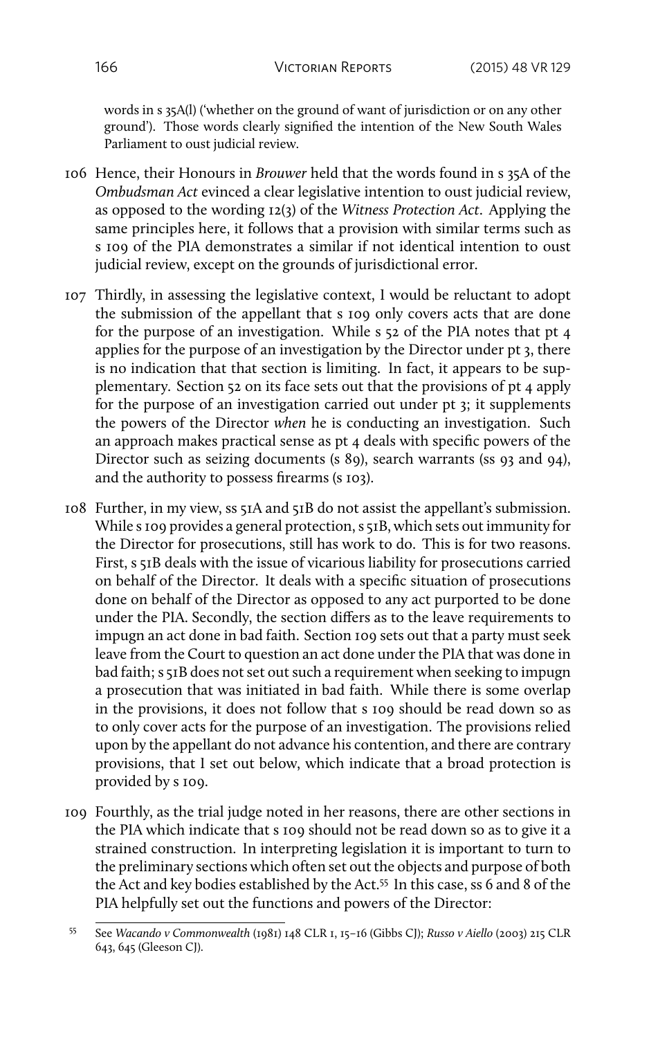words in s 35A(l) ('whether on the ground of want of jurisdiction or on any other ground'). Those words clearly signified the intention of the New South Wales Parliament to oust judicial review.

- 106 Hence, their Honours in *Brouwer* held that the words found in s 35A of the *Ombudsman Act* evinced a clear legislative intention to oust judicial review, as opposed to the wording 12(3) of the *Witness Protection Act*. Applying the same principles here, it follows that a provision with similar terms such as s 109 of the PIA demonstrates a similar if not identical intention to oust judicial review, except on the grounds of jurisdictional error.
- 107 Thirdly, in assessing the legislative context, I would be reluctant to adopt the submission of the appellant that s 109 only covers acts that are done for the purpose of an investigation. While s 52 of the PIA notes that pt 4 applies for the purpose of an investigation by the Director under pt 3, there is no indication that that section is limiting. In fact, it appears to be supplementary. Section 52 on its face sets out that the provisions of pt 4 apply for the purpose of an investigation carried out under pt 3; it supplements the powers of the Director *when* he is conducting an investigation. Such an approach makes practical sense as pt 4 deals with specific powers of the Director such as seizing documents (s 89), search warrants (ss 93 and 94), and the authority to possess firearms (s 103).
- 108 Further, in my view, ss 51A and 51B do not assist the appellant's submission. While s 109 provides a general protection, s 51B, which sets out immunity for the Director for prosecutions, still has work to do. This is for two reasons. First, s 51B deals with the issue of vicarious liability for prosecutions carried on behalf of the Director. It deals with a specific situation of prosecutions done on behalf of the Director as opposed to any act purported to be done under the PIA. Secondly, the section differs as to the leave requirements to impugn an act done in bad faith. Section 109 sets out that a party must seek leave from the Court to question an act done under the PIA that was done in bad faith; s 51B does not set out such a requirement when seeking to impugn a prosecution that was initiated in bad faith. While there is some overlap in the provisions, it does not follow that s 109 should be read down so as to only cover acts for the purpose of an investigation. The provisions relied upon by the appellant do not advance his contention, and there are contrary provisions, that I set out below, which indicate that a broad protection is provided by s 109.
- 109 Fourthly, as the trial judge noted in her reasons, there are other sections in the PIA which indicate that s 109 should not be read down so as to give it a strained construction. In interpreting legislation it is important to turn to the preliminary sections which often set out the objects and purpose of both the Act and key bodies established by the Act.<sup>55</sup> In this case, ss 6 and 8 of the PIA helpfully set out the functions and powers of the Director:

<sup>55</sup> See *Wacando v Commonwealth* (1981) 148 CLR 1, 15–16 (Gibbs CJ); *Russo v Aiello* (2003) 215 CLR 643, 645 (Gleeson CJ).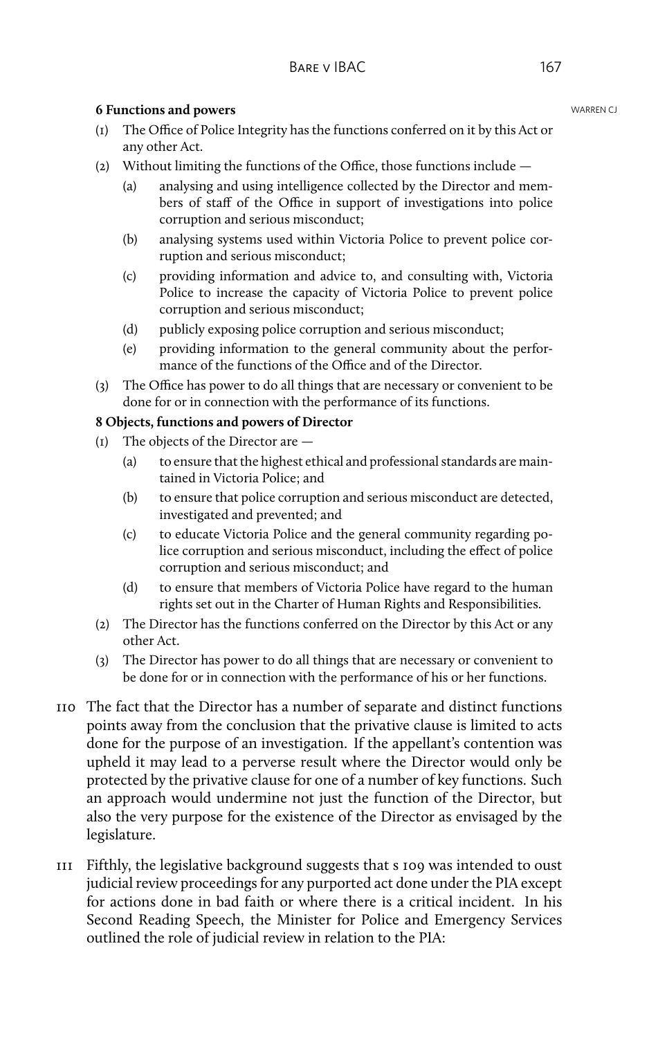#### **6 Functions and powers WARREN CJ WARREN CJ**

- (1) The Office of Police Integrity has the functions conferred on it by this Act or any other Act.
- (2) Without limiting the functions of the Office, those functions include
	- (a) analysing and using intelligence collected by the Director and members of staff of the Office in support of investigations into police corruption and serious misconduct;
	- (b) analysing systems used within Victoria Police to prevent police corruption and serious misconduct;
	- (c) providing information and advice to, and consulting with, Victoria Police to increase the capacity of Victoria Police to prevent police corruption and serious misconduct;
	- (d) publicly exposing police corruption and serious misconduct;
	- (e) providing information to the general community about the performance of the functions of the Office and of the Director.
- (3) The Office has power to do all things that are necessary or convenient to be done for or in connection with the performance of its functions.

#### **8 Objects, functions and powers of Director**

- (1) The objects of the Director are
	- (a) to ensure that the highest ethical and professional standards are maintained in Victoria Police; and
	- (b) to ensure that police corruption and serious misconduct are detected, investigated and prevented; and
	- (c) to educate Victoria Police and the general community regarding police corruption and serious misconduct, including the effect of police corruption and serious misconduct; and
	- (d) to ensure that members of Victoria Police have regard to the human rights set out in the Charter of Human Rights and Responsibilities.
- (2) The Director has the functions conferred on the Director by this Act or any other Act.
- (3) The Director has power to do all things that are necessary or convenient to be done for or in connection with the performance of his or her functions.
- 110 The fact that the Director has a number of separate and distinct functions points away from the conclusion that the privative clause is limited to acts done for the purpose of an investigation. If the appellant's contention was upheld it may lead to a perverse result where the Director would only be protected by the privative clause for one of a number of key functions. Such an approach would undermine not just the function of the Director, but also the very purpose for the existence of the Director as envisaged by the legislature.
- 111 Fifthly, the legislative background suggests that s 109 was intended to oust judicial review proceedings for any purported act done under the PIA except for actions done in bad faith or where there is a critical incident. In his Second Reading Speech, the Minister for Police and Emergency Services outlined the role of judicial review in relation to the PIA: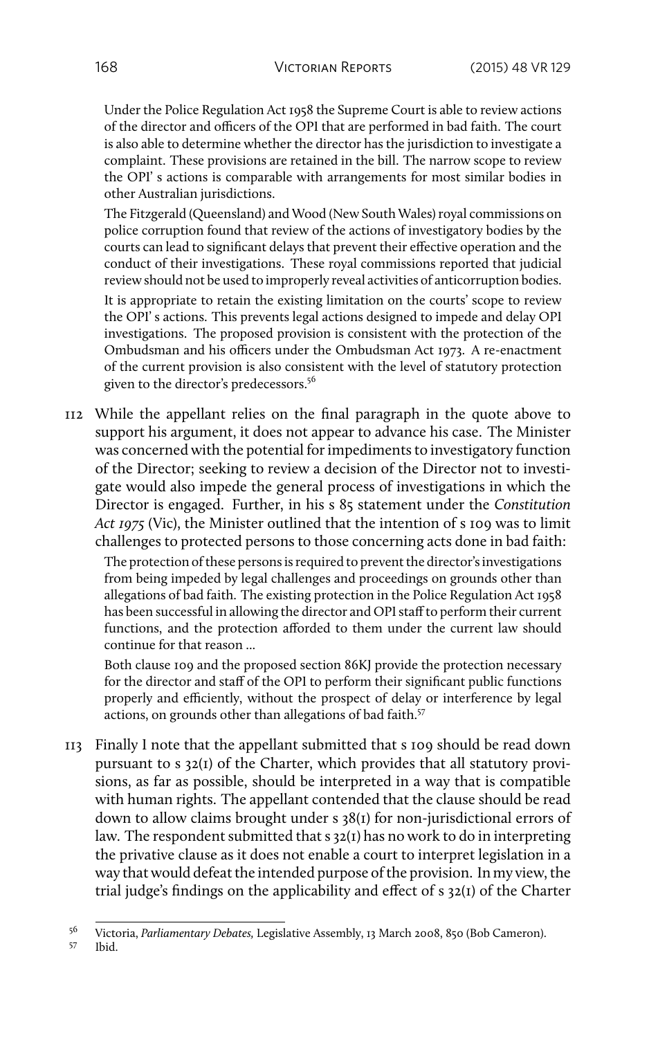Under the Police Regulation Act 1958 the Supreme Court is able to review actions of the director and officers of the OPI that are performed in bad faith. The court is also able to determine whether the director has the jurisdiction to investigate a complaint. These provisions are retained in the bill. The narrow scope to review the OPI' s actions is comparable with arrangements for most similar bodies in other Australian jurisdictions.

The Fitzgerald (Queensland) and Wood (New South Wales) royal commissions on police corruption found that review of the actions of investigatory bodies by the courts can lead to significant delays that prevent their effective operation and the conduct of their investigations. These royal commissions reported that judicial review should not be used to improperly reveal activities of anticorruption bodies.

It is appropriate to retain the existing limitation on the courts' scope to review the OPI' s actions. This prevents legal actions designed to impede and delay OPI investigations. The proposed provision is consistent with the protection of the Ombudsman and his officers under the Ombudsman Act 1973. A re-enactment of the current provision is also consistent with the level of statutory protection given to the director's predecessors.<sup>56</sup>

112 While the appellant relies on the final paragraph in the quote above to support his argument, it does not appear to advance his case. The Minister was concerned with the potential for impediments to investigatory function of the Director; seeking to review a decision of the Director not to investigate would also impede the general process of investigations in which the Director is engaged. Further, in his s 85 statement under the *Constitution Act 1975* (Vic), the Minister outlined that the intention of s 109 was to limit challenges to protected persons to those concerning acts done in bad faith:

The protection of these persons is required to prevent the director's investigations from being impeded by legal challenges and proceedings on grounds other than allegations of bad faith. The existing protection in the Police Regulation Act 1958 has been successful in allowing the director and OPI staff to perform their current functions, and the protection afforded to them under the current law should continue for that reason ...

Both clause 109 and the proposed section 86KJ provide the protection necessary for the director and staff of the OPI to perform their significant public functions properly and efficiently, without the prospect of delay or interference by legal actions, on grounds other than allegations of bad faith.<sup>57</sup>

113 Finally I note that the appellant submitted that s 109 should be read down pursuant to s 32(1) of the Charter, which provides that all statutory provisions, as far as possible, should be interpreted in a way that is compatible with human rights. The appellant contended that the clause should be read down to allow claims brought under s 38(1) for non-jurisdictional errors of law. The respondent submitted that s 32(1) has no work to do in interpreting the privative clause as it does not enable a court to interpret legislation in a way that would defeat the intended purpose of the provision. In my view, the trial judge's findings on the applicability and effect of s 32(1) of the Charter

<sup>56</sup> Victoria, *Parliamentary Debates,* Legislative Assembly, 13 March 2008, 850 (Bob Cameron).

Ibid.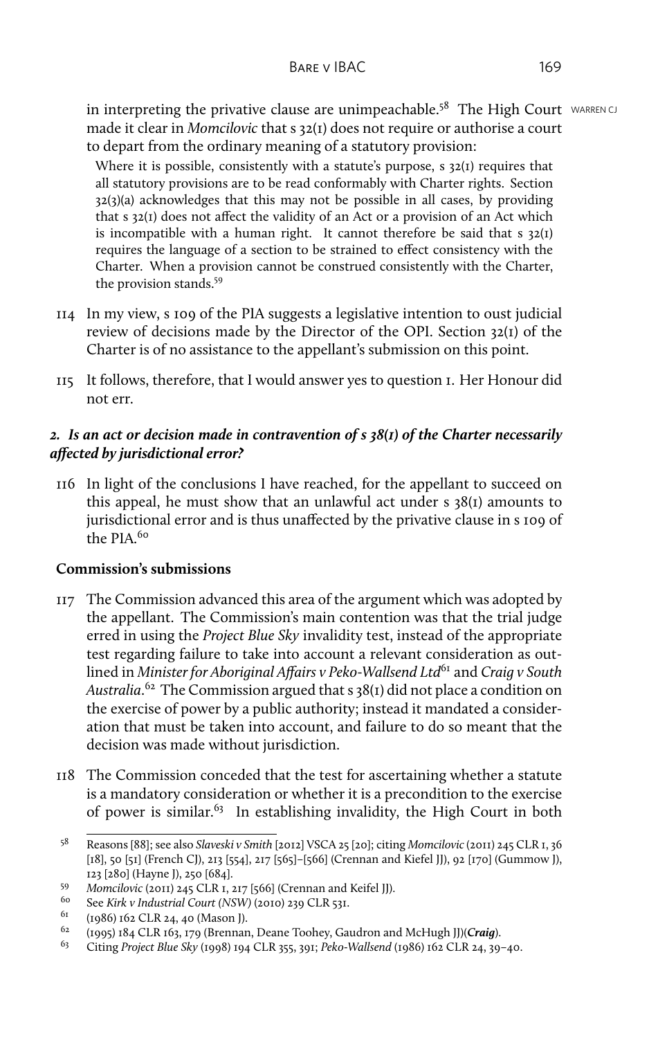in interpreting the privative clause are unimpeachable.<sup>58</sup> The High Court WARREN CJ made it clear in *Momcilovic* that s 32(1) does not require or authorise a court to depart from the ordinary meaning of a statutory provision:

Where it is possible, consistently with a statute's purpose, s 32(1) requires that all statutory provisions are to be read conformably with Charter rights. Section  $32(3)(a)$  acknowledges that this may not be possible in all cases, by providing that s 32(1) does not affect the validity of an Act or a provision of an Act which is incompatible with a human right. It cannot therefore be said that  $s$  32(1) requires the language of a section to be strained to effect consistency with the Charter. When a provision cannot be construed consistently with the Charter, the provision stands.<sup>59</sup>

- 114 In my view, s 109 of the PIA suggests a legislative intention to oust judicial review of decisions made by the Director of the OPI. Section 32(1) of the Charter is of no assistance to the appellant's submission on this point.
- 115 It follows, therefore, that I would answer yes to question 1. Her Honour did not err.

## *2. Is an act or decision made in contravention of s 38(1) of the Charter necessarily affected by jurisdictional error?*

116 In light of the conclusions I have reached, for the appellant to succeed on this appeal, he must show that an unlawful act under s 38(1) amounts to jurisdictional error and is thus unaffected by the privative clause in s 109 of  $the$  PIA $60$ 

## **Commission's submissions**

- 117 The Commission advanced this area of the argument which was adopted by the appellant. The Commission's main contention was that the trial judge erred in using the *Project Blue Sky* invalidity test, instead of the appropriate test regarding failure to take into account a relevant consideration as outlined in *Minister for Aboriginal Affairs v Peko-Wallsend Ltd*<sup>61</sup> and *Craig v South Australia*. <sup>62</sup> The Commission argued that s 38(1) did not place a condition on the exercise of power by a public authority; instead it mandated a consideration that must be taken into account, and failure to do so meant that the decision was made without jurisdiction.
- 118 The Commission conceded that the test for ascertaining whether a statute is a mandatory consideration or whether it is a precondition to the exercise of power is similar.<sup>63</sup> In establishing invalidity, the High Court in both

<sup>58</sup> Reasons [88]; see also *Slaveski v Smith* [2012] VSCA 25 [20]; citing *Momcilovic* (2011) 245 CLR 1, 36 [18], 50 [51] (French CJ), 213 [554], 217 [565]–[566] (Crennan and Kiefel JJ), 92 [170] (Gummow J), 123 [280] (Hayne J), 250 [684].

<sup>59</sup> *Momcilovic* (2011) 245 CLR 1, 217 [566] (Crennan and Keifel JJ).

<sup>60</sup> See *Kirk v Industrial Court (NSW)* (2010) 239 CLR 531.

<sup>&</sup>lt;sup>61</sup> (1986) 162 CLR 24, 40 (Mason J).<br><sup>62</sup> (1995) 184 CLB 162, 179 (Bronner

<sup>62</sup> (1995) 184 CLR 163, 179 (Brennan, Deane Toohey, Gaudron and McHugh JJ)(*Craig*).

<sup>63</sup> Citing *Project Blue Sky* (1998) 194 CLR 355, 391; *Peko-Wallsend* (1986) 162 CLR 24, 39–40.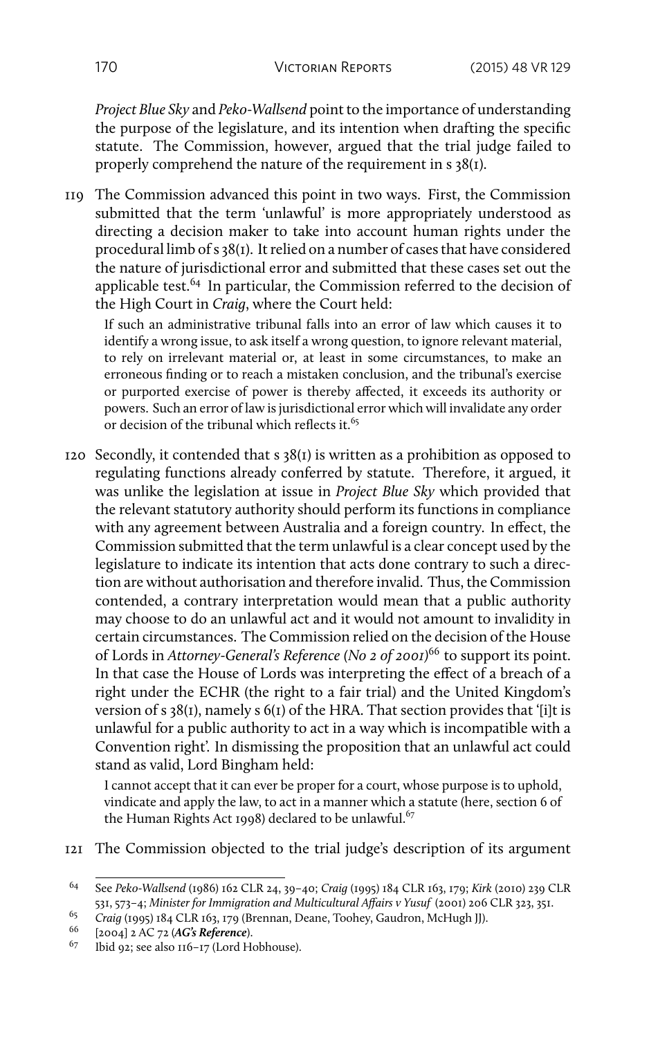*Project Blue Sky* and *Peko-Wallsend* point to the importance of understanding the purpose of the legislature, and its intention when drafting the specific statute. The Commission, however, argued that the trial judge failed to properly comprehend the nature of the requirement in s 38(1).

119 The Commission advanced this point in two ways. First, the Commission submitted that the term 'unlawful' is more appropriately understood as directing a decision maker to take into account human rights under the procedural limb of s 38(1). It relied on a number of cases that have considered the nature of jurisdictional error and submitted that these cases set out the applicable test. $64$  In particular, the Commission referred to the decision of the High Court in *Craig*, where the Court held:

If such an administrative tribunal falls into an error of law which causes it to identify a wrong issue, to ask itself a wrong question, to ignore relevant material, to rely on irrelevant material or, at least in some circumstances, to make an erroneous finding or to reach a mistaken conclusion, and the tribunal's exercise or purported exercise of power is thereby affected, it exceeds its authority or powers. Such an error of law is jurisdictional error which will invalidate any order or decision of the tribunal which reflects it.<sup>65</sup>

120 Secondly, it contended that s 38(1) is written as a prohibition as opposed to regulating functions already conferred by statute. Therefore, it argued, it was unlike the legislation at issue in *Project Blue Sky* which provided that the relevant statutory authority should perform its functions in compliance with any agreement between Australia and a foreign country. In effect, the Commission submitted that the term unlawful is a clear concept used by the legislature to indicate its intention that acts done contrary to such a direction are without authorisation and therefore invalid. Thus, the Commission contended, a contrary interpretation would mean that a public authority may choose to do an unlawful act and it would not amount to invalidity in certain circumstances. The Commission relied on the decision of the House of Lords in *Attorney-General's Reference (No 2 of 2001)*<sup>66</sup> to support its point. In that case the House of Lords was interpreting the effect of a breach of a right under the ECHR (the right to a fair trial) and the United Kingdom's version of s 38(1), namely s 6(1) of the HRA. That section provides that '[i]t is unlawful for a public authority to act in a way which is incompatible with a Convention right'. In dismissing the proposition that an unlawful act could stand as valid, Lord Bingham held:

I cannot accept that it can ever be proper for a court, whose purpose is to uphold, vindicate and apply the law, to act in a manner which a statute (here, section 6 of the Human Rights Act 1998) declared to be unlawful. $67$ 

121 The Commission objected to the trial judge's description of its argument

<sup>64</sup> See *Peko-Wallsend* (1986) 162 CLR 24, 39–40; *Craig* (1995) 184 CLR 163, 179; *Kirk* (2010) 239 CLR 531, 573–4; *Minister for Immigration and Multicultural Affairs v Yusuf* (2001) 206 CLR 323, 351.

<sup>&</sup>lt;sup>65</sup> *Craig* (1995) 184 CLR 163, 179 (Brennan, Deane, Toohey, Gaudron, McHugh JJ).

<sup>66</sup> [2004] 2 AC 72 (*AG's Reference*).

<sup>67</sup> Ibid 92; see also 116–17 (Lord Hobhouse).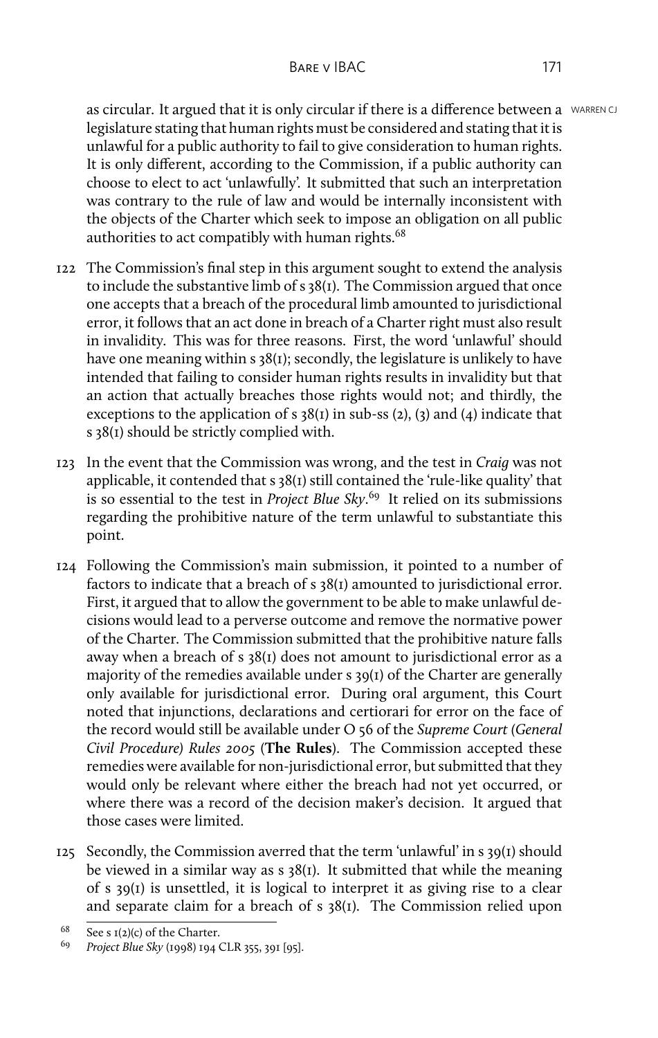as circular. It argued that it is only circular if there is a difference between a WARREN CJ legislature stating that human rights must be considered and stating that it is unlawful for a public authority to fail to give consideration to human rights. It is only different, according to the Commission, if a public authority can choose to elect to act 'unlawfully'. It submitted that such an interpretation was contrary to the rule of law and would be internally inconsistent with the objects of the Charter which seek to impose an obligation on all public authorities to act compatibly with human rights.<sup>68</sup>

- 122 The Commission's final step in this argument sought to extend the analysis to include the substantive limb of s 38(1). The Commission argued that once one accepts that a breach of the procedural limb amounted to jurisdictional error, it follows that an act done in breach of a Charter right must also result in invalidity. This was for three reasons. First, the word 'unlawful' should have one meaning within s 38(1); secondly, the legislature is unlikely to have intended that failing to consider human rights results in invalidity but that an action that actually breaches those rights would not; and thirdly, the exceptions to the application of s  $38(1)$  in sub-ss (2), (3) and (4) indicate that s 38(1) should be strictly complied with.
- 123 In the event that the Commission was wrong, and the test in *Craig* was not applicable, it contended that s 38(1) still contained the 'rule-like quality' that is so essential to the test in *Project Blue Sky*. <sup>69</sup> It relied on its submissions regarding the prohibitive nature of the term unlawful to substantiate this point.
- 124 Following the Commission's main submission, it pointed to a number of factors to indicate that a breach of s 38(1) amounted to jurisdictional error. First, it argued that to allow the government to be able to make unlawful decisions would lead to a perverse outcome and remove the normative power of the Charter. The Commission submitted that the prohibitive nature falls away when a breach of s 38(1) does not amount to jurisdictional error as a majority of the remedies available under s 39(1) of the Charter are generally only available for jurisdictional error. During oral argument, this Court noted that injunctions, declarations and certiorari for error on the face of the record would still be available under O 56 of the *Supreme Court (General Civil Procedure) Rules 2005* (**The Rules**). The Commission accepted these remedies were available for non-jurisdictional error, but submitted that they would only be relevant where either the breach had not yet occurred, or where there was a record of the decision maker's decision. It argued that those cases were limited.
- 125 Secondly, the Commission averred that the term 'unlawful' in s 39(1) should be viewed in a similar way as  $s \frac{38(t)}{t}$ . It submitted that while the meaning of s 39(1) is unsettled, it is logical to interpret it as giving rise to a clear and separate claim for a breach of s 38(1). The Commission relied upon

<sup>&</sup>lt;sup>68</sup> See s  $I(2)(c)$  of the Charter.<br><sup>69</sup> Project Blue Sky (1008) 104 (

<sup>69</sup> *Project Blue Sky* (1998) 194 CLR 355, 391 [95].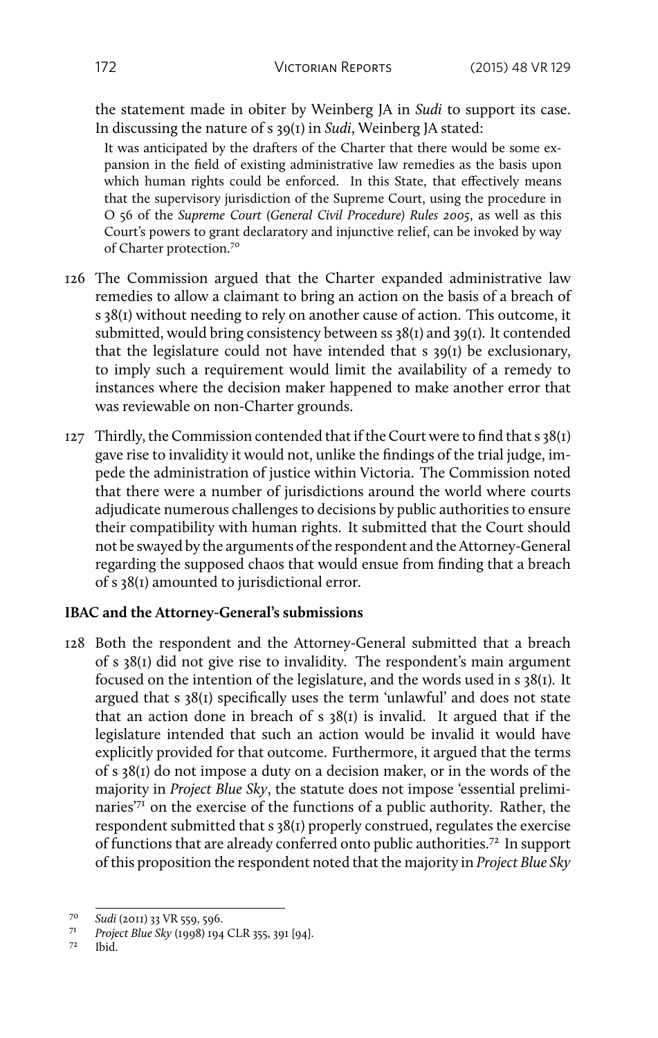the statement made in obiter by Weinberg JA in *Sudi* to support its case. In discussing the nature of s 39(1) in *Sudi*, Weinberg JA stated:

It was anticipated by the drafters of the Charter that there would be some expansion in the field of existing administrative law remedies as the basis upon which human rights could be enforced. In this State, that effectively means that the supervisory jurisdiction of the Supreme Court, using the procedure in O 56 of the *Supreme Court (General Civil Procedure) Rules 2005*, as well as this Court's powers to grant declaratory and injunctive relief, can be invoked by way of Charter protection.<sup>70</sup>

- 126 The Commission argued that the Charter expanded administrative law remedies to allow a claimant to bring an action on the basis of a breach of s 38(1) without needing to rely on another cause of action. This outcome, it submitted, would bring consistency between ss 38(1) and 39(1). It contended that the legislature could not have intended that s 39(1) be exclusionary, to imply such a requirement would limit the availability of a remedy to instances where the decision maker happened to make another error that was reviewable on non-Charter grounds.
- 127 Thirdly, the Commission contended that if the Court were to find that  $s$  38(1) gave rise to invalidity it would not, unlike the findings of the trial judge, impede the administration of justice within Victoria. The Commission noted that there were a number of jurisdictions around the world where courts adjudicate numerous challenges to decisions by public authorities to ensure their compatibility with human rights. It submitted that the Court should not be swayed by the arguments of the respondent and the Attorney-General regarding the supposed chaos that would ensue from finding that a breach of s 38(1) amounted to jurisdictional error.

#### **IBAC and the Attorney-General's submissions**

128 Both the respondent and the Attorney-General submitted that a breach of s 38(1) did not give rise to invalidity. The respondent's main argument focused on the intention of the legislature, and the words used in s 38(1). It argued that s 38(1) specifically uses the term 'unlawful' and does not state that an action done in breach of  $s$  38(1) is invalid. It argued that if the legislature intended that such an action would be invalid it would have explicitly provided for that outcome. Furthermore, it argued that the terms of s 38(1) do not impose a duty on a decision maker, or in the words of the majority in *Project Blue Sky*, the statute does not impose 'essential preliminaries'<sup>71</sup> on the exercise of the functions of a public authority. Rather, the respondent submitted that s 38(1) properly construed, regulates the exercise of functions that are already conferred onto public authorities.<sup>72</sup> In support of this proposition the respondent noted that the majority in *Project Blue Sky*

Ibid.

<sup>70</sup> *Sudi* (2011) 33 VR 559, 596.

<sup>71</sup> *Project Blue Sky* (1998) 194 CLR 355, 391 [94].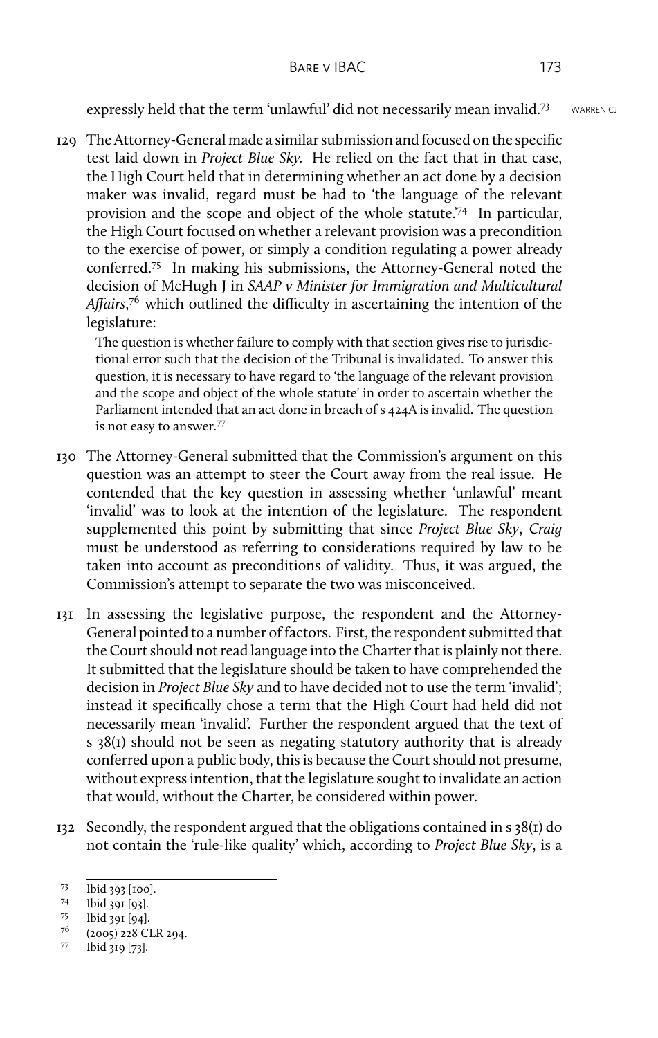expressly held that the term 'unlawful' did not necessarily mean invalid.<sup>73</sup> WARREN CJ

129 The Attorney-General made a similar submission and focused on the specific test laid down in *Project Blue Sky.* He relied on the fact that in that case, the High Court held that in determining whether an act done by a decision maker was invalid, regard must be had to 'the language of the relevant provision and the scope and object of the whole statute.'<sup>74</sup> In particular, the High Court focused on whether a relevant provision was a precondition to the exercise of power, or simply a condition regulating a power already conferred.<sup>75</sup> In making his submissions, the Attorney-General noted the decision of McHugh J in *SAAP v Minister for Immigration and Multicultural Affairs*, <sup>76</sup> which outlined the difficulty in ascertaining the intention of the legislature:

The question is whether failure to comply with that section gives rise to jurisdictional error such that the decision of the Tribunal is invalidated. To answer this question, it is necessary to have regard to 'the language of the relevant provision and the scope and object of the whole statute' in order to ascertain whether the Parliament intended that an act done in breach of s 424A is invalid. The question is not easy to answer.<sup>77</sup>

- 130 The Attorney-General submitted that the Commission's argument on this question was an attempt to steer the Court away from the real issue. He contended that the key question in assessing whether 'unlawful' meant 'invalid' was to look at the intention of the legislature. The respondent supplemented this point by submitting that since *Project Blue Sky*, *Craig* must be understood as referring to considerations required by law to be taken into account as preconditions of validity. Thus, it was argued, the Commission's attempt to separate the two was misconceived.
- 131 In assessing the legislative purpose, the respondent and the Attorney-General pointed to a number of factors. First, the respondent submitted that the Court should not read language into the Charter that is plainly not there. It submitted that the legislature should be taken to have comprehended the decision in *Project Blue Sky* and to have decided not to use the term 'invalid'; instead it specifically chose a term that the High Court had held did not necessarily mean 'invalid'. Further the respondent argued that the text of s 38(1) should not be seen as negating statutory authority that is already conferred upon a public body, this is because the Court should not presume, without express intention, that the legislature sought to invalidate an action that would, without the Charter, be considered within power.
- 132 Secondly, the respondent argued that the obligations contained in s 38(1) do not contain the 'rule-like quality' which, according to *Project Blue Sky*, is a

 $^{75}$  Ibid 391 [94].

 $^{73}$  Ibid 393 [100].

Ibid 391 [93].

 $^{76}$  (2005) 228 CLR 294.<br>
<sup>77</sup> Ibid 210 [72]

<sup>77</sup> Ibid 319 [73].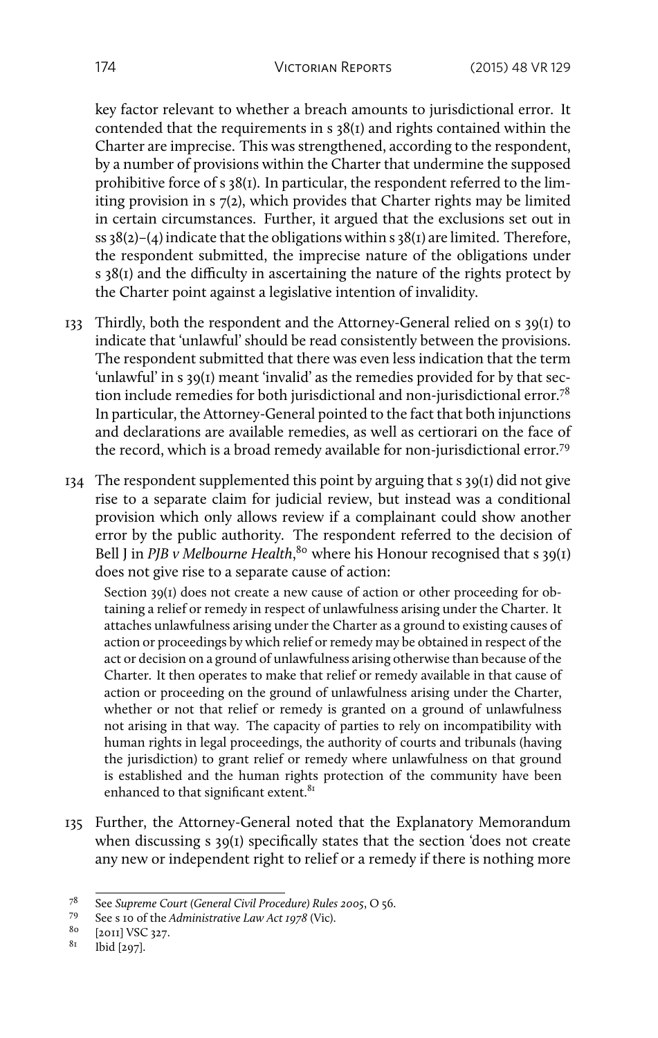key factor relevant to whether a breach amounts to jurisdictional error. It contended that the requirements in s 38(1) and rights contained within the Charter are imprecise. This was strengthened, according to the respondent, by a number of provisions within the Charter that undermine the supposed prohibitive force of s 38(1). In particular, the respondent referred to the limiting provision in s 7(2), which provides that Charter rights may be limited in certain circumstances. Further, it argued that the exclusions set out in ss  $38(2)-(4)$  indicate that the obligations within s  $38(1)$  are limited. Therefore, the respondent submitted, the imprecise nature of the obligations under s 38(1) and the difficulty in ascertaining the nature of the rights protect by the Charter point against a legislative intention of invalidity.

- 133 Thirdly, both the respondent and the Attorney-General relied on s 39(1) to indicate that 'unlawful' should be read consistently between the provisions. The respondent submitted that there was even less indication that the term 'unlawful' in s 39(1) meant 'invalid' as the remedies provided for by that section include remedies for both jurisdictional and non-jurisdictional error.<sup>78</sup> In particular, the Attorney-General pointed to the fact that both injunctions and declarations are available remedies, as well as certiorari on the face of the record, which is a broad remedy available for non-jurisdictional error.<sup>79</sup>
- 134 The respondent supplemented this point by arguing that s 39(1) did not give rise to a separate claim for judicial review, but instead was a conditional provision which only allows review if a complainant could show another error by the public authority. The respondent referred to the decision of Bell J in *PJB v Melbourne Health*,<sup>80</sup> where his Honour recognised that s 39(1) does not give rise to a separate cause of action:

Section 39(1) does not create a new cause of action or other proceeding for obtaining a relief or remedy in respect of unlawfulness arising under the Charter. It attaches unlawfulness arising under the Charter as a ground to existing causes of action or proceedings by which relief or remedy may be obtained in respect of the act or decision on a ground of unlawfulness arising otherwise than because of the Charter. It then operates to make that relief or remedy available in that cause of action or proceeding on the ground of unlawfulness arising under the Charter, whether or not that relief or remedy is granted on a ground of unlawfulness not arising in that way. The capacity of parties to rely on incompatibility with human rights in legal proceedings, the authority of courts and tribunals (having the jurisdiction) to grant relief or remedy where unlawfulness on that ground is established and the human rights protection of the community have been enhanced to that significant extent.<sup>81</sup>

135 Further, the Attorney-General noted that the Explanatory Memorandum when discussing s 39(1) specifically states that the section 'does not create any new or independent right to relief or a remedy if there is nothing more

<sup>78</sup> See *Supreme Court (General Civil Procedure) Rules 2005*, O 56.<br>79 See s 10 of the *Administrative Law Act 1078* (Vic)

<sup>79</sup> See s 10 of the *Administrative Law Act 1978* (Vic).

 $^{80}$  [2011] VSC 327.<br> $^{81}$  1 kid [207]

Ibid [297].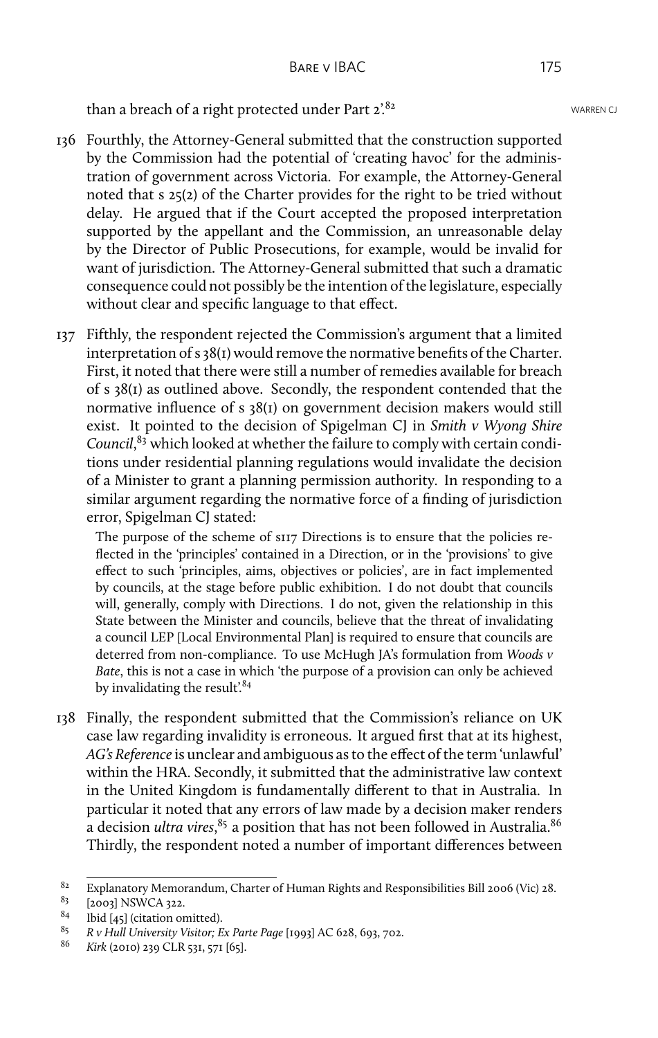than a breach of a right protected under Part  $2^{82}$ . WARREN CJ

- 136 Fourthly, the Attorney-General submitted that the construction supported by the Commission had the potential of 'creating havoc' for the administration of government across Victoria. For example, the Attorney-General noted that s 25(2) of the Charter provides for the right to be tried without delay. He argued that if the Court accepted the proposed interpretation supported by the appellant and the Commission, an unreasonable delay by the Director of Public Prosecutions, for example, would be invalid for want of jurisdiction. The Attorney-General submitted that such a dramatic consequence could not possibly be the intention of the legislature, especially without clear and specific language to that effect.
- 137 Fifthly, the respondent rejected the Commission's argument that a limited interpretation of s 38(1) would remove the normative benefits of the Charter. First, it noted that there were still a number of remedies available for breach of s 38(1) as outlined above. Secondly, the respondent contended that the normative influence of s 38(1) on government decision makers would still exist. It pointed to the decision of Spigelman CJ in *Smith v Wyong Shire Council*, <sup>83</sup> which looked at whether the failure to comply with certain conditions under residential planning regulations would invalidate the decision of a Minister to grant a planning permission authority. In responding to a similar argument regarding the normative force of a finding of jurisdiction error, Spigelman CJ stated:

The purpose of the scheme of s117 Directions is to ensure that the policies reflected in the 'principles' contained in a Direction, or in the 'provisions' to give effect to such 'principles, aims, objectives or policies', are in fact implemented by councils, at the stage before public exhibition. I do not doubt that councils will, generally, comply with Directions. I do not, given the relationship in this State between the Minister and councils, believe that the threat of invalidating a council LEP [Local Environmental Plan] is required to ensure that councils are deterred from non-compliance. To use McHugh JA's formulation from *Woods v Bate*, this is not a case in which 'the purpose of a provision can only be achieved by invalidating the result.<sup>84</sup>

138 Finally, the respondent submitted that the Commission's reliance on UK case law regarding invalidity is erroneous. It argued first that at its highest, *AG's Reference*is unclear and ambiguous as to the effect of the term 'unlawful' within the HRA. Secondly, it submitted that the administrative law context in the United Kingdom is fundamentally different to that in Australia. In particular it noted that any errors of law made by a decision maker renders a decision *ultra vires*, $^{85}$  a position that has not been followed in Australia. $^{86}$ Thirdly, the respondent noted a number of important differences between

<sup>82</sup> Explanatory Memorandum, Charter of Human Rights and Responsibilities Bill 2006 (Vic) 28.<br>83 [2002] NSWCA 222

 $\begin{array}{c} 83 \ 84 \ 1 \end{array}$  [2003] NSWCA 322.

<sup>&</sup>lt;sup>84</sup> Ibid [45] (citation omitted).<br><sup>85</sup> *B v* Hull University Visitor: E

<sup>85</sup> *R v Hull University Visitor; Ex Parte Page* [1993] AC 628, 693, 702.

<sup>86</sup> *Kirk* (2010) 239 CLR 531, 571 [65].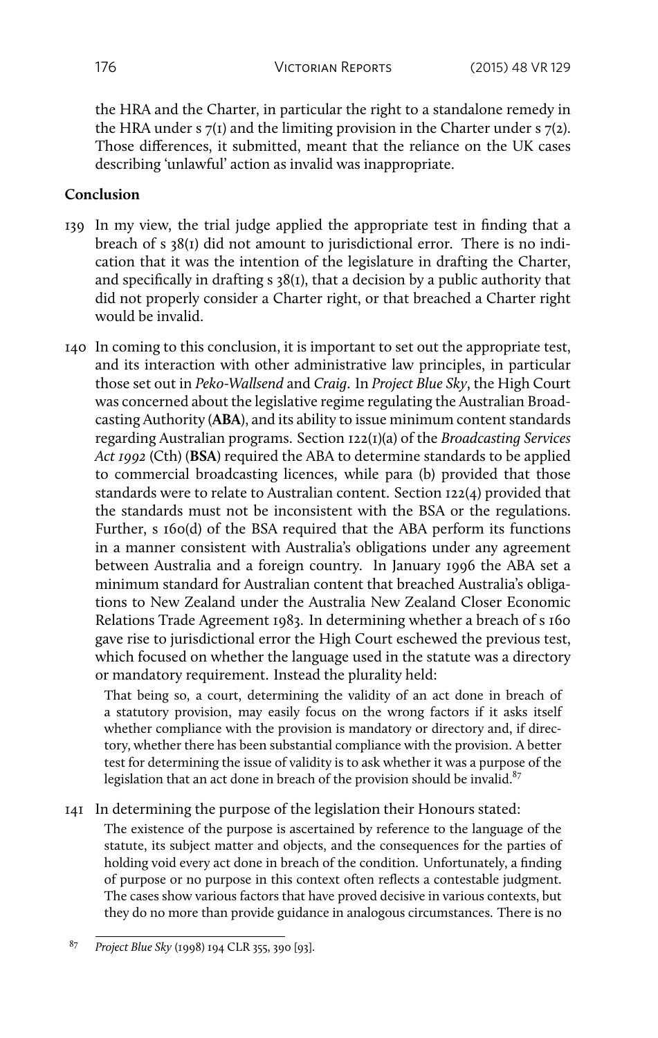the HRA and the Charter, in particular the right to a standalone remedy in the HRA under s  $7(1)$  and the limiting provision in the Charter under s  $7(2)$ . Those differences, it submitted, meant that the reliance on the UK cases describing 'unlawful' action as invalid was inappropriate.

### **Conclusion**

- 139 In my view, the trial judge applied the appropriate test in finding that a breach of s 38(1) did not amount to jurisdictional error. There is no indication that it was the intention of the legislature in drafting the Charter, and specifically in drafting s 38(1), that a decision by a public authority that did not properly consider a Charter right, or that breached a Charter right would be invalid.
- 140 In coming to this conclusion, it is important to set out the appropriate test, and its interaction with other administrative law principles, in particular those set out in *Peko-Wallsend* and *Craig*. In *Project Blue Sky*, the High Court was concerned about the legislative regime regulating the Australian Broadcasting Authority (**ABA**), and its ability to issue minimum content standards regarding Australian programs. Section 122(1)(a) of the *Broadcasting Services Act 1992* (Cth) (**BSA**) required the ABA to determine standards to be applied to commercial broadcasting licences, while para (b) provided that those standards were to relate to Australian content. Section 122(4) provided that the standards must not be inconsistent with the BSA or the regulations. Further, s 160(d) of the BSA required that the ABA perform its functions in a manner consistent with Australia's obligations under any agreement between Australia and a foreign country. In January 1996 the ABA set a minimum standard for Australian content that breached Australia's obligations to New Zealand under the Australia New Zealand Closer Economic Relations Trade Agreement 1983. In determining whether a breach of s 160 gave rise to jurisdictional error the High Court eschewed the previous test, which focused on whether the language used in the statute was a directory or mandatory requirement. Instead the plurality held:

That being so, a court, determining the validity of an act done in breach of a statutory provision, may easily focus on the wrong factors if it asks itself whether compliance with the provision is mandatory or directory and, if directory, whether there has been substantial compliance with the provision. A better test for determining the issue of validity is to ask whether it was a purpose of the legislation that an act done in breach of the provision should be invalid. $87$ 

#### 141 In determining the purpose of the legislation their Honours stated:

The existence of the purpose is ascertained by reference to the language of the statute, its subject matter and objects, and the consequences for the parties of holding void every act done in breach of the condition. Unfortunately, a finding of purpose or no purpose in this context often reflects a contestable judgment. The cases show various factors that have proved decisive in various contexts, but they do no more than provide guidance in analogous circumstances. There is no

<sup>87</sup> *Project Blue Sky* (1998) 194 CLR 355, 390 [93].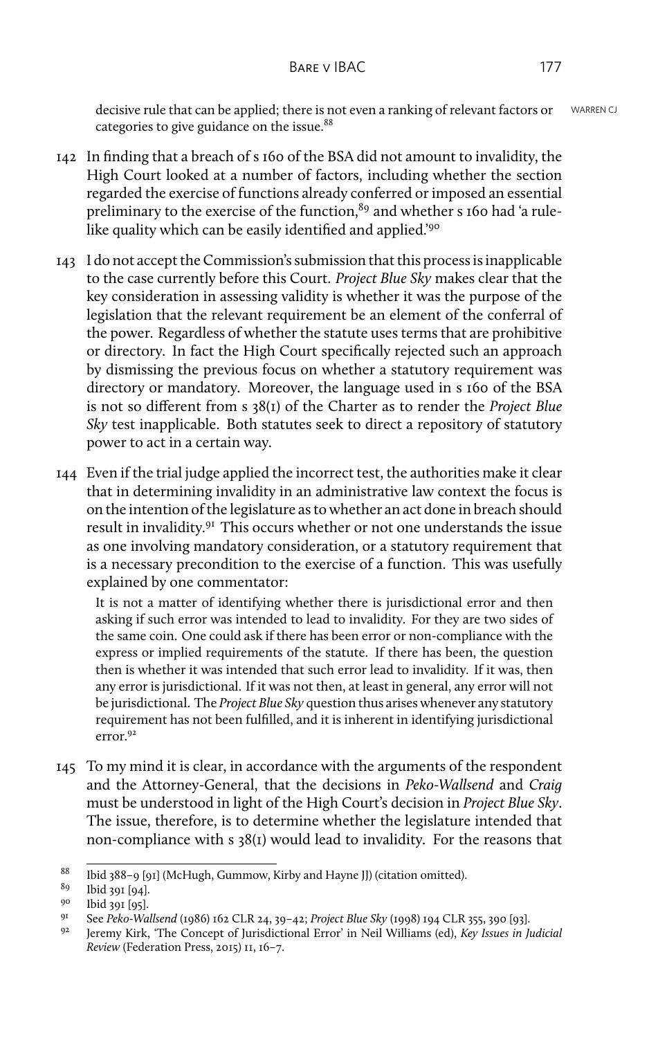decisive rule that can be applied; there is not even a ranking of relevant factors or WARREN CJ categories to give guidance on the issue.<sup>88</sup>

- 142 In finding that a breach of s 160 of the BSA did not amount to invalidity, the High Court looked at a number of factors, including whether the section regarded the exercise of functions already conferred or imposed an essential preliminary to the exercise of the function,  $89$  and whether s 160 had 'a rulelike quality which can be easily identified and applied.'<sup>90</sup>
- 143 I do not accept the Commission's submission that this process is inapplicable to the case currently before this Court. *Project Blue Sky* makes clear that the key consideration in assessing validity is whether it was the purpose of the legislation that the relevant requirement be an element of the conferral of the power. Regardless of whether the statute uses terms that are prohibitive or directory. In fact the High Court specifically rejected such an approach by dismissing the previous focus on whether a statutory requirement was directory or mandatory. Moreover, the language used in s 160 of the BSA is not so different from s 38(1) of the Charter as to render the *Project Blue Sky* test inapplicable. Both statutes seek to direct a repository of statutory power to act in a certain way.
- 144 Even if the trial judge applied the incorrect test, the authorities make it clear that in determining invalidity in an administrative law context the focus is on the intention of the legislature as to whether an act done in breach should result in invalidity.<sup>91</sup> This occurs whether or not one understands the issue as one involving mandatory consideration, or a statutory requirement that is a necessary precondition to the exercise of a function. This was usefully explained by one commentator:

It is not a matter of identifying whether there is jurisdictional error and then asking if such error was intended to lead to invalidity. For they are two sides of the same coin. One could ask if there has been error or non-compliance with the express or implied requirements of the statute. If there has been, the question then is whether it was intended that such error lead to invalidity. If it was, then any error is jurisdictional. If it was not then, at least in general, any error will not be jurisdictional. The *Project Blue Sky* question thus arises whenever any statutory requirement has not been fulfilled, and it is inherent in identifying jurisdictional  $error<sup>92</sup>$ 

145 To my mind it is clear, in accordance with the arguments of the respondent and the Attorney-General, that the decisions in *Peko-Wallsend* and *Craig* must be understood in light of the High Court's decision in *Project Blue Sky*. The issue, therefore, is to determine whether the legislature intended that non-compliance with s 38(1) would lead to invalidity. For the reasons that

<sup>&</sup>lt;sup>88</sup> Ibid 388–9 [91] (McHugh, Gummow, Kirby and Hayne JJ) (citation omitted).

 $^{89}$  Ibid 391 [94].

 $^{90}$  Ibid 391 [95].

<sup>91</sup> See *Peko-Wallsend* (1986) 162 CLR 24, 39–42; *Project Blue Sky* (1998) 194 CLR 355, 390 [93].

<sup>92</sup> Jeremy Kirk, 'The Concept of Jurisdictional Error' in Neil Williams (ed), *Key Issues in Judicial Review* (Federation Press, 2015) 11, 16–7.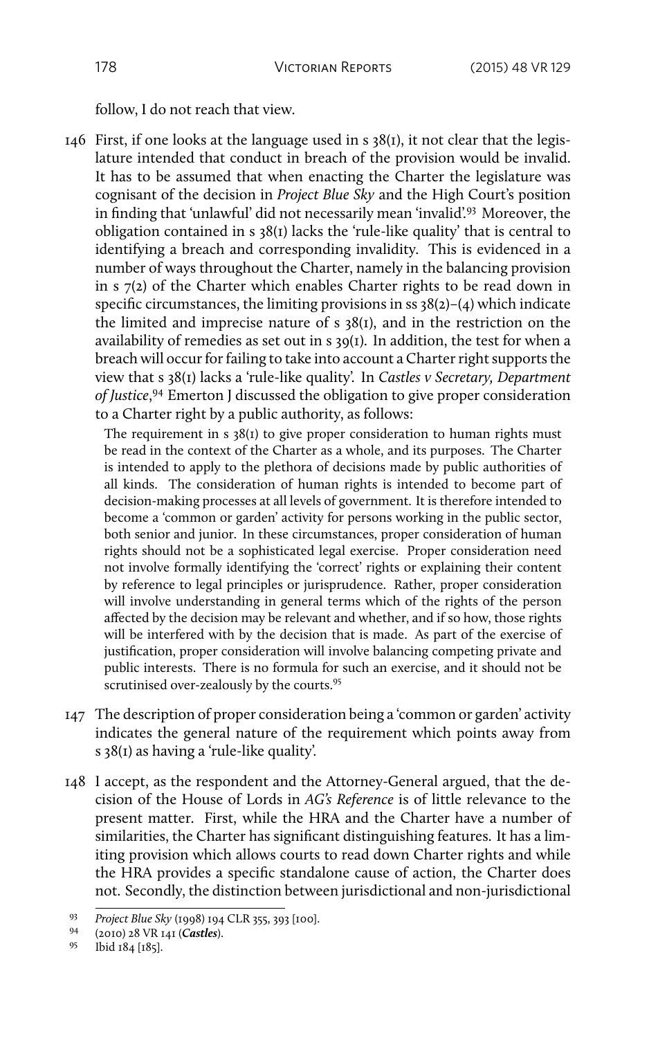follow, I do not reach that view.

146 First, if one looks at the language used in s 38(1), it not clear that the legislature intended that conduct in breach of the provision would be invalid. It has to be assumed that when enacting the Charter the legislature was cognisant of the decision in *Project Blue Sky* and the High Court's position in finding that 'unlawful' did not necessarily mean 'invalid'.<sup>93</sup> Moreover, the obligation contained in s 38(1) lacks the 'rule-like quality' that is central to identifying a breach and corresponding invalidity. This is evidenced in a number of ways throughout the Charter, namely in the balancing provision in s 7(2) of the Charter which enables Charter rights to be read down in specific circumstances, the limiting provisions in ss  $38(2)-(4)$  which indicate the limited and imprecise nature of s 38(1), and in the restriction on the availability of remedies as set out in s 39(1). In addition, the test for when a breach will occur for failing to take into account a Charter right supports the view that s 38(1) lacks a 'rule-like quality'. In *Castles v Secretary, Department of Justice*, <sup>94</sup> Emerton J discussed the obligation to give proper consideration to a Charter right by a public authority, as follows:

The requirement in  $s \frac{38(t)}{t}$  to give proper consideration to human rights must be read in the context of the Charter as a whole, and its purposes. The Charter is intended to apply to the plethora of decisions made by public authorities of all kinds. The consideration of human rights is intended to become part of decision-making processes at all levels of government. It is therefore intended to become a 'common or garden' activity for persons working in the public sector, both senior and junior. In these circumstances, proper consideration of human rights should not be a sophisticated legal exercise. Proper consideration need not involve formally identifying the 'correct' rights or explaining their content by reference to legal principles or jurisprudence. Rather, proper consideration will involve understanding in general terms which of the rights of the person affected by the decision may be relevant and whether, and if so how, those rights will be interfered with by the decision that is made. As part of the exercise of justification, proper consideration will involve balancing competing private and public interests. There is no formula for such an exercise, and it should not be scrutinised over-zealously by the courts.<sup>95</sup>

- 147 The description of proper consideration being a 'common or garden' activity indicates the general nature of the requirement which points away from s 38(1) as having a 'rule-like quality'.
- 148 I accept, as the respondent and the Attorney-General argued, that the decision of the House of Lords in *AG's Reference* is of little relevance to the present matter. First, while the HRA and the Charter have a number of similarities, the Charter has significant distinguishing features. It has a limiting provision which allows courts to read down Charter rights and while the HRA provides a specific standalone cause of action, the Charter does not. Secondly, the distinction between jurisdictional and non-jurisdictional

<sup>93</sup> *Project Blue Sky* (1998) 194 CLR 355, 393 [100].

<sup>94</sup> (2010) 28 VR 141 (*Castles*).

<sup>95</sup> Ibid 184 [185].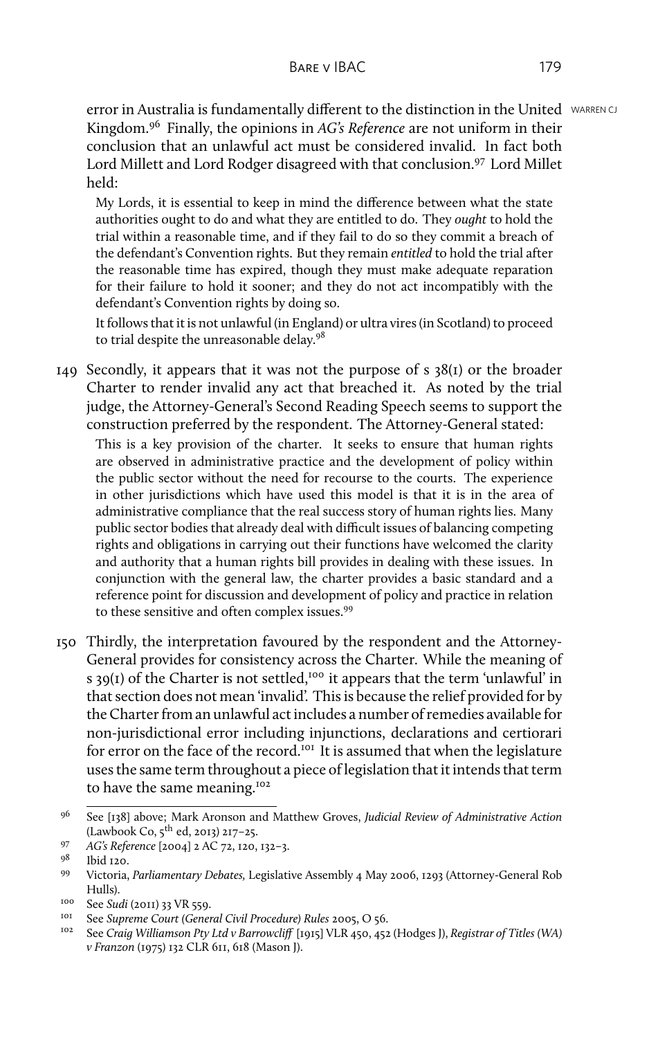error in Australia is fundamentally different to the distinction in the United WARREN CJ Kingdom.<sup>96</sup> Finally, the opinions in *AG's Reference* are not uniform in their conclusion that an unlawful act must be considered invalid. In fact both Lord Millett and Lord Rodger disagreed with that conclusion.<sup>97</sup> Lord Millet held:

My Lords, it is essential to keep in mind the difference between what the state authorities ought to do and what they are entitled to do. They *ought* to hold the trial within a reasonable time, and if they fail to do so they commit a breach of the defendant's Convention rights. But they remain *entitled* to hold the trial after the reasonable time has expired, though they must make adequate reparation for their failure to hold it sooner; and they do not act incompatibly with the defendant's Convention rights by doing so.

It follows that it is not unlawful (in England) or ultra vires (in Scotland) to proceed to trial despite the unreasonable delay.<sup>98</sup>

149 Secondly, it appears that it was not the purpose of  $s \frac{38(i)}{i}$  or the broader Charter to render invalid any act that breached it. As noted by the trial judge, the Attorney-General's Second Reading Speech seems to support the construction preferred by the respondent. The Attorney-General stated:

This is a key provision of the charter. It seeks to ensure that human rights are observed in administrative practice and the development of policy within the public sector without the need for recourse to the courts. The experience in other jurisdictions which have used this model is that it is in the area of administrative compliance that the real success story of human rights lies. Many public sector bodies that already deal with difficult issues of balancing competing rights and obligations in carrying out their functions have welcomed the clarity and authority that a human rights bill provides in dealing with these issues. In conjunction with the general law, the charter provides a basic standard and a reference point for discussion and development of policy and practice in relation to these sensitive and often complex issues.<sup>99</sup>

150 Thirdly, the interpretation favoured by the respondent and the Attorney-General provides for consistency across the Charter. While the meaning of s 39(1) of the Charter is not settled,<sup>100</sup> it appears that the term 'unlawful' in that section does not mean 'invalid'. This is because the relief provided for by the Charter from an unlawful act includes a number of remedies available for non-jurisdictional error including injunctions, declarations and certiorari for error on the face of the record.<sup>101</sup> It is assumed that when the legislature uses the same term throughout a piece of legislation that it intends that term to have the same meaning.<sup>102</sup>

<sup>96</sup> See [138] above; Mark Aronson and Matthew Groves, *Judicial Review of Administrative Action* (Lawbook Co, 5th ed, 2013) 217–25.

<sup>97</sup> *AG's Reference* [2004] 2 AC 72, 120, 132–3.

 $\frac{98}{99}$  Ibid 120.

<sup>99</sup> Victoria, *Parliamentary Debates,* Legislative Assembly 4 May 2006, 1293 (Attorney-General Rob Hulls).

<sup>&</sup>lt;sup>100</sup> See *Sudi* (2011) 33 VR 559.

<sup>101</sup> See *Supreme Court (General Civil Procedure) Rules* 2005, O 56.

<sup>102</sup> See *Craig Williamson Pty Ltd v Barrowcliff* [1915] VLR 450, 452 (Hodges J), *Registrar of Titles (WA) v Franzon* (1975) 132 CLR 611, 618 (Mason J).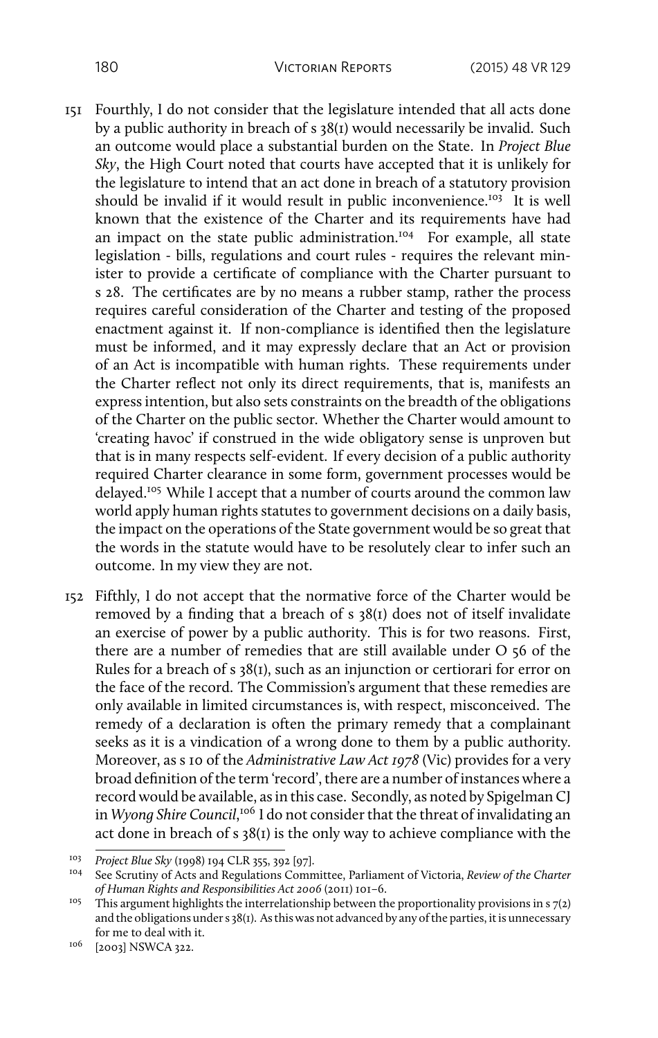- 151 Fourthly, I do not consider that the legislature intended that all acts done by a public authority in breach of s 38(1) would necessarily be invalid. Such an outcome would place a substantial burden on the State. In *Project Blue Sky*, the High Court noted that courts have accepted that it is unlikely for the legislature to intend that an act done in breach of a statutory provision should be invalid if it would result in public inconvenience.<sup>103</sup> It is well known that the existence of the Charter and its requirements have had an impact on the state public administration.<sup>104</sup> For example, all state legislation - bills, regulations and court rules - requires the relevant minister to provide a certificate of compliance with the Charter pursuant to s 28. The certificates are by no means a rubber stamp, rather the process requires careful consideration of the Charter and testing of the proposed enactment against it. If non-compliance is identified then the legislature must be informed, and it may expressly declare that an Act or provision of an Act is incompatible with human rights. These requirements under the Charter reflect not only its direct requirements, that is, manifests an express intention, but also sets constraints on the breadth of the obligations of the Charter on the public sector. Whether the Charter would amount to 'creating havoc' if construed in the wide obligatory sense is unproven but that is in many respects self-evident. If every decision of a public authority required Charter clearance in some form, government processes would be delayed.<sup>105</sup> While I accept that a number of courts around the common law world apply human rights statutes to government decisions on a daily basis, the impact on the operations of the State government would be so great that the words in the statute would have to be resolutely clear to infer such an outcome. In my view they are not.
- 152 Fifthly, I do not accept that the normative force of the Charter would be removed by a finding that a breach of s 38(1) does not of itself invalidate an exercise of power by a public authority. This is for two reasons. First, there are a number of remedies that are still available under O 56 of the Rules for a breach of s 38(1), such as an injunction or certiorari for error on the face of the record. The Commission's argument that these remedies are only available in limited circumstances is, with respect, misconceived. The remedy of a declaration is often the primary remedy that a complainant seeks as it is a vindication of a wrong done to them by a public authority. Moreover, as s 10 of the *Administrative Law Act 1978* (Vic) provides for a very broad definition of the term 'record', there are a number of instances where a record would be available, as in this case. Secondly, as noted by Spigelman CJ in *Wyong Shire Council*,<sup>106</sup> I do not consider that the threat of invalidating an act done in breach of s 38(1) is the only way to achieve compliance with the

<sup>103</sup> *Project Blue Sky* (1998) 194 CLR 355, 392 [97].

<sup>104</sup> See Scrutiny of Acts and Regulations Committee, Parliament of Victoria, *Review of the Charter of Human Rights and Responsibilities Act 2006* (2011) 101–6.

<sup>&</sup>lt;sup>105</sup> This argument highlights the interrelationship between the proportionality provisions in s  $7(2)$ and the obligations under s 38(1). As this was not advanced by any of the parties, it is unnecessary for me to deal with it.

<sup>106</sup> [2003] NSWCA 322.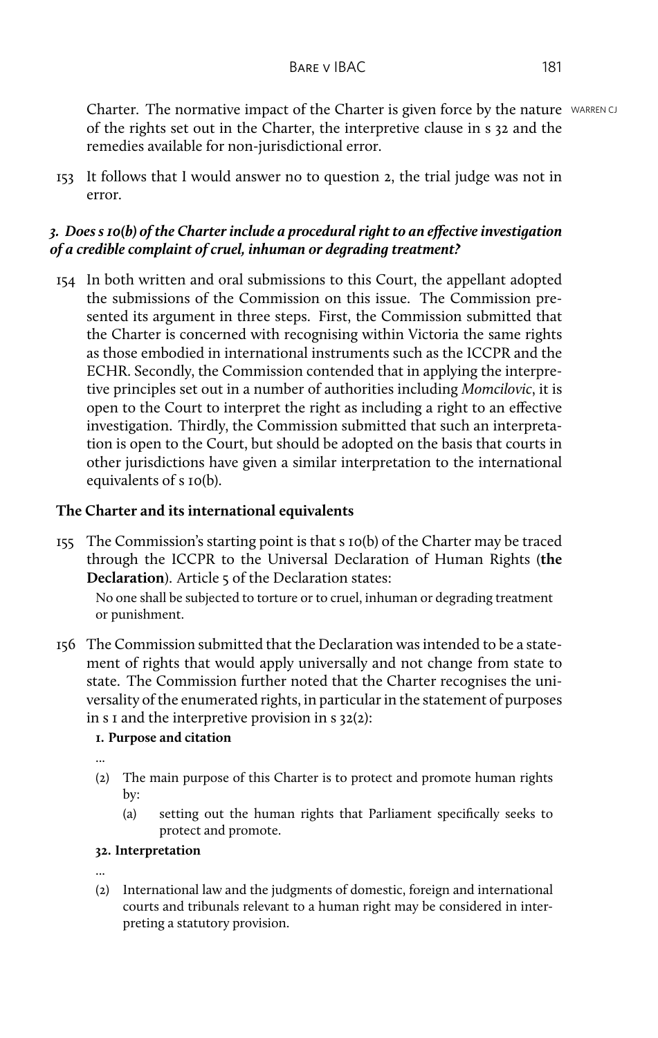Charter. The normative impact of the Charter is given force by the nature WARREN CJ of the rights set out in the Charter, the interpretive clause in s 32 and the remedies available for non-jurisdictional error.

153 It follows that I would answer no to question 2, the trial judge was not in error.

## *3. Does s 10(b) of the Charter include a procedural right to an effective investigation of a credible complaint of cruel, inhuman or degrading treatment?*

154 In both written and oral submissions to this Court, the appellant adopted the submissions of the Commission on this issue. The Commission presented its argument in three steps. First, the Commission submitted that the Charter is concerned with recognising within Victoria the same rights as those embodied in international instruments such as the ICCPR and the ECHR. Secondly, the Commission contended that in applying the interpretive principles set out in a number of authorities including *Momcilovic*, it is open to the Court to interpret the right as including a right to an effective investigation. Thirdly, the Commission submitted that such an interpretation is open to the Court, but should be adopted on the basis that courts in other jurisdictions have given a similar interpretation to the international equivalents of s 10(b).

### **The Charter and its international equivalents**

155 The Commission's starting point is that s 10(b) of the Charter may be traced through the ICCPR to the Universal Declaration of Human Rights (**the Declaration**). Article 5 of the Declaration states:

No one shall be subjected to torture or to cruel, inhuman or degrading treatment or punishment.

156 The Commission submitted that the Declaration was intended to be a statement of rights that would apply universally and not change from state to state. The Commission further noted that the Charter recognises the universality of the enumerated rights, in particular in the statement of purposes in s I and the interpretive provision in  $s$  32(2):

## **1. Purpose and citation**

- ...
- (2) The main purpose of this Charter is to protect and promote human rights by:
	- (a) setting out the human rights that Parliament specifically seeks to protect and promote.

#### **32. Interpretation**

...

(2) International law and the judgments of domestic, foreign and international courts and tribunals relevant to a human right may be considered in interpreting a statutory provision.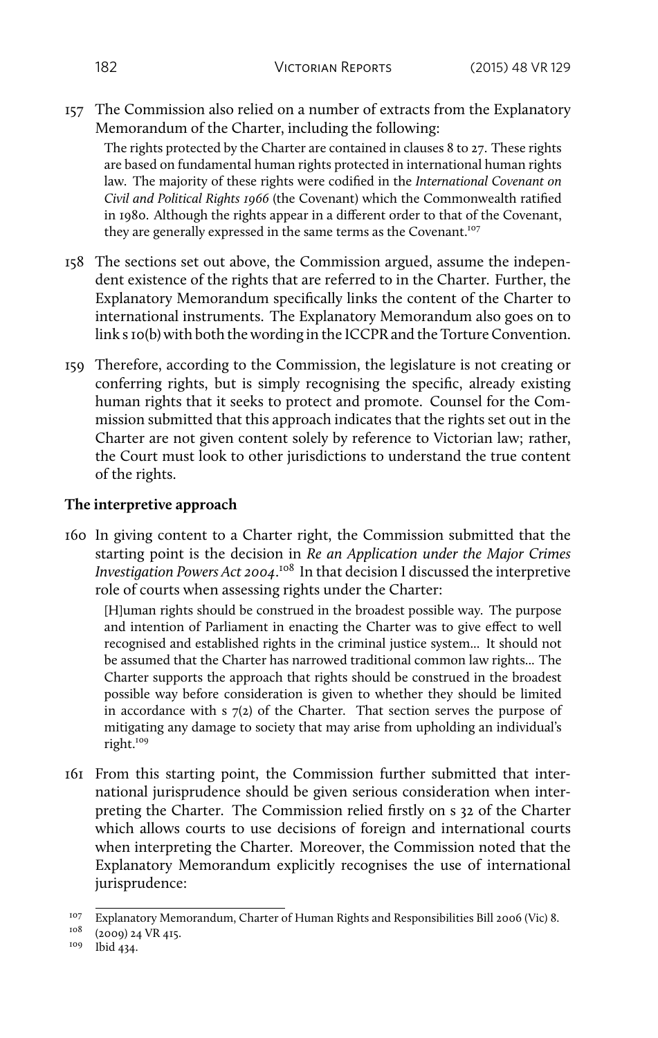157 The Commission also relied on a number of extracts from the Explanatory Memorandum of the Charter, including the following:

The rights protected by the Charter are contained in clauses 8 to 27. These rights are based on fundamental human rights protected in international human rights law. The majority of these rights were codified in the *International Covenant on Civil and Political Rights 1966* (the Covenant) which the Commonwealth ratified in 1980. Although the rights appear in a different order to that of the Covenant, they are generally expressed in the same terms as the Covenant.<sup>107</sup>

- 158 The sections set out above, the Commission argued, assume the independent existence of the rights that are referred to in the Charter. Further, the Explanatory Memorandum specifically links the content of the Charter to international instruments. The Explanatory Memorandum also goes on to link s 10(b) with both the wording in the ICCPR and the Torture Convention.
- 159 Therefore, according to the Commission, the legislature is not creating or conferring rights, but is simply recognising the specific, already existing human rights that it seeks to protect and promote. Counsel for the Commission submitted that this approach indicates that the rights set out in the Charter are not given content solely by reference to Victorian law; rather, the Court must look to other jurisdictions to understand the true content of the rights.

#### **The interpretive approach**

160 In giving content to a Charter right, the Commission submitted that the starting point is the decision in *Re an Application under the Major Crimes Investigation Powers Act 2004*. <sup>108</sup> In that decision I discussed the interpretive role of courts when assessing rights under the Charter:

[H]uman rights should be construed in the broadest possible way. The purpose and intention of Parliament in enacting the Charter was to give effect to well recognised and established rights in the criminal justice system... It should not be assumed that the Charter has narrowed traditional common law rights... The Charter supports the approach that rights should be construed in the broadest possible way before consideration is given to whether they should be limited in accordance with s 7(2) of the Charter. That section serves the purpose of mitigating any damage to society that may arise from upholding an individual's right.<sup>109</sup>

161 From this starting point, the Commission further submitted that international jurisprudence should be given serious consideration when interpreting the Charter. The Commission relied firstly on s 32 of the Charter which allows courts to use decisions of foreign and international courts when interpreting the Charter. Moreover, the Commission noted that the Explanatory Memorandum explicitly recognises the use of international jurisprudence:

<sup>&</sup>lt;sup>107</sup> Explanatory Memorandum, Charter of Human Rights and Responsibilities Bill 2006 (Vic) 8.<br><sup>108</sup> (2000) 34 VP 417

<sup>(2009) 24</sup> VR 415.

<sup>109</sup> Ibid 434.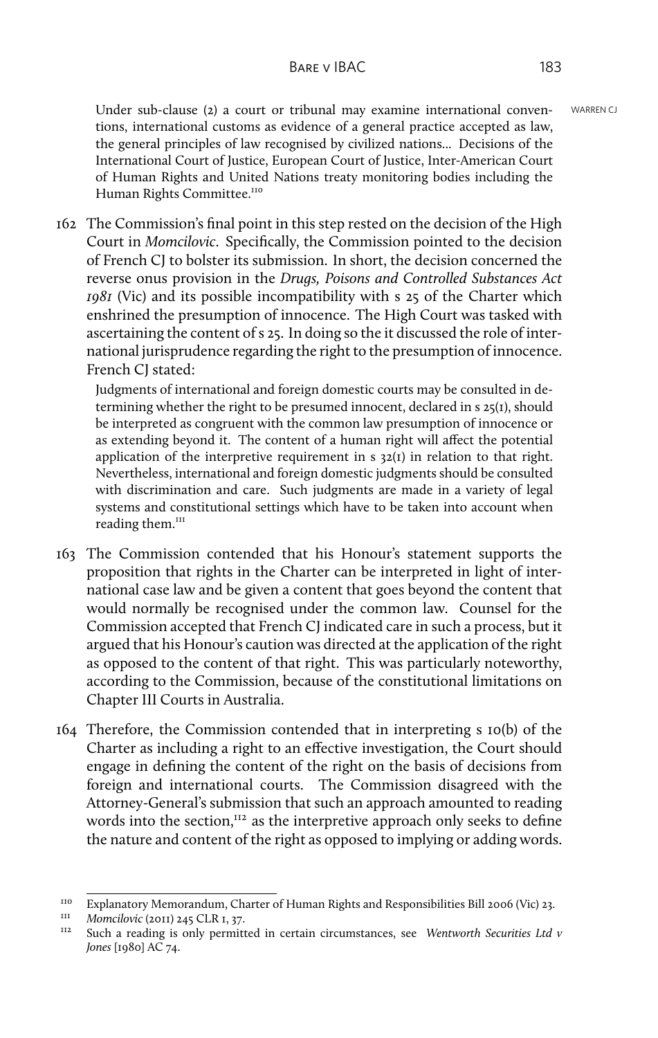Under sub-clause (2) a court or tribunal may examine international conven- WARREN CJ tions, international customs as evidence of a general practice accepted as law, the general principles of law recognised by civilized nations... Decisions of the International Court of Justice, European Court of Justice, Inter-American Court of Human Rights and United Nations treaty monitoring bodies including the Human Rights Committee.<sup>110</sup>

162 The Commission's final point in this step rested on the decision of the High Court in *Momcilovic*. Specifically, the Commission pointed to the decision of French CJ to bolster its submission. In short, the decision concerned the reverse onus provision in the *Drugs, Poisons and Controlled Substances Act 1981* (Vic) and its possible incompatibility with s 25 of the Charter which enshrined the presumption of innocence. The High Court was tasked with ascertaining the content of s 25. In doing so the it discussed the role of international jurisprudence regarding the right to the presumption of innocence. French CJ stated:

Judgments of international and foreign domestic courts may be consulted in determining whether the right to be presumed innocent, declared in s 25(1), should be interpreted as congruent with the common law presumption of innocence or as extending beyond it. The content of a human right will affect the potential application of the interpretive requirement in  $s$  32(1) in relation to that right. Nevertheless, international and foreign domestic judgments should be consulted with discrimination and care. Such judgments are made in a variety of legal systems and constitutional settings which have to be taken into account when reading them.<sup>111</sup>

- 163 The Commission contended that his Honour's statement supports the proposition that rights in the Charter can be interpreted in light of international case law and be given a content that goes beyond the content that would normally be recognised under the common law. Counsel for the Commission accepted that French CJ indicated care in such a process, but it argued that his Honour's caution was directed at the application of the right as opposed to the content of that right. This was particularly noteworthy, according to the Commission, because of the constitutional limitations on Chapter III Courts in Australia.
- 164 Therefore, the Commission contended that in interpreting s 10(b) of the Charter as including a right to an effective investigation, the Court should engage in defining the content of the right on the basis of decisions from foreign and international courts. The Commission disagreed with the Attorney-General's submission that such an approach amounted to reading words into the section, $^{112}$  as the interpretive approach only seeks to define the nature and content of the right as opposed to implying or adding words.

<sup>&</sup>lt;sup>110</sup> Explanatory Memorandum, Charter of Human Rights and Responsibilities Bill 2006 (Vic) 23.

<sup>&</sup>lt;sup>III</sup> *Momcilovic* (2011) 245 CLR 1, 37.

<sup>112</sup> Such a reading is only permitted in certain circumstances, see *Wentworth Securities Ltd v Jones* [1980] AC 74.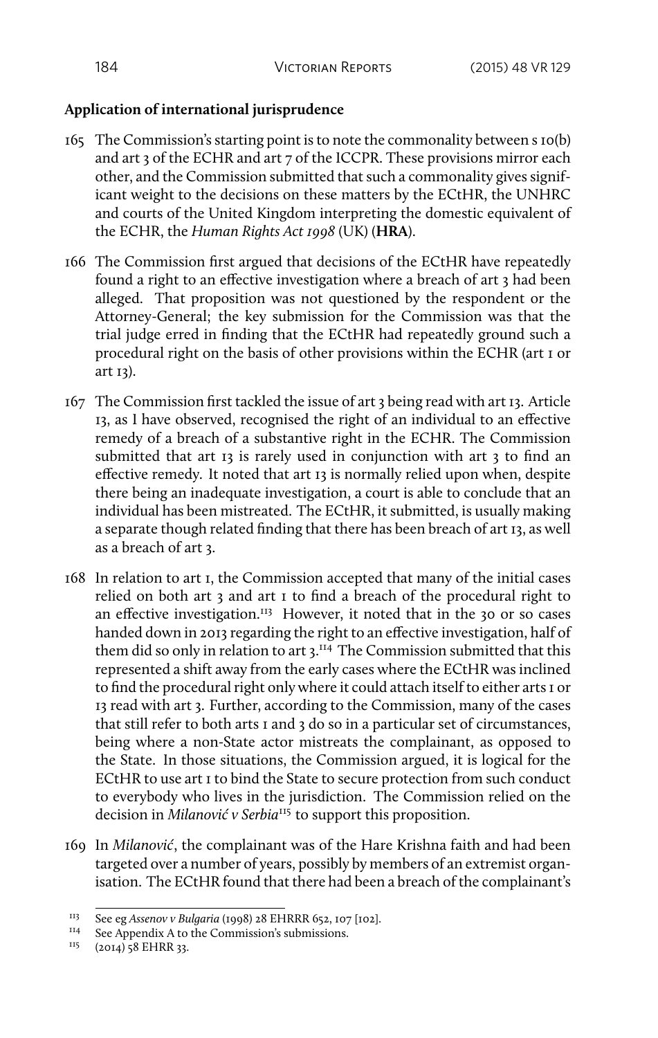# **Application of international jurisprudence**

- 165 The Commission's starting point is to note the commonality between s 10(b) and art 3 of the ECHR and art 7 of the ICCPR. These provisions mirror each other, and the Commission submitted that such a commonality gives significant weight to the decisions on these matters by the ECtHR, the UNHRC and courts of the United Kingdom interpreting the domestic equivalent of the ECHR, the *Human Rights Act 1998* (UK) (**HRA**).
- 166 The Commission first argued that decisions of the ECtHR have repeatedly found a right to an effective investigation where a breach of art 3 had been alleged. That proposition was not questioned by the respondent or the Attorney-General; the key submission for the Commission was that the trial judge erred in finding that the ECtHR had repeatedly ground such a procedural right on the basis of other provisions within the ECHR (art 1 or art 13).
- 167 The Commission first tackled the issue of art 3 being read with art 13. Article 13, as I have observed, recognised the right of an individual to an effective remedy of a breach of a substantive right in the ECHR. The Commission submitted that art 13 is rarely used in conjunction with art 3 to find an effective remedy. It noted that art 13 is normally relied upon when, despite there being an inadequate investigation, a court is able to conclude that an individual has been mistreated. The ECtHR, it submitted, is usually making a separate though related finding that there has been breach of art 13, as well as a breach of art 3.
- 168 In relation to art 1, the Commission accepted that many of the initial cases relied on both art 3 and art 1 to find a breach of the procedural right to an effective investigation.<sup>113</sup> However, it noted that in the 30 or so cases handed down in 2013 regarding the right to an effective investigation, half of them did so only in relation to art 3.<sup>114</sup> The Commission submitted that this represented a shift away from the early cases where the ECtHR was inclined to find the procedural right only where it could attach itself to either arts 1 or 13 read with art 3. Further, according to the Commission, many of the cases that still refer to both arts 1 and 3 do so in a particular set of circumstances, being where a non-State actor mistreats the complainant, as opposed to the State. In those situations, the Commission argued, it is logical for the ECtHR to use art 1 to bind the State to secure protection from such conduct to everybody who lives in the jurisdiction. The Commission relied on the decision in *Milanović v Serbia*<sup>115</sup> to support this proposition.
- 169 In *Milanović*, the complainant was of the Hare Krishna faith and had been targeted over a number of years, possibly by members of an extremist organisation. The ECtHR found that there had been a breach of the complainant's

<sup>&</sup>lt;sup>113</sup> See eg *Assenov v Bulgaria* (1998) 28 EHRRR 652, 107 [102].

<sup>&</sup>lt;sup>114</sup> See Appendix A to the Commission's submissions.<br><sup>115</sup> (2014)<sup>-8</sup> EHRR 22

<sup>(2014) 58</sup> EHRR 33.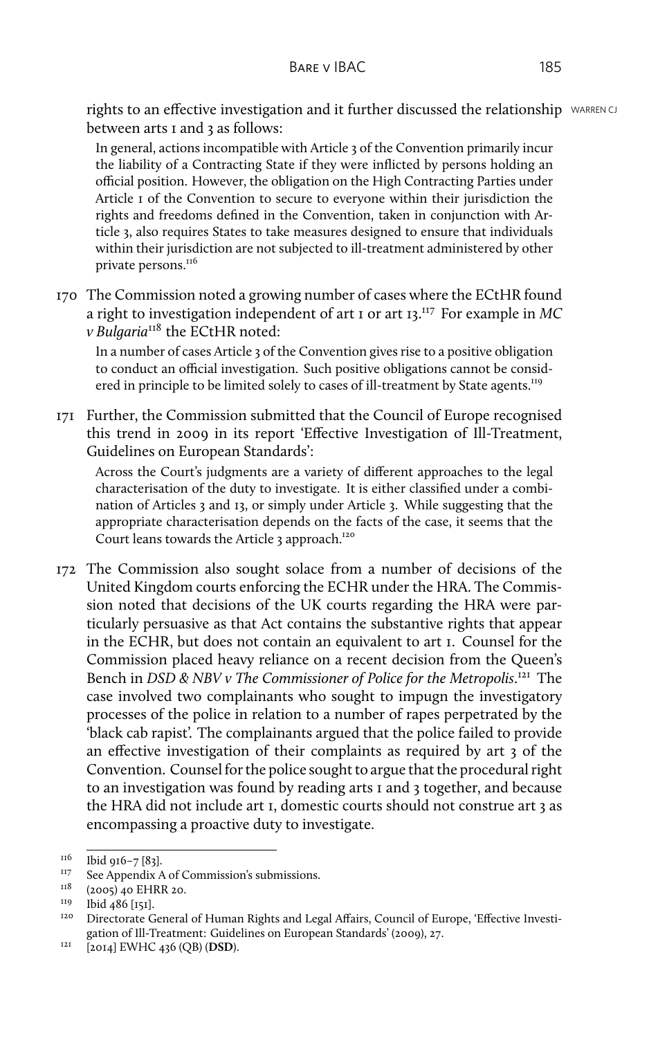rights to an effective investigation and it further discussed the relationship WARREN CJ between arts I and 3 as follows:

In general, actions incompatible with Article 3 of the Convention primarily incur the liability of a Contracting State if they were inflicted by persons holding an official position. However, the obligation on the High Contracting Parties under Article 1 of the Convention to secure to everyone within their jurisdiction the rights and freedoms defined in the Convention, taken in conjunction with Article 3, also requires States to take measures designed to ensure that individuals within their jurisdiction are not subjected to ill-treatment administered by other private persons.<sup>116</sup>

170 The Commission noted a growing number of cases where the ECtHR found a right to investigation independent of art 1 or art 13.<sup>117</sup> For example in *MC v Bulgaria*<sup>118</sup> the ECtHR noted:

In a number of cases Article 3 of the Convention gives rise to a positive obligation to conduct an official investigation. Such positive obligations cannot be considered in principle to be limited solely to cases of ill-treatment by State agents.<sup>119</sup>

171 Further, the Commission submitted that the Council of Europe recognised this trend in 2009 in its report 'Effective Investigation of Ill-Treatment, Guidelines on European Standards':

Across the Court's judgments are a variety of different approaches to the legal characterisation of the duty to investigate. It is either classified under a combination of Articles 3 and 13, or simply under Article 3. While suggesting that the appropriate characterisation depends on the facts of the case, it seems that the Court leans towards the Article 3 approach.<sup>120</sup>

172 The Commission also sought solace from a number of decisions of the United Kingdom courts enforcing the ECHR under the HRA. The Commission noted that decisions of the UK courts regarding the HRA were particularly persuasive as that Act contains the substantive rights that appear in the ECHR, but does not contain an equivalent to art 1. Counsel for the Commission placed heavy reliance on a recent decision from the Queen's Bench in *DSD & NBV v The Commissioner of Police for the Metropolis*. <sup>121</sup> The case involved two complainants who sought to impugn the investigatory processes of the police in relation to a number of rapes perpetrated by the 'black cab rapist'. The complainants argued that the police failed to provide an effective investigation of their complaints as required by art 3 of the Convention. Counsel for the police sought to argue that the procedural right to an investigation was found by reading arts 1 and 3 together, and because the HRA did not include art 1, domestic courts should not construe art 3 as encompassing a proactive duty to investigate.

 $^{116}$  Ibid 916–7 [83].

<sup>&</sup>lt;sup>117</sup> See Appendix A of Commission's submissions.<br> $118$  (2005) to  $\text{EUPB}$  20

 $^{118}$  (2005) 40 EHRR 20.

 $^{119}$  Ibid 486 [151].

<sup>120</sup> Directorate General of Human Rights and Legal Affairs, Council of Europe, 'Effective Investigation of Ill-Treatment: Guidelines on European Standards' (2009), 27.

<sup>121</sup> [2014] EWHC 436 (QB) (**DSD**).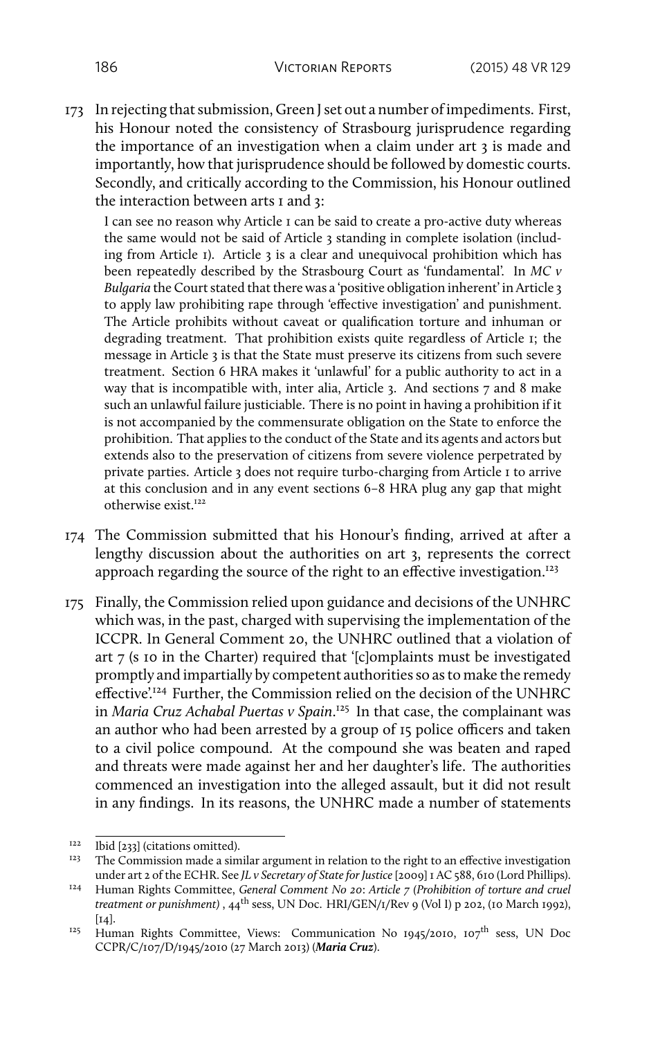173 In rejecting that submission, Green J set out a number of impediments. First, his Honour noted the consistency of Strasbourg jurisprudence regarding the importance of an investigation when a claim under art 3 is made and importantly, how that jurisprudence should be followed by domestic courts. Secondly, and critically according to the Commission, his Honour outlined the interaction between arts I and 3:

I can see no reason why Article 1 can be said to create a pro-active duty whereas the same would not be said of Article 3 standing in complete isolation (including from Article 1). Article 3 is a clear and unequivocal prohibition which has been repeatedly described by the Strasbourg Court as 'fundamental'. In *MC v Bulgaria* the Court stated that there was a 'positive obligation inherent' in Article 3 to apply law prohibiting rape through 'effective investigation' and punishment. The Article prohibits without caveat or qualification torture and inhuman or degrading treatment. That prohibition exists quite regardless of Article 1; the message in Article 3 is that the State must preserve its citizens from such severe treatment. Section 6 HRA makes it 'unlawful' for a public authority to act in a way that is incompatible with, inter alia, Article 3. And sections 7 and 8 make such an unlawful failure justiciable. There is no point in having a prohibition if it is not accompanied by the commensurate obligation on the State to enforce the prohibition. That applies to the conduct of the State and its agents and actors but extends also to the preservation of citizens from severe violence perpetrated by private parties. Article 3 does not require turbo-charging from Article 1 to arrive at this conclusion and in any event sections 6–8 HRA plug any gap that might otherwise exist.<sup>122</sup>

- 174 The Commission submitted that his Honour's finding, arrived at after a lengthy discussion about the authorities on art 3, represents the correct approach regarding the source of the right to an effective investigation.<sup>123</sup>
- 175 Finally, the Commission relied upon guidance and decisions of the UNHRC which was, in the past, charged with supervising the implementation of the ICCPR. In General Comment 20, the UNHRC outlined that a violation of art 7 (s 10 in the Charter) required that '[c]omplaints must be investigated promptly and impartially by competent authorities so as to make the remedy effective'.<sup>124</sup> Further, the Commission relied on the decision of the UNHRC in *Maria Cruz Achabal Puertas v Spain*. <sup>125</sup> In that case, the complainant was an author who had been arrested by a group of 15 police officers and taken to a civil police compound. At the compound she was beaten and raped and threats were made against her and her daughter's life. The authorities commenced an investigation into the alleged assault, but it did not result in any findings. In its reasons, the UNHRC made a number of statements

<sup>&</sup>lt;sup>122</sup> Ibid [233] (citations omitted).

The Commission made a similar argument in relation to the right to an effective investigation under art 2 of the ECHR. See *JL v Secretary of State for Justice*[2009] 1 AC 588, 610 (Lord Phillips).

<sup>124</sup> Human Rights Committee, *General Comment No 20*: *Article 7 (Prohibition of torture and cruel treatment or punishment*), 44<sup>th</sup> sess, UN Doc. HRI/GEN/1/Rev 9 (Vol I) p 202, (10 March 1992),  $[14]$ .

<sup>&</sup>lt;sup>125</sup> Human Rights Committee, Views: Communication No  $1945/2010$ ,  $107<sup>th</sup>$  sess, UN Doc CCPR/C/107/D/1945/2010 (27 March 2013) (*Maria Cruz*).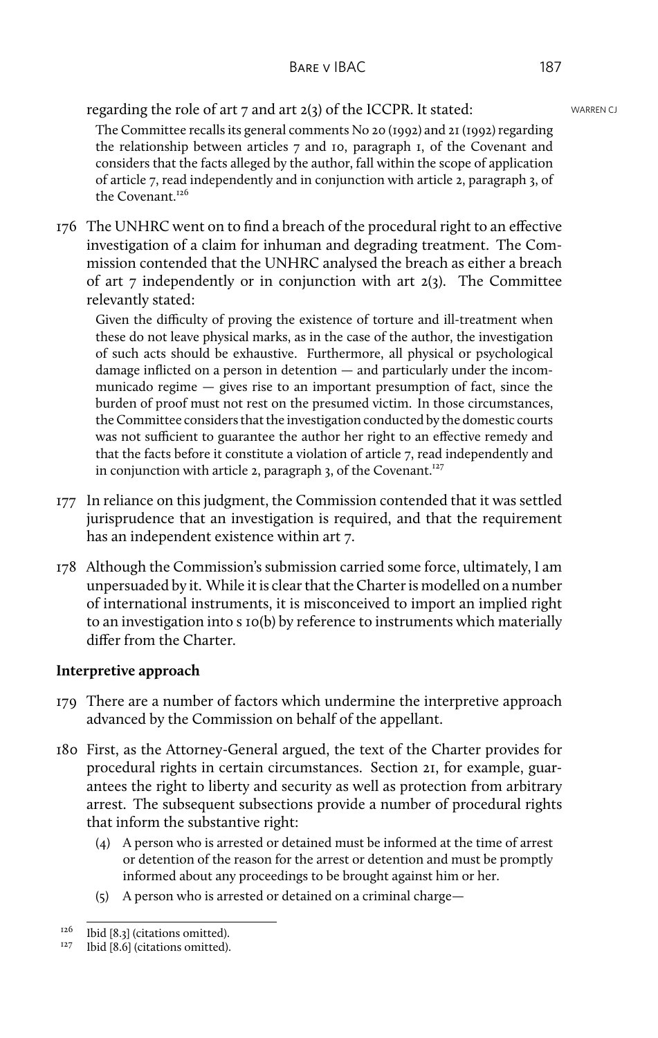regarding the role of art  $7$  and art  $2(3)$  of the ICCPR. It stated: WARREN CJ

The Committee recalls its general comments No 20 (1992) and 21 (1992) regarding the relationship between articles 7 and 10, paragraph 1, of the Covenant and considers that the facts alleged by the author, fall within the scope of application of article 7, read independently and in conjunction with article 2, paragraph 3, of the Covenant.<sup>126</sup>

176 The UNHRC went on to find a breach of the procedural right to an effective investigation of a claim for inhuman and degrading treatment. The Commission contended that the UNHRC analysed the breach as either a breach of art  $\tau$  independently or in conjunction with art  $2(3)$ . The Committee relevantly stated:

Given the difficulty of proving the existence of torture and ill-treatment when these do not leave physical marks, as in the case of the author, the investigation of such acts should be exhaustive. Furthermore, all physical or psychological damage inflicted on a person in detention — and particularly under the incommunicado regime — gives rise to an important presumption of fact, since the burden of proof must not rest on the presumed victim. In those circumstances, the Committee considers that the investigation conducted by the domestic courts was not sufficient to guarantee the author her right to an effective remedy and that the facts before it constitute a violation of article 7, read independently and in conjunction with article 2, paragraph 3, of the Covenant.<sup>127</sup>

- 177 In reliance on this judgment, the Commission contended that it was settled jurisprudence that an investigation is required, and that the requirement has an independent existence within art 7.
- 178 Although the Commission's submission carried some force, ultimately, I am unpersuaded by it. While it is clear that the Charter is modelled on a number of international instruments, it is misconceived to import an implied right to an investigation into s 10(b) by reference to instruments which materially differ from the Charter.

# **Interpretive approach**

- 179 There are a number of factors which undermine the interpretive approach advanced by the Commission on behalf of the appellant.
- 180 First, as the Attorney-General argued, the text of the Charter provides for procedural rights in certain circumstances. Section 21, for example, guarantees the right to liberty and security as well as protection from arbitrary arrest. The subsequent subsections provide a number of procedural rights that inform the substantive right:
	- (4) A person who is arrested or detained must be informed at the time of arrest or detention of the reason for the arrest or detention and must be promptly informed about any proceedings to be brought against him or her.
	- (5) A person who is arrested or detained on a criminal charge—

 $126$  Ibid [8.3] (citations omitted).

<sup>&</sup>lt;sup>127</sup> Ibid [8.6] (citations omitted).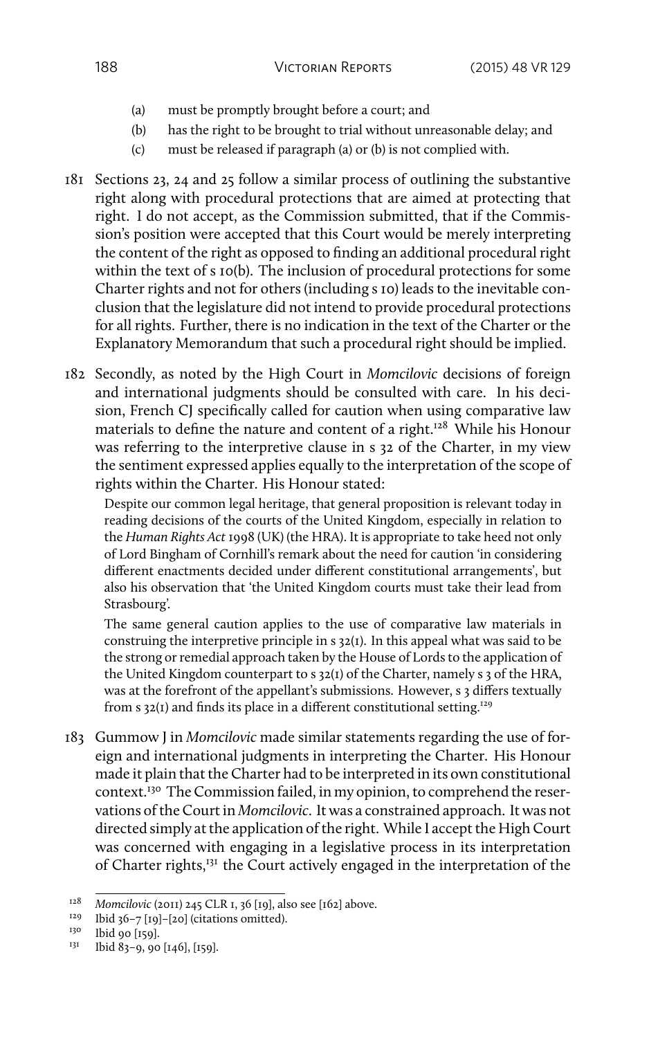- (a) must be promptly brought before a court; and
- (b) has the right to be brought to trial without unreasonable delay; and
- (c) must be released if paragraph (a) or (b) is not complied with.
- 181 Sections 23, 24 and 25 follow a similar process of outlining the substantive right along with procedural protections that are aimed at protecting that right. I do not accept, as the Commission submitted, that if the Commission's position were accepted that this Court would be merely interpreting the content of the right as opposed to finding an additional procedural right within the text of s 10(b). The inclusion of procedural protections for some Charter rights and not for others (including s 10) leads to the inevitable conclusion that the legislature did not intend to provide procedural protections for all rights. Further, there is no indication in the text of the Charter or the Explanatory Memorandum that such a procedural right should be implied.
- 182 Secondly, as noted by the High Court in *Momcilovic* decisions of foreign and international judgments should be consulted with care. In his decision, French CJ specifically called for caution when using comparative law materials to define the nature and content of a right.<sup>128</sup> While his Honour was referring to the interpretive clause in s 32 of the Charter, in my view the sentiment expressed applies equally to the interpretation of the scope of rights within the Charter. His Honour stated:

Despite our common legal heritage, that general proposition is relevant today in reading decisions of the courts of the United Kingdom, especially in relation to the *Human Rights Act* 1998 (UK) (the HRA). It is appropriate to take heed not only of Lord Bingham of Cornhill's remark about the need for caution 'in considering different enactments decided under different constitutional arrangements', but also his observation that 'the United Kingdom courts must take their lead from Strasbourg'.

The same general caution applies to the use of comparative law materials in construing the interpretive principle in s 32(1). In this appeal what was said to be the strong or remedial approach taken by the House of Lords to the application of the United Kingdom counterpart to s 32(1) of the Charter, namely s 3 of the HRA, was at the forefront of the appellant's submissions. However, s 3 differs textually from  $s$  32(1) and finds its place in a different constitutional setting.<sup>129</sup>

183 Gummow J in *Momcilovic* made similar statements regarding the use of foreign and international judgments in interpreting the Charter. His Honour made it plain that the Charter had to be interpreted in its own constitutional context.<sup>130</sup> The Commission failed, in my opinion, to comprehend the reservations of the Court in *Momcilovic*. It was a constrained approach. It was not directed simply at the application of the right. While I accept the High Court was concerned with engaging in a legislative process in its interpretation of Charter rights,<sup>131</sup> the Court actively engaged in the interpretation of the

<sup>&</sup>lt;sup>128</sup> *Momcilovic* (2011) 245 CLR 1, 36 [19], also see [162] above.

<sup>&</sup>lt;sup>129</sup> Ibid 36–7 [19]–[20] (citations omitted).<br><sup>130</sup> Ibid 00 [150]

 $^{130}$  Ibid 90 [159].

Ibid 83-9, 90 [146], [159].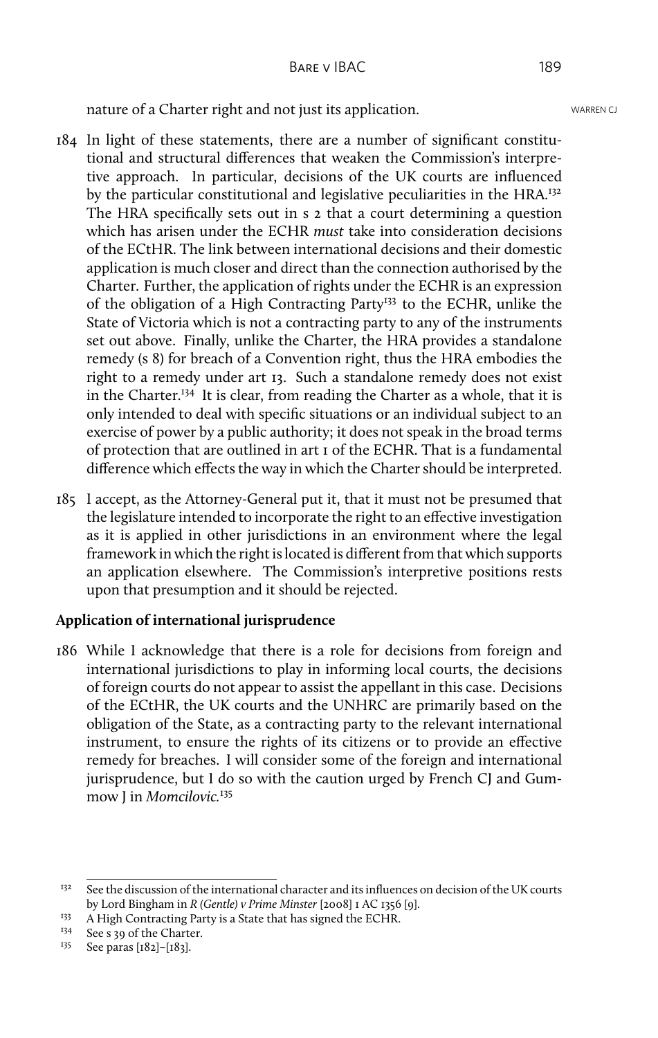nature of a Charter right and not just its application. WARREN CJ

- 184 In light of these statements, there are a number of significant constitutional and structural differences that weaken the Commission's interpretive approach. In particular, decisions of the UK courts are influenced by the particular constitutional and legislative peculiarities in the HRA.<sup>132</sup> The HRA specifically sets out in s 2 that a court determining a question which has arisen under the ECHR *must* take into consideration decisions of the ECtHR. The link between international decisions and their domestic application is much closer and direct than the connection authorised by the Charter. Further, the application of rights under the ECHR is an expression of the obligation of a High Contracting Party<sup>133</sup> to the ECHR, unlike the State of Victoria which is not a contracting party to any of the instruments set out above. Finally, unlike the Charter, the HRA provides a standalone remedy (s 8) for breach of a Convention right, thus the HRA embodies the right to a remedy under art 13. Such a standalone remedy does not exist in the Charter.<sup>134</sup> It is clear, from reading the Charter as a whole, that it is only intended to deal with specific situations or an individual subject to an exercise of power by a public authority; it does not speak in the broad terms of protection that are outlined in art 1 of the ECHR. That is a fundamental difference which effects the way in which the Charter should be interpreted.
- 185 I accept, as the Attorney-General put it, that it must not be presumed that the legislature intended to incorporate the right to an effective investigation as it is applied in other jurisdictions in an environment where the legal framework in which the right is located is different from that which supports an application elsewhere. The Commission's interpretive positions rests upon that presumption and it should be rejected.

## **Application of international jurisprudence**

186 While I acknowledge that there is a role for decisions from foreign and international jurisdictions to play in informing local courts, the decisions of foreign courts do not appear to assist the appellant in this case. Decisions of the ECtHR, the UK courts and the UNHRC are primarily based on the obligation of the State, as a contracting party to the relevant international instrument, to ensure the rights of its citizens or to provide an effective remedy for breaches. I will consider some of the foreign and international jurisprudence, but I do so with the caution urged by French CJ and Gummow J in *Momcilovic.*<sup>135</sup>

<sup>&</sup>lt;sup>132</sup> See the discussion of the international character and its influences on decision of the UK courts by Lord Bingham in *R (Gentle) v Prime Minster* [2008] 1 AC 1356 [9].

<sup>&</sup>lt;sup>133</sup> A High Contracting Party is a State that has signed the ECHR.

<sup>&</sup>lt;sup>134</sup> See s 39 of the Charter.<br><sup>135</sup> See paras [182]-[182]

See paras [182]-[183].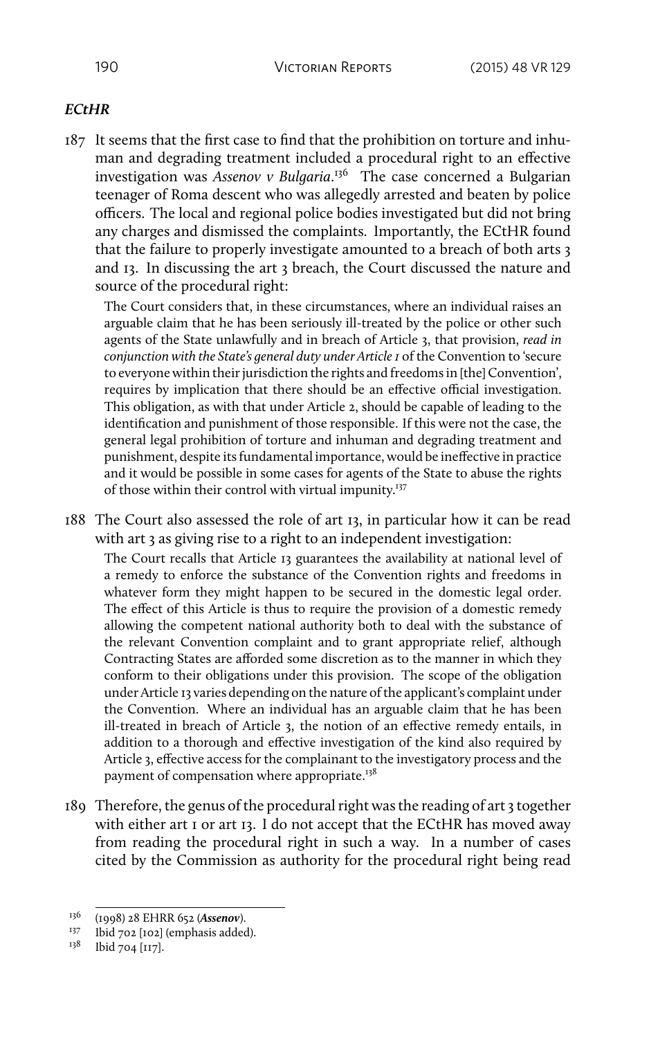### *ECtHR*

187 It seems that the first case to find that the prohibition on torture and inhuman and degrading treatment included a procedural right to an effective investigation was *Assenov v Bulgaria*. <sup>136</sup> The case concerned a Bulgarian teenager of Roma descent who was allegedly arrested and beaten by police officers. The local and regional police bodies investigated but did not bring any charges and dismissed the complaints. Importantly, the ECtHR found that the failure to properly investigate amounted to a breach of both arts 3 and 13. In discussing the art 3 breach, the Court discussed the nature and source of the procedural right:

The Court considers that, in these circumstances, where an individual raises an arguable claim that he has been seriously ill-treated by the police or other such agents of the State unlawfully and in breach of Article 3, that provision, *read in conjunction with the State's general duty under Article 1* of the Convention to 'secure to everyone within their jurisdiction the rights and freedoms in [the] Convention', requires by implication that there should be an effective official investigation. This obligation, as with that under Article 2, should be capable of leading to the identification and punishment of those responsible. If this were not the case, the general legal prohibition of torture and inhuman and degrading treatment and punishment, despite its fundamental importance, would be ineffective in practice and it would be possible in some cases for agents of the State to abuse the rights of those within their control with virtual impunity.<sup>137</sup>

188 The Court also assessed the role of art 13, in particular how it can be read with art 3 as giving rise to a right to an independent investigation:

The Court recalls that Article 13 guarantees the availability at national level of a remedy to enforce the substance of the Convention rights and freedoms in whatever form they might happen to be secured in the domestic legal order. The effect of this Article is thus to require the provision of a domestic remedy allowing the competent national authority both to deal with the substance of the relevant Convention complaint and to grant appropriate relief, although Contracting States are afforded some discretion as to the manner in which they conform to their obligations under this provision. The scope of the obligation under Article 13 varies depending on the nature of the applicant's complaint under the Convention. Where an individual has an arguable claim that he has been ill-treated in breach of Article 3, the notion of an effective remedy entails, in addition to a thorough and effective investigation of the kind also required by Article 3, effective access for the complainant to the investigatory process and the payment of compensation where appropriate.<sup>138</sup>

189 Therefore, the genus of the procedural right was the reading of art 3 together with either art I or art I3. I do not accept that the ECtHR has moved away from reading the procedural right in such a way. In a number of cases cited by the Commission as authority for the procedural right being read

<sup>136</sup> (1998) 28 EHRR 652 (*Assenov*).

<sup>&</sup>lt;sup>137</sup> Ibid 702 [102] (emphasis added).<br><sup>138</sup> Ibid 704 [117]

Ibid 704 [117].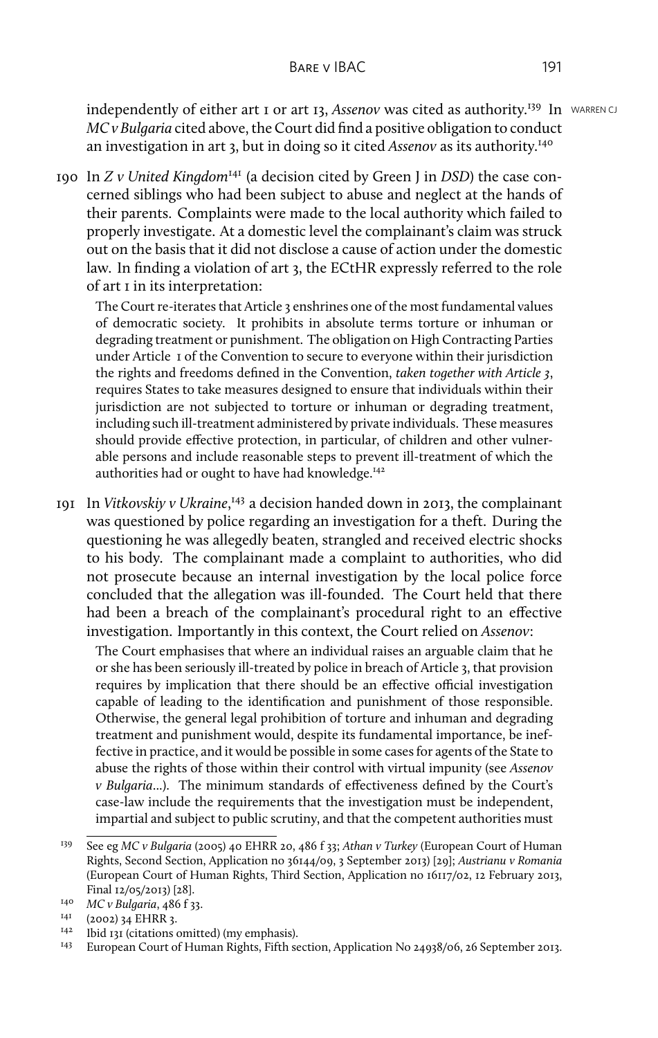independently of either art 1 or art 13, *Assenov* was cited as authority.<sup>139</sup> In WARREN CJ *MC v Bulgaria* cited above, the Court did find a positive obligation to conduct an investigation in art 3, but in doing so it cited *Assenov* as its authority.<sup>140</sup>

190 In *Z v United Kingdom*<sup>141</sup> (a decision cited by Green J in *DSD*) the case concerned siblings who had been subject to abuse and neglect at the hands of their parents. Complaints were made to the local authority which failed to properly investigate. At a domestic level the complainant's claim was struck out on the basis that it did not disclose a cause of action under the domestic law. In finding a violation of art 3, the ECtHR expressly referred to the role of art 1 in its interpretation:

The Court re-iterates that Article 3 enshrines one of the most fundamental values of democratic society. It prohibits in absolute terms torture or inhuman or degrading treatment or punishment. The obligation on High Contracting Parties under Article 1 of the Convention to secure to everyone within their jurisdiction the rights and freedoms defined in the Convention, *taken together with Article 3*, requires States to take measures designed to ensure that individuals within their jurisdiction are not subjected to torture or inhuman or degrading treatment, including such ill-treatment administered by private individuals. These measures should provide effective protection, in particular, of children and other vulnerable persons and include reasonable steps to prevent ill-treatment of which the authorities had or ought to have had knowledge.<sup>142</sup>

191 In *Vitkovskiy v Ukraine*, <sup>143</sup> a decision handed down in 2013, the complainant was questioned by police regarding an investigation for a theft. During the questioning he was allegedly beaten, strangled and received electric shocks to his body. The complainant made a complaint to authorities, who did not prosecute because an internal investigation by the local police force concluded that the allegation was ill-founded. The Court held that there had been a breach of the complainant's procedural right to an effective investigation. Importantly in this context, the Court relied on *Assenov*:

The Court emphasises that where an individual raises an arguable claim that he or she has been seriously ill-treated by police in breach of Article 3, that provision requires by implication that there should be an effective official investigation capable of leading to the identification and punishment of those responsible. Otherwise, the general legal prohibition of torture and inhuman and degrading treatment and punishment would, despite its fundamental importance, be ineffective in practice, and it would be possible in some cases for agents of the State to abuse the rights of those within their control with virtual impunity (see *Assenov v Bulgaria*...). The minimum standards of effectiveness defined by the Court's case-law include the requirements that the investigation must be independent, impartial and subject to public scrutiny, and that the competent authorities must

<sup>139</sup> See eg *MC v Bulgaria* (2005) 40 EHRR 20, 486 f 33; *Athan v Turkey* (European Court of Human Rights, Second Section, Application no 36144/09, 3 September 2013) [29]; *Austrianu v Romania* (European Court of Human Rights, Third Section, Application no 16117/02, 12 February 2013, Final 12/05/2013) [28].

<sup>&</sup>lt;sup>140</sup> *MC v Bulgaria*, 486 f 33.

 $^{141}$  (2002) 34 EHRR 3.<br> $^{142}$  Ibid 121 (citations 6)

Ibid 131 (citations omitted) (my emphasis).

<sup>143</sup> European Court of Human Rights, Fifth section, Application No 24938/06, 26 September 2013.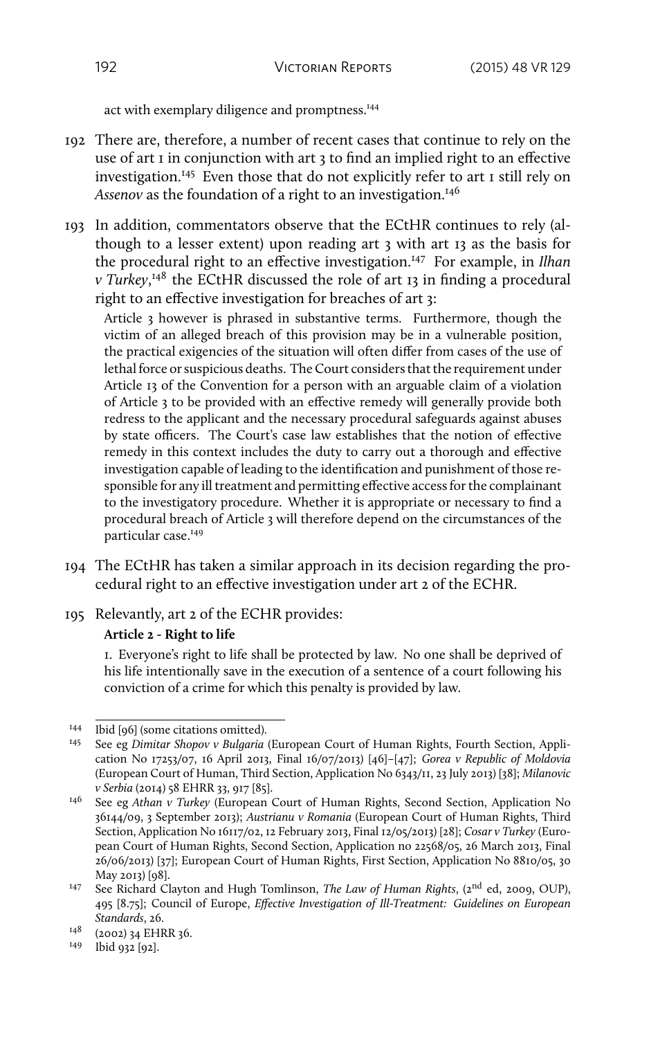act with exemplary diligence and promptness.<sup>144</sup>

- 192 There are, therefore, a number of recent cases that continue to rely on the use of art 1 in conjunction with art 3 to find an implied right to an effective investigation.<sup>145</sup> Even those that do not explicitly refer to art 1 still rely on Assenov as the foundation of a right to an investigation.<sup>146</sup>
- 193 In addition, commentators observe that the ECtHR continues to rely (although to a lesser extent) upon reading art 3 with art 13 as the basis for the procedural right to an effective investigation.<sup>147</sup> For example, in *Ilhan v Turkey*, <sup>148</sup> the ECtHR discussed the role of art 13 in finding a procedural right to an effective investigation for breaches of art 3:

Article 3 however is phrased in substantive terms. Furthermore, though the victim of an alleged breach of this provision may be in a vulnerable position, the practical exigencies of the situation will often differ from cases of the use of lethal force or suspicious deaths. The Court considers that the requirement under Article 13 of the Convention for a person with an arguable claim of a violation of Article 3 to be provided with an effective remedy will generally provide both redress to the applicant and the necessary procedural safeguards against abuses by state officers. The Court's case law establishes that the notion of effective remedy in this context includes the duty to carry out a thorough and effective investigation capable of leading to the identification and punishment of those responsible for any ill treatment and permitting effective access for the complainant to the investigatory procedure. Whether it is appropriate or necessary to find a procedural breach of Article 3 will therefore depend on the circumstances of the particular case.<sup>149</sup>

- 194 The ECtHR has taken a similar approach in its decision regarding the procedural right to an effective investigation under art 2 of the ECHR.
- 195 Relevantly, art 2 of the ECHR provides: **Article 2 - Right to life**

1. Everyone's right to life shall be protected by law. No one shall be deprived of his life intentionally save in the execution of a sentence of a court following his conviction of a crime for which this penalty is provided by law.

<sup>149</sup> Ibid 932 [92].

<sup>144</sup> Ibid [96] (some citations omitted).

<sup>145</sup> See eg *Dimitar Shopov v Bulgaria* (European Court of Human Rights, Fourth Section, Application No 17253/07, 16 April 2013, Final 16/07/2013) [46]–[47]; *Gorea v Republic of Moldovia* (European Court of Human, Third Section, Application No 6343/11, 23 July 2013) [38]; *Milanovic v Serbia* (2014) 58 EHRR 33, 917 [85].

<sup>146</sup> See eg *Athan v Turkey* (European Court of Human Rights, Second Section, Application No 36144/09, 3 September 2013); *Austrianu v Romania* (European Court of Human Rights, Third Section, Application No 16117/02, 12 February 2013, Final 12/05/2013) [28]; *Cosar v Turkey* (European Court of Human Rights, Second Section, Application no 22568/05, 26 March 2013, Final 26/06/2013) [37]; European Court of Human Rights, First Section, Application No 8810/05, 30 May 2013) [98].

<sup>147</sup> See Richard Clayton and Hugh Tomlinson, *The Law of Human Rights*, (2nd ed, 2009, OUP), 495 [8.75]; Council of Europe, *Effective Investigation of Ill-Treatment: Guidelines on European Standards*, 26.

<sup>&</sup>lt;sup>148</sup> (2002) 34 EHRR 36.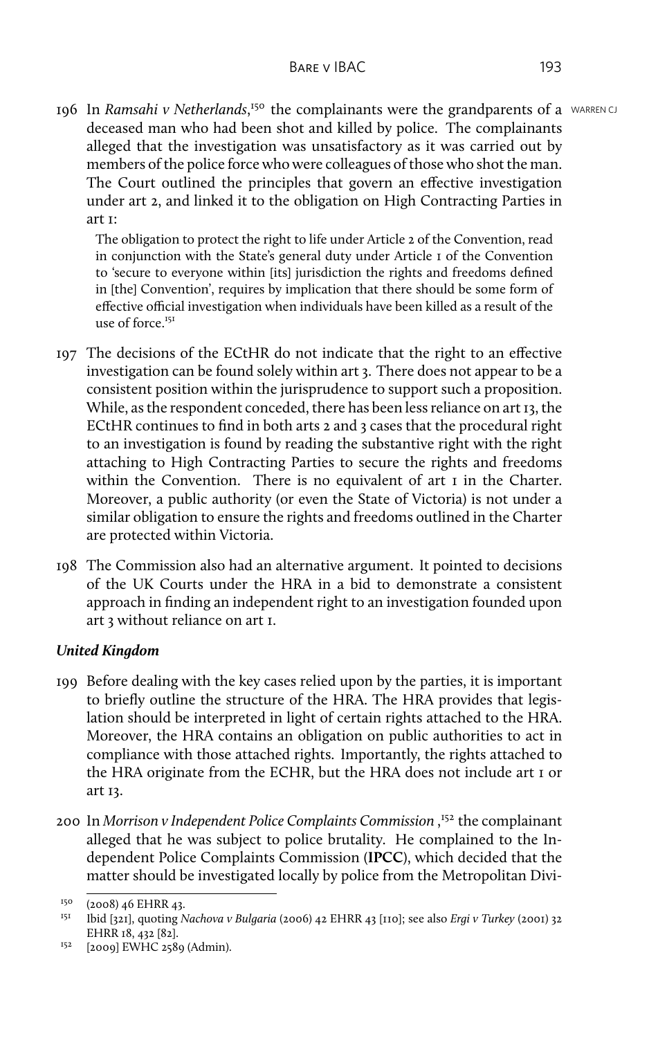196 In *Ramsahi v Netherlands*,<sup>150</sup> the complainants were the grandparents of a WARREN CJ deceased man who had been shot and killed by police. The complainants alleged that the investigation was unsatisfactory as it was carried out by members of the police force who were colleagues of those who shot the man. The Court outlined the principles that govern an effective investigation under art 2, and linked it to the obligation on High Contracting Parties in art 1:

The obligation to protect the right to life under Article 2 of the Convention, read in conjunction with the State's general duty under Article 1 of the Convention to 'secure to everyone within [its] jurisdiction the rights and freedoms defined in [the] Convention', requires by implication that there should be some form of effective official investigation when individuals have been killed as a result of the use of force. $151$ 

- 197 The decisions of the ECtHR do not indicate that the right to an effective investigation can be found solely within art 3. There does not appear to be a consistent position within the jurisprudence to support such a proposition. While, as the respondent conceded, there has been less reliance on art 13, the ECtHR continues to find in both arts 2 and 3 cases that the procedural right to an investigation is found by reading the substantive right with the right attaching to High Contracting Parties to secure the rights and freedoms within the Convention. There is no equivalent of art I in the Charter. Moreover, a public authority (or even the State of Victoria) is not under a similar obligation to ensure the rights and freedoms outlined in the Charter are protected within Victoria.
- 198 The Commission also had an alternative argument. It pointed to decisions of the UK Courts under the HRA in a bid to demonstrate a consistent approach in finding an independent right to an investigation founded upon art 3 without reliance on art 1.

## *United Kingdom*

- 199 Before dealing with the key cases relied upon by the parties, it is important to briefly outline the structure of the HRA. The HRA provides that legislation should be interpreted in light of certain rights attached to the HRA. Moreover, the HRA contains an obligation on public authorities to act in compliance with those attached rights. Importantly, the rights attached to the HRA originate from the ECHR, but the HRA does not include art 1 or art 13.
- 200 In *Morrison v Independent Police Complaints Commission* , <sup>152</sup> the complainant alleged that he was subject to police brutality. He complained to the Independent Police Complaints Commission (**IPCC**), which decided that the matter should be investigated locally by police from the Metropolitan Divi-

 $^{150}$  (2008) 46 EHRR 43.

<sup>151</sup> Ibid [321], quoting *Nachova v Bulgaria* (2006) 42 EHRR 43 [110]; see also *Ergi v Turkey* (2001) 32 EHRR 18, 432 [82].

 $152$  [2009] EWHC 2589 (Admin).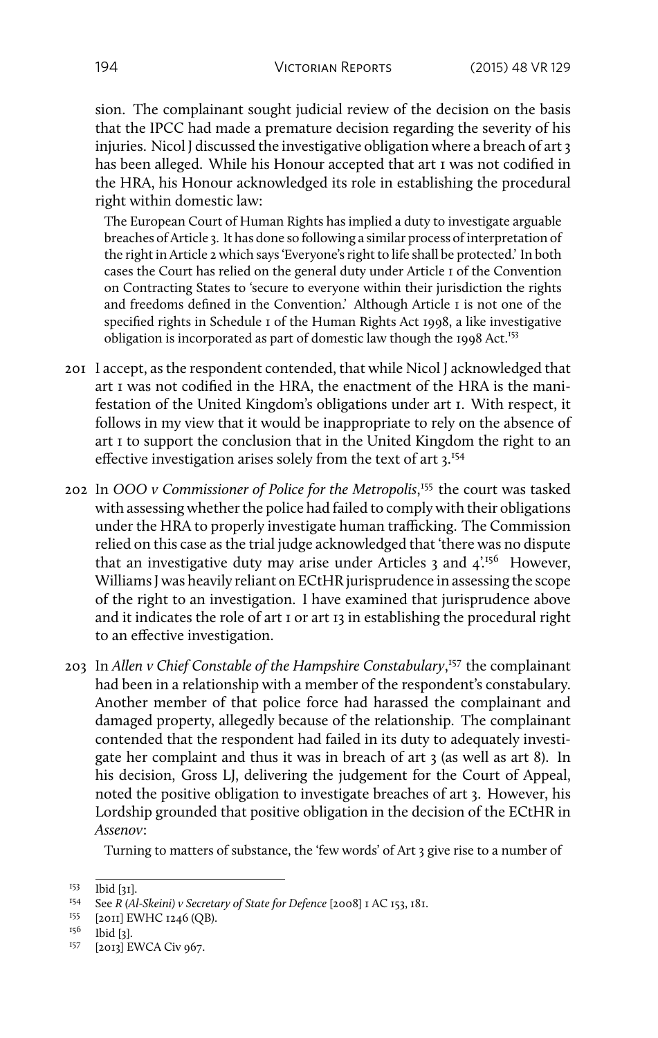sion. The complainant sought judicial review of the decision on the basis that the IPCC had made a premature decision regarding the severity of his injuries. Nicol J discussed the investigative obligation where a breach of art 3 has been alleged. While his Honour accepted that art 1 was not codified in the HRA, his Honour acknowledged its role in establishing the procedural right within domestic law:

The European Court of Human Rights has implied a duty to investigate arguable breaches of Article 3. It has done so following a similar process of interpretation of the right in Article 2 which says 'Everyone's right to life shall be protected.' In both cases the Court has relied on the general duty under Article 1 of the Convention on Contracting States to 'secure to everyone within their jurisdiction the rights and freedoms defined in the Convention.' Although Article 1 is not one of the specified rights in Schedule 1 of the Human Rights Act 1998, a like investigative obligation is incorporated as part of domestic law though the 1998 Act.<sup>153</sup>

- 201 I accept, as the respondent contended, that while Nicol J acknowledged that art 1 was not codified in the HRA, the enactment of the HRA is the manifestation of the United Kingdom's obligations under art 1. With respect, it follows in my view that it would be inappropriate to rely on the absence of art 1 to support the conclusion that in the United Kingdom the right to an effective investigation arises solely from the text of art 3.<sup>154</sup>
- 202 In *OOO v Commissioner of Police for the Metropolis*, <sup>155</sup> the court was tasked with assessing whether the police had failed to comply with their obligations under the HRA to properly investigate human trafficking. The Commission relied on this case as the trial judge acknowledged that 'there was no dispute that an investigative duty may arise under Articles 3 and  $4^{156}$  However, Williams J was heavily reliant on ECtHR jurisprudence in assessing the scope of the right to an investigation. I have examined that jurisprudence above and it indicates the role of art 1 or art 13 in establishing the procedural right to an effective investigation.
- 203 In *Allen v Chief Constable of the Hampshire Constabulary*, <sup>157</sup> the complainant had been in a relationship with a member of the respondent's constabulary. Another member of that police force had harassed the complainant and damaged property, allegedly because of the relationship. The complainant contended that the respondent had failed in its duty to adequately investigate her complaint and thus it was in breach of art 3 (as well as art 8). In his decision, Gross LJ, delivering the judgement for the Court of Appeal, noted the positive obligation to investigate breaches of art 3. However, his Lordship grounded that positive obligation in the decision of the ECtHR in *Assenov*:

Turning to matters of substance, the 'few words' of Art 3 give rise to a number of

 $153$  Ibid [31].<br> $154$  See R (A)

See *R* (Al-Skeini) v Secretary of State for Defence [2008] I AC 153, 181.

<sup>&</sup>lt;sup>155</sup> [2011] EWHC 1246 (QB).<br><sup>156</sup> Ibid [2]

<sup>156</sup> Ibid [3].

<sup>157</sup> [2013] EWCA Civ 967.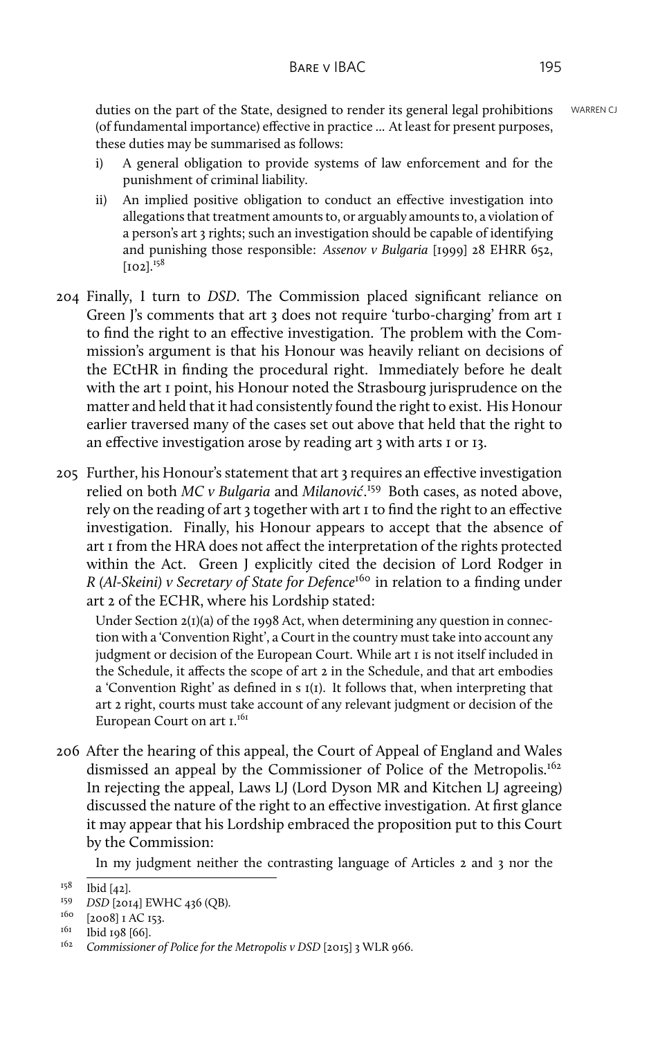duties on the part of the State, designed to render its general legal prohibitions WARREN CJ (of fundamental importance) effective in practice ... At least for present purposes, these duties may be summarised as follows:

- i) A general obligation to provide systems of law enforcement and for the punishment of criminal liability.
- ii) An implied positive obligation to conduct an effective investigation into allegations that treatment amounts to, or arguably amounts to, a violation of a person's art 3 rights; such an investigation should be capable of identifying and punishing those responsible: *Assenov v Bulgaria* [1999] 28 EHRR 652,  $[102]$ <sup> $158$ </sup>
- 204 Finally, I turn to *DSD*. The Commission placed significant reliance on Green J's comments that art 3 does not require 'turbo-charging' from art 1 to find the right to an effective investigation. The problem with the Commission's argument is that his Honour was heavily reliant on decisions of the ECtHR in finding the procedural right. Immediately before he dealt with the art 1 point, his Honour noted the Strasbourg jurisprudence on the matter and held that it had consistently found the right to exist. His Honour earlier traversed many of the cases set out above that held that the right to an effective investigation arose by reading art 3 with arts 1 or 13.
- 205 Further, his Honour's statement that art 3 requires an effective investigation relied on both *MC v Bulgaria* and *Milanović*. <sup>159</sup> Both cases, as noted above, rely on the reading of art 3 together with art 1 to find the right to an effective investigation. Finally, his Honour appears to accept that the absence of art 1 from the HRA does not affect the interpretation of the rights protected within the Act. Green J explicitly cited the decision of Lord Rodger in *R (Al-Skeini) v Secretary of State for Defence*<sup>160</sup> in relation to a finding under art 2 of the ECHR, where his Lordship stated:

Under Section 2(1)(a) of the 1998 Act, when determining any question in connection with a 'Convention Right', a Court in the country must take into account any judgment or decision of the European Court. While art 1 is not itself included in the Schedule, it affects the scope of art 2 in the Schedule, and that art embodies a 'Convention Right' as defined in s 1(1). It follows that, when interpreting that art 2 right, courts must take account of any relevant judgment or decision of the European Court on art I.<sup>161</sup>

206 After the hearing of this appeal, the Court of Appeal of England and Wales dismissed an appeal by the Commissioner of Police of the Metropolis.<sup>162</sup> In rejecting the appeal, Laws LJ (Lord Dyson MR and Kitchen LJ agreeing) discussed the nature of the right to an effective investigation. At first glance it may appear that his Lordship embraced the proposition put to this Court by the Commission:

In my judgment neither the contrasting language of Articles 2 and 3 nor the

 $158$  Ibid [42].

<sup>159</sup> *DSD* [2014] EWHC 436 (QB).

 $160$  [2008] I AC 153.

<sup>&</sup>lt;sup>161</sup> Ibid 198 [66].

<sup>&</sup>lt;sup>162</sup> Commissioner of Police for the Metropolis v DSD [2015] 3 WLR 966.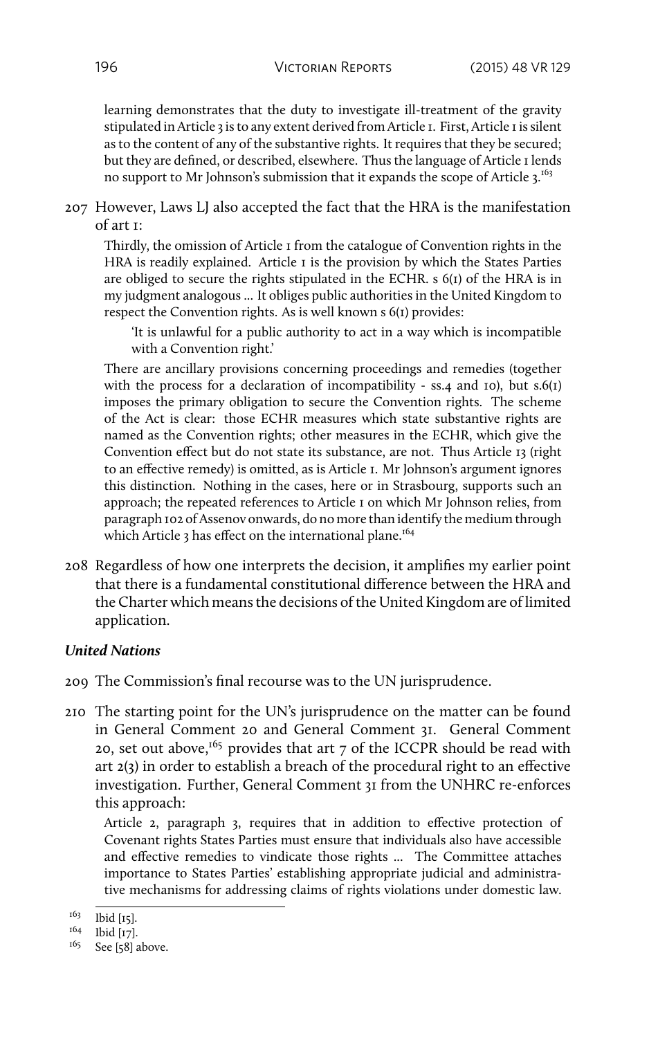learning demonstrates that the duty to investigate ill-treatment of the gravity stipulated in Article 3 is to any extent derived from Article 1. First, Article 1 is silent as to the content of any of the substantive rights. It requires that they be secured; but they are defined, or described, elsewhere. Thus the language of Article 1 lends no support to Mr Johnson's submission that it expands the scope of Article 3.<sup>163</sup>

207 However, Laws LJ also accepted the fact that the HRA is the manifestation of art 1:

Thirdly, the omission of Article 1 from the catalogue of Convention rights in the HRA is readily explained. Article I is the provision by which the States Parties are obliged to secure the rights stipulated in the ECHR. s 6(1) of the HRA is in my judgment analogous ... It obliges public authorities in the United Kingdom to respect the Convention rights. As is well known s 6(1) provides:

'It is unlawful for a public authority to act in a way which is incompatible with a Convention right.'

There are ancillary provisions concerning proceedings and remedies (together with the process for a declaration of incompatibility - ss.4 and 10), but  $s.6(t)$ imposes the primary obligation to secure the Convention rights. The scheme of the Act is clear: those ECHR measures which state substantive rights are named as the Convention rights; other measures in the ECHR, which give the Convention effect but do not state its substance, are not. Thus Article 13 (right to an effective remedy) is omitted, as is Article 1. Mr Johnson's argument ignores this distinction. Nothing in the cases, here or in Strasbourg, supports such an approach; the repeated references to Article 1 on which Mr Johnson relies, from paragraph 102 of Assenov onwards, do no more than identify the medium through which Article 3 has effect on the international plane.<sup>164</sup>

208 Regardless of how one interprets the decision, it amplifies my earlier point that there is a fundamental constitutional difference between the HRA and the Charter which means the decisions of the United Kingdom are of limited application.

#### *United Nations*

- 209 The Commission's final recourse was to the UN jurisprudence.
- 210 The starting point for the UN's jurisprudence on the matter can be found in General Comment 20 and General Comment 31. General Comment 20, set out above,<sup>165</sup> provides that art 7 of the ICCPR should be read with art 2(3) in order to establish a breach of the procedural right to an effective investigation. Further, General Comment 31 from the UNHRC re-enforces this approach:

Article 2, paragraph 3, requires that in addition to effective protection of Covenant rights States Parties must ensure that individuals also have accessible and effective remedies to vindicate those rights ... The Committee attaches importance to States Parties' establishing appropriate judicial and administrative mechanisms for addressing claims of rights violations under domestic law.

 $163$  Ibid [15].

<sup>164</sup> Ibid [17].

 $165$  See [58] above.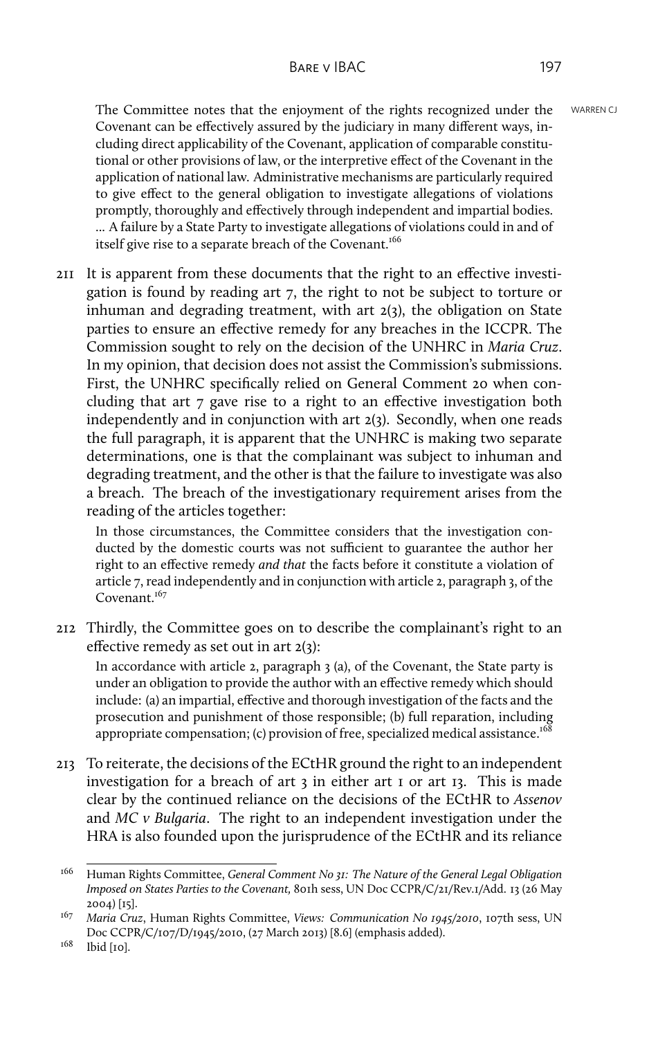The Committee notes that the enjoyment of the rights recognized under the WARREN CJ Covenant can be effectively assured by the judiciary in many different ways, including direct applicability of the Covenant, application of comparable constitutional or other provisions of law, or the interpretive effect of the Covenant in the application of national law. Administrative mechanisms are particularly required to give effect to the general obligation to investigate allegations of violations promptly, thoroughly and effectively through independent and impartial bodies. ... A failure by a State Party to investigate allegations of violations could in and of itself give rise to a separate breach of the Covenant.<sup>166</sup>

211 It is apparent from these documents that the right to an effective investigation is found by reading art 7, the right to not be subject to torture or inhuman and degrading treatment, with art 2(3), the obligation on State parties to ensure an effective remedy for any breaches in the ICCPR. The Commission sought to rely on the decision of the UNHRC in *Maria Cruz*. In my opinion, that decision does not assist the Commission's submissions. First, the UNHRC specifically relied on General Comment 20 when concluding that art 7 gave rise to a right to an effective investigation both independently and in conjunction with art 2(3). Secondly, when one reads the full paragraph, it is apparent that the UNHRC is making two separate determinations, one is that the complainant was subject to inhuman and degrading treatment, and the other is that the failure to investigate was also a breach. The breach of the investigationary requirement arises from the reading of the articles together:

In those circumstances, the Committee considers that the investigation conducted by the domestic courts was not sufficient to guarantee the author her right to an effective remedy *and that* the facts before it constitute a violation of article 7, read independently and in conjunction with article 2, paragraph 3, of the Covenant.<sup>167</sup>

212 Thirdly, the Committee goes on to describe the complainant's right to an effective remedy as set out in art 2(3):

In accordance with article 2, paragraph 3 (a), of the Covenant, the State party is under an obligation to provide the author with an effective remedy which should include: (a) an impartial, effective and thorough investigation of the facts and the prosecution and punishment of those responsible; (b) full reparation, including appropriate compensation; (c) provision of free, specialized medical assistance.<sup>168</sup>

213 To reiterate, the decisions of the ECtHR ground the right to an independent investigation for a breach of art 3 in either art 1 or art 13. This is made clear by the continued reliance on the decisions of the ECtHR to *Assenov* and *MC v Bulgaria*. The right to an independent investigation under the HRA is also founded upon the jurisprudence of the ECtHR and its reliance

<sup>166</sup> Human Rights Committee, *General Comment No 31: The Nature of the General Legal Obligation Imposed on States Parties to the Covenant,* 801h sess, UN Doc CCPR/C/21/Rev.1/Add. 13 (26 May 2004) [15].

<sup>167</sup> *Maria Cruz*, Human Rights Committee, *Views: Communication No 1945/2010*, 107th sess, UN Doc CCPR/C/107/D/1945/2010, (27 March 2013) [8.6] (emphasis added).

<sup>&</sup>lt;sup>168</sup> Ibid [10].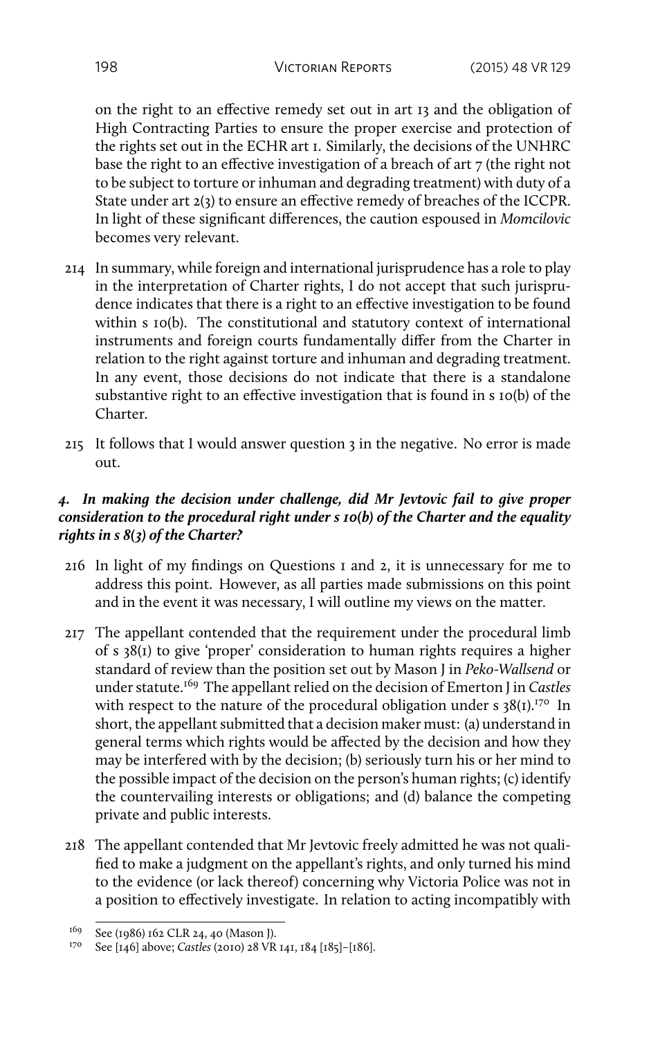on the right to an effective remedy set out in art 13 and the obligation of High Contracting Parties to ensure the proper exercise and protection of the rights set out in the ECHR art 1. Similarly, the decisions of the UNHRC base the right to an effective investigation of a breach of art 7 (the right not to be subject to torture or inhuman and degrading treatment) with duty of a State under art 2(3) to ensure an effective remedy of breaches of the ICCPR. In light of these significant differences, the caution espoused in *Momcilovic* becomes very relevant.

- 214 In summary, while foreign and international jurisprudence has a role to play in the interpretation of Charter rights, I do not accept that such jurisprudence indicates that there is a right to an effective investigation to be found within s 10(b). The constitutional and statutory context of international instruments and foreign courts fundamentally differ from the Charter in relation to the right against torture and inhuman and degrading treatment. In any event, those decisions do not indicate that there is a standalone substantive right to an effective investigation that is found in s 10(b) of the Charter.
- 215 It follows that I would answer question 3 in the negative. No error is made out.

# *4. In making the decision under challenge, did Mr Jevtovic fail to give proper consideration to the procedural right under s 10(b) of the Charter and the equality rights in s 8(3) of the Charter?*

- 216 In light of my findings on Questions 1 and 2, it is unnecessary for me to address this point. However, as all parties made submissions on this point and in the event it was necessary, I will outline my views on the matter.
- 217 The appellant contended that the requirement under the procedural limb of s 38(1) to give 'proper' consideration to human rights requires a higher standard of review than the position set out by Mason J in *Peko-Wallsend* or under statute.<sup>169</sup> The appellant relied on the decision of Emerton J in *Castles* with respect to the nature of the procedural obligation under s  $38(I).^{170}$  In short, the appellant submitted that a decision maker must: (a) understand in general terms which rights would be affected by the decision and how they may be interfered with by the decision; (b) seriously turn his or her mind to the possible impact of the decision on the person's human rights; (c) identify the countervailing interests or obligations; and (d) balance the competing private and public interests.
- 218 The appellant contended that Mr Jevtovic freely admitted he was not qualified to make a judgment on the appellant's rights, and only turned his mind to the evidence (or lack thereof) concerning why Victoria Police was not in a position to effectively investigate. In relation to acting incompatibly with

<sup>169</sup> See (1986) 162 CLR 24, 40 (Mason J).

<sup>170</sup> See [146] above; *Castles* (2010) 28 VR 141, 184 [185]–[186].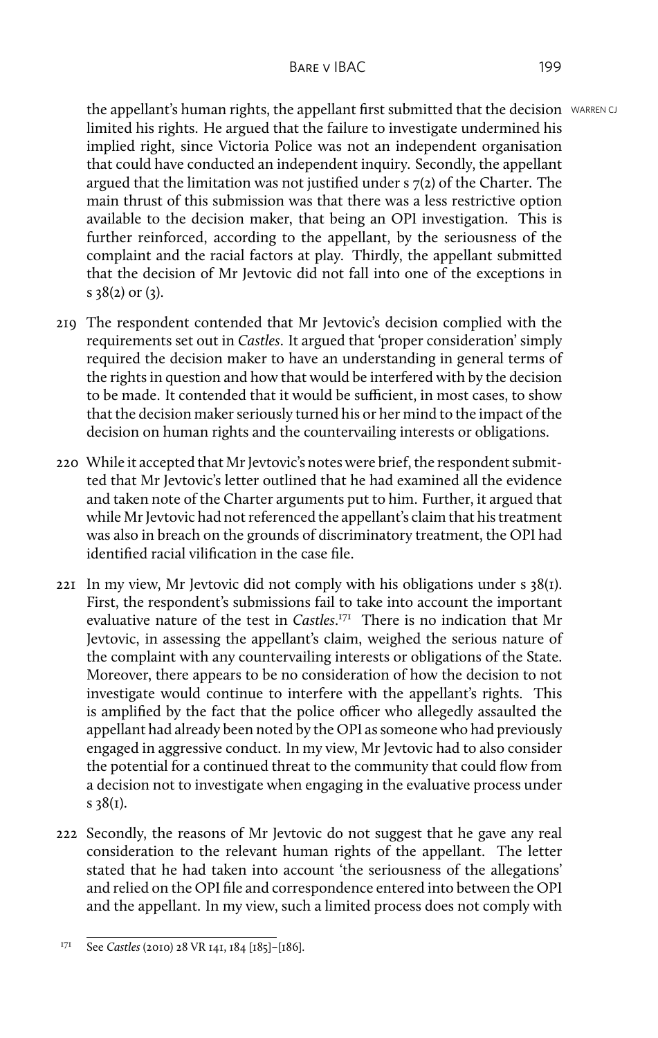the appellant's human rights, the appellant first submitted that the decision WARREN CJ limited his rights. He argued that the failure to investigate undermined his implied right, since Victoria Police was not an independent organisation that could have conducted an independent inquiry. Secondly, the appellant argued that the limitation was not justified under s 7(2) of the Charter. The main thrust of this submission was that there was a less restrictive option available to the decision maker, that being an OPI investigation. This is further reinforced, according to the appellant, by the seriousness of the complaint and the racial factors at play. Thirdly, the appellant submitted that the decision of Mr Jevtovic did not fall into one of the exceptions in s 38(2) or (3).

- 219 The respondent contended that Mr Jevtovic's decision complied with the requirements set out in *Castles*. It argued that 'proper consideration' simply required the decision maker to have an understanding in general terms of the rights in question and how that would be interfered with by the decision to be made. It contended that it would be sufficient, in most cases, to show that the decision maker seriously turned his or her mind to the impact of the decision on human rights and the countervailing interests or obligations.
- 220 While it accepted that Mr Jevtovic's notes were brief, the respondent submitted that Mr Jevtovic's letter outlined that he had examined all the evidence and taken note of the Charter arguments put to him. Further, it argued that while Mr Jevtovic had not referenced the appellant's claim that his treatment was also in breach on the grounds of discriminatory treatment, the OPI had identified racial vilification in the case file.
- 221 In my view, Mr Jevtovic did not comply with his obligations under s 38(1). First, the respondent's submissions fail to take into account the important evaluative nature of the test in *Castles*. <sup>171</sup> There is no indication that Mr Jevtovic, in assessing the appellant's claim, weighed the serious nature of the complaint with any countervailing interests or obligations of the State. Moreover, there appears to be no consideration of how the decision to not investigate would continue to interfere with the appellant's rights. This is amplified by the fact that the police officer who allegedly assaulted the appellant had already been noted by the OPI as someone who had previously engaged in aggressive conduct. In my view, Mr Jevtovic had to also consider the potential for a continued threat to the community that could flow from a decision not to investigate when engaging in the evaluative process under s 38(1).
- 222 Secondly, the reasons of Mr Jevtovic do not suggest that he gave any real consideration to the relevant human rights of the appellant. The letter stated that he had taken into account 'the seriousness of the allegations' and relied on the OPI file and correspondence entered into between the OPI and the appellant. In my view, such a limited process does not comply with

<sup>171</sup> See *Castles* (2010) 28 VR 141, 184 [185]–[186].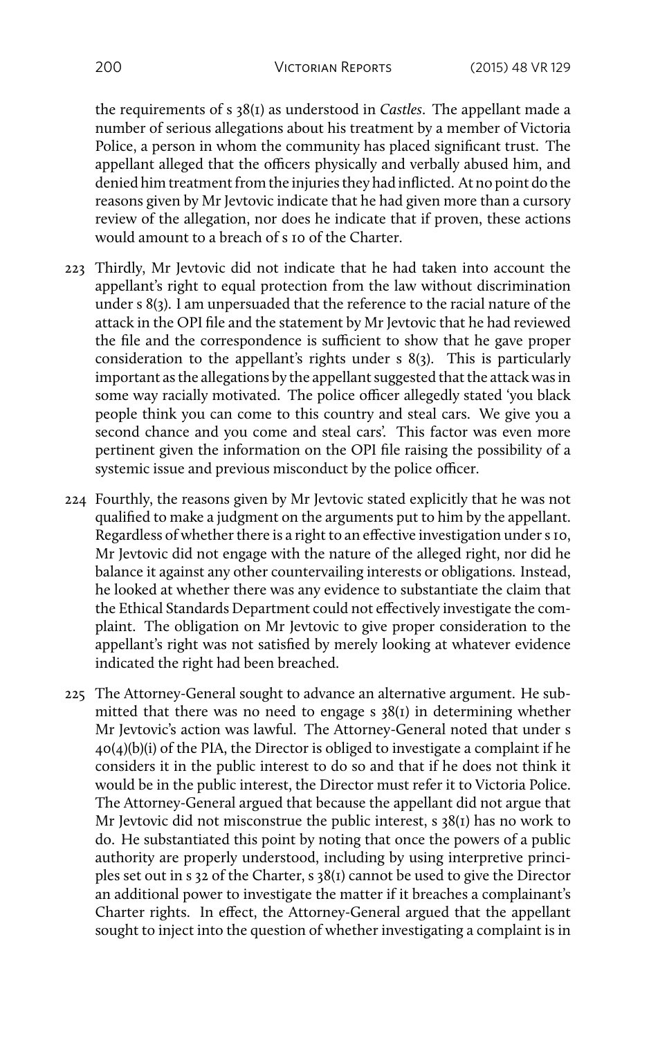the requirements of s 38(1) as understood in *Castles*. The appellant made a number of serious allegations about his treatment by a member of Victoria Police, a person in whom the community has placed significant trust. The appellant alleged that the officers physically and verbally abused him, and denied him treatment from the injuries they had inflicted. At no point do the reasons given by Mr Jevtovic indicate that he had given more than a cursory review of the allegation, nor does he indicate that if proven, these actions would amount to a breach of s 10 of the Charter.

- 223 Thirdly, Mr Jevtovic did not indicate that he had taken into account the appellant's right to equal protection from the law without discrimination under s 8(3). I am unpersuaded that the reference to the racial nature of the attack in the OPI file and the statement by Mr Jevtovic that he had reviewed the file and the correspondence is sufficient to show that he gave proper consideration to the appellant's rights under s 8(3). This is particularly important as the allegations by the appellant suggested that the attack was in some way racially motivated. The police officer allegedly stated 'you black people think you can come to this country and steal cars. We give you a second chance and you come and steal cars'. This factor was even more pertinent given the information on the OPI file raising the possibility of a systemic issue and previous misconduct by the police officer.
- 224 Fourthly, the reasons given by Mr Jevtovic stated explicitly that he was not qualified to make a judgment on the arguments put to him by the appellant. Regardless of whether there is a right to an effective investigation under s 10, Mr Jevtovic did not engage with the nature of the alleged right, nor did he balance it against any other countervailing interests or obligations. Instead, he looked at whether there was any evidence to substantiate the claim that the Ethical Standards Department could not effectively investigate the complaint. The obligation on Mr Jevtovic to give proper consideration to the appellant's right was not satisfied by merely looking at whatever evidence indicated the right had been breached.
- 225 The Attorney-General sought to advance an alternative argument. He submitted that there was no need to engage s 38(1) in determining whether Mr Jevtovic's action was lawful. The Attorney-General noted that under s 40(4)(b)(i) of the PIA, the Director is obliged to investigate a complaint if he considers it in the public interest to do so and that if he does not think it would be in the public interest, the Director must refer it to Victoria Police. The Attorney-General argued that because the appellant did not argue that Mr Jevtovic did not misconstrue the public interest,  $s$  38(1) has no work to do. He substantiated this point by noting that once the powers of a public authority are properly understood, including by using interpretive principles set out in s 32 of the Charter, s 38(1) cannot be used to give the Director an additional power to investigate the matter if it breaches a complainant's Charter rights. In effect, the Attorney-General argued that the appellant sought to inject into the question of whether investigating a complaint is in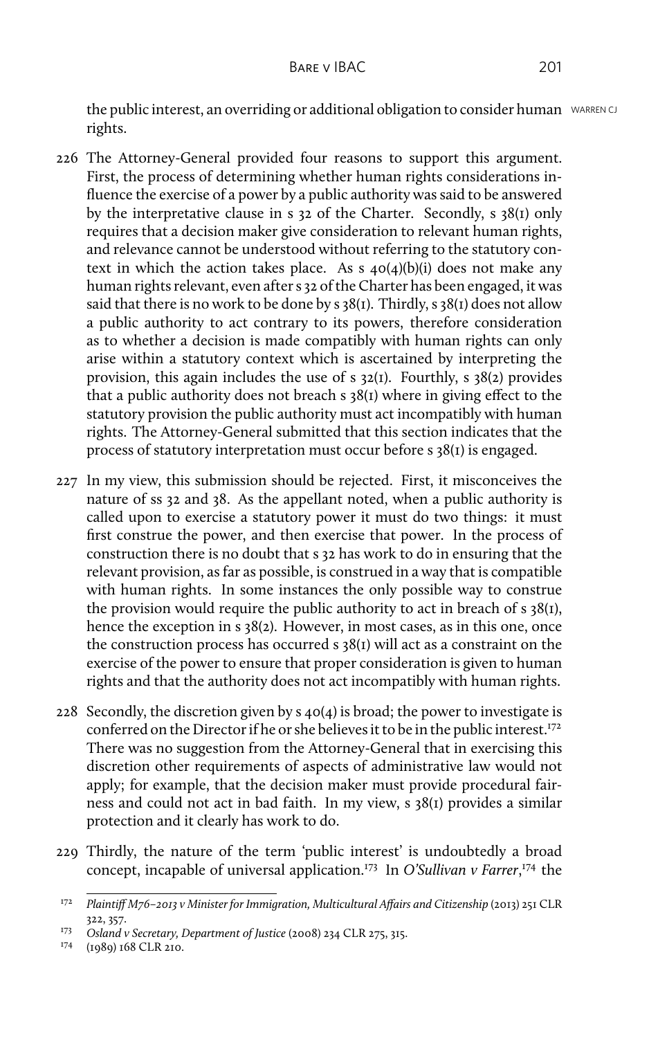the public interest, an overriding or additional obligation to consider human WARREN CJ rights.

- 226 The Attorney-General provided four reasons to support this argument. First, the process of determining whether human rights considerations influence the exercise of a power by a public authority was said to be answered by the interpretative clause in s 32 of the Charter. Secondly, s 38(1) only requires that a decision maker give consideration to relevant human rights, and relevance cannot be understood without referring to the statutory context in which the action takes place. As s  $40(4)(b)(i)$  does not make any human rights relevant, even after s 32 of the Charter has been engaged, it was said that there is no work to be done by  $s$  38(1). Thirdly,  $s$  38(1) does not allow a public authority to act contrary to its powers, therefore consideration as to whether a decision is made compatibly with human rights can only arise within a statutory context which is ascertained by interpreting the provision, this again includes the use of s 32(1). Fourthly, s 38(2) provides that a public authority does not breach s 38(1) where in giving effect to the statutory provision the public authority must act incompatibly with human rights. The Attorney-General submitted that this section indicates that the process of statutory interpretation must occur before s 38(1) is engaged.
- 227 In my view, this submission should be rejected. First, it misconceives the nature of ss 32 and 38. As the appellant noted, when a public authority is called upon to exercise a statutory power it must do two things: it must first construe the power, and then exercise that power. In the process of construction there is no doubt that s 32 has work to do in ensuring that the relevant provision, as far as possible, is construed in a way that is compatible with human rights. In some instances the only possible way to construe the provision would require the public authority to act in breach of  $s$  38(1), hence the exception in s 38(2). However, in most cases, as in this one, once the construction process has occurred s 38(1) will act as a constraint on the exercise of the power to ensure that proper consideration is given to human rights and that the authority does not act incompatibly with human rights.
- 228 Secondly, the discretion given by  $s$  40(4) is broad; the power to investigate is conferred on the Director if he or she believes it to be in the public interest.<sup>172</sup> There was no suggestion from the Attorney-General that in exercising this discretion other requirements of aspects of administrative law would not apply; for example, that the decision maker must provide procedural fairness and could not act in bad faith. In my view, s 38(1) provides a similar protection and it clearly has work to do.
- 229 Thirdly, the nature of the term 'public interest' is undoubtedly a broad concept, incapable of universal application.<sup>173</sup> In *O'Sullivan v Farrer*, <sup>174</sup> the

<sup>172</sup> *Plaintiff M76–2013 v Minister for Immigration, Multicultural Affairs and Citizenship* (2013) 251 CLR 322, 357.

<sup>173</sup> *Osland v Secretary, Department of Justice* (2008) 234 CLR 275, 315.

<sup>174</sup> (1989) 168 CLR 210.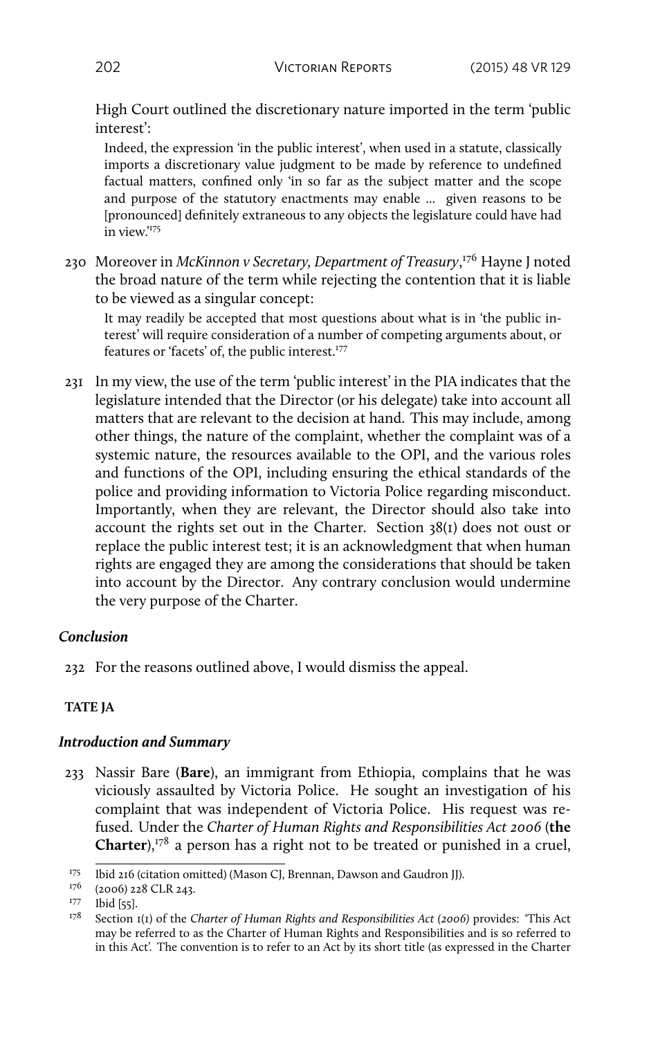High Court outlined the discretionary nature imported in the term 'public interest':

Indeed, the expression 'in the public interest', when used in a statute, classically imports a discretionary value judgment to be made by reference to undefined factual matters, confined only 'in so far as the subject matter and the scope and purpose of the statutory enactments may enable ... given reasons to be [pronounced] definitely extraneous to any objects the legislature could have had in view.'<sup>175</sup>

230 Moreover in *McKinnon v Secretary, Department of Treasury*, <sup>176</sup> Hayne J noted the broad nature of the term while rejecting the contention that it is liable to be viewed as a singular concept:

It may readily be accepted that most questions about what is in 'the public interest' will require consideration of a number of competing arguments about, or features or 'facets' of, the public interest.<sup>177</sup>

231 In my view, the use of the term 'public interest' in the PIA indicates that the legislature intended that the Director (or his delegate) take into account all matters that are relevant to the decision at hand. This may include, among other things, the nature of the complaint, whether the complaint was of a systemic nature, the resources available to the OPI, and the various roles and functions of the OPI, including ensuring the ethical standards of the police and providing information to Victoria Police regarding misconduct. Importantly, when they are relevant, the Director should also take into account the rights set out in the Charter. Section 38(1) does not oust or replace the public interest test; it is an acknowledgment that when human rights are engaged they are among the considerations that should be taken into account by the Director. Any contrary conclusion would undermine the very purpose of the Charter.

### *Conclusion*

232 For the reasons outlined above, I would dismiss the appeal.

### **TATE JA**

#### *Introduction and Summary*

233 Nassir Bare (**Bare**), an immigrant from Ethiopia, complains that he was viciously assaulted by Victoria Police. He sought an investigation of his complaint that was independent of Victoria Police. His request was refused. Under the *Charter of Human Rights and Responsibilities Act 2006* (**the** Charter),<sup>178</sup> a person has a right not to be treated or punished in a cruel,

<sup>175</sup> Ibid 216 (citation omitted) (Mason CJ, Brennan, Dawson and Gaudron JJ).

<sup>176 (2006) 228</sup> CLR 243.

<sup>&</sup>lt;sup>177</sup> Ibid [55].

<sup>178</sup> Section 1(1) of the *Charter of Human Rights and Responsibilities Act (2006)* provides: 'This Act may be referred to as the Charter of Human Rights and Responsibilities and is so referred to in this Act'. The convention is to refer to an Act by its short title (as expressed in the Charter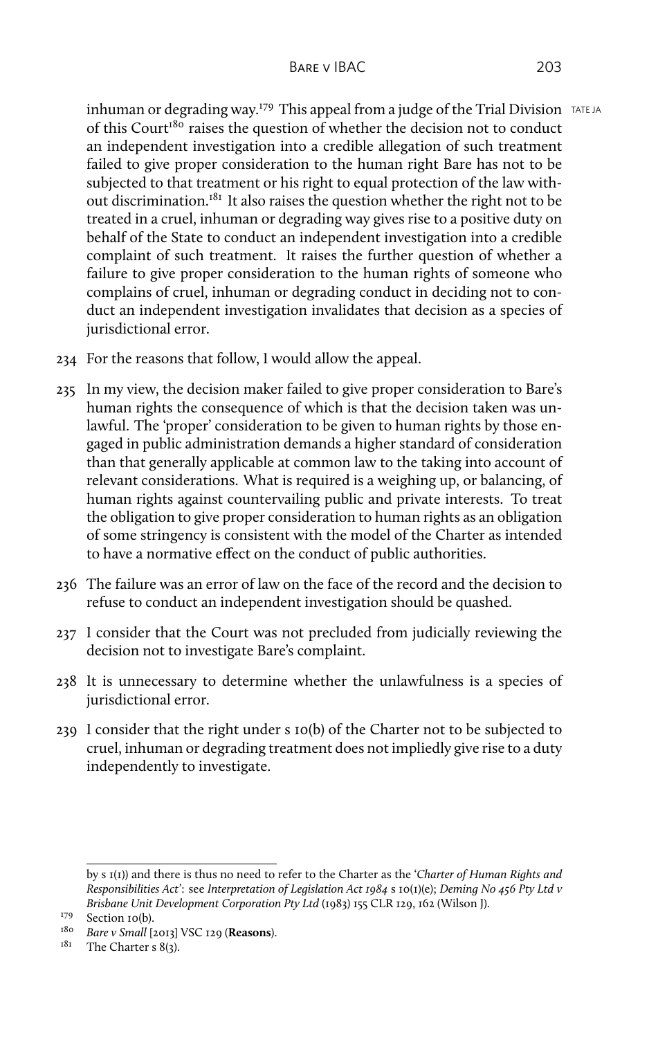inhuman or degrading way.<sup> $179$ </sup> This appeal from a judge of the Trial Division  $TATEJA$ of this Court<sup>180</sup> raises the question of whether the decision not to conduct an independent investigation into a credible allegation of such treatment failed to give proper consideration to the human right Bare has not to be subjected to that treatment or his right to equal protection of the law without discrimination.<sup>181</sup> It also raises the question whether the right not to be treated in a cruel, inhuman or degrading way gives rise to a positive duty on behalf of the State to conduct an independent investigation into a credible complaint of such treatment. It raises the further question of whether a failure to give proper consideration to the human rights of someone who complains of cruel, inhuman or degrading conduct in deciding not to conduct an independent investigation invalidates that decision as a species of jurisdictional error.

- 234 For the reasons that follow, I would allow the appeal.
- 235 In my view, the decision maker failed to give proper consideration to Bare's human rights the consequence of which is that the decision taken was unlawful. The 'proper' consideration to be given to human rights by those engaged in public administration demands a higher standard of consideration than that generally applicable at common law to the taking into account of relevant considerations. What is required is a weighing up, or balancing, of human rights against countervailing public and private interests. To treat the obligation to give proper consideration to human rights as an obligation of some stringency is consistent with the model of the Charter as intended to have a normative effect on the conduct of public authorities.
- 236 The failure was an error of law on the face of the record and the decision to refuse to conduct an independent investigation should be quashed.
- 237 I consider that the Court was not precluded from judicially reviewing the decision not to investigate Bare's complaint.
- 238 It is unnecessary to determine whether the unlawfulness is a species of jurisdictional error.
- 239 I consider that the right under s 10(b) of the Charter not to be subjected to cruel, inhuman or degrading treatment does not impliedly give rise to a duty independently to investigate.

by s 1(1)) and there is thus no need to refer to the Charter as the '*Charter of Human Rights and Responsibilities Act'*: see *Interpretation of Legislation Act 1984* s 10(1)(e); *Deming No 456 Pty Ltd v Brisbane Unit Development Corporation Pty Ltd* (1983) 155 CLR 129, 162 (Wilson J).

<sup>&</sup>lt;sup>179</sup> Section 10(b).

<sup>180</sup> *Bare v Small* [2013] VSC 129 (**Reasons**).

 $181$  The Charter s 8(3).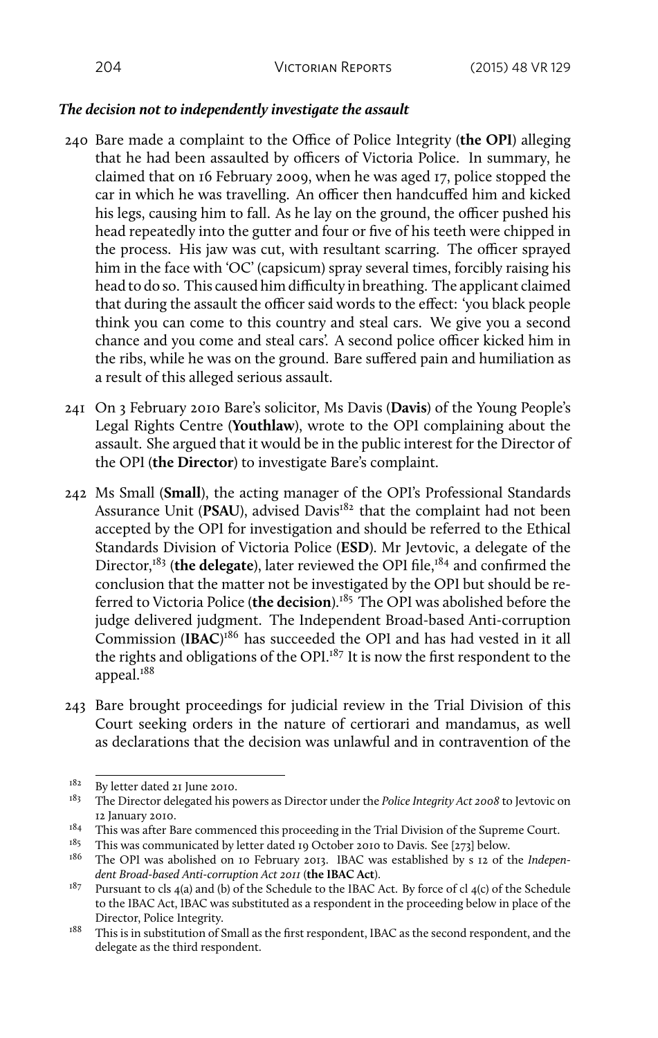#### *The decision not to independently investigate the assault*

- 240 Bare made a complaint to the Office of Police Integrity (**the OPI**) alleging that he had been assaulted by officers of Victoria Police. In summary, he claimed that on 16 February 2009, when he was aged 17, police stopped the car in which he was travelling. An officer then handcuffed him and kicked his legs, causing him to fall. As he lay on the ground, the officer pushed his head repeatedly into the gutter and four or five of his teeth were chipped in the process. His jaw was cut, with resultant scarring. The officer sprayed him in the face with 'OC' (capsicum) spray several times, forcibly raising his head to do so. This caused him difficulty in breathing. The applicant claimed that during the assault the officer said words to the effect: 'you black people think you can come to this country and steal cars. We give you a second chance and you come and steal cars'. A second police officer kicked him in the ribs, while he was on the ground. Bare suffered pain and humiliation as a result of this alleged serious assault.
- 241 On 3 February 2010 Bare's solicitor, Ms Davis (**Davis**) of the Young People's Legal Rights Centre (**Youthlaw**), wrote to the OPI complaining about the assault. She argued that it would be in the public interest for the Director of the OPI (**the Director**) to investigate Bare's complaint.
- 242 Ms Small (**Small**), the acting manager of the OPI's Professional Standards Assurance Unit (PSAU), advised Davis<sup>182</sup> that the complaint had not been accepted by the OPI for investigation and should be referred to the Ethical Standards Division of Victoria Police (**ESD**). Mr Jevtovic, a delegate of the Director,<sup>183</sup> (the delegate), later reviewed the OPI file,<sup>184</sup> and confirmed the conclusion that the matter not be investigated by the OPI but should be referred to Victoria Police (**the decision**).<sup>185</sup> The OPI was abolished before the judge delivered judgment. The Independent Broad-based Anti-corruption Commission (**IBAC**) <sup>186</sup> has succeeded the OPI and has had vested in it all the rights and obligations of the OPI.<sup>187</sup> It is now the first respondent to the appeal.<sup>188</sup>
- 243 Bare brought proceedings for judicial review in the Trial Division of this Court seeking orders in the nature of certiorari and mandamus, as well as declarations that the decision was unlawful and in contravention of the

<sup>182</sup> By letter dated 21 June 2010.

<sup>183</sup> The Director delegated his powers as Director under the *Police Integrity Act 2008* to Jevtovic on 12 January 2010.

<sup>&</sup>lt;sup>184</sup> This was after Bare commenced this proceeding in the Trial Division of the Supreme Court.<br><sup>185</sup> This was communicated by letter dated to October 2010 to Davis, See [272] below.

This was communicated by letter dated 19 October 2010 to Davis. See [273] below.

<sup>186</sup> The OPI was abolished on 10 February 2013. IBAC was established by s 12 of the *Independent Broad-based Anti-corruption Act 2011* (**the IBAC Act**).

 $187$  Pursuant to cls 4(a) and (b) of the Schedule to the IBAC Act. By force of cl 4(c) of the Schedule to the IBAC Act, IBAC was substituted as a respondent in the proceeding below in place of the Director, Police Integrity.

 $188$  This is in substitution of Small as the first respondent, IBAC as the second respondent, and the delegate as the third respondent.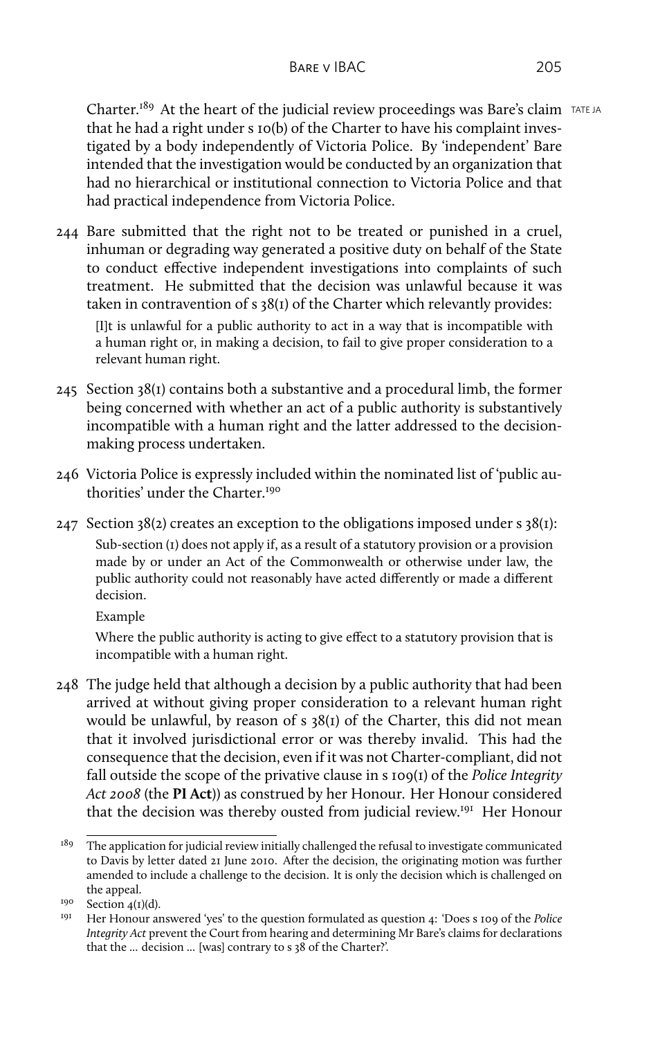Charter.<sup>189</sup> At the heart of the judicial review proceedings was Bare's claim TATE JA that he had a right under s 10(b) of the Charter to have his complaint investigated by a body independently of Victoria Police. By 'independent' Bare intended that the investigation would be conducted by an organization that had no hierarchical or institutional connection to Victoria Police and that had practical independence from Victoria Police.

244 Bare submitted that the right not to be treated or punished in a cruel, inhuman or degrading way generated a positive duty on behalf of the State to conduct effective independent investigations into complaints of such treatment. He submitted that the decision was unlawful because it was taken in contravention of s 38(1) of the Charter which relevantly provides:

[I]t is unlawful for a public authority to act in a way that is incompatible with a human right or, in making a decision, to fail to give proper consideration to a relevant human right.

- $245$  Section  $38(i)$  contains both a substantive and a procedural limb, the former being concerned with whether an act of a public authority is substantively incompatible with a human right and the latter addressed to the decisionmaking process undertaken.
- 246 Victoria Police is expressly included within the nominated list of 'public authorities' under the Charter<sup>190</sup>
- 247 Section 38(2) creates an exception to the obligations imposed under  $s$  38(1): Sub-section (1) does not apply if, as a result of a statutory provision or a provision

made by or under an Act of the Commonwealth or otherwise under law, the public authority could not reasonably have acted differently or made a different decision.

Example

Where the public authority is acting to give effect to a statutory provision that is incompatible with a human right.

248 The judge held that although a decision by a public authority that had been arrived at without giving proper consideration to a relevant human right would be unlawful, by reason of s 38(1) of the Charter, this did not mean that it involved jurisdictional error or was thereby invalid. This had the consequence that the decision, even if it was not Charter-compliant, did not fall outside the scope of the privative clause in s 109(1) of the *Police Integrity Act 2008* (the **PI Act**)) as construed by her Honour. Her Honour considered that the decision was thereby ousted from judicial review.<sup>191</sup> Her Honour

 $189$  The application for judicial review initially challenged the refusal to investigate communicated to Davis by letter dated 21 June 2010. After the decision, the originating motion was further amended to include a challenge to the decision. It is only the decision which is challenged on the appeal.

 $190$  Section 4(1)(d).

<sup>191</sup> Her Honour answered 'yes' to the question formulated as question 4: 'Does s 109 of the *Police Integrity Act* prevent the Court from hearing and determining Mr Bare's claims for declarations that the ... decision ... [was] contrary to s 38 of the Charter?'.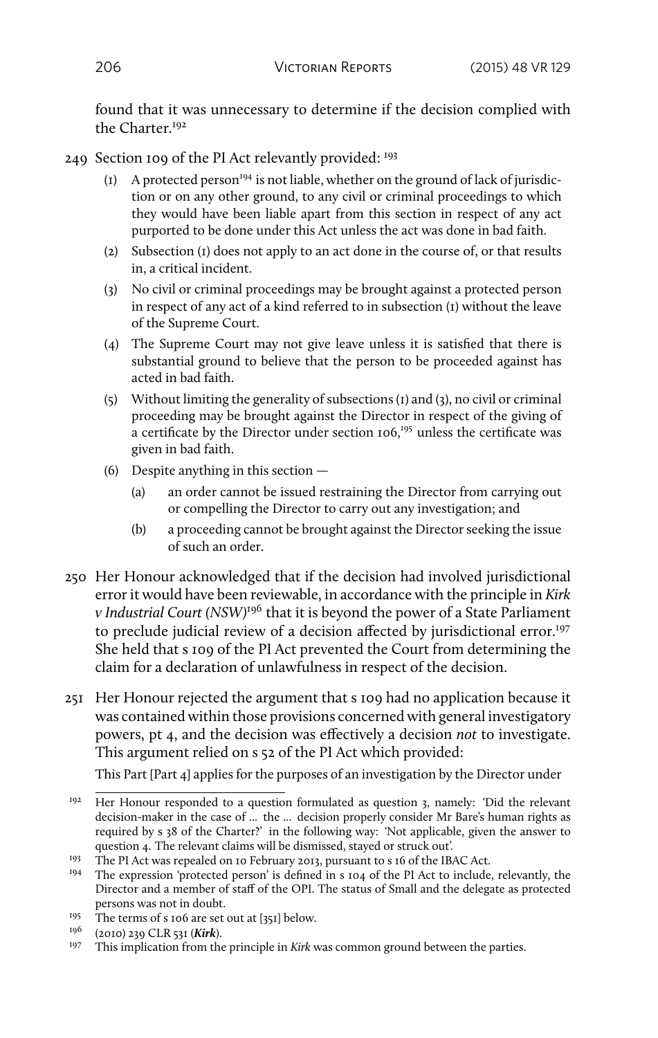found that it was unnecessary to determine if the decision complied with the Charter<sup>192</sup>

- 249 Section 109 of the PI Act relevantly provided: <sup>193</sup>
	- $(I)$  A protected person<sup>194</sup> is not liable, whether on the ground of lack of jurisdiction or on any other ground, to any civil or criminal proceedings to which they would have been liable apart from this section in respect of any act purported to be done under this Act unless the act was done in bad faith.
	- (2) Subsection (1) does not apply to an act done in the course of, or that results in, a critical incident.
	- (3) No civil or criminal proceedings may be brought against a protected person in respect of any act of a kind referred to in subsection (1) without the leave of the Supreme Court.
	- (4) The Supreme Court may not give leave unless it is satisfied that there is substantial ground to believe that the person to be proceeded against has acted in bad faith.
	- (5) Without limiting the generality of subsections (1) and (3), no civil or criminal proceeding may be brought against the Director in respect of the giving of a certificate by the Director under section 106,<sup>195</sup> unless the certificate was given in bad faith.
	- (6) Despite anything in this section
		- (a) an order cannot be issued restraining the Director from carrying out or compelling the Director to carry out any investigation; and
		- (b) a proceeding cannot be brought against the Director seeking the issue of such an order.
- 250 Her Honour acknowledged that if the decision had involved jurisdictional error it would have been reviewable, in accordance with the principle in *Kirk v Industrial Court (NSW)*<sup>196</sup> that it is beyond the power of a State Parliament to preclude judicial review of a decision affected by jurisdictional error.<sup>197</sup> She held that s 109 of the PI Act prevented the Court from determining the claim for a declaration of unlawfulness in respect of the decision.
- 251 Her Honour rejected the argument that s 109 had no application because it was contained within those provisions concerned with general investigatory powers, pt 4, and the decision was effectively a decision *not* to investigate. This argument relied on s 52 of the PI Act which provided:

This Part [Part 4] applies for the purposes of an investigation by the Director under

<sup>&</sup>lt;sup>192</sup> Her Honour responded to a question formulated as question 3, namely: 'Did the relevant decision-maker in the case of ... the ... decision properly consider Mr Bare's human rights as required by s 38 of the Charter?' in the following way: 'Not applicable, given the answer to question 4. The relevant claims will be dismissed, stayed or struck out'.

<sup>&</sup>lt;sup>193</sup> The PI Act was repealed on 10 February 2013, pursuant to s 16 of the IBAC Act.

<sup>&</sup>lt;sup>194</sup> The expression 'protected person' is defined in s 104 of the PI Act to include, relevantly, the Director and a member of staff of the OPI. The status of Small and the delegate as protected persons was not in doubt.

<sup>&</sup>lt;sup>195</sup> The terms of s 106 are set out at [351] below.<br><sup>196</sup> (2010) 220 CLR 521 (Kirk)

 $^{196}$  (2010) 239 CLR 531 (*Kirk*).

This implication from the principle in *Kirk* was common ground between the parties.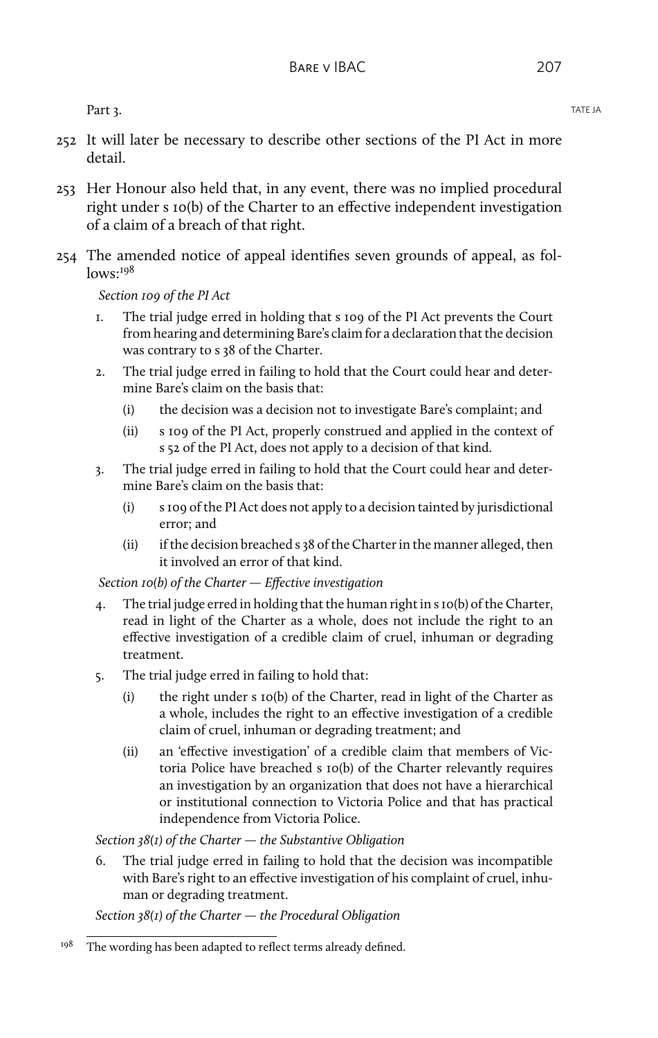Part 3. TATE JA PART STATE OF THE SERVER STATE OF THE SERVER STATE OF THE SERVER STATE OF THE SERVER STATE OF THE SERVER STATE OF THE SERVER STATE OF THE SERVER STATE OF THE SERVER STATE OF THE SERVER STATE OF THE SERVER S

- 252 It will later be necessary to describe other sections of the PI Act in more detail.
- 253 Her Honour also held that, in any event, there was no implied procedural right under s 10(b) of the Charter to an effective independent investigation of a claim of a breach of that right.
- 254 The amended notice of appeal identifies seven grounds of appeal, as fol $lows.<sup>198</sup>$

*Section 109 of the PI Act*

- 1. The trial judge erred in holding that s 109 of the PI Act prevents the Court from hearing and determining Bare's claim for a declaration that the decision was contrary to s 38 of the Charter.
- 2. The trial judge erred in failing to hold that the Court could hear and determine Bare's claim on the basis that:
	- (i) the decision was a decision not to investigate Bare's complaint; and
	- (ii) s 109 of the PI Act, properly construed and applied in the context of s 52 of the PI Act, does not apply to a decision of that kind.
- 3. The trial judge erred in failing to hold that the Court could hear and determine Bare's claim on the basis that:
	- (i) s 109 of the PI Act does not apply to a decision tainted by jurisdictional error; and
	- (ii) if the decision breached s 38 of the Charter in the manner alleged, then it involved an error of that kind.

*Section 10(b) of the Charter — Effective investigation*

- 4. The trial judge erred in holding that the human right in s 10(b) of the Charter, read in light of the Charter as a whole, does not include the right to an effective investigation of a credible claim of cruel, inhuman or degrading treatment.
- 5. The trial judge erred in failing to hold that:
	- (i) the right under s 10(b) of the Charter, read in light of the Charter as a whole, includes the right to an effective investigation of a credible claim of cruel, inhuman or degrading treatment; and
	- (ii) an 'effective investigation' of a credible claim that members of Victoria Police have breached s 10(b) of the Charter relevantly requires an investigation by an organization that does not have a hierarchical or institutional connection to Victoria Police and that has practical independence from Victoria Police.

*Section 38(1) of the Charter — the Substantive Obligation*

6. The trial judge erred in failing to hold that the decision was incompatible with Bare's right to an effective investigation of his complaint of cruel, inhuman or degrading treatment.

*Section 38(1) of the Charter — the Procedural Obligation*

 $198$  The wording has been adapted to reflect terms already defined.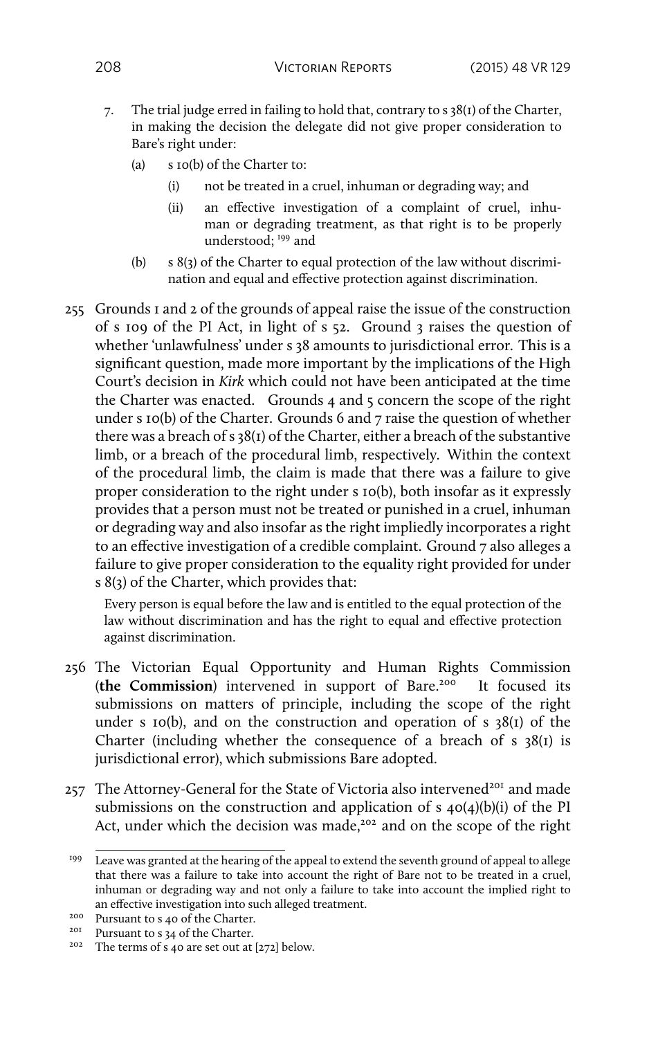- 7. The trial judge erred in failing to hold that, contrary to s 38(1) of the Charter, in making the decision the delegate did not give proper consideration to Bare's right under:
	- (a) s 10(b) of the Charter to:
		- (i) not be treated in a cruel, inhuman or degrading way; and
		- (ii) an effective investigation of a complaint of cruel, inhuman or degrading treatment, as that right is to be properly understood: <sup>199</sup> and
	- (b) s 8(3) of the Charter to equal protection of the law without discrimination and equal and effective protection against discrimination.
- 255 Grounds 1 and 2 of the grounds of appeal raise the issue of the construction of s 109 of the PI Act, in light of s 52. Ground 3 raises the question of whether 'unlawfulness' under s 38 amounts to jurisdictional error. This is a significant question, made more important by the implications of the High Court's decision in *Kirk* which could not have been anticipated at the time the Charter was enacted. Grounds 4 and 5 concern the scope of the right under s 10(b) of the Charter. Grounds 6 and 7 raise the question of whether there was a breach of s 38(1) of the Charter, either a breach of the substantive limb, or a breach of the procedural limb, respectively. Within the context of the procedural limb, the claim is made that there was a failure to give proper consideration to the right under s 10(b), both insofar as it expressly provides that a person must not be treated or punished in a cruel, inhuman or degrading way and also insofar as the right impliedly incorporates a right to an effective investigation of a credible complaint. Ground 7 also alleges a failure to give proper consideration to the equality right provided for under s 8(3) of the Charter, which provides that:

Every person is equal before the law and is entitled to the equal protection of the law without discrimination and has the right to equal and effective protection against discrimination.

- 256 The Victorian Equal Opportunity and Human Rights Commission (the Commission) intervened in support of Bare.<sup>200</sup> It focused its submissions on matters of principle, including the scope of the right under s 10(b), and on the construction and operation of s  $38(1)$  of the Charter (including whether the consequence of a breach of s  $38(1)$  is jurisdictional error), which submissions Bare adopted.
- 257 The Attorney-General for the State of Victoria also intervened<sup>201</sup> and made submissions on the construction and application of s  $40(4)(b)(i)$  of the PI Act, under which the decision was made,<sup>202</sup> and on the scope of the right

<sup>199</sup> Leave was granted at the hearing of the appeal to extend the seventh ground of appeal to allege that there was a failure to take into account the right of Bare not to be treated in a cruel, inhuman or degrading way and not only a failure to take into account the implied right to an effective investigation into such alleged treatment.

<sup>&</sup>lt;sup>200</sup> Pursuant to s 40 of the Charter.

<sup>&</sup>lt;sup>201</sup> Pursuant to s 34 of the Charter.

<sup>202</sup> The terms of s 40 are set out at [272] below.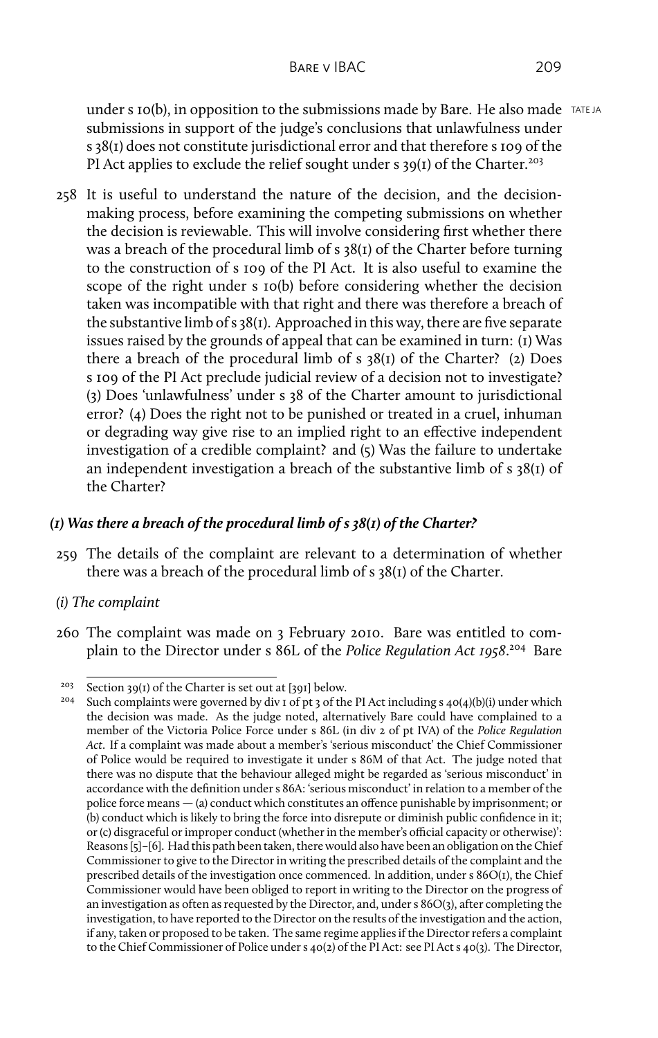under s 10(b), in opposition to the submissions made by Bare. He also made  $TATEJA$ submissions in support of the judge's conclusions that unlawfulness under s 38(1) does not constitute jurisdictional error and that therefore s 109 of the PI Act applies to exclude the relief sought under s  $39(1)$  of the Charter.<sup>203</sup>

258 It is useful to understand the nature of the decision, and the decisionmaking process, before examining the competing submissions on whether the decision is reviewable. This will involve considering first whether there was a breach of the procedural limb of s 38(1) of the Charter before turning to the construction of s 109 of the PI Act. It is also useful to examine the scope of the right under s 10(b) before considering whether the decision taken was incompatible with that right and there was therefore a breach of the substantive limb of s 38(1). Approached in this way, there are five separate issues raised by the grounds of appeal that can be examined in turn: (1) Was there a breach of the procedural limb of s 38(1) of the Charter? (2) Does s 109 of the PI Act preclude judicial review of a decision not to investigate? (3) Does 'unlawfulness' under s 38 of the Charter amount to jurisdictional error? (4) Does the right not to be punished or treated in a cruel, inhuman or degrading way give rise to an implied right to an effective independent investigation of a credible complaint? and (5) Was the failure to undertake an independent investigation a breach of the substantive limb of  $s$  38(1) of the Charter?

## *(1) Was there a breach of the procedural limb of s 38(1) of the Charter?*

- 259 The details of the complaint are relevant to a determination of whether there was a breach of the procedural limb of s 38(1) of the Charter.
- *(i) The complaint*
- 260 The complaint was made on 3 February 2010. Bare was entitled to complain to the Director under s 86L of the *Police Regulation Act 1958*. <sup>204</sup> Bare

<sup>&</sup>lt;sup>203</sup> Section 39(1) of the Charter is set out at [391] below.<br><sup>204</sup> Such complaints were governed by div 1 of pt 2 of the

Such complaints were governed by div 1 of pt 3 of the PI Act including  $s$  40(4)(b)(i) under which the decision was made. As the judge noted, alternatively Bare could have complained to a member of the Victoria Police Force under s 86L (in div 2 of pt IVA) of the *Police Regulation Act*. If a complaint was made about a member's 'serious misconduct' the Chief Commissioner of Police would be required to investigate it under s 86M of that Act. The judge noted that there was no dispute that the behaviour alleged might be regarded as 'serious misconduct' in accordance with the definition under s 86A: 'serious misconduct' in relation to a member of the police force means — (a) conduct which constitutes an offence punishable by imprisonment; or (b) conduct which is likely to bring the force into disrepute or diminish public confidence in it; or (c) disgraceful or improper conduct (whether in the member's official capacity or otherwise)': Reasons [5]–[6]. Had this path been taken, there would also have been an obligation on the Chief Commissioner to give to the Director in writing the prescribed details of the complaint and the prescribed details of the investigation once commenced. In addition, under s 86O(1), the Chief Commissioner would have been obliged to report in writing to the Director on the progress of an investigation as often as requested by the Director, and, under s 86O(3), after completing the investigation, to have reported to the Director on the results of the investigation and the action, if any, taken or proposed to be taken. The same regime applies if the Director refers a complaint to the Chief Commissioner of Police under s 40(2) of the PI Act: see PI Act s 40(3). The Director,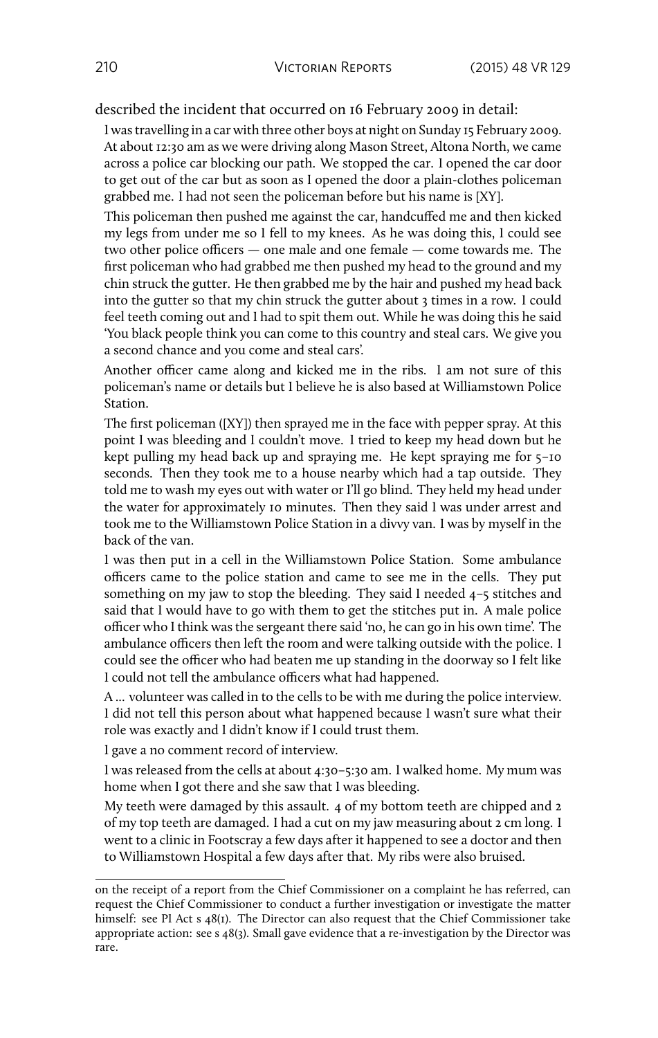described the incident that occurred on 16 February 2009 in detail:

I was travelling in a car with three other boys at night on Sunday 15 February 2009. At about 12:30 am as we were driving along Mason Street, Altona North, we came across a police car blocking our path. We stopped the car. I opened the car door to get out of the car but as soon as I opened the door a plain-clothes policeman grabbed me. I had not seen the policeman before but his name is [XY].

This policeman then pushed me against the car, handcuffed me and then kicked my legs from under me so I fell to my knees. As he was doing this, I could see two other police officers — one male and one female — come towards me. The first policeman who had grabbed me then pushed my head to the ground and my chin struck the gutter. He then grabbed me by the hair and pushed my head back into the gutter so that my chin struck the gutter about 3 times in a row. I could feel teeth coming out and I had to spit them out. While he was doing this he said 'You black people think you can come to this country and steal cars. We give you a second chance and you come and steal cars'.

Another officer came along and kicked me in the ribs. I am not sure of this policeman's name or details but I believe he is also based at Williamstown Police Station.

The first policeman ([XY]) then sprayed me in the face with pepper spray. At this point I was bleeding and I couldn't move. I tried to keep my head down but he kept pulling my head back up and spraying me. He kept spraying me for 5–10 seconds. Then they took me to a house nearby which had a tap outside. They told me to wash my eyes out with water or I'll go blind. They held my head under the water for approximately 10 minutes. Then they said I was under arrest and took me to the Williamstown Police Station in a divvy van. I was by myself in the back of the van.

I was then put in a cell in the Williamstown Police Station. Some ambulance officers came to the police station and came to see me in the cells. They put something on my jaw to stop the bleeding. They said I needed 4–5 stitches and said that I would have to go with them to get the stitches put in. A male police officer who I think was the sergeant there said 'no, he can go in his own time'. The ambulance officers then left the room and were talking outside with the police. I could see the officer who had beaten me up standing in the doorway so I felt like I could not tell the ambulance officers what had happened.

A ... volunteer was called in to the cells to be with me during the police interview. I did not tell this person about what happened because I wasn't sure what their role was exactly and I didn't know if I could trust them.

I gave a no comment record of interview.

I was released from the cells at about 4:30–5:30 am. I walked home. My mum was home when I got there and she saw that I was bleeding.

My teeth were damaged by this assault. 4 of my bottom teeth are chipped and 2 of my top teeth are damaged. I had a cut on my jaw measuring about 2 cm long. I went to a clinic in Footscray a few days after it happened to see a doctor and then to Williamstown Hospital a few days after that. My ribs were also bruised.

on the receipt of a report from the Chief Commissioner on a complaint he has referred, can request the Chief Commissioner to conduct a further investigation or investigate the matter himself: see PI Act s 48(1). The Director can also request that the Chief Commissioner take appropriate action: see  $s \cdot 48(3)$ . Small gave evidence that a re-investigation by the Director was rare.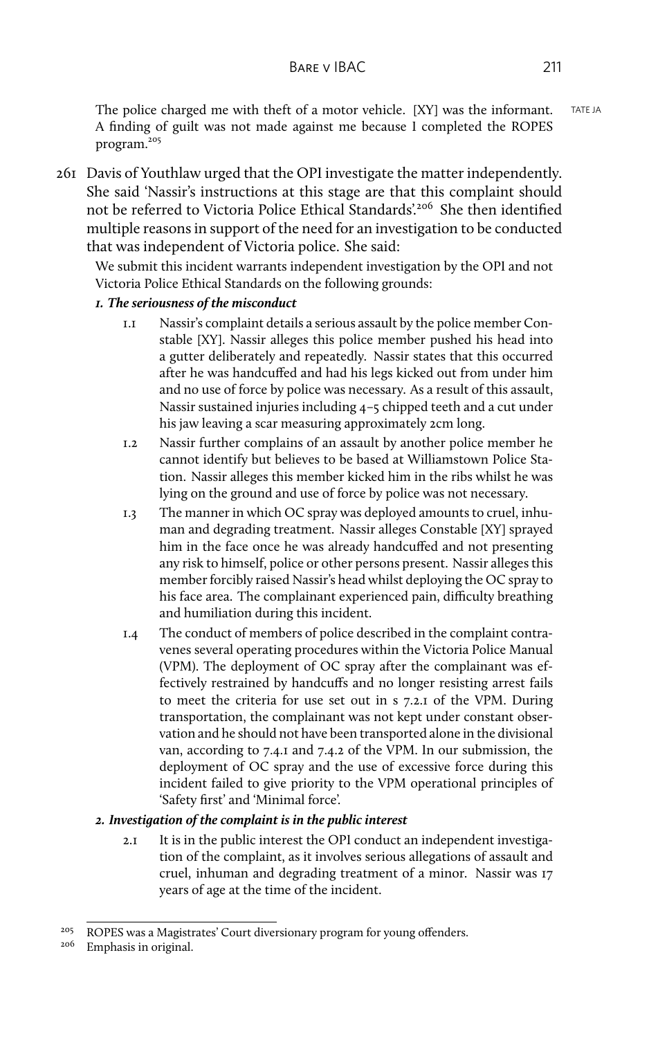The police charged me with theft of a motor vehicle.  $[XY]$  was the informant. TATEJA A finding of guilt was not made against me because I completed the ROPES program.<sup>205</sup>

261 Davis of Youthlaw urged that the OPI investigate the matter independently. She said 'Nassir's instructions at this stage are that this complaint should not be referred to Victoria Police Ethical Standards'.<sup>206</sup> She then identified multiple reasons in support of the need for an investigation to be conducted that was independent of Victoria police. She said:

We submit this incident warrants independent investigation by the OPI and not Victoria Police Ethical Standards on the following grounds:

#### *1. The seriousness of the misconduct*

- 1.1 Nassir's complaint details a serious assault by the police member Constable [XY]. Nassir alleges this police member pushed his head into a gutter deliberately and repeatedly. Nassir states that this occurred after he was handcuffed and had his legs kicked out from under him and no use of force by police was necessary. As a result of this assault, Nassir sustained injuries including 4–5 chipped teeth and a cut under his jaw leaving a scar measuring approximately 2cm long.
- 1.2 Nassir further complains of an assault by another police member he cannot identify but believes to be based at Williamstown Police Station. Nassir alleges this member kicked him in the ribs whilst he was lying on the ground and use of force by police was not necessary.
- 1.3 The manner in which OC spray was deployed amounts to cruel, inhuman and degrading treatment. Nassir alleges Constable [XY] sprayed him in the face once he was already handcuffed and not presenting any risk to himself, police or other persons present. Nassir alleges this member forcibly raised Nassir's head whilst deploying the OC spray to his face area. The complainant experienced pain, difficulty breathing and humiliation during this incident.
- 1.4 The conduct of members of police described in the complaint contravenes several operating procedures within the Victoria Police Manual (VPM). The deployment of OC spray after the complainant was effectively restrained by handcuffs and no longer resisting arrest fails to meet the criteria for use set out in s 7.2.1 of the VPM. During transportation, the complainant was not kept under constant observation and he should not have been transported alone in the divisional van, according to 7.4.1 and 7.4.2 of the VPM. In our submission, the deployment of OC spray and the use of excessive force during this incident failed to give priority to the VPM operational principles of 'Safety first' and 'Minimal force'.

### *2. Investigation of the complaint is in the public interest*

2.1 It is in the public interest the OPI conduct an independent investigation of the complaint, as it involves serious allegations of assault and cruel, inhuman and degrading treatment of a minor. Nassir was 17 years of age at the time of the incident.

<sup>&</sup>lt;sup>205</sup> ROPES was a Magistrates' Court diversionary program for young offenders.

<sup>206</sup> Emphasis in original.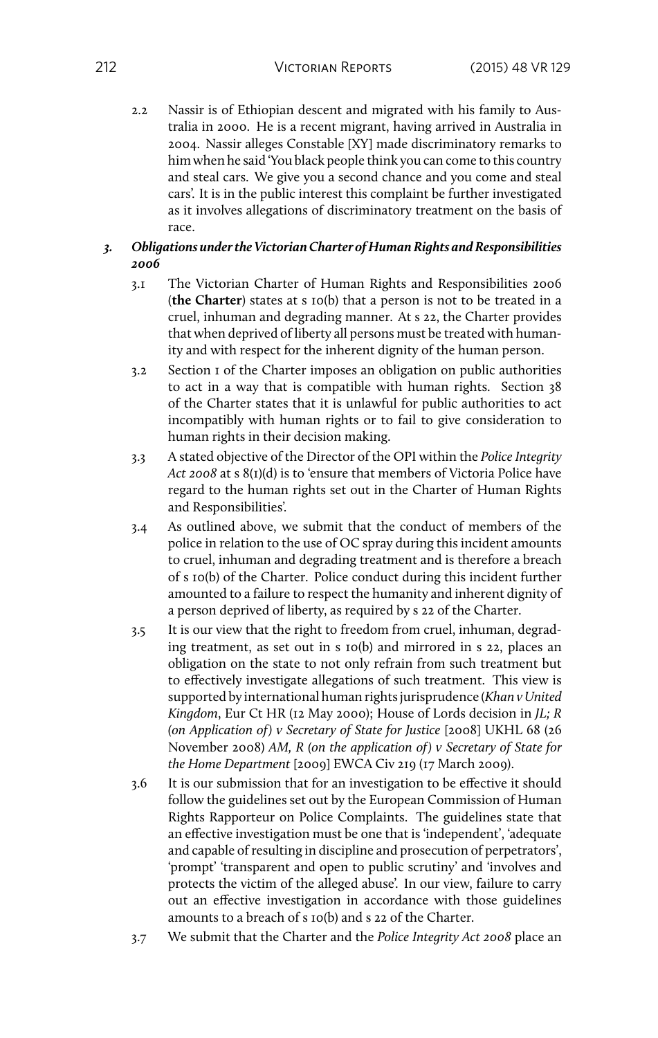2.2 Nassir is of Ethiopian descent and migrated with his family to Australia in 2000. He is a recent migrant, having arrived in Australia in 2004. Nassir alleges Constable [XY] made discriminatory remarks to him when he said 'You black people think you can come to this country and steal cars. We give you a second chance and you come and steal cars'. It is in the public interest this complaint be further investigated as it involves allegations of discriminatory treatment on the basis of race.

#### *3. Obligations under the Victorian Charter of Human Rights and Responsibilities 2006*

- 3.1 The Victorian Charter of Human Rights and Responsibilities 2006 (**the Charter**) states at s 10(b) that a person is not to be treated in a cruel, inhuman and degrading manner. At s 22, the Charter provides that when deprived of liberty all persons must be treated with humanity and with respect for the inherent dignity of the human person.
- 3.2 Section 1 of the Charter imposes an obligation on public authorities to act in a way that is compatible with human rights. Section 38 of the Charter states that it is unlawful for public authorities to act incompatibly with human rights or to fail to give consideration to human rights in their decision making.
- 3.3 A stated objective of the Director of the OPI within the *Police Integrity Act 2008* at s 8(1)(d) is to 'ensure that members of Victoria Police have regard to the human rights set out in the Charter of Human Rights and Responsibilities'.
- 3.4 As outlined above, we submit that the conduct of members of the police in relation to the use of OC spray during this incident amounts to cruel, inhuman and degrading treatment and is therefore a breach of s 10(b) of the Charter. Police conduct during this incident further amounted to a failure to respect the humanity and inherent dignity of a person deprived of liberty, as required by s 22 of the Charter.
- 3.5 It is our view that the right to freedom from cruel, inhuman, degrading treatment, as set out in s 10(b) and mirrored in s 22, places an obligation on the state to not only refrain from such treatment but to effectively investigate allegations of such treatment. This view is supported by international human rights jurisprudence (*Khan v United Kingdom*, Eur Ct HR (12 May 2000); House of Lords decision in *JL; R (on Application of) v Secretary of State for Justice* [2008] UKHL 68 (26 November 2008) *AM, R (on the application of) v Secretary of State for the Home Department* [2009] EWCA Civ 219 (17 March 2009).
- 3.6 It is our submission that for an investigation to be effective it should follow the guidelines set out by the European Commission of Human Rights Rapporteur on Police Complaints. The guidelines state that an effective investigation must be one that is 'independent', 'adequate and capable of resulting in discipline and prosecution of perpetrators', 'prompt' 'transparent and open to public scrutiny' and 'involves and protects the victim of the alleged abuse'. In our view, failure to carry out an effective investigation in accordance with those guidelines amounts to a breach of s 10(b) and s 22 of the Charter.
- 3.7 We submit that the Charter and the *Police Integrity Act 2008* place an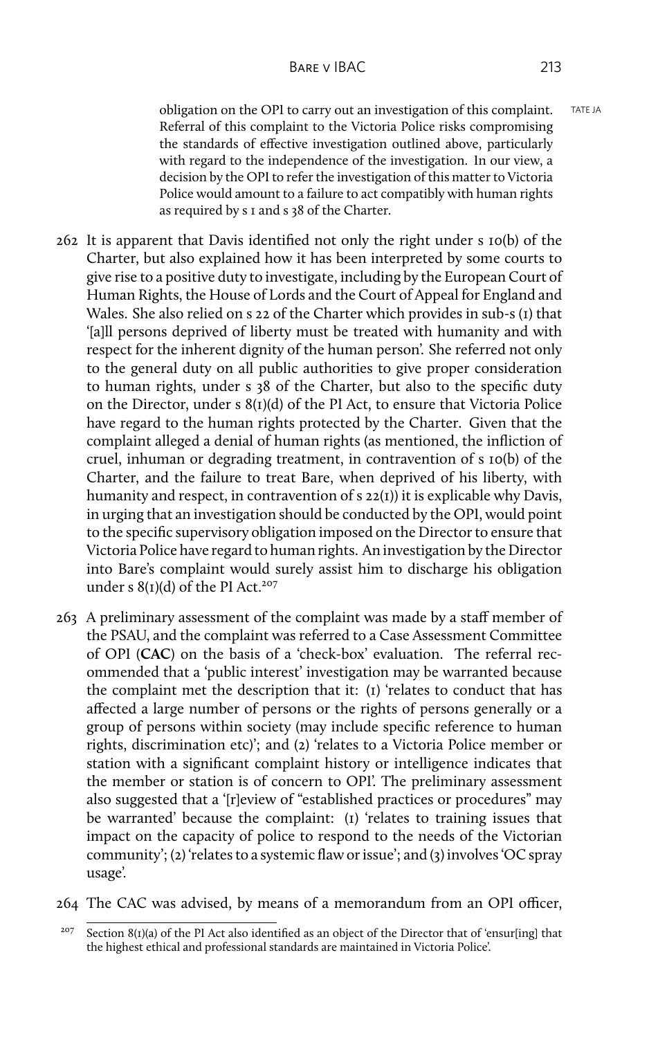obligation on the OPI to carry out an investigation of this complaint. TATE JA Referral of this complaint to the Victoria Police risks compromising the standards of effective investigation outlined above, particularly with regard to the independence of the investigation. In our view, a decision by the OPI to refer the investigation of this matter to Victoria Police would amount to a failure to act compatibly with human rights as required by s 1 and s 38 of the Charter.

- 262 It is apparent that Davis identified not only the right under s 10(b) of the Charter, but also explained how it has been interpreted by some courts to give rise to a positive duty to investigate, including by the European Court of Human Rights, the House of Lords and the Court of Appeal for England and Wales. She also relied on s 22 of the Charter which provides in sub-s (1) that '[a]ll persons deprived of liberty must be treated with humanity and with respect for the inherent dignity of the human person'. She referred not only to the general duty on all public authorities to give proper consideration to human rights, under s 38 of the Charter, but also to the specific duty on the Director, under s 8(1)(d) of the PI Act, to ensure that Victoria Police have regard to the human rights protected by the Charter. Given that the complaint alleged a denial of human rights (as mentioned, the infliction of cruel, inhuman or degrading treatment, in contravention of s 10(b) of the Charter, and the failure to treat Bare, when deprived of his liberty, with humanity and respect, in contravention of s 22(1)) it is explicable why Davis, in urging that an investigation should be conducted by the OPI, would point to the specific supervisory obligation imposed on the Director to ensure that Victoria Police have regard to human rights. An investigation by the Director into Bare's complaint would surely assist him to discharge his obligation under s  $8(I)(d)$  of the PI Act.<sup>207</sup>
- 263 A preliminary assessment of the complaint was made by a staff member of the PSAU, and the complaint was referred to a Case Assessment Committee of OPI (**CAC**) on the basis of a 'check-box' evaluation. The referral recommended that a 'public interest' investigation may be warranted because the complaint met the description that it: (1) 'relates to conduct that has affected a large number of persons or the rights of persons generally or a group of persons within society (may include specific reference to human rights, discrimination etc)'; and (2) 'relates to a Victoria Police member or station with a significant complaint history or intelligence indicates that the member or station is of concern to OPI'. The preliminary assessment also suggested that a '[r]eview of "established practices or procedures" may be warranted' because the complaint: (1) 'relates to training issues that impact on the capacity of police to respond to the needs of the Victorian community'; (2) 'relates to a systemic flaw or issue'; and (3) involves 'OC spray usage'.
- 264 The CAC was advised, by means of a memorandum from an OPI officer,

Section  $8(t)(a)$  of the PI Act also identified as an object of the Director that of 'ensur[ing] that the highest ethical and professional standards are maintained in Victoria Police'.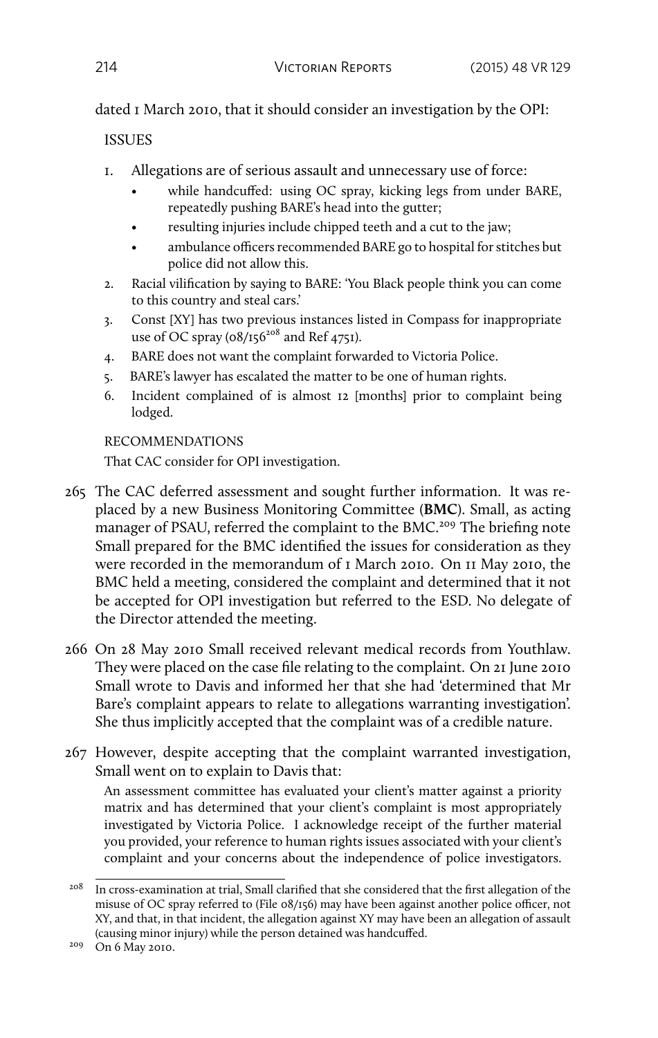dated 1 March 2010, that it should consider an investigation by the OPI:

# **ISSUES**

- 1. Allegations are of serious assault and unnecessary use of force:
	- while handcuffed: using OC spray, kicking legs from under BARE, repeatedly pushing BARE's head into the gutter;
	- resulting injuries include chipped teeth and a cut to the jaw;
	- ambulance officers recommended BARE go to hospital for stitches but police did not allow this.
- 2. Racial vilification by saying to BARE: 'You Black people think you can come to this country and steal cars.'
- 3. Const [XY] has two previous instances listed in Compass for inappropriate use of OC spray  $(08/156^{208} \text{ and } \text{Ref } 4751)$ .
- 4. BARE does not want the complaint forwarded to Victoria Police.
- 5. BARE's lawyer has escalated the matter to be one of human rights.
- 6. Incident complained of is almost 12 [months] prior to complaint being lodged.

# RECOMMENDATIONS

That CAC consider for OPI investigation.

- 265 The CAC deferred assessment and sought further information. It was replaced by a new Business Monitoring Committee (**BMC**). Small, as acting manager of PSAU, referred the complaint to the BMC.<sup>209</sup> The briefing note Small prepared for the BMC identified the issues for consideration as they were recorded in the memorandum of 1 March 2010. On 11 May 2010, the BMC held a meeting, considered the complaint and determined that it not be accepted for OPI investigation but referred to the ESD. No delegate of the Director attended the meeting.
- 266 On 28 May 2010 Small received relevant medical records from Youthlaw. They were placed on the case file relating to the complaint. On 21 June 2010 Small wrote to Davis and informed her that she had 'determined that Mr Bare's complaint appears to relate to allegations warranting investigation'. She thus implicitly accepted that the complaint was of a credible nature.
- 267 However, despite accepting that the complaint warranted investigation, Small went on to explain to Davis that:

An assessment committee has evaluated your client's matter against a priority matrix and has determined that your client's complaint is most appropriately investigated by Victoria Police. I acknowledge receipt of the further material you provided, your reference to human rights issues associated with your client's complaint and your concerns about the independence of police investigators.

<sup>&</sup>lt;sup>208</sup> In cross-examination at trial, Small clarified that she considered that the first allegation of the misuse of OC spray referred to (File 08/156) may have been against another police officer, not XY, and that, in that incident, the allegation against XY may have been an allegation of assault (causing minor injury) while the person detained was handcuffed.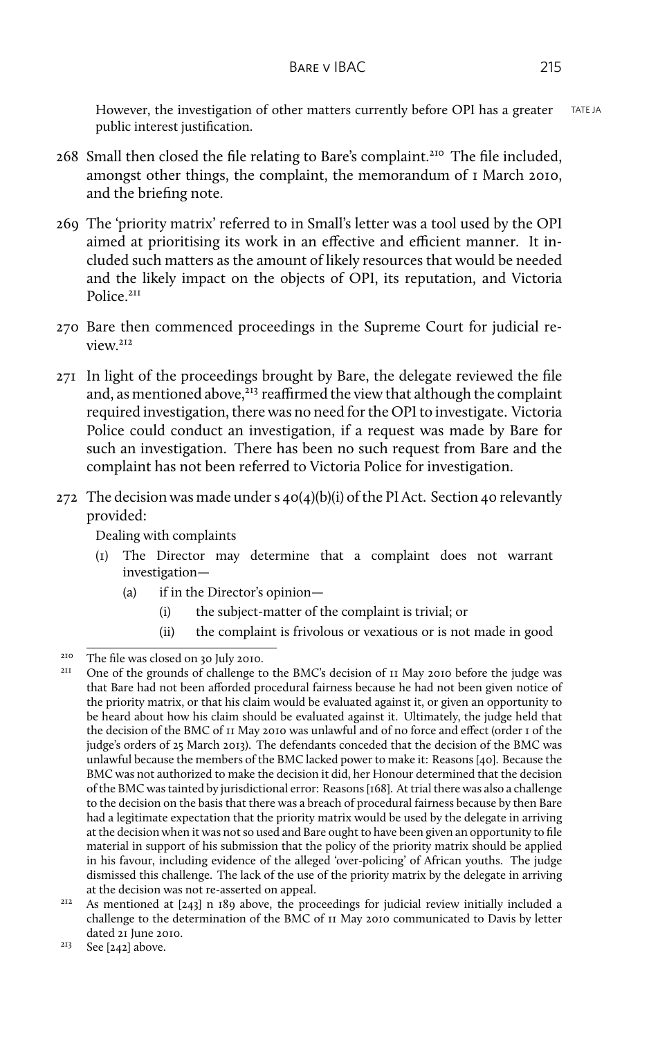However, the investigation of other matters currently before OPI has a greater TATE JA public interest justification.

- 268 Small then closed the file relating to Bare's complaint.<sup>210</sup> The file included, amongst other things, the complaint, the memorandum of 1 March 2010, and the briefing note.
- 269 The 'priority matrix' referred to in Small's letter was a tool used by the OPI aimed at prioritising its work in an effective and efficient manner. It included such matters as the amount of likely resources that would be needed and the likely impact on the objects of OPI, its reputation, and Victoria Police.<sup>211</sup>
- 270 Bare then commenced proceedings in the Supreme Court for judicial review.<sup>212</sup>
- 271 In light of the proceedings brought by Bare, the delegate reviewed the file and, as mentioned above, $^{213}$  reaffirmed the view that although the complaint required investigation, there was no need for the OPI to investigate. Victoria Police could conduct an investigation, if a request was made by Bare for such an investigation. There has been no such request from Bare and the complaint has not been referred to Victoria Police for investigation.
- 272 The decision was made under s  $40(4)(b)(i)$  of the PI Act. Section 40 relevantly provided:

Dealing with complaints

- (1) The Director may determine that a complaint does not warrant investigation—
	- (a) if in the Director's opinion—
		- (i) the subject-matter of the complaint is trivial; or
		- (ii) the complaint is frivolous or vexatious or is not made in good

<sup>&</sup>lt;sup>210</sup> The file was closed on 30 July 2010.

<sup>211</sup> One of the grounds of challenge to the BMC's decision of 11 May 2010 before the judge was that Bare had not been afforded procedural fairness because he had not been given notice of the priority matrix, or that his claim would be evaluated against it, or given an opportunity to be heard about how his claim should be evaluated against it. Ultimately, the judge held that the decision of the BMC of 11 May 2010 was unlawful and of no force and effect (order 1 of the judge's orders of 25 March 2013). The defendants conceded that the decision of the BMC was unlawful because the members of the BMC lacked power to make it: Reasons [40]. Because the BMC was not authorized to make the decision it did, her Honour determined that the decision of the BMC was tainted by jurisdictional error: Reasons [168]. At trial there was also a challenge to the decision on the basis that there was a breach of procedural fairness because by then Bare had a legitimate expectation that the priority matrix would be used by the delegate in arriving at the decision when it was not so used and Bare ought to have been given an opportunity to file material in support of his submission that the policy of the priority matrix should be applied in his favour, including evidence of the alleged 'over-policing' of African youths. The judge dismissed this challenge. The lack of the use of the priority matrix by the delegate in arriving at the decision was not re-asserted on appeal.

<sup>&</sup>lt;sup>212</sup> As mentioned at [243] n 189 above, the proceedings for judicial review initially included a challenge to the determination of the BMC of 11 May 2010 communicated to Davis by letter dated 21 June 2010.

 $213$  See [242] above.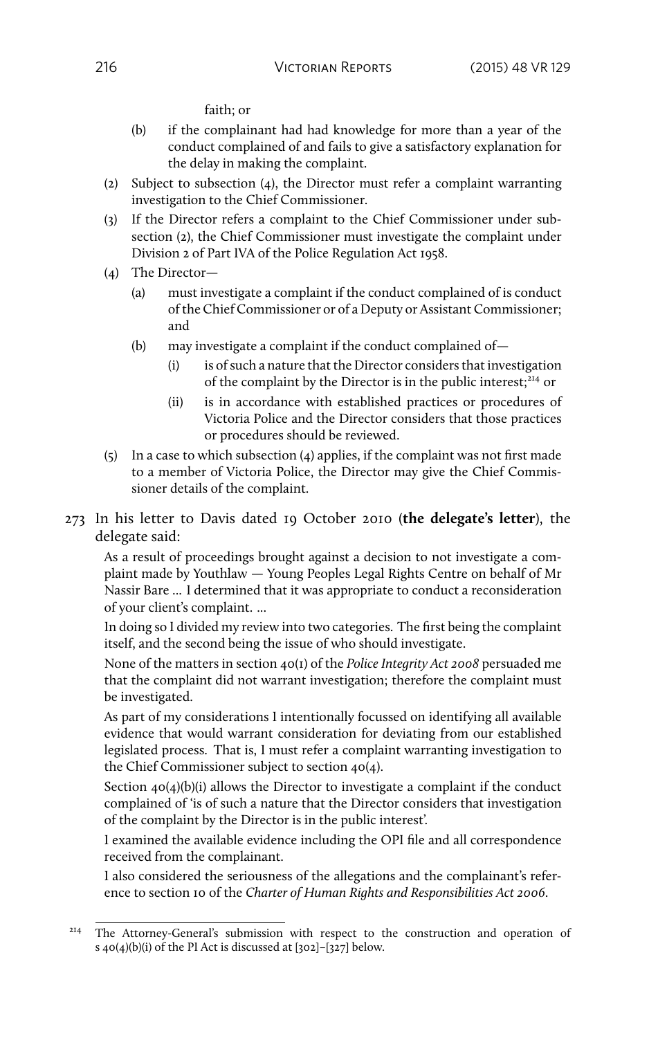faith; or

- (b) if the complainant had had knowledge for more than a year of the conduct complained of and fails to give a satisfactory explanation for the delay in making the complaint.
- (2) Subject to subsection (4), the Director must refer a complaint warranting investigation to the Chief Commissioner.
- (3) If the Director refers a complaint to the Chief Commissioner under subsection (2), the Chief Commissioner must investigate the complaint under Division 2 of Part IVA of the Police Regulation Act 1958.
- (4) The Director—
	- (a) must investigate a complaint if the conduct complained of is conduct of the Chief Commissioner or of a Deputy or Assistant Commissioner; and
	- (b) may investigate a complaint if the conduct complained of—
		- (i) is of such a nature that the Director considers that investigation of the complaint by the Director is in the public interest;<sup>214</sup> or
		- (ii) is in accordance with established practices or procedures of Victoria Police and the Director considers that those practices or procedures should be reviewed.
- (5) In a case to which subsection (4) applies, if the complaint was not first made to a member of Victoria Police, the Director may give the Chief Commissioner details of the complaint.
- 273 In his letter to Davis dated 19 October 2010 (**the delegate's letter**), the delegate said:

As a result of proceedings brought against a decision to not investigate a complaint made by Youthlaw — Young Peoples Legal Rights Centre on behalf of Mr Nassir Bare ... I determined that it was appropriate to conduct a reconsideration of your client's complaint. ...

In doing so I divided my review into two categories. The first being the complaint itself, and the second being the issue of who should investigate.

None of the matters in section 40(1) of the *Police Integrity Act 2008* persuaded me that the complaint did not warrant investigation; therefore the complaint must be investigated.

As part of my considerations I intentionally focussed on identifying all available evidence that would warrant consideration for deviating from our established legislated process. That is, I must refer a complaint warranting investigation to the Chief Commissioner subject to section 40(4).

Section  $40(4)(b)(i)$  allows the Director to investigate a complaint if the conduct complained of 'is of such a nature that the Director considers that investigation of the complaint by the Director is in the public interest'.

I examined the available evidence including the OPI file and all correspondence received from the complainant.

I also considered the seriousness of the allegations and the complainant's reference to section 10 of the *Charter of Human Rights and Responsibilities Act 2006*.

<sup>&</sup>lt;sup>214</sup> The Attorney-General's submission with respect to the construction and operation of s 40(4)(b)(i) of the PI Act is discussed at [302]–[327] below.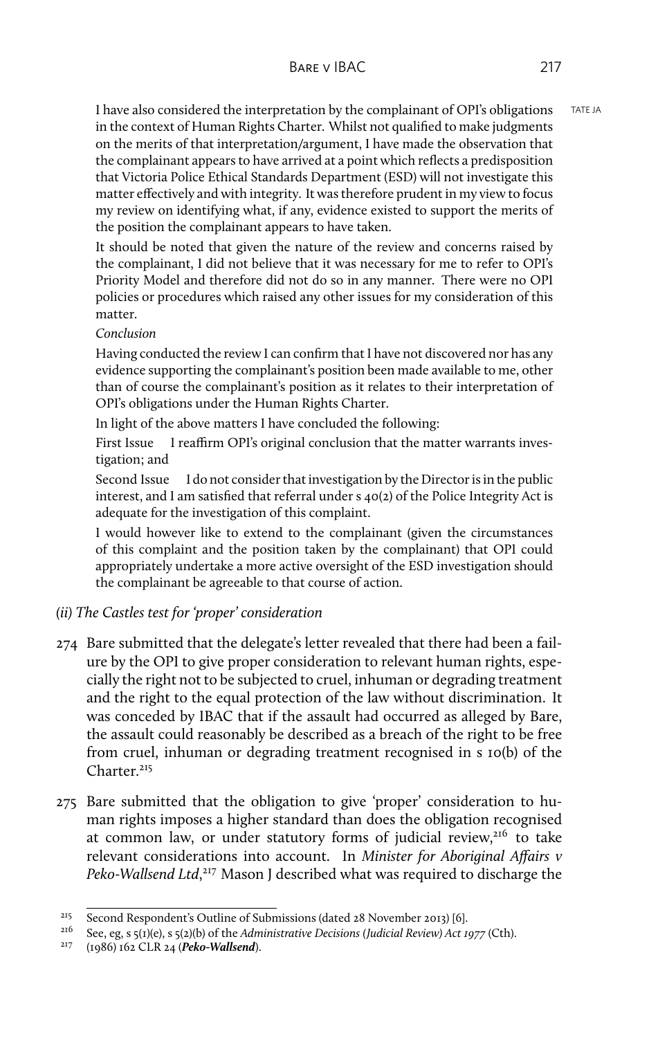I have also considered the interpretation by the complainant of OPI's obligations TATE JA in the context of Human Rights Charter. Whilst not qualified to make judgments on the merits of that interpretation/argument, I have made the observation that the complainant appears to have arrived at a point which reflects a predisposition that Victoria Police Ethical Standards Department (ESD) will not investigate this matter effectively and with integrity. It was therefore prudent in my view to focus my review on identifying what, if any, evidence existed to support the merits of the position the complainant appears to have taken.

It should be noted that given the nature of the review and concerns raised by the complainant, I did not believe that it was necessary for me to refer to OPI's Priority Model and therefore did not do so in any manner. There were no OPI policies or procedures which raised any other issues for my consideration of this matter.

#### *Conclusion*

Having conducted the review I can confirm that I have not discovered nor has any evidence supporting the complainant's position been made available to me, other than of course the complainant's position as it relates to their interpretation of OPI's obligations under the Human Rights Charter.

In light of the above matters I have concluded the following:

First Issue I reaffirm OPI's original conclusion that the matter warrants investigation; and

Second Issue I do not consider that investigation by the Director is in the public interest, and I am satisfied that referral under s 40(2) of the Police Integrity Act is adequate for the investigation of this complaint.

I would however like to extend to the complainant (given the circumstances of this complaint and the position taken by the complainant) that OPI could appropriately undertake a more active oversight of the ESD investigation should the complainant be agreeable to that course of action.

- *(ii) The Castles test for 'proper' consideration*
- 274 Bare submitted that the delegate's letter revealed that there had been a failure by the OPI to give proper consideration to relevant human rights, especially the right not to be subjected to cruel, inhuman or degrading treatment and the right to the equal protection of the law without discrimination. It was conceded by IBAC that if the assault had occurred as alleged by Bare, the assault could reasonably be described as a breach of the right to be free from cruel, inhuman or degrading treatment recognised in s 10(b) of the Charter.<sup>215</sup>
- 275 Bare submitted that the obligation to give 'proper' consideration to human rights imposes a higher standard than does the obligation recognised at common law, or under statutory forms of judicial review, $216$  to take relevant considerations into account. In *Minister for Aboriginal Affairs v* Peko-Wallsend Ltd,<sup>217</sup> Mason J described what was required to discharge the

<sup>&</sup>lt;sup>215</sup> Second Respondent's Outline of Submissions (dated 28 November 2013) [6].<br><sup>216</sup> See en s (1)(e) 5 (1)(b) of the Administrative Decisions (Indicial Review) Act to

<sup>216</sup> See, eg, s 5(1)(e), s 5(2)(b) of the *Administrative Decisions (Judicial Review) Act 1977* (Cth).

<sup>217</sup> (1986) 162 CLR 24 (*Peko-Wallsend*).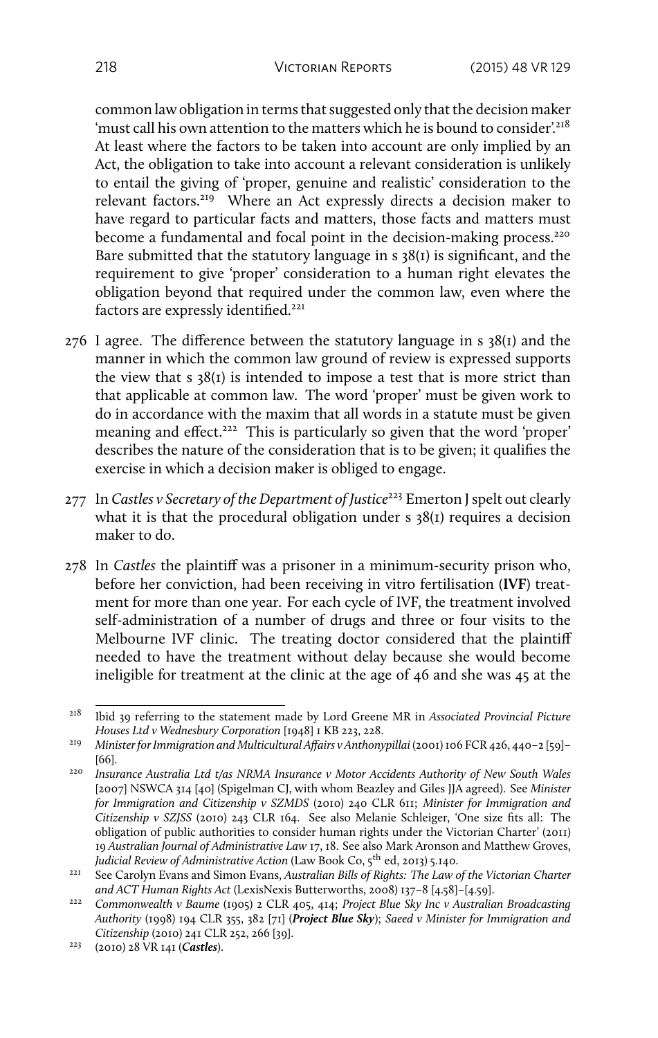common law obligation in terms that suggested only that the decision maker 'must call his own attention to the matters which he is bound to consider'.<sup>218</sup> At least where the factors to be taken into account are only implied by an Act, the obligation to take into account a relevant consideration is unlikely to entail the giving of 'proper, genuine and realistic' consideration to the relevant factors.<sup>219</sup> Where an Act expressly directs a decision maker to have regard to particular facts and matters, those facts and matters must become a fundamental and focal point in the decision-making process.<sup>220</sup> Bare submitted that the statutory language in  $s$  38(1) is significant, and the requirement to give 'proper' consideration to a human right elevates the obligation beyond that required under the common law, even where the factors are expressly identified.<sup>221</sup>

- 276 I agree. The difference between the statutory language in s 38(1) and the manner in which the common law ground of review is expressed supports the view that s 38(1) is intended to impose a test that is more strict than that applicable at common law. The word 'proper' must be given work to do in accordance with the maxim that all words in a statute must be given meaning and effect.<sup>222</sup> This is particularly so given that the word 'proper' describes the nature of the consideration that is to be given; it qualifies the exercise in which a decision maker is obliged to engage.
- 277 In *Castles v Secretary of the Department of Justice*<sup>223</sup> Emerton J spelt out clearly what it is that the procedural obligation under s 38(1) requires a decision maker to do.
- 278 In *Castles* the plaintiff was a prisoner in a minimum-security prison who, before her conviction, had been receiving in vitro fertilisation (**IVF**) treatment for more than one year. For each cycle of IVF, the treatment involved self-administration of a number of drugs and three or four visits to the Melbourne IVF clinic. The treating doctor considered that the plaintiff needed to have the treatment without delay because she would become ineligible for treatment at the clinic at the age of 46 and she was 45 at the

<sup>218</sup> Ibid 39 referring to the statement made by Lord Greene MR in *Associated Provincial Picture Houses Ltd v Wednesbury Corporation* [1948] 1 KB 223, 228.

<sup>&</sup>lt;sup>219</sup> Minister for Immigration and Multicultural Affairs v Anthonypillai (2001) 106 FCR 426, 440-2 [59]-[66].

<sup>220</sup> *Insurance Australia Ltd t/as NRMA Insurance v Motor Accidents Authority of New South Wales* [2007] NSWCA 314 [40] (Spigelman CJ, with whom Beazley and Giles JJA agreed). See *Minister for Immigration and Citizenship v SZMDS* (2010) 240 CLR 611; *Minister for Immigration and Citizenship v SZJSS* (2010) 243 CLR 164. See also Melanie Schleiger, 'One size fits all: The obligation of public authorities to consider human rights under the Victorian Charter' (2011) 19 *Australian Journal of Administrative Law* 17, 18. See also Mark Aronson and Matthew Groves, *Judicial Review of Administrative Action* (Law Book Co, 5th ed, 2013) 5.140.

<sup>&</sup>lt;sup>221</sup> See Carolyn Evans and Simon Evans, *Australian Bills of Rights: The Law of the Victorian Charter and ACT Human Rights Act* (LexisNexis Butterworths, 2008) 137–8 [4.58]–[4.59].

<sup>222</sup> *Commonwealth v Baume* (1905) 2 CLR 405, 414; *Project Blue Sky Inc v Australian Broadcasting Authority* (1998) 194 CLR 355, 382 [71] (*Project Blue Sky*); *Saeed v Minister for Immigration and Citizenship* (2010) 241 CLR 252, 266 [39].

<sup>223</sup> (2010) 28 VR 141 (*Castles*).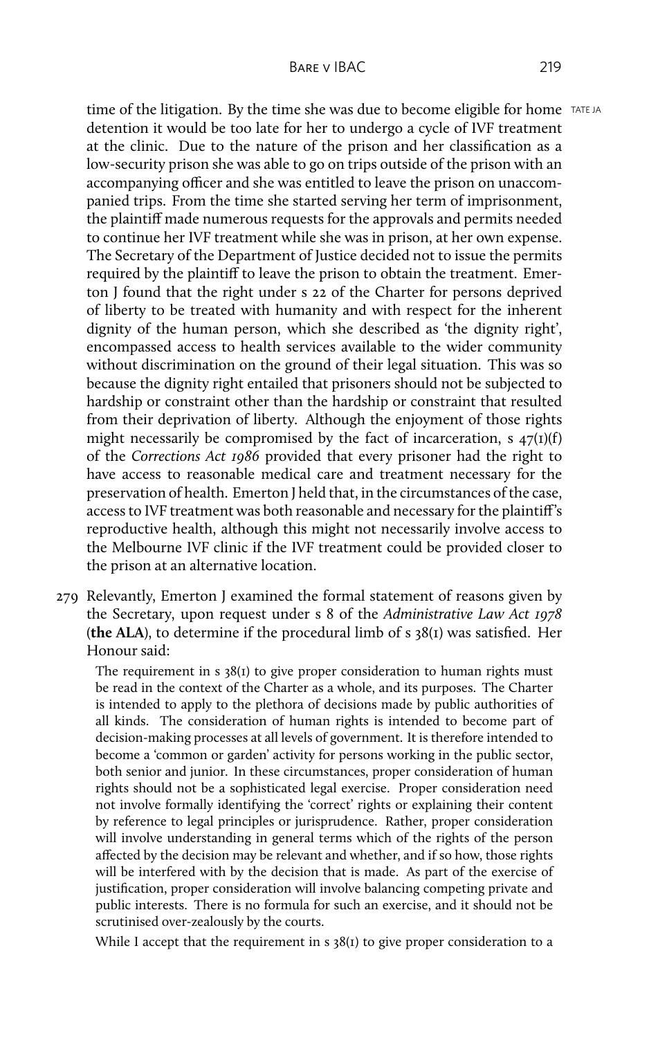time of the litigation. By the time she was due to become eligible for home  $TATEJ$ ATE JA detention it would be too late for her to undergo a cycle of IVF treatment at the clinic. Due to the nature of the prison and her classification as a low-security prison she was able to go on trips outside of the prison with an accompanying officer and she was entitled to leave the prison on unaccompanied trips. From the time she started serving her term of imprisonment, the plaintiff made numerous requests for the approvals and permits needed to continue her IVF treatment while she was in prison, at her own expense. The Secretary of the Department of Justice decided not to issue the permits required by the plaintiff to leave the prison to obtain the treatment. Emerton J found that the right under s 22 of the Charter for persons deprived of liberty to be treated with humanity and with respect for the inherent dignity of the human person, which she described as 'the dignity right', encompassed access to health services available to the wider community without discrimination on the ground of their legal situation. This was so because the dignity right entailed that prisoners should not be subjected to hardship or constraint other than the hardship or constraint that resulted from their deprivation of liberty. Although the enjoyment of those rights might necessarily be compromised by the fact of incarceration, s  $47(1)(f)$ of the *Corrections Act 1986* provided that every prisoner had the right to have access to reasonable medical care and treatment necessary for the preservation of health. Emerton J held that, in the circumstances of the case, access to IVF treatment was both reasonable and necessary for the plaintiff's reproductive health, although this might not necessarily involve access to the Melbourne IVF clinic if the IVF treatment could be provided closer to the prison at an alternative location.

279 Relevantly, Emerton J examined the formal statement of reasons given by the Secretary, upon request under s 8 of the *Administrative Law Act 1978* (**the ALA**), to determine if the procedural limb of s 38(1) was satisfied. Her Honour said:

The requirement in  $s$  38(1) to give proper consideration to human rights must be read in the context of the Charter as a whole, and its purposes. The Charter is intended to apply to the plethora of decisions made by public authorities of all kinds. The consideration of human rights is intended to become part of decision-making processes at all levels of government. It is therefore intended to become a 'common or garden' activity for persons working in the public sector, both senior and junior. In these circumstances, proper consideration of human rights should not be a sophisticated legal exercise. Proper consideration need not involve formally identifying the 'correct' rights or explaining their content by reference to legal principles or jurisprudence. Rather, proper consideration will involve understanding in general terms which of the rights of the person affected by the decision may be relevant and whether, and if so how, those rights will be interfered with by the decision that is made. As part of the exercise of justification, proper consideration will involve balancing competing private and public interests. There is no formula for such an exercise, and it should not be scrutinised over-zealously by the courts.

While I accept that the requirement in s 38(1) to give proper consideration to a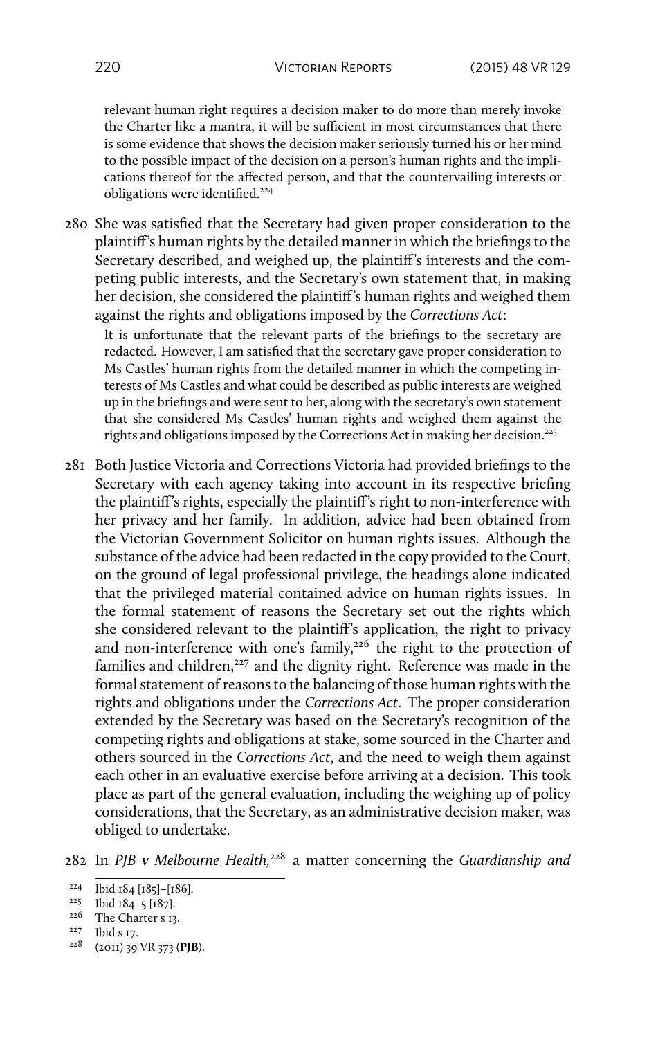relevant human right requires a decision maker to do more than merely invoke the Charter like a mantra, it will be sufficient in most circumstances that there is some evidence that shows the decision maker seriously turned his or her mind to the possible impact of the decision on a person's human rights and the implications thereof for the affected person, and that the countervailing interests or obligations were identified.<sup>224</sup>

280 She was satisfied that the Secretary had given proper consideration to the plaintiff's human rights by the detailed manner in which the briefings to the Secretary described, and weighed up, the plaintiff's interests and the competing public interests, and the Secretary's own statement that, in making her decision, she considered the plaintiff's human rights and weighed them against the rights and obligations imposed by the *Corrections Act*:

It is unfortunate that the relevant parts of the briefings to the secretary are redacted. However, I am satisfied that the secretary gave proper consideration to Ms Castles' human rights from the detailed manner in which the competing interests of Ms Castles and what could be described as public interests are weighed up in the briefings and were sent to her, along with the secretary's own statement that she considered Ms Castles' human rights and weighed them against the rights and obligations imposed by the Corrections Act in making her decision.<sup>225</sup>

281 Both Justice Victoria and Corrections Victoria had provided briefings to the Secretary with each agency taking into account in its respective briefing the plaintiff's rights, especially the plaintiff's right to non-interference with her privacy and her family. In addition, advice had been obtained from the Victorian Government Solicitor on human rights issues. Although the substance of the advice had been redacted in the copy provided to the Court, on the ground of legal professional privilege, the headings alone indicated that the privileged material contained advice on human rights issues. In the formal statement of reasons the Secretary set out the rights which she considered relevant to the plaintiff's application, the right to privacy and non-interference with one's family,<sup>226</sup> the right to the protection of families and children,<sup>227</sup> and the dignity right. Reference was made in the formal statement of reasons to the balancing of those human rights with the rights and obligations under the *Corrections Act*. The proper consideration extended by the Secretary was based on the Secretary's recognition of the competing rights and obligations at stake, some sourced in the Charter and others sourced in the *Corrections Act*, and the need to weigh them against each other in an evaluative exercise before arriving at a decision. This took place as part of the general evaluation, including the weighing up of policy considerations, that the Secretary, as an administrative decision maker, was obliged to undertake.

<sup>228</sup> (2011) 39 VR 373 (**PJB**).

<sup>282</sup> In *PJB v Melbourne Health,*<sup>228</sup> a matter concerning the *Guardianship and*

<sup>224</sup> Ibid 184 [185]–[186].

<sup>225</sup> Ibid 184–5 [187].

<sup>226</sup> The Charter s 13.

<sup>227</sup> Ibid s 17.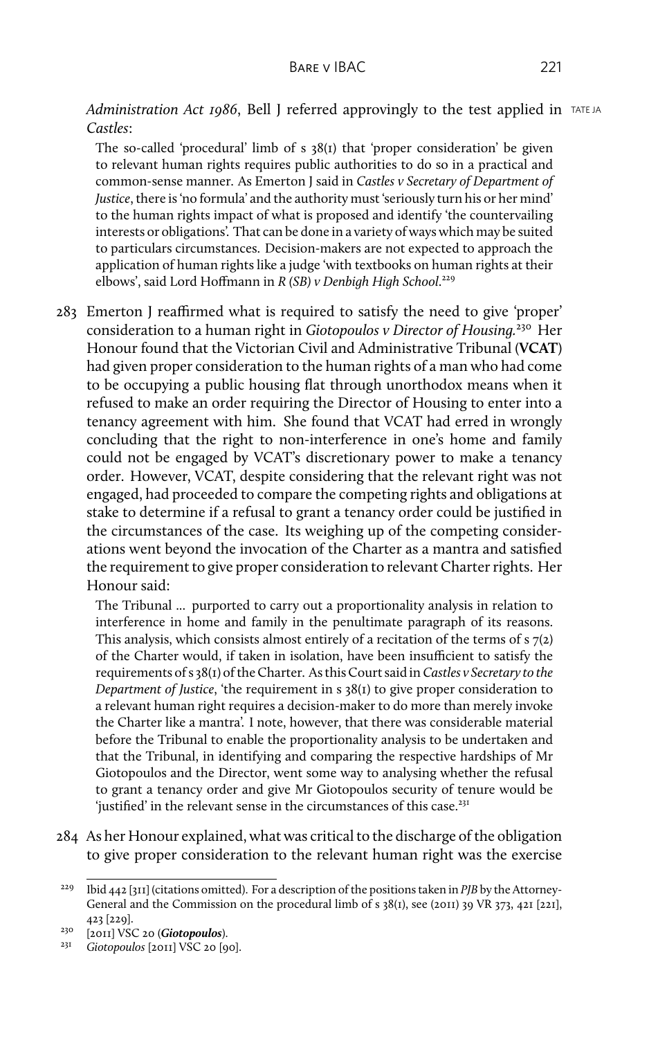*Administration Act 1986*, Bell J referred approvingly to the test applied in TATE JA *Castles*:

The so-called 'procedural' limb of s 38(1) that 'proper consideration' be given to relevant human rights requires public authorities to do so in a practical and common-sense manner. As Emerton J said in *Castles v Secretary of Department of Justice*, there is 'no formula' and the authority must 'seriously turn his or her mind' to the human rights impact of what is proposed and identify 'the countervailing interests or obligations'. That can be done in a variety of ways which may be suited to particulars circumstances. Decision-makers are not expected to approach the application of human rights like a judge 'with textbooks on human rights at their elbows', said Lord Hoffmann in *R (SB) v Denbigh High School*. 229

283 Emerton J reaffirmed what is required to satisfy the need to give 'proper' consideration to a human right in *Giotopoulos v Director of Housing.*<sup>230</sup> Her Honour found that the Victorian Civil and Administrative Tribunal (**VCAT**) had given proper consideration to the human rights of a man who had come to be occupying a public housing flat through unorthodox means when it refused to make an order requiring the Director of Housing to enter into a tenancy agreement with him. She found that VCAT had erred in wrongly concluding that the right to non-interference in one's home and family could not be engaged by VCAT's discretionary power to make a tenancy order. However, VCAT, despite considering that the relevant right was not engaged, had proceeded to compare the competing rights and obligations at stake to determine if a refusal to grant a tenancy order could be justified in the circumstances of the case. Its weighing up of the competing considerations went beyond the invocation of the Charter as a mantra and satisfied the requirement to give proper consideration to relevant Charter rights. Her Honour said:

The Tribunal ... purported to carry out a proportionality analysis in relation to interference in home and family in the penultimate paragraph of its reasons. This analysis, which consists almost entirely of a recitation of the terms of  $s$   $7(2)$ of the Charter would, if taken in isolation, have been insufficient to satisfy the requirements of s 38(1) of the Charter. As this Court said in*Castles v Secretary to the Department of Justice*, 'the requirement in s 38(1) to give proper consideration to a relevant human right requires a decision-maker to do more than merely invoke the Charter like a mantra'. I note, however, that there was considerable material before the Tribunal to enable the proportionality analysis to be undertaken and that the Tribunal, in identifying and comparing the respective hardships of Mr Giotopoulos and the Director, went some way to analysing whether the refusal to grant a tenancy order and give Mr Giotopoulos security of tenure would be 'justified' in the relevant sense in the circumstances of this case.<sup>231</sup>

284 As her Honour explained, what was critical to the discharge of the obligation to give proper consideration to the relevant human right was the exercise

<sup>229</sup> Ibid 442 [311] (citations omitted). For a description of the positions taken in *PJB* by the Attorney-General and the Commission on the procedural limb of s 38(1), see (2011) 39 VR 373, 421 [221], 423 [229].

<sup>230</sup> [2011] VSC 20 (*Giotopoulos*).

<sup>231</sup> *Giotopoulos* [2011] VSC 20 [90].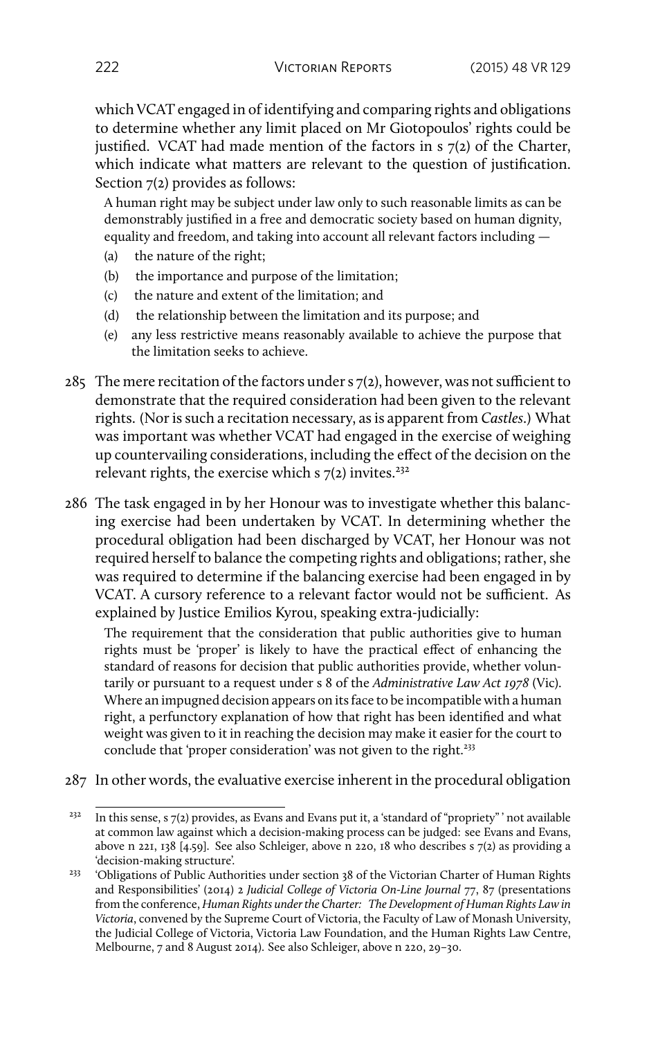which VCAT engaged in of identifying and comparing rights and obligations to determine whether any limit placed on Mr Giotopoulos' rights could be justified. VCAT had made mention of the factors in s 7(2) of the Charter, which indicate what matters are relevant to the question of justification. Section 7(2) provides as follows:

A human right may be subject under law only to such reasonable limits as can be demonstrably justified in a free and democratic society based on human dignity, equality and freedom, and taking into account all relevant factors including —

- (a) the nature of the right;
- (b) the importance and purpose of the limitation;
- (c) the nature and extent of the limitation; and
- (d) the relationship between the limitation and its purpose; and
- (e) any less restrictive means reasonably available to achieve the purpose that the limitation seeks to achieve.
- 285 The mere recitation of the factors under s 7(2), however, was not sufficient to demonstrate that the required consideration had been given to the relevant rights. (Nor is such a recitation necessary, as is apparent from *Castles*.) What was important was whether VCAT had engaged in the exercise of weighing up countervailing considerations, including the effect of the decision on the relevant rights, the exercise which s  $7(2)$  invites.<sup>232</sup>
- 286 The task engaged in by her Honour was to investigate whether this balancing exercise had been undertaken by VCAT. In determining whether the procedural obligation had been discharged by VCAT, her Honour was not required herself to balance the competing rights and obligations; rather, she was required to determine if the balancing exercise had been engaged in by VCAT. A cursory reference to a relevant factor would not be sufficient. As explained by Justice Emilios Kyrou, speaking extra-judicially:

The requirement that the consideration that public authorities give to human rights must be 'proper' is likely to have the practical effect of enhancing the standard of reasons for decision that public authorities provide, whether voluntarily or pursuant to a request under s 8 of the *Administrative Law Act 1978* (Vic). Where an impugned decision appears on its face to be incompatible with a human right, a perfunctory explanation of how that right has been identified and what weight was given to it in reaching the decision may make it easier for the court to conclude that 'proper consideration' was not given to the right.<sup>233</sup>

287 In other words, the evaluative exercise inherent in the procedural obligation

<sup>&</sup>lt;sup>232</sup> In this sense, s 7(2) provides, as Evans and Evans put it, a 'standard of "propriety" ' not available at common law against which a decision-making process can be judged: see Evans and Evans, above n 221, 138 [4.59]. See also Schleiger, above n 220, 18 who describes s 7(2) as providing a 'decision-making structure'.

<sup>&</sup>lt;sup>233</sup> 'Obligations of Public Authorities under section 38 of the Victorian Charter of Human Rights and Responsibilities' (2014) 2 *Judicial College of Victoria On-Line Journal* 77, 87 (presentations from the conference, *Human Rights under the Charter: The Development of Human Rights Law in Victoria*, convened by the Supreme Court of Victoria, the Faculty of Law of Monash University, the Judicial College of Victoria, Victoria Law Foundation, and the Human Rights Law Centre, Melbourne, 7 and 8 August 2014). See also Schleiger, above n 220, 29–30.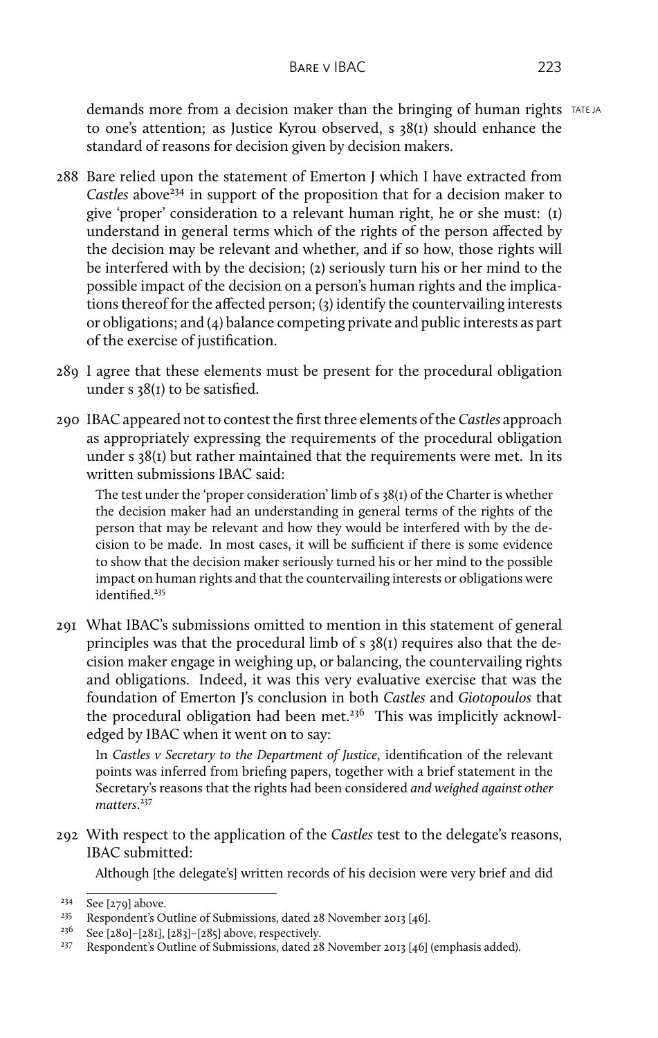demands more from a decision maker than the bringing of human rights TATE JA to one's attention; as Justice Kyrou observed, s 38(1) should enhance the standard of reasons for decision given by decision makers.

- 288 Bare relied upon the statement of Emerton J which I have extracted from Castles above<sup>234</sup> in support of the proposition that for a decision maker to give 'proper' consideration to a relevant human right, he or she must: (1) understand in general terms which of the rights of the person affected by the decision may be relevant and whether, and if so how, those rights will be interfered with by the decision; (2) seriously turn his or her mind to the possible impact of the decision on a person's human rights and the implications thereof for the affected person; (3) identify the countervailing interests or obligations; and (4) balance competing private and public interests as part of the exercise of justification.
- 289 I agree that these elements must be present for the procedural obligation under s 38(1) to be satisfied.
- 290 IBAC appeared not to contest the first three elements of the *Castles* approach as appropriately expressing the requirements of the procedural obligation under s 38(1) but rather maintained that the requirements were met. In its written submissions IBAC said:

The test under the 'proper consideration' limb of s 38(1) of the Charter is whether the decision maker had an understanding in general terms of the rights of the person that may be relevant and how they would be interfered with by the decision to be made. In most cases, it will be sufficient if there is some evidence to show that the decision maker seriously turned his or her mind to the possible impact on human rights and that the countervailing interests or obligations were identified.<sup>235</sup>

291 What IBAC's submissions omitted to mention in this statement of general principles was that the procedural limb of s 38(1) requires also that the decision maker engage in weighing up, or balancing, the countervailing rights and obligations. Indeed, it was this very evaluative exercise that was the foundation of Emerton J's conclusion in both *Castles* and *Giotopoulos* that the procedural obligation had been met.<sup>236</sup> This was implicitly acknowledged by IBAC when it went on to say:

In *Castles v Secretary to the Department of Justice*, identification of the relevant points was inferred from briefing papers, together with a brief statement in the Secretary's reasons that the rights had been considered *and weighed against other matters*. 237

292 With respect to the application of the *Castles* test to the delegate's reasons, IBAC submitted:

Although [the delegate's] written records of his decision were very brief and did

<sup>234</sup> See [279] above.

<sup>&</sup>lt;sup>235</sup> Respondent's Outline of Submissions, dated 28 November 2013 [46].<br><sup>236</sup> See [280]-[281] [282]-[285] above respectively

<sup>&</sup>lt;sup>236</sup> See [280]–[281], [283]–[285] above, respectively.<br><sup>237</sup> Respondent's Outline of Submissions, dated 28

<sup>237</sup> Respondent's Outline of Submissions, dated 28 November 2013 [46] (emphasis added).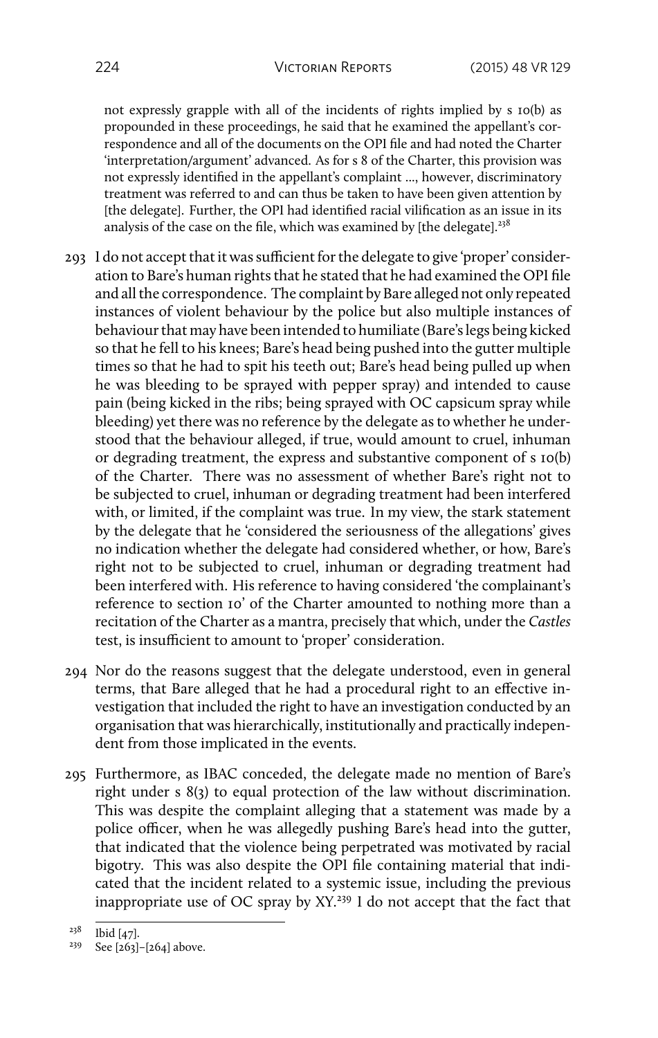not expressly grapple with all of the incidents of rights implied by s 10(b) as propounded in these proceedings, he said that he examined the appellant's correspondence and all of the documents on the OPI file and had noted the Charter 'interpretation/argument' advanced. As for s 8 of the Charter, this provision was not expressly identified in the appellant's complaint ..., however, discriminatory treatment was referred to and can thus be taken to have been given attention by [the delegate]. Further, the OPI had identified racial vilification as an issue in its analysis of the case on the file, which was examined by [the delegate]. $238$ 

- 293 I do not accept that it was sufficient for the delegate to give 'proper' consideration to Bare's human rights that he stated that he had examined the OPI file and all the correspondence. The complaint by Bare alleged not only repeated instances of violent behaviour by the police but also multiple instances of behaviour that may have been intended to humiliate (Bare's legs being kicked so that he fell to his knees; Bare's head being pushed into the gutter multiple times so that he had to spit his teeth out; Bare's head being pulled up when he was bleeding to be sprayed with pepper spray) and intended to cause pain (being kicked in the ribs; being sprayed with OC capsicum spray while bleeding) yet there was no reference by the delegate as to whether he understood that the behaviour alleged, if true, would amount to cruel, inhuman or degrading treatment, the express and substantive component of s 10(b) of the Charter. There was no assessment of whether Bare's right not to be subjected to cruel, inhuman or degrading treatment had been interfered with, or limited, if the complaint was true. In my view, the stark statement by the delegate that he 'considered the seriousness of the allegations' gives no indication whether the delegate had considered whether, or how, Bare's right not to be subjected to cruel, inhuman or degrading treatment had been interfered with. His reference to having considered 'the complainant's reference to section 10' of the Charter amounted to nothing more than a recitation of the Charter as a mantra, precisely that which, under the *Castles* test, is insufficient to amount to 'proper' consideration.
- 294 Nor do the reasons suggest that the delegate understood, even in general terms, that Bare alleged that he had a procedural right to an effective investigation that included the right to have an investigation conducted by an organisation that was hierarchically, institutionally and practically independent from those implicated in the events.
- 295 Furthermore, as IBAC conceded, the delegate made no mention of Bare's right under s 8(3) to equal protection of the law without discrimination. This was despite the complaint alleging that a statement was made by a police officer, when he was allegedly pushing Bare's head into the gutter, that indicated that the violence being perpetrated was motivated by racial bigotry. This was also despite the OPI file containing material that indicated that the incident related to a systemic issue, including the previous inappropriate use of OC spray by XY.<sup>239</sup> I do not accept that the fact that

<sup>238</sup> Ibid [47].

 $239$  See [263]–[264] above.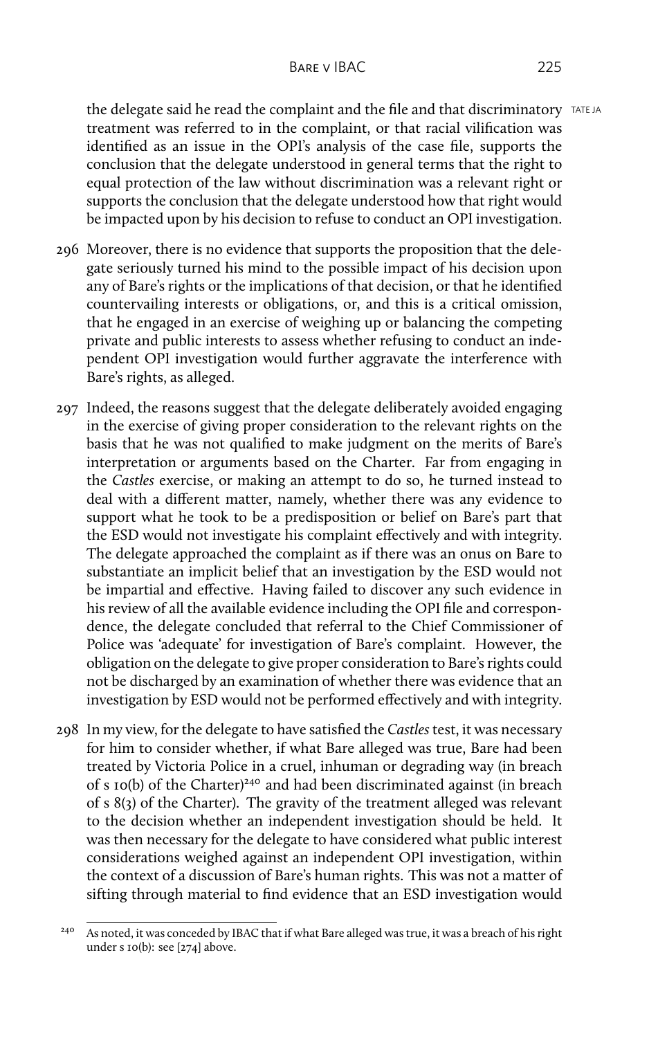the delegate said he read the complaint and the file and that discriminatory  $TATEJA$ treatment was referred to in the complaint, or that racial vilification was identified as an issue in the OPI's analysis of the case file, supports the conclusion that the delegate understood in general terms that the right to equal protection of the law without discrimination was a relevant right or supports the conclusion that the delegate understood how that right would be impacted upon by his decision to refuse to conduct an OPI investigation.

- 296 Moreover, there is no evidence that supports the proposition that the delegate seriously turned his mind to the possible impact of his decision upon any of Bare's rights or the implications of that decision, or that he identified countervailing interests or obligations, or, and this is a critical omission, that he engaged in an exercise of weighing up or balancing the competing private and public interests to assess whether refusing to conduct an independent OPI investigation would further aggravate the interference with Bare's rights, as alleged.
- 297 Indeed, the reasons suggest that the delegate deliberately avoided engaging in the exercise of giving proper consideration to the relevant rights on the basis that he was not qualified to make judgment on the merits of Bare's interpretation or arguments based on the Charter. Far from engaging in the *Castles* exercise, or making an attempt to do so, he turned instead to deal with a different matter, namely, whether there was any evidence to support what he took to be a predisposition or belief on Bare's part that the ESD would not investigate his complaint effectively and with integrity. The delegate approached the complaint as if there was an onus on Bare to substantiate an implicit belief that an investigation by the ESD would not be impartial and effective. Having failed to discover any such evidence in his review of all the available evidence including the OPI file and correspondence, the delegate concluded that referral to the Chief Commissioner of Police was 'adequate' for investigation of Bare's complaint. However, the obligation on the delegate to give proper consideration to Bare's rights could not be discharged by an examination of whether there was evidence that an investigation by ESD would not be performed effectively and with integrity.
- 298 In my view, for the delegate to have satisfied the *Castles* test, it was necessary for him to consider whether, if what Bare alleged was true, Bare had been treated by Victoria Police in a cruel, inhuman or degrading way (in breach of s 10(b) of the Charter)<sup>240</sup> and had been discriminated against (in breach of s 8(3) of the Charter). The gravity of the treatment alleged was relevant to the decision whether an independent investigation should be held. It was then necessary for the delegate to have considered what public interest considerations weighed against an independent OPI investigation, within the context of a discussion of Bare's human rights. This was not a matter of sifting through material to find evidence that an ESD investigation would

<sup>&</sup>lt;sup>240</sup> As noted, it was conceded by IBAC that if what Bare alleged was true, it was a breach of his right under s 10(b): see [274] above.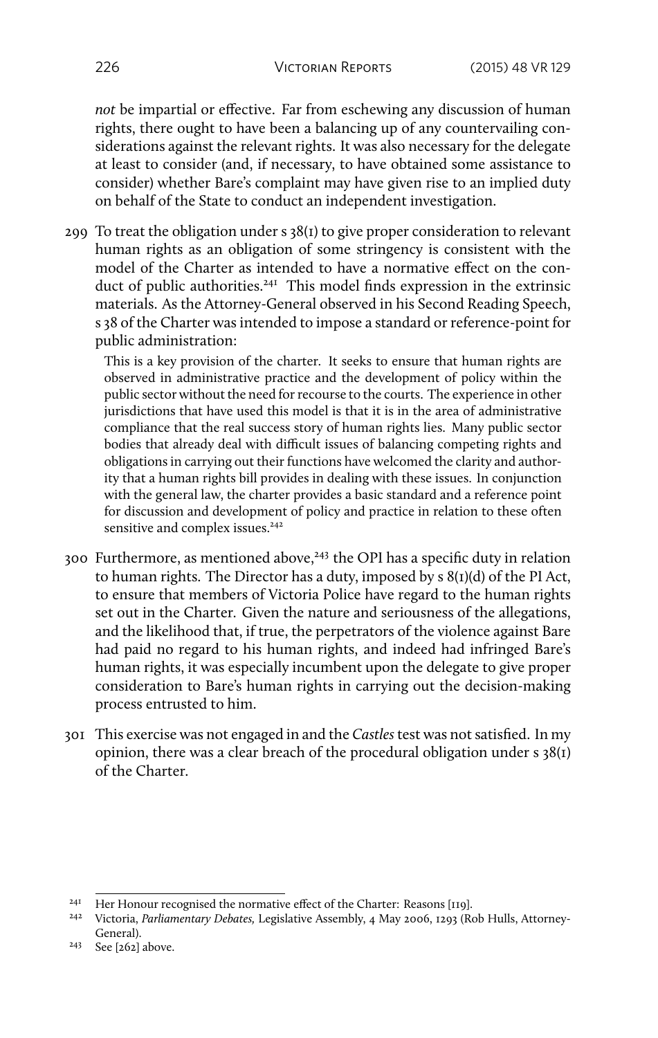*not* be impartial or effective. Far from eschewing any discussion of human rights, there ought to have been a balancing up of any countervailing considerations against the relevant rights. It was also necessary for the delegate at least to consider (and, if necessary, to have obtained some assistance to consider) whether Bare's complaint may have given rise to an implied duty on behalf of the State to conduct an independent investigation.

299 To treat the obligation under s 38(1) to give proper consideration to relevant human rights as an obligation of some stringency is consistent with the model of the Charter as intended to have a normative effect on the conduct of public authorities.<sup>241</sup> This model finds expression in the extrinsic materials. As the Attorney-General observed in his Second Reading Speech, s 38 of the Charter was intended to impose a standard or reference-point for public administration:

This is a key provision of the charter. It seeks to ensure that human rights are observed in administrative practice and the development of policy within the public sector without the need for recourse to the courts. The experience in other jurisdictions that have used this model is that it is in the area of administrative compliance that the real success story of human rights lies. Many public sector bodies that already deal with difficult issues of balancing competing rights and obligations in carrying out their functions have welcomed the clarity and authority that a human rights bill provides in dealing with these issues. In conjunction with the general law, the charter provides a basic standard and a reference point for discussion and development of policy and practice in relation to these often sensitive and complex issues.<sup>242</sup>

- 300 Furthermore, as mentioned above,<sup>243</sup> the OPI has a specific duty in relation to human rights. The Director has a duty, imposed by s 8(1)(d) of the PI Act, to ensure that members of Victoria Police have regard to the human rights set out in the Charter. Given the nature and seriousness of the allegations, and the likelihood that, if true, the perpetrators of the violence against Bare had paid no regard to his human rights, and indeed had infringed Bare's human rights, it was especially incumbent upon the delegate to give proper consideration to Bare's human rights in carrying out the decision-making process entrusted to him.
- 301 This exercise was not engaged in and the *Castles* test was not satisfied. In my opinion, there was a clear breach of the procedural obligation under s 38(1) of the Charter.

<sup>&</sup>lt;sup>24I</sup> Her Honour recognised the normative effect of the Charter: Reasons [119].

<sup>242</sup> Victoria, *Parliamentary Debates,* Legislative Assembly, 4 May 2006, 1293 (Rob Hulls, Attorney-General).

<sup>243</sup> See [262] above.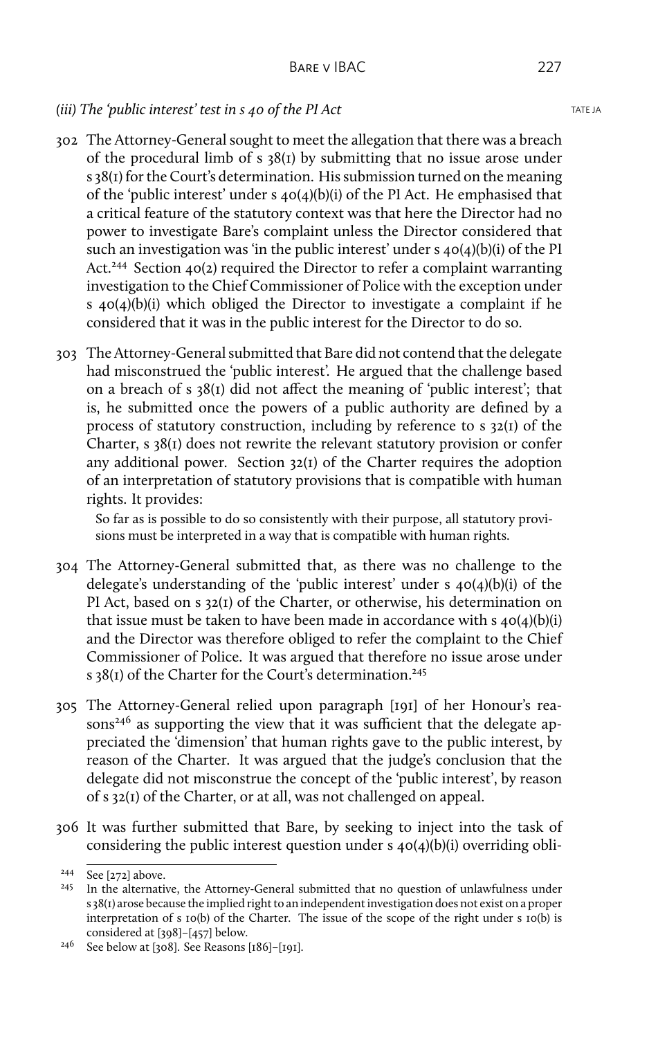## *(iii)* The 'public interest' test in s 40 of the PI Act TATE JA

- 302 The Attorney-General sought to meet the allegation that there was a breach of the procedural limb of s 38(1) by submitting that no issue arose under s 38(1) for the Court's determination. His submission turned on the meaning of the 'public interest' under s 40(4)(b)(i) of the PI Act. He emphasised that a critical feature of the statutory context was that here the Director had no power to investigate Bare's complaint unless the Director considered that such an investigation was 'in the public interest' under s 40(4)(b)(i) of the PI Act.<sup>244</sup> Section 40(2) required the Director to refer a complaint warranting investigation to the Chief Commissioner of Police with the exception under s  $40(4)(b)(i)$  which obliged the Director to investigate a complaint if he considered that it was in the public interest for the Director to do so.
- 303 The Attorney-General submitted that Bare did not contend that the delegate had misconstrued the 'public interest'. He argued that the challenge based on a breach of s 38(1) did not affect the meaning of 'public interest'; that is, he submitted once the powers of a public authority are defined by a process of statutory construction, including by reference to s 32(1) of the Charter, s 38(1) does not rewrite the relevant statutory provision or confer any additional power. Section 32(1) of the Charter requires the adoption of an interpretation of statutory provisions that is compatible with human rights. It provides:

So far as is possible to do so consistently with their purpose, all statutory provisions must be interpreted in a way that is compatible with human rights.

- 304 The Attorney-General submitted that, as there was no challenge to the delegate's understanding of the 'public interest' under s 40(4)(b)(i) of the PI Act, based on s 32(1) of the Charter, or otherwise, his determination on that issue must be taken to have been made in accordance with  $s$  40(4)(b)(i) and the Director was therefore obliged to refer the complaint to the Chief Commissioner of Police. It was argued that therefore no issue arose under s 38(1) of the Charter for the Court's determination.<sup>245</sup>
- 305 The Attorney-General relied upon paragraph [191] of her Honour's reasons<sup>246</sup> as supporting the view that it was sufficient that the delegate appreciated the 'dimension' that human rights gave to the public interest, by reason of the Charter. It was argued that the judge's conclusion that the delegate did not misconstrue the concept of the 'public interest', by reason of s 32(1) of the Charter, or at all, was not challenged on appeal.
- 306 It was further submitted that Bare, by seeking to inject into the task of considering the public interest question under s 40(4)(b)(i) overriding obli-

<sup>244</sup> See [272] above.

<sup>&</sup>lt;sup>245</sup> In the alternative, the Attorney-General submitted that no question of unlawfulness under s 38(1) arose because the implied right to an independent investigation does not exist on a proper interpretation of s 10(b) of the Charter. The issue of the scope of the right under s 10(b) is considered at [398]–[457] below.

<sup>&</sup>lt;sup>246</sup> See below at [308]. See Reasons [186]-[191].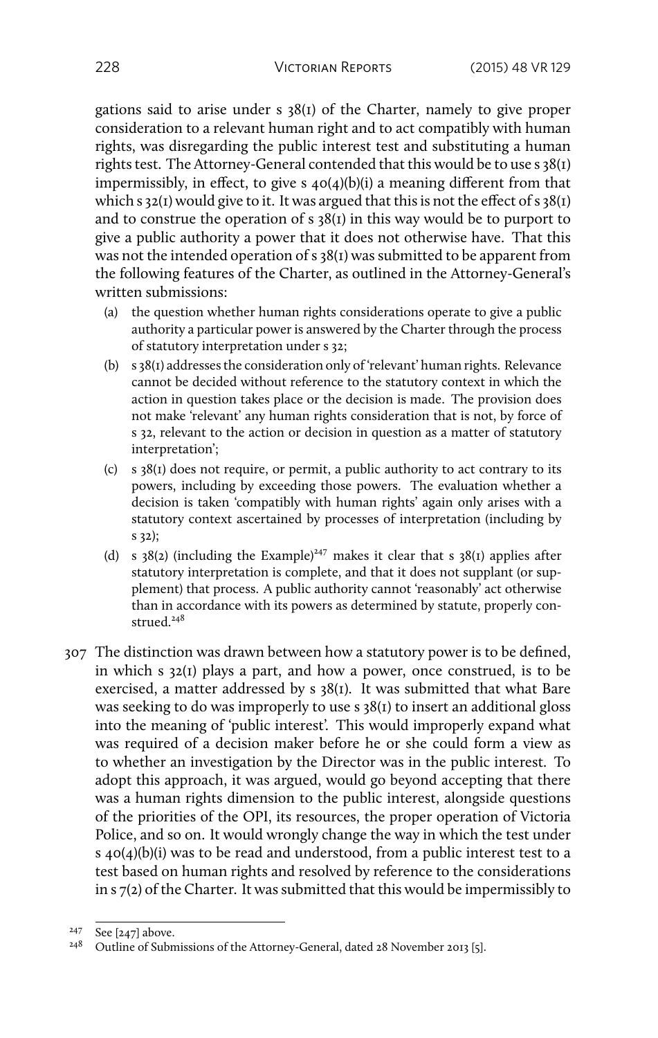gations said to arise under s 38(1) of the Charter, namely to give proper consideration to a relevant human right and to act compatibly with human rights, was disregarding the public interest test and substituting a human rights test. The Attorney-General contended that this would be to use s 38(1) impermissibly, in effect, to give s 40(4)(b)(i) a meaning different from that which s  $32(I)$  would give to it. It was argued that this is not the effect of s  $38(I)$ and to construe the operation of  $s$  38( $r$ ) in this way would be to purport to give a public authority a power that it does not otherwise have. That this was not the intended operation of s 38(1) was submitted to be apparent from the following features of the Charter, as outlined in the Attorney-General's written submissions:

- (a) the question whether human rights considerations operate to give a public authority a particular power is answered by the Charter through the process of statutory interpretation under s 32;
- (b) s 38(1) addresses the consideration only of 'relevant' human rights. Relevance cannot be decided without reference to the statutory context in which the action in question takes place or the decision is made. The provision does not make 'relevant' any human rights consideration that is not, by force of s 32, relevant to the action or decision in question as a matter of statutory interpretation';
- (c) s 38(1) does not require, or permit, a public authority to act contrary to its powers, including by exceeding those powers. The evaluation whether a decision is taken 'compatibly with human rights' again only arises with a statutory context ascertained by processes of interpretation (including by s 32);
- (d) s  $38(2)$  (including the Example)<sup>247</sup> makes it clear that s  $38(1)$  applies after statutory interpretation is complete, and that it does not supplant (or supplement) that process. A public authority cannot 'reasonably' act otherwise than in accordance with its powers as determined by statute, properly construed<sup>248</sup>
- 307 The distinction was drawn between how a statutory power is to be defined, in which s 32(1) plays a part, and how a power, once construed, is to be exercised, a matter addressed by s 38(1). It was submitted that what Bare was seeking to do was improperly to use s 38(1) to insert an additional gloss into the meaning of 'public interest'. This would improperly expand what was required of a decision maker before he or she could form a view as to whether an investigation by the Director was in the public interest. To adopt this approach, it was argued, would go beyond accepting that there was a human rights dimension to the public interest, alongside questions of the priorities of the OPI, its resources, the proper operation of Victoria Police, and so on. It would wrongly change the way in which the test under s 40(4)(b)(i) was to be read and understood, from a public interest test to a test based on human rights and resolved by reference to the considerations in s 7(2) of the Charter. It was submitted that this would be impermissibly to

<sup>247</sup> See [247] above.

<sup>&</sup>lt;sup>248</sup> Outline of Submissions of the Attorney-General, dated 28 November 2013 [5].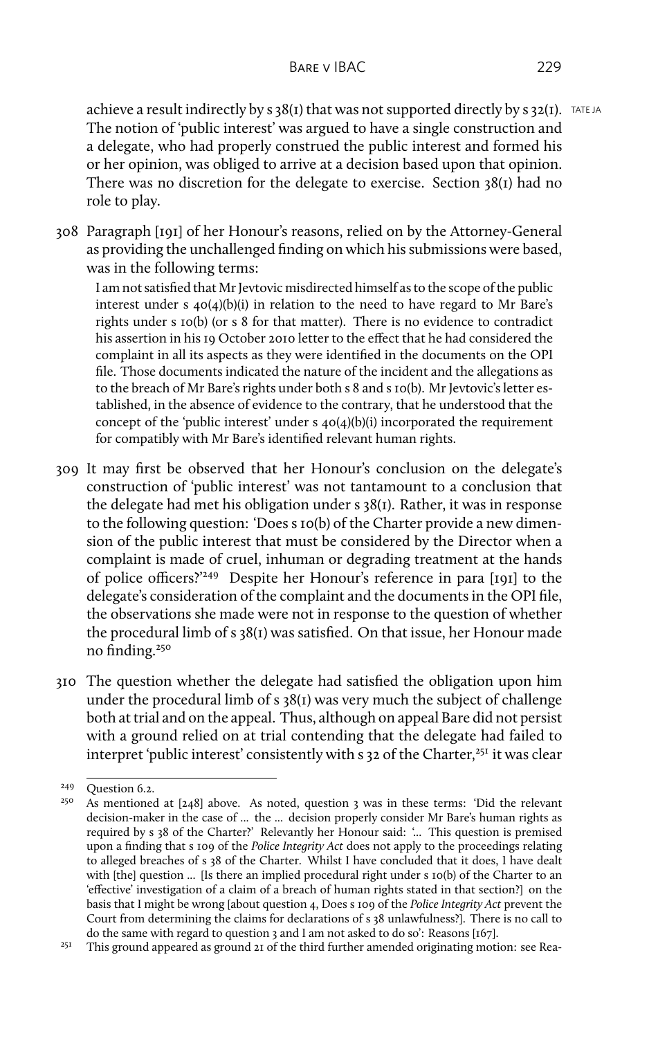achieve a result indirectly by s  $38(1)$  that was not supported directly by s  $32(1)$ . TATE JA The notion of 'public interest' was argued to have a single construction and a delegate, who had properly construed the public interest and formed his or her opinion, was obliged to arrive at a decision based upon that opinion. There was no discretion for the delegate to exercise. Section 38(1) had no role to play.

308 Paragraph [191] of her Honour's reasons, relied on by the Attorney-General as providing the unchallenged finding on which his submissions were based, was in the following terms:

I am not satisfied that Mr Jevtovic misdirected himself as to the scope of the public interest under s  $40(4)(b)(i)$  in relation to the need to have regard to Mr Bare's rights under s 10(b) (or s 8 for that matter). There is no evidence to contradict his assertion in his 19 October 2010 letter to the effect that he had considered the complaint in all its aspects as they were identified in the documents on the OPI file. Those documents indicated the nature of the incident and the allegations as to the breach of Mr Bare's rights under both s 8 and s 10(b). Mr Jevtovic's letter established, in the absence of evidence to the contrary, that he understood that the concept of the 'public interest' under s 40(4)(b)(i) incorporated the requirement for compatibly with Mr Bare's identified relevant human rights.

- 309 It may first be observed that her Honour's conclusion on the delegate's construction of 'public interest' was not tantamount to a conclusion that the delegate had met his obligation under s 38(1). Rather, it was in response to the following question: 'Does s 10(b) of the Charter provide a new dimension of the public interest that must be considered by the Director when a complaint is made of cruel, inhuman or degrading treatment at the hands of police officers?'<sup>249</sup> Despite her Honour's reference in para [191] to the delegate's consideration of the complaint and the documents in the OPI file, the observations she made were not in response to the question of whether the procedural limb of s 38(1) was satisfied. On that issue, her Honour made no finding.<sup>250</sup>
- 310 The question whether the delegate had satisfied the obligation upon him under the procedural limb of s 38(1) was very much the subject of challenge both at trial and on the appeal. Thus, although on appeal Bare did not persist with a ground relied on at trial contending that the delegate had failed to interpret 'public interest' consistently with s 32 of the Charter,<sup>251</sup> it was clear

<sup>&</sup>lt;sup>249</sup> Question 6.2.<br><sup>250</sup> As mentioned

As mentioned at [248] above. As noted, question 3 was in these terms: 'Did the relevant decision-maker in the case of ... the ... decision properly consider Mr Bare's human rights as required by s 38 of the Charter?' Relevantly her Honour said: '... This question is premised upon a finding that s 109 of the *Police Integrity Act* does not apply to the proceedings relating to alleged breaches of s 38 of the Charter. Whilst I have concluded that it does, I have dealt with [the] question ... [Is there an implied procedural right under s 10(b) of the Charter to an 'effective' investigation of a claim of a breach of human rights stated in that section?] on the basis that I might be wrong [about question 4, Does s 109 of the *Police Integrity Act* prevent the Court from determining the claims for declarations of s 38 unlawfulness?]. There is no call to do the same with regard to question 3 and I am not asked to do so': Reasons [167].

 $251$  This ground appeared as ground 21 of the third further amended originating motion: see Rea-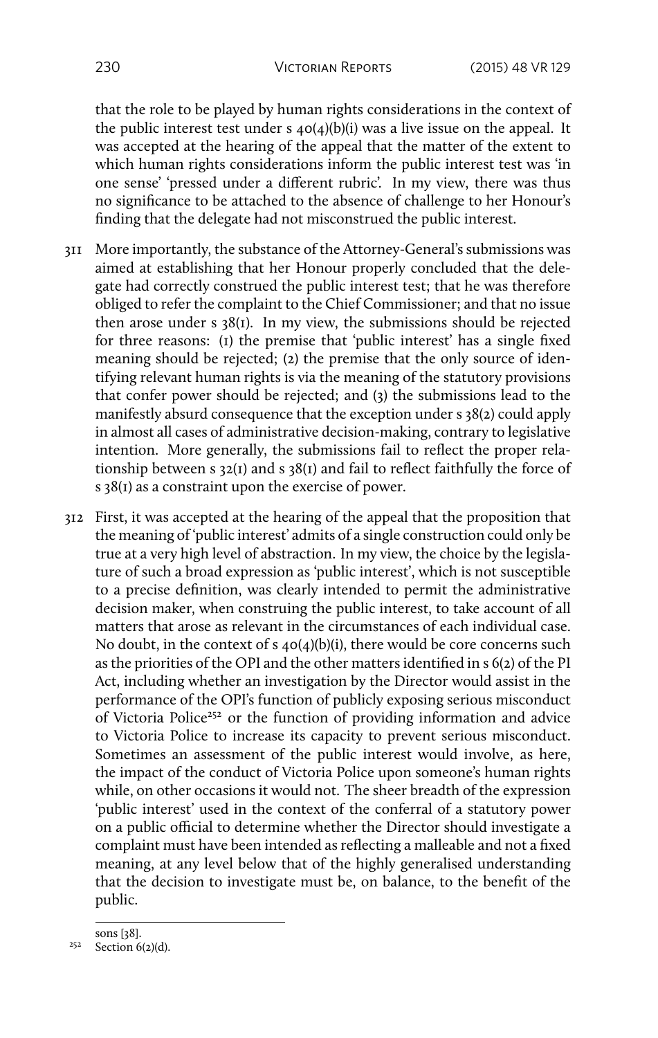that the role to be played by human rights considerations in the context of the public interest test under s  $40(4)(b)(i)$  was a live issue on the appeal. It was accepted at the hearing of the appeal that the matter of the extent to which human rights considerations inform the public interest test was 'in one sense' 'pressed under a different rubric'. In my view, there was thus no significance to be attached to the absence of challenge to her Honour's finding that the delegate had not misconstrued the public interest.

- 311 More importantly, the substance of the Attorney-General's submissions was aimed at establishing that her Honour properly concluded that the delegate had correctly construed the public interest test; that he was therefore obliged to refer the complaint to the Chief Commissioner; and that no issue then arose under s 38(1). In my view, the submissions should be rejected for three reasons: (1) the premise that 'public interest' has a single fixed meaning should be rejected; (2) the premise that the only source of identifying relevant human rights is via the meaning of the statutory provisions that confer power should be rejected; and (3) the submissions lead to the manifestly absurd consequence that the exception under s 38(2) could apply in almost all cases of administrative decision-making, contrary to legislative intention. More generally, the submissions fail to reflect the proper relationship between s 32(1) and s 38(1) and fail to reflect faithfully the force of s 38(1) as a constraint upon the exercise of power.
- 312 First, it was accepted at the hearing of the appeal that the proposition that the meaning of 'public interest' admits of a single construction could only be true at a very high level of abstraction. In my view, the choice by the legislature of such a broad expression as 'public interest', which is not susceptible to a precise definition, was clearly intended to permit the administrative decision maker, when construing the public interest, to take account of all matters that arose as relevant in the circumstances of each individual case. No doubt, in the context of s 40(4)(b)(i), there would be core concerns such as the priorities of the OPI and the other matters identified in s 6(2) of the PI Act, including whether an investigation by the Director would assist in the performance of the OPI's function of publicly exposing serious misconduct of Victoria Police<sup>252</sup> or the function of providing information and advice to Victoria Police to increase its capacity to prevent serious misconduct. Sometimes an assessment of the public interest would involve, as here, the impact of the conduct of Victoria Police upon someone's human rights while, on other occasions it would not. The sheer breadth of the expression 'public interest' used in the context of the conferral of a statutory power on a public official to determine whether the Director should investigate a complaint must have been intended as reflecting a malleable and not a fixed meaning, at any level below that of the highly generalised understanding that the decision to investigate must be, on balance, to the benefit of the public.

sons [38].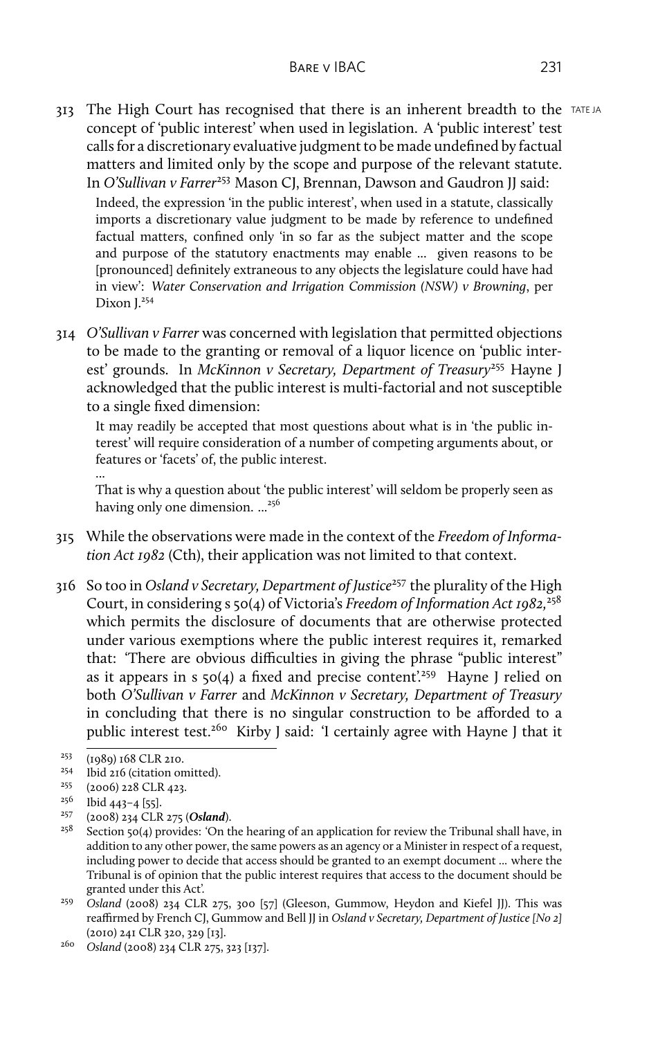313 The High Court has recognised that there is an inherent breadth to the TATE JA concept of 'public interest' when used in legislation. A 'public interest' test calls for a discretionary evaluative judgment to be made undefined by factual matters and limited only by the scope and purpose of the relevant statute. In *O'Sullivan v Farrer<sup>253</sup>* Mason CJ, Brennan, Dawson and Gaudron JJ said: Indeed, the expression 'in the public interest', when used in a statute, classically imports a discretionary value judgment to be made by reference to undefined factual matters, confined only 'in so far as the subject matter and the scope

and purpose of the statutory enactments may enable ... given reasons to be [pronounced] definitely extraneous to any objects the legislature could have had in view': *Water Conservation and Irrigation Commission (NSW) v Browning*, per Dixon I.<sup>254</sup>

314 *O'Sullivan v Farrer* was concerned with legislation that permitted objections to be made to the granting or removal of a liquor licence on 'public interest' grounds. In *McKinnon v Secretary, Department of Treasury*<sup>255</sup> Hayne J acknowledged that the public interest is multi-factorial and not susceptible to a single fixed dimension:

It may readily be accepted that most questions about what is in 'the public interest' will require consideration of a number of competing arguments about, or features or 'facets' of, the public interest.

...

That is why a question about 'the public interest' will seldom be properly seen as having only one dimension.  $\ldots^{256}$ 

- 315 While the observations were made in the context of the *Freedom of Information Act 1982* (Cth), their application was not limited to that context.
- 316 So too in *Osland v Secretary, Department of Justice*<sup>257</sup> the plurality of the High Court, in considering s 50(4) of Victoria's *Freedom of Information Act 1982,*<sup>258</sup> which permits the disclosure of documents that are otherwise protected under various exemptions where the public interest requires it, remarked that: 'There are obvious difficulties in giving the phrase "public interest" as it appears in s  $50(4)$  a fixed and precise content.<sup>259</sup> Hayne I relied on both *O'Sullivan v Farrer* and *McKinnon v Secretary, Department of Treasury* in concluding that there is no singular construction to be afforded to a public interest test.<sup>260</sup> Kirby J said: 'I certainly agree with Hayne J that it

<sup>259</sup> Osland (2008) 234 CLR 275, 300 [57] (Gleeson, Gummow, Heydon and Kiefel JJ). This was reaffirmed by French CJ, Gummow and Bell JJ in *Osland v Secretary, Department of Justice [No 2]* (2010) 241 CLR 320, 329 [13].

 $^{253}$  (1989) 168 CLR 210.<br><sup>254</sup> Ibid 216 (citation or

<sup>&</sup>lt;sup>254</sup> Ibid 216 (citation omitted).<br><sup>255</sup> (2006) 228 CLR 422

<sup>255</sup> (2006) 228 CLR 423.

 $^{256}$  Ibid 443-4 [55].

<sup>257</sup> (2008) 234 CLR 275 (*Osland*).

Section 50(4) provides: 'On the hearing of an application for review the Tribunal shall have, in addition to any other power, the same powers as an agency or a Minister in respect of a request, including power to decide that access should be granted to an exempt document ... where the Tribunal is of opinion that the public interest requires that access to the document should be granted under this Act'.

<sup>260</sup> *Osland* (2008) 234 CLR 275, 323 [137].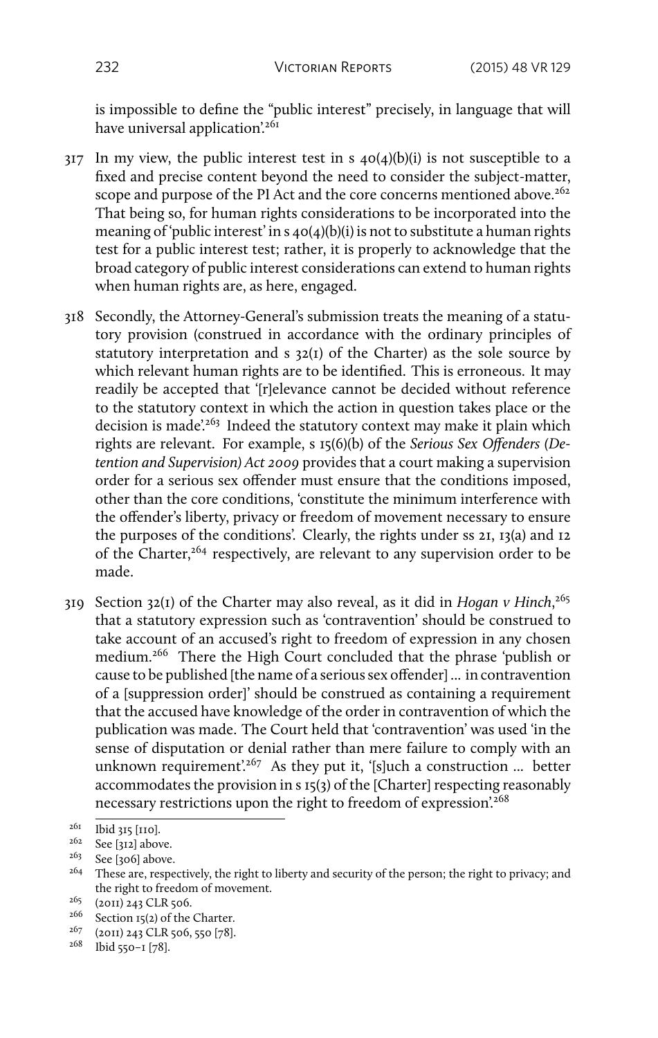is impossible to define the "public interest" precisely, in language that will have universal application<sup>'261</sup>

- $317$  In my view, the public interest test in s  $40(4)(b)(i)$  is not susceptible to a fixed and precise content beyond the need to consider the subject-matter, scope and purpose of the PI Act and the core concerns mentioned above.<sup>262</sup> That being so, for human rights considerations to be incorporated into the meaning of 'public interest' in s  $40(4)(b)(i)$  is not to substitute a human rights test for a public interest test; rather, it is properly to acknowledge that the broad category of public interest considerations can extend to human rights when human rights are, as here, engaged.
- 318 Secondly, the Attorney-General's submission treats the meaning of a statutory provision (construed in accordance with the ordinary principles of statutory interpretation and s  $32(I)$  of the Charter) as the sole source by which relevant human rights are to be identified. This is erroneous. It may readily be accepted that '[r]elevance cannot be decided without reference to the statutory context in which the action in question takes place or the decision is made'.<sup>263</sup> Indeed the statutory context may make it plain which rights are relevant. For example, s 15(6)(b) of the *Serious Sex Offenders (Detention and Supervision) Act 2009* provides that a court making a supervision order for a serious sex offender must ensure that the conditions imposed, other than the core conditions, 'constitute the minimum interference with the offender's liberty, privacy or freedom of movement necessary to ensure the purposes of the conditions'. Clearly, the rights under ss 21, 13(a) and 12 of the Charter,<sup>264</sup> respectively, are relevant to any supervision order to be made.
- 319 Section 32(1) of the Charter may also reveal, as it did in *Hogan v Hinch*, 265 that a statutory expression such as 'contravention' should be construed to take account of an accused's right to freedom of expression in any chosen medium.<sup>266</sup> There the High Court concluded that the phrase 'publish or cause to be published [the name of a serious sex offender] ... in contravention of a [suppression order]' should be construed as containing a requirement that the accused have knowledge of the order in contravention of which the publication was made. The Court held that 'contravention' was used 'in the sense of disputation or denial rather than mere failure to comply with an unknown requirement'.<sup>267</sup> As they put it, '[s]uch a construction ... better accommodates the provision in s 15(3) of the [Charter] respecting reasonably necessary restrictions upon the right to freedom of expression.<sup>268</sup>

<sup>261</sup> Ibid 315 [110].

 $262$  See [312] above.

See [306] above.

<sup>&</sup>lt;sup>264</sup> These are, respectively, the right to liberty and security of the person; the right to privacy; and the right to freedom of movement.

 $2^{65}$  (2011) 243 CLR 506.

 $266$  Section 15(2) of the Charter.

 $2^{67}$  (2011) 243 CLR 506, 550 [78].

 $268$  Ibid 550-1 [78].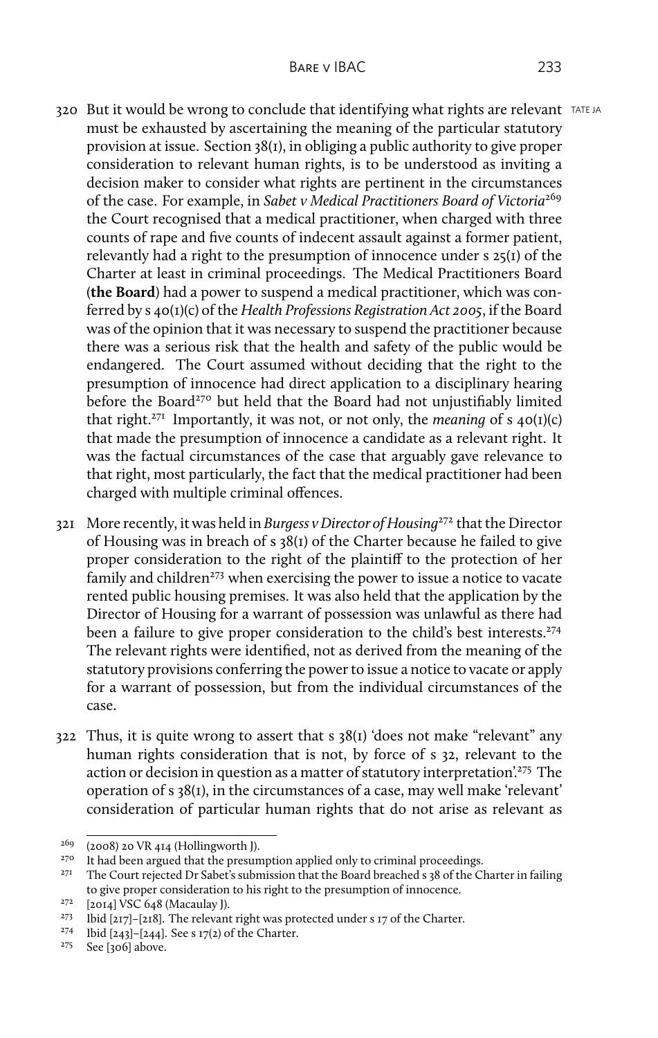- 320 But it would be wrong to conclude that identifying what rights are relevant TATEJA must be exhausted by ascertaining the meaning of the particular statutory provision at issue. Section 38(1), in obliging a public authority to give proper consideration to relevant human rights, is to be understood as inviting a decision maker to consider what rights are pertinent in the circumstances of the case. For example, in *Sabet v Medical Practitioners Board of Victoria*<sup>269</sup> the Court recognised that a medical practitioner, when charged with three counts of rape and five counts of indecent assault against a former patient, relevantly had a right to the presumption of innocence under s 25(1) of the Charter at least in criminal proceedings. The Medical Practitioners Board (**the Board**) had a power to suspend a medical practitioner, which was conferred by s 40(1)(c) of the *Health Professions Registration Act 2005*, if the Board was of the opinion that it was necessary to suspend the practitioner because there was a serious risk that the health and safety of the public would be endangered. The Court assumed without deciding that the right to the presumption of innocence had direct application to a disciplinary hearing before the Board<sup>270</sup> but held that the Board had not unjustifiably limited that right.<sup>271</sup> Importantly, it was not, or not only, the *meaning* of s  $40(I)(c)$ that made the presumption of innocence a candidate as a relevant right. It was the factual circumstances of the case that arguably gave relevance to that right, most particularly, the fact that the medical practitioner had been
- 321 More recently, it was held in *Burgess v Director of Housing*<sup>272</sup> that the Director of Housing was in breach of s 38(1) of the Charter because he failed to give proper consideration to the right of the plaintiff to the protection of her family and children<sup>273</sup> when exercising the power to issue a notice to vacate rented public housing premises. It was also held that the application by the Director of Housing for a warrant of possession was unlawful as there had been a failure to give proper consideration to the child's best interests.<sup>274</sup> The relevant rights were identified, not as derived from the meaning of the statutory provisions conferring the power to issue a notice to vacate or apply for a warrant of possession, but from the individual circumstances of the case.

charged with multiple criminal offences.

322 Thus, it is quite wrong to assert that s 38(1) 'does not make "relevant" any human rights consideration that is not, by force of s 32, relevant to the action or decision in question as a matter of statutory interpretation.<sup>275</sup> The operation of s 38(1), in the circumstances of a case, may well make 'relevant' consideration of particular human rights that do not arise as relevant as

 $269$  (2008) 20 VR 414 (Hollingworth J).<br> $270$  It had been aroued that the presun

<sup>&</sup>lt;sup>270</sup> It had been argued that the presumption applied only to criminal proceedings.<br><sup>271</sup> The Court prior to Dr. Schot's submission that the Poard breached ac<sup>9</sup> of the Cl

The Court rejected Dr Sabet's submission that the Board breached s 38 of the Charter in failing to give proper consideration to his right to the presumption of innocence.

 $272$  [2014] VSC 648 (Macaulay J).

<sup>&</sup>lt;sup>273</sup> Ibid [217]–[218]. The relevant right was protected under s 17 of the Charter.

<sup>274</sup> Ibid [243]–[244]. See s 17(2) of the Charter.

<sup>275</sup> See [306] above.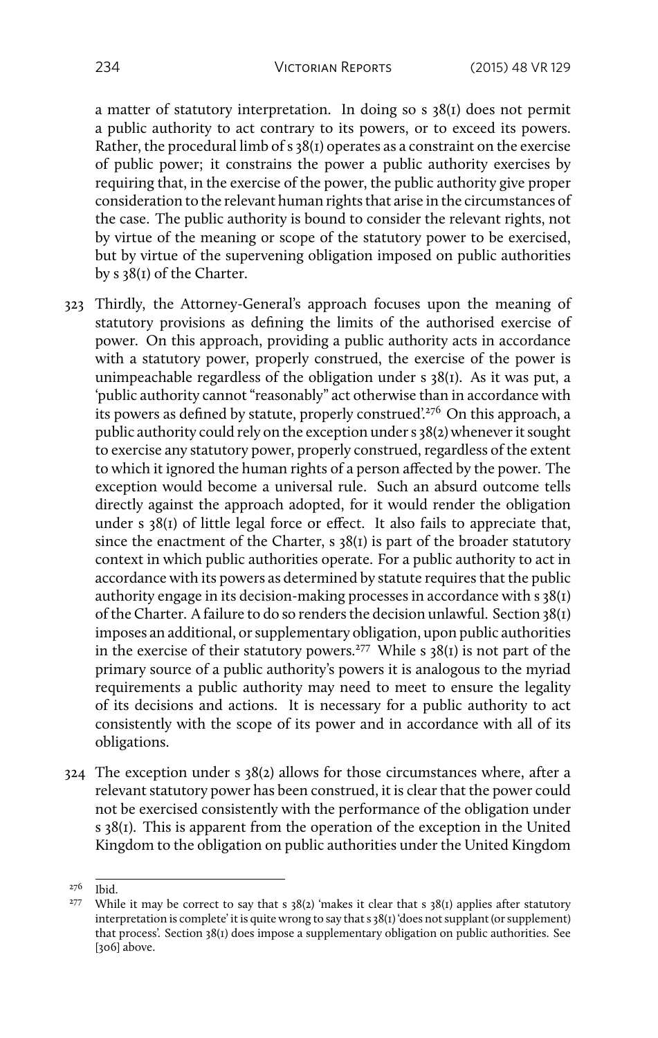a matter of statutory interpretation. In doing so s 38(1) does not permit a public authority to act contrary to its powers, or to exceed its powers. Rather, the procedural limb of s 38(1) operates as a constraint on the exercise of public power; it constrains the power a public authority exercises by requiring that, in the exercise of the power, the public authority give proper consideration to the relevant human rights that arise in the circumstances of the case. The public authority is bound to consider the relevant rights, not by virtue of the meaning or scope of the statutory power to be exercised, but by virtue of the supervening obligation imposed on public authorities by s 38(1) of the Charter.

- 323 Thirdly, the Attorney-General's approach focuses upon the meaning of statutory provisions as defining the limits of the authorised exercise of power. On this approach, providing a public authority acts in accordance with a statutory power, properly construed, the exercise of the power is unimpeachable regardless of the obligation under s 38(1). As it was put, a 'public authority cannot "reasonably" act otherwise than in accordance with its powers as defined by statute, properly construed'.<sup>276</sup> On this approach, a public authority could rely on the exception under s 38(2) whenever it sought to exercise any statutory power, properly construed, regardless of the extent to which it ignored the human rights of a person affected by the power. The exception would become a universal rule. Such an absurd outcome tells directly against the approach adopted, for it would render the obligation under s  $38(1)$  of little legal force or effect. It also fails to appreciate that, since the enactment of the Charter,  $s$  38( $i$ ) is part of the broader statutory context in which public authorities operate. For a public authority to act in accordance with its powers as determined by statute requires that the public authority engage in its decision-making processes in accordance with s 38(1) of the Charter. A failure to do so renders the decision unlawful. Section 38(1) imposes an additional, or supplementary obligation, upon public authorities in the exercise of their statutory powers.<sup>277</sup> While s  $38(i)$  is not part of the primary source of a public authority's powers it is analogous to the myriad requirements a public authority may need to meet to ensure the legality of its decisions and actions. It is necessary for a public authority to act consistently with the scope of its power and in accordance with all of its obligations.
- 324 The exception under s 38(2) allows for those circumstances where, after a relevant statutory power has been construed, it is clear that the power could not be exercised consistently with the performance of the obligation under s 38(1). This is apparent from the operation of the exception in the United Kingdom to the obligation on public authorities under the United Kingdom

<sup>276</sup> Ibid.

<sup>&</sup>lt;sup>277</sup> While it may be correct to say that s 38(2) 'makes it clear that s 38(1) applies after statutory interpretation is complete' it is quite wrong to say that s 38(1) 'does not supplant (or supplement) that process'. Section 38(1) does impose a supplementary obligation on public authorities. See [306] above.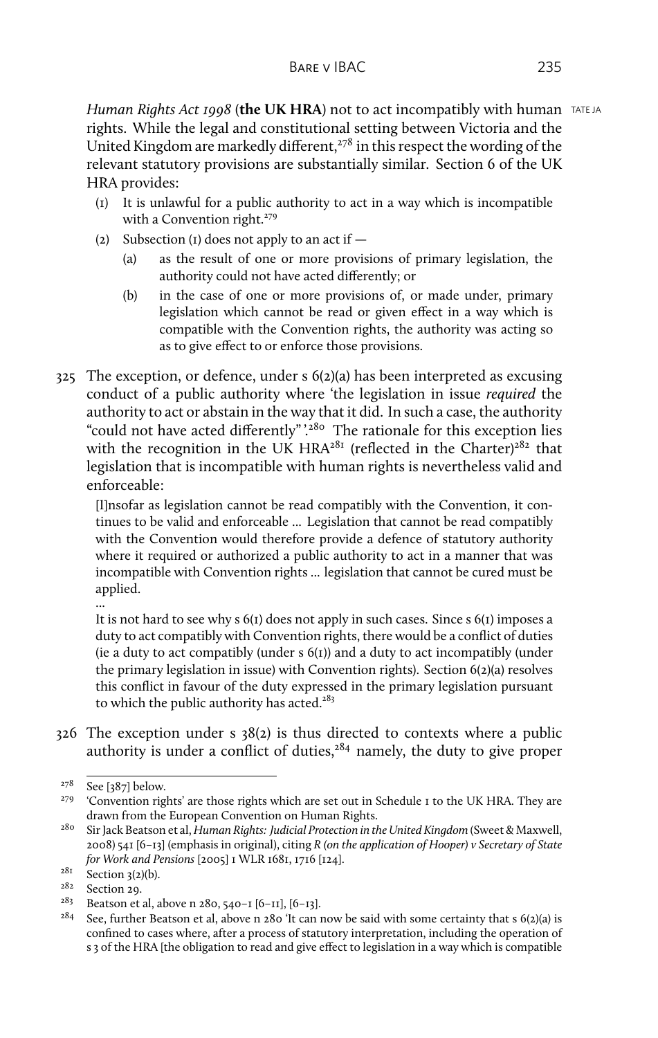*Human Rights Act 1998* (the UK HRA) not to act incompatibly with human TATE JA rights. While the legal and constitutional setting between Victoria and the United Kingdom are markedly different,  $278$  in this respect the wording of the relevant statutory provisions are substantially similar. Section 6 of the UK HRA provides:

- (1) It is unlawful for a public authority to act in a way which is incompatible with a Convention right.<sup>279</sup>
- (2) Subsection (1) does not apply to an act if  $-$ 
	- (a) as the result of one or more provisions of primary legislation, the authority could not have acted differently; or
	- (b) in the case of one or more provisions of, or made under, primary legislation which cannot be read or given effect in a way which is compatible with the Convention rights, the authority was acting so as to give effect to or enforce those provisions.
- 325 The exception, or defence, under s 6(2)(a) has been interpreted as excusing conduct of a public authority where 'the legislation in issue *required* the authority to act or abstain in the way that it did. In such a case, the authority "could not have acted differently"<sup>'280</sup> The rationale for this exception lies with the recognition in the UK HRA<sup>281</sup> (reflected in the Charter)<sup>282</sup> that legislation that is incompatible with human rights is nevertheless valid and enforceable:

[I]nsofar as legislation cannot be read compatibly with the Convention, it continues to be valid and enforceable ... Legislation that cannot be read compatibly with the Convention would therefore provide a defence of statutory authority where it required or authorized a public authority to act in a manner that was incompatible with Convention rights ... legislation that cannot be cured must be applied.

... It is not hard to see why  $s(1)$  does not apply in such cases. Since  $s(1)$  imposes a duty to act compatibly with Convention rights, there would be a conflict of duties (ie a duty to act compatibly (under  $s(1)$ ) and a duty to act incompatibly (under the primary legislation in issue) with Convention rights). Section 6(2)(a) resolves this conflict in favour of the duty expressed in the primary legislation pursuant to which the public authority has acted. $283$ 

326 The exception under s 38(2) is thus directed to contexts where a public authority is under a conflict of duties, $284$  namely, the duty to give proper

 $278$  See [387] below.

<sup>&</sup>lt;sup>279</sup> 'Convention rights' are those rights which are set out in Schedule I to the UK HRA. They are drawn from the European Convention on Human Rights.

<sup>280</sup> Sir Jack Beatson et al, *Human Rights: Judicial Protection in the United Kingdom* (Sweet & Maxwell, 2008) 541 [6–13] (emphasis in original), citing *R (on the application of Hooper) v Secretary of State for Work and Pensions* [2005] 1 WLR 1681, 1716 [124].

 $rac{281}{282}$  Section 3(2)(b).

 $282$  Section 29.<br> $283$  Beatson et

<sup>&</sup>lt;sup>28</sup>3 Beatson et al, above n 280, 540–1 [6–11], [6–13].<br><sup>284</sup> See further Beatson et al, above n 280 <sup>(</sup>If can 1

See, further Beatson et al, above n  $280$  'It can now be said with some certainty that s  $6(2)(a)$  is confined to cases where, after a process of statutory interpretation, including the operation of s 3 of the HRA [the obligation to read and give effect to legislation in a way which is compatible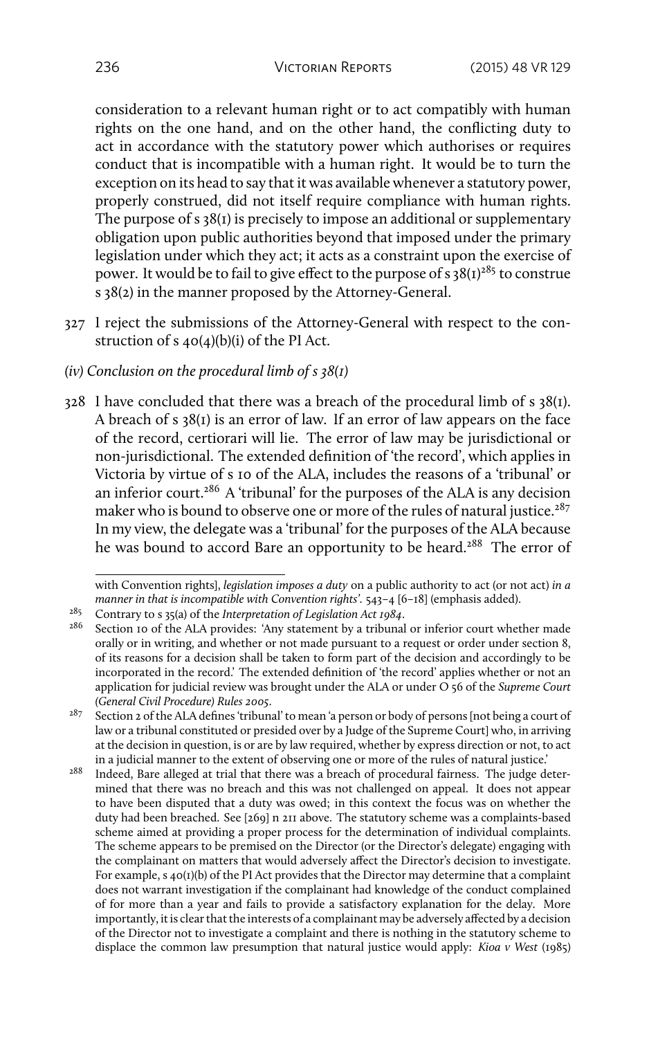consideration to a relevant human right or to act compatibly with human rights on the one hand, and on the other hand, the conflicting duty to act in accordance with the statutory power which authorises or requires conduct that is incompatible with a human right. It would be to turn the exception on its head to say that it was available whenever a statutory power, properly construed, did not itself require compliance with human rights. The purpose of s 38(1) is precisely to impose an additional or supplementary obligation upon public authorities beyond that imposed under the primary legislation under which they act; it acts as a constraint upon the exercise of power. It would be to fail to give effect to the purpose of s  $38(1)^{285}$  to construe s 38(2) in the manner proposed by the Attorney-General.

- 327 I reject the submissions of the Attorney-General with respect to the construction of s 40(4)(b)(i) of the PI Act.
- *(iv) Conclusion on the procedural limb of s 38(1)*
- $328$  I have concluded that there was a breach of the procedural limb of s  $38(I)$ . A breach of s 38(1) is an error of law. If an error of law appears on the face of the record, certiorari will lie. The error of law may be jurisdictional or non-jurisdictional. The extended definition of 'the record', which applies in Victoria by virtue of s 10 of the ALA, includes the reasons of a 'tribunal' or an inferior court.<sup>286</sup> A 'tribunal' for the purposes of the ALA is any decision maker who is bound to observe one or more of the rules of natural justice.<sup>287</sup> In my view, the delegate was a 'tribunal' for the purposes of the ALA because he was bound to accord Bare an opportunity to be heard.<sup>288</sup> The error of

with Convention rights], *legislation imposes a duty* on a public authority to act (or not act) *in a manner in that is incompatible with Convention rights'*. 543–4 [6–18] (emphasis added).

<sup>285</sup> Contrary to s 35(a) of the *Interpretation of Legislation Act 1984*.

Section 10 of the ALA provides: 'Any statement by a tribunal or inferior court whether made orally or in writing, and whether or not made pursuant to a request or order under section 8, of its reasons for a decision shall be taken to form part of the decision and accordingly to be incorporated in the record.' The extended definition of 'the record' applies whether or not an application for judicial review was brought under the ALA or under O 56 of the *Supreme Court (General Civil Procedure) Rules 2005*.

<sup>&</sup>lt;sup>287</sup> Section 2 of the ALA defines 'tribunal' to mean 'a person or body of persons [not being a court of law or a tribunal constituted or presided over by a Judge of the Supreme Court] who, in arriving at the decision in question, is or are by law required, whether by express direction or not, to act in a judicial manner to the extent of observing one or more of the rules of natural justice.'

<sup>&</sup>lt;sup>288</sup> Indeed, Bare alleged at trial that there was a breach of procedural fairness. The judge determined that there was no breach and this was not challenged on appeal. It does not appear to have been disputed that a duty was owed; in this context the focus was on whether the duty had been breached. See [269] n 211 above. The statutory scheme was a complaints-based scheme aimed at providing a proper process for the determination of individual complaints. The scheme appears to be premised on the Director (or the Director's delegate) engaging with the complainant on matters that would adversely affect the Director's decision to investigate. For example, s 40(1)(b) of the PI Act provides that the Director may determine that a complaint does not warrant investigation if the complainant had knowledge of the conduct complained of for more than a year and fails to provide a satisfactory explanation for the delay. More importantly, it is clear that the interests of a complainant may be adversely affected by a decision of the Director not to investigate a complaint and there is nothing in the statutory scheme to displace the common law presumption that natural justice would apply: *Kioa v West* (1985)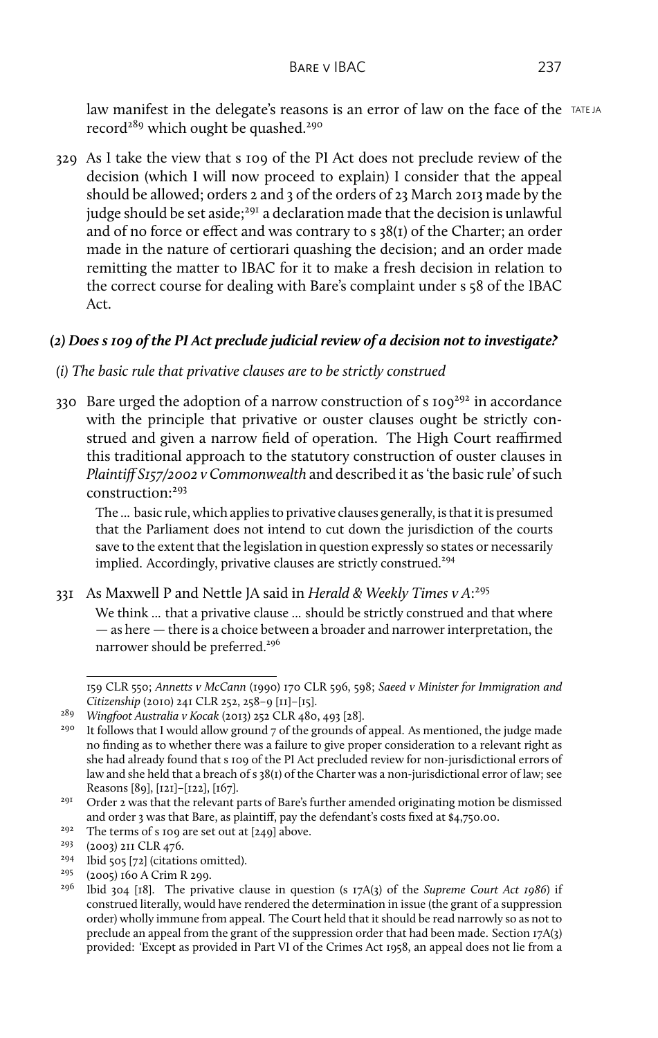law manifest in the delegate's reasons is an error of law on the face of the  $TATEJA$ record<sup>289</sup> which ought be quashed.<sup>290</sup>

329 As I take the view that s 109 of the PI Act does not preclude review of the decision (which I will now proceed to explain) I consider that the appeal should be allowed; orders 2 and 3 of the orders of 23 March 2013 made by the judge should be set aside;<sup>291</sup> a declaration made that the decision is unlawful and of no force or effect and was contrary to s 38(1) of the Charter; an order made in the nature of certiorari quashing the decision; and an order made remitting the matter to IBAC for it to make a fresh decision in relation to the correct course for dealing with Bare's complaint under s 58 of the IBAC Act.

# *(2) Does s 109 of the PI Act preclude judicial review of a decision not to investigate?*

- *(i) The basic rule that privative clauses are to be strictly construed*
- 330 Bare urged the adoption of a narrow construction of  $s$  109<sup>292</sup> in accordance with the principle that privative or ouster clauses ought be strictly construed and given a narrow field of operation. The High Court reaffirmed this traditional approach to the statutory construction of ouster clauses in *Plaintiff S157/2002 v Commonwealth* and described it as 'the basic rule' of such construction:<sup>293</sup>

The ... basic rule, which applies to privative clauses generally, is that it is presumed that the Parliament does not intend to cut down the jurisdiction of the courts save to the extent that the legislation in question expressly so states or necessarily implied. Accordingly, privative clauses are strictly construed.<sup>294</sup>

331 As Maxwell P and Nettle JA said in *Herald & Weekly Times v A*: 295

We think ... that a privative clause ... should be strictly construed and that where — as here — there is a choice between a broader and narrower interpretation, the narrower should be preferred.<sup>296</sup>

<sup>292</sup> The terms of s 109 are set out at [249] above.<br><sup>293</sup> (2003) 2II CLR 476.

<sup>159</sup> CLR 550; *Annetts v McCann* (1990) 170 CLR 596, 598; *Saeed v Minister for Immigration and Citizenship* (2010) 241 CLR 252, 258–9 [11]–[15].

<sup>289</sup> *Wingfoot Australia v Kocak* (2013) 252 CLR 480, 493 [28].

It follows that I would allow ground  $7$  of the grounds of appeal. As mentioned, the judge made no finding as to whether there was a failure to give proper consideration to a relevant right as she had already found that s 109 of the PI Act precluded review for non-jurisdictional errors of law and she held that a breach of s 38(1) of the Charter was a non-jurisdictional error of law; see Reasons [89], [121]–[122], [167].

 $291$  Order 2 was that the relevant parts of Bare's further amended originating motion be dismissed and order 3 was that Bare, as plaintiff, pay the defendant's costs fixed at \$4,750.00.

<sup>(2003) 211</sup> CLR 476.

<sup>&</sup>lt;sup>294</sup> Ibid 505 [72] (citations omitted).<br><sup>295</sup>  $(2005)$  160 A Crim R 200.

<sup>&</sup>lt;sup>295</sup> (2005) 160 A Crim R 299.<br><sup>296</sup> Ibid 204 [18] The priv

<sup>296</sup> Ibid 304 [18]. The privative clause in question (s 17A(3) of the *Supreme Court Act 1986*) if construed literally, would have rendered the determination in issue (the grant of a suppression order) wholly immune from appeal. The Court held that it should be read narrowly so as not to preclude an appeal from the grant of the suppression order that had been made. Section 17A(3) provided: 'Except as provided in Part VI of the Crimes Act 1958, an appeal does not lie from a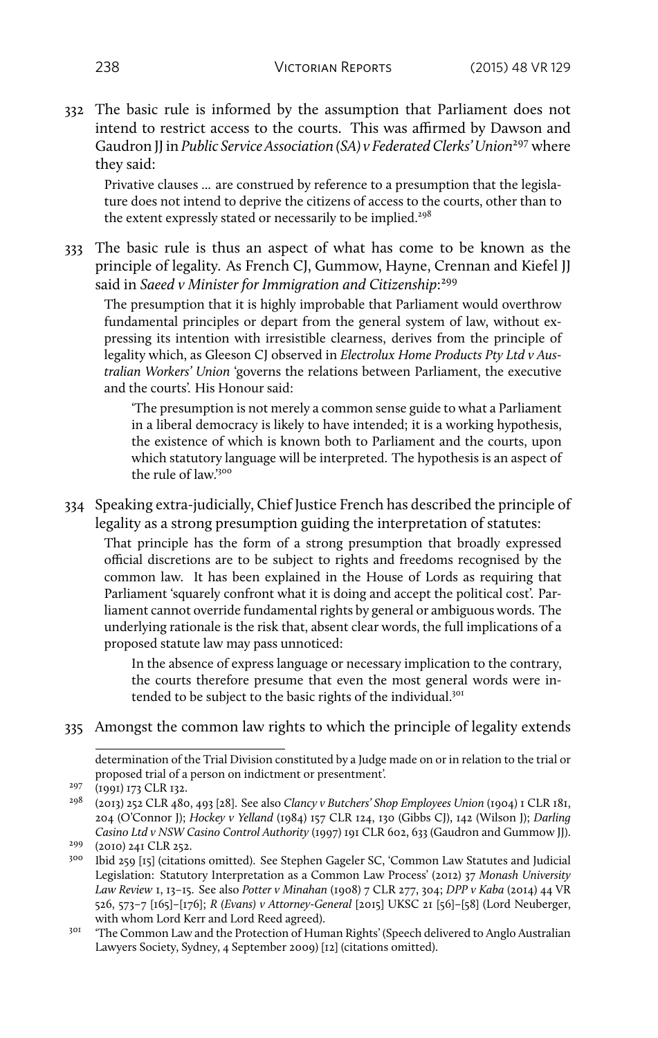332 The basic rule is informed by the assumption that Parliament does not intend to restrict access to the courts. This was affirmed by Dawson and Gaudron *JJ* in *Public Service Association (SA) v Federated Clerks' Union*<sup>297</sup> where they said:

Privative clauses ... are construed by reference to a presumption that the legislature does not intend to deprive the citizens of access to the courts, other than to the extent expressly stated or necessarily to be implied.<sup>298</sup>

333 The basic rule is thus an aspect of what has come to be known as the principle of legality. As French CJ, Gummow, Hayne, Crennan and Kiefel JJ said in *Saeed v Minister for Immigration and Citizenship*: 299

The presumption that it is highly improbable that Parliament would overthrow fundamental principles or depart from the general system of law, without expressing its intention with irresistible clearness, derives from the principle of legality which, as Gleeson CJ observed in *Electrolux Home Products Pty Ltd v Australian Workers' Union* 'governs the relations between Parliament, the executive and the courts'. His Honour said:

'The presumption is not merely a common sense guide to what a Parliament in a liberal democracy is likely to have intended; it is a working hypothesis, the existence of which is known both to Parliament and the courts, upon which statutory language will be interpreted. The hypothesis is an aspect of the rule of law.'<sup>300</sup>

334 Speaking extra-judicially, Chief Justice French has described the principle of legality as a strong presumption guiding the interpretation of statutes:

That principle has the form of a strong presumption that broadly expressed official discretions are to be subject to rights and freedoms recognised by the common law. It has been explained in the House of Lords as requiring that Parliament 'squarely confront what it is doing and accept the political cost'. Parliament cannot override fundamental rights by general or ambiguous words. The underlying rationale is the risk that, absent clear words, the full implications of a proposed statute law may pass unnoticed:

In the absence of express language or necessary implication to the contrary, the courts therefore presume that even the most general words were intended to be subject to the basic rights of the individual.<sup>301</sup>

335 Amongst the common law rights to which the principle of legality extends

determination of the Trial Division constituted by a Judge made on or in relation to the trial or proposed trial of a person on indictment or presentment'.

<sup>&</sup>lt;sup>297</sup> (1991) 173 CLR 132.

<sup>298</sup> (2013) 252 CLR 480, 493 [28]. See also *Clancy v Butchers' Shop Employees Union* (1904) 1 CLR 181, 204 (O'Connor J); *Hockey v Yelland* (1984) 157 CLR 124, 130 (Gibbs CJ), 142 (Wilson J); *Darling Casino Ltd v NSW Casino Control Authority* (1997) 191 CLR 602, 633 (Gaudron and Gummow JJ).

<sup>299</sup> (2010) 241 CLR 252.

<sup>300</sup> Ibid 259 [15] (citations omitted). See Stephen Gageler SC, 'Common Law Statutes and Judicial Legislation: Statutory Interpretation as a Common Law Process' (2012) 37 *Monash University Law Review* 1, 13–15. See also *Potter v Minahan* (1908) 7 CLR 277, 304; *DPP v Kaba* (2014) 44 VR 526, 573–7 [165]–[176]; *R (Evans) v Attorney-General* [2015] UKSC 21 [56]–[58] (Lord Neuberger, with whom Lord Kerr and Lord Reed agreed).

<sup>&</sup>lt;sup>301</sup> 'The Common Law and the Protection of Human Rights' (Speech delivered to Anglo Australian Lawyers Society, Sydney, 4 September 2009) [12] (citations omitted).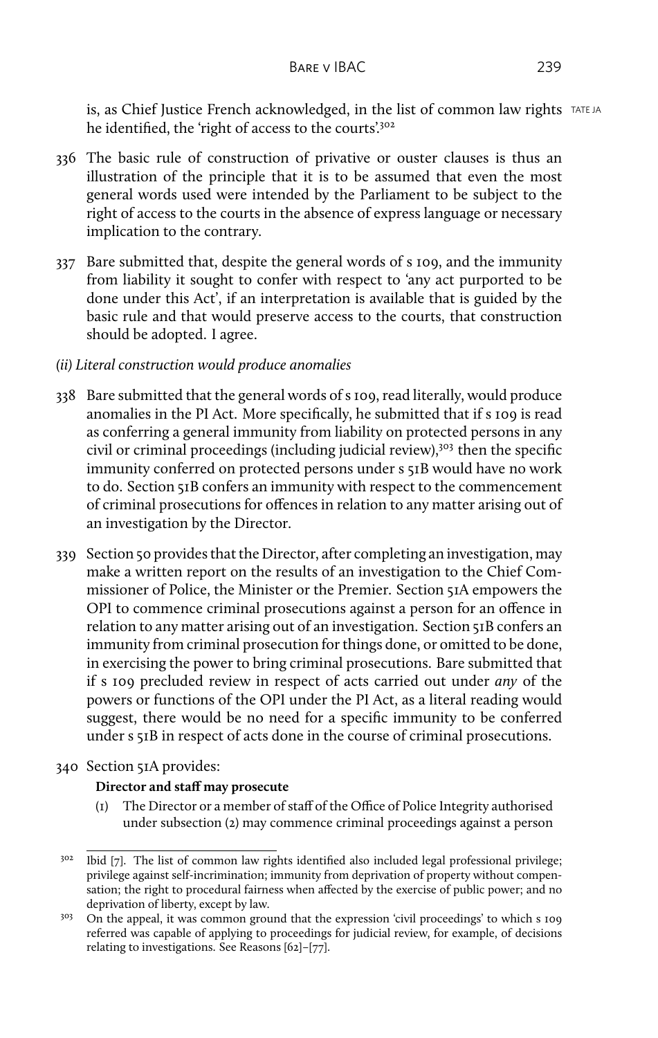is, as Chief Justice French acknowledged, in the list of common law rights  $TATEJA$ he identified, the 'right of access to the courts'.<sup>302</sup>

- 336 The basic rule of construction of privative or ouster clauses is thus an illustration of the principle that it is to be assumed that even the most general words used were intended by the Parliament to be subject to the right of access to the courts in the absence of express language or necessary implication to the contrary.
- 337 Bare submitted that, despite the general words of s 109, and the immunity from liability it sought to confer with respect to 'any act purported to be done under this Act', if an interpretation is available that is guided by the basic rule and that would preserve access to the courts, that construction should be adopted. I agree.
- *(ii) Literal construction would produce anomalies*
- 338 Bare submitted that the general words of s 109, read literally, would produce anomalies in the PI Act. More specifically, he submitted that if s 109 is read as conferring a general immunity from liability on protected persons in any civil or criminal proceedings (including judicial review),<sup>303</sup> then the specific immunity conferred on protected persons under s 51B would have no work to do. Section 51B confers an immunity with respect to the commencement of criminal prosecutions for offences in relation to any matter arising out of an investigation by the Director.
- 339 Section 50 provides that the Director, after completing an investigation, may make a written report on the results of an investigation to the Chief Commissioner of Police, the Minister or the Premier. Section 51A empowers the OPI to commence criminal prosecutions against a person for an offence in relation to any matter arising out of an investigation. Section 51B confers an immunity from criminal prosecution for things done, or omitted to be done, in exercising the power to bring criminal prosecutions. Bare submitted that if s 109 precluded review in respect of acts carried out under *any* of the powers or functions of the OPI under the PI Act, as a literal reading would suggest, there would be no need for a specific immunity to be conferred under s 51B in respect of acts done in the course of criminal prosecutions.
- 340 Section 51A provides:

### **Director and staff may prosecute**

(1) The Director or a member of staff of the Office of Police Integrity authorised under subsection (2) may commence criminal proceedings against a person

<sup>&</sup>lt;sup>302</sup> Ibid [7]. The list of common law rights identified also included legal professional privilege; privilege against self-incrimination; immunity from deprivation of property without compensation; the right to procedural fairness when affected by the exercise of public power; and no deprivation of liberty, except by law.

<sup>&</sup>lt;sup>303</sup> On the appeal, it was common ground that the expression 'civil proceedings' to which s 109 referred was capable of applying to proceedings for judicial review, for example, of decisions relating to investigations. See Reasons [62]–[77].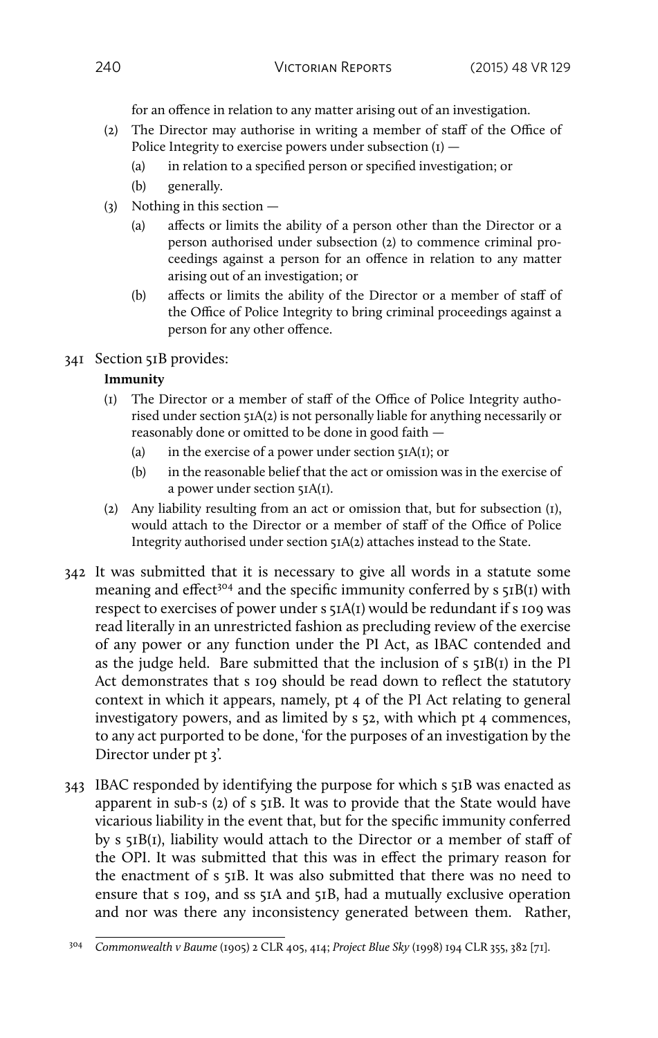for an offence in relation to any matter arising out of an investigation.

- (2) The Director may authorise in writing a member of staff of the Office of Police Integrity to exercise powers under subsection  $(I)$  —
	- (a) in relation to a specified person or specified investigation; or
	- (b) generally.
- (3) Nothing in this section
	- (a) affects or limits the ability of a person other than the Director or a person authorised under subsection (2) to commence criminal proceedings against a person for an offence in relation to any matter arising out of an investigation; or
	- (b) affects or limits the ability of the Director or a member of staff of the Office of Police Integrity to bring criminal proceedings against a person for any other offence.
- 341 Section 51B provides:

#### **Immunity**

- (1) The Director or a member of staff of the Office of Police Integrity authorised under section 51A(2) is not personally liable for anything necessarily or reasonably done or omitted to be done in good faith —
	- (a) in the exercise of a power under section  $\overline{\mathsf{51A}}(1)$ ; or
	- (b) in the reasonable belief that the act or omission was in the exercise of a power under section 51A(1).
- (2) Any liability resulting from an act or omission that, but for subsection (1), would attach to the Director or a member of staff of the Office of Police Integrity authorised under section 51A(2) attaches instead to the State.
- 342 It was submitted that it is necessary to give all words in a statute some meaning and effect<sup>304</sup> and the specific immunity conferred by  $s \xi B(t)$  with respect to exercises of power under s 51A(1) would be redundant if s 109 was read literally in an unrestricted fashion as precluding review of the exercise of any power or any function under the PI Act, as IBAC contended and as the judge held. Bare submitted that the inclusion of s 51B(1) in the PI Act demonstrates that s 109 should be read down to reflect the statutory context in which it appears, namely, pt 4 of the PI Act relating to general investigatory powers, and as limited by s 52, with which pt 4 commences, to any act purported to be done, 'for the purposes of an investigation by the Director under pt 3'.
- 343 IBAC responded by identifying the purpose for which s 51B was enacted as apparent in sub-s (2) of s 51B. It was to provide that the State would have vicarious liability in the event that, but for the specific immunity conferred by s 51B(1), liability would attach to the Director or a member of staff of the OPI. It was submitted that this was in effect the primary reason for the enactment of s 51B. It was also submitted that there was no need to ensure that s 109, and ss 51A and 51B, had a mutually exclusive operation and nor was there any inconsistency generated between them. Rather,

<sup>304</sup> *Commonwealth v Baume* (1905) 2 CLR 405, 414; *Project Blue Sky* (1998) 194 CLR 355, 382 [71].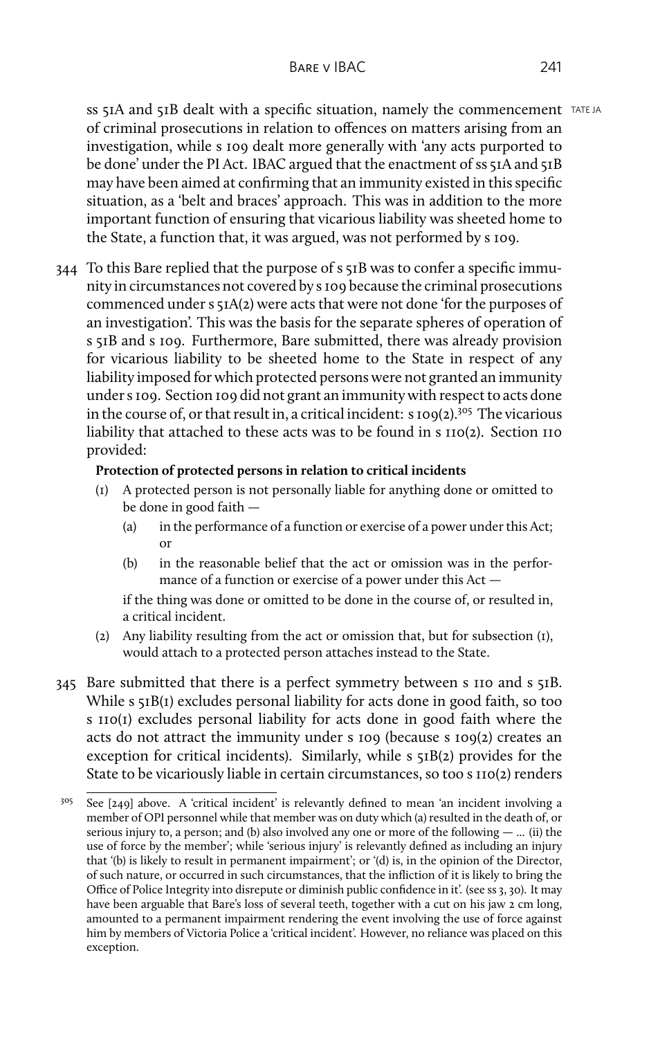ss 51A and 51B dealt with a specific situation, namely the commencement TATE JA of criminal prosecutions in relation to offences on matters arising from an investigation, while s 109 dealt more generally with 'any acts purported to be done' under the PI Act. IBAC argued that the enactment of ss 51A and 51B may have been aimed at confirming that an immunity existed in this specific situation, as a 'belt and braces' approach. This was in addition to the more important function of ensuring that vicarious liability was sheeted home to the State, a function that, it was argued, was not performed by s 109.

344 To this Bare replied that the purpose of s 51B was to confer a specific immunity in circumstances not covered by s 109 because the criminal prosecutions commenced under s 51A(2) were acts that were not done 'for the purposes of an investigation'. This was the basis for the separate spheres of operation of s 51B and s 109. Furthermore, Bare submitted, there was already provision for vicarious liability to be sheeted home to the State in respect of any liability imposed for which protected persons were not granted an immunity under s 109. Section 109 did not grant an immunity with respect to acts done in the course of, or that result in, a critical incident:  $s \text{ 109}(2)$ .<sup>305</sup> The vicarious liability that attached to these acts was to be found in s 110(2). Section 110 provided:

#### **Protection of protected persons in relation to critical incidents**

- (1) A protected person is not personally liable for anything done or omitted to be done in good faith —
	- (a) in the performance of a function or exercise of a power under this Act; or
	- (b) in the reasonable belief that the act or omission was in the performance of a function or exercise of a power under this Act —

if the thing was done or omitted to be done in the course of, or resulted in, a critical incident.

- (2) Any liability resulting from the act or omission that, but for subsection (1), would attach to a protected person attaches instead to the State.
- 345 Bare submitted that there is a perfect symmetry between s 110 and s 51B. While s 51B(1) excludes personal liability for acts done in good faith, so too s 110(1) excludes personal liability for acts done in good faith where the acts do not attract the immunity under s 109 (because s 109(2) creates an exception for critical incidents). Similarly, while  $s$   $\overline{s}$ <sub>1</sub>B(2) provides for the State to be vicariously liable in certain circumstances, so too s 110(2) renders

 $305$  See [249] above. A 'critical incident' is relevantly defined to mean 'an incident involving a member of OPI personnel while that member was on duty which (a) resulted in the death of, or serious injury to, a person; and (b) also involved any one or more of the following — ... (ii) the use of force by the member'; while 'serious injury' is relevantly defined as including an injury that '(b) is likely to result in permanent impairment'; or '(d) is, in the opinion of the Director, of such nature, or occurred in such circumstances, that the infliction of it is likely to bring the Office of Police Integrity into disrepute or diminish public confidence in it'. (see ss 3, 30). It may have been arguable that Bare's loss of several teeth, together with a cut on his jaw 2 cm long, amounted to a permanent impairment rendering the event involving the use of force against him by members of Victoria Police a 'critical incident'. However, no reliance was placed on this exception.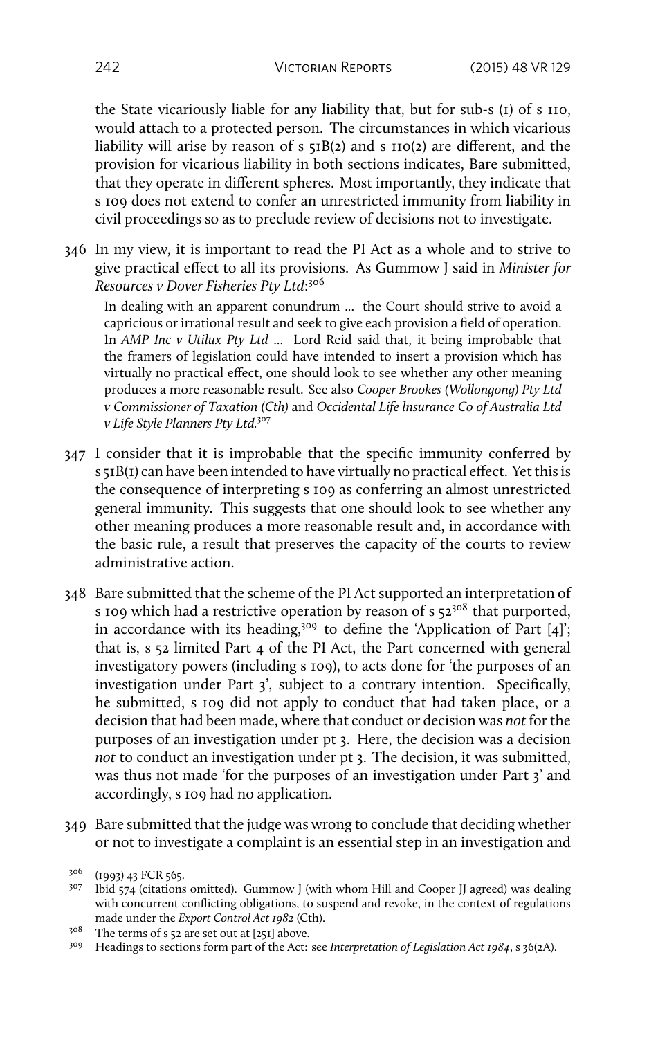the State vicariously liable for any liability that, but for sub-s (1) of s 110, would attach to a protected person. The circumstances in which vicarious liability will arise by reason of  $s \xi B(z)$  and  $s \xi D(z)$  are different, and the provision for vicarious liability in both sections indicates, Bare submitted, that they operate in different spheres. Most importantly, they indicate that s 109 does not extend to confer an unrestricted immunity from liability in civil proceedings so as to preclude review of decisions not to investigate.

346 In my view, it is important to read the PI Act as a whole and to strive to give practical effect to all its provisions. As Gummow J said in *Minister for Resources v Dover Fisheries Pty Ltd*: 306

In dealing with an apparent conundrum ... the Court should strive to avoid a capricious or irrational result and seek to give each provision a field of operation. In *AMP Inc v Utilux Pty Ltd* ... Lord Reid said that, it being improbable that the framers of legislation could have intended to insert a provision which has virtually no practical effect, one should look to see whether any other meaning produces a more reasonable result. See also *Cooper Brookes (Wollongong) Pty Ltd v Commissioner of Taxation (Cth)* and *Occidental Life lnsurance Co of Australia Ltd v Life Style Planners Pty Ltd.*<sup>307</sup>

- 347 I consider that it is improbable that the specific immunity conferred by s 51B(1) can have been intended to have virtually no practical effect. Yet this is the consequence of interpreting s 109 as conferring an almost unrestricted general immunity. This suggests that one should look to see whether any other meaning produces a more reasonable result and, in accordance with the basic rule, a result that preserves the capacity of the courts to review administrative action.
- 348 Bare submitted that the scheme of the PI Act supported an interpretation of s 109 which had a restrictive operation by reason of s  $52^{308}$  that purported, in accordance with its heading,<sup>309</sup> to define the 'Application of Part [4]'; that is, s 52 limited Part 4 of the PI Act, the Part concerned with general investigatory powers (including s 109), to acts done for 'the purposes of an investigation under Part 3', subject to a contrary intention. Specifically, he submitted, s 109 did not apply to conduct that had taken place, or a decision that had been made, where that conduct or decision was *not* for the purposes of an investigation under pt 3. Here, the decision was a decision *not* to conduct an investigation under pt 3. The decision, it was submitted, was thus not made 'for the purposes of an investigation under Part 3' and accordingly, s 109 had no application.
- 349 Bare submitted that the judge was wrong to conclude that deciding whether or not to investigate a complaint is an essential step in an investigation and

<sup>306</sup> (1993) 43 FCR 565.

 $307$  Ibid 574 (citations omitted). Gummow J (with whom Hill and Cooper JJ agreed) was dealing with concurrent conflicting obligations, to suspend and revoke, in the context of regulations made under the *Export Control Act 1982* (Cth).

<sup>308</sup> The terms of s 52 are set out at [251] above.

<sup>309</sup> Headings to sections form part of the Act: see *Interpretation of Legislation Act 1984*, s 36(2A).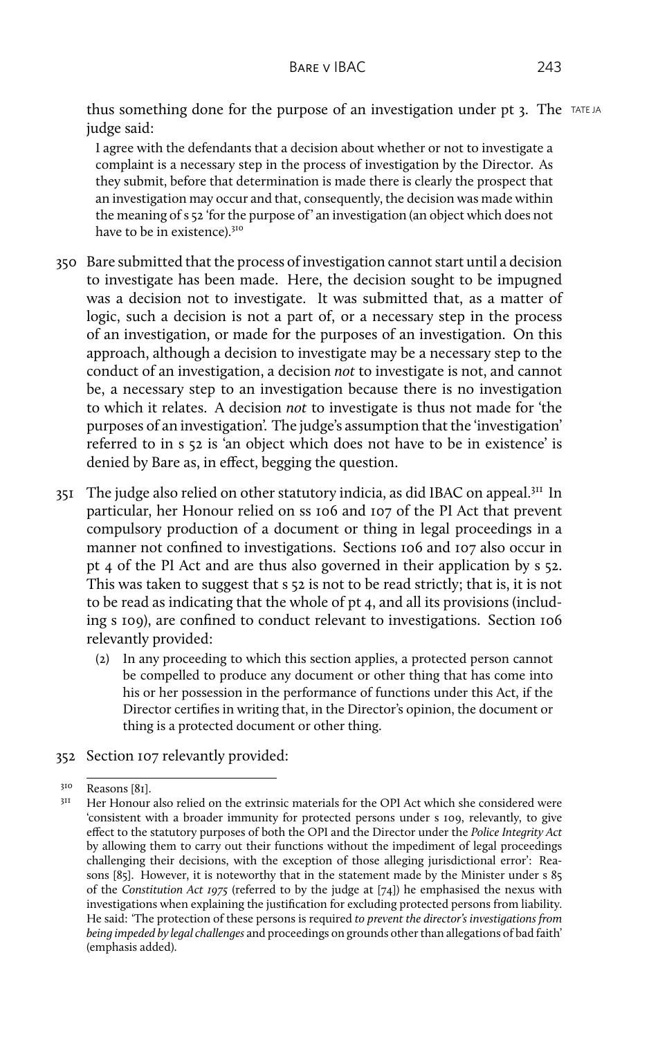thus something done for the purpose of an investigation under pt 3. The TATE JA judge said:

I agree with the defendants that a decision about whether or not to investigate a complaint is a necessary step in the process of investigation by the Director. As they submit, before that determination is made there is clearly the prospect that an investigation may occur and that, consequently, the decision was made within the meaning of s 52 'for the purpose of' an investigation (an object which does not have to be in existence).<sup>310</sup>

- 350 Bare submitted that the process of investigation cannot start until a decision to investigate has been made. Here, the decision sought to be impugned was a decision not to investigate. It was submitted that, as a matter of logic, such a decision is not a part of, or a necessary step in the process of an investigation, or made for the purposes of an investigation. On this approach, although a decision to investigate may be a necessary step to the conduct of an investigation, a decision *not* to investigate is not, and cannot be, a necessary step to an investigation because there is no investigation to which it relates. A decision *not* to investigate is thus not made for 'the purposes of an investigation'. The judge's assumption that the 'investigation' referred to in s 52 is 'an object which does not have to be in existence' is denied by Bare as, in effect, begging the question.
- 351 The judge also relied on other statutory indicia, as did IBAC on appeal.<sup>311</sup> In particular, her Honour relied on ss 106 and 107 of the PI Act that prevent compulsory production of a document or thing in legal proceedings in a manner not confined to investigations. Sections 106 and 107 also occur in pt 4 of the PI Act and are thus also governed in their application by s 52. This was taken to suggest that s 52 is not to be read strictly; that is, it is not to be read as indicating that the whole of pt 4, and all its provisions (including s 109), are confined to conduct relevant to investigations. Section 106 relevantly provided:
	- (2) In any proceeding to which this section applies, a protected person cannot be compelled to produce any document or other thing that has come into his or her possession in the performance of functions under this Act, if the Director certifies in writing that, in the Director's opinion, the document or thing is a protected document or other thing.
- 352 Section 107 relevantly provided:

 $310$  Reasons [81].

<sup>311</sup> Her Honour also relied on the extrinsic materials for the OPI Act which she considered were 'consistent with a broader immunity for protected persons under s 109, relevantly, to give effect to the statutory purposes of both the OPI and the Director under the *Police Integrity Act* by allowing them to carry out their functions without the impediment of legal proceedings challenging their decisions, with the exception of those alleging jurisdictional error': Reasons [85]. However, it is noteworthy that in the statement made by the Minister under s 85 of the *Constitution Act 1975* (referred to by the judge at [74]) he emphasised the nexus with investigations when explaining the justification for excluding protected persons from liability. He said: 'The protection of these persons is required *to prevent the director's investigations from being impeded by legal challenges* and proceedings on grounds other than allegations of bad faith' (emphasis added).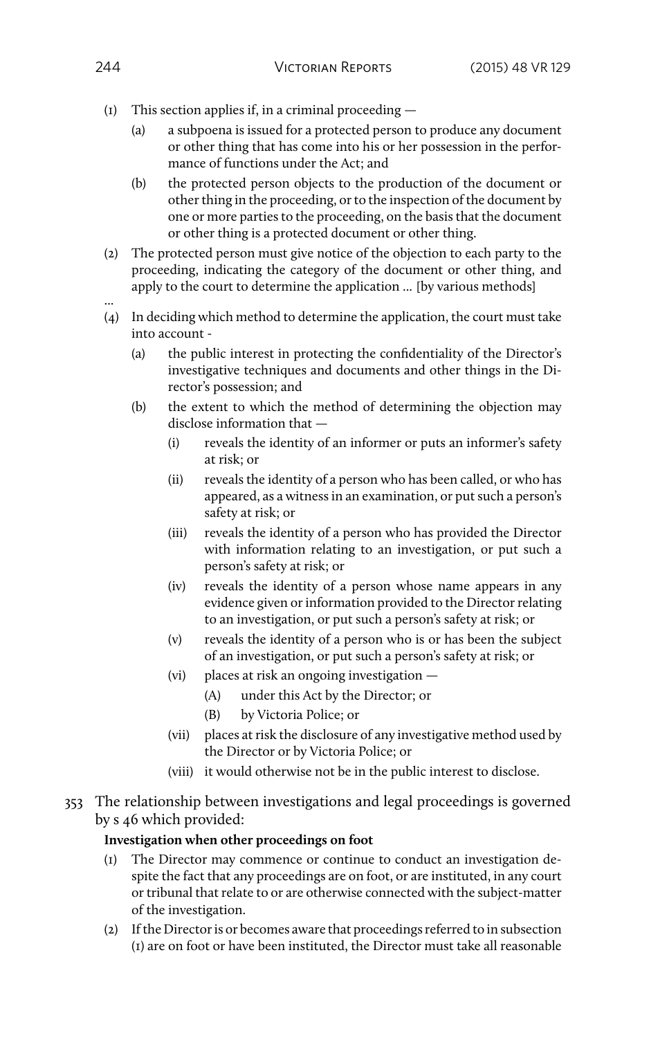- (1) This section applies if, in a criminal proceeding
	- (a) a subpoena is issued for a protected person to produce any document or other thing that has come into his or her possession in the performance of functions under the Act; and
	- (b) the protected person objects to the production of the document or other thing in the proceeding, or to the inspection of the document by one or more parties to the proceeding, on the basis that the document or other thing is a protected document or other thing.
- (2) The protected person must give notice of the objection to each party to the proceeding, indicating the category of the document or other thing, and apply to the court to determine the application ... [by various methods]
- ... (4) In deciding which method to determine the application, the court must take into account -
	- (a) the public interest in protecting the confidentiality of the Director's investigative techniques and documents and other things in the Director's possession; and
	- (b) the extent to which the method of determining the objection may disclose information that —
		- (i) reveals the identity of an informer or puts an informer's safety at risk; or
		- (ii) reveals the identity of a person who has been called, or who has appeared, as a witness in an examination, or put such a person's safety at risk; or
		- (iii) reveals the identity of a person who has provided the Director with information relating to an investigation, or put such a person's safety at risk; or
		- (iv) reveals the identity of a person whose name appears in any evidence given or information provided to the Director relating to an investigation, or put such a person's safety at risk; or
		- (v) reveals the identity of a person who is or has been the subject of an investigation, or put such a person's safety at risk; or
		- (vi) places at risk an ongoing investigation
			- (A) under this Act by the Director; or
			- (B) by Victoria Police; or
		- (vii) places at risk the disclosure of any investigative method used by the Director or by Victoria Police; or
		- (viii) it would otherwise not be in the public interest to disclose.
- 353 The relationship between investigations and legal proceedings is governed by s 46 which provided:

### **Investigation when other proceedings on foot**

- (1) The Director may commence or continue to conduct an investigation despite the fact that any proceedings are on foot, or are instituted, in any court or tribunal that relate to or are otherwise connected with the subject-matter of the investigation.
- (2) If the Director is or becomes aware that proceedings referred to in subsection (1) are on foot or have been instituted, the Director must take all reasonable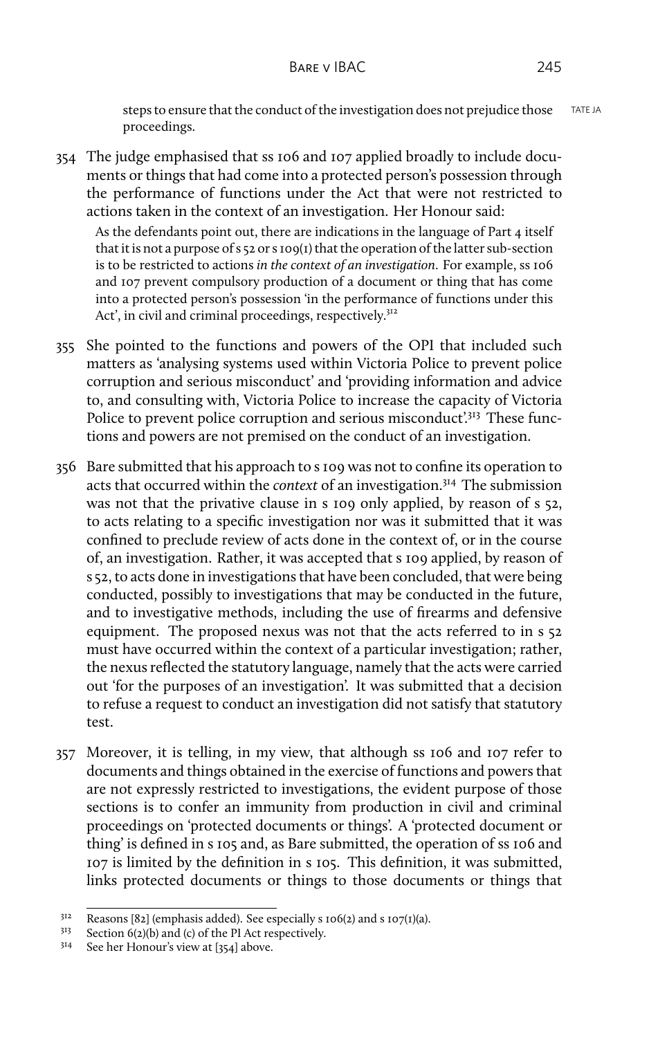steps to ensure that the conduct of the investigation does not prejudice those TATE JA proceedings.

354 The judge emphasised that ss 106 and 107 applied broadly to include documents or things that had come into a protected person's possession through the performance of functions under the Act that were not restricted to actions taken in the context of an investigation. Her Honour said:

As the defendants point out, there are indications in the language of Part 4 itself that it is not a purpose of s 52 or s 109(1) that the operation of the latter sub-section is to be restricted to actions *in the context of an investigation*. For example, ss 106 and 107 prevent compulsory production of a document or thing that has come into a protected person's possession 'in the performance of functions under this Act', in civil and criminal proceedings, respectively.<sup>312</sup>

- 355 She pointed to the functions and powers of the OPI that included such matters as 'analysing systems used within Victoria Police to prevent police corruption and serious misconduct' and 'providing information and advice to, and consulting with, Victoria Police to increase the capacity of Victoria Police to prevent police corruption and serious misconduct'<sup>313</sup> These functions and powers are not premised on the conduct of an investigation.
- 356 Bare submitted that his approach to s 109 was not to confine its operation to acts that occurred within the *context* of an investigation.<sup>314</sup> The submission was not that the privative clause in s 109 only applied, by reason of s 52, to acts relating to a specific investigation nor was it submitted that it was confined to preclude review of acts done in the context of, or in the course of, an investigation. Rather, it was accepted that s 109 applied, by reason of s 52, to acts done in investigations that have been concluded, that were being conducted, possibly to investigations that may be conducted in the future, and to investigative methods, including the use of firearms and defensive equipment. The proposed nexus was not that the acts referred to in s 52 must have occurred within the context of a particular investigation; rather, the nexus reflected the statutory language, namely that the acts were carried out 'for the purposes of an investigation'. It was submitted that a decision to refuse a request to conduct an investigation did not satisfy that statutory test.
- 357 Moreover, it is telling, in my view, that although ss 106 and 107 refer to documents and things obtained in the exercise of functions and powers that are not expressly restricted to investigations, the evident purpose of those sections is to confer an immunity from production in civil and criminal proceedings on 'protected documents or things'. A 'protected document or thing' is defined in s 105 and, as Bare submitted, the operation of ss 106 and 107 is limited by the definition in s 105. This definition, it was submitted, links protected documents or things to those documents or things that

<sup>&</sup>lt;sup>312</sup> Reasons [82] (emphasis added). See especially s  $106(2)$  and s  $107(1)(a)$ .<br><sup>313</sup> Section 6(2)(b) and (c) of the PI Act respectively

<sup>&</sup>lt;sup>313</sup> Section 6(2)(b) and (c) of the PI Act respectively.<br><sup>314</sup> See her Honour's view at [25.4] above

See her Honour's view at [354] above.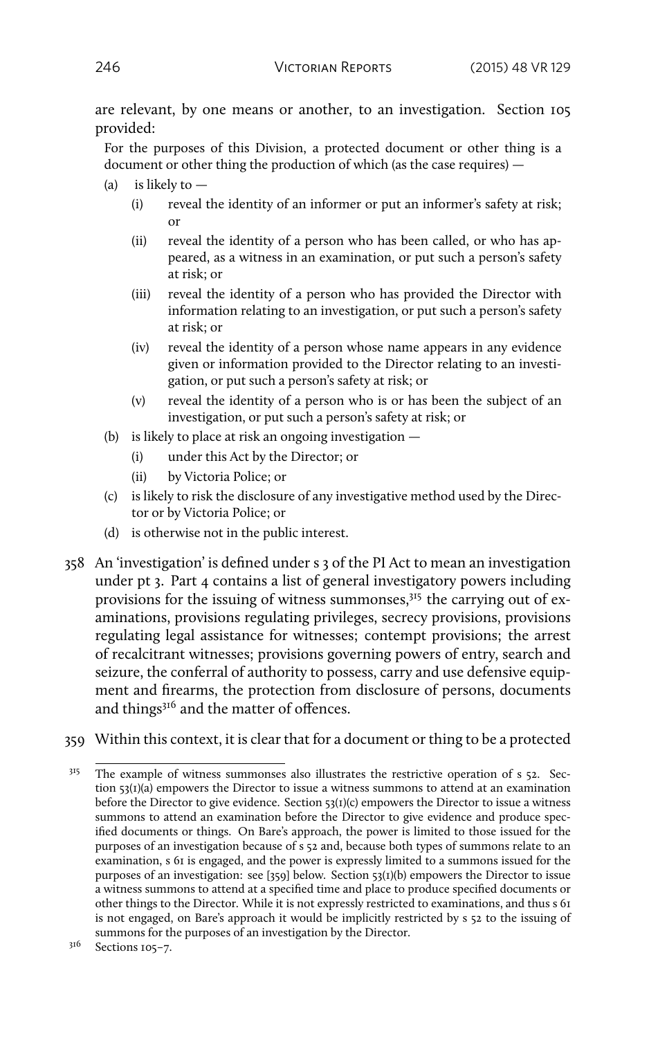are relevant, by one means or another, to an investigation. Section 105 provided:

For the purposes of this Division, a protected document or other thing is a document or other thing the production of which (as the case requires) —

- (a) is likely to  $-$ 
	- (i) reveal the identity of an informer or put an informer's safety at risk; or
	- (ii) reveal the identity of a person who has been called, or who has appeared, as a witness in an examination, or put such a person's safety at risk; or
	- (iii) reveal the identity of a person who has provided the Director with information relating to an investigation, or put such a person's safety at risk; or
	- (iv) reveal the identity of a person whose name appears in any evidence given or information provided to the Director relating to an investigation, or put such a person's safety at risk; or
	- (v) reveal the identity of a person who is or has been the subject of an investigation, or put such a person's safety at risk; or
- (b) is likely to place at risk an ongoing investigation
	- (i) under this Act by the Director; or
	- (ii) by Victoria Police; or
- (c) is likely to risk the disclosure of any investigative method used by the Director or by Victoria Police; or
- (d) is otherwise not in the public interest.
- 358 An 'investigation' is defined under s 3 of the PI Act to mean an investigation under pt 3. Part 4 contains a list of general investigatory powers including provisions for the issuing of witness summonses, $3<sup>15</sup>$  the carrying out of examinations, provisions regulating privileges, secrecy provisions, provisions regulating legal assistance for witnesses; contempt provisions; the arrest of recalcitrant witnesses; provisions governing powers of entry, search and seizure, the conferral of authority to possess, carry and use defensive equipment and firearms, the protection from disclosure of persons, documents and things<sup>316</sup> and the matter of offences.
- 359 Within this context, it is clear that for a document or thing to be a protected

<sup>&</sup>lt;sup>315</sup> The example of witness summonses also illustrates the restrictive operation of s 52. Section  $53(1)(a)$  empowers the Director to issue a witness summons to attend at an examination before the Director to give evidence. Section  $\frac{53(1)(c)}{2}$  empowers the Director to issue a witness summons to attend an examination before the Director to give evidence and produce specified documents or things. On Bare's approach, the power is limited to those issued for the purposes of an investigation because of s 52 and, because both types of summons relate to an examination, s 61 is engaged, and the power is expressly limited to a summons issued for the purposes of an investigation: see [359] below. Section 53(1)(b) empowers the Director to issue a witness summons to attend at a specified time and place to produce specified documents or other things to the Director. While it is not expressly restricted to examinations, and thus s 61 is not engaged, on Bare's approach it would be implicitly restricted by s 52 to the issuing of summons for the purposes of an investigation by the Director.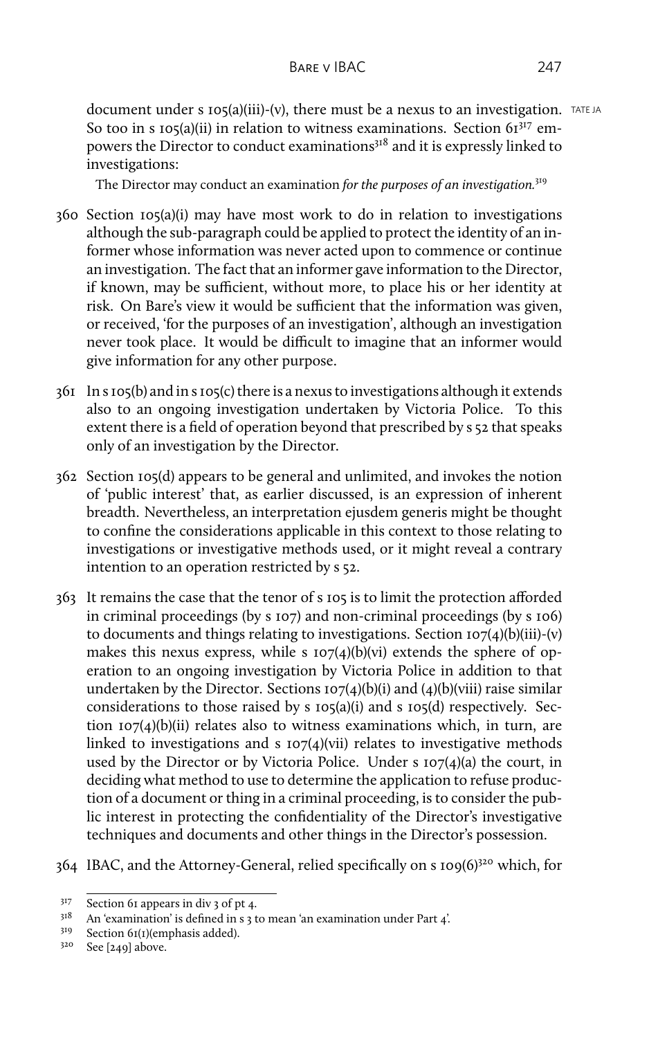document under s  $105(a)(iii)-(v)$ , there must be a nexus to an investigation. TATE JA So too in s 105(a)(ii) in relation to witness examinations. Section  $61^{317}$  empowers the Director to conduct examinations<sup>318</sup> and it is expressly linked to investigations:

The Director may conduct an examination *for the purposes of an investigation.*<sup>319</sup>

- 360 Section 105(a)(i) may have most work to do in relation to investigations although the sub-paragraph could be applied to protect the identity of an informer whose information was never acted upon to commence or continue an investigation. The fact that an informer gave information to the Director, if known, may be sufficient, without more, to place his or her identity at risk. On Bare's view it would be sufficient that the information was given, or received, 'for the purposes of an investigation', although an investigation never took place. It would be difficult to imagine that an informer would give information for any other purpose.
- 361 In s 105(b) and in s 105(c) there is a nexus to investigations although it extends also to an ongoing investigation undertaken by Victoria Police. To this extent there is a field of operation beyond that prescribed by s 52 that speaks only of an investigation by the Director.
- 362 Section 105(d) appears to be general and unlimited, and invokes the notion of 'public interest' that, as earlier discussed, is an expression of inherent breadth. Nevertheless, an interpretation ejusdem generis might be thought to confine the considerations applicable in this context to those relating to investigations or investigative methods used, or it might reveal a contrary intention to an operation restricted by s 52.
- 363 It remains the case that the tenor of s 105 is to limit the protection afforded in criminal proceedings (by s 107) and non-criminal proceedings (by s 106) to documents and things relating to investigations. Section  $107(4)(b)(iii)-(v)$ makes this nexus express, while s  $107(4)(b)(vi)$  extends the sphere of operation to an ongoing investigation by Victoria Police in addition to that undertaken by the Director. Sections  $107(4)(b)(i)$  and  $(4)(b)(viii)$  raise similar considerations to those raised by s 105(a)(i) and s 105(d) respectively. Section  $107(4)(b)(ii)$  relates also to witness examinations which, in turn, are linked to investigations and s  $107(4)$ (vii) relates to investigative methods used by the Director or by Victoria Police. Under s 107(4)(a) the court, in deciding what method to use to determine the application to refuse production of a document or thing in a criminal proceeding, is to consider the public interest in protecting the confidentiality of the Director's investigative techniques and documents and other things in the Director's possession.
- 364 IBAC, and the Attorney-General, relied specifically on s 109(6)<sup>320</sup> which, for

<sup>317</sup> Section 61 appears in div 3 of pt 4.

<sup>318</sup> An 'examination' is defined in s 3 to mean 'an examination under Part 4'.

<sup>319</sup> Section 61(1)(emphasis added).

<sup>320</sup> See [249] above.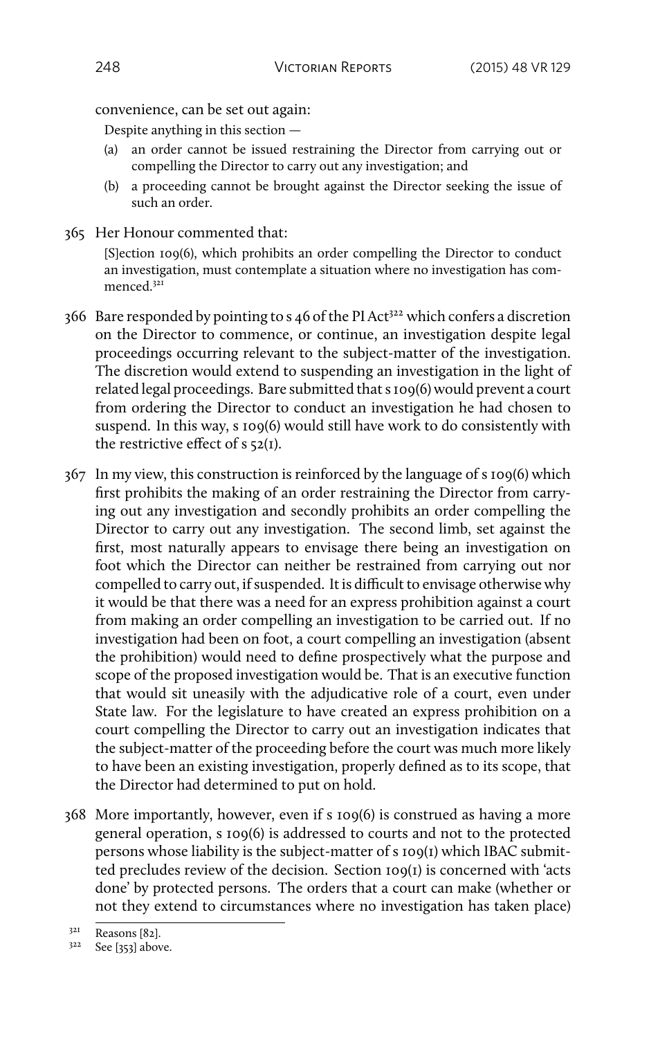convenience, can be set out again:

Despite anything in this section —

- (a) an order cannot be issued restraining the Director from carrying out or compelling the Director to carry out any investigation; and
- (b) a proceeding cannot be brought against the Director seeking the issue of such an order.
- 365 Her Honour commented that: [S]ection 109(6), which prohibits an order compelling the Director to conduct
	- an investigation, must contemplate a situation where no investigation has commenced.<sup>321</sup>
- $366$  Bare responded by pointing to s 46 of the PI Act<sup>322</sup> which confers a discretion on the Director to commence, or continue, an investigation despite legal proceedings occurring relevant to the subject-matter of the investigation. The discretion would extend to suspending an investigation in the light of related legal proceedings. Bare submitted that s 109(6) would prevent a court from ordering the Director to conduct an investigation he had chosen to suspend. In this way, s 109(6) would still have work to do consistently with the restrictive effect of  $s$  52(1).
- 367 In my view, this construction is reinforced by the language of s 109(6) which first prohibits the making of an order restraining the Director from carrying out any investigation and secondly prohibits an order compelling the Director to carry out any investigation. The second limb, set against the first, most naturally appears to envisage there being an investigation on foot which the Director can neither be restrained from carrying out nor compelled to carry out, if suspended. It is difficult to envisage otherwise why it would be that there was a need for an express prohibition against a court from making an order compelling an investigation to be carried out. If no investigation had been on foot, a court compelling an investigation (absent the prohibition) would need to define prospectively what the purpose and scope of the proposed investigation would be. That is an executive function that would sit uneasily with the adjudicative role of a court, even under State law. For the legislature to have created an express prohibition on a court compelling the Director to carry out an investigation indicates that the subject-matter of the proceeding before the court was much more likely to have been an existing investigation, properly defined as to its scope, that the Director had determined to put on hold.
- 368 More importantly, however, even if s 109(6) is construed as having a more general operation, s 109(6) is addressed to courts and not to the protected persons whose liability is the subject-matter of s 109(1) which IBAC submitted precludes review of the decision. Section 109(1) is concerned with 'acts done' by protected persons. The orders that a court can make (whether or not they extend to circumstances where no investigation has taken place)

<sup>321</sup> Reasons [82].

 $3^{22}$  See [353] above.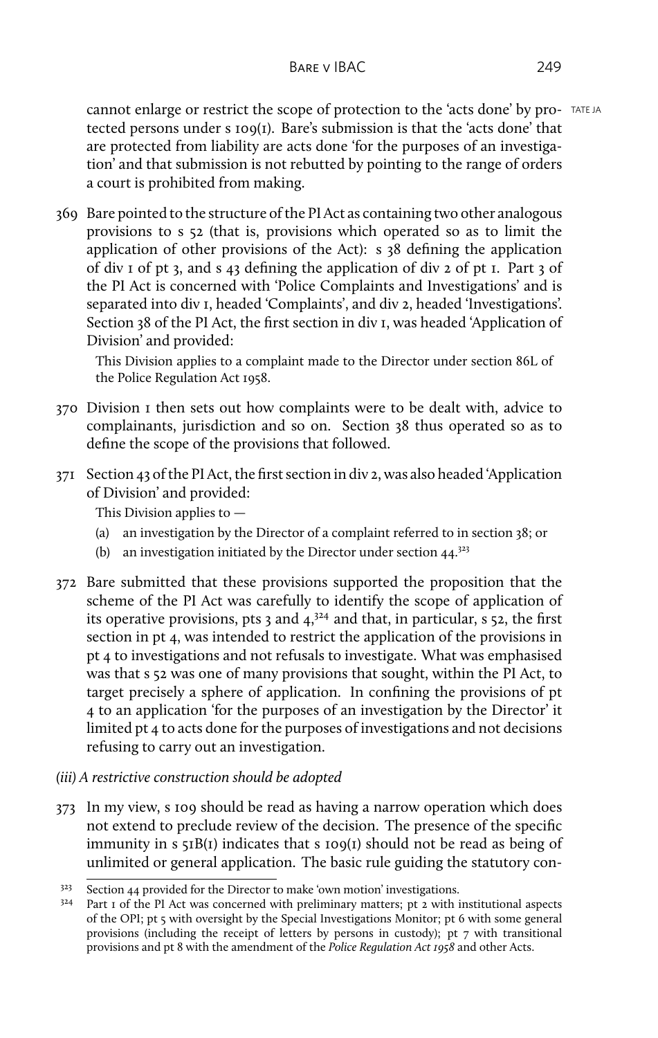cannot enlarge or restrict the scope of protection to the 'acts done' by pro- TATE JA tected persons under s 109(1). Bare's submission is that the 'acts done' that are protected from liability are acts done 'for the purposes of an investigation' and that submission is not rebutted by pointing to the range of orders a court is prohibited from making.

369 Bare pointed to the structure of the PI Act as containing two other analogous provisions to s 52 (that is, provisions which operated so as to limit the application of other provisions of the Act): s 38 defining the application of div 1 of pt 3, and s 43 defining the application of div 2 of pt 1. Part 3 of the PI Act is concerned with 'Police Complaints and Investigations' and is separated into div 1, headed 'Complaints', and div 2, headed 'Investigations'. Section 38 of the PI Act, the first section in div 1, was headed 'Application of Division' and provided:

This Division applies to a complaint made to the Director under section 86L of the Police Regulation Act 1958.

- 370 Division 1 then sets out how complaints were to be dealt with, advice to complainants, jurisdiction and so on. Section 38 thus operated so as to define the scope of the provisions that followed.
- 371 Section 43 of the PI Act, the first section in div 2, was also headed 'Application of Division' and provided:

This Division applies to —

- (a) an investigation by the Director of a complaint referred to in section 38; or
- (b) an investigation initiated by the Director under section  $44.^{323}$
- 372 Bare submitted that these provisions supported the proposition that the scheme of the PI Act was carefully to identify the scope of application of its operative provisions, pts 3 and  $4,3^{24}$  and that, in particular, s 52, the first section in pt 4, was intended to restrict the application of the provisions in pt 4 to investigations and not refusals to investigate. What was emphasised was that s 52 was one of many provisions that sought, within the PI Act, to target precisely a sphere of application. In confining the provisions of pt 4 to an application 'for the purposes of an investigation by the Director' it limited pt 4 to acts done for the purposes of investigations and not decisions refusing to carry out an investigation.
- *(iii) A restrictive construction should be adopted*
- 373 In my view, s 109 should be read as having a narrow operation which does not extend to preclude review of the decision. The presence of the specific immunity in s 51B(1) indicates that s 109(1) should not be read as being of unlimited or general application. The basic rule guiding the statutory con-

 $323$  Section 44 provided for the Director to make 'own motion' investigations.

 $324$  Part 1 of the PI Act was concerned with preliminary matters; pt 2 with institutional aspects of the OPI; pt 5 with oversight by the Special Investigations Monitor; pt 6 with some general provisions (including the receipt of letters by persons in custody); pt 7 with transitional provisions and pt 8 with the amendment of the *Police Regulation Act 1958* and other Acts.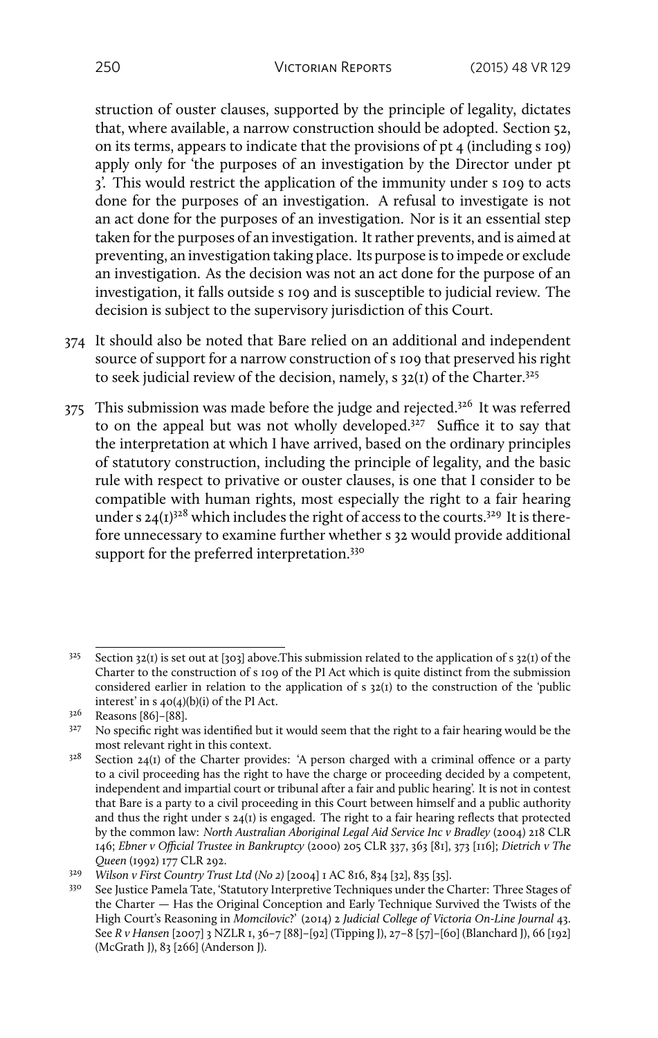struction of ouster clauses, supported by the principle of legality, dictates that, where available, a narrow construction should be adopted. Section 52, on its terms, appears to indicate that the provisions of pt 4 (including s 109) apply only for 'the purposes of an investigation by the Director under pt 3'. This would restrict the application of the immunity under s 109 to acts done for the purposes of an investigation. A refusal to investigate is not an act done for the purposes of an investigation. Nor is it an essential step taken for the purposes of an investigation. It rather prevents, and is aimed at preventing, an investigation taking place. Its purpose is to impede or exclude an investigation. As the decision was not an act done for the purpose of an investigation, it falls outside s 109 and is susceptible to judicial review. The decision is subject to the supervisory jurisdiction of this Court.

- 374 It should also be noted that Bare relied on an additional and independent source of support for a narrow construction of s 109 that preserved his right to seek judicial review of the decision, namely, s 32(1) of the Charter.<sup>325</sup>
- 375 This submission was made before the judge and rejected.<sup>326</sup> It was referred to on the appeal but was not wholly developed.<sup>327</sup> Suffice it to say that the interpretation at which I have arrived, based on the ordinary principles of statutory construction, including the principle of legality, and the basic rule with respect to privative or ouster clauses, is one that I consider to be compatible with human rights, most especially the right to a fair hearing under s  $24(I)^{328}$  which includes the right of access to the courts.<sup>329</sup> It is therefore unnecessary to examine further whether s 32 would provide additional support for the preferred interpretation.<sup>330</sup>

 $3^{25}$  Section 32(1) is set out at [303] above. This submission related to the application of s 32(1) of the Charter to the construction of s 109 of the PI Act which is quite distinct from the submission considered earlier in relation to the application of s 32(1) to the construction of the 'public interest' in s 40(4)(b)(i) of the PI Act.

<sup>326</sup> Reasons [86]–[88].

<sup>&</sup>lt;sup>327</sup> No specific right was identified but it would seem that the right to a fair hearing would be the most relevant right in this context.

 $328$  Section 24(1) of the Charter provides: 'A person charged with a criminal offence or a party to a civil proceeding has the right to have the charge or proceeding decided by a competent, independent and impartial court or tribunal after a fair and public hearing'. It is not in contest that Bare is a party to a civil proceeding in this Court between himself and a public authority and thus the right under s 24(1) is engaged. The right to a fair hearing reflects that protected by the common law: *North Australian Aboriginal Legal Aid Service Inc v Bradley* (2004) 218 CLR 146; *Ebner v Official Trustee in Bankruptcy* (2000) 205 CLR 337, 363 [81], 373 [116]; *Dietrich v The Queen* (1992) 177 CLR 292.

<sup>329</sup> *Wilson v First Country Trust Ltd (No 2)* [2004] 1 AC 816, 834 [32], 835 [35].

<sup>330</sup> See Justice Pamela Tate, 'Statutory Interpretive Techniques under the Charter: Three Stages of the Charter — Has the Original Conception and Early Technique Survived the Twists of the High Court's Reasoning in *Momcilovic*?' (2014) 2 *Judicial College of Victoria On-Line Journal* 43. See *R v Hansen* [2007] 3 NZLR 1, 36–7 [88]–[92] (Tipping J), 27–8 [57]–[60] (Blanchard J), 66 [192] (McGrath J), 83 [266] (Anderson J).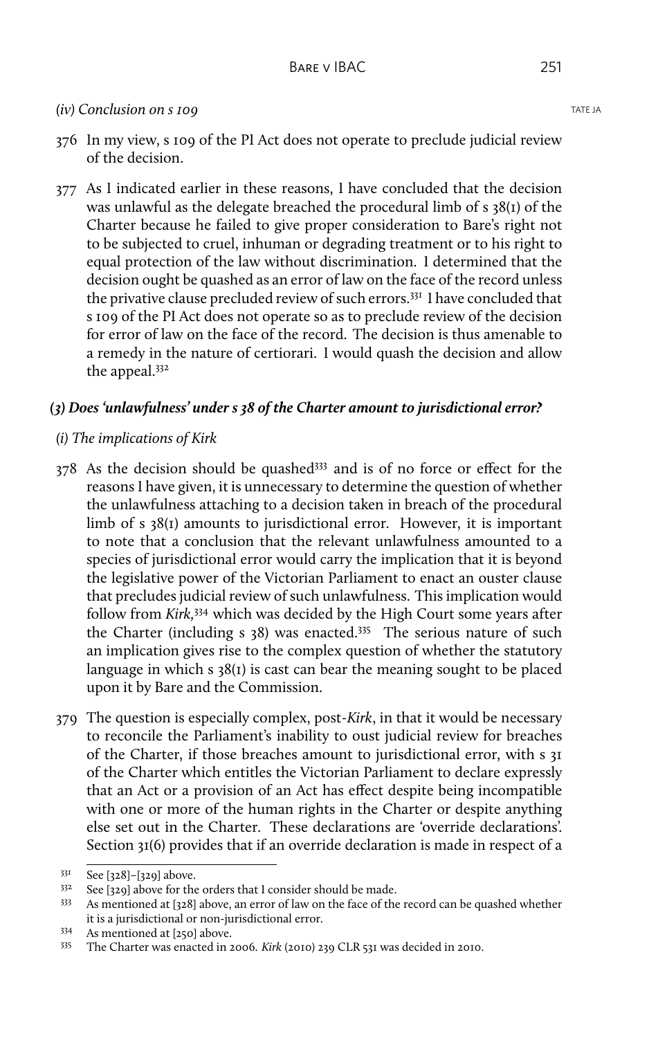### *(iv)* Conclusion on s 109

- 376 In my view, s 109 of the PI Act does not operate to preclude judicial review of the decision.
- 377 As I indicated earlier in these reasons, I have concluded that the decision was unlawful as the delegate breached the procedural limb of s 38(1) of the Charter because he failed to give proper consideration to Bare's right not to be subjected to cruel, inhuman or degrading treatment or to his right to equal protection of the law without discrimination. I determined that the decision ought be quashed as an error of law on the face of the record unless the privative clause precluded review of such errors.<sup>331</sup> I have concluded that s 109 of the PI Act does not operate so as to preclude review of the decision for error of law on the face of the record. The decision is thus amenable to a remedy in the nature of certiorari. I would quash the decision and allow the appeal.<sup>332</sup>

### *(3) Does 'unlawfulness' under s 38 of the Charter amount to jurisdictional error?*

## *(i) The implications of Kirk*

- 378 As the decision should be quashed<sup>333</sup> and is of no force or effect for the reasons I have given, it is unnecessary to determine the question of whether the unlawfulness attaching to a decision taken in breach of the procedural limb of s 38(1) amounts to jurisdictional error. However, it is important to note that a conclusion that the relevant unlawfulness amounted to a species of jurisdictional error would carry the implication that it is beyond the legislative power of the Victorian Parliament to enact an ouster clause that precludes judicial review of such unlawfulness. This implication would follow from *Kirk,*<sup>334</sup> which was decided by the High Court some years after the Charter (including s 38) was enacted.<sup>335</sup> The serious nature of such an implication gives rise to the complex question of whether the statutory language in which  $s \frac{38}{1}$  is cast can bear the meaning sought to be placed upon it by Bare and the Commission.
- 379 The question is especially complex, post-*Kirk*, in that it would be necessary to reconcile the Parliament's inability to oust judicial review for breaches of the Charter, if those breaches amount to jurisdictional error, with s 31 of the Charter which entitles the Victorian Parliament to declare expressly that an Act or a provision of an Act has effect despite being incompatible with one or more of the human rights in the Charter or despite anything else set out in the Charter. These declarations are 'override declarations'. Section 31(6) provides that if an override declaration is made in respect of a

<sup>331</sup> See [328]–[329] above.

<sup>332</sup> See [329] above for the orders that I consider should be made.

<sup>333</sup> As mentioned at [328] above, an error of law on the face of the record can be quashed whether it is a jurisdictional or non-jurisdictional error.

<sup>334</sup> As mentioned at [250] above.

<sup>335</sup> The Charter was enacted in 2006. *Kirk* (2010) 239 CLR 531 was decided in 2010.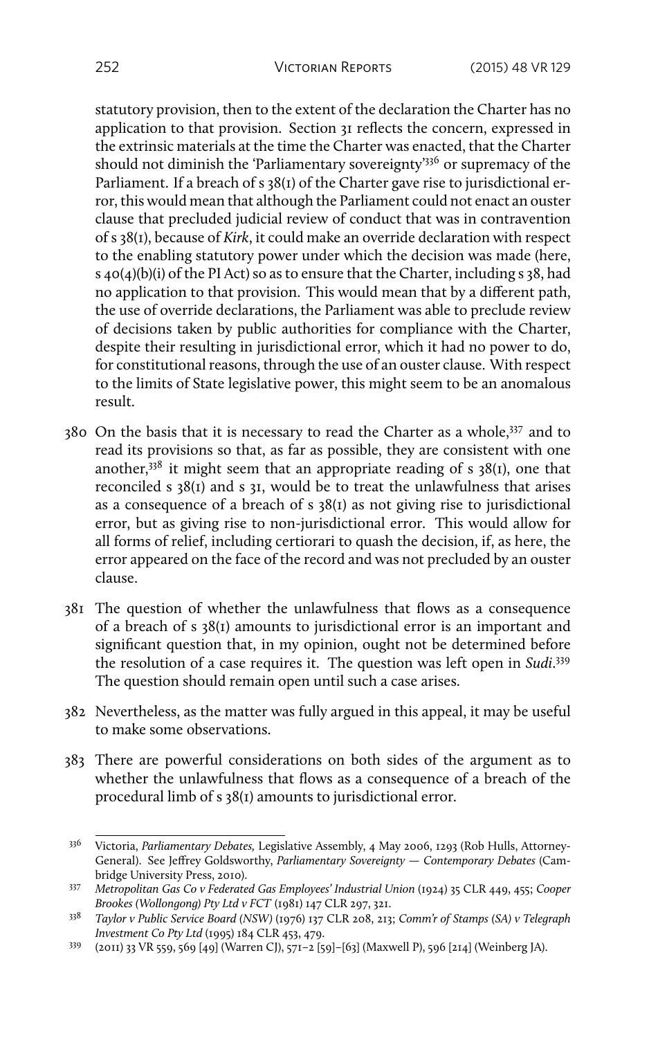statutory provision, then to the extent of the declaration the Charter has no application to that provision. Section 31 reflects the concern, expressed in the extrinsic materials at the time the Charter was enacted, that the Charter should not diminish the 'Parliamentary sovereignty'<sup>336</sup> or supremacy of the Parliament. If a breach of s 38(1) of the Charter gave rise to jurisdictional error, this would mean that although the Parliament could not enact an ouster clause that precluded judicial review of conduct that was in contravention of s 38(1), because of *Kirk*, it could make an override declaration with respect to the enabling statutory power under which the decision was made (here, s 40(4)(b)(i) of the PI Act) so as to ensure that the Charter, including s 38, had no application to that provision. This would mean that by a different path, the use of override declarations, the Parliament was able to preclude review of decisions taken by public authorities for compliance with the Charter, despite their resulting in jurisdictional error, which it had no power to do, for constitutional reasons, through the use of an ouster clause. With respect to the limits of State legislative power, this might seem to be an anomalous result.

- 380 On the basis that it is necessary to read the Charter as a whole,<sup>337</sup> and to read its provisions so that, as far as possible, they are consistent with one another,  $338$  it might seem that an appropriate reading of s 38(1), one that reconciled s 38(1) and s 31, would be to treat the unlawfulness that arises as a consequence of a breach of s 38(1) as not giving rise to jurisdictional error, but as giving rise to non-jurisdictional error. This would allow for all forms of relief, including certiorari to quash the decision, if, as here, the error appeared on the face of the record and was not precluded by an ouster clause.
- 381 The question of whether the unlawfulness that flows as a consequence of a breach of s 38(1) amounts to jurisdictional error is an important and significant question that, in my opinion, ought not be determined before the resolution of a case requires it. The question was left open in *Sudi*. 339 The question should remain open until such a case arises.
- 382 Nevertheless, as the matter was fully argued in this appeal, it may be useful to make some observations.
- 383 There are powerful considerations on both sides of the argument as to whether the unlawfulness that flows as a consequence of a breach of the procedural limb of s 38(1) amounts to jurisdictional error.

<sup>336</sup> Victoria, *Parliamentary Debates,* Legislative Assembly, 4 May 2006, 1293 (Rob Hulls, Attorney-General). See Jeffrey Goldsworthy, *Parliamentary Sovereignty — Contemporary Debates* (Cambridge University Press, 2010).

<sup>337</sup> *Metropolitan Gas Co v Federated Gas Employees' Industrial Union* (1924) 35 CLR 449, 455; *Cooper Brookes (Wollongong) Pty Ltd v FCT* (1981) 147 CLR 297, 321.

<sup>338</sup> *Taylor v Public Service Board (NSW)* (1976) 137 CLR 208, 213; *Comm'r of Stamps (SA) v Telegraph Investment Co Pty Ltd* (1995) 184 CLR 453, 479.

<sup>339</sup> (2011) 33 VR 559, 569 [49] (Warren CJ), 571–2 [59]–[63] (Maxwell P), 596 [214] (Weinberg JA).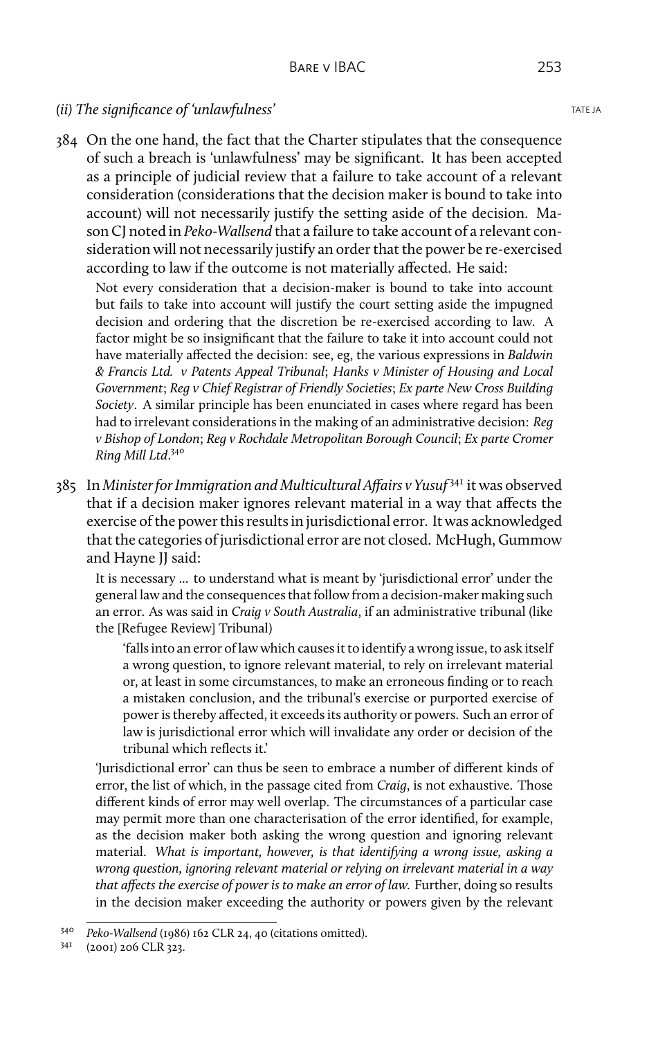### *(ii)* The significance of 'unlawfulness' TATE JA

384 On the one hand, the fact that the Charter stipulates that the consequence of such a breach is 'unlawfulness' may be significant. It has been accepted as a principle of judicial review that a failure to take account of a relevant consideration (considerations that the decision maker is bound to take into account) will not necessarily justify the setting aside of the decision. Mason CJ noted in *Peko-Wallsend* that a failure to take account of a relevant consideration will not necessarily justify an order that the power be re-exercised according to law if the outcome is not materially affected. He said:

Not every consideration that a decision-maker is bound to take into account but fails to take into account will justify the court setting aside the impugned decision and ordering that the discretion be re-exercised according to law. A factor might be so insignificant that the failure to take it into account could not have materially affected the decision: see, eg, the various expressions in *Baldwin & Francis Ltd. v Patents Appeal Tribunal*; *Hanks v Minister of Housing and Local Government*; *Reg v Chief Registrar of Friendly Societies*; *Ex parte New Cross Building Society*. A similar principle has been enunciated in cases where regard has been had to irrelevant considerations in the making of an administrative decision: *Reg v Bishop of London*; *Reg v Rochdale Metropolitan Borough Council*; *Ex parte Cromer Ring Mill Ltd*. 340

385 In *Minister for Immigration and Multicultural Affairs v Yusuf* <sup>341</sup> it was observed that if a decision maker ignores relevant material in a way that affects the exercise of the power this results in jurisdictional error. It was acknowledged that the categories of jurisdictional error are not closed. McHugh, Gummow and Hayne JJ said:

It is necessary ... to understand what is meant by 'jurisdictional error' under the general law and the consequences that follow from a decision-maker making such an error. As was said in *Craig v South Australia*, if an administrative tribunal (like the [Refugee Review] Tribunal)

'falls into an error of law which causes it to identify a wrong issue, to ask itself a wrong question, to ignore relevant material, to rely on irrelevant material or, at least in some circumstances, to make an erroneous finding or to reach a mistaken conclusion, and the tribunal's exercise or purported exercise of power is thereby affected, it exceeds its authority or powers. Such an error of law is jurisdictional error which will invalidate any order or decision of the tribunal which reflects it.'

'Jurisdictional error' can thus be seen to embrace a number of different kinds of error, the list of which, in the passage cited from *Craig*, is not exhaustive. Those different kinds of error may well overlap. The circumstances of a particular case may permit more than one characterisation of the error identified, for example, as the decision maker both asking the wrong question and ignoring relevant material. *What is important, however, is that identifying a wrong issue, asking a wrong question, ignoring relevant material or relying on irrelevant material in a way that affects the exercise of power is to make an error of law.* Further, doing so results in the decision maker exceeding the authority or powers given by the relevant

<sup>340</sup> *Peko-Wallsend* (1986) 162 CLR 24, 40 (citations omitted).

<sup>341</sup> (2001) 206 CLR 323.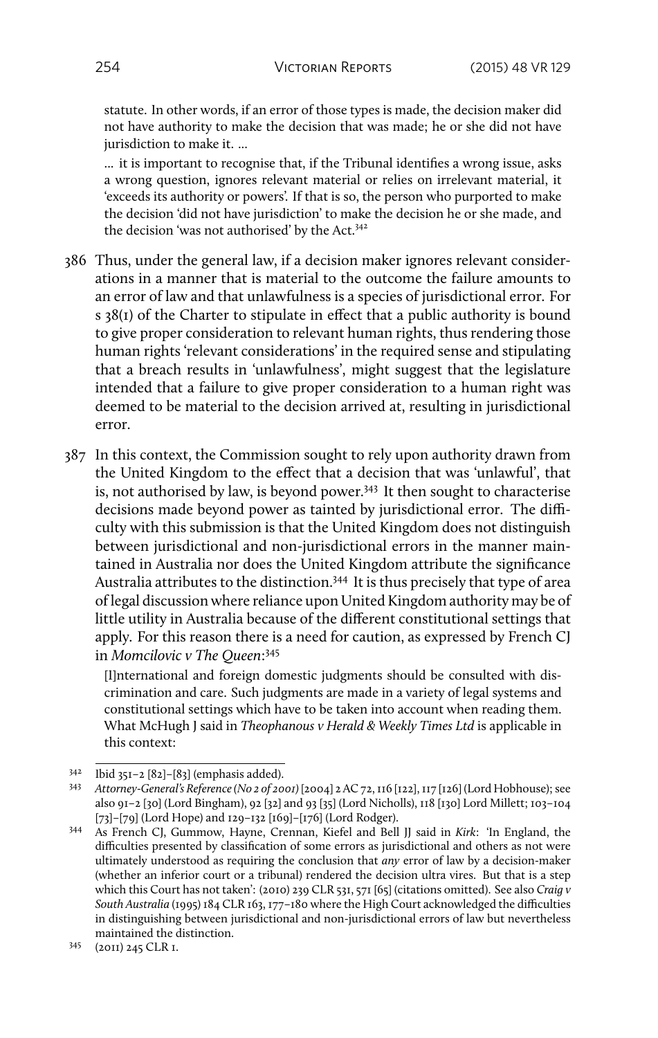statute. In other words, if an error of those types is made, the decision maker did not have authority to make the decision that was made; he or she did not have jurisdiction to make it. ...

... it is important to recognise that, if the Tribunal identifies a wrong issue, asks a wrong question, ignores relevant material or relies on irrelevant material, it 'exceeds its authority or powers'. If that is so, the person who purported to make the decision 'did not have jurisdiction' to make the decision he or she made, and the decision 'was not authorised' by the Act.<sup>342</sup>

- 386 Thus, under the general law, if a decision maker ignores relevant considerations in a manner that is material to the outcome the failure amounts to an error of law and that unlawfulness is a species of jurisdictional error. For s 38(1) of the Charter to stipulate in effect that a public authority is bound to give proper consideration to relevant human rights, thus rendering those human rights 'relevant considerations' in the required sense and stipulating that a breach results in 'unlawfulness', might suggest that the legislature intended that a failure to give proper consideration to a human right was deemed to be material to the decision arrived at, resulting in jurisdictional error.
- 387 In this context, the Commission sought to rely upon authority drawn from the United Kingdom to the effect that a decision that was 'unlawful', that is, not authorised by law, is beyond power.<sup>343</sup> It then sought to characterise decisions made beyond power as tainted by jurisdictional error. The difficulty with this submission is that the United Kingdom does not distinguish between jurisdictional and non-jurisdictional errors in the manner maintained in Australia nor does the United Kingdom attribute the significance Australia attributes to the distinction.<sup>344</sup> It is thus precisely that type of area of legal discussion where reliance upon United Kingdom authority may be of little utility in Australia because of the different constitutional settings that apply. For this reason there is a need for caution, as expressed by French CJ in *Momcilovic v The Queen*: 345

[I]nternational and foreign domestic judgments should be consulted with discrimination and care. Such judgments are made in a variety of legal systems and constitutional settings which have to be taken into account when reading them. What McHugh J said in *Theophanous v Herald & Weekly Times Ltd* is applicable in this context:

<sup>342</sup> Ibid 351–2 [82]–[83] (emphasis added).

<sup>343</sup> *Attorney-General's Reference (No 2 of 2001)* [2004] 2 AC 72, 116 [122], 117 [126] (Lord Hobhouse); see also 91–2 [30] (Lord Bingham), 92 [32] and 93 [35] (Lord Nicholls), 118 [130] Lord Millett; 103–104 [73]–[79] (Lord Hope) and 129–132 [169]–[176] (Lord Rodger).

<sup>344</sup> As French CJ, Gummow, Hayne, Crennan, Kiefel and Bell JJ said in *Kirk*: 'In England, the difficulties presented by classification of some errors as jurisdictional and others as not were ultimately understood as requiring the conclusion that *any* error of law by a decision-maker (whether an inferior court or a tribunal) rendered the decision ultra vires. But that is a step which this Court has not taken': (2010) 239 CLR 531, 571 [65] (citations omitted). See also *Craig v South Australia* (1995) 184 CLR 163, 177–180 where the High Court acknowledged the difficulties in distinguishing between jurisdictional and non-jurisdictional errors of law but nevertheless maintained the distinction.

<sup>345</sup> (2011) 245 CLR 1.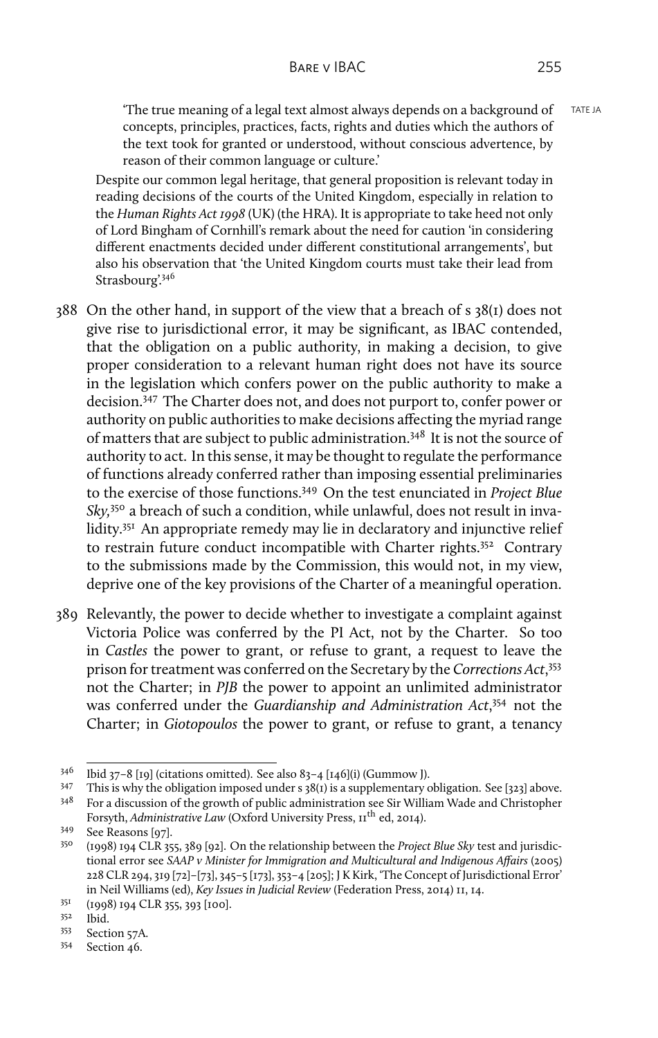'The true meaning of a legal text almost always depends on a background of  $TATEJ$ concepts, principles, practices, facts, rights and duties which the authors of the text took for granted or understood, without conscious advertence, by reason of their common language or culture.'

Despite our common legal heritage, that general proposition is relevant today in reading decisions of the courts of the United Kingdom, especially in relation to the *Human Rights Act 1998* (UK) (the HRA). It is appropriate to take heed not only of Lord Bingham of Cornhill's remark about the need for caution 'in considering different enactments decided under different constitutional arrangements', but also his observation that 'the United Kingdom courts must take their lead from Strasbourg'.346

- 388 On the other hand, in support of the view that a breach of s 38(1) does not give rise to jurisdictional error, it may be significant, as IBAC contended, that the obligation on a public authority, in making a decision, to give proper consideration to a relevant human right does not have its source in the legislation which confers power on the public authority to make a decision.<sup>347</sup> The Charter does not, and does not purport to, confer power or authority on public authorities to make decisions affecting the myriad range of matters that are subject to public administration.<sup>348</sup> It is not the source of authority to act. In this sense, it may be thought to regulate the performance of functions already conferred rather than imposing essential preliminaries to the exercise of those functions.<sup>349</sup> On the test enunciated in *Project Blue Sky,*<sup>350</sup> a breach of such a condition, while unlawful, does not result in invalidity.<sup>351</sup> An appropriate remedy may lie in declaratory and injunctive relief to restrain future conduct incompatible with Charter rights.<sup>352</sup> Contrary to the submissions made by the Commission, this would not, in my view, deprive one of the key provisions of the Charter of a meaningful operation.
- 389 Relevantly, the power to decide whether to investigate a complaint against Victoria Police was conferred by the PI Act, not by the Charter. So too in *Castles* the power to grant, or refuse to grant, a request to leave the prison for treatment was conferred on the Secretary by the *Corrections Act*, 353 not the Charter; in *PJB* the power to appoint an unlimited administrator was conferred under the *Guardianship and Administration Act*, <sup>354</sup> not the Charter; in *Giotopoulos* the power to grant, or refuse to grant, a tenancy

<sup>351</sup> (1998) 194 CLR 355, 393 [100].

- <sup>353</sup> Section 57A.
- <sup>354</sup> Section 46.

 $346$  Ibid 37–8 [19] (citations omitted). See also 83–4 [146](i) (Gummow J).

<sup>&</sup>lt;sup>347</sup> This is why the obligation imposed under s  $38(t)$  is a supplementary obligation. See [323] above.<br><sup>348</sup> For a discussion of the growth of public administration see Sir William Wade and Christopher

<sup>348</sup> For a discussion of the growth of public administration see Sir William Wade and Christopher Forsyth, *Administrative Law* (Oxford University Press, 11<sup>th</sup> ed, 2014).

 $349$  See Reasons [97].<br> $359$   $(1008)$  Jot Cl B at

<sup>350</sup> (1998) 194 CLR 355, 389 [92]. On the relationship between the *Project Blue Sky* test and jurisdictional error see *SAAP v Minister for Immigration and Multicultural and Indigenous Affairs* (2005) 228 CLR 294, 319 [72]–[73], 345–5 [173], 353–4 [205]; J K Kirk, 'The Concept of Jurisdictional Error' in Neil Williams (ed), *Key Issues in Judicial Review* (Federation Press, 2014) 11, 14.

<sup>352</sup> Ibid.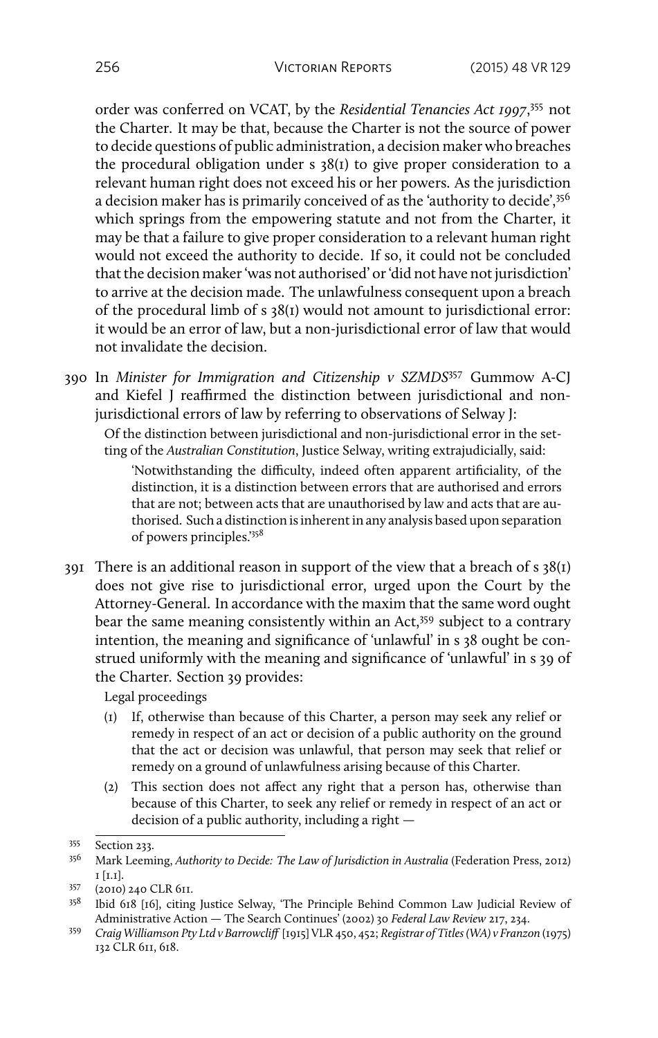order was conferred on VCAT, by the *Residential Tenancies Act 1997*, <sup>355</sup> not the Charter. It may be that, because the Charter is not the source of power to decide questions of public administration, a decision maker who breaches the procedural obligation under s 38(1) to give proper consideration to a relevant human right does not exceed his or her powers. As the jurisdiction a decision maker has is primarily conceived of as the 'authority to decide',  $356$ which springs from the empowering statute and not from the Charter, it may be that a failure to give proper consideration to a relevant human right would not exceed the authority to decide. If so, it could not be concluded that the decision maker 'was not authorised' or 'did not have not jurisdiction' to arrive at the decision made. The unlawfulness consequent upon a breach of the procedural limb of s 38(1) would not amount to jurisdictional error: it would be an error of law, but a non-jurisdictional error of law that would not invalidate the decision.

390 In *Minister for Immigration and Citizenship v SZMDS*<sup>357</sup> Gummow A-CJ and Kiefel J reaffirmed the distinction between jurisdictional and nonjurisdictional errors of law by referring to observations of Selway I:

Of the distinction between jurisdictional and non-jurisdictional error in the setting of the *Australian Constitution*, Justice Selway, writing extrajudicially, said:

'Notwithstanding the difficulty, indeed often apparent artificiality, of the distinction, it is a distinction between errors that are authorised and errors that are not; between acts that are unauthorised by law and acts that are authorised. Such a distinction is inherent in any analysis based upon separation of powers principles.'<sup>358</sup>

391 There is an additional reason in support of the view that a breach of  $s$  38(1) does not give rise to jurisdictional error, urged upon the Court by the Attorney-General. In accordance with the maxim that the same word ought bear the same meaning consistently within an Act,<sup>359</sup> subject to a contrary intention, the meaning and significance of 'unlawful' in s 38 ought be construed uniformly with the meaning and significance of 'unlawful' in s 39 of the Charter. Section 39 provides:

Legal proceedings

- (1) If, otherwise than because of this Charter, a person may seek any relief or remedy in respect of an act or decision of a public authority on the ground that the act or decision was unlawful, that person may seek that relief or remedy on a ground of unlawfulness arising because of this Charter.
- (2) This section does not affect any right that a person has, otherwise than because of this Charter, to seek any relief or remedy in respect of an act or decision of a public authority, including a right —

 $355$  Section 233.<br> $356$  Mark Leemi

<sup>356</sup> Mark Leeming, *Authority to Decide: The Law of Jurisdiction in Australia* (Federation Press, 2012) 1 [1.1].

<sup>357</sup> (2010) 240 CLR 611.

<sup>358</sup> Ibid 618 [16], citing Justice Selway, 'The Principle Behind Common Law Judicial Review of Administrative Action — The Search Continues' (2002) 30 *Federal Law Review* 217, 234.

<sup>359</sup> *Craig Williamson Pty Ltd v Barrowcliff* [1915] VLR 450, 452; *Registrar of Titles (WA) v Franzon* (1975) 132 CLR 611, 618.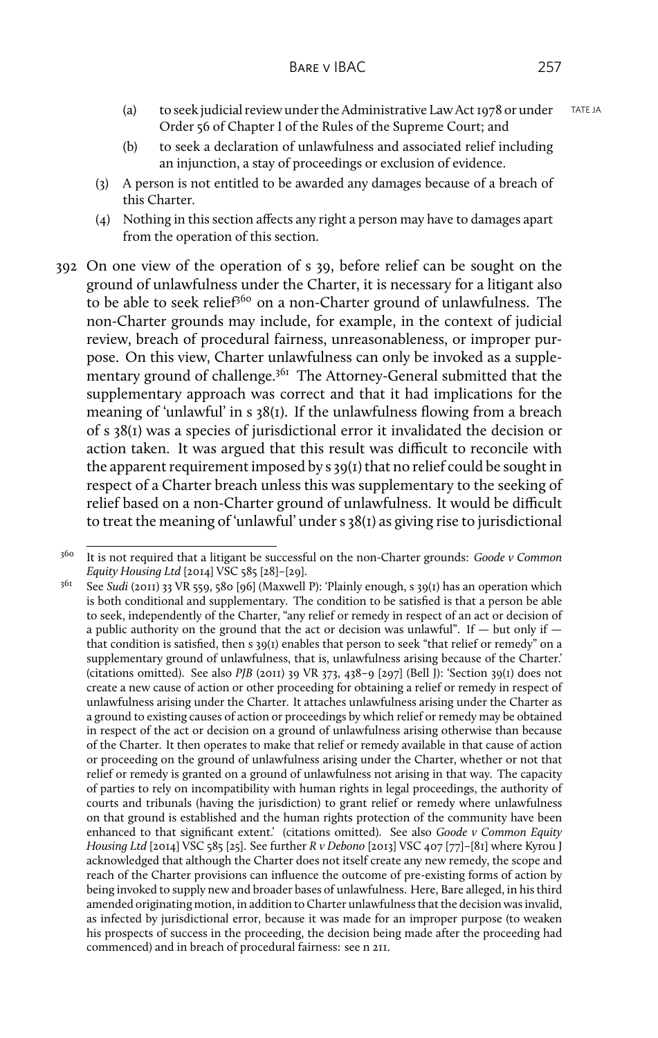- (a) to seek judicial review under the Administrative Law Act 1978 or under TATE JA Order 56 of Chapter I of the Rules of the Supreme Court; and
- (b) to seek a declaration of unlawfulness and associated relief including an injunction, a stay of proceedings or exclusion of evidence.
- (3) A person is not entitled to be awarded any damages because of a breach of this Charter.
- (4) Nothing in this section affects any right a person may have to damages apart from the operation of this section.
- 392 On one view of the operation of s 39, before relief can be sought on the ground of unlawfulness under the Charter, it is necessary for a litigant also to be able to seek relief<sup>360</sup> on a non-Charter ground of unlawfulness. The non-Charter grounds may include, for example, in the context of judicial review, breach of procedural fairness, unreasonableness, or improper purpose. On this view, Charter unlawfulness can only be invoked as a supplementary ground of challenge.<sup>361</sup> The Attorney-General submitted that the supplementary approach was correct and that it had implications for the meaning of 'unlawful' in s 38(1). If the unlawfulness flowing from a breach of s 38(1) was a species of jurisdictional error it invalidated the decision or action taken. It was argued that this result was difficult to reconcile with the apparent requirement imposed by s 39(1) that no relief could be sought in respect of a Charter breach unless this was supplementary to the seeking of relief based on a non-Charter ground of unlawfulness. It would be difficult to treat the meaning of 'unlawful' under s 38(1) as giving rise to jurisdictional

<sup>360</sup> It is not required that a litigant be successful on the non-Charter grounds: *Goode v Common Equity Housing Ltd* [2014] VSC 585 [28]–[29].

<sup>361</sup> See *Sudi* (2011) 33 VR 559, 580 [96] (Maxwell P): 'Plainly enough, s 39(1) has an operation which is both conditional and supplementary. The condition to be satisfied is that a person be able to seek, independently of the Charter, "any relief or remedy in respect of an act or decision of a public authority on the ground that the act or decision was unlawful". If  $-$  but only if  $$ that condition is satisfied, then s 39(1) enables that person to seek "that relief or remedy" on a supplementary ground of unlawfulness, that is, unlawfulness arising because of the Charter.' (citations omitted). See also *PJB* (2011) 39 VR 373, 438–9 [297] (Bell J): 'Section 39(1) does not create a new cause of action or other proceeding for obtaining a relief or remedy in respect of unlawfulness arising under the Charter. It attaches unlawfulness arising under the Charter as a ground to existing causes of action or proceedings by which relief or remedy may be obtained in respect of the act or decision on a ground of unlawfulness arising otherwise than because of the Charter. It then operates to make that relief or remedy available in that cause of action or proceeding on the ground of unlawfulness arising under the Charter, whether or not that relief or remedy is granted on a ground of unlawfulness not arising in that way. The capacity of parties to rely on incompatibility with human rights in legal proceedings, the authority of courts and tribunals (having the jurisdiction) to grant relief or remedy where unlawfulness on that ground is established and the human rights protection of the community have been enhanced to that significant extent.' (citations omitted). See also *Goode v Common Equity Housing Ltd* [2014] VSC 585 [25]. See further *R v Debono* [2013] VSC 407 [77]–[81] where Kyrou J acknowledged that although the Charter does not itself create any new remedy, the scope and reach of the Charter provisions can influence the outcome of pre-existing forms of action by being invoked to supply new and broader bases of unlawfulness. Here, Bare alleged, in his third amended originating motion, in addition to Charter unlawfulness that the decision was invalid, as infected by jurisdictional error, because it was made for an improper purpose (to weaken his prospects of success in the proceeding, the decision being made after the proceeding had commenced) and in breach of procedural fairness: see n 211.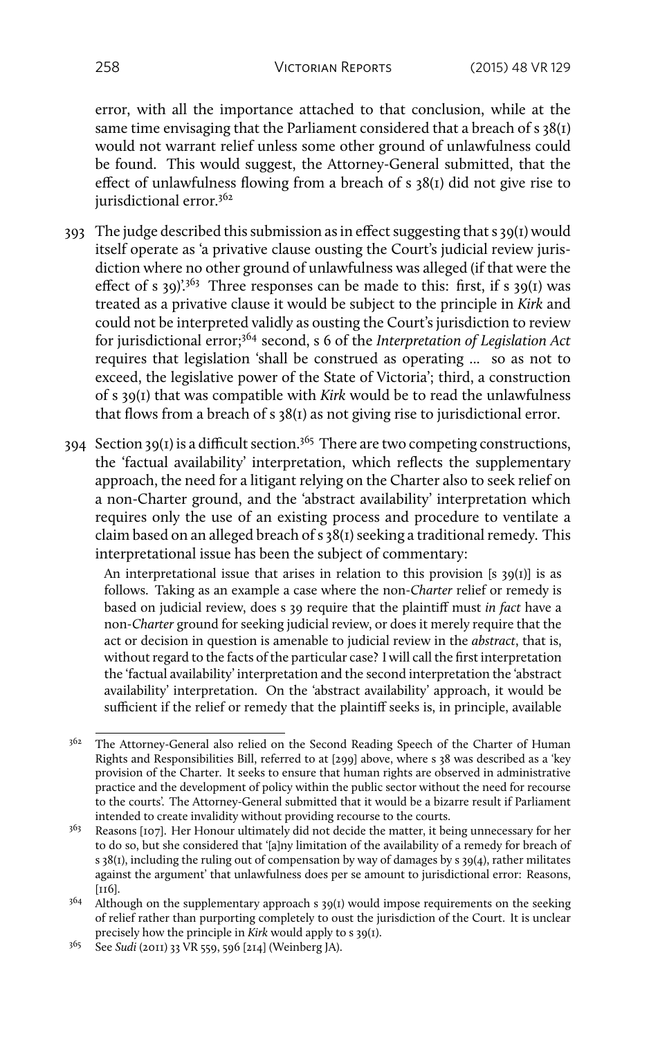error, with all the importance attached to that conclusion, while at the same time envisaging that the Parliament considered that a breach of s 38(1) would not warrant relief unless some other ground of unlawfulness could be found. This would suggest, the Attorney-General submitted, that the effect of unlawfulness flowing from a breach of s 38(1) did not give rise to jurisdictional error.<sup>362</sup>

- 393 The judge described this submission as in effect suggesting that s 39(1) would itself operate as 'a privative clause ousting the Court's judicial review jurisdiction where no other ground of unlawfulness was alleged (if that were the effect of s 39)'.<sup>363</sup> Three responses can be made to this: first, if s 39(1) was treated as a privative clause it would be subject to the principle in *Kirk* and could not be interpreted validly as ousting the Court's jurisdiction to review for jurisdictional error;<sup>364</sup> second, s 6 of the *Interpretation of Legislation Act* requires that legislation 'shall be construed as operating ... so as not to exceed, the legislative power of the State of Victoria'; third, a construction of s 39(1) that was compatible with *Kirk* would be to read the unlawfulness that flows from a breach of s 38(1) as not giving rise to jurisdictional error.
- $394$  Section  $39(1)$  is a difficult section.<sup>365</sup> There are two competing constructions, the 'factual availability' interpretation, which reflects the supplementary approach, the need for a litigant relying on the Charter also to seek relief on a non-Charter ground, and the 'abstract availability' interpretation which requires only the use of an existing process and procedure to ventilate a claim based on an alleged breach of s 38(1) seeking a traditional remedy. This interpretational issue has been the subject of commentary:

An interpretational issue that arises in relation to this provision [s  $39(1)$ ] is as follows. Taking as an example a case where the non-*Charter* relief or remedy is based on judicial review, does s 39 require that the plaintiff must *in fact* have a non-*Charter* ground for seeking judicial review, or does it merely require that the act or decision in question is amenable to judicial review in the *abstract*, that is, without regard to the facts of the particular case? I will call the first interpretation the 'factual availability' interpretation and the second interpretation the 'abstract availability' interpretation. On the 'abstract availability' approach, it would be sufficient if the relief or remedy that the plaintiff seeks is, in principle, available

<sup>&</sup>lt;sup>362</sup> The Attorney-General also relied on the Second Reading Speech of the Charter of Human Rights and Responsibilities Bill, referred to at [299] above, where s 38 was described as a 'key provision of the Charter. It seeks to ensure that human rights are observed in administrative practice and the development of policy within the public sector without the need for recourse to the courts'. The Attorney-General submitted that it would be a bizarre result if Parliament intended to create invalidity without providing recourse to the courts.

<sup>&</sup>lt;sup>363</sup> Reasons [107]. Her Honour ultimately did not decide the matter, it being unnecessary for her to do so, but she considered that '[a]ny limitation of the availability of a remedy for breach of s 38(1), including the ruling out of compensation by way of damages by s 39(4), rather militates against the argument' that unlawfulness does per se amount to jurisdictional error: Reasons, [116].

 $364$  Although on the supplementary approach s 39(1) would impose requirements on the seeking of relief rather than purporting completely to oust the jurisdiction of the Court. It is unclear precisely how the principle in *Kirk* would apply to s 39(1).

<sup>365</sup> See *Sudi* (2011) 33 VR 559, 596 [214] (Weinberg JA).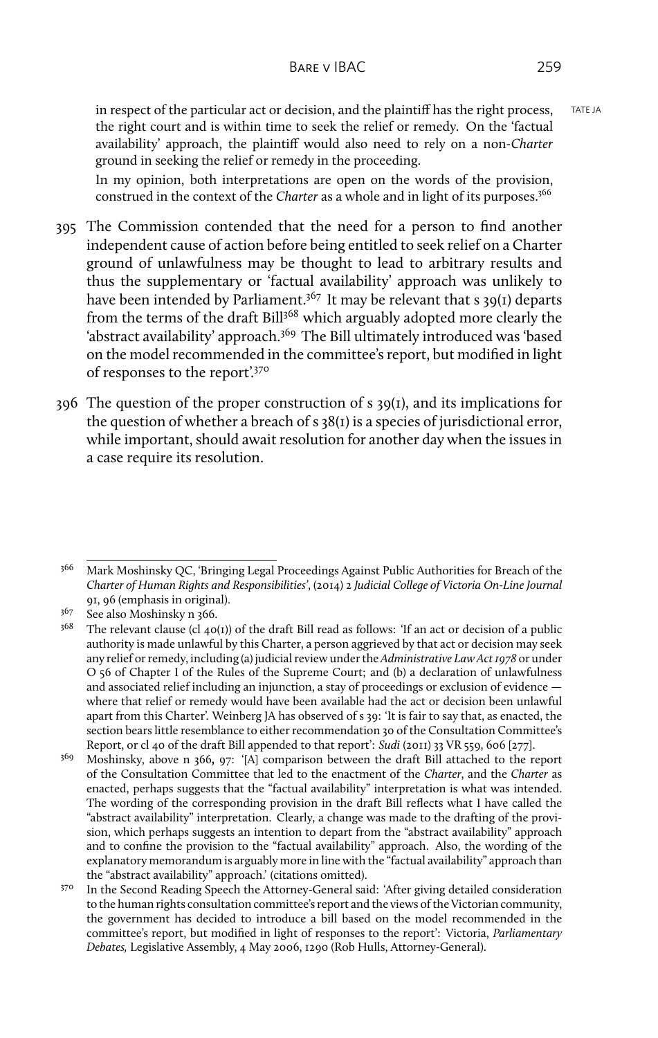in respect of the particular act or decision, and the plaintiff has the right process,  $TATE I A$ the right court and is within time to seek the relief or remedy. On the 'factual availability' approach, the plaintiff would also need to rely on a non-*Charter* ground in seeking the relief or remedy in the proceeding.

In my opinion, both interpretations are open on the words of the provision, construed in the context of the *Charter* as a whole and in light of its purposes.<sup>366</sup>

- 395 The Commission contended that the need for a person to find another independent cause of action before being entitled to seek relief on a Charter ground of unlawfulness may be thought to lead to arbitrary results and thus the supplementary or 'factual availability' approach was unlikely to have been intended by Parliament.<sup>367</sup> It may be relevant that s 39(1) departs from the terms of the draft Bill<sup>368</sup> which arguably adopted more clearly the 'abstract availability' approach.<sup>369</sup> The Bill ultimately introduced was 'based on the model recommended in the committee's report, but modified in light of responses to the report'.<sup>370</sup>
- 396 The question of the proper construction of s 39(1), and its implications for the question of whether a breach of s 38(1) is a species of jurisdictional error, while important, should await resolution for another day when the issues in a case require its resolution.

<sup>366</sup> Mark Moshinsky QC, 'Bringing Legal Proceedings Against Public Authorities for Breach of the *Charter of Human Rights and Responsibilities'*, (2014) 2 *Judicial College of Victoria On-Line Journal* 91, 96 (emphasis in original).

 $367$  See also Moshinsky n 366.<br> $368$  The relevant clause (cl. 10)

The relevant clause (cl  $40(1)$ ) of the draft Bill read as follows: 'If an act or decision of a public authority is made unlawful by this Charter, a person aggrieved by that act or decision may seek any relief or remedy, including (a) judicial review under the *Administrative Law Act 1978* or under O 56 of Chapter I of the Rules of the Supreme Court; and (b) a declaration of unlawfulness and associated relief including an injunction, a stay of proceedings or exclusion of evidence where that relief or remedy would have been available had the act or decision been unlawful apart from this Charter'. Weinberg JA has observed of s 39: 'It is fair to say that, as enacted, the section bears little resemblance to either recommendation 30 of the Consultation Committee's Report, or cl 40 of the draft Bill appended to that report': *Sudi* (2011) 33 VR 559, 606 [277].

<sup>369</sup> Moshinsky, above n 366**,** 97: '[A] comparison between the draft Bill attached to the report of the Consultation Committee that led to the enactment of the *Charter*, and the *Charter* as enacted, perhaps suggests that the "factual availability" interpretation is what was intended. The wording of the corresponding provision in the draft Bill reflects what I have called the "abstract availability" interpretation. Clearly, a change was made to the drafting of the provision, which perhaps suggests an intention to depart from the "abstract availability" approach and to confine the provision to the "factual availability" approach. Also, the wording of the explanatory memorandum is arguably more in line with the "factual availability" approach than the "abstract availability" approach.' (citations omitted).

<sup>&</sup>lt;sup>370</sup> In the Second Reading Speech the Attorney-General said: 'After giving detailed consideration to the human rights consultation committee's report and the views of the Victorian community, the government has decided to introduce a bill based on the model recommended in the committee's report, but modified in light of responses to the report': Victoria, *Parliamentary Debates,* Legislative Assembly, 4 May 2006, 1290 (Rob Hulls, Attorney-General).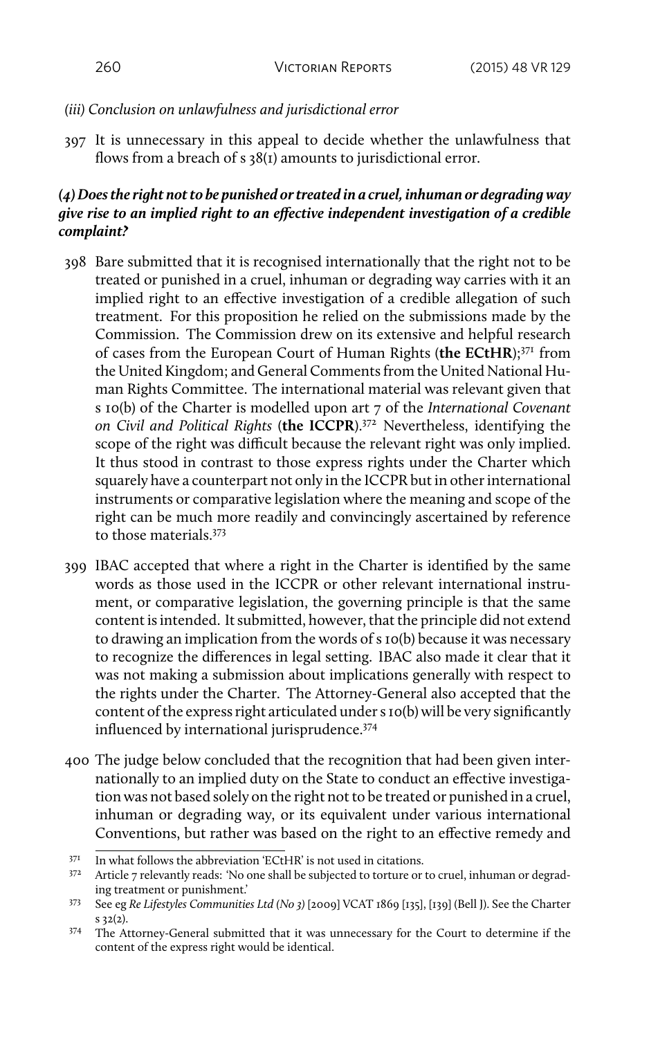## *(iii) Conclusion on unlawfulness and jurisdictional error*

397 It is unnecessary in this appeal to decide whether the unlawfulness that flows from a breach of s 38(1) amounts to jurisdictional error.

# *(4) Does the right not to be punished or treated in a cruel, inhuman or degrading way give rise to an implied right to an effective independent investigation of a credible complaint?*

- 398 Bare submitted that it is recognised internationally that the right not to be treated or punished in a cruel, inhuman or degrading way carries with it an implied right to an effective investigation of a credible allegation of such treatment. For this proposition he relied on the submissions made by the Commission. The Commission drew on its extensive and helpful research of cases from the European Court of Human Rights (**the ECtHR**);<sup>371</sup> from the United Kingdom; and General Comments from the United National Human Rights Committee. The international material was relevant given that s 10(b) of the Charter is modelled upon art 7 of the *International Covenant on Civil and Political Rights* (**the ICCPR**).<sup>372</sup> Nevertheless, identifying the scope of the right was difficult because the relevant right was only implied. It thus stood in contrast to those express rights under the Charter which squarely have a counterpart not only in the ICCPR but in other international instruments or comparative legislation where the meaning and scope of the right can be much more readily and convincingly ascertained by reference to those materials.<sup>373</sup>
- 399 IBAC accepted that where a right in the Charter is identified by the same words as those used in the ICCPR or other relevant international instrument, or comparative legislation, the governing principle is that the same content is intended. It submitted, however, that the principle did not extend to drawing an implication from the words of s 10(b) because it was necessary to recognize the differences in legal setting. IBAC also made it clear that it was not making a submission about implications generally with respect to the rights under the Charter. The Attorney-General also accepted that the content of the express right articulated under s 10(b) will be very significantly influenced by international jurisprudence.<sup>374</sup>
- 400 The judge below concluded that the recognition that had been given internationally to an implied duty on the State to conduct an effective investigation was not based solely on the right not to be treated or punished in a cruel, inhuman or degrading way, or its equivalent under various international Conventions, but rather was based on the right to an effective remedy and

 $371$  In what follows the abbreviation 'ECtHR' is not used in citations.<br> $372$  Article 7 relevantly reads: 'No one shall be subjected to torture or

Article 7 relevantly reads: 'No one shall be subjected to torture or to cruel, inhuman or degrading treatment or punishment.'

<sup>373</sup> See eg *Re Lifestyles Communities Ltd (No 3)* [2009] VCAT 1869 [135], [139] (Bell J). See the Charter s 32(2).

<sup>374</sup> The Attorney-General submitted that it was unnecessary for the Court to determine if the content of the express right would be identical.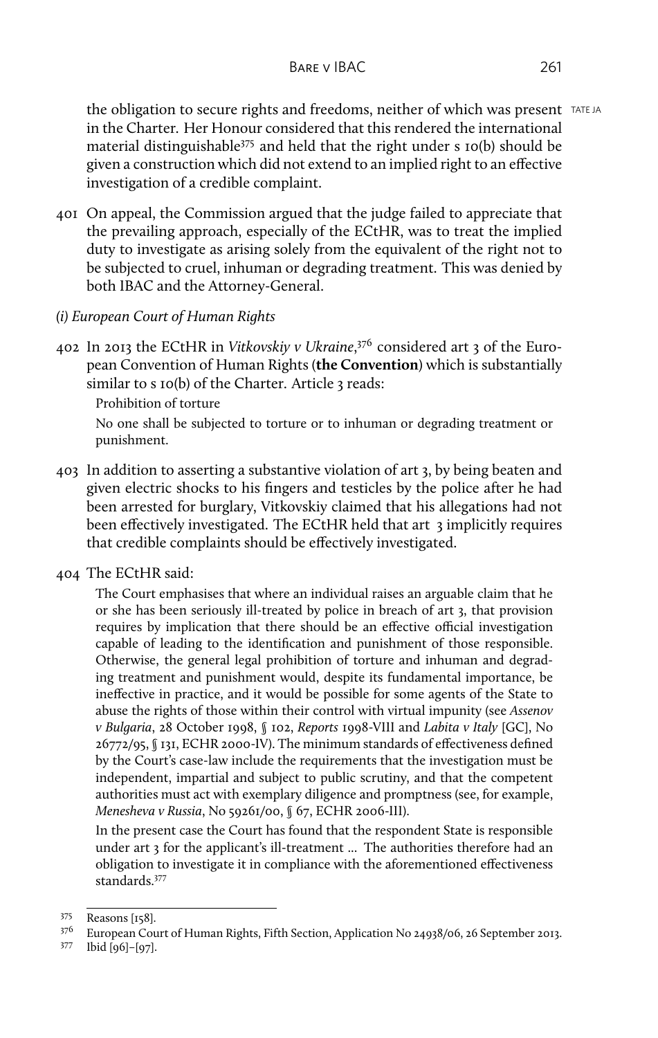the obligation to secure rights and freedoms, neither of which was present TATE JA in the Charter. Her Honour considered that this rendered the international material distinguishable<sup>375</sup> and held that the right under s 10(b) should be given a construction which did not extend to an implied right to an effective investigation of a credible complaint.

- 401 On appeal, the Commission argued that the judge failed to appreciate that the prevailing approach, especially of the ECtHR, was to treat the implied duty to investigate as arising solely from the equivalent of the right not to be subjected to cruel, inhuman or degrading treatment. This was denied by both IBAC and the Attorney-General.
- *(i) European Court of Human Rights*
- 402 In 2013 the ECtHR in *Vitkovskiy v Ukraine*, <sup>376</sup> considered art 3 of the European Convention of Human Rights (**the Convention**) which is substantially similar to s 10(b) of the Charter. Article 3 reads:
	- Prohibition of torture

No one shall be subjected to torture or to inhuman or degrading treatment or punishment.

- 403 In addition to asserting a substantive violation of art 3, by being beaten and given electric shocks to his fingers and testicles by the police after he had been arrested for burglary, Vitkovskiy claimed that his allegations had not been effectively investigated. The ECtHR held that art 3 implicitly requires that credible complaints should be effectively investigated.
- 404 The ECtHR said:

The Court emphasises that where an individual raises an arguable claim that he or she has been seriously ill-treated by police in breach of art 3, that provision requires by implication that there should be an effective official investigation capable of leading to the identification and punishment of those responsible. Otherwise, the general legal prohibition of torture and inhuman and degrading treatment and punishment would, despite its fundamental importance, be ineffective in practice, and it would be possible for some agents of the State to abuse the rights of those within their control with virtual impunity (see *Assenov v Bulgaria*, 28 October 1998, § 102, *Reports* 1998-VIII and *Labita v Italy* [GC], No 26772/95, § 131, ECHR 2000-IV). The minimum standards of effectiveness defined by the Court's case-law include the requirements that the investigation must be independent, impartial and subject to public scrutiny, and that the competent authorities must act with exemplary diligence and promptness (see, for example, *Menesheva v Russia*, No 59261/00, § 67, ECHR 2006-III).

In the present case the Court has found that the respondent State is responsible under art 3 for the applicant's ill-treatment ... The authorities therefore had an obligation to investigate it in compliance with the aforementioned effectiveness standards.<sup>377</sup>

<sup>375</sup> Reasons [158].

<sup>376</sup> European Court of Human Rights, Fifth Section, Application No 24938/06, 26 September 2013.

<sup>377</sup> Ibid [96]–[97].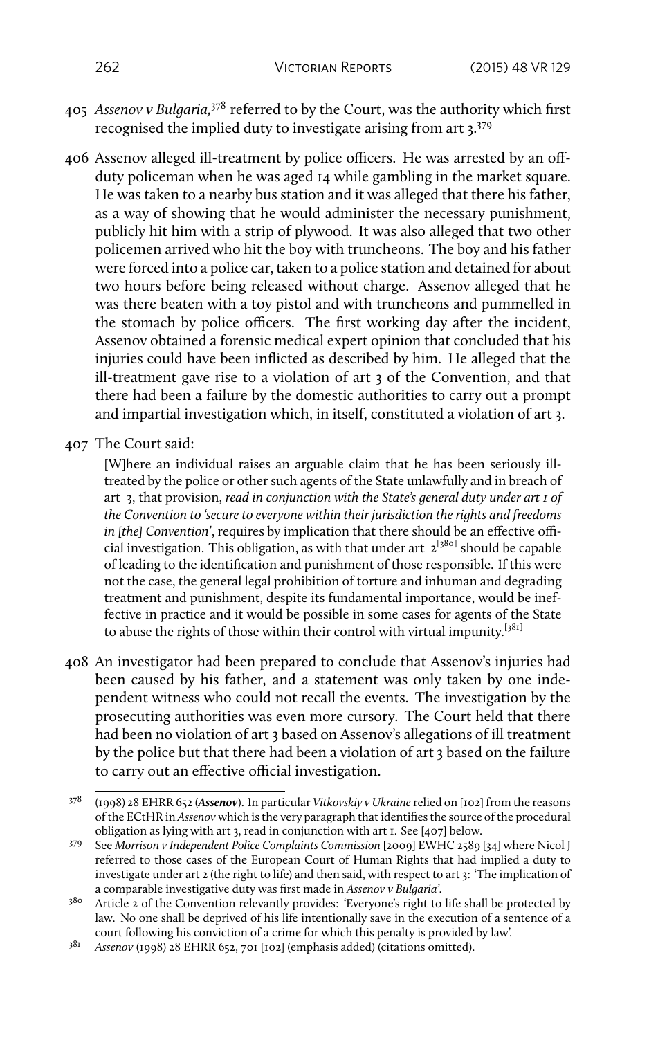- 405 *Assenov v Bulgaria,*<sup>378</sup> referred to by the Court, was the authority which first recognised the implied duty to investigate arising from art 3.<sup>379</sup>
- 406 Assenov alleged ill-treatment by police officers. He was arrested by an offduty policeman when he was aged 14 while gambling in the market square. He was taken to a nearby bus station and it was alleged that there his father, as a way of showing that he would administer the necessary punishment, publicly hit him with a strip of plywood. It was also alleged that two other policemen arrived who hit the boy with truncheons. The boy and his father were forced into a police car, taken to a police station and detained for about two hours before being released without charge. Assenov alleged that he was there beaten with a toy pistol and with truncheons and pummelled in the stomach by police officers. The first working day after the incident, Assenov obtained a forensic medical expert opinion that concluded that his injuries could have been inflicted as described by him. He alleged that the ill-treatment gave rise to a violation of art 3 of the Convention, and that there had been a failure by the domestic authorities to carry out a prompt and impartial investigation which, in itself, constituted a violation of art 3.
- 407 The Court said:

[W]here an individual raises an arguable claim that he has been seriously illtreated by the police or other such agents of the State unlawfully and in breach of art 3, that provision, *read in conjunction with the State's general duty under art 1 of the Convention to 'secure to everyone within their jurisdiction the rights and freedoms in [the] Convention'*, requires by implication that there should be an effective official investigation. This obligation, as with that under art  $2^{[380]}$  should be capable of leading to the identification and punishment of those responsible. If this were not the case, the general legal prohibition of torture and inhuman and degrading treatment and punishment, despite its fundamental importance, would be ineffective in practice and it would be possible in some cases for agents of the State to abuse the rights of those within their control with virtual impunity.<sup>[381]</sup>

408 An investigator had been prepared to conclude that Assenov's injuries had been caused by his father, and a statement was only taken by one independent witness who could not recall the events. The investigation by the prosecuting authorities was even more cursory. The Court held that there had been no violation of art 3 based on Assenov's allegations of ill treatment by the police but that there had been a violation of art 3 based on the failure to carry out an effective official investigation.

<sup>378</sup> (1998) 28 EHRR 652 (*Assenov*). In particular *Vitkovskiy v Ukraine*relied on [102] from the reasons of the ECtHR in *Assenov* which is the very paragraph that identifies the source of the procedural obligation as lying with art 3, read in conjunction with art 1. See [407] below.

<sup>379</sup> See *Morrison v Independent Police Complaints Commission* [2009] EWHC 2589 [34] where Nicol J referred to those cases of the European Court of Human Rights that had implied a duty to investigate under art 2 (the right to life) and then said, with respect to art 3: 'The implication of a comparable investigative duty was first made in *Assenov v Bulgaria'*.

<sup>&</sup>lt;sup>380</sup> Article 2 of the Convention relevantly provides: 'Everyone's right to life shall be protected by law. No one shall be deprived of his life intentionally save in the execution of a sentence of a court following his conviction of a crime for which this penalty is provided by law'.

<sup>381</sup> *Assenov* (1998) 28 EHRR 652, 701 [102] (emphasis added) (citations omitted).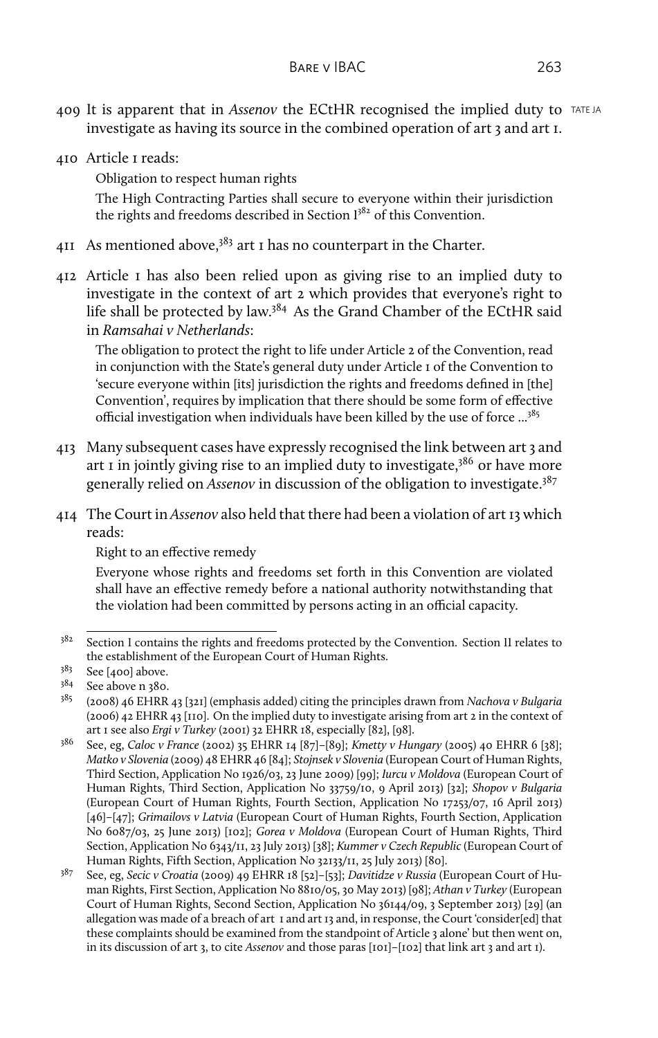- 409 It is apparent that in *Assenov* the ECtHR recognised the implied duty to TATE JA investigate as having its source in the combined operation of art 3 and art 1.
- 410 Article 1 reads:

Obligation to respect human rights

The High Contracting Parties shall secure to everyone within their jurisdiction the rights and freedoms described in Section  $1^{382}$  of this Convention.

- 411 As mentioned above,  $383$  art 1 has no counterpart in the Charter.
- 412 Article 1 has also been relied upon as giving rise to an implied duty to investigate in the context of art 2 which provides that everyone's right to life shall be protected by law.<sup>384</sup> As the Grand Chamber of the ECtHR said in *Ramsahai v Netherlands*:

The obligation to protect the right to life under Article 2 of the Convention, read in conjunction with the State's general duty under Article 1 of the Convention to 'secure everyone within [its] jurisdiction the rights and freedoms defined in [the] Convention', requires by implication that there should be some form of effective official investigation when individuals have been killed by the use of force ...<sup>385</sup>

- 413 Many subsequent cases have expressly recognised the link between art 3 and art I in jointly giving rise to an implied duty to investigate, $386$  or have more generally relied on *Assenov* in discussion of the obligation to investigate.<sup>387</sup>
- 414 The Court in *Assenov* also held that there had been a violation of art 13 which reads:

Right to an effective remedy

Everyone whose rights and freedoms set forth in this Convention are violated shall have an effective remedy before a national authority notwithstanding that the violation had been committed by persons acting in an official capacity.

<sup>&</sup>lt;sup>382</sup> Section I contains the rights and freedoms protected by the Convention. Section II relates to the establishment of the European Court of Human Rights.

 $3^{83}$  See [400] above.<br> $3^{84}$  See above n 380.

 $3^{84}$  See above n 380.<br> $3^{85}$  (2008) 46 EHRR

<sup>385</sup> (2008) 46 EHRR 43 [321] (emphasis added) citing the principles drawn from *Nachova v Bulgaria* (2006) 42 EHRR 43 [110]. On the implied duty to investigate arising from art 2 in the context of art 1 see also *Ergi v Turkey* (2001) 32 EHRR 18, especially [82], [98].

<sup>386</sup> See, eg, *Caloc v France* (2002) 35 EHRR 14 [87]–[89]; *Kmetty v Hungary* (2005) 40 EHRR 6 [38]; *Matko v Slovenia* (2009) 48 EHRR 46 [84]; *Stojnsek v Slovenia* (European Court of Human Rights, Third Section, Application No 1926/03, 23 June 2009) [99]; *Iurcu v Moldova* (European Court of Human Rights, Third Section, Application No 33759/10, 9 April 2013) [32]; *Shopov v Bulgaria* (European Court of Human Rights, Fourth Section, Application No 17253/07, 16 April 2013) [46]–[47]; *Grimailovs v Latvia* (European Court of Human Rights, Fourth Section, Application No 6087/03, 25 June 2013) [102]; *Gorea v Moldova* (European Court of Human Rights, Third Section, Application No 6343/11, 23 July 2013) [38]; *Kummer v Czech Republic* (European Court of Human Rights, Fifth Section, Application No 32133/11, 25 July 2013) [80].

<sup>387</sup> See, eg, *Secic v Croatia* (2009) 49 EHRR 18 [52]–[53]; *Davitidze v Russia* (European Court of Human Rights, First Section, Application No 8810/05, 30 May 2013) [98]; *Athan v Turkey* (European Court of Human Rights, Second Section, Application No 36144/09, 3 September 2013) [29] (an allegation was made of a breach of art 1 and art 13 and, in response, the Court 'consider[ed] that these complaints should be examined from the standpoint of Article 3 alone' but then went on, in its discussion of art 3, to cite *Assenov* and those paras [101]–[102] that link art 3 and art 1).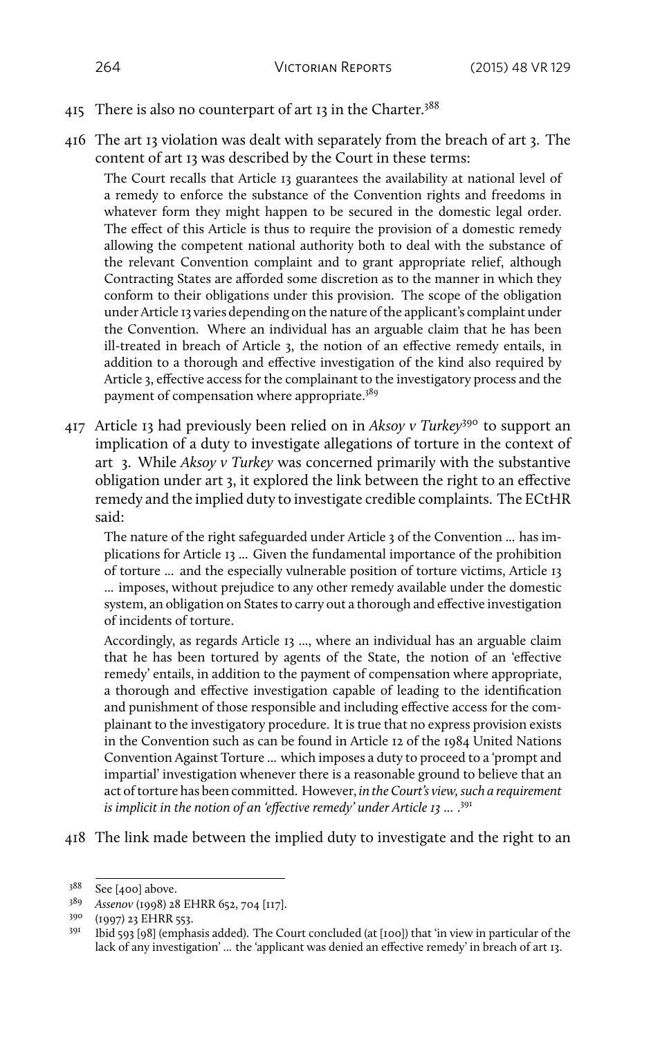- 415 There is also no counterpart of art 13 in the Charter.<sup>388</sup>
- 416 The art 13 violation was dealt with separately from the breach of art 3. The content of art 13 was described by the Court in these terms:

The Court recalls that Article 13 guarantees the availability at national level of a remedy to enforce the substance of the Convention rights and freedoms in whatever form they might happen to be secured in the domestic legal order. The effect of this Article is thus to require the provision of a domestic remedy allowing the competent national authority both to deal with the substance of the relevant Convention complaint and to grant appropriate relief, although Contracting States are afforded some discretion as to the manner in which they conform to their obligations under this provision. The scope of the obligation under Article 13 varies depending on the nature of the applicant's complaint under the Convention. Where an individual has an arguable claim that he has been ill-treated in breach of Article 3, the notion of an effective remedy entails, in addition to a thorough and effective investigation of the kind also required by Article 3, effective access for the complainant to the investigatory process and the payment of compensation where appropriate.<sup>389</sup>

417 Article 13 had previously been relied on in *Aksoy v Turkey*<sup>390</sup> to support an implication of a duty to investigate allegations of torture in the context of art 3. While *Aksoy v Turkey* was concerned primarily with the substantive obligation under art 3, it explored the link between the right to an effective remedy and the implied duty to investigate credible complaints. The ECtHR said:

The nature of the right safeguarded under Article 3 of the Convention ... has implications for Article 13 ... Given the fundamental importance of the prohibition of torture ... and the especially vulnerable position of torture victims, Article 13 ... imposes, without prejudice to any other remedy available under the domestic system, an obligation on States to carry out a thorough and effective investigation of incidents of torture.

Accordingly, as regards Article 13 ..., where an individual has an arguable claim that he has been tortured by agents of the State, the notion of an 'effective remedy' entails, in addition to the payment of compensation where appropriate, a thorough and effective investigation capable of leading to the identification and punishment of those responsible and including effective access for the complainant to the investigatory procedure. It is true that no express provision exists in the Convention such as can be found in Article 12 of the 1984 United Nations Convention Against Torture ... which imposes a duty to proceed to a 'prompt and impartial' investigation whenever there is a reasonable ground to believe that an act of torture has been committed. However, *in the Court's view, such a requirement is implicit in the notion of an 'effective remedy' under Article 13* ... . 391

418 The link made between the implied duty to investigate and the right to an

<sup>388</sup> See [400] above.

<sup>389</sup> *Assenov* (1998) 28 EHRR 652, 704 [117].

<sup>390</sup> (1997) 23 EHRR 553.

<sup>&</sup>lt;sup>391</sup> Ibid 593 [98] (emphasis added). The Court concluded (at [100]) that 'in view in particular of the lack of any investigation' ... the 'applicant was denied an effective remedy' in breach of art 13.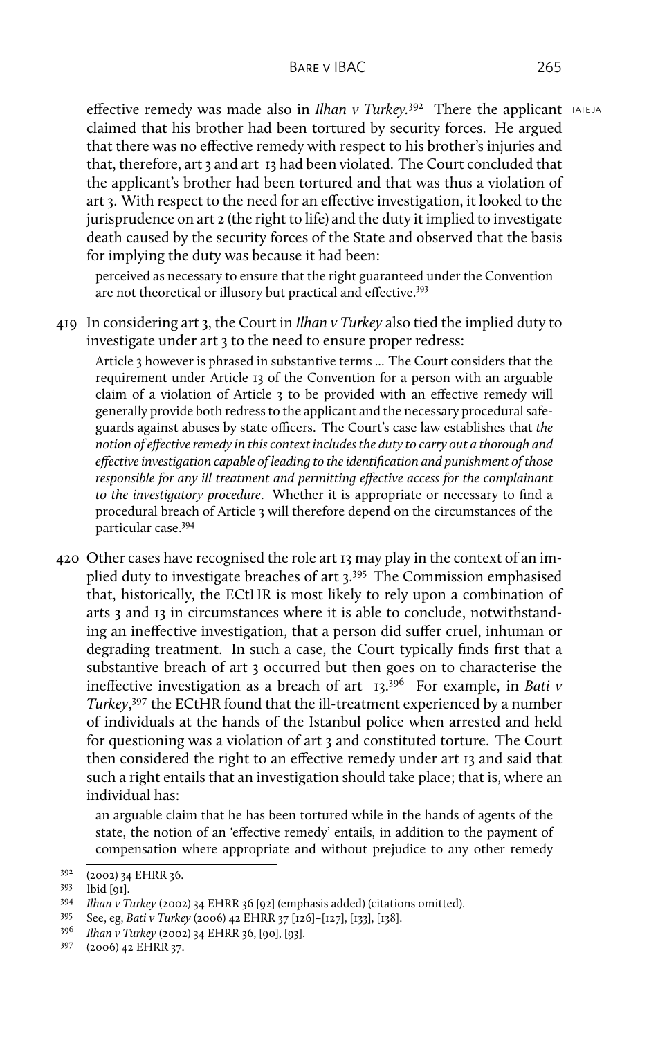effective remedy was made also in *Ilhan v Turkey*.<sup>392</sup> There the applicant TATE JA claimed that his brother had been tortured by security forces. He argued that there was no effective remedy with respect to his brother's injuries and that, therefore, art 3 and art 13 had been violated. The Court concluded that the applicant's brother had been tortured and that was thus a violation of art 3. With respect to the need for an effective investigation, it looked to the jurisprudence on art 2 (the right to life) and the duty it implied to investigate death caused by the security forces of the State and observed that the basis for implying the duty was because it had been:

perceived as necessary to ensure that the right guaranteed under the Convention are not theoretical or illusory but practical and effective.<sup>393</sup>

419 In considering art 3, the Court in *Ilhan v Turkey* also tied the implied duty to investigate under art 3 to the need to ensure proper redress:

Article 3 however is phrased in substantive terms ... The Court considers that the requirement under Article 13 of the Convention for a person with an arguable claim of a violation of Article 3 to be provided with an effective remedy will generally provide both redress to the applicant and the necessary procedural safeguards against abuses by state officers. The Court's case law establishes that *the notion of effective remedy in this context includes the duty to carry out a thorough and effective investigation capable of leading to the identification and punishment of those responsible for any ill treatment and permitting effective access for the complainant to the investigatory procedure*. Whether it is appropriate or necessary to find a procedural breach of Article 3 will therefore depend on the circumstances of the particular case.<sup>394</sup>

420 Other cases have recognised the role art 13 may play in the context of an implied duty to investigate breaches of art 3.<sup>395</sup> The Commission emphasised that, historically, the ECtHR is most likely to rely upon a combination of arts 3 and 13 in circumstances where it is able to conclude, notwithstanding an ineffective investigation, that a person did suffer cruel, inhuman or degrading treatment. In such a case, the Court typically finds first that a substantive breach of art 3 occurred but then goes on to characterise the ineffective investigation as a breach of art 13.<sup>396</sup> For example, in *Bati v Turkey*, <sup>397</sup> the ECtHR found that the ill-treatment experienced by a number of individuals at the hands of the Istanbul police when arrested and held for questioning was a violation of art 3 and constituted torture. The Court then considered the right to an effective remedy under art 13 and said that such a right entails that an investigation should take place; that is, where an individual has:

an arguable claim that he has been tortured while in the hands of agents of the state, the notion of an 'effective remedy' entails, in addition to the payment of compensation where appropriate and without prejudice to any other remedy

<sup>395</sup> See, eg, *Bati v Turkey* (2006) 42 EHRR 37 [126]–[127], [133], [138].

<sup>392</sup> (2002) 34 EHRR 36.

<sup>393</sup> Ibid [91].

<sup>394</sup> *Ilhan v Turkey* (2002) 34 EHRR 36 [92] (emphasis added) (citations omitted).

<sup>396</sup> *Ilhan v Turkey* (2002) 34 EHRR 36, [90], [93].

<sup>397</sup> (2006) 42 EHRR 37.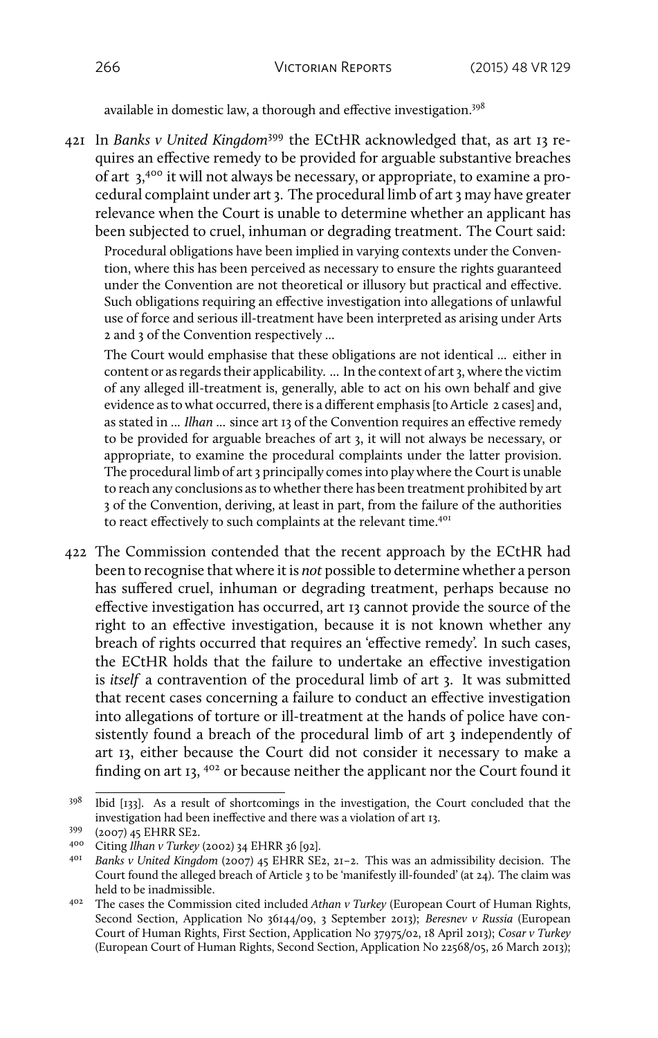available in domestic law, a thorough and effective investigation.<sup>398</sup>

421 In *Banks v United Kingdom*<sup>399</sup> the ECtHR acknowledged that, as art 13 requires an effective remedy to be provided for arguable substantive breaches of art  $3,400$  it will not always be necessary, or appropriate, to examine a procedural complaint under art 3. The procedural limb of art 3 may have greater relevance when the Court is unable to determine whether an applicant has been subjected to cruel, inhuman or degrading treatment. The Court said:

Procedural obligations have been implied in varying contexts under the Convention, where this has been perceived as necessary to ensure the rights guaranteed under the Convention are not theoretical or illusory but practical and effective. Such obligations requiring an effective investigation into allegations of unlawful use of force and serious ill-treatment have been interpreted as arising under Arts 2 and 3 of the Convention respectively ...

The Court would emphasise that these obligations are not identical ... either in content or as regards their applicability. ... In the context of art 3, where the victim of any alleged ill-treatment is, generally, able to act on his own behalf and give evidence as to what occurred, there is a different emphasis [to Article 2 cases] and, as stated in ... *Ilhan* ... since art 13 of the Convention requires an effective remedy to be provided for arguable breaches of art 3, it will not always be necessary, or appropriate, to examine the procedural complaints under the latter provision. The procedural limb of art 3 principally comes into play where the Court is unable to reach any conclusions as to whether there has been treatment prohibited by art 3 of the Convention, deriving, at least in part, from the failure of the authorities to react effectively to such complaints at the relevant time.<sup>401</sup>

422 The Commission contended that the recent approach by the ECtHR had been to recognise that where it is *not* possible to determine whether a person has suffered cruel, inhuman or degrading treatment, perhaps because no effective investigation has occurred, art 13 cannot provide the source of the right to an effective investigation, because it is not known whether any breach of rights occurred that requires an 'effective remedy'. In such cases, the ECtHR holds that the failure to undertake an effective investigation is *itself* a contravention of the procedural limb of art 3. It was submitted that recent cases concerning a failure to conduct an effective investigation into allegations of torture or ill-treatment at the hands of police have consistently found a breach of the procedural limb of art 3 independently of art 13, either because the Court did not consider it necessary to make a finding on art 13,  $402$  or because neither the applicant nor the Court found it

<sup>&</sup>lt;sup>398</sup> Ibid [133]. As a result of shortcomings in the investigation, the Court concluded that the investigation had been ineffective and there was a violation of art 13.

<sup>399</sup> (2007) 45 EHRR SE2.

<sup>400</sup> Citing *Ilhan v Turkey* (2002) 34 EHRR 36 [92].

<sup>401</sup> *Banks v United Kingdom* (2007) 45 EHRR SE2, 21–2. This was an admissibility decision. The Court found the alleged breach of Article 3 to be 'manifestly ill-founded' (at 24). The claim was held to be inadmissible.

<sup>402</sup> The cases the Commission cited included *Athan v Turkey* (European Court of Human Rights, Second Section, Application No 36144/09, 3 September 2013); *Beresnev v Russia* (European Court of Human Rights, First Section, Application No 37975/02, 18 April 2013); *Cosar v Turkey* (European Court of Human Rights, Second Section, Application No 22568/05, 26 March 2013);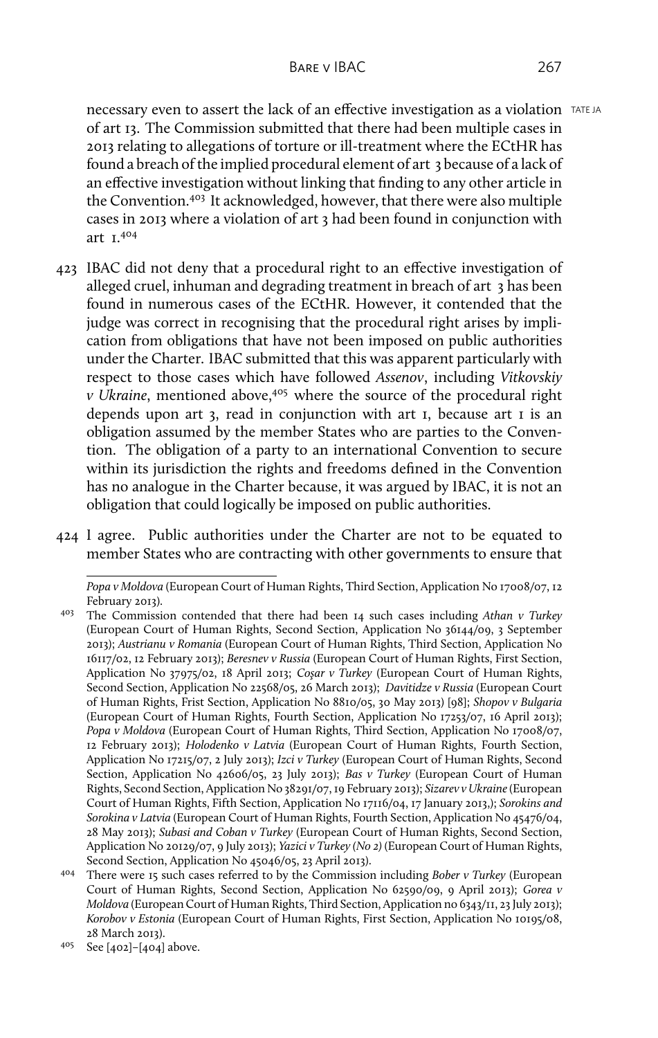necessary even to assert the lack of an effective investigation as a violation TATE JA of art 13. The Commission submitted that there had been multiple cases in 2013 relating to allegations of torture or ill-treatment where the ECtHR has found a breach of the implied procedural element of art 3 because of a lack of an effective investigation without linking that finding to any other article in the Convention.<sup>403</sup> It acknowledged, however, that there were also multiple cases in 2013 where a violation of art 3 had been found in conjunction with art 1.<sup>404</sup>

- 423 IBAC did not deny that a procedural right to an effective investigation of alleged cruel, inhuman and degrading treatment in breach of art 3 has been found in numerous cases of the ECtHR. However, it contended that the judge was correct in recognising that the procedural right arises by implication from obligations that have not been imposed on public authorities under the Charter. IBAC submitted that this was apparent particularly with respect to those cases which have followed *Assenov*, including *Vitkovskiy v Ukraine*, mentioned above,<sup>405</sup> where the source of the procedural right depends upon art 3, read in conjunction with art 1, because art 1 is an obligation assumed by the member States who are parties to the Convention. The obligation of a party to an international Convention to secure within its jurisdiction the rights and freedoms defined in the Convention has no analogue in the Charter because, it was argued by IBAC, it is not an obligation that could logically be imposed on public authorities.
- 424 I agree. Public authorities under the Charter are not to be equated to member States who are contracting with other governments to ensure that

*Popa v Moldova* (European Court of Human Rights, Third Section, Application No 17008/07, 12 February 2013).

<sup>403</sup> The Commission contended that there had been 14 such cases including *Athan v Turkey* (European Court of Human Rights, Second Section, Application No 36144/09, 3 September 2013); *Austrianu v Romania* (European Court of Human Rights, Third Section, Application No 16117/02, 12 February 2013); *Beresnev v Russia* (European Court of Human Rights, First Section, Application No 37975/02, 18 April 2013; *Coşar v Turkey* (European Court of Human Rights, Second Section, Application No 22568/05, 26 March 2013); *Davitidze v Russia* (European Court of Human Rights, Frist Section, Application No 8810/05, 30 May 2013) [98]; *Shopov v Bulgaria* (European Court of Human Rights, Fourth Section, Application No 17253/07, 16 April 2013); *Popa v Moldova* (European Court of Human Rights, Third Section, Application No 17008/07, 12 February 2013); *Holodenko v Latvia* (European Court of Human Rights, Fourth Section, Application No 17215/07, 2 July 2013); *Izci v Turkey* (European Court of Human Rights, Second Section, Application No 42606/05, 23 July 2013); *Bas v Turkey* (European Court of Human Rights, Second Section, Application No 38291/07, 19 February 2013); *Sizarev v Ukraine*(European Court of Human Rights, Fifth Section, Application No 17116/04, 17 January 2013,); *Sorokins and Sorokina v Latvia* (European Court of Human Rights, Fourth Section, Application No 45476/04, 28 May 2013); *Subasi and Coban v Turkey* (European Court of Human Rights, Second Section, Application No 20129/07, 9 July 2013); *Yazici v Turkey (No 2)* (European Court of Human Rights, Second Section, Application No 45046/05, 23 April 2013).

<sup>404</sup> There were 15 such cases referred to by the Commission including *Bober v Turkey* (European Court of Human Rights, Second Section, Application No 62590/09, 9 April 2013); *Gorea v Moldova* (European Court of Human Rights, Third Section, Application no 6343/11, 23 July 2013); *Korobov v Estonia* (European Court of Human Rights, First Section, Application No 10195/08, 28 March 2013).

<sup>405</sup> See [402]–[404] above.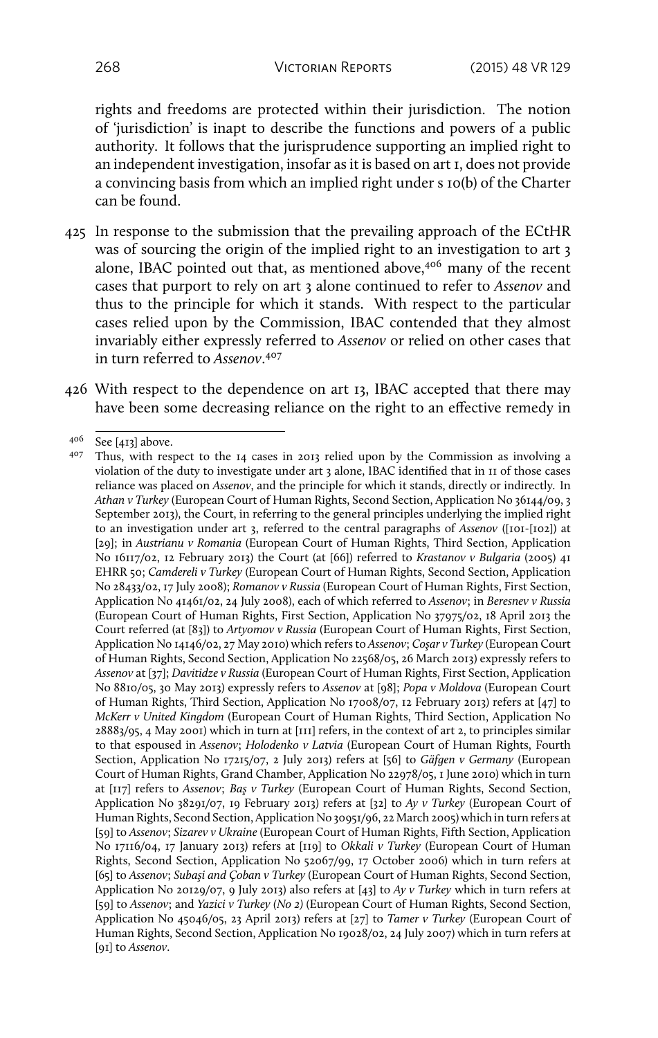rights and freedoms are protected within their jurisdiction. The notion of 'jurisdiction' is inapt to describe the functions and powers of a public authority. It follows that the jurisprudence supporting an implied right to an independent investigation, insofar as it is based on art 1, does not provide a convincing basis from which an implied right under s 10(b) of the Charter can be found.

- 425 In response to the submission that the prevailing approach of the ECtHR was of sourcing the origin of the implied right to an investigation to art 3 alone, IBAC pointed out that, as mentioned above,<sup>406</sup> many of the recent cases that purport to rely on art 3 alone continued to refer to *Assenov* and thus to the principle for which it stands. With respect to the particular cases relied upon by the Commission, IBAC contended that they almost invariably either expressly referred to *Assenov* or relied on other cases that in turn referred to *Assenov*. 407
- 426 With respect to the dependence on art 13, IBAC accepted that there may have been some decreasing reliance on the right to an effective remedy in

<sup>406</sup> See [413] above.

<sup>407</sup> Thus, with respect to the 14 cases in 2013 relied upon by the Commission as involving a violation of the duty to investigate under art 3 alone, IBAC identified that in 11 of those cases reliance was placed on *Assenov*, and the principle for which it stands, directly or indirectly. In *Athan v Turkey* (European Court of Human Rights, Second Section, Application No 36144/09, 3 September 2013), the Court, in referring to the general principles underlying the implied right to an investigation under art 3, referred to the central paragraphs of *Assenov* ([101-[102]) at [29]; in *Austrianu v Romania* (European Court of Human Rights, Third Section, Application No 16117/02, 12 February 2013) the Court (at [66]) referred to *Krastanov v Bulgaria* (2005) 41 EHRR 50; *Camdereli v Turkey* (European Court of Human Rights, Second Section, Application No 28433/02, 17 July 2008); *Romanov v Russia* (European Court of Human Rights, First Section, Application No 41461/02, 24 July 2008), each of which referred to *Assenov*; in *Beresnev v Russia* (European Court of Human Rights, First Section, Application No 37975/02, 18 April 2013 the Court referred (at [83]) to *Artyomov v Russia* (European Court of Human Rights, First Section, Application No 14146/02, 27 May 2010) which refers to *Assenov*; *Coşar v Turkey* (European Court of Human Rights, Second Section, Application No 22568/05, 26 March 2013) expressly refers to *Assenov* at [37]; *Davitidze v Russia* (European Court of Human Rights, First Section, Application No 8810/05, 30 May 2013) expressly refers to *Assenov* at [98]; *Popa v Moldova* (European Court of Human Rights, Third Section, Application No 17008/07, 12 February 2013) refers at [47] to *McKerr v United Kingdom* (European Court of Human Rights, Third Section, Application No 28883/95, 4 May 2001) which in turn at [111] refers, in the context of art 2, to principles similar to that espoused in *Assenov*; *Holodenko v Latvia* (European Court of Human Rights, Fourth Section, Application No 17215/07, 2 July 2013) refers at [56] to *Gäfgen v Germany* (European Court of Human Rights, Grand Chamber, Application No 22978/05, 1 June 2010) which in turn at [117] refers to *Assenov*; *Baş v Turkey* (European Court of Human Rights, Second Section, Application No 38291/07, 19 February 2013) refers at [32] to *Ay v Turkey* (European Court of Human Rights, Second Section, Application No 30951/96, 22 March 2005) which in turn refers at [59] to *Assenov*; *Sizarev v Ukraine* (European Court of Human Rights, Fifth Section, Application No 17116/04, 17 January 2013) refers at [119] to *Okkali v Turkey* (European Court of Human Rights, Second Section, Application No 52067/99, 17 October 2006) which in turn refers at [65] to *Assenov*; *Subaşi and Çoban v Turkey* (European Court of Human Rights, Second Section, Application No 20129/07, 9 July 2013) also refers at [43] to *Ay v Turkey* which in turn refers at [59] to *Assenov*; and *Yazici v Turkey (No 2)* (European Court of Human Rights, Second Section, Application No 45046/05, 23 April 2013) refers at [27] to *Tamer v Turkey* (European Court of Human Rights, Second Section, Application No 19028/02, 24 July 2007) which in turn refers at [91] to *Assenov*.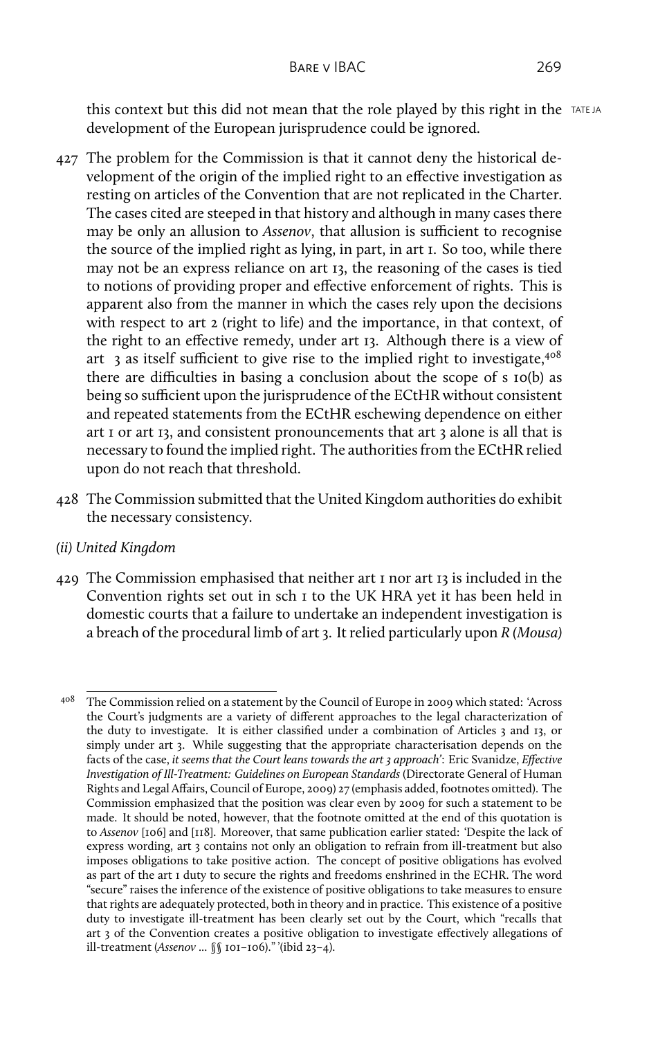this context but this did not mean that the role played by this right in the TATE JA development of the European jurisprudence could be ignored.

- 427 The problem for the Commission is that it cannot deny the historical development of the origin of the implied right to an effective investigation as resting on articles of the Convention that are not replicated in the Charter. The cases cited are steeped in that history and although in many cases there may be only an allusion to *Assenov*, that allusion is sufficient to recognise the source of the implied right as lying, in part, in art 1. So too, while there may not be an express reliance on art 13, the reasoning of the cases is tied to notions of providing proper and effective enforcement of rights. This is apparent also from the manner in which the cases rely upon the decisions with respect to art 2 (right to life) and the importance, in that context, of the right to an effective remedy, under art 13. Although there is a view of art  $\beta$  as itself sufficient to give rise to the implied right to investigate,<sup>408</sup> there are difficulties in basing a conclusion about the scope of s 10(b) as being so sufficient upon the jurisprudence of the ECtHR without consistent and repeated statements from the ECtHR eschewing dependence on either art 1 or art 13, and consistent pronouncements that art 3 alone is all that is necessary to found the implied right. The authorities from the ECtHR relied upon do not reach that threshold.
- 428 The Commission submitted that the United Kingdom authorities do exhibit the necessary consistency.
- *(ii) United Kingdom*
- 429 The Commission emphasised that neither art 1 nor art 13 is included in the Convention rights set out in sch 1 to the UK HRA yet it has been held in domestic courts that a failure to undertake an independent investigation is a breach of the procedural limb of art 3. It relied particularly upon *R (Mousa)*

<sup>408</sup> The Commission relied on a statement by the Council of Europe in 2009 which stated: 'Across the Court's judgments are a variety of different approaches to the legal characterization of the duty to investigate. It is either classified under a combination of Articles 3 and 13, or simply under art 3. While suggesting that the appropriate characterisation depends on the facts of the case, *it seems that the Court leans towards the art 3 approach'*: Eric Svanidze, *Effective Investigation of Ill-Treatment: Guidelines on European Standards* (Directorate General of Human Rights and Legal Affairs, Council of Europe, 2009) 27 (emphasis added, footnotes omitted). The Commission emphasized that the position was clear even by 2009 for such a statement to be made. It should be noted, however, that the footnote omitted at the end of this quotation is to *Assenov* [106] and [118]. Moreover, that same publication earlier stated: 'Despite the lack of express wording, art 3 contains not only an obligation to refrain from ill-treatment but also imposes obligations to take positive action. The concept of positive obligations has evolved as part of the art 1 duty to secure the rights and freedoms enshrined in the ECHR. The word "secure" raises the inference of the existence of positive obligations to take measures to ensure that rights are adequately protected, both in theory and in practice. This existence of a positive duty to investigate ill-treatment has been clearly set out by the Court, which "recalls that art 3 of the Convention creates a positive obligation to investigate effectively allegations of ill-treatment (*Assenov* ... §§ 101–106)." '(ibid 23–4).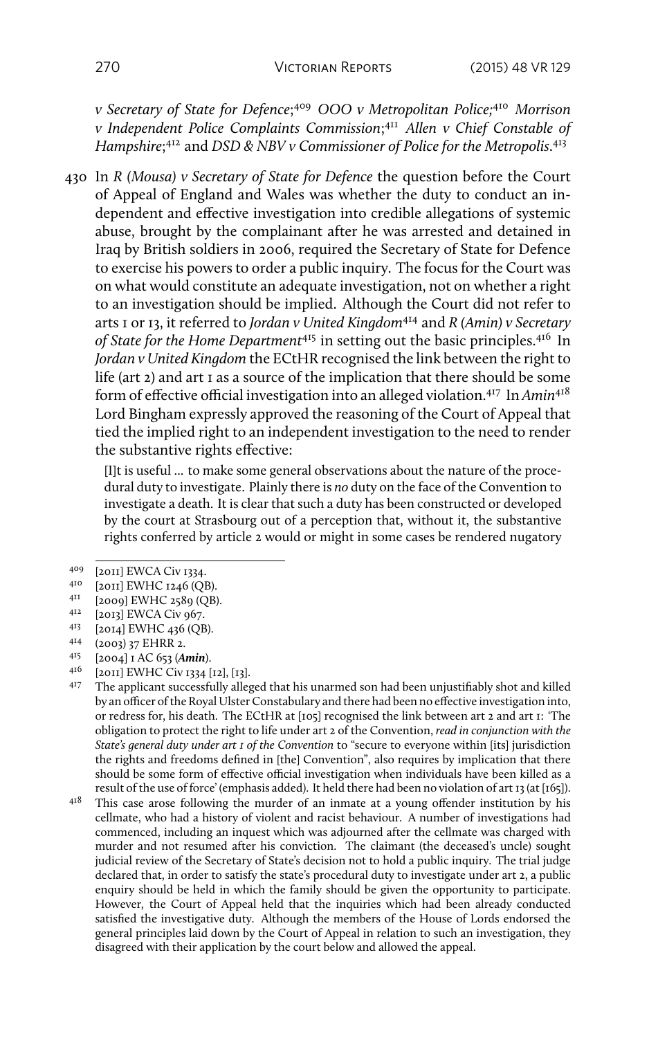*v Secretary of State for Defence*; <sup>409</sup> *OOO v Metropolitan Police;*<sup>410</sup> *Morrison v Independent Police Complaints Commission*; <sup>411</sup> *Allen v Chief Constable of Hampshire*; <sup>412</sup> and *DSD & NBV v Commissioner of Police for the Metropolis*. 413

430 In *R (Mousa) v Secretary of State for Defence* the question before the Court of Appeal of England and Wales was whether the duty to conduct an independent and effective investigation into credible allegations of systemic abuse, brought by the complainant after he was arrested and detained in Iraq by British soldiers in 2006, required the Secretary of State for Defence to exercise his powers to order a public inquiry. The focus for the Court was on what would constitute an adequate investigation, not on whether a right to an investigation should be implied. Although the Court did not refer to arts 1 or 13, it referred to *Jordan v United Kingdom*<sup>414</sup> and *R (Amin) v Secretary of State for the Home Department*<sup>415</sup> in setting out the basic principles.<sup>416</sup> In *Jordan v United Kingdom* the ECtHR recognised the link between the right to life (art 2) and art 1 as a source of the implication that there should be some form of effective official investigation into an alleged violation.<sup>417</sup> In *Amin*<sup>418</sup> Lord Bingham expressly approved the reasoning of the Court of Appeal that tied the implied right to an independent investigation to the need to render the substantive rights effective:

[I]t is useful ... to make some general observations about the nature of the procedural duty to investigate. Plainly there is *no* duty on the face of the Convention to investigate a death. It is clear that such a duty has been constructed or developed by the court at Strasbourg out of a perception that, without it, the substantive rights conferred by article 2 would or might in some cases be rendered nugatory

- <sup>411</sup> [2009] EWHC 2589 (QB).
- $^{412}$  [2013] EWCA Civ 967.
- $^{413}$  [2014] EWHC 436 (QB).<br> $^{414}$  (2002) 27 EHRR 2
- $^{414}$  (2003) 37 EHRR 2.<br> $^{415}$  [2004]  $^{16}$  652 (4)
- <sup>415</sup> [2004] 1 AC 653 (*Amin*).
- $^{416}$  [2011] EWHC Civ 1334 [12], [13].

<sup>417</sup> The applicant successfully alleged that his unarmed son had been unjustifiably shot and killed by an officer of the Royal Ulster Constabulary and there had been no effective investigation into, or redress for, his death. The ECtHR at [105] recognised the link between art 2 and art 1: 'The obligation to protect the right to life under art 2 of the Convention, *read in conjunction with the State's general duty under art 1 of the Convention* to "secure to everyone within [its] jurisdiction the rights and freedoms defined in [the] Convention", also requires by implication that there should be some form of effective official investigation when individuals have been killed as a result of the use of force' (emphasis added). It held there had been no violation of art 13 (at [165]).

<sup>418</sup> This case arose following the murder of an inmate at a young offender institution by his cellmate, who had a history of violent and racist behaviour. A number of investigations had commenced, including an inquest which was adjourned after the cellmate was charged with murder and not resumed after his conviction. The claimant (the deceased's uncle) sought judicial review of the Secretary of State's decision not to hold a public inquiry. The trial judge declared that, in order to satisfy the state's procedural duty to investigate under art 2, a public enquiry should be held in which the family should be given the opportunity to participate. However, the Court of Appeal held that the inquiries which had been already conducted satisfied the investigative duty. Although the members of the House of Lords endorsed the general principles laid down by the Court of Appeal in relation to such an investigation, they disagreed with their application by the court below and allowed the appeal.

<sup>409 [2011]</sup> EWCA Civ 1334.

 $^{410}$  [2011] EWHC 1246 (QB).<br> $^{411}$  [2000] EWHC 2580 (OB)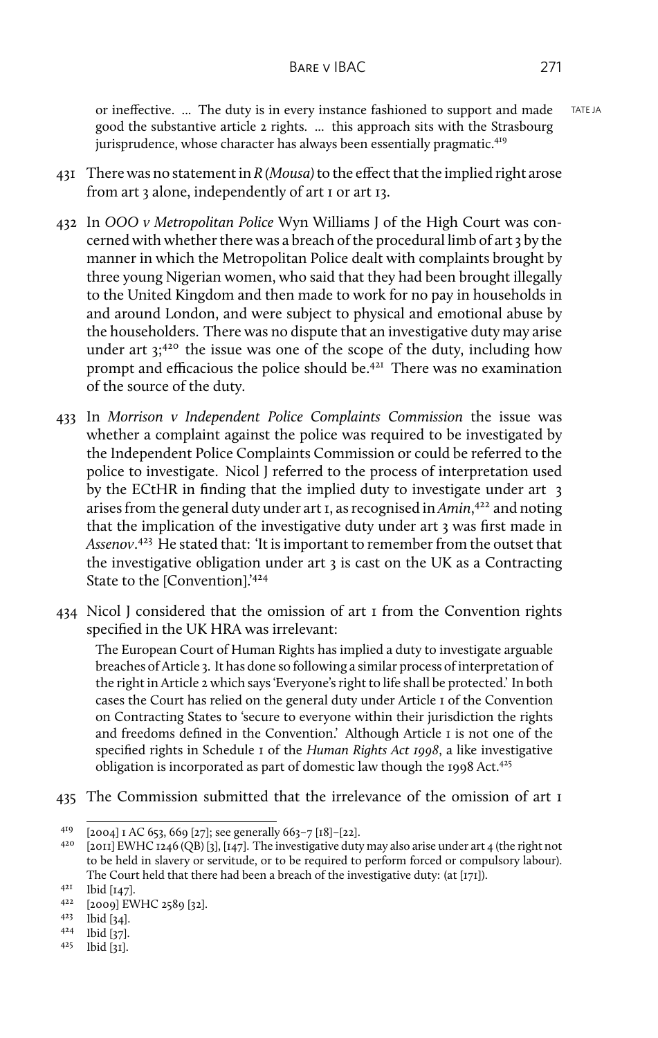or ineffective. ... The duty is in every instance fashioned to support and made TATE JA good the substantive article 2 rights. ... this approach sits with the Strasbourg jurisprudence, whose character has always been essentially pragmatic.<sup>419</sup>

- 431 There was no statement in *R (Mousa)*to the effect that the implied right arose from art 3 alone, independently of art 1 or art 13.
- 432 In *OOO v Metropolitan Police* Wyn Williams J of the High Court was concerned with whether there was a breach of the procedural limb of art 3 by the manner in which the Metropolitan Police dealt with complaints brought by three young Nigerian women, who said that they had been brought illegally to the United Kingdom and then made to work for no pay in households in and around London, and were subject to physical and emotional abuse by the householders. There was no dispute that an investigative duty may arise under art  $3$ ;<sup>420</sup> the issue was one of the scope of the duty, including how prompt and efficacious the police should be.<sup>421</sup> There was no examination of the source of the duty.
- 433 In *Morrison v Independent Police Complaints Commission* the issue was whether a complaint against the police was required to be investigated by the Independent Police Complaints Commission or could be referred to the police to investigate. Nicol J referred to the process of interpretation used by the ECtHR in finding that the implied duty to investigate under art 3 arises from the general duty under art 1, as recognised in *Amin*, <sup>422</sup> and noting that the implication of the investigative duty under art 3 was first made in *Assenov*. <sup>423</sup> He stated that: 'It is important to remember from the outset that the investigative obligation under art 3 is cast on the UK as a Contracting State to the [Convention].'<sup>424</sup>
- 434 Nicol J considered that the omission of art 1 from the Convention rights specified in the UK HRA was irrelevant:

The European Court of Human Rights has implied a duty to investigate arguable breaches of Article 3. It has done so following a similar process of interpretation of the right in Article 2 which says 'Everyone's right to life shall be protected.' In both cases the Court has relied on the general duty under Article 1 of the Convention on Contracting States to 'secure to everyone within their jurisdiction the rights and freedoms defined in the Convention.' Although Article 1 is not one of the specified rights in Schedule 1 of the *Human Rights Act 1998*, a like investigative obligation is incorporated as part of domestic law though the 1998 Act.<sup>425</sup>

435 The Commission submitted that the irrelevance of the omission of art 1

<sup>425</sup> Ibid [31].

<sup>&</sup>lt;sup>419</sup> [2004] I AC 653, 669 [27]; see generally 663–7 [18]–[22].

<sup>[2011]</sup> EWHC 1246 (QB) [3], [147]. The investigative duty may also arise under art 4 (the right not to be held in slavery or servitude, or to be required to perform forced or compulsory labour). The Court held that there had been a breach of the investigative duty: (at [171]).

<sup>421</sup> Ibid [147].

<sup>422</sup> [2009] EWHC 2589 [32].

<sup>423</sup> Ibid [34].

<sup>424</sup> Ibid [37].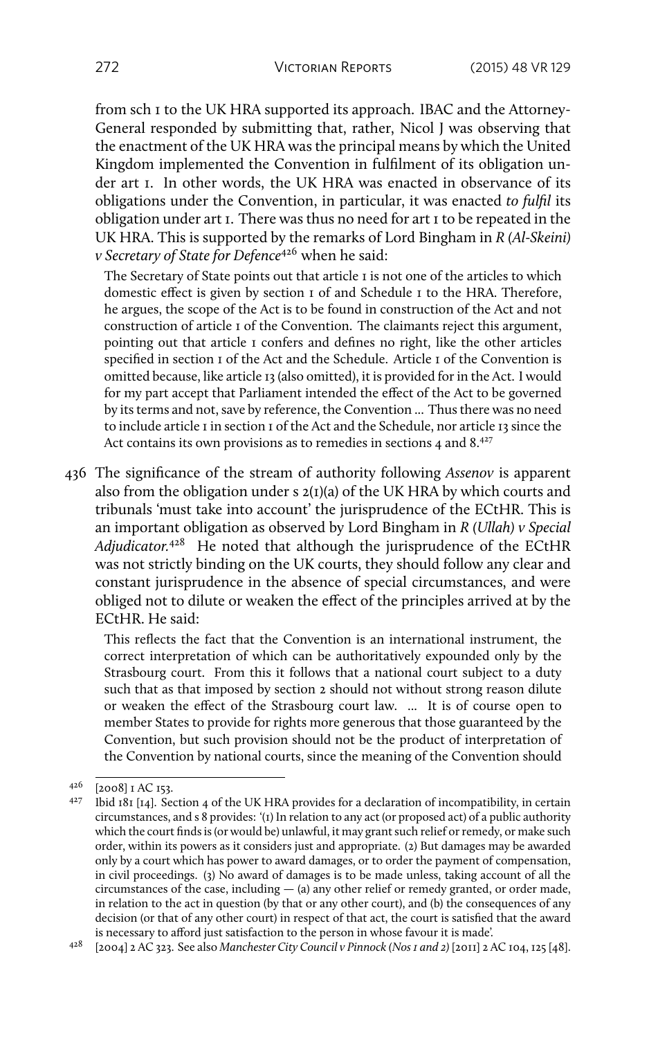from sch 1 to the UK HRA supported its approach. IBAC and the Attorney-General responded by submitting that, rather, Nicol J was observing that the enactment of the UK HRA was the principal means by which the United Kingdom implemented the Convention in fulfilment of its obligation under art 1. In other words, the UK HRA was enacted in observance of its obligations under the Convention, in particular, it was enacted *to fulfil* its obligation under art 1. There was thus no need for art 1 to be repeated in the UK HRA. This is supported by the remarks of Lord Bingham in *R (Al-Skeini) v Secretary of State for Defence*<sup>426</sup> when he said:

The Secretary of State points out that article I is not one of the articles to which domestic effect is given by section 1 of and Schedule 1 to the HRA. Therefore, he argues, the scope of the Act is to be found in construction of the Act and not construction of article 1 of the Convention. The claimants reject this argument, pointing out that article 1 confers and defines no right, like the other articles specified in section 1 of the Act and the Schedule. Article 1 of the Convention is omitted because, like article 13 (also omitted), it is provided for in the Act. I would for my part accept that Parliament intended the effect of the Act to be governed by its terms and not, save by reference, the Convention ... Thus there was no need to include article I in section I of the Act and the Schedule, nor article 13 since the Act contains its own provisions as to remedies in sections 4 and 8.<sup>427</sup>

436 The significance of the stream of authority following *Assenov* is apparent also from the obligation under s  $2(I)(a)$  of the UK HRA by which courts and tribunals 'must take into account' the jurisprudence of the ECtHR. This is an important obligation as observed by Lord Bingham in *R (Ullah) v Special Adjudicator.*<sup>428</sup> He noted that although the jurisprudence of the ECtHR was not strictly binding on the UK courts, they should follow any clear and constant jurisprudence in the absence of special circumstances, and were obliged not to dilute or weaken the effect of the principles arrived at by the ECtHR. He said:

This reflects the fact that the Convention is an international instrument, the correct interpretation of which can be authoritatively expounded only by the Strasbourg court. From this it follows that a national court subject to a duty such that as that imposed by section 2 should not without strong reason dilute or weaken the effect of the Strasbourg court law. ... It is of course open to member States to provide for rights more generous that those guaranteed by the Convention, but such provision should not be the product of interpretation of the Convention by national courts, since the meaning of the Convention should

<sup>428</sup> [2004] 2 AC 323. See also *Manchester City Council v Pinnock (Nos 1 and 2)* [2011] 2 AC 104, 125 [48].

 $426$  [2008] I AC 153.<br>427 Ibid 181 [14] So

Ibid  $181$  [14]. Section 4 of the UK HRA provides for a declaration of incompatibility, in certain circumstances, and s 8 provides: '(1) In relation to any act (or proposed act) of a public authority which the court finds is (or would be) unlawful, it may grant such relief or remedy, or make such order, within its powers as it considers just and appropriate. (2) But damages may be awarded only by a court which has power to award damages, or to order the payment of compensation, in civil proceedings. (3) No award of damages is to be made unless, taking account of all the circumstances of the case, including  $-$  (a) any other relief or remedy granted, or order made, in relation to the act in question (by that or any other court), and (b) the consequences of any decision (or that of any other court) in respect of that act, the court is satisfied that the award is necessary to afford just satisfaction to the person in whose favour it is made'.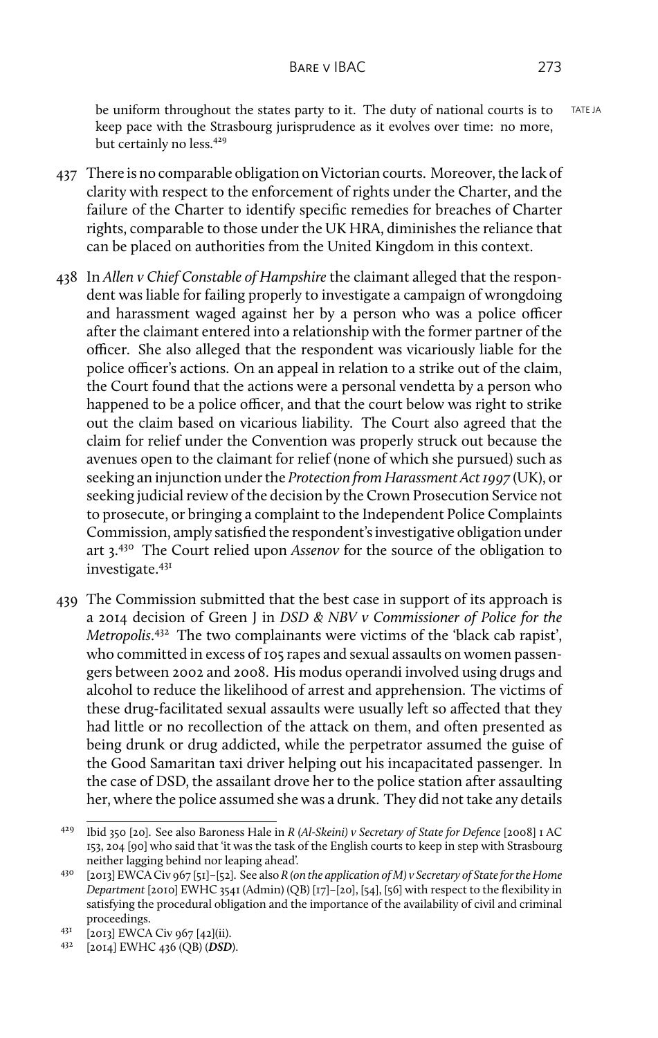be uniform throughout the states party to it. The duty of national courts is to TATEJA keep pace with the Strasbourg jurisprudence as it evolves over time: no more, but certainly no less.<sup>429</sup>

- 437 There is no comparable obligation on Victorian courts. Moreover, the lack of clarity with respect to the enforcement of rights under the Charter, and the failure of the Charter to identify specific remedies for breaches of Charter rights, comparable to those under the UK HRA, diminishes the reliance that can be placed on authorities from the United Kingdom in this context.
- 438 In *Allen v Chief Constable of Hampshire* the claimant alleged that the respondent was liable for failing properly to investigate a campaign of wrongdoing and harassment waged against her by a person who was a police officer after the claimant entered into a relationship with the former partner of the officer. She also alleged that the respondent was vicariously liable for the police officer's actions. On an appeal in relation to a strike out of the claim, the Court found that the actions were a personal vendetta by a person who happened to be a police officer, and that the court below was right to strike out the claim based on vicarious liability. The Court also agreed that the claim for relief under the Convention was properly struck out because the avenues open to the claimant for relief (none of which she pursued) such as seeking an injunction under the *Protection from Harassment Act 1997* (UK), or seeking judicial review of the decision by the Crown Prosecution Service not to prosecute, or bringing a complaint to the Independent Police Complaints Commission, amply satisfied the respondent's investigative obligation under art 3.<sup>430</sup> The Court relied upon *Assenov* for the source of the obligation to investigate.<sup>431</sup>
- 439 The Commission submitted that the best case in support of its approach is a 2014 decision of Green J in *DSD & NBV v Commissioner of Police for the Metropolis*. <sup>432</sup> The two complainants were victims of the 'black cab rapist', who committed in excess of 105 rapes and sexual assaults on women passengers between 2002 and 2008. His modus operandi involved using drugs and alcohol to reduce the likelihood of arrest and apprehension. The victims of these drug-facilitated sexual assaults were usually left so affected that they had little or no recollection of the attack on them, and often presented as being drunk or drug addicted, while the perpetrator assumed the guise of the Good Samaritan taxi driver helping out his incapacitated passenger. In the case of DSD, the assailant drove her to the police station after assaulting her, where the police assumed she was a drunk. They did not take any details

<sup>429</sup> Ibid 350 [20]. See also Baroness Hale in *R (Al-Skeini) v Secretary of State for Defence* [2008] 1 AC 153, 204 [90] who said that 'it was the task of the English courts to keep in step with Strasbourg neither lagging behind nor leaping ahead'.

<sup>430</sup> [2013] EWCA Civ 967 [51]–[52]. See also *R (on the application of M) v Secretary of State for the Home Department* [2010] EWHC 3541 (Admin) (QB) [17]–[20], [54], [56] with respect to the flexibility in satisfying the procedural obligation and the importance of the availability of civil and criminal proceedings.

<sup>431</sup> [2013] EWCA Civ 967 [42](ii).

<sup>432</sup> [2014] EWHC 436 (QB) (*DSD*).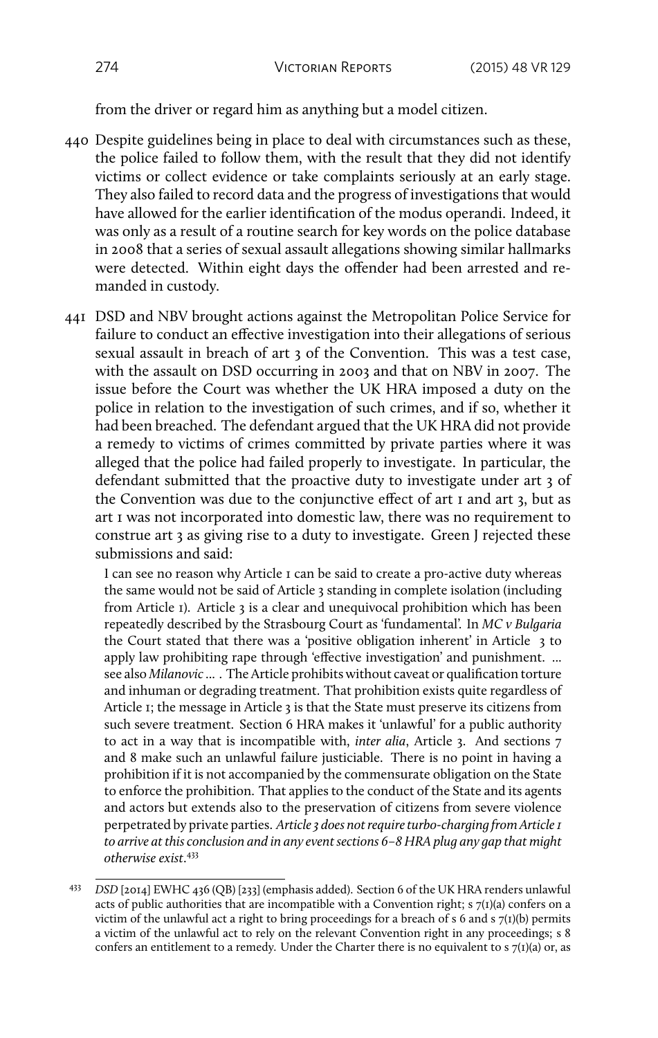from the driver or regard him as anything but a model citizen.

- 440 Despite guidelines being in place to deal with circumstances such as these, the police failed to follow them, with the result that they did not identify victims or collect evidence or take complaints seriously at an early stage. They also failed to record data and the progress of investigations that would have allowed for the earlier identification of the modus operandi. Indeed, it was only as a result of a routine search for key words on the police database in 2008 that a series of sexual assault allegations showing similar hallmarks were detected. Within eight days the offender had been arrested and remanded in custody.
- 441 DSD and NBV brought actions against the Metropolitan Police Service for failure to conduct an effective investigation into their allegations of serious sexual assault in breach of art 3 of the Convention. This was a test case, with the assault on DSD occurring in 2003 and that on NBV in 2007. The issue before the Court was whether the UK HRA imposed a duty on the police in relation to the investigation of such crimes, and if so, whether it had been breached. The defendant argued that the UK HRA did not provide a remedy to victims of crimes committed by private parties where it was alleged that the police had failed properly to investigate. In particular, the defendant submitted that the proactive duty to investigate under art 3 of the Convention was due to the conjunctive effect of art 1 and art 3, but as art 1 was not incorporated into domestic law, there was no requirement to construe art 3 as giving rise to a duty to investigate. Green J rejected these submissions and said:

I can see no reason why Article 1 can be said to create a pro-active duty whereas the same would not be said of Article 3 standing in complete isolation (including from Article 1). Article 3 is a clear and unequivocal prohibition which has been repeatedly described by the Strasbourg Court as 'fundamental'. In *MC v Bulgaria* the Court stated that there was a 'positive obligation inherent' in Article 3 to apply law prohibiting rape through 'effective investigation' and punishment. ... see also *Milanovic* ... . The Article prohibits without caveat or qualification torture and inhuman or degrading treatment. That prohibition exists quite regardless of Article 1; the message in Article 3 is that the State must preserve its citizens from such severe treatment. Section 6 HRA makes it 'unlawful' for a public authority to act in a way that is incompatible with, *inter alia*, Article 3. And sections 7 and 8 make such an unlawful failure justiciable. There is no point in having a prohibition if it is not accompanied by the commensurate obligation on the State to enforce the prohibition. That applies to the conduct of the State and its agents and actors but extends also to the preservation of citizens from severe violence perpetrated by private parties. *Article 3 does not require turbo-charging from Article 1 to arrive at this conclusion and in any event sections 6–8 HRA plug any gap that might otherwise exist*. 433

<sup>433</sup> *DSD* [2014] EWHC 436 (QB) [233] (emphasis added). Section 6 of the UK HRA renders unlawful acts of public authorities that are incompatible with a Convention right; s  $7(1)(a)$  confers on a victim of the unlawful act a right to bring proceedings for a breach of s 6 and s 7(1)(b) permits a victim of the unlawful act to rely on the relevant Convention right in any proceedings; s 8 confers an entitlement to a remedy. Under the Charter there is no equivalent to  $s \tau(1)(a)$  or, as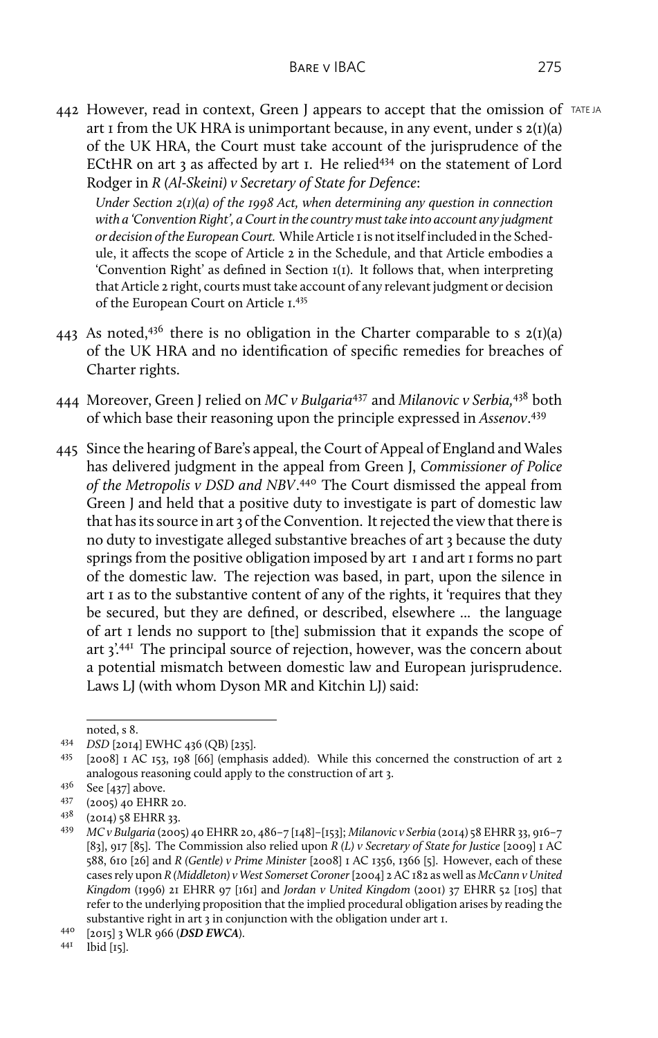442 However, read in context, Green J appears to accept that the omission of  $TATEJA$ art I from the UK HRA is unimportant because, in any event, under s  $2(I)(a)$ of the UK HRA, the Court must take account of the jurisprudence of the ECtHR on art 3 as affected by art 1. He relied<sup>434</sup> on the statement of Lord Rodger in *R (Al-Skeini) v Secretary of State for Defence*:

*Under Section 2(1)(a) of the 1998 Act, when determining any question in connection with a 'Convention Right', a Court in the country must take into account any judgment or decision of the European Court.* While Article 1 is not itself included in the Schedule, it affects the scope of Article 2 in the Schedule, and that Article embodies a 'Convention Right' as defined in Section 1(1). It follows that, when interpreting that Article 2 right, courts must take account of any relevant judgment or decision of the European Court on Article 1.<sup>435</sup>

- 443 As noted,<sup>436</sup> there is no obligation in the Charter comparable to s  $2(1)(a)$ of the UK HRA and no identification of specific remedies for breaches of Charter rights.
- 444 Moreover, Green J relied on *MC v Bulgaria*<sup>437</sup> and *Milanovic v Serbia,*<sup>438</sup> both of which base their reasoning upon the principle expressed in *Assenov*. 439
- 445 Since the hearing of Bare's appeal, the Court of Appeal of England and Wales has delivered judgment in the appeal from Green J, *Commissioner of Police* of the Metropolis v DSD and NBV.<sup>440</sup> The Court dismissed the appeal from Green J and held that a positive duty to investigate is part of domestic law that has its source in art 3 of the Convention. It rejected the view that there is no duty to investigate alleged substantive breaches of art 3 because the duty springs from the positive obligation imposed by art 1 and art 1 forms no part of the domestic law. The rejection was based, in part, upon the silence in art 1 as to the substantive content of any of the rights, it 'requires that they be secured, but they are defined, or described, elsewhere ... the language of art 1 lends no support to [the] submission that it expands the scope of art 3'.<sup>441</sup> The principal source of rejection, however, was the concern about a potential mismatch between domestic law and European jurisprudence. Laws LJ (with whom Dyson MR and Kitchin LJ) said:

noted, s 8.

<sup>434</sup> *DSD* [2014] EWHC 436 (QB) [235].

<sup>435</sup> [2008] 1 AC 153, 198 [66] (emphasis added). While this concerned the construction of art 2 analogous reasoning could apply to the construction of art 3.

<sup>436</sup> See [437] above.<br>437 (2005) 40 FHRR

 $^{437}$  (2005) 40 EHRR 20.<br> $^{438}$  (2014) 58 EHRR 33.

<sup>(2014) 58</sup> EHRR 33.

<sup>439</sup> *MC v Bulgaria* (2005) 40 EHRR 20, 486–7 [148]–[153]; *Milanovic v Serbia* (2014) 58 EHRR 33, 916–7 [83], 917 [85]. The Commission also relied upon *R (L) v Secretary of State for Justice* [2009] 1 AC 588, 610 [26] and *R (Gentle) v Prime Minister* [2008] 1 AC 1356, 1366 [5]. However, each of these cases rely upon *R (Middleton) v West Somerset Coroner* [2004] 2 AC 182 as well as *McCann v United Kingdom* (1996) 21 EHRR 97 [161] and *Jordan v United Kingdom* (2001) 37 EHRR 52 [105] that refer to the underlying proposition that the implied procedural obligation arises by reading the substantive right in art 3 in conjunction with the obligation under art I.

<sup>440</sup> [2015] 3 WLR 966 (*DSD EWCA*).

<sup>441</sup> Ibid [15].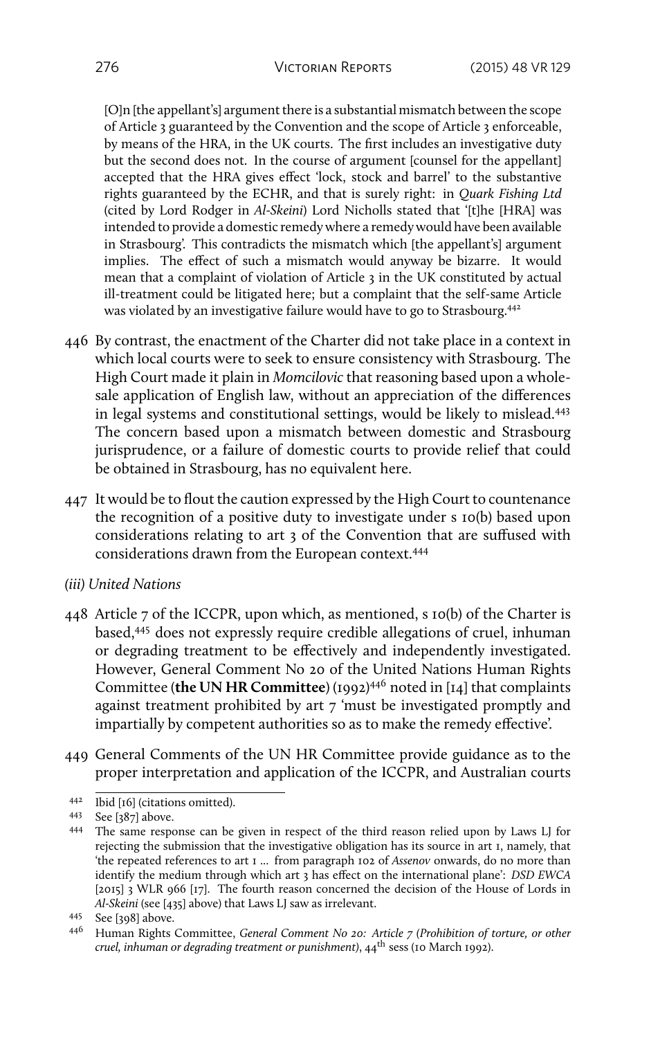[O]n [the appellant's] argument there is a substantial mismatch between the scope of Article 3 guaranteed by the Convention and the scope of Article 3 enforceable, by means of the HRA, in the UK courts. The first includes an investigative duty but the second does not. In the course of argument [counsel for the appellant] accepted that the HRA gives effect 'lock, stock and barrel' to the substantive rights guaranteed by the ECHR, and that is surely right: in *Quark Fishing Ltd* (cited by Lord Rodger in *Al-Skeini*) Lord Nicholls stated that '[t]he [HRA] was intended to provide a domestic remedy where a remedy would have been available in Strasbourg'. This contradicts the mismatch which [the appellant's] argument implies. The effect of such a mismatch would anyway be bizarre. It would mean that a complaint of violation of Article 3 in the UK constituted by actual ill-treatment could be litigated here; but a complaint that the self-same Article was violated by an investigative failure would have to go to Strasbourg.<sup>442</sup>

- 446 By contrast, the enactment of the Charter did not take place in a context in which local courts were to seek to ensure consistency with Strasbourg. The High Court made it plain in *Momcilovic* that reasoning based upon a wholesale application of English law, without an appreciation of the differences in legal systems and constitutional settings, would be likely to mislead.<sup>443</sup> The concern based upon a mismatch between domestic and Strasbourg jurisprudence, or a failure of domestic courts to provide relief that could be obtained in Strasbourg, has no equivalent here.
- 447 It would be to flout the caution expressed by the High Court to countenance the recognition of a positive duty to investigate under s 10(b) based upon considerations relating to art 3 of the Convention that are suffused with considerations drawn from the European context.<sup>444</sup>
- *(iii) United Nations*
- 448 Article 7 of the ICCPR, upon which, as mentioned, s 10(b) of the Charter is based,<sup>445</sup> does not expressly require credible allegations of cruel, inhuman or degrading treatment to be effectively and independently investigated. However, General Comment No 20 of the United Nations Human Rights Committee (**the UN HR Committee**) (1992)<sup>446</sup> noted in [14] that complaints against treatment prohibited by art 7 'must be investigated promptly and impartially by competent authorities so as to make the remedy effective'.
- 449 General Comments of the UN HR Committee provide guidance as to the proper interpretation and application of the ICCPR, and Australian courts

<sup>442</sup> Ibid [16] (citations omitted).

<sup>443</sup> See [387] above.

<sup>444</sup> The same response can be given in respect of the third reason relied upon by Laws LJ for rejecting the submission that the investigative obligation has its source in art 1, namely, that 'the repeated references to art 1 ... from paragraph 102 of *Assenov* onwards, do no more than identify the medium through which art 3 has effect on the international plane': *DSD EWCA* [2015] 3 WLR 966 [17]. The fourth reason concerned the decision of the House of Lords in *Al-Skeini* (see [435] above) that Laws LJ saw as irrelevant.

<sup>445</sup> See [398] above.

<sup>446</sup> Human Rights Committee, *General Comment No 20: Article 7 (Prohibition of torture, or other cruel, inhuman or degrading treatment or punishment)*, 44th sess (10 March 1992).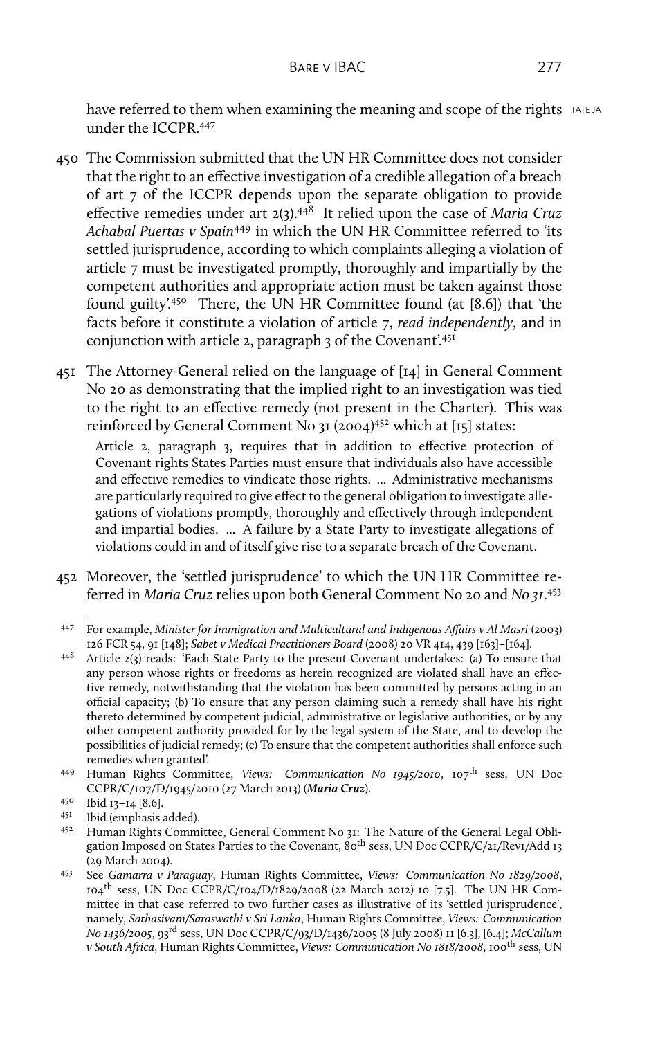have referred to them when examining the meaning and scope of the rights TATE JA under the ICCPR 447

- 450 The Commission submitted that the UN HR Committee does not consider that the right to an effective investigation of a credible allegation of a breach of art 7 of the ICCPR depends upon the separate obligation to provide effective remedies under art 2(3).<sup>448</sup> It relied upon the case of *Maria Cruz Achabal Puertas v Spain*<sup>449</sup> in which the UN HR Committee referred to 'its settled jurisprudence, according to which complaints alleging a violation of article 7 must be investigated promptly, thoroughly and impartially by the competent authorities and appropriate action must be taken against those found guilty'.<sup>450</sup> There, the UN HR Committee found (at [8.6]) that 'the facts before it constitute a violation of article 7, *read independently*, and in conjunction with article 2, paragraph 3 of the Covenant'.<sup>451</sup>
- 451 The Attorney-General relied on the language of [14] in General Comment No 20 as demonstrating that the implied right to an investigation was tied to the right to an effective remedy (not present in the Charter). This was reinforced by General Comment No 31 (2004)<sup>452</sup> which at [15] states:

Article 2, paragraph 3, requires that in addition to effective protection of Covenant rights States Parties must ensure that individuals also have accessible and effective remedies to vindicate those rights. ... Administrative mechanisms are particularly required to give effect to the general obligation to investigate allegations of violations promptly, thoroughly and effectively through independent and impartial bodies. ... A failure by a State Party to investigate allegations of violations could in and of itself give rise to a separate breach of the Covenant.

452 Moreover, the 'settled jurisprudence' to which the UN HR Committee referred in *Maria Cruz* relies upon both General Comment No 20 and *No 31*. 453

<sup>447</sup> For example, *Minister for Immigration and Multicultural and Indigenous Affairs v Al Masri* (2003) 126 FCR 54, 91 [148]; *Sabet v Medical Practitioners Board* (2008) 20 VR 414, 439 [163]–[164].

<sup>448</sup> Article 2(3) reads: 'Each State Party to the present Covenant undertakes: (a) To ensure that any person whose rights or freedoms as herein recognized are violated shall have an effective remedy, notwithstanding that the violation has been committed by persons acting in an official capacity; (b) To ensure that any person claiming such a remedy shall have his right thereto determined by competent judicial, administrative or legislative authorities, or by any other competent authority provided for by the legal system of the State, and to develop the possibilities of judicial remedy; (c) To ensure that the competent authorities shall enforce such remedies when granted'.

<sup>449</sup> Human Rights Committee, *Views: Communication No 1945/2010*, 107th sess, UN Doc CCPR/C/107/D/1945/2010 (27 March 2013) (*Maria Cruz*).

<sup>450</sup> Ibid 13–14 [8.6].

 $^{451}$  Ibid (emphasis added).<br> $^{452}$  Human Rights Comm

Human Rights Committee, General Comment No 31: The Nature of the General Legal Obligation Imposed on States Parties to the Covenant, 80<sup>th</sup> sess, UN Doc CCPR/C/21/Rev1/Add 13 (29 March 2004).

<sup>453</sup> See *Gamarra v Paraguay*, Human Rights Committee, *Views: Communication No 1829/2008*,  $104^{\text{th}}$  sess, UN Doc CCPR/C/104/D/1829/2008 (22 March 2012) 10 [7.5]. The UN HR Committee in that case referred to two further cases as illustrative of its 'settled jurisprudence', namely, *Sathasivam/Saraswathi v Sri Lanka*, Human Rights Committee, *Views: Communication No 1436/2005*, 93rd sess, UN Doc CCPR/C/93/D/1436/2005 (8 July 2008) 11 [6.3], [6.4]; *McCallum v South Africa*, Human Rights Committee, *Views: Communication No 1818/2008*, 100th sess, UN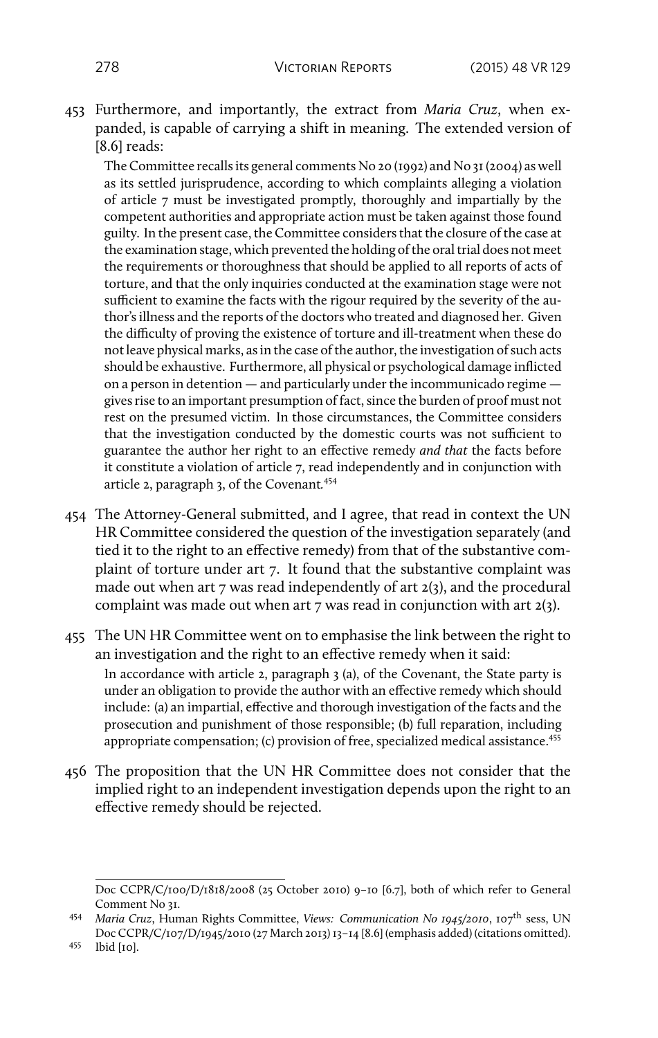453 Furthermore, and importantly, the extract from *Maria Cruz*, when expanded, is capable of carrying a shift in meaning. The extended version of [8.6] reads:

The Committee recalls its general comments No 20 (1992) and No 31 (2004) as well as its settled jurisprudence, according to which complaints alleging a violation of article 7 must be investigated promptly, thoroughly and impartially by the competent authorities and appropriate action must be taken against those found guilty. In the present case, the Committee considers that the closure of the case at the examination stage, which prevented the holding of the oral trial does not meet the requirements or thoroughness that should be applied to all reports of acts of torture, and that the only inquiries conducted at the examination stage were not sufficient to examine the facts with the rigour required by the severity of the author's illness and the reports of the doctors who treated and diagnosed her. Given the difficulty of proving the existence of torture and ill-treatment when these do not leave physical marks, as in the case of the author, the investigation of such acts should be exhaustive. Furthermore, all physical or psychological damage inflicted on a person in detention — and particularly under the incommunicado regime gives rise to an important presumption of fact, since the burden of proof must not rest on the presumed victim. In those circumstances, the Committee considers that the investigation conducted by the domestic courts was not sufficient to guarantee the author her right to an effective remedy *and that* the facts before it constitute a violation of article 7, read independently and in conjunction with article 2, paragraph 3, of the Covenant*.* 454

- 454 The Attorney-General submitted, and I agree, that read in context the UN HR Committee considered the question of the investigation separately (and tied it to the right to an effective remedy) from that of the substantive complaint of torture under art 7. It found that the substantive complaint was made out when art 7 was read independently of art 2(3), and the procedural complaint was made out when art 7 was read in conjunction with art 2(3).
- 455 The UN HR Committee went on to emphasise the link between the right to an investigation and the right to an effective remedy when it said:

In accordance with article 2, paragraph 3 (a), of the Covenant, the State party is under an obligation to provide the author with an effective remedy which should include: (a) an impartial, effective and thorough investigation of the facts and the prosecution and punishment of those responsible; (b) full reparation, including appropriate compensation; (c) provision of free, specialized medical assistance.<sup>455</sup>

456 The proposition that the UN HR Committee does not consider that the implied right to an independent investigation depends upon the right to an effective remedy should be rejected.

Doc CCPR/C/100/D/1818/2008 (25 October 2010) 9–10 [6.7], both of which refer to General Comment No 31.

<sup>454</sup> *Maria Cruz*, Human Rights Committee, *Views: Communication No 1945/2010*, 107th sess, UN Doc CCPR/C/107/D/1945/2010 (27 March 2013) 13–14 [8.6] (emphasis added) (citations omitted).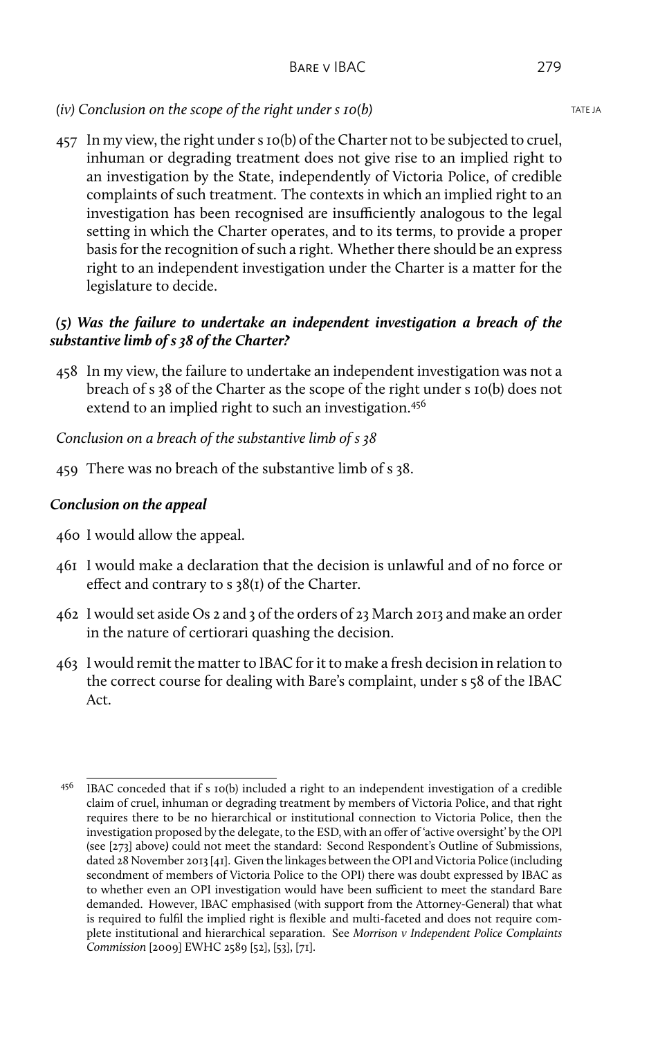# *(iv)* Conclusion on the scope of the right under s 10(b) TATE JA

457 In my view, the right under s 10(b) of the Charter not to be subjected to cruel, inhuman or degrading treatment does not give rise to an implied right to an investigation by the State, independently of Victoria Police, of credible complaints of such treatment. The contexts in which an implied right to an investigation has been recognised are insufficiently analogous to the legal setting in which the Charter operates, and to its terms, to provide a proper basis for the recognition of such a right. Whether there should be an express right to an independent investigation under the Charter is a matter for the legislature to decide.

# *(5) Was the failure to undertake an independent investigation a breach of the substantive limb of s 38 of the Charter?*

458 In my view, the failure to undertake an independent investigation was not a breach of s 38 of the Charter as the scope of the right under s 10(b) does not extend to an implied right to such an investigation.<sup>456</sup>

*Conclusion on a breach of the substantive limb of s 38*

459 There was no breach of the substantive limb of s 38.

# *Conclusion on the appeal*

- 460 I would allow the appeal.
- 461 I would make a declaration that the decision is unlawful and of no force or effect and contrary to s 38(1) of the Charter.
- 462 I would set aside Os 2 and 3 of the orders of 23 March 2013 and make an order in the nature of certiorari quashing the decision.
- 463 I would remit the matter to IBAC for it to make a fresh decision in relation to the correct course for dealing with Bare's complaint, under s 58 of the IBAC Act.

<sup>456</sup> IBAC conceded that if s 10(b) included a right to an independent investigation of a credible claim of cruel, inhuman or degrading treatment by members of Victoria Police, and that right requires there to be no hierarchical or institutional connection to Victoria Police, then the investigation proposed by the delegate, to the ESD, with an offer of 'active oversight' by the OPI (see [273] above*)* could not meet the standard: Second Respondent's Outline of Submissions, dated 28 November 2013 [41]. Given the linkages between the OPI and Victoria Police (including secondment of members of Victoria Police to the OPI) there was doubt expressed by IBAC as to whether even an OPI investigation would have been sufficient to meet the standard Bare demanded. However, IBAC emphasised (with support from the Attorney-General) that what is required to fulfil the implied right is flexible and multi-faceted and does not require complete institutional and hierarchical separation. See *Morrison v Independent Police Complaints Commission* [2009] EWHC 2589 [52], [53], [71].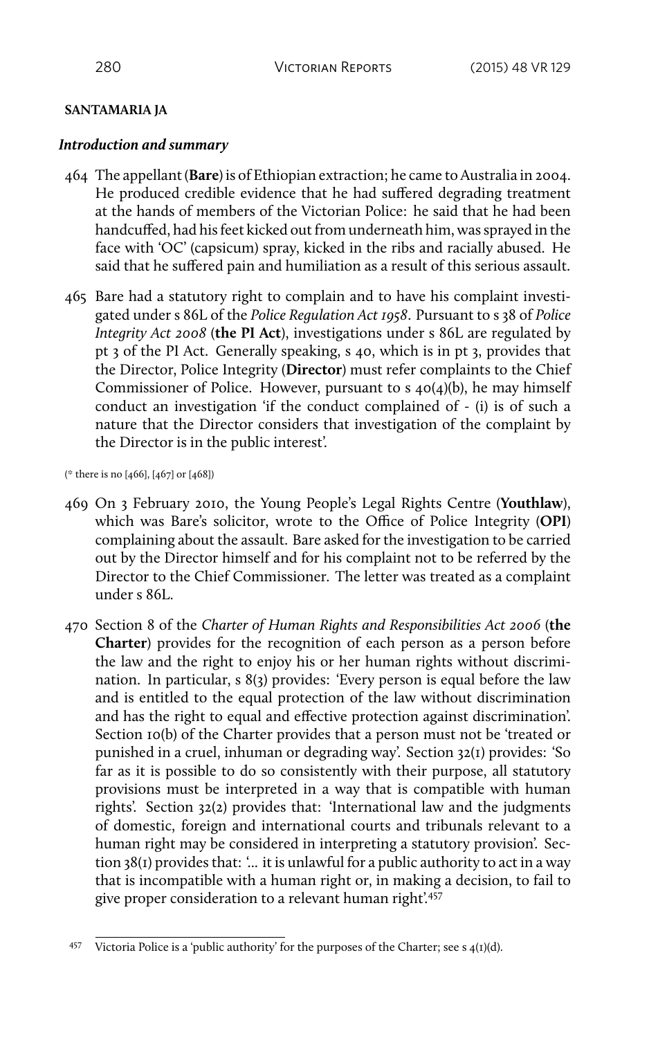#### **SANTAMARIA JA**

#### *Introduction and summary*

- 464 The appellant (**Bare**) is of Ethiopian extraction; he came to Australia in 2004. He produced credible evidence that he had suffered degrading treatment at the hands of members of the Victorian Police: he said that he had been handcuffed, had his feet kicked out from underneath him, was sprayed in the face with 'OC' (capsicum) spray, kicked in the ribs and racially abused. He said that he suffered pain and humiliation as a result of this serious assault.
- 465 Bare had a statutory right to complain and to have his complaint investigated under s 86L of the *Police Regulation Act 1958*. Pursuant to s 38 of *Police Integrity Act 2008* (**the PI Act**), investigations under s 86L are regulated by pt 3 of the PI Act. Generally speaking, s 40, which is in pt 3, provides that the Director, Police Integrity (**Director**) must refer complaints to the Chief Commissioner of Police. However, pursuant to  $s$  40(4)(b), he may himself conduct an investigation 'if the conduct complained of - (i) is of such a nature that the Director considers that investigation of the complaint by the Director is in the public interest'.

(\* there is no [466], [467] or [468])

- 469 On 3 February 2010, the Young People's Legal Rights Centre (**Youthlaw**), which was Bare's solicitor, wrote to the Office of Police Integrity (**OPI**) complaining about the assault. Bare asked for the investigation to be carried out by the Director himself and for his complaint not to be referred by the Director to the Chief Commissioner. The letter was treated as a complaint under s 86L.
- 470 Section 8 of the *Charter of Human Rights and Responsibilities Act 2006* (**the Charter**) provides for the recognition of each person as a person before the law and the right to enjoy his or her human rights without discrimination. In particular, s 8(3) provides: 'Every person is equal before the law and is entitled to the equal protection of the law without discrimination and has the right to equal and effective protection against discrimination'. Section 10(b) of the Charter provides that a person must not be 'treated or punished in a cruel, inhuman or degrading way'. Section 32(1) provides: 'So far as it is possible to do so consistently with their purpose, all statutory provisions must be interpreted in a way that is compatible with human rights'. Section 32(2) provides that: 'International law and the judgments of domestic, foreign and international courts and tribunals relevant to a human right may be considered in interpreting a statutory provision'. Section 38(1) provides that: '... it is unlawful for a public authority to act in a way that is incompatible with a human right or, in making a decision, to fail to give proper consideration to a relevant human right'.<sup>457</sup>

<sup>&</sup>lt;sup>457</sup> Victoria Police is a 'public authority' for the purposes of the Charter; see s  $4(I)(d)$ .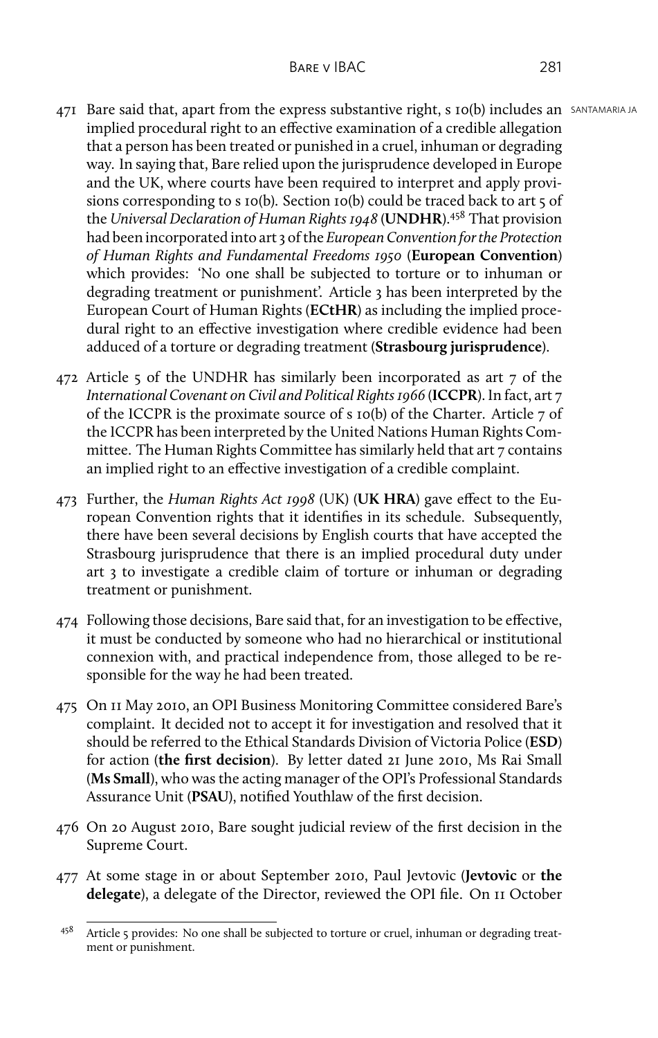- 471 Bare said that, apart from the express substantive right, s 10(b) includes an SANTAMARIA JA implied procedural right to an effective examination of a credible allegation that a person has been treated or punished in a cruel, inhuman or degrading way. In saying that, Bare relied upon the jurisprudence developed in Europe and the UK, where courts have been required to interpret and apply provisions corresponding to s 10(b). Section 10(b) could be traced back to art 5 of the *Universal Declaration of Human Rights 1948* (**UNDHR**).<sup>458</sup> That provision had been incorporated into art 3 of the *European Convention for the Protection of Human Rights and Fundamental Freedoms 1950* (**European Convention**) which provides: 'No one shall be subjected to torture or to inhuman or degrading treatment or punishment'. Article 3 has been interpreted by the European Court of Human Rights (**ECtHR**) as including the implied procedural right to an effective investigation where credible evidence had been adduced of a torture or degrading treatment (**Strasbourg jurisprudence**).
- 472 Article 5 of the UNDHR has similarly been incorporated as art 7 of the *International Covenant on Civil and Political Rights 1966* (**ICCPR**). In fact, art 7 of the ICCPR is the proximate source of s 10(b) of the Charter. Article 7 of the ICCPR has been interpreted by the United Nations Human Rights Committee. The Human Rights Committee has similarly held that art 7 contains an implied right to an effective investigation of a credible complaint.
- 473 Further, the *Human Rights Act 1998* (UK) (**UK HRA**) gave effect to the European Convention rights that it identifies in its schedule. Subsequently, there have been several decisions by English courts that have accepted the Strasbourg jurisprudence that there is an implied procedural duty under art 3 to investigate a credible claim of torture or inhuman or degrading treatment or punishment.
- 474 Following those decisions, Bare said that, for an investigation to be effective, it must be conducted by someone who had no hierarchical or institutional connexion with, and practical independence from, those alleged to be responsible for the way he had been treated.
- 475 On 11 May 2010, an OPI Business Monitoring Committee considered Bare's complaint. It decided not to accept it for investigation and resolved that it should be referred to the Ethical Standards Division of Victoria Police (**ESD**) for action (**the first decision**). By letter dated 21 June 2010, Ms Rai Small (**Ms Small**), who was the acting manager of the OPI's Professional Standards Assurance Unit (**PSAU**), notified Youthlaw of the first decision.
- 476 On 20 August 2010, Bare sought judicial review of the first decision in the Supreme Court.
- 477 At some stage in or about September 2010, Paul Jevtovic (**Jevtovic** or **the delegate**), a delegate of the Director, reviewed the OPI file. On 11 October

<sup>458</sup> Article 5 provides: No one shall be subjected to torture or cruel, inhuman or degrading treatment or punishment.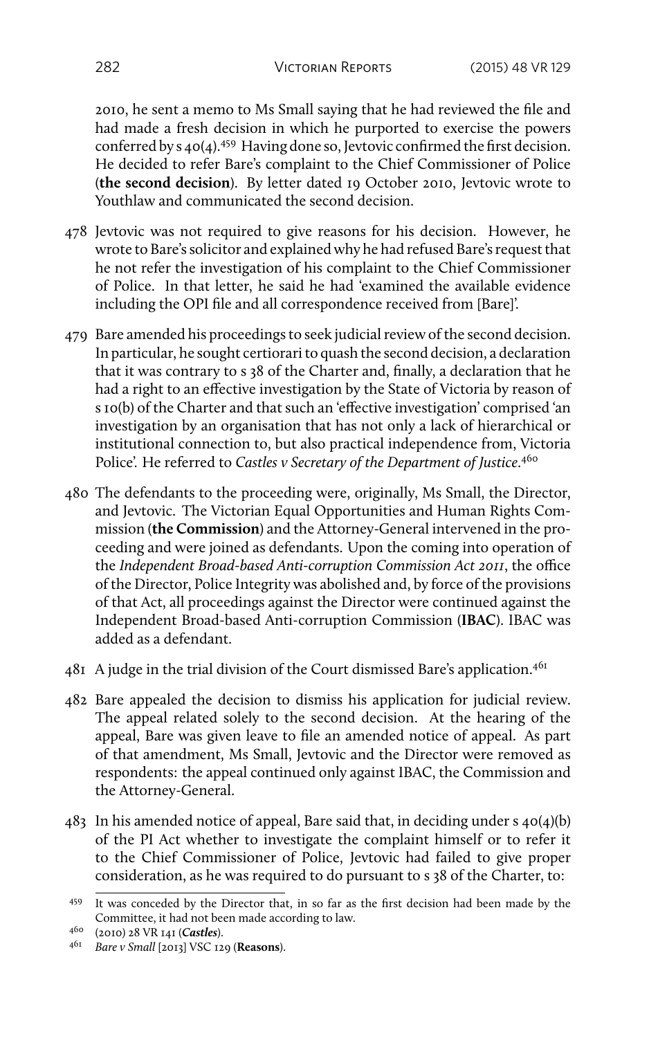2010, he sent a memo to Ms Small saying that he had reviewed the file and had made a fresh decision in which he purported to exercise the powers conferred by s 40(4).<sup>459</sup> Having done so, Jevtovic confirmed the first decision. He decided to refer Bare's complaint to the Chief Commissioner of Police (**the second decision**). By letter dated 19 October 2010, Jevtovic wrote to Youthlaw and communicated the second decision.

- 478 Jevtovic was not required to give reasons for his decision. However, he wrote to Bare's solicitor and explained why he had refused Bare's request that he not refer the investigation of his complaint to the Chief Commissioner of Police. In that letter, he said he had 'examined the available evidence including the OPI file and all correspondence received from [Bare]'.
- 479 Bare amended his proceedings to seek judicial review of the second decision. In particular, he sought certiorari to quash the second decision, a declaration that it was contrary to s 38 of the Charter and, finally, a declaration that he had a right to an effective investigation by the State of Victoria by reason of s 10(b) of the Charter and that such an 'effective investigation' comprised 'an investigation by an organisation that has not only a lack of hierarchical or institutional connection to, but also practical independence from, Victoria Police'. He referred to *Castles v Secretary of the Department of Justice*. 460
- 480 The defendants to the proceeding were, originally, Ms Small, the Director, and Jevtovic. The Victorian Equal Opportunities and Human Rights Commission (**the Commission**) and the Attorney-General intervened in the proceeding and were joined as defendants. Upon the coming into operation of the *Independent Broad-based Anti-corruption Commission Act 2011*, the office of the Director, Police Integrity was abolished and, by force of the provisions of that Act, all proceedings against the Director were continued against the Independent Broad-based Anti-corruption Commission (**IBAC**). IBAC was added as a defendant.
- $48I$  A judge in the trial division of the Court dismissed Bare's application.<sup>461</sup>
- 482 Bare appealed the decision to dismiss his application for judicial review. The appeal related solely to the second decision. At the hearing of the appeal, Bare was given leave to file an amended notice of appeal. As part of that amendment, Ms Small, Jevtovic and the Director were removed as respondents: the appeal continued only against IBAC, the Commission and the Attorney-General.
- 483 In his amended notice of appeal, Bare said that, in deciding under s 40(4)(b) of the PI Act whether to investigate the complaint himself or to refer it to the Chief Commissioner of Police, Jevtovic had failed to give proper consideration, as he was required to do pursuant to s 38 of the Charter, to:

<sup>459</sup> It was conceded by the Director that, in so far as the first decision had been made by the Committee, it had not been made according to law.

<sup>460</sup> (2010) 28 VR 141 (*Castles*).

<sup>461</sup> *Bare v Small* [2013] VSC 129 (**Reasons**).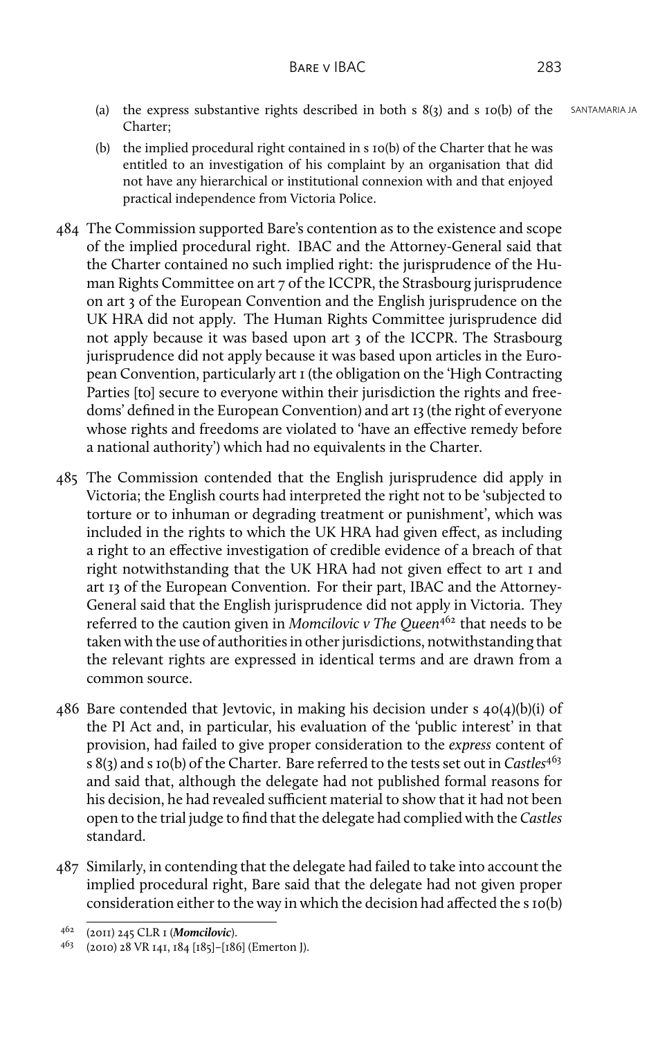- (a) the express substantive rights described in both s  $8(3)$  and s  $10(b)$  of the SANTAMARIA JA Charter;
- (b) the implied procedural right contained in s 10(b) of the Charter that he was entitled to an investigation of his complaint by an organisation that did not have any hierarchical or institutional connexion with and that enjoyed practical independence from Victoria Police.
- 484 The Commission supported Bare's contention as to the existence and scope of the implied procedural right. IBAC and the Attorney-General said that the Charter contained no such implied right: the jurisprudence of the Human Rights Committee on art 7 of the ICCPR, the Strasbourg jurisprudence on art 3 of the European Convention and the English jurisprudence on the UK HRA did not apply. The Human Rights Committee jurisprudence did not apply because it was based upon art 3 of the ICCPR. The Strasbourg jurisprudence did not apply because it was based upon articles in the European Convention, particularly art 1 (the obligation on the 'High Contracting Parties [to] secure to everyone within their jurisdiction the rights and freedoms' defined in the European Convention) and art 13 (the right of everyone whose rights and freedoms are violated to 'have an effective remedy before a national authority') which had no equivalents in the Charter.
- 485 The Commission contended that the English jurisprudence did apply in Victoria; the English courts had interpreted the right not to be 'subjected to torture or to inhuman or degrading treatment or punishment', which was included in the rights to which the UK HRA had given effect, as including a right to an effective investigation of credible evidence of a breach of that right notwithstanding that the UK HRA had not given effect to art 1 and art 13 of the European Convention. For their part, IBAC and the Attorney-General said that the English jurisprudence did not apply in Victoria. They referred to the caution given in *Momcilovic v The Queen*<sup>462</sup> that needs to be taken with the use of authorities in other jurisdictions, notwithstanding that the relevant rights are expressed in identical terms and are drawn from a common source.
- 486 Bare contended that Jevtovic, in making his decision under s  $40(4)(b)(i)$  of the PI Act and, in particular, his evaluation of the 'public interest' in that provision, had failed to give proper consideration to the *express* content of s 8(3) and s 10(b) of the Charter. Bare referred to the tests set out in *Castles*<sup>463</sup> and said that, although the delegate had not published formal reasons for his decision, he had revealed sufficient material to show that it had not been open to the trial judge to find that the delegate had complied with the *Castles* standard.
- 487 Similarly, in contending that the delegate had failed to take into account the implied procedural right, Bare said that the delegate had not given proper consideration either to the way in which the decision had affected the s 10(b)

<sup>462</sup> (2011) 245 CLR 1 (*Momcilovic*).

<sup>463</sup> (2010) 28 VR 141, 184 [185]–[186] (Emerton J).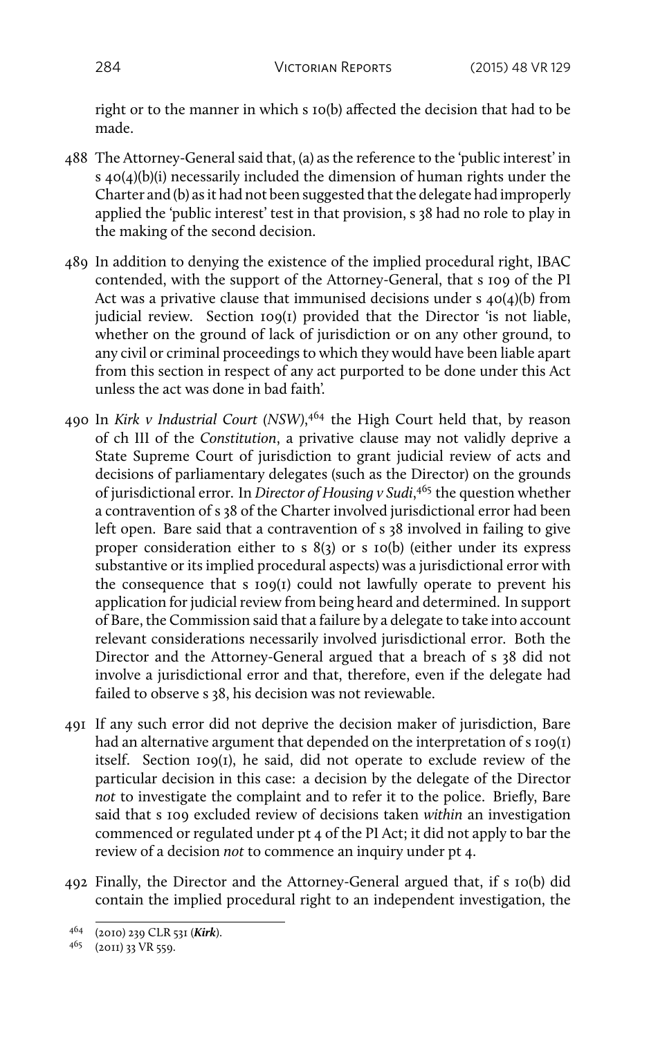right or to the manner in which s 10(b) affected the decision that had to be made.

- 488 The Attorney-General said that, (a) as the reference to the 'public interest' in s 40(4)(b)(i) necessarily included the dimension of human rights under the Charter and (b) as it had not been suggested that the delegate had improperly applied the 'public interest' test in that provision, s 38 had no role to play in the making of the second decision.
- 489 In addition to denying the existence of the implied procedural right, IBAC contended, with the support of the Attorney-General, that s 109 of the PI Act was a privative clause that immunised decisions under s 40(4)(b) from judicial review. Section 109(1) provided that the Director 'is not liable, whether on the ground of lack of jurisdiction or on any other ground, to any civil or criminal proceedings to which they would have been liable apart from this section in respect of any act purported to be done under this Act unless the act was done in bad faith'.
- 490 In *Kirk v Industrial Court (NSW)*, <sup>464</sup> the High Court held that, by reason of ch III of the *Constitution*, a privative clause may not validly deprive a State Supreme Court of jurisdiction to grant judicial review of acts and decisions of parliamentary delegates (such as the Director) on the grounds of jurisdictional error. In *Director of Housing v Sudi*, <sup>465</sup> the question whether a contravention of s 38 of the Charter involved jurisdictional error had been left open. Bare said that a contravention of s 38 involved in failing to give proper consideration either to s 8(3) or s 10(b) (either under its express substantive or its implied procedural aspects) was a jurisdictional error with the consequence that s 109(1) could not lawfully operate to prevent his application for judicial review from being heard and determined. In support of Bare, the Commission said that a failure by a delegate to take into account relevant considerations necessarily involved jurisdictional error. Both the Director and the Attorney-General argued that a breach of s 38 did not involve a jurisdictional error and that, therefore, even if the delegate had failed to observe s 38, his decision was not reviewable.
- 491 If any such error did not deprive the decision maker of jurisdiction, Bare had an alternative argument that depended on the interpretation of s 109(1) itself. Section 109(1), he said, did not operate to exclude review of the particular decision in this case: a decision by the delegate of the Director *not* to investigate the complaint and to refer it to the police. Briefly, Bare said that s 109 excluded review of decisions taken *within* an investigation commenced or regulated under pt 4 of the PI Act; it did not apply to bar the review of a decision *not* to commence an inquiry under pt 4.
- 492 Finally, the Director and the Attorney-General argued that, if s 10(b) did contain the implied procedural right to an independent investigation, the

<sup>464</sup> (2010) 239 CLR 531 (*Kirk*).

<sup>465</sup> (2011) 33 VR 559.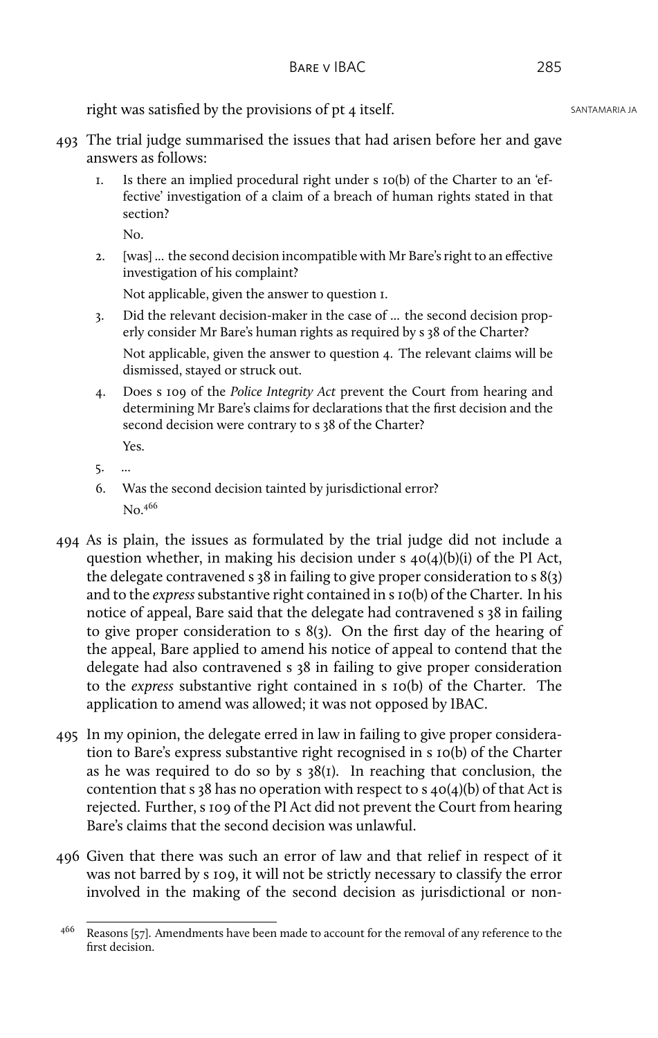right was satisfied by the provisions of  $pt 4$  itself. SANTAMARIA JA

- 493 The trial judge summarised the issues that had arisen before her and gave answers as follows:
	- 1. Is there an implied procedural right under s 10(b) of the Charter to an 'effective' investigation of a claim of a breach of human rights stated in that section?
		- No.
	- 2. [was] ... the second decision incompatible with Mr Bare's right to an effective investigation of his complaint?

Not applicable, given the answer to question 1.

- 3. Did the relevant decision-maker in the case of ... the second decision properly consider Mr Bare's human rights as required by s 38 of the Charter? Not applicable, given the answer to question 4. The relevant claims will be dismissed, stayed or struck out.
- 4. Does s 109 of the *Police Integrity Act* prevent the Court from hearing and determining Mr Bare's claims for declarations that the first decision and the second decision were contrary to s 38 of the Charter? Yes.
- 5. ...
- 6. Was the second decision tainted by jurisdictional error?  $No<sup>466</sup>$
- 494 As is plain, the issues as formulated by the trial judge did not include a question whether, in making his decision under s 40(4)(b)(i) of the PI Act, the delegate contravened s 38 in failing to give proper consideration to s 8(3) and to the *express*substantive right contained in s 10(b) of the Charter. In his notice of appeal, Bare said that the delegate had contravened s 38 in failing to give proper consideration to s 8(3). On the first day of the hearing of the appeal, Bare applied to amend his notice of appeal to contend that the delegate had also contravened s 38 in failing to give proper consideration to the *express* substantive right contained in s 10(b) of the Charter. The application to amend was allowed; it was not opposed by IBAC.
- 495 In my opinion, the delegate erred in law in failing to give proper consideration to Bare's express substantive right recognised in s 10(b) of the Charter as he was required to do so by  $s$  38(1). In reaching that conclusion, the contention that s 38 has no operation with respect to s  $40(4)(b)$  of that Act is rejected. Further, s 109 of the PI Act did not prevent the Court from hearing Bare's claims that the second decision was unlawful.
- 496 Given that there was such an error of law and that relief in respect of it was not barred by s 109, it will not be strictly necessary to classify the error involved in the making of the second decision as jurisdictional or non-

<sup>466</sup> Reasons [57]. Amendments have been made to account for the removal of any reference to the first decision.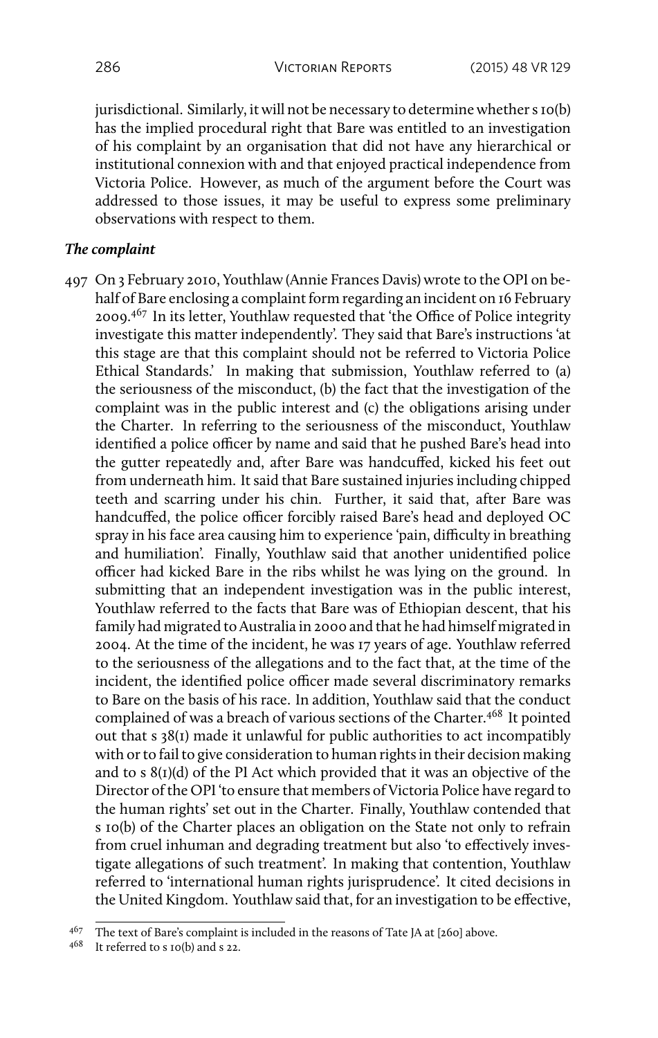jurisdictional. Similarly, it will not be necessary to determine whether s 10(b) has the implied procedural right that Bare was entitled to an investigation of his complaint by an organisation that did not have any hierarchical or institutional connexion with and that enjoyed practical independence from Victoria Police. However, as much of the argument before the Court was addressed to those issues, it may be useful to express some preliminary observations with respect to them.

#### *The complaint*

497 On 3 February 2010, Youthlaw (Annie Frances Davis) wrote to the OPI on behalf of Bare enclosing a complaint form regarding an incident on 16 February 2009.<sup>467</sup> In its letter, Youthlaw requested that 'the Office of Police integrity investigate this matter independently'. They said that Bare's instructions 'at this stage are that this complaint should not be referred to Victoria Police Ethical Standards.' In making that submission, Youthlaw referred to (a) the seriousness of the misconduct, (b) the fact that the investigation of the complaint was in the public interest and (c) the obligations arising under the Charter. In referring to the seriousness of the misconduct, Youthlaw identified a police officer by name and said that he pushed Bare's head into the gutter repeatedly and, after Bare was handcuffed, kicked his feet out from underneath him. It said that Bare sustained injuries including chipped teeth and scarring under his chin. Further, it said that, after Bare was handcuffed, the police officer forcibly raised Bare's head and deployed OC spray in his face area causing him to experience 'pain, difficulty in breathing and humiliation'. Finally, Youthlaw said that another unidentified police officer had kicked Bare in the ribs whilst he was lying on the ground. In submitting that an independent investigation was in the public interest, Youthlaw referred to the facts that Bare was of Ethiopian descent, that his family had migrated to Australia in 2000 and that he had himself migrated in 2004. At the time of the incident, he was 17 years of age. Youthlaw referred to the seriousness of the allegations and to the fact that, at the time of the incident, the identified police officer made several discriminatory remarks to Bare on the basis of his race. In addition, Youthlaw said that the conduct complained of was a breach of various sections of the Charter.<sup>468</sup> It pointed out that s 38(1) made it unlawful for public authorities to act incompatibly with or to fail to give consideration to human rights in their decision making and to s 8(1)(d) of the PI Act which provided that it was an objective of the Director of the OPI 'to ensure that members of Victoria Police have regard to the human rights' set out in the Charter. Finally, Youthlaw contended that s 10(b) of the Charter places an obligation on the State not only to refrain from cruel inhuman and degrading treatment but also 'to effectively investigate allegations of such treatment'. In making that contention, Youthlaw referred to 'international human rights jurisprudence'. It cited decisions in the United Kingdom. Youthlaw said that, for an investigation to be effective,

<sup>&</sup>lt;sup>467</sup> The text of Bare's complaint is included in the reasons of Tate JA at [260] above.

<sup>468</sup> It referred to s 10(b) and s 22.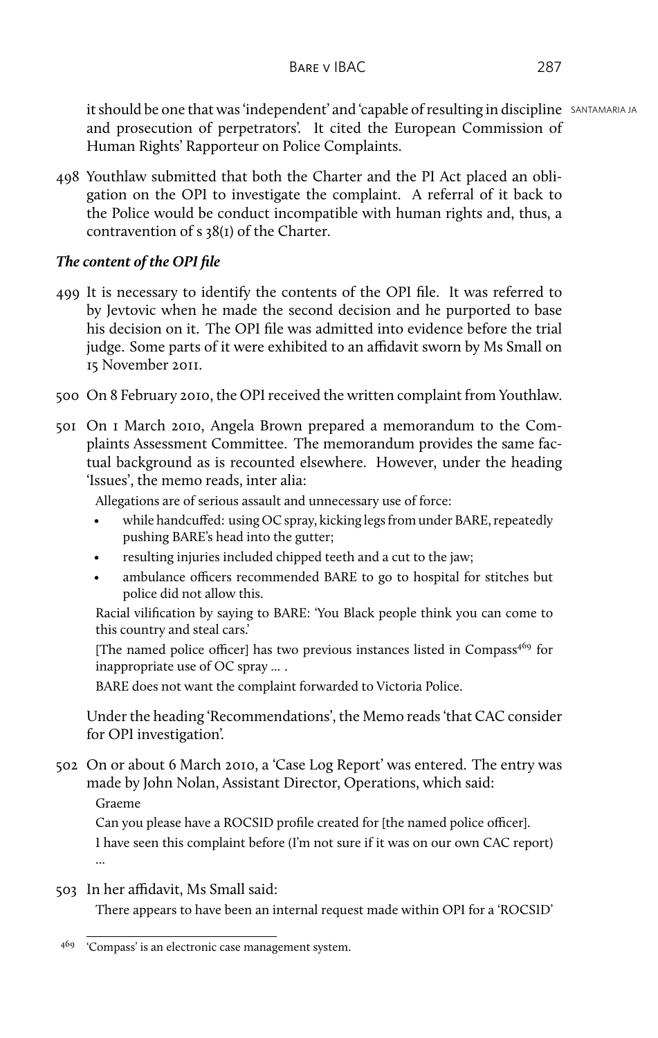It should be one that was 'independent' and 'capable of resulting in discipline SANTAMARIA JA and prosecution of perpetrators'. It cited the European Commission of Human Rights' Rapporteur on Police Complaints.

498 Youthlaw submitted that both the Charter and the PI Act placed an obligation on the OPI to investigate the complaint. A referral of it back to the Police would be conduct incompatible with human rights and, thus, a contravention of s 38(1) of the Charter.

# *The content of the OPI file*

- 499 It is necessary to identify the contents of the OPI file. It was referred to by Jevtovic when he made the second decision and he purported to base his decision on it. The OPI file was admitted into evidence before the trial judge. Some parts of it were exhibited to an affidavit sworn by Ms Small on 15 November 2011.
- 500 On 8 February 2010, the OPI received the written complaint from Youthlaw.
- 501 On 1 March 2010, Angela Brown prepared a memorandum to the Complaints Assessment Committee. The memorandum provides the same factual background as is recounted elsewhere. However, under the heading 'Issues', the memo reads, inter alia:

Allegations are of serious assault and unnecessary use of force:

- while handcuffed: using OC spray, kicking legs from under BARE, repeatedly pushing BARE's head into the gutter;
- resulting injuries included chipped teeth and a cut to the jaw;
- ambulance officers recommended BARE to go to hospital for stitches but police did not allow this.

Racial vilification by saying to BARE: 'You Black people think you can come to this country and steal cars.'

[The named police officer] has two previous instances listed in Compass<sup>469</sup> for inappropriate use of OC spray ... .

BARE does not want the complaint forwarded to Victoria Police.

Under the heading 'Recommendations', the Memo reads 'that CAC consider for OPI investigation'.

502 On or about 6 March 2010, a 'Case Log Report' was entered. The entry was made by John Nolan, Assistant Director, Operations, which said:

Graeme

Can you please have a ROCSID profile created for [the named police officer]. I have seen this complaint before (I'm not sure if it was on our own CAC report) ...

503 In her affidavit, Ms Small said:

There appears to have been an internal request made within OPI for a 'ROCSID'

<sup>&</sup>lt;sup>469</sup> 'Compass' is an electronic case management system.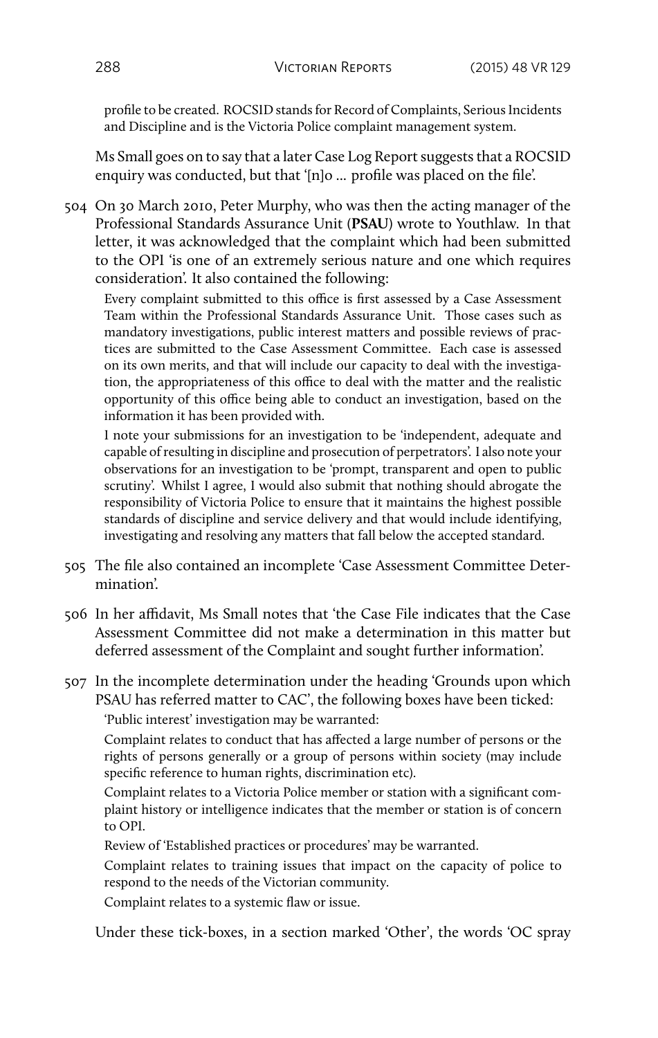profile to be created. ROCSID stands for Record of Complaints, Serious Incidents and Discipline and is the Victoria Police complaint management system.

Ms Small goes on to say that a later Case Log Report suggests that a ROCSID enquiry was conducted, but that '[n]o ... profile was placed on the file'.

504 On 30 March 2010, Peter Murphy, who was then the acting manager of the Professional Standards Assurance Unit (**PSAU**) wrote to Youthlaw. In that letter, it was acknowledged that the complaint which had been submitted to the OPI 'is one of an extremely serious nature and one which requires consideration'. It also contained the following:

Every complaint submitted to this office is first assessed by a Case Assessment Team within the Professional Standards Assurance Unit. Those cases such as mandatory investigations, public interest matters and possible reviews of practices are submitted to the Case Assessment Committee. Each case is assessed on its own merits, and that will include our capacity to deal with the investigation, the appropriateness of this office to deal with the matter and the realistic opportunity of this office being able to conduct an investigation, based on the information it has been provided with.

I note your submissions for an investigation to be 'independent, adequate and capable of resulting in discipline and prosecution of perpetrators'. I also note your observations for an investigation to be 'prompt, transparent and open to public scrutiny'. Whilst I agree, I would also submit that nothing should abrogate the responsibility of Victoria Police to ensure that it maintains the highest possible standards of discipline and service delivery and that would include identifying, investigating and resolving any matters that fall below the accepted standard.

- 505 The file also contained an incomplete 'Case Assessment Committee Determination'.
- 506 In her affidavit, Ms Small notes that 'the Case File indicates that the Case Assessment Committee did not make a determination in this matter but deferred assessment of the Complaint and sought further information'.
- 507 In the incomplete determination under the heading 'Grounds upon which PSAU has referred matter to CAC', the following boxes have been ticked:

'Public interest' investigation may be warranted:

Complaint relates to conduct that has affected a large number of persons or the rights of persons generally or a group of persons within society (may include specific reference to human rights, discrimination etc).

Complaint relates to a Victoria Police member or station with a significant complaint history or intelligence indicates that the member or station is of concern to OPI.

Review of 'Established practices or procedures' may be warranted.

Complaint relates to training issues that impact on the capacity of police to respond to the needs of the Victorian community.

Complaint relates to a systemic flaw or issue.

Under these tick-boxes, in a section marked 'Other', the words 'OC spray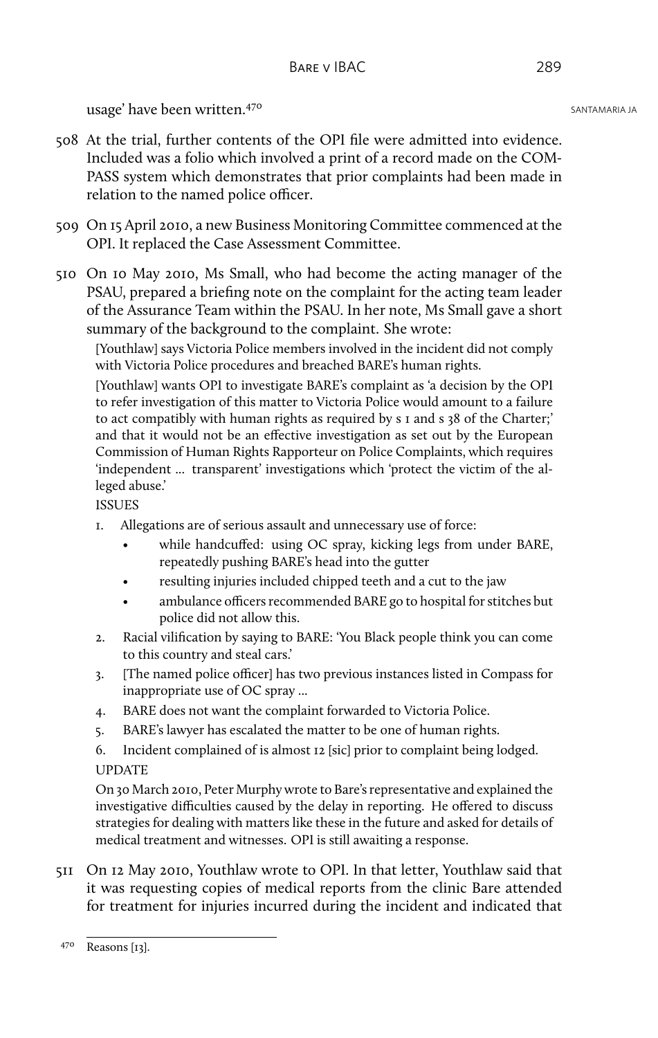- 508 At the trial, further contents of the OPI file were admitted into evidence. Included was a folio which involved a print of a record made on the COM-PASS system which demonstrates that prior complaints had been made in relation to the named police officer.
- 509 On 15 April 2010, a new Business Monitoring Committee commenced at the OPI. It replaced the Case Assessment Committee.
- 510 On 10 May 2010, Ms Small, who had become the acting manager of the PSAU, prepared a briefing note on the complaint for the acting team leader of the Assurance Team within the PSAU. In her note, Ms Small gave a short summary of the background to the complaint. She wrote:

[Youthlaw] says Victoria Police members involved in the incident did not comply with Victoria Police procedures and breached BARE's human rights.

[Youthlaw] wants OPI to investigate BARE's complaint as 'a decision by the OPI to refer investigation of this matter to Victoria Police would amount to a failure to act compatibly with human rights as required by s 1 and s 38 of the Charter;' and that it would not be an effective investigation as set out by the European Commission of Human Rights Rapporteur on Police Complaints, which requires 'independent ... transparent' investigations which 'protect the victim of the alleged abuse.'

ISSUES

- 1. Allegations are of serious assault and unnecessary use of force:
	- while handcuffed: using OC spray, kicking legs from under BARE, repeatedly pushing BARE's head into the gutter
	- resulting injuries included chipped teeth and a cut to the jaw
	- ambulance officers recommended BARE go to hospital for stitches but police did not allow this.
- 2. Racial vilification by saying to BARE: 'You Black people think you can come to this country and steal cars.'
- 3. [The named police officer] has two previous instances listed in Compass for inappropriate use of OC spray ...
- 4. BARE does not want the complaint forwarded to Victoria Police.
- 5. BARE's lawyer has escalated the matter to be one of human rights.
- 6. Incident complained of is almost 12 [sic] prior to complaint being lodged. UPDATE

On 30 March 2010, Peter Murphy wrote to Bare's representative and explained the investigative difficulties caused by the delay in reporting. He offered to discuss strategies for dealing with matters like these in the future and asked for details of medical treatment and witnesses. OPI is still awaiting a response.

511 On 12 May 2010, Youthlaw wrote to OPI. In that letter, Youthlaw said that it was requesting copies of medical reports from the clinic Bare attended for treatment for injuries incurred during the incident and indicated that

<sup>470</sup> Reasons [13].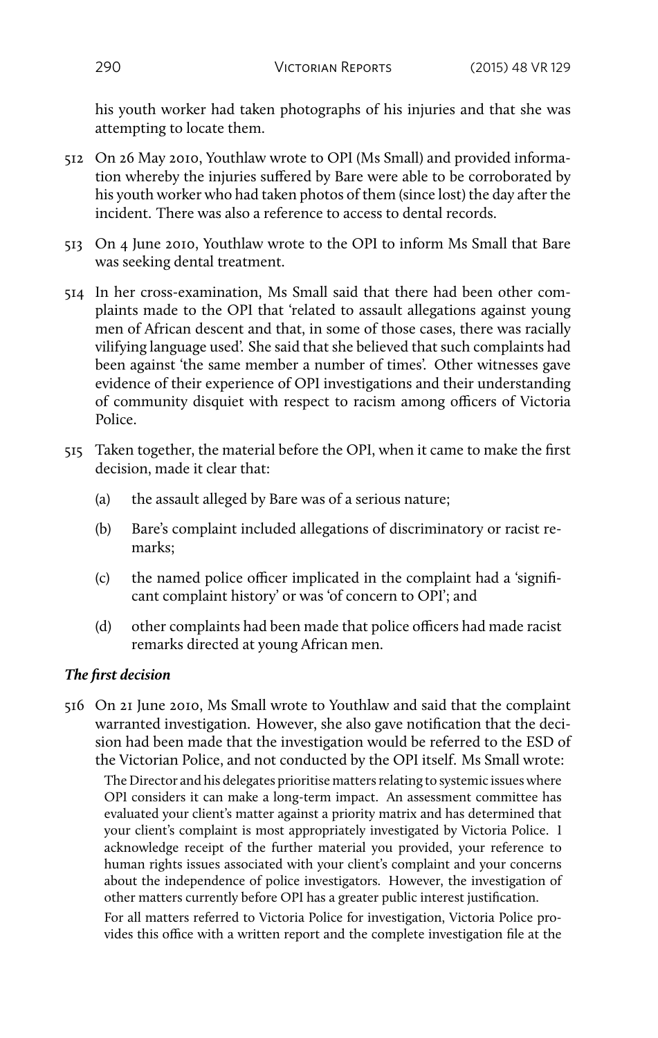his youth worker had taken photographs of his injuries and that she was attempting to locate them.

- 512 On 26 May 2010, Youthlaw wrote to OPI (Ms Small) and provided information whereby the injuries suffered by Bare were able to be corroborated by his youth worker who had taken photos of them (since lost) the day after the incident. There was also a reference to access to dental records.
- 513 On 4 June 2010, Youthlaw wrote to the OPI to inform Ms Small that Bare was seeking dental treatment.
- 514 In her cross-examination, Ms Small said that there had been other complaints made to the OPI that 'related to assault allegations against young men of African descent and that, in some of those cases, there was racially vilifying language used'. She said that she believed that such complaints had been against 'the same member a number of times'. Other witnesses gave evidence of their experience of OPI investigations and their understanding of community disquiet with respect to racism among officers of Victoria Police.
- 515 Taken together, the material before the OPI, when it came to make the first decision, made it clear that:
	- (a) the assault alleged by Bare was of a serious nature;
	- (b) Bare's complaint included allegations of discriminatory or racist remarks;
	- (c) the named police officer implicated in the complaint had a 'significant complaint history' or was 'of concern to OPI'; and
	- (d) other complaints had been made that police officers had made racist remarks directed at young African men.

# *The first decision*

516 On 21 June 2010, Ms Small wrote to Youthlaw and said that the complaint warranted investigation. However, she also gave notification that the decision had been made that the investigation would be referred to the ESD of the Victorian Police, and not conducted by the OPI itself. Ms Small wrote:

The Director and his delegates prioritise matters relating to systemic issues where OPI considers it can make a long-term impact. An assessment committee has evaluated your client's matter against a priority matrix and has determined that your client's complaint is most appropriately investigated by Victoria Police. I acknowledge receipt of the further material you provided, your reference to human rights issues associated with your client's complaint and your concerns about the independence of police investigators. However, the investigation of other matters currently before OPI has a greater public interest justification.

For all matters referred to Victoria Police for investigation, Victoria Police provides this office with a written report and the complete investigation file at the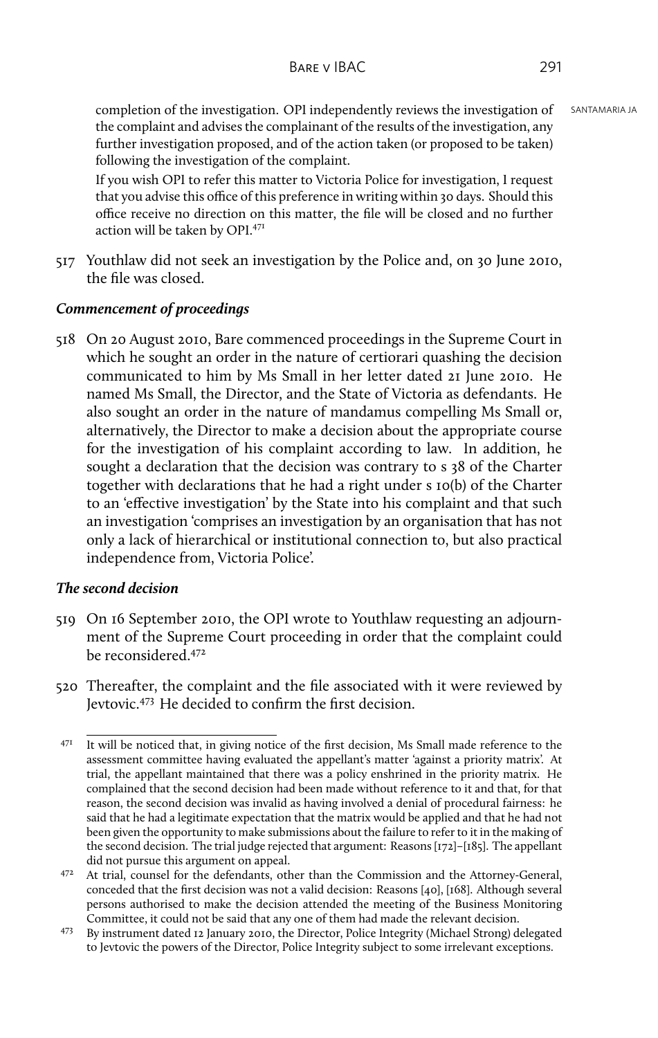completion of the investigation. OPI independently reviews the investigation of SANTAMARIA JA the complaint and advises the complainant of the results of the investigation, any further investigation proposed, and of the action taken (or proposed to be taken) following the investigation of the complaint.

If you wish OPI to refer this matter to Victoria Police for investigation, I request that you advise this office of this preference in writing within 30 days. Should this office receive no direction on this matter, the file will be closed and no further action will be taken by OPI.<sup>471</sup>

517 Youthlaw did not seek an investigation by the Police and, on 30 June 2010, the file was closed.

# *Commencement of proceedings*

518 On 20 August 2010, Bare commenced proceedings in the Supreme Court in which he sought an order in the nature of certiorari quashing the decision communicated to him by Ms Small in her letter dated 21 June 2010. He named Ms Small, the Director, and the State of Victoria as defendants. He also sought an order in the nature of mandamus compelling Ms Small or, alternatively, the Director to make a decision about the appropriate course for the investigation of his complaint according to law. In addition, he sought a declaration that the decision was contrary to s 38 of the Charter together with declarations that he had a right under s 10(b) of the Charter to an 'effective investigation' by the State into his complaint and that such an investigation 'comprises an investigation by an organisation that has not only a lack of hierarchical or institutional connection to, but also practical independence from, Victoria Police'.

## *The second decision*

- 519 On 16 September 2010, the OPI wrote to Youthlaw requesting an adjournment of the Supreme Court proceeding in order that the complaint could be reconsidered.<sup>472</sup>
- 520 Thereafter, the complaint and the file associated with it were reviewed by Jevtovic.<sup>473</sup> He decided to confirm the first decision.

 $471$  It will be noticed that, in giving notice of the first decision, Ms Small made reference to the assessment committee having evaluated the appellant's matter 'against a priority matrix'. At trial, the appellant maintained that there was a policy enshrined in the priority matrix. He complained that the second decision had been made without reference to it and that, for that reason, the second decision was invalid as having involved a denial of procedural fairness: he said that he had a legitimate expectation that the matrix would be applied and that he had not been given the opportunity to make submissions about the failure to refer to it in the making of the second decision. The trial judge rejected that argument: Reasons [172]–[185]. The appellant did not pursue this argument on appeal.

<sup>472</sup> At trial, counsel for the defendants, other than the Commission and the Attorney-General, conceded that the first decision was not a valid decision: Reasons [40], [168]. Although several persons authorised to make the decision attended the meeting of the Business Monitoring Committee, it could not be said that any one of them had made the relevant decision.

<sup>473</sup> By instrument dated 12 January 2010, the Director, Police Integrity (Michael Strong) delegated to Jevtovic the powers of the Director, Police Integrity subject to some irrelevant exceptions.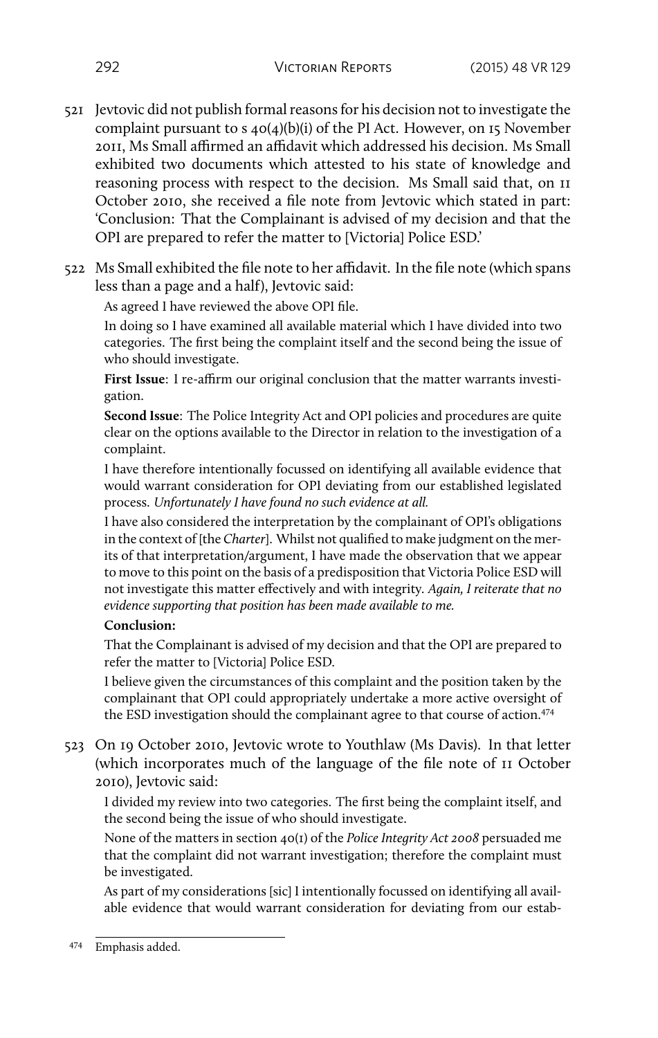- 521 Jevtovic did not publish formal reasons for his decision not to investigate the complaint pursuant to s 40(4)(b)(i) of the PI Act. However, on 15 November 2011, Ms Small affirmed an affidavit which addressed his decision. Ms Small exhibited two documents which attested to his state of knowledge and reasoning process with respect to the decision. Ms Small said that, on 11 October 2010, she received a file note from Jevtovic which stated in part: 'Conclusion: That the Complainant is advised of my decision and that the OPI are prepared to refer the matter to [Victoria] Police ESD.'
- 522 Ms Small exhibited the file note to her affidavit. In the file note (which spans less than a page and a half), Jevtovic said:

As agreed I have reviewed the above OPI file.

In doing so I have examined all available material which I have divided into two categories. The first being the complaint itself and the second being the issue of who should investigate.

**First Issue**: I re-affirm our original conclusion that the matter warrants investigation.

**Second Issue**: The Police Integrity Act and OPI policies and procedures are quite clear on the options available to the Director in relation to the investigation of a complaint.

I have therefore intentionally focussed on identifying all available evidence that would warrant consideration for OPI deviating from our established legislated process. *Unfortunately I have found no such evidence at all.*

I have also considered the interpretation by the complainant of OPI's obligations in the context of [the *Charter*]. Whilst not qualified to make judgment on the merits of that interpretation/argument, I have made the observation that we appear to move to this point on the basis of a predisposition that Victoria Police ESD will not investigate this matter effectively and with integrity. *Again, I reiterate that no evidence supporting that position has been made available to me.*

## **Conclusion:**

That the Complainant is advised of my decision and that the OPI are prepared to refer the matter to [Victoria] Police ESD.

I believe given the circumstances of this complaint and the position taken by the complainant that OPI could appropriately undertake a more active oversight of the ESD investigation should the complainant agree to that course of action.<sup>474</sup>

523 On 19 October 2010, Jevtovic wrote to Youthlaw (Ms Davis). In that letter (which incorporates much of the language of the file note of 11 October 2010), Jevtovic said:

I divided my review into two categories. The first being the complaint itself, and the second being the issue of who should investigate.

None of the matters in section 40(1) of the *Police Integrity Act 2008* persuaded me that the complaint did not warrant investigation; therefore the complaint must be investigated.

As part of my considerations [sic] I intentionally focussed on identifying all available evidence that would warrant consideration for deviating from our estab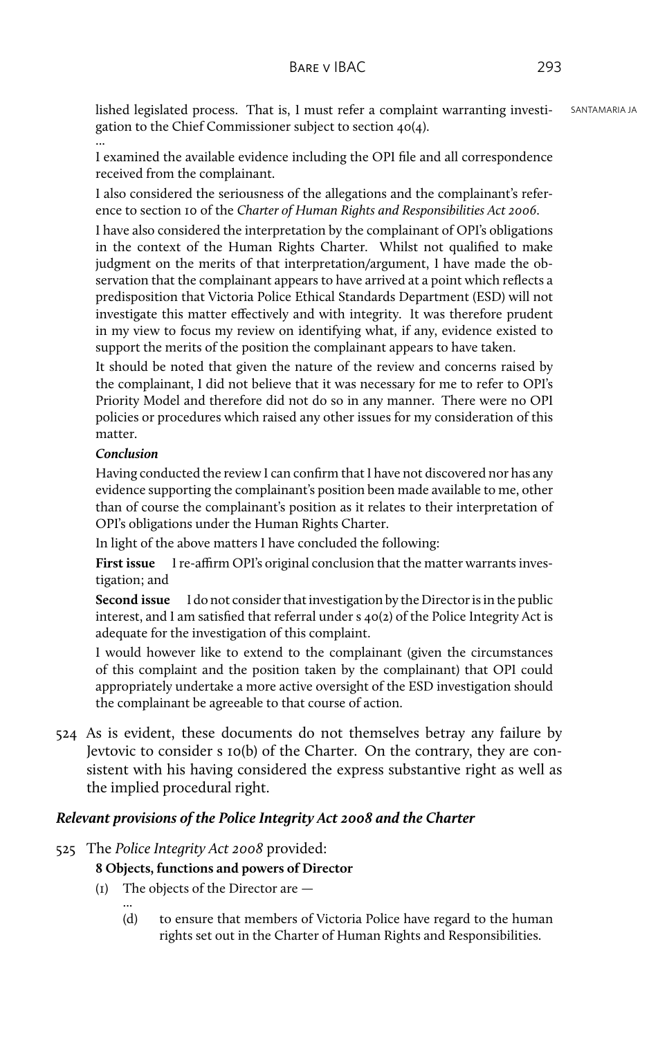lished legislated process. That is, I must refer a complaint warranting investi- SANTAMARIA JA gation to the Chief Commissioner subject to section 40(4).

I examined the available evidence including the OPI file and all correspondence received from the complainant.

I also considered the seriousness of the allegations and the complainant's reference to section 10 of the *Charter of Human Rights and Responsibilities Act 2006*.

I have also considered the interpretation by the complainant of OPI's obligations in the context of the Human Rights Charter. Whilst not qualified to make judgment on the merits of that interpretation/argument, I have made the observation that the complainant appears to have arrived at a point which reflects a predisposition that Victoria Police Ethical Standards Department (ESD) will not investigate this matter effectively and with integrity. It was therefore prudent in my view to focus my review on identifying what, if any, evidence existed to support the merits of the position the complainant appears to have taken.

It should be noted that given the nature of the review and concerns raised by the complainant, I did not believe that it was necessary for me to refer to OPI's Priority Model and therefore did not do so in any manner. There were no OPI policies or procedures which raised any other issues for my consideration of this matter.

#### *Conclusion*

...

Having conducted the review I can confirm that I have not discovered nor has any evidence supporting the complainant's position been made available to me, other than of course the complainant's position as it relates to their interpretation of OPI's obligations under the Human Rights Charter.

In light of the above matters I have concluded the following:

**First issue** I re-affirm OPI's original conclusion that the matter warrants investigation; and

**Second issue** I do not consider that investigation by the Director is in the public interest, and I am satisfied that referral under s 40(2) of the Police Integrity Act is adequate for the investigation of this complaint.

I would however like to extend to the complainant (given the circumstances of this complaint and the position taken by the complainant) that OPI could appropriately undertake a more active oversight of the ESD investigation should the complainant be agreeable to that course of action.

524 As is evident, these documents do not themselves betray any failure by Jevtovic to consider s 10(b) of the Charter. On the contrary, they are consistent with his having considered the express substantive right as well as the implied procedural right.

## *Relevant provisions of the Police Integrity Act 2008 and the Charter*

525 The *Police Integrity Act 2008* provided:

## **8 Objects, functions and powers of Director**

- (1) The objects of the Director are
	- ... (d) to ensure that members of Victoria Police have regard to the human rights set out in the Charter of Human Rights and Responsibilities.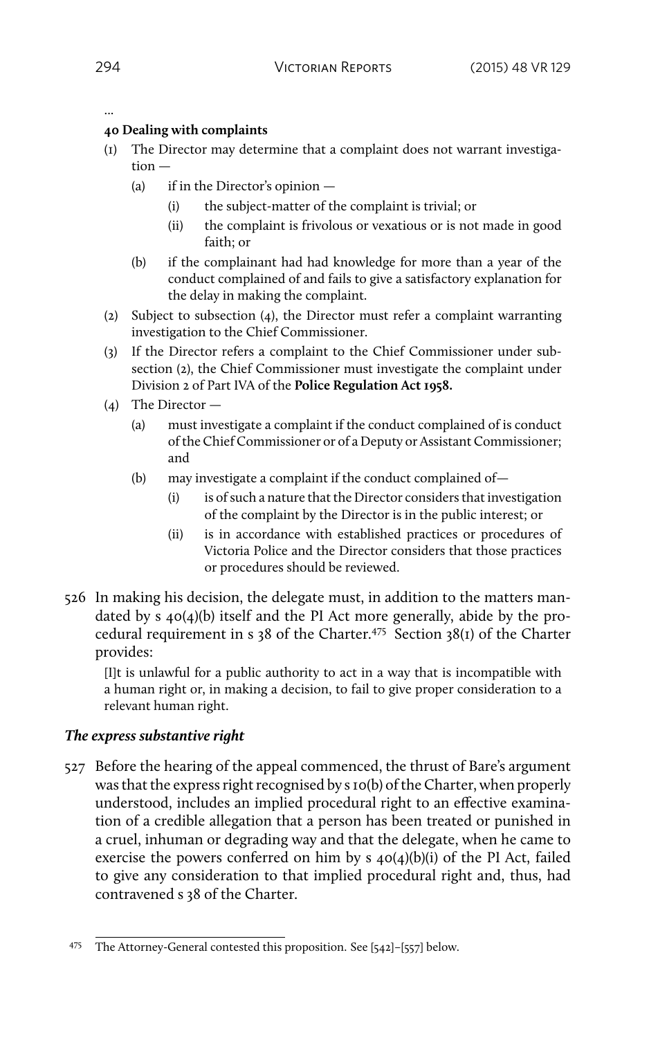## ...

### **40 Dealing with complaints**

- (1) The Director may determine that a complaint does not warrant investigation —
	- (a) if in the Director's opinion
		- (i) the subject-matter of the complaint is trivial; or
		- (ii) the complaint is frivolous or vexatious or is not made in good faith; or
	- (b) if the complainant had had knowledge for more than a year of the conduct complained of and fails to give a satisfactory explanation for the delay in making the complaint.
- (2) Subject to subsection (4), the Director must refer a complaint warranting investigation to the Chief Commissioner.
- (3) If the Director refers a complaint to the Chief Commissioner under subsection (2), the Chief Commissioner must investigate the complaint under Division 2 of Part IVA of the **Police Regulation Act 1958.**
- (4) The Director
	- (a) must investigate a complaint if the conduct complained of is conduct of the Chief Commissioner or of a Deputy or Assistant Commissioner; and
	- (b) may investigate a complaint if the conduct complained of—
		- (i) is of such a nature that the Director considers that investigation of the complaint by the Director is in the public interest; or
		- (ii) is in accordance with established practices or procedures of Victoria Police and the Director considers that those practices or procedures should be reviewed.
- 526 In making his decision, the delegate must, in addition to the matters mandated by s 40(4)(b) itself and the PI Act more generally, abide by the procedural requirement in s 38 of the Charter.<sup>475</sup> Section 38(1) of the Charter provides:

[I]t is unlawful for a public authority to act in a way that is incompatible with a human right or, in making a decision, to fail to give proper consideration to a relevant human right.

## *The express substantive right*

527 Before the hearing of the appeal commenced, the thrust of Bare's argument was that the express right recognised by s 10(b) of the Charter, when properly understood, includes an implied procedural right to an effective examination of a credible allegation that a person has been treated or punished in a cruel, inhuman or degrading way and that the delegate, when he came to exercise the powers conferred on him by  $s$   $40(4)(b)(i)$  of the PI Act, failed to give any consideration to that implied procedural right and, thus, had contravened s 38 of the Charter.

<sup>475</sup> The Attorney-General contested this proposition. See [542]–[557] below.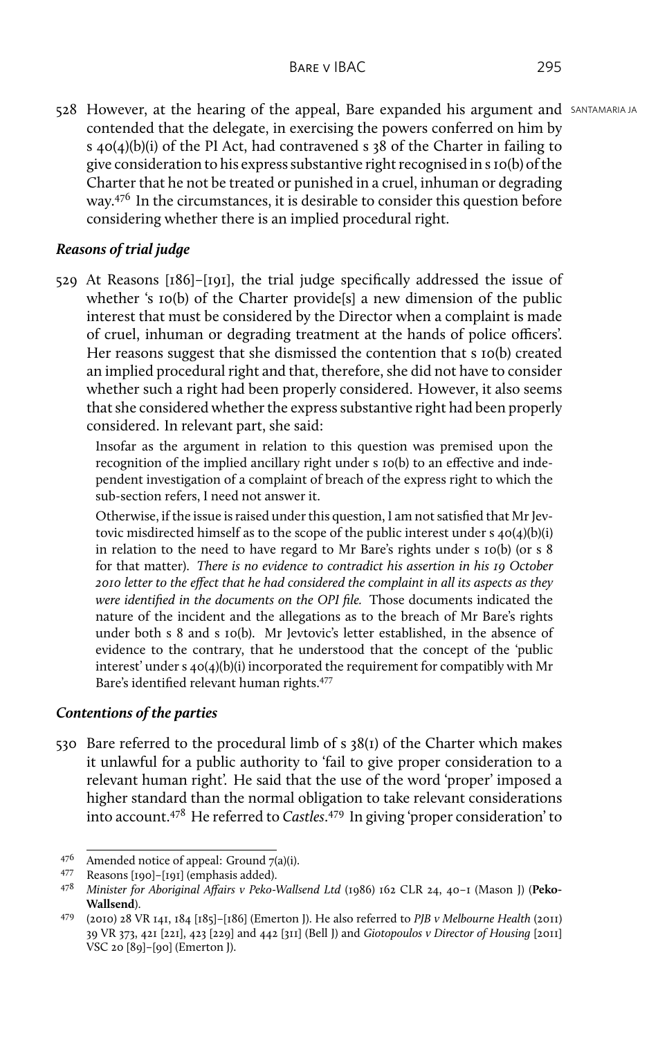528 However, at the hearing of the appeal, Bare expanded his argument and SANTAMARIA JA contended that the delegate, in exercising the powers conferred on him by s 40(4)(b)(i) of the PI Act, had contravened s 38 of the Charter in failing to give consideration to his express substantive right recognised in s 10(b) of the Charter that he not be treated or punished in a cruel, inhuman or degrading way.<sup>476</sup> In the circumstances, it is desirable to consider this question before considering whether there is an implied procedural right.

# *Reasons of trial judge*

529 At Reasons [186]–[191], the trial judge specifically addressed the issue of whether 's 10(b) of the Charter provide<sup>[s]</sup> a new dimension of the public interest that must be considered by the Director when a complaint is made of cruel, inhuman or degrading treatment at the hands of police officers'. Her reasons suggest that she dismissed the contention that s 10(b) created an implied procedural right and that, therefore, she did not have to consider whether such a right had been properly considered. However, it also seems that she considered whether the express substantive right had been properly considered. In relevant part, she said:

Insofar as the argument in relation to this question was premised upon the recognition of the implied ancillary right under s 10(b) to an effective and independent investigation of a complaint of breach of the express right to which the sub-section refers, I need not answer it.

Otherwise, if the issue is raised under this question, I am not satisfied that Mr Jevtovic misdirected himself as to the scope of the public interest under s 40(4)(b)(i) in relation to the need to have regard to Mr Bare's rights under s 10(b) (or s 8 for that matter). *There is no evidence to contradict his assertion in his 19 October 2010 letter to the effect that he had considered the complaint in all its aspects as they were identified in the documents on the OPI file.* Those documents indicated the nature of the incident and the allegations as to the breach of Mr Bare's rights under both s 8 and s 10(b). Mr Jevtovic's letter established, in the absence of evidence to the contrary, that he understood that the concept of the 'public interest' under s 40(4)(b)(i) incorporated the requirement for compatibly with Mr Bare's identified relevant human rights.<sup>477</sup>

## *Contentions of the parties*

530 Bare referred to the procedural limb of s 38(1) of the Charter which makes it unlawful for a public authority to 'fail to give proper consideration to a relevant human right'. He said that the use of the word 'proper' imposed a higher standard than the normal obligation to take relevant considerations into account.<sup>478</sup> He referred to *Castles*. <sup>479</sup> In giving 'proper consideration' to

<sup>&</sup>lt;sup>476</sup> Amended notice of appeal: Ground  $7(a)(i)$ .<br><sup>477</sup> Reasons [100]-[101] (emphasis added).

<sup>&</sup>lt;sup>477</sup> Reasons [190]–[191] (emphasis added).<br><sup>478</sup> Minister for Aboriginal Affairs v Peko-

<sup>478</sup> *Minister for Aboriginal Affairs v Peko-Wallsend Ltd* (1986) 162 CLR 24, 40–1 (Mason J) (**Peko-Wallsend**).

<sup>479</sup> (2010) 28 VR 141, 184 [185]–[186] (Emerton J). He also referred to *PJB v Melbourne Health* (2011) 39 VR 373, 421 [221], 423 [229] and 442 [311] (Bell J) and *Giotopoulos v Director of Housing* [2011] VSC 20 [89]–[90] (Emerton J).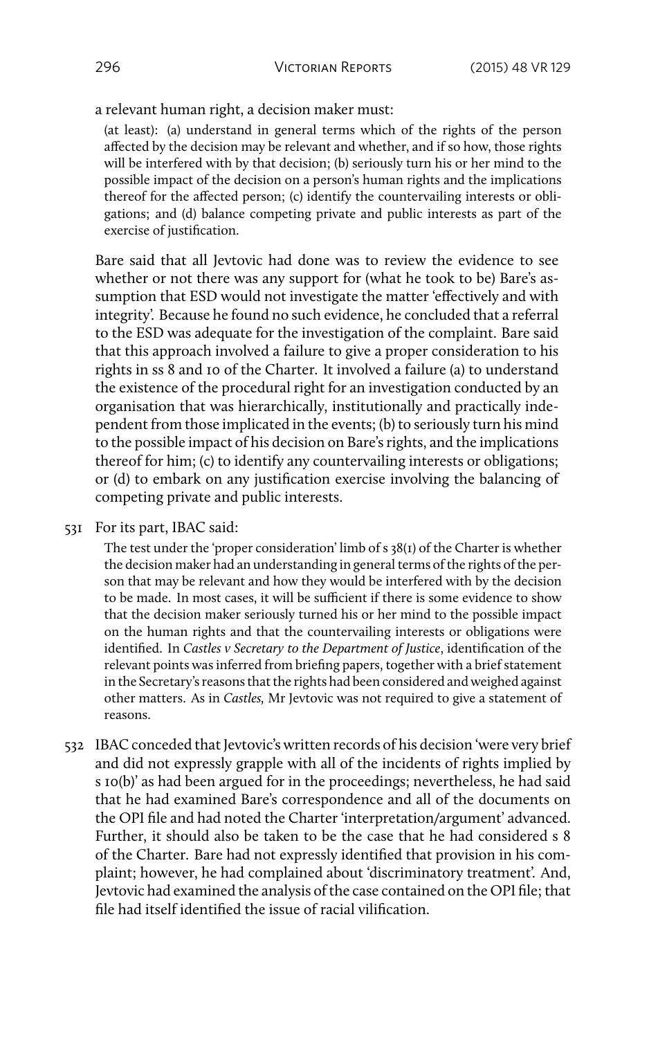a relevant human right, a decision maker must:

(at least): (a) understand in general terms which of the rights of the person affected by the decision may be relevant and whether, and if so how, those rights will be interfered with by that decision; (b) seriously turn his or her mind to the possible impact of the decision on a person's human rights and the implications thereof for the affected person; (c) identify the countervailing interests or obligations; and (d) balance competing private and public interests as part of the exercise of justification.

Bare said that all Jevtovic had done was to review the evidence to see whether or not there was any support for (what he took to be) Bare's assumption that ESD would not investigate the matter 'effectively and with integrity'. Because he found no such evidence, he concluded that a referral to the ESD was adequate for the investigation of the complaint. Bare said that this approach involved a failure to give a proper consideration to his rights in ss 8 and 10 of the Charter. It involved a failure (a) to understand the existence of the procedural right for an investigation conducted by an organisation that was hierarchically, institutionally and practically independent from those implicated in the events; (b) to seriously turn his mind to the possible impact of his decision on Bare's rights, and the implications thereof for him; (c) to identify any countervailing interests or obligations; or (d) to embark on any justification exercise involving the balancing of competing private and public interests.

#### 531 For its part, IBAC said:

The test under the 'proper consideration' limb of s 38(1) of the Charter is whether the decision maker had an understanding in general terms of the rights of the person that may be relevant and how they would be interfered with by the decision to be made. In most cases, it will be sufficient if there is some evidence to show that the decision maker seriously turned his or her mind to the possible impact on the human rights and that the countervailing interests or obligations were identified. In *Castles v Secretary to the Department of Justice*, identification of the relevant points was inferred from briefing papers, together with a brief statement in the Secretary's reasons that the rights had been considered and weighed against other matters. As in *Castles,* Mr Jevtovic was not required to give a statement of reasons.

532 IBAC conceded that Jevtovic's written records of his decision 'were very brief and did not expressly grapple with all of the incidents of rights implied by s 10(b)' as had been argued for in the proceedings; nevertheless, he had said that he had examined Bare's correspondence and all of the documents on the OPI file and had noted the Charter 'interpretation/argument' advanced. Further, it should also be taken to be the case that he had considered s 8 of the Charter. Bare had not expressly identified that provision in his complaint; however, he had complained about 'discriminatory treatment'. And, Jevtovic had examined the analysis of the case contained on the OPI file; that file had itself identified the issue of racial vilification.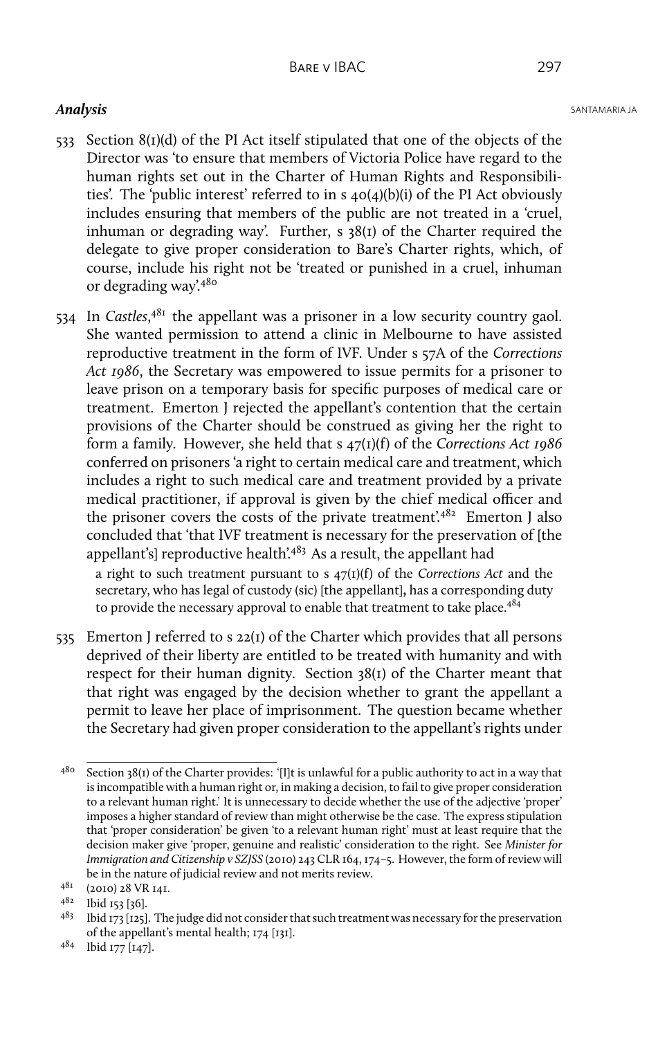- 533 Section 8(1)(d) of the PI Act itself stipulated that one of the objects of the Director was 'to ensure that members of Victoria Police have regard to the human rights set out in the Charter of Human Rights and Responsibilities'. The 'public interest' referred to in s 40(4)(b)(i) of the PI Act obviously includes ensuring that members of the public are not treated in a 'cruel, inhuman or degrading way'. Further, s 38(1) of the Charter required the delegate to give proper consideration to Bare's Charter rights, which, of course, include his right not be 'treated or punished in a cruel, inhuman or degrading way'.<sup>480</sup>
- 534 In *Castles*,<sup>481</sup> the appellant was a prisoner in a low security country gaol. She wanted permission to attend a clinic in Melbourne to have assisted reproductive treatment in the form of IVF. Under s 57A of the *Corrections Act 1986*, the Secretary was empowered to issue permits for a prisoner to leave prison on a temporary basis for specific purposes of medical care or treatment. Emerton J rejected the appellant's contention that the certain provisions of the Charter should be construed as giving her the right to form a family. However, she held that s 47(1)(f) of the *Corrections Act 1986* conferred on prisoners 'a right to certain medical care and treatment, which includes a right to such medical care and treatment provided by a private medical practitioner, if approval is given by the chief medical officer and the prisoner covers the costs of the private treatment'.<sup>482</sup> Emerton J also concluded that 'that IVF treatment is necessary for the preservation of [the appellant's] reproductive health'.<sup>483</sup> As a result, the appellant had

a right to such treatment pursuant to s 47(1)(f) of the *Corrections Act* and the secretary, who has legal of custody (sic) [the appellant]**,** has a corresponding duty to provide the necessary approval to enable that treatment to take place.<sup>484</sup>

535 Emerton J referred to s 22(1) of the Charter which provides that all persons deprived of their liberty are entitled to be treated with humanity and with respect for their human dignity. Section 38(1) of the Charter meant that that right was engaged by the decision whether to grant the appellant a permit to leave her place of imprisonment. The question became whether the Secretary had given proper consideration to the appellant's rights under

 $480$  Section 38(1) of the Charter provides: '[1]t is unlawful for a public authority to act in a way that is incompatible with a human right or, in making a decision, to fail to give proper consideration to a relevant human right.' It is unnecessary to decide whether the use of the adjective 'proper' imposes a higher standard of review than might otherwise be the case. The express stipulation that 'proper consideration' be given 'to a relevant human right' must at least require that the decision maker give 'proper, genuine and realistic' consideration to the right. See *Minister for Immigration and Citizenship v SZJSS* (2010) 243 CLR 164, 174–5. However, the form of review will be in the nature of judicial review and not merits review.

<sup>481</sup> (2010) 28 VR 141.

<sup>482</sup> Ibid 153 [36].

<sup>483</sup> Ibid 173 [125]. The judge did not consider that such treatment was necessary for the preservation of the appellant's mental health; 174 [131].

<sup>484</sup> Ibid 177 [147].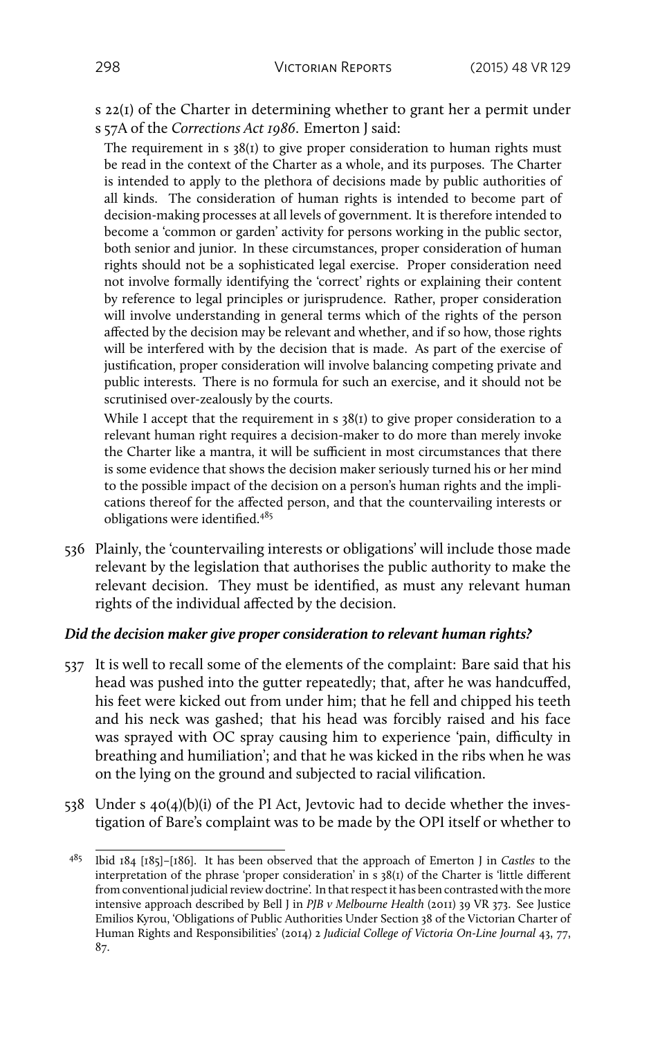s 22(1) of the Charter in determining whether to grant her a permit under s 57A of the *Corrections Act 1986*. Emerton J said:

The requirement in  $s$  38(1) to give proper consideration to human rights must be read in the context of the Charter as a whole, and its purposes. The Charter is intended to apply to the plethora of decisions made by public authorities of all kinds. The consideration of human rights is intended to become part of decision-making processes at all levels of government. It is therefore intended to become a 'common or garden' activity for persons working in the public sector, both senior and junior. In these circumstances, proper consideration of human rights should not be a sophisticated legal exercise. Proper consideration need not involve formally identifying the 'correct' rights or explaining their content by reference to legal principles or jurisprudence. Rather, proper consideration will involve understanding in general terms which of the rights of the person affected by the decision may be relevant and whether, and if so how, those rights will be interfered with by the decision that is made. As part of the exercise of justification, proper consideration will involve balancing competing private and public interests. There is no formula for such an exercise, and it should not be scrutinised over-zealously by the courts.

While I accept that the requirement in s 38(1) to give proper consideration to a relevant human right requires a decision-maker to do more than merely invoke the Charter like a mantra, it will be sufficient in most circumstances that there is some evidence that shows the decision maker seriously turned his or her mind to the possible impact of the decision on a person's human rights and the implications thereof for the affected person, and that the countervailing interests or obligations were identified.<sup>485</sup>

536 Plainly, the 'countervailing interests or obligations' will include those made relevant by the legislation that authorises the public authority to make the relevant decision. They must be identified, as must any relevant human rights of the individual affected by the decision.

## *Did the decision maker give proper consideration to relevant human rights?*

- 537 It is well to recall some of the elements of the complaint: Bare said that his head was pushed into the gutter repeatedly; that, after he was handcuffed, his feet were kicked out from under him; that he fell and chipped his teeth and his neck was gashed; that his head was forcibly raised and his face was sprayed with OC spray causing him to experience 'pain, difficulty in breathing and humiliation'; and that he was kicked in the ribs when he was on the lying on the ground and subjected to racial vilification.
- 538 Under s 40(4)(b)(i) of the PI Act, Jevtovic had to decide whether the investigation of Bare's complaint was to be made by the OPI itself or whether to

<sup>485</sup> Ibid 184 [185]–[186]. It has been observed that the approach of Emerton J in *Castles* to the interpretation of the phrase 'proper consideration' in s 38(1) of the Charter is 'little different from conventional judicial review doctrine'. In that respect it has been contrasted with the more intensive approach described by Bell J in *PJB v Melbourne Health* (2011) 39 VR 373. See Justice Emilios Kyrou, 'Obligations of Public Authorities Under Section 38 of the Victorian Charter of Human Rights and Responsibilities' (2014) 2 *Judicial College of Victoria On-Line Journal* 43, 77, 87.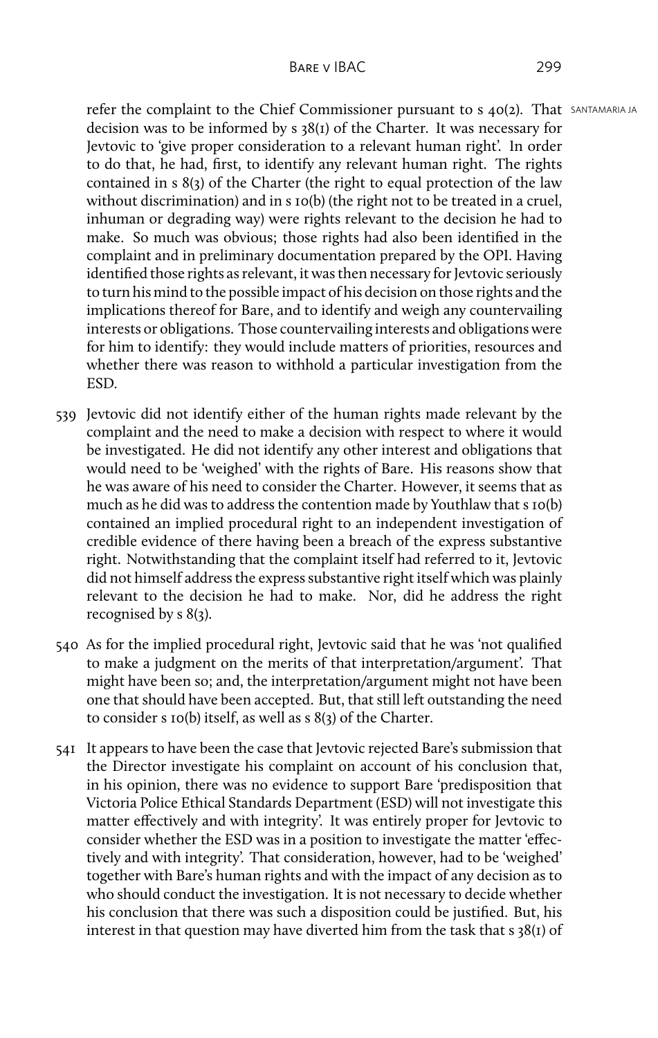refer the complaint to the Chief Commissioner pursuant to s 40(2). That SANTAMARIA JA decision was to be informed by s 38(1) of the Charter. It was necessary for Jevtovic to 'give proper consideration to a relevant human right'. In order to do that, he had, first, to identify any relevant human right. The rights contained in s 8(3) of the Charter (the right to equal protection of the law without discrimination) and in s 10(b) (the right not to be treated in a cruel, inhuman or degrading way) were rights relevant to the decision he had to make. So much was obvious; those rights had also been identified in the complaint and in preliminary documentation prepared by the OPI. Having identified those rights as relevant, it was then necessary for Jevtovic seriously to turn his mind to the possible impact of his decision on those rights and the implications thereof for Bare, and to identify and weigh any countervailing interests or obligations. Those countervailing interests and obligations were for him to identify: they would include matters of priorities, resources and whether there was reason to withhold a particular investigation from the ESD.

- 539 Jevtovic did not identify either of the human rights made relevant by the complaint and the need to make a decision with respect to where it would be investigated. He did not identify any other interest and obligations that would need to be 'weighed' with the rights of Bare. His reasons show that he was aware of his need to consider the Charter. However, it seems that as much as he did was to address the contention made by Youthlaw that s 10(b) contained an implied procedural right to an independent investigation of credible evidence of there having been a breach of the express substantive right. Notwithstanding that the complaint itself had referred to it, Jevtovic did not himself address the express substantive right itself which was plainly relevant to the decision he had to make. Nor, did he address the right recognised by s 8(3).
- 540 As for the implied procedural right, Jevtovic said that he was 'not qualified to make a judgment on the merits of that interpretation/argument'. That might have been so; and, the interpretation/argument might not have been one that should have been accepted. But, that still left outstanding the need to consider s 10(b) itself, as well as s 8(3) of the Charter.
- 541 It appears to have been the case that Jevtovic rejected Bare's submission that the Director investigate his complaint on account of his conclusion that, in his opinion, there was no evidence to support Bare 'predisposition that Victoria Police Ethical Standards Department (ESD) will not investigate this matter effectively and with integrity'. It was entirely proper for Jevtovic to consider whether the ESD was in a position to investigate the matter 'effectively and with integrity'. That consideration, however, had to be 'weighed' together with Bare's human rights and with the impact of any decision as to who should conduct the investigation. It is not necessary to decide whether his conclusion that there was such a disposition could be justified. But, his interest in that question may have diverted him from the task that s 38(1) of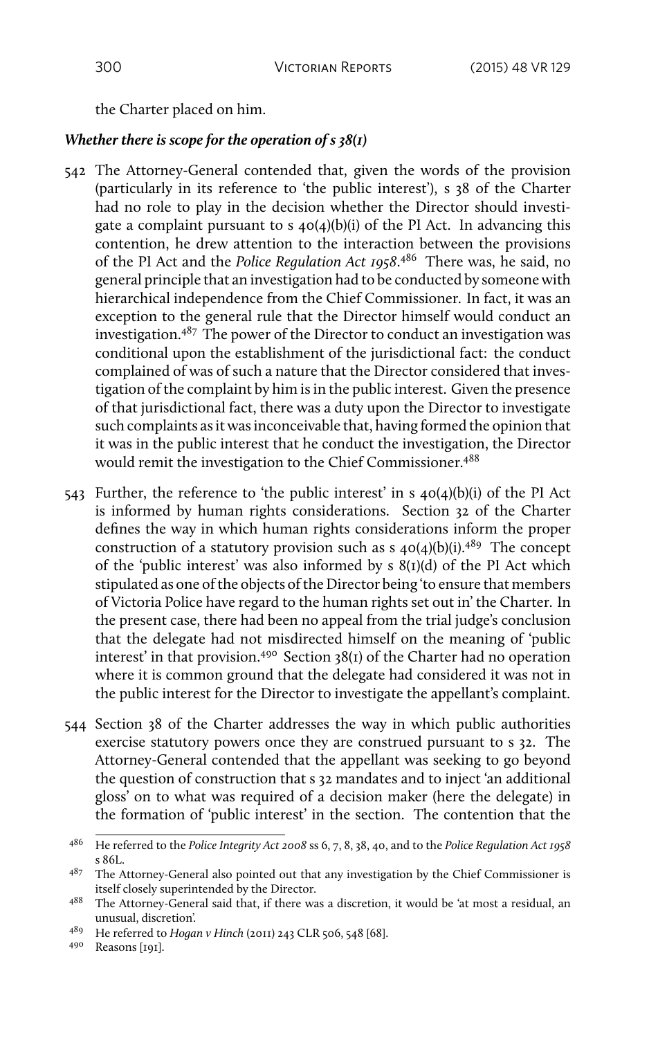the Charter placed on him.

#### *Whether there is scope for the operation of s 38(1)*

- 542 The Attorney-General contended that, given the words of the provision (particularly in its reference to 'the public interest'), s 38 of the Charter had no role to play in the decision whether the Director should investigate a complaint pursuant to s 40(4)(b)(i) of the PI Act. In advancing this contention, he drew attention to the interaction between the provisions of the PI Act and the *Police Regulation Act 1958*. <sup>486</sup> There was, he said, no general principle that an investigation had to be conducted by someone with hierarchical independence from the Chief Commissioner. In fact, it was an exception to the general rule that the Director himself would conduct an investigation. $487$  The power of the Director to conduct an investigation was conditional upon the establishment of the jurisdictional fact: the conduct complained of was of such a nature that the Director considered that investigation of the complaint by him is in the public interest. Given the presence of that jurisdictional fact, there was a duty upon the Director to investigate such complaints as it was inconceivable that, having formed the opinion that it was in the public interest that he conduct the investigation, the Director would remit the investigation to the Chief Commissioner.<sup>488</sup>
- 543 Further, the reference to 'the public interest' in s 40(4)(b)(i) of the PI Act is informed by human rights considerations. Section 32 of the Charter defines the way in which human rights considerations inform the proper construction of a statutory provision such as  $s$  40(4)(b)(i).<sup>489</sup> The concept of the 'public interest' was also informed by s 8(1)(d) of the PI Act which stipulated as one of the objects of the Director being 'to ensure that members of Victoria Police have regard to the human rights set out in' the Charter. In the present case, there had been no appeal from the trial judge's conclusion that the delegate had not misdirected himself on the meaning of 'public interest' in that provision.<sup>490</sup> Section  $38(i)$  of the Charter had no operation where it is common ground that the delegate had considered it was not in the public interest for the Director to investigate the appellant's complaint.
- 544 Section 38 of the Charter addresses the way in which public authorities exercise statutory powers once they are construed pursuant to s 32. The Attorney-General contended that the appellant was seeking to go beyond the question of construction that s 32 mandates and to inject 'an additional gloss' on to what was required of a decision maker (here the delegate) in the formation of 'public interest' in the section. The contention that the

<sup>486</sup> He referred to the *Police Integrity Act 2008* ss 6, 7, 8, 38, 40, and to the *Police Regulation Act 1958* s 86L.

 $487$  The Attorney-General also pointed out that any investigation by the Chief Commissioner is itself closely superintended by the Director.

<sup>488</sup> The Attorney-General said that, if there was a discretion, it would be 'at most a residual, an unusual, discretion'.

<sup>489</sup> He referred to *Hogan v Hinch* (2011) 243 CLR 506, 548 [68].

<sup>490</sup> Reasons [191].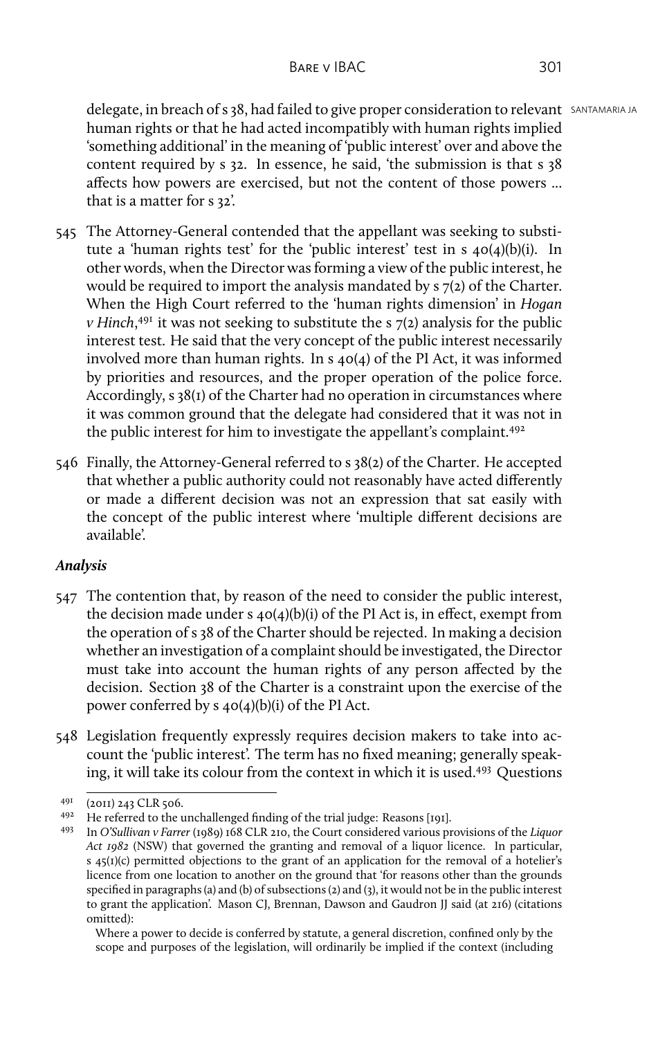delegate, in breach of s 38, had failed to give proper consideration to relevant SANTAMARIA JA human rights or that he had acted incompatibly with human rights implied 'something additional' in the meaning of 'public interest' over and above the content required by s 32. In essence, he said, 'the submission is that s 38 affects how powers are exercised, but not the content of those powers ... that is a matter for s 32'.

- 545 The Attorney-General contended that the appellant was seeking to substitute a 'human rights test' for the 'public interest' test in s 40(4)(b)(i). In other words, when the Director was forming a view of the public interest, he would be required to import the analysis mandated by s 7(2) of the Charter. When the High Court referred to the 'human rights dimension' in *Hogan v Hinch*, <sup>491</sup> it was not seeking to substitute the s 7(2) analysis for the public interest test. He said that the very concept of the public interest necessarily involved more than human rights. In s 40(4) of the PI Act, it was informed by priorities and resources, and the proper operation of the police force. Accordingly, s 38(1) of the Charter had no operation in circumstances where it was common ground that the delegate had considered that it was not in the public interest for him to investigate the appellant's complaint.<sup>492</sup>
- 546 Finally, the Attorney-General referred to s 38(2) of the Charter. He accepted that whether a public authority could not reasonably have acted differently or made a different decision was not an expression that sat easily with the concept of the public interest where 'multiple different decisions are available'.

## *Analysis*

- 547 The contention that, by reason of the need to consider the public interest, the decision made under s  $40(4)(b)(i)$  of the PI Act is, in effect, exempt from the operation of s 38 of the Charter should be rejected. In making a decision whether an investigation of a complaint should be investigated, the Director must take into account the human rights of any person affected by the decision. Section 38 of the Charter is a constraint upon the exercise of the power conferred by s 40(4)(b)(i) of the PI Act.
- 548 Legislation frequently expressly requires decision makers to take into account the 'public interest'. The term has no fixed meaning; generally speaking, it will take its colour from the context in which it is used.<sup>493</sup> Questions

<sup>491</sup> (2011) 243 CLR 506.

<sup>492</sup> He referred to the unchallenged finding of the trial judge: Reasons [191].

<sup>493</sup> In *O'Sullivan v Farrer* (1989) 168 CLR 210, the Court considered various provisions of the *Liquor Act 1982* (NSW) that governed the granting and removal of a liquor licence. In particular, s 45(1)(c) permitted objections to the grant of an application for the removal of a hotelier's licence from one location to another on the ground that 'for reasons other than the grounds specified in paragraphs (a) and (b) of subsections (2) and (3), it would not be in the public interest to grant the application'. Mason CJ, Brennan, Dawson and Gaudron JJ said (at 216) (citations omitted):

Where a power to decide is conferred by statute, a general discretion, confined only by the scope and purposes of the legislation, will ordinarily be implied if the context (including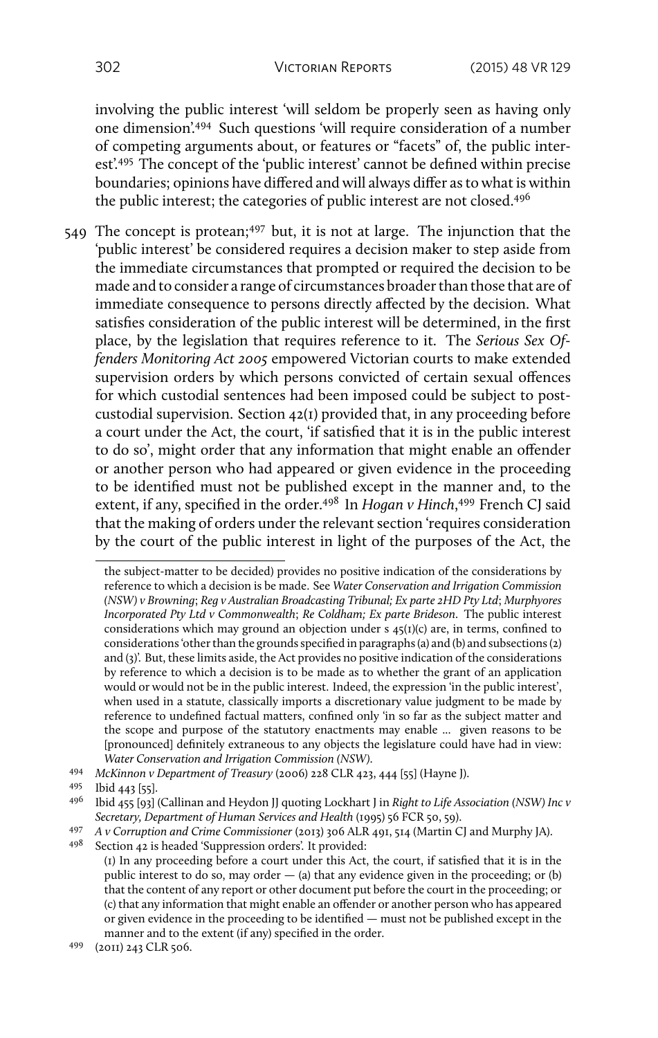involving the public interest 'will seldom be properly seen as having only one dimension'.<sup>494</sup> Such questions 'will require consideration of a number of competing arguments about, or features or "facets" of, the public interest'.<sup>495</sup> The concept of the 'public interest' cannot be defined within precise boundaries; opinions have differed and will always differ as to what is within the public interest; the categories of public interest are not closed.<sup>496</sup>

549 The concept is protean;<sup>497</sup> but, it is not at large. The injunction that the 'public interest' be considered requires a decision maker to step aside from the immediate circumstances that prompted or required the decision to be made and to consider a range of circumstances broader than those that are of immediate consequence to persons directly affected by the decision. What satisfies consideration of the public interest will be determined, in the first place, by the legislation that requires reference to it. The *Serious Sex Offenders Monitoring Act 2005* empowered Victorian courts to make extended supervision orders by which persons convicted of certain sexual offences for which custodial sentences had been imposed could be subject to postcustodial supervision. Section 42(1) provided that, in any proceeding before a court under the Act, the court, 'if satisfied that it is in the public interest to do so', might order that any information that might enable an offender or another person who had appeared or given evidence in the proceeding to be identified must not be published except in the manner and, to the extent, if any, specified in the order.<sup>498</sup> In *Hogan v Hinch*, <sup>499</sup> French CJ said that the making of orders under the relevant section 'requires consideration by the court of the public interest in light of the purposes of the Act, the

<sup>497</sup> *A v Corruption and Crime Commissioner* (2013) 306 ALR 491, 514 (Martin CJ and Murphy JA).

the subject-matter to be decided) provides no positive indication of the considerations by reference to which a decision is be made. See *Water Conservation and Irrigation Commission (NSW) v Browning*; *Reg v Australian Broadcasting Tribunal; Ex parte 2HD Pty Ltd*; *Murphyores Incorporated Pty Ltd v Commonwealth*; *Re Coldham; Ex parte Brideson*. The public interest considerations which may ground an objection under s  $45(I)(c)$  are, in terms, confined to considerations 'other than the grounds specified in paragraphs (a) and (b) and subsections (2) and (3)'. But, these limits aside, the Act provides no positive indication of the considerations by reference to which a decision is to be made as to whether the grant of an application would or would not be in the public interest. Indeed, the expression 'in the public interest', when used in a statute, classically imports a discretionary value judgment to be made by reference to undefined factual matters, confined only 'in so far as the subject matter and the scope and purpose of the statutory enactments may enable ... given reasons to be [pronounced] definitely extraneous to any objects the legislature could have had in view: *Water Conservation and Irrigation Commission (NSW)*.

<sup>494</sup> *McKinnon v Department of Treasury* (2006) 228 CLR 423, 444 [55] (Hayne J).

 $495$  Ibid 443 [55].

<sup>496</sup> Ibid 455 [93] (Callinan and Heydon JJ quoting Lockhart J in *Right to Life Association (NSW) Inc v Secretary, Department of Human Services and Health* (1995) 56 FCR 50, 59).

Section 42 is headed 'Suppression orders'. It provided: (1) In any proceeding before a court under this Act, the court, if satisfied that it is in the public interest to do so, may order  $-$  (a) that any evidence given in the proceeding; or (b) that the content of any report or other document put before the court in the proceeding; or (c) that any information that might enable an offender or another person who has appeared or given evidence in the proceeding to be identified — must not be published except in the manner and to the extent (if any) specified in the order.

<sup>499</sup> (2011) 243 CLR 506.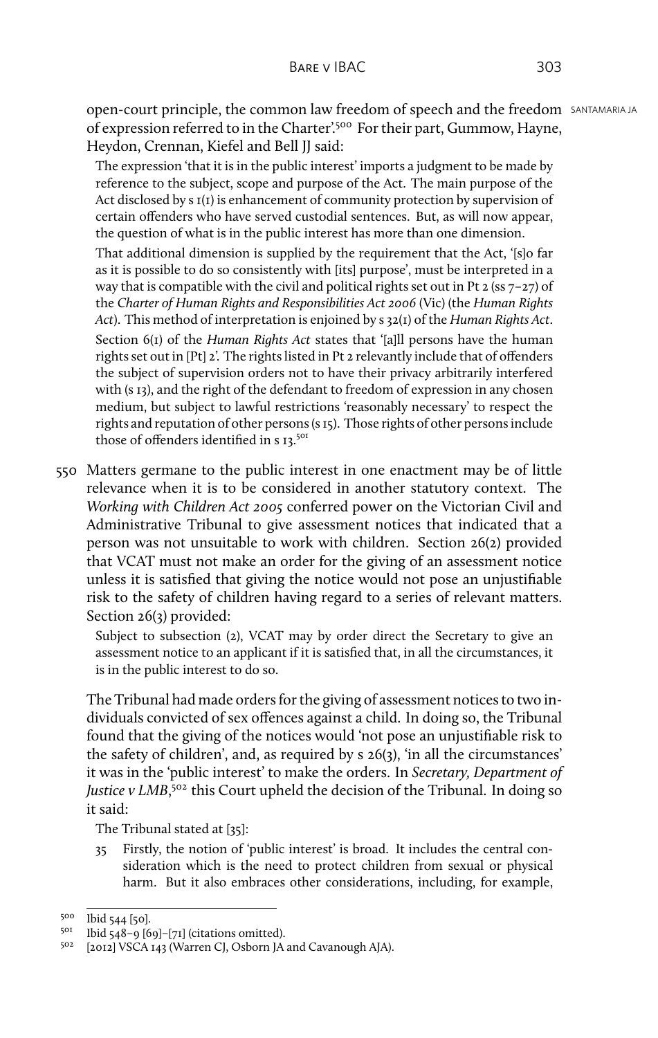open-court principle, the common law freedom of speech and the freedom SANTAMARIA JA of expression referred to in the Charter'.<sup>500</sup> For their part, Gummow, Hayne, Heydon, Crennan, Kiefel and Bell JJ said:

The expression 'that it is in the public interest' imports a judgment to be made by reference to the subject, scope and purpose of the Act. The main purpose of the Act disclosed by s  $I(I)$  is enhancement of community protection by supervision of certain offenders who have served custodial sentences. But, as will now appear, the question of what is in the public interest has more than one dimension.

That additional dimension is supplied by the requirement that the Act, '[s]o far as it is possible to do so consistently with [its] purpose', must be interpreted in a way that is compatible with the civil and political rights set out in Pt  $2$  (ss  $7-27$ ) of the *Charter of Human Rights and Responsibilities Act 2006* (Vic) (the *Human Rights Act*). This method of interpretation is enjoined by s 32(1) of the *Human Rights Act*. Section 6(1) of the *Human Rights Act* states that '[a]ll persons have the human rights set out in [Pt] 2'. The rights listed in Pt 2 relevantly include that of offenders the subject of supervision orders not to have their privacy arbitrarily interfered with (s 13), and the right of the defendant to freedom of expression in any chosen medium, but subject to lawful restrictions 'reasonably necessary' to respect the rights and reputation of other persons (s 15). Those rights of other persons include those of offenders identified in s 13.501

550 Matters germane to the public interest in one enactment may be of little relevance when it is to be considered in another statutory context. The *Working with Children Act 2005* conferred power on the Victorian Civil and Administrative Tribunal to give assessment notices that indicated that a person was not unsuitable to work with children. Section 26(2) provided that VCAT must not make an order for the giving of an assessment notice unless it is satisfied that giving the notice would not pose an unjustifiable risk to the safety of children having regard to a series of relevant matters. Section 26(3) provided:

Subject to subsection (2), VCAT may by order direct the Secretary to give an assessment notice to an applicant if it is satisfied that, in all the circumstances, it is in the public interest to do so.

The Tribunal had made orders for the giving of assessment notices to two individuals convicted of sex offences against a child. In doing so, the Tribunal found that the giving of the notices would 'not pose an unjustifiable risk to the safety of children', and, as required by s 26(3), 'in all the circumstances' it was in the 'public interest' to make the orders. In *Secretary, Department of* Justice v LMB,<sup>502</sup> this Court upheld the decision of the Tribunal. In doing so it said:

The Tribunal stated at [35]:

35 Firstly, the notion of 'public interest' is broad. It includes the central consideration which is the need to protect children from sexual or physical harm. But it also embraces other considerations, including, for example,

 $500$  Ibid 544 [50].<br> $501$  Ibid 548-0 [6]

Ibid 548–9  $[69]$ – $[71]$  (citations omitted).

<sup>502</sup> [2012] VSCA 143 (Warren CJ, Osborn JA and Cavanough AJA).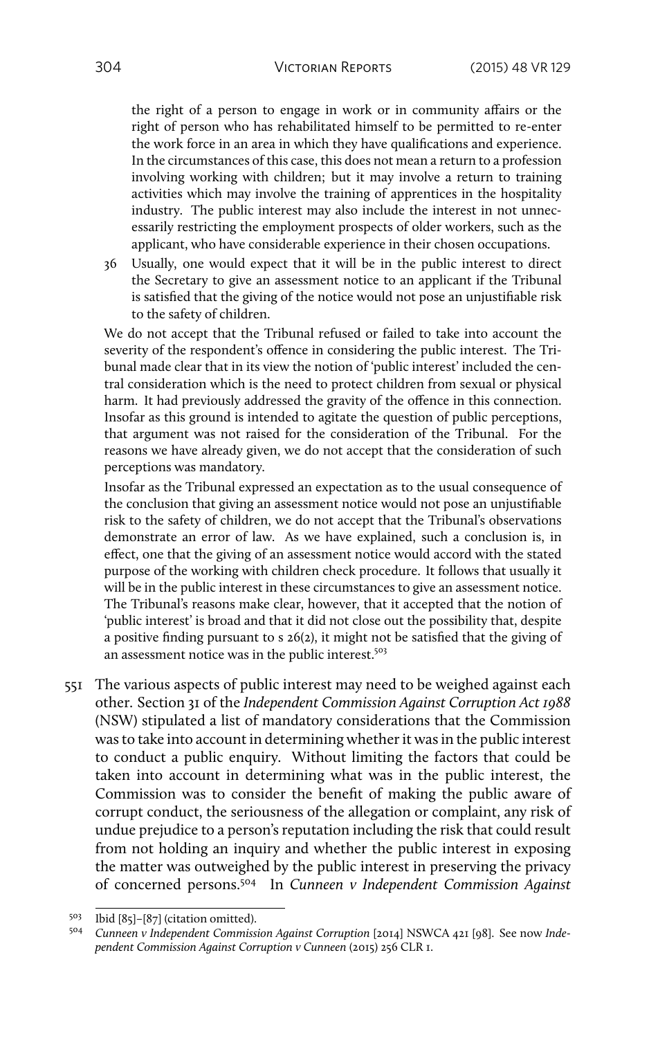the right of a person to engage in work or in community affairs or the right of person who has rehabilitated himself to be permitted to re-enter the work force in an area in which they have qualifications and experience. In the circumstances of this case, this does not mean a return to a profession involving working with children; but it may involve a return to training activities which may involve the training of apprentices in the hospitality industry. The public interest may also include the interest in not unnecessarily restricting the employment prospects of older workers, such as the applicant, who have considerable experience in their chosen occupations.

36 Usually, one would expect that it will be in the public interest to direct the Secretary to give an assessment notice to an applicant if the Tribunal is satisfied that the giving of the notice would not pose an unjustifiable risk to the safety of children.

We do not accept that the Tribunal refused or failed to take into account the severity of the respondent's offence in considering the public interest. The Tribunal made clear that in its view the notion of 'public interest' included the central consideration which is the need to protect children from sexual or physical harm. It had previously addressed the gravity of the offence in this connection. Insofar as this ground is intended to agitate the question of public perceptions, that argument was not raised for the consideration of the Tribunal. For the reasons we have already given, we do not accept that the consideration of such perceptions was mandatory.

Insofar as the Tribunal expressed an expectation as to the usual consequence of the conclusion that giving an assessment notice would not pose an unjustifiable risk to the safety of children, we do not accept that the Tribunal's observations demonstrate an error of law. As we have explained, such a conclusion is, in effect, one that the giving of an assessment notice would accord with the stated purpose of the working with children check procedure. It follows that usually it will be in the public interest in these circumstances to give an assessment notice. The Tribunal's reasons make clear, however, that it accepted that the notion of 'public interest' is broad and that it did not close out the possibility that, despite a positive finding pursuant to s 26(2), it might not be satisfied that the giving of an assessment notice was in the public interest.<sup>503</sup>

551 The various aspects of public interest may need to be weighed against each other. Section 31 of the *Independent Commission Against Corruption Act 1988* (NSW) stipulated a list of mandatory considerations that the Commission was to take into account in determining whether it was in the public interest to conduct a public enquiry. Without limiting the factors that could be taken into account in determining what was in the public interest, the Commission was to consider the benefit of making the public aware of corrupt conduct, the seriousness of the allegation or complaint, any risk of undue prejudice to a person's reputation including the risk that could result from not holding an inquiry and whether the public interest in exposing the matter was outweighed by the public interest in preserving the privacy of concerned persons.<sup>504</sup> In *Cunneen v Independent Commission Against*

<sup>503</sup> Ibid [85]–[87] (citation omitted).

<sup>504</sup> *Cunneen v Independent Commission Against Corruption* [2014] NSWCA 421 [98]. See now *Independent Commission Against Corruption v Cunneen* (2015) 256 CLR 1.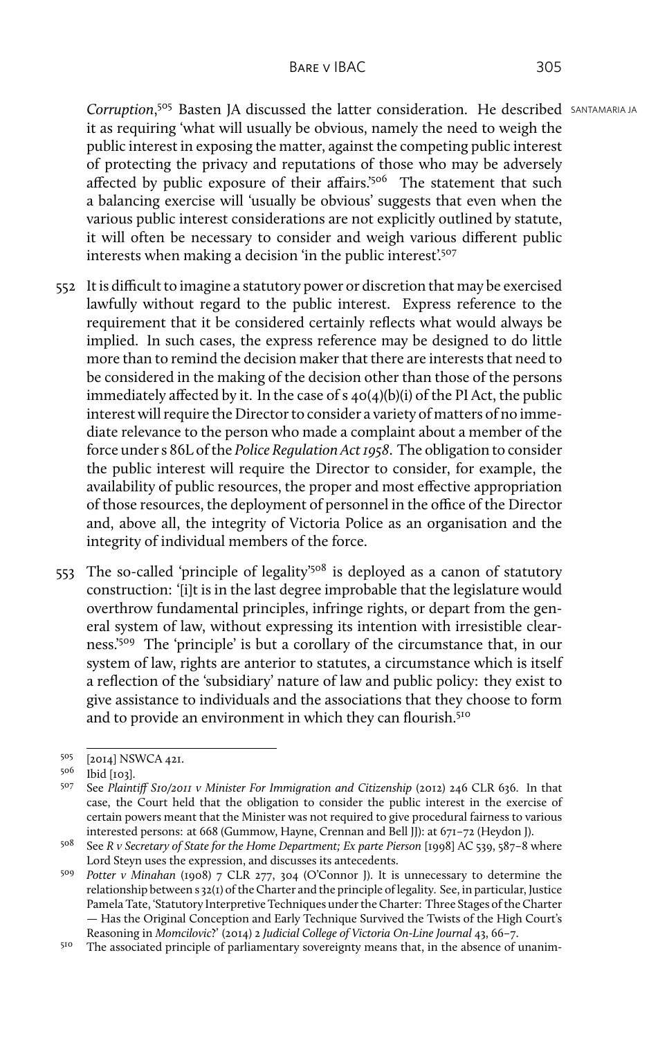**Corruption.<sup>505</sup> Basten IA discussed the latter consideration. He described SANTAMARIA JA** it as requiring 'what will usually be obvious, namely the need to weigh the public interest in exposing the matter, against the competing public interest of protecting the privacy and reputations of those who may be adversely affected by public exposure of their affairs.'<sup>506</sup> The statement that such a balancing exercise will 'usually be obvious' suggests that even when the various public interest considerations are not explicitly outlined by statute, it will often be necessary to consider and weigh various different public interests when making a decision 'in the public interest'.<sup>507</sup>

- 552 It is difficult to imagine a statutory power or discretion that may be exercised lawfully without regard to the public interest. Express reference to the requirement that it be considered certainly reflects what would always be implied. In such cases, the express reference may be designed to do little more than to remind the decision maker that there are interests that need to be considered in the making of the decision other than those of the persons immediately affected by it. In the case of s  $40(4)(b)(i)$  of the PI Act, the public interest will require the Director to consider a variety of matters of no immediate relevance to the person who made a complaint about a member of the force under s 86L of the *Police Regulation Act 1958*. The obligation to consider the public interest will require the Director to consider, for example, the availability of public resources, the proper and most effective appropriation of those resources, the deployment of personnel in the office of the Director and, above all, the integrity of Victoria Police as an organisation and the integrity of individual members of the force.
- 553 The so-called 'principle of legality'<sup>508</sup> is deployed as a canon of statutory construction: '[i]t is in the last degree improbable that the legislature would overthrow fundamental principles, infringe rights, or depart from the general system of law, without expressing its intention with irresistible clearness.'<sup>509</sup> The 'principle' is but a corollary of the circumstance that, in our system of law, rights are anterior to statutes, a circumstance which is itself a reflection of the 'subsidiary' nature of law and public policy: they exist to give assistance to individuals and the associations that they choose to form and to provide an environment in which they can flourish.<sup>510</sup>

<sup>505</sup> [2014] NSWCA 421.

<sup>506</sup> Ibid [103].

<sup>507</sup> See *Plaintiff S10/2011 v Minister For Immigration and Citizenship* (2012) 246 CLR 636. In that case, the Court held that the obligation to consider the public interest in the exercise of certain powers meant that the Minister was not required to give procedural fairness to various interested persons: at 668 (Gummow, Hayne, Crennan and Bell JJ): at 671–72 (Heydon J).

<sup>508</sup> See *R v Secretary of State for the Home Department; Ex parte Pierson* [1998] AC 539, 587–8 where Lord Steyn uses the expression, and discusses its antecedents.

<sup>509</sup> *Potter v Minahan* (1908) 7 CLR 277, 304 (O'Connor J). It is unnecessary to determine the relationship between s 32(1) of the Charter and the principle of legality. See, in particular, Justice Pamela Tate, 'Statutory Interpretive Techniques under the Charter: Three Stages of the Charter — Has the Original Conception and Early Technique Survived the Twists of the High Court's Reasoning in *Momcilovic*?' (2014) 2 *Judicial College of Victoria On-Line Journal* 43, 66–7.

<sup>&</sup>lt;sup>510</sup> The associated principle of parliamentary sovereignty means that, in the absence of unanim-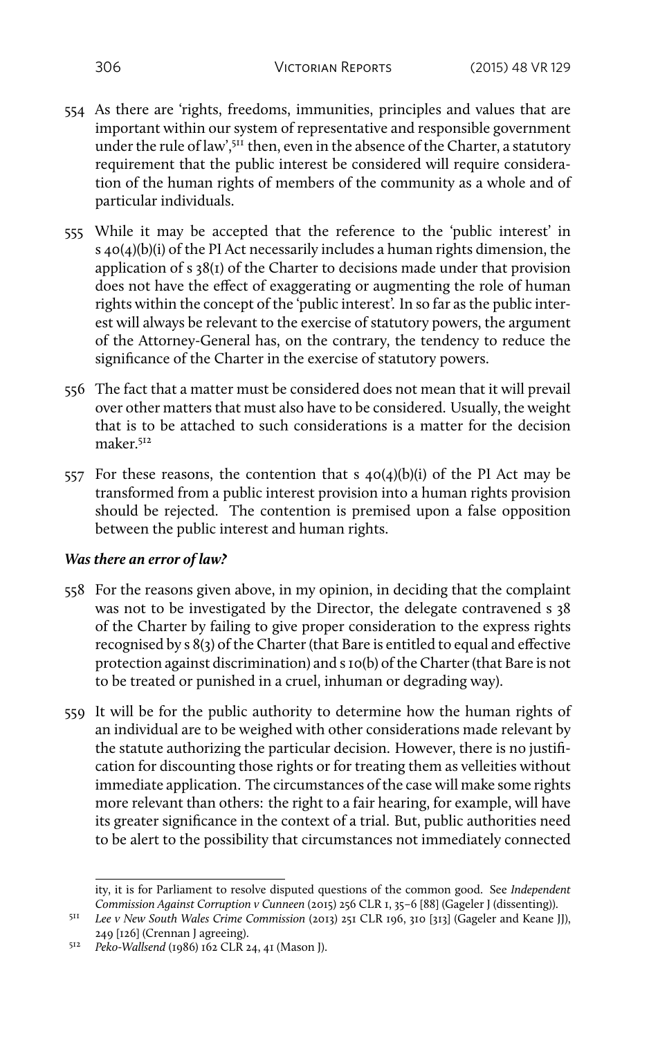- 554 As there are 'rights, freedoms, immunities, principles and values that are important within our system of representative and responsible government under the rule of law',  $5^{11}$  then, even in the absence of the Charter, a statutory requirement that the public interest be considered will require consideration of the human rights of members of the community as a whole and of particular individuals.
- 555 While it may be accepted that the reference to the 'public interest' in s 40(4)(b)(i) of the PI Act necessarily includes a human rights dimension, the application of s 38(1) of the Charter to decisions made under that provision does not have the effect of exaggerating or augmenting the role of human rights within the concept of the 'public interest'. In so far as the public interest will always be relevant to the exercise of statutory powers, the argument of the Attorney-General has, on the contrary, the tendency to reduce the significance of the Charter in the exercise of statutory powers.
- 556 The fact that a matter must be considered does not mean that it will prevail over other matters that must also have to be considered. Usually, the weight that is to be attached to such considerations is a matter for the decision maker.<sup>512</sup>
- 557 For these reasons, the contention that s  $40(4)(b)(i)$  of the PI Act may be transformed from a public interest provision into a human rights provision should be rejected. The contention is premised upon a false opposition between the public interest and human rights.

## *Was there an error of law?*

- 558 For the reasons given above, in my opinion, in deciding that the complaint was not to be investigated by the Director, the delegate contravened s 38 of the Charter by failing to give proper consideration to the express rights recognised by s 8(3) of the Charter (that Bare is entitled to equal and effective protection against discrimination) and s 10(b) of the Charter (that Bare is not to be treated or punished in a cruel, inhuman or degrading way).
- 559 It will be for the public authority to determine how the human rights of an individual are to be weighed with other considerations made relevant by the statute authorizing the particular decision. However, there is no justification for discounting those rights or for treating them as velleities without immediate application. The circumstances of the case will make some rights more relevant than others: the right to a fair hearing, for example, will have its greater significance in the context of a trial. But, public authorities need to be alert to the possibility that circumstances not immediately connected

ity, it is for Parliament to resolve disputed questions of the common good. See *Independent Commission Against Corruption v Cunneen* (2015) 256 CLR 1, 35–6 [88] (Gageler J (dissenting)).

<sup>511</sup> *Lee v New South Wales Crime Commission* (2013) 251 CLR 196, 310 [313] (Gageler and Keane JJ), 249 [126] (Crennan J agreeing).

<sup>512</sup> *Peko-Wallsend* (1986) 162 CLR 24, 41 (Mason J).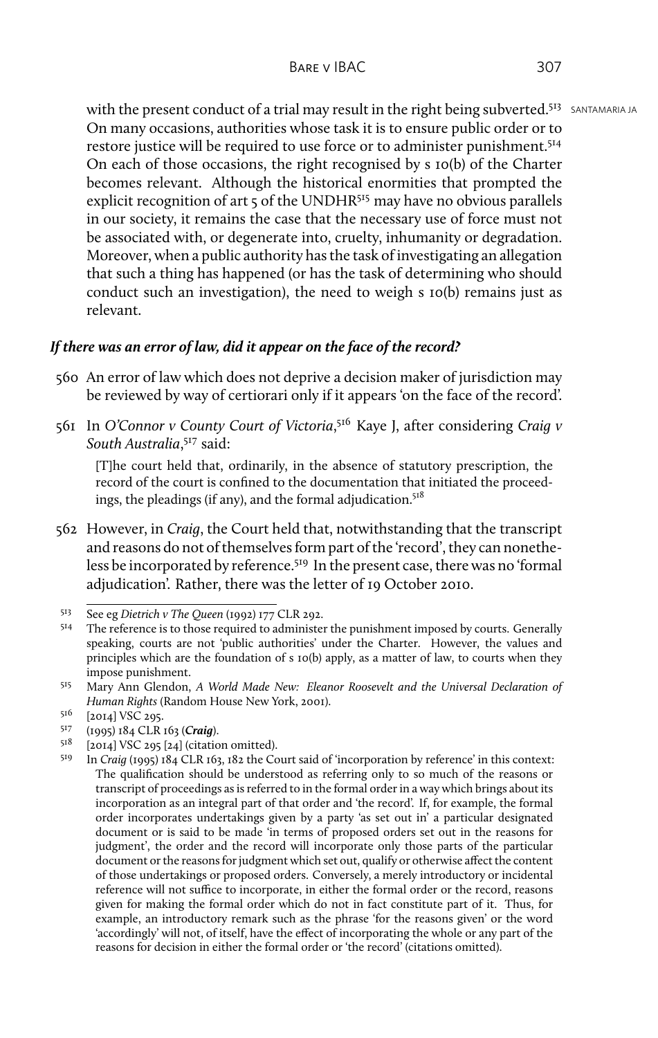With the present conduct of a trial may result in the right being subverted.<sup>513</sup> SANTAMARIA JA On many occasions, authorities whose task it is to ensure public order or to restore justice will be required to use force or to administer punishment.<sup>514</sup> On each of those occasions, the right recognised by s 10(b) of the Charter becomes relevant. Although the historical enormities that prompted the explicit recognition of art  $\frac{1}{5}$  of the UNDHR<sup>515</sup> may have no obvious parallels in our society, it remains the case that the necessary use of force must not be associated with, or degenerate into, cruelty, inhumanity or degradation. Moreover, when a public authority has the task of investigating an allegation that such a thing has happened (or has the task of determining who should conduct such an investigation), the need to weigh s 10(b) remains just as relevant.

## *If there was an error of law, did it appear on the face of the record?*

- 560 An error of law which does not deprive a decision maker of jurisdiction may be reviewed by way of certiorari only if it appears 'on the face of the record'.
- 561 In *O'Connor v County Court of Victoria*,<sup>516</sup> Kaye J, after considering *Craig v South Australia*, <sup>517</sup> said:

[T]he court held that, ordinarily, in the absence of statutory prescription, the record of the court is confined to the documentation that initiated the proceedings, the pleadings (if any), and the formal adjudication.<sup>518</sup>

562 However, in *Craig*, the Court held that, notwithstanding that the transcript and reasons do not of themselves form part of the 'record', they can nonetheless be incorporated by reference.<sup>519</sup> In the present case, there was no 'formal adjudication'. Rather, there was the letter of 19 October 2010.

- <sup>517</sup> (1995) 184 CLR 163 (*Craig*).
- $518$  [2014] VSC 295 [24] (citation omitted).

<sup>513</sup> See eg *Dietrich v The Queen* (1992) 177 CLR 292.

The reference is to those required to administer the punishment imposed by courts. Generally speaking, courts are not 'public authorities' under the Charter. However, the values and principles which are the foundation of s 10(b) apply, as a matter of law, to courts when they impose punishment.

<sup>515</sup> Mary Ann Glendon, *A World Made New: Eleanor Roosevelt and the Universal Declaration of Human Rights* (Random House New York, 2001).

<sup>516 [2014]</sup> VSC 295.

<sup>519</sup> In *Craig* (1995) 184 CLR 163, 182 the Court said of 'incorporation by reference' in this context: The qualification should be understood as referring only to so much of the reasons or transcript of proceedings as is referred to in the formal order in a way which brings about its incorporation as an integral part of that order and 'the record'. If, for example, the formal order incorporates undertakings given by a party 'as set out in' a particular designated document or is said to be made 'in terms of proposed orders set out in the reasons for judgment', the order and the record will incorporate only those parts of the particular document or the reasons for judgment which set out, qualify or otherwise affect the content of those undertakings or proposed orders. Conversely, a merely introductory or incidental reference will not suffice to incorporate, in either the formal order or the record, reasons given for making the formal order which do not in fact constitute part of it. Thus, for example, an introductory remark such as the phrase 'for the reasons given' or the word 'accordingly' will not, of itself, have the effect of incorporating the whole or any part of the reasons for decision in either the formal order or 'the record' (citations omitted).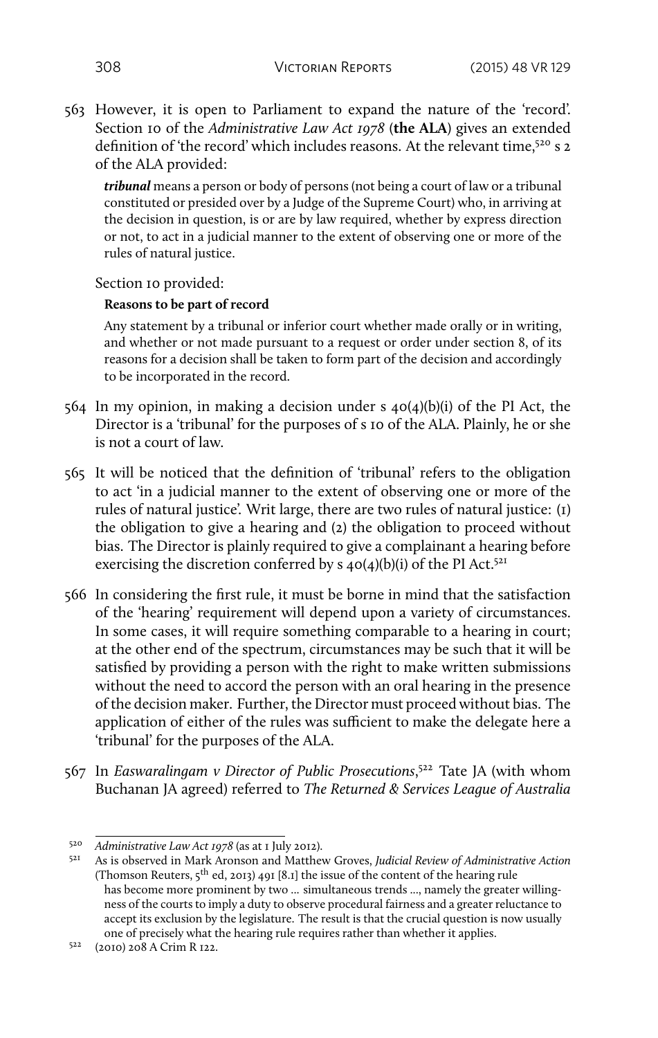563 However, it is open to Parliament to expand the nature of the 'record'. Section 10 of the *Administrative Law Act 1978* (**the ALA**) gives an extended definition of 'the record' which includes reasons. At the relevant time,<sup>520</sup> s 2 of the ALA provided:

*tribunal* means a person or body of persons (not being a court of law or a tribunal constituted or presided over by a Judge of the Supreme Court) who, in arriving at the decision in question, is or are by law required, whether by express direction or not, to act in a judicial manner to the extent of observing one or more of the rules of natural justice.

Section 10 provided:

## **Reasons to be part of record**

Any statement by a tribunal or inferior court whether made orally or in writing, and whether or not made pursuant to a request or order under section 8, of its reasons for a decision shall be taken to form part of the decision and accordingly to be incorporated in the record.

- 564 In my opinion, in making a decision under s 40(4)(b)(i) of the PI Act, the Director is a 'tribunal' for the purposes of s 10 of the ALA. Plainly, he or she is not a court of law.
- 565 It will be noticed that the definition of 'tribunal' refers to the obligation to act 'in a judicial manner to the extent of observing one or more of the rules of natural justice'. Writ large, there are two rules of natural justice: (1) the obligation to give a hearing and (2) the obligation to proceed without bias. The Director is plainly required to give a complainant a hearing before exercising the discretion conferred by  $s$  40(4)(b)(i) of the PI Act.<sup>521</sup>
- 566 In considering the first rule, it must be borne in mind that the satisfaction of the 'hearing' requirement will depend upon a variety of circumstances. In some cases, it will require something comparable to a hearing in court; at the other end of the spectrum, circumstances may be such that it will be satisfied by providing a person with the right to make written submissions without the need to accord the person with an oral hearing in the presence of the decision maker. Further, the Director must proceed without bias. The application of either of the rules was sufficient to make the delegate here a 'tribunal' for the purposes of the ALA.
- 567 In *Easwaralingam v Director of Public Prosecutions*,<sup>522</sup> Tate JA (with whom Buchanan JA agreed) referred to *The Returned & Services League of Australia*

<sup>520</sup> *Administrative Law Act 1978* (as at 1 July 2012).

<sup>521</sup> As is observed in Mark Aronson and Matthew Groves, *Judicial Review of Administrative Action* (Thomson Reuters, 5th ed, 2013) 491 [8.1] the issue of the content of the hearing rule has become more prominent by two ... simultaneous trends ..., namely the greater willingness of the courts to imply a duty to observe procedural fairness and a greater reluctance to accept its exclusion by the legislature. The result is that the crucial question is now usually one of precisely what the hearing rule requires rather than whether it applies.

<sup>522</sup> (2010) 208 A Crim R 122.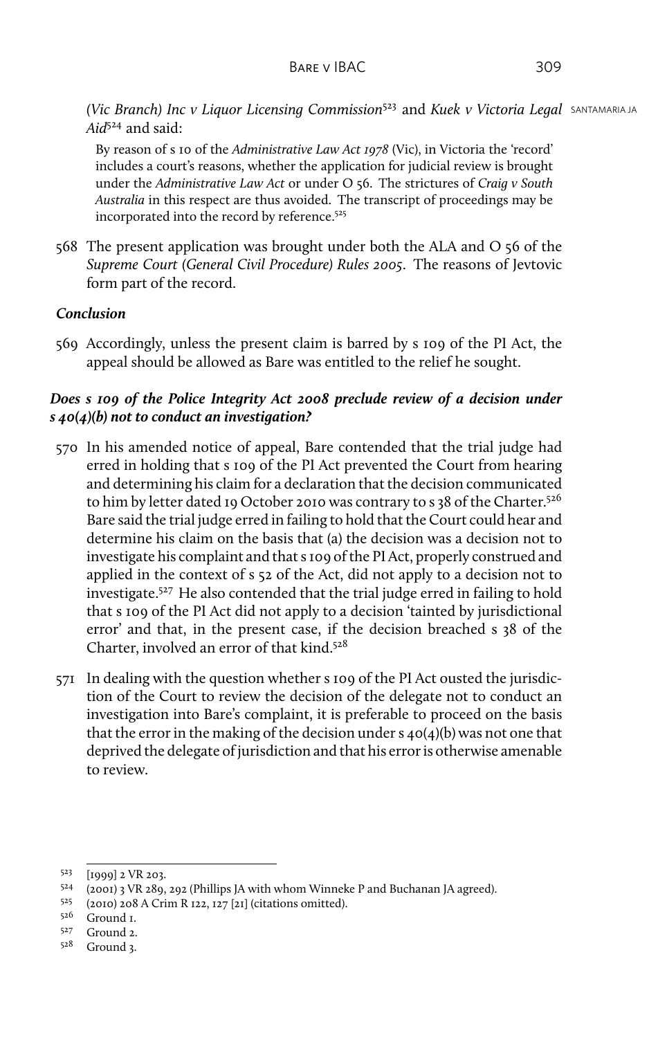*(Vic Branch) Inc v Liquor Licensing Commission*<sup>523</sup> and *Kuek v Victoria Legal* SANTAMARIA JA *Aid*<sup>524</sup> and said:

By reason of s 10 of the *Administrative Law Act 1978* (Vic), in Victoria the 'record' includes a court's reasons, whether the application for judicial review is brought under the *Administrative Law Act* or under O 56. The strictures of *Craig v South Australia* in this respect are thus avoided. The transcript of proceedings may be incorporated into the record by reference.<sup>525</sup>

568 The present application was brought under both the ALA and O 56 of the *Supreme Court (General Civil Procedure) Rules 2005*. The reasons of Jevtovic form part of the record.

## *Conclusion*

569 Accordingly, unless the present claim is barred by s 109 of the PI Act, the appeal should be allowed as Bare was entitled to the relief he sought.

# *Does s 109 of the Police Integrity Act 2008 preclude review of a decision under s 40(4)(b) not to conduct an investigation?*

- 570 In his amended notice of appeal, Bare contended that the trial judge had erred in holding that s 109 of the PI Act prevented the Court from hearing and determining his claim for a declaration that the decision communicated to him by letter dated 19 October 2010 was contrary to s 38 of the Charter.<sup>526</sup> Bare said the trial judge erred in failing to hold that the Court could hear and determine his claim on the basis that (a) the decision was a decision not to investigate his complaint and that s 109 of the PI Act, properly construed and applied in the context of s 52 of the Act, did not apply to a decision not to investigate.<sup>527</sup> He also contended that the trial judge erred in failing to hold that s 109 of the PI Act did not apply to a decision 'tainted by jurisdictional error' and that, in the present case, if the decision breached s 38 of the Charter, involved an error of that kind.<sup>528</sup>
- 571 In dealing with the question whether s 109 of the PI Act ousted the jurisdiction of the Court to review the decision of the delegate not to conduct an investigation into Bare's complaint, it is preferable to proceed on the basis that the error in the making of the decision under  $s$  40(4)(b) was not one that deprived the delegate of jurisdiction and that his error is otherwise amenable to review.

<sup>523</sup> [1999] 2 VR 203.

<sup>524</sup> (2001) 3 VR 289, 292 (Phillips JA with whom Winneke P and Buchanan JA agreed).

<sup>525</sup> (2010) 208 A Crim R 122, 127 [21] (citations omitted).

<sup>526</sup> Ground 1.

<sup>527</sup> Ground 2.

<sup>528</sup> Ground 3.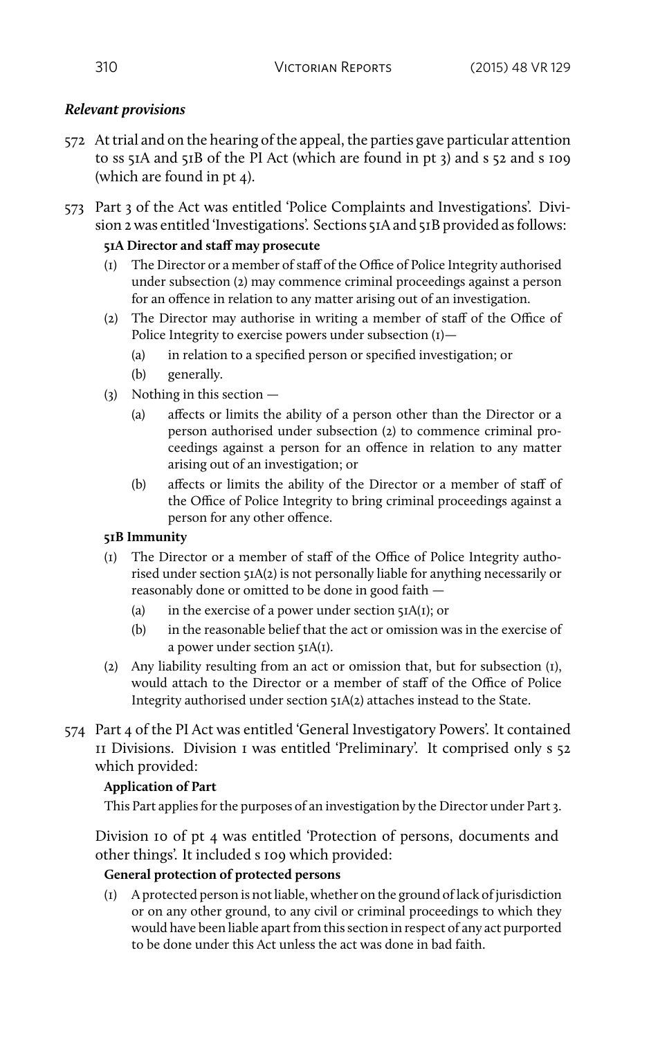# *Relevant provisions*

- 572 At trial and on the hearing of the appeal, the parties gave particular attention to ss 51A and 51B of the PI Act (which are found in pt 3) and s 52 and s 109 (which are found in pt 4).
- 573 Part 3 of the Act was entitled 'Police Complaints and Investigations'. Division 2 was entitled 'Investigations'. Sections 51A and 51B provided as follows:

## **51A Director and staff may prosecute**

- (1) The Director or a member of staff of the Office of Police Integrity authorised under subsection (2) may commence criminal proceedings against a person for an offence in relation to any matter arising out of an investigation.
- (2) The Director may authorise in writing a member of staff of the Office of Police Integrity to exercise powers under subsection (1)—
	- (a) in relation to a specified person or specified investigation; or
	- (b) generally.
- (3) Nothing in this section
	- (a) affects or limits the ability of a person other than the Director or a person authorised under subsection (2) to commence criminal proceedings against a person for an offence in relation to any matter arising out of an investigation; or
	- (b) affects or limits the ability of the Director or a member of staff of the Office of Police Integrity to bring criminal proceedings against a person for any other offence.

## **51B Immunity**

- (1) The Director or a member of staff of the Office of Police Integrity authorised under section 51A(2) is not personally liable for anything necessarily or reasonably done or omitted to be done in good faith —
	- (a) in the exercise of a power under section 51A(1); or
	- (b) in the reasonable belief that the act or omission was in the exercise of a power under section 51A(1).
- (2) Any liability resulting from an act or omission that, but for subsection (1), would attach to the Director or a member of staff of the Office of Police Integrity authorised under section 51A(2) attaches instead to the State.
- 574 Part 4 of the PI Act was entitled 'General Investigatory Powers'. It contained 11 Divisions. Division 1 was entitled 'Preliminary'. It comprised only s 52 which provided:

# **Application of Part**

This Part applies for the purposes of an investigation by the Director under Part 3.

Division 10 of pt 4 was entitled 'Protection of persons, documents and other things'. It included s 109 which provided:

# **General protection of protected persons**

(1) A protected person is not liable, whether on the ground of lack of jurisdiction or on any other ground, to any civil or criminal proceedings to which they would have been liable apart from this section in respect of any act purported to be done under this Act unless the act was done in bad faith.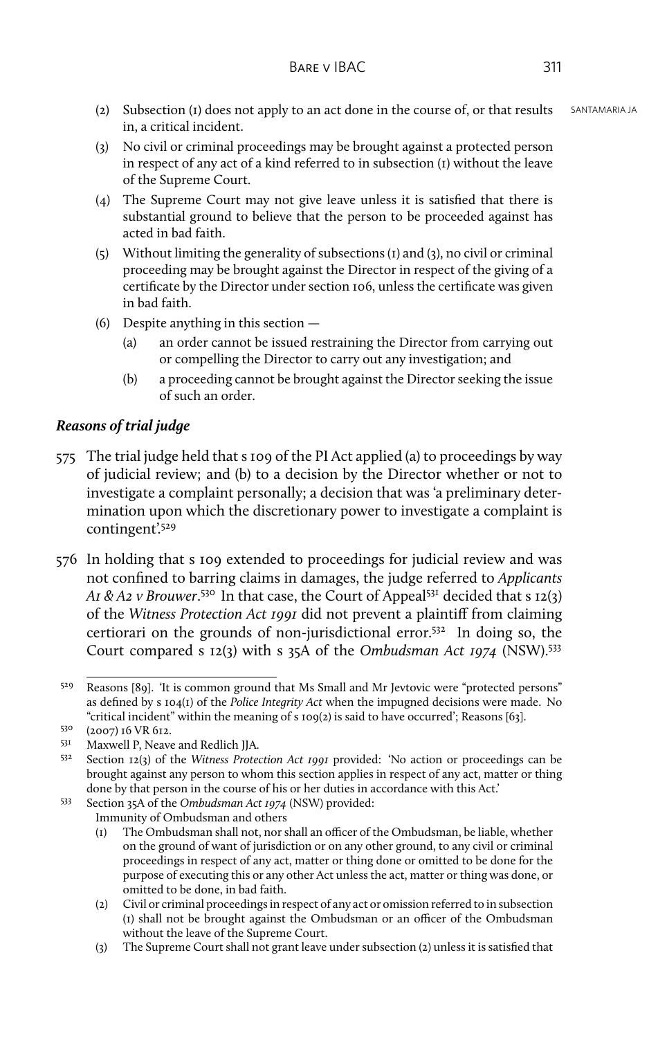- (2) Subsection (1) does not apply to an act done in the course of, or that results  $SANTAMARIA IA$ in, a critical incident.
- (3) No civil or criminal proceedings may be brought against a protected person in respect of any act of a kind referred to in subsection (1) without the leave of the Supreme Court.
- (4) The Supreme Court may not give leave unless it is satisfied that there is substantial ground to believe that the person to be proceeded against has acted in bad faith.
- (5) Without limiting the generality of subsections (1) and (3), no civil or criminal proceeding may be brought against the Director in respect of the giving of a certificate by the Director under section 106, unless the certificate was given in bad faith.
- (6) Despite anything in this section
	- (a) an order cannot be issued restraining the Director from carrying out or compelling the Director to carry out any investigation; and
	- (b) a proceeding cannot be brought against the Director seeking the issue of such an order.

## *Reasons of trial judge*

- 575 The trial judge held that s 109 of the PI Act applied (a) to proceedings by way of judicial review; and (b) to a decision by the Director whether or not to investigate a complaint personally; a decision that was 'a preliminary determination upon which the discretionary power to investigate a complaint is contingent'.<sup>529</sup>
- 576 In holding that s 109 extended to proceedings for judicial review and was not confined to barring claims in damages, the judge referred to *Applicants A1 & A2 v Brouwer*. <sup>530</sup> In that case, the Court of Appeal<sup>531</sup> decided that s 12(3) of the *Witness Protection Act 1991* did not prevent a plaintiff from claiming certiorari on the grounds of non-jurisdictional error.<sup>532</sup> In doing so, the Court compared s 12(3) with s 35A of the *Ombudsman Act 1974* (NSW).<sup>533</sup>

(3) The Supreme Court shall not grant leave under subsection (2) unless it is satisfied that

<sup>529</sup> Reasons [89]. 'It is common ground that Ms Small and Mr Jevtovic were "protected persons" as defined by s 104(1) of the *Police Integrity Act* when the impugned decisions were made. No "critical incident" within the meaning of s 109(2) is said to have occurred'; Reasons [63].

 $^{530}$  (2007) 16 VR 612.<br> $^{531}$  Maxwell P Neave

<sup>531</sup> Maxwell P, Neave and Redlich JJA.<br>532 Section 12(2) of the Witness Prote

Section 12(3) of the *Witness Protection Act 1991* provided: 'No action or proceedings can be brought against any person to whom this section applies in respect of any act, matter or thing done by that person in the course of his or her duties in accordance with this Act.'

<sup>533</sup> Section 35A of the *Ombudsman Act 1974* (NSW) provided:

Immunity of Ombudsman and others

<sup>(1)</sup> The Ombudsman shall not, nor shall an officer of the Ombudsman, be liable, whether on the ground of want of jurisdiction or on any other ground, to any civil or criminal proceedings in respect of any act, matter or thing done or omitted to be done for the purpose of executing this or any other Act unless the act, matter or thing was done, or omitted to be done, in bad faith.

<sup>(2)</sup> Civil or criminal proceedings in respect of any act or omission referred to in subsection (1) shall not be brought against the Ombudsman or an officer of the Ombudsman without the leave of the Supreme Court.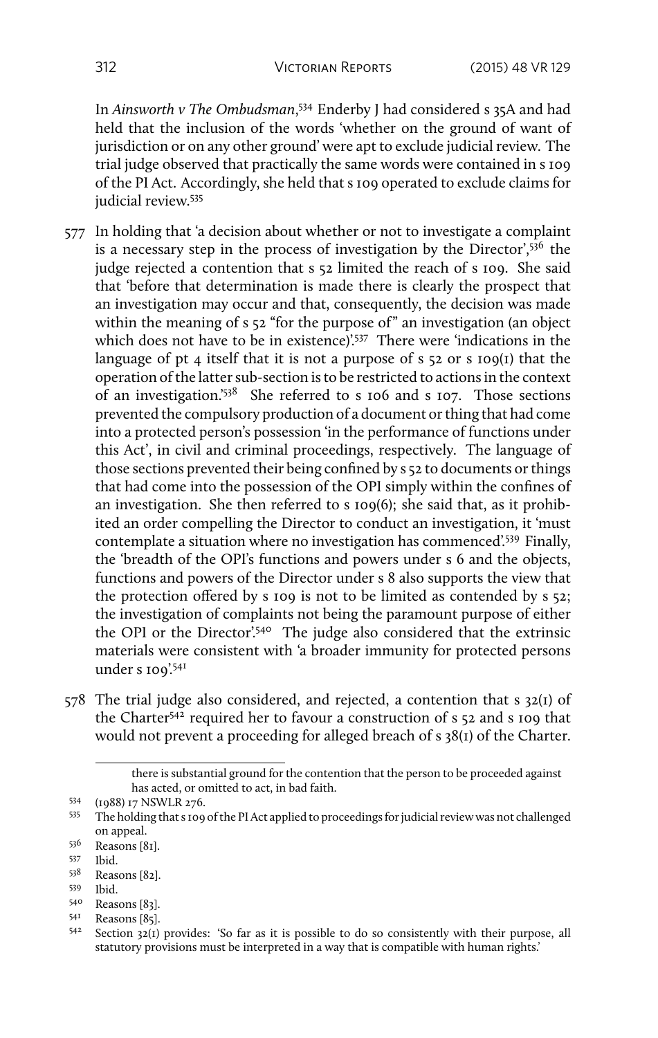In *Ainsworth v The Ombudsman*, <sup>534</sup> Enderby J had considered s 35A and had held that the inclusion of the words 'whether on the ground of want of jurisdiction or on any other ground' were apt to exclude judicial review. The trial judge observed that practically the same words were contained in s 109 of the PI Act. Accordingly, she held that s 109 operated to exclude claims for judicial review.<sup>535</sup>

- 577 In holding that 'a decision about whether or not to investigate a complaint is a necessary step in the process of investigation by the Director', $536$  the judge rejected a contention that s 52 limited the reach of s 109. She said that 'before that determination is made there is clearly the prospect that an investigation may occur and that, consequently, the decision was made within the meaning of s 52 "for the purpose of" an investigation (an object which does not have to be in existence)<sup>'537</sup> There were 'indications in the language of pt 4 itself that it is not a purpose of  $s$   $52$  or  $s$   $109(1)$  that the operation of the latter sub-section is to be restricted to actions in the context of an investigation.'<sup>538</sup> She referred to s 106 and s 107. Those sections prevented the compulsory production of a document or thing that had come into a protected person's possession 'in the performance of functions under this Act', in civil and criminal proceedings, respectively. The language of those sections prevented their being confined by s 52 to documents or things that had come into the possession of the OPI simply within the confines of an investigation. She then referred to s 109(6); she said that, as it prohibited an order compelling the Director to conduct an investigation, it 'must contemplate a situation where no investigation has commenced'.<sup>539</sup> Finally, the 'breadth of the OPI's functions and powers under s 6 and the objects, functions and powers of the Director under s 8 also supports the view that the protection offered by s 109 is not to be limited as contended by s 52; the investigation of complaints not being the paramount purpose of either the OPI or the Director'.<sup>540</sup> The judge also considered that the extrinsic materials were consistent with 'a broader immunity for protected persons under s  $100^{2541}$
- 578 The trial judge also considered, and rejected, a contention that s 32(1) of the Charter<sup>542</sup> required her to favour a construction of s 52 and s 109 that would not prevent a proceeding for alleged breach of s 38(1) of the Charter.

there is substantial ground for the contention that the person to be proceeded against has acted, or omitted to act, in bad faith.

<sup>&</sup>lt;sup>534</sup> (1988) 17 NSWLR 276.<br>535 The holding that 5.500

<sup>535</sup> The holding that s 109 of the PI Act applied to proceedings for judicial review was not challenged on appeal.

 $\frac{536}{537}$  Reasons [81].

 $537$  Ibid.<br> $538$  Reas

Reasons [82].

<sup>539</sup> Ibid.

 $540$  Reasons [83].<br> $541$  Reasons [85]

 $54^1$  Reasons [85].<br> $54^2$  Section 22(1)

Section  $32(i)$  provides: 'So far as it is possible to do so consistently with their purpose, all statutory provisions must be interpreted in a way that is compatible with human rights.'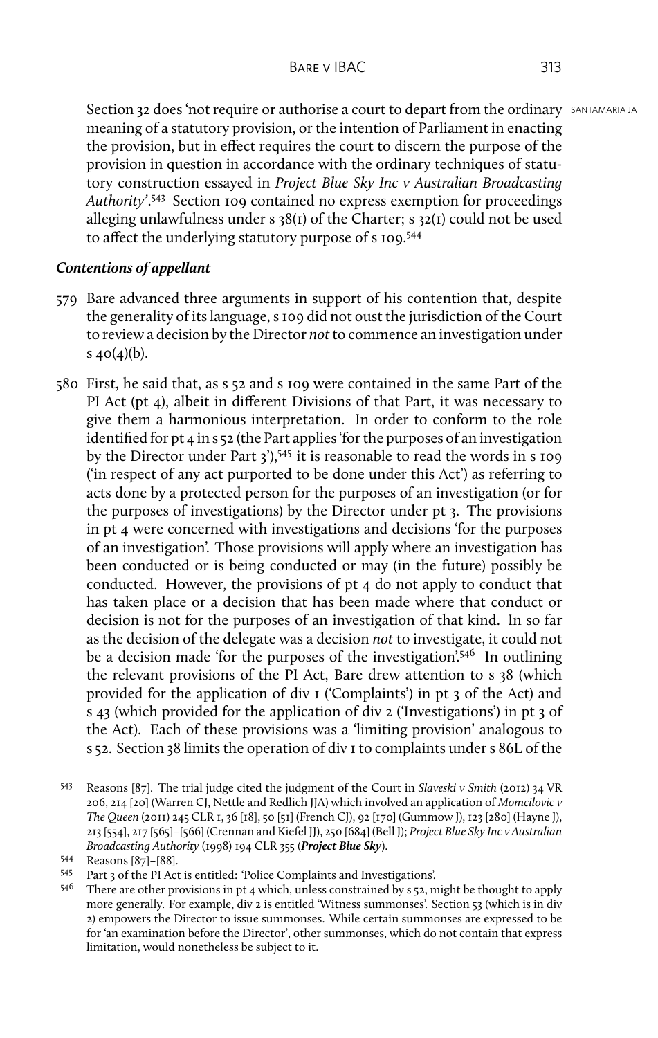Section 32 does 'not require or authorise a court to depart from the ordinary SANTAMARIA JA meaning of a statutory provision, or the intention of Parliament in enacting the provision, but in effect requires the court to discern the purpose of the provision in question in accordance with the ordinary techniques of statutory construction essayed in *Project Blue Sky Inc v Australian Broadcasting Authority'*. <sup>543</sup> Section 109 contained no express exemption for proceedings alleging unlawfulness under s  $38(I)$  of the Charter; s  $32(I)$  could not be used to affect the underlying statutory purpose of s 109.<sup>544</sup>

# *Contentions of appellant*

- 579 Bare advanced three arguments in support of his contention that, despite the generality of its language, s 109 did not oust the jurisdiction of the Court to review a decision by the Director *not* to commence an investigation under s  $40(4)(b)$ .
- 580 First, he said that, as s 52 and s 109 were contained in the same Part of the PI Act (pt 4), albeit in different Divisions of that Part, it was necessary to give them a harmonious interpretation. In order to conform to the role identified for pt 4 in s 52 (the Part applies 'for the purposes of an investigation by the Director under Part  $3^{1}$ ,  $545$  it is reasonable to read the words in s 109 ('in respect of any act purported to be done under this Act') as referring to acts done by a protected person for the purposes of an investigation (or for the purposes of investigations) by the Director under pt 3. The provisions in pt 4 were concerned with investigations and decisions 'for the purposes of an investigation'. Those provisions will apply where an investigation has been conducted or is being conducted or may (in the future) possibly be conducted. However, the provisions of pt 4 do not apply to conduct that has taken place or a decision that has been made where that conduct or decision is not for the purposes of an investigation of that kind. In so far as the decision of the delegate was a decision *not* to investigate, it could not be a decision made 'for the purposes of the investigation'.<sup>546</sup> In outlining the relevant provisions of the PI Act, Bare drew attention to s 38 (which provided for the application of div 1 ('Complaints') in pt 3 of the Act) and s 43 (which provided for the application of div 2 ('Investigations') in pt 3 of the Act). Each of these provisions was a 'limiting provision' analogous to s 52. Section 38 limits the operation of div 1 to complaints under s 86L of the

<sup>543</sup> Reasons [87]. The trial judge cited the judgment of the Court in *Slaveski v Smith* (2012) 34 VR 206, 214 [20] (Warren CJ, Nettle and Redlich JJA) which involved an application of *Momcilovic v The Queen* (2011) 245 CLR 1, 36 [18], 50 [51] (French CJ), 92 [170] (Gummow J), 123 [280] (Hayne J), 213 [554], 217 [565]–[566] (Crennan and Kiefel JJ), 250 [684] (Bell J); *Project Blue Sky Inc v Australian Broadcasting Authority* (1998) 194 CLR 355 (*Project Blue Sky*).

 $544$  Reasons [87]–[88].<br> $545$  Part 3 of the PI Act

Part 3 of the PI Act is entitled: 'Police Complaints and Investigations'.

<sup>546</sup> There are other provisions in pt 4 which, unless constrained by s 52, might be thought to apply more generally. For example, div 2 is entitled 'Witness summonses'. Section 53 (which is in div 2) empowers the Director to issue summonses. While certain summonses are expressed to be for 'an examination before the Director', other summonses, which do not contain that express limitation, would nonetheless be subject to it.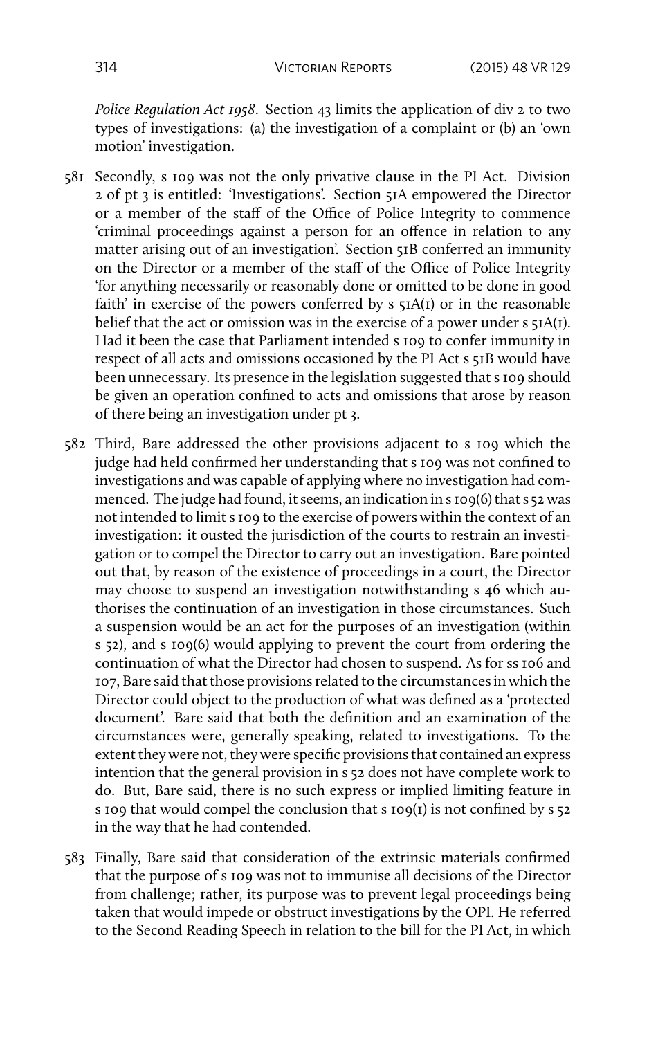*Police Regulation Act 1958*. Section 43 limits the application of div 2 to two types of investigations: (a) the investigation of a complaint or (b) an 'own motion' investigation.

- 581 Secondly, s 109 was not the only privative clause in the PI Act. Division 2 of pt 3 is entitled: 'Investigations'. Section 51A empowered the Director or a member of the staff of the Office of Police Integrity to commence 'criminal proceedings against a person for an offence in relation to any matter arising out of an investigation'. Section 51B conferred an immunity on the Director or a member of the staff of the Office of Police Integrity 'for anything necessarily or reasonably done or omitted to be done in good faith' in exercise of the powers conferred by  $s$   $\overline{s}$ IA(I) or in the reasonable belief that the act or omission was in the exercise of a power under s 51A(1). Had it been the case that Parliament intended s 109 to confer immunity in respect of all acts and omissions occasioned by the PI Act s 51B would have been unnecessary. Its presence in the legislation suggested that s 109 should be given an operation confined to acts and omissions that arose by reason of there being an investigation under pt 3.
- 582 Third, Bare addressed the other provisions adjacent to s 109 which the judge had held confirmed her understanding that s 109 was not confined to investigations and was capable of applying where no investigation had commenced. The judge had found, it seems, an indication in s 109(6) that s 52 was not intended to limit s 109 to the exercise of powers within the context of an investigation: it ousted the jurisdiction of the courts to restrain an investigation or to compel the Director to carry out an investigation. Bare pointed out that, by reason of the existence of proceedings in a court, the Director may choose to suspend an investigation notwithstanding s 46 which authorises the continuation of an investigation in those circumstances. Such a suspension would be an act for the purposes of an investigation (within s 52), and s 109(6) would applying to prevent the court from ordering the continuation of what the Director had chosen to suspend. As for ss 106 and 107, Bare said that those provisions related to the circumstances in which the Director could object to the production of what was defined as a 'protected document'. Bare said that both the definition and an examination of the circumstances were, generally speaking, related to investigations. To the extent they were not, they were specific provisions that contained an express intention that the general provision in s 52 does not have complete work to do. But, Bare said, there is no such express or implied limiting feature in s 109 that would compel the conclusion that s 109(1) is not confined by s 52 in the way that he had contended.
- 583 Finally, Bare said that consideration of the extrinsic materials confirmed that the purpose of s 109 was not to immunise all decisions of the Director from challenge; rather, its purpose was to prevent legal proceedings being taken that would impede or obstruct investigations by the OPI. He referred to the Second Reading Speech in relation to the bill for the PI Act, in which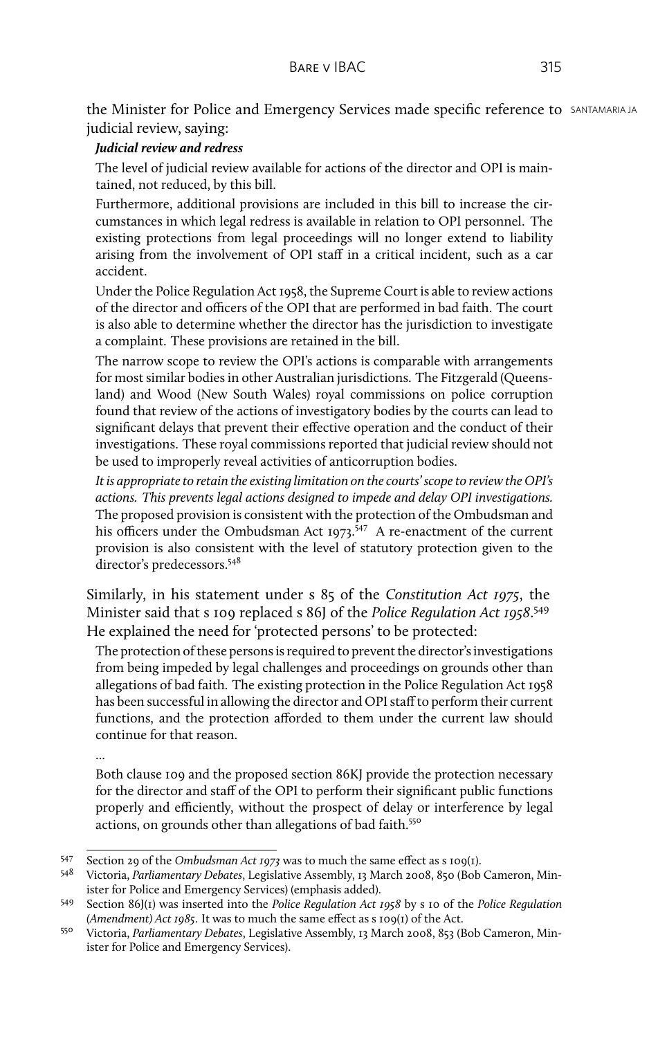the Minister for Police and Emergency Services made specific reference to SANTAMARIA JA judicial review, saying:

## *Judicial review and redress*

The level of judicial review available for actions of the director and OPI is maintained, not reduced, by this bill.

Furthermore, additional provisions are included in this bill to increase the circumstances in which legal redress is available in relation to OPI personnel. The existing protections from legal proceedings will no longer extend to liability arising from the involvement of OPI staff in a critical incident, such as a car accident.

Under the Police Regulation Act 1958, the Supreme Court is able to review actions of the director and officers of the OPI that are performed in bad faith. The court is also able to determine whether the director has the jurisdiction to investigate a complaint. These provisions are retained in the bill.

The narrow scope to review the OPI's actions is comparable with arrangements for most similar bodies in other Australian jurisdictions. The Fitzgerald (Queensland) and Wood (New South Wales) royal commissions on police corruption found that review of the actions of investigatory bodies by the courts can lead to significant delays that prevent their effective operation and the conduct of their investigations. These royal commissions reported that judicial review should not be used to improperly reveal activities of anticorruption bodies.

*It is appropriate to retain the existing limitation on the courts' scope to review the OPI's actions. This prevents legal actions designed to impede and delay OPI investigations.* The proposed provision is consistent with the protection of the Ombudsman and his officers under the Ombudsman Act  $1973$ .<sup>547</sup> A re-enactment of the current provision is also consistent with the level of statutory protection given to the director's predecessors.<sup>548</sup>

Similarly, in his statement under s 85 of the *Constitution Act 1975*, the Minister said that s 109 replaced s 86J of the *Police Regulation Act 1958*. 549 He explained the need for 'protected persons' to be protected:

The protection of these persons is required to prevent the director's investigations from being impeded by legal challenges and proceedings on grounds other than allegations of bad faith. The existing protection in the Police Regulation Act 1958 has been successful in allowing the director and OPI staff to perform their current functions, and the protection afforded to them under the current law should continue for that reason.

...

Both clause 109 and the proposed section 86KJ provide the protection necessary for the director and staff of the OPI to perform their significant public functions properly and efficiently, without the prospect of delay or interference by legal actions, on grounds other than allegations of bad faith.<sup>550</sup>

<sup>547</sup> Section 29 of the *Ombudsman Act 1973* was to much the same effect as s 109(1).

<sup>548</sup> Victoria, *Parliamentary Debates*, Legislative Assembly, 13 March 2008, 850 (Bob Cameron, Minister for Police and Emergency Services) (emphasis added).

<sup>549</sup> Section 86J(1) was inserted into the *Police Regulation Act 1958* by s 10 of the *Police Regulation (Amendment) Act 1985*. It was to much the same effect as s 109(1) of the Act.

<sup>550</sup> Victoria, *Parliamentary Debates*, Legislative Assembly, 13 March 2008, 853 (Bob Cameron, Minister for Police and Emergency Services).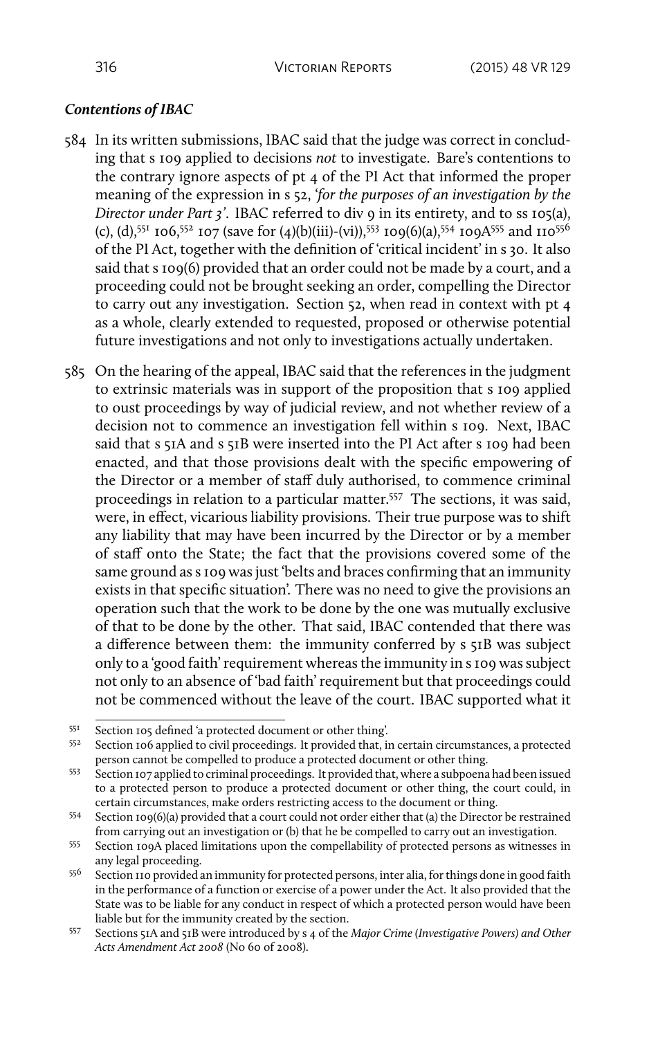## *Contentions of IBAC*

- 584 In its written submissions, IBAC said that the judge was correct in concluding that s 109 applied to decisions *not* to investigate. Bare's contentions to the contrary ignore aspects of pt 4 of the PI Act that informed the proper meaning of the expression in s 52, '*for the purposes of an investigation by the Director under Part 3'*. IBAC referred to div 9 in its entirety, and to ss 105(a), (c), (d),<sup>551</sup> 106,<sup>552</sup> 107 (save for (4)(b)(iii)-(vi)),<sup>553</sup> 109(6)(a),<sup>554</sup> 109A<sup>555</sup> and 110<sup>556</sup> of the PI Act, together with the definition of 'critical incident' in s 30. It also said that s 109(6) provided that an order could not be made by a court, and a proceeding could not be brought seeking an order, compelling the Director to carry out any investigation. Section 52, when read in context with pt 4 as a whole, clearly extended to requested, proposed or otherwise potential future investigations and not only to investigations actually undertaken.
- 585 On the hearing of the appeal, IBAC said that the references in the judgment to extrinsic materials was in support of the proposition that s 109 applied to oust proceedings by way of judicial review, and not whether review of a decision not to commence an investigation fell within s 109. Next, IBAC said that s 51A and s 51B were inserted into the PI Act after s 109 had been enacted, and that those provisions dealt with the specific empowering of the Director or a member of staff duly authorised, to commence criminal proceedings in relation to a particular matter.<sup>557</sup> The sections, it was said, were, in effect, vicarious liability provisions. Their true purpose was to shift any liability that may have been incurred by the Director or by a member of staff onto the State; the fact that the provisions covered some of the same ground as s 109 was just 'belts and braces confirming that an immunity exists in that specific situation'. There was no need to give the provisions an operation such that the work to be done by the one was mutually exclusive of that to be done by the other. That said, IBAC contended that there was a difference between them: the immunity conferred by s 51B was subject only to a 'good faith' requirement whereas the immunity in s 109 was subject not only to an absence of 'bad faith' requirement but that proceedings could not be commenced without the leave of the court. IBAC supported what it

 $551$  Section 105 defined 'a protected document or other thing'.<br> $552$  Section 106 annlied to civil proceedings, It provided that is

Section 106 applied to civil proceedings. It provided that, in certain circumstances, a protected person cannot be compelled to produce a protected document or other thing.

<sup>553</sup> Section 107 applied to criminal proceedings. It provided that, where a subpoena had been issued to a protected person to produce a protected document or other thing, the court could, in certain circumstances, make orders restricting access to the document or thing.

<sup>554</sup> Section 109(6)(a) provided that a court could not order either that (a) the Director be restrained from carrying out an investigation or (b) that he be compelled to carry out an investigation.

<sup>555</sup> Section 109A placed limitations upon the compellability of protected persons as witnesses in any legal proceeding.

<sup>556</sup> Section 110 provided an immunity for protected persons, inter alia, for things done in good faith in the performance of a function or exercise of a power under the Act. It also provided that the State was to be liable for any conduct in respect of which a protected person would have been liable but for the immunity created by the section.

<sup>557</sup> Sections 51A and 51B were introduced by s 4 of the *Major Crime (Investigative Powers) and Other Acts Amendment Act 2008* (No 60 of 2008).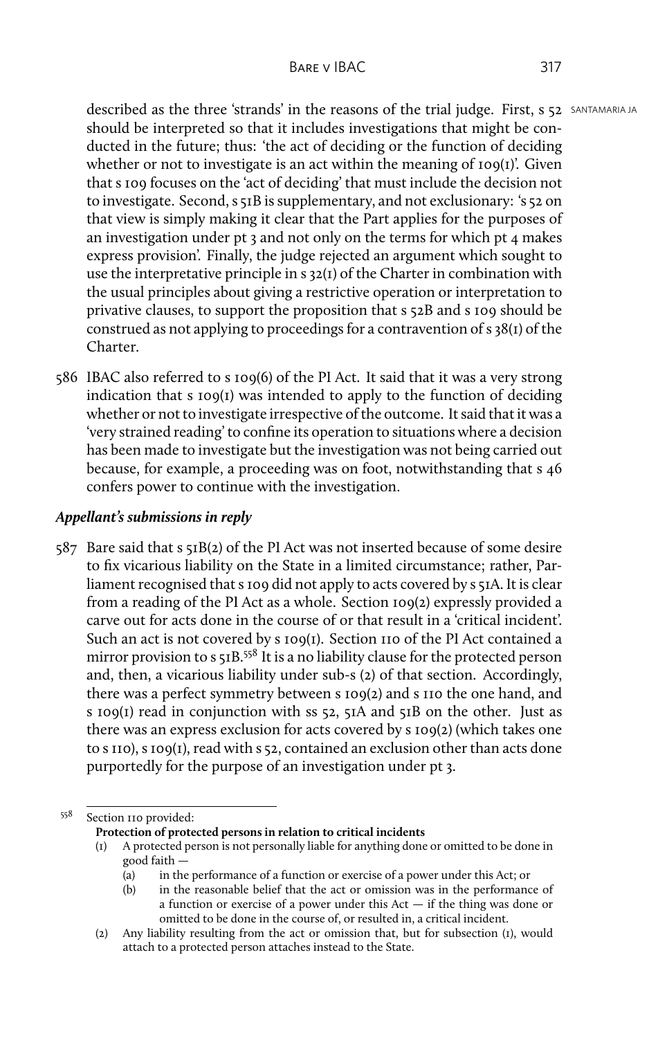described as the three 'strands' in the reasons of the trial judge. First, s 52 SANTAMARIA JA should be interpreted so that it includes investigations that might be conducted in the future; thus: 'the act of deciding or the function of deciding whether or not to investigate is an act within the meaning of  $109(1)$ . Given that s 109 focuses on the 'act of deciding' that must include the decision not to investigate. Second, s 51B is supplementary, and not exclusionary: 's 52 on that view is simply making it clear that the Part applies for the purposes of an investigation under pt 3 and not only on the terms for which pt 4 makes express provision'. Finally, the judge rejected an argument which sought to use the interpretative principle in s 32(1) of the Charter in combination with the usual principles about giving a restrictive operation or interpretation to privative clauses, to support the proposition that s 52B and s 109 should be construed as not applying to proceedings for a contravention of s 38(1) of the Charter.

586 IBAC also referred to s 109(6) of the PI Act. It said that it was a very strong indication that s 109(1) was intended to apply to the function of deciding whether or not to investigate irrespective of the outcome. It said that it was a 'very strained reading' to confine its operation to situations where a decision has been made to investigate but the investigation was not being carried out because, for example, a proceeding was on foot, notwithstanding that s 46 confers power to continue with the investigation.

### *Appellant's submissions in reply*

587 Bare said that s 51B(2) of the PI Act was not inserted because of some desire to fix vicarious liability on the State in a limited circumstance; rather, Parliament recognised that s 109 did not apply to acts covered by s 51A. It is clear from a reading of the PI Act as a whole. Section 109(2) expressly provided a carve out for acts done in the course of or that result in a 'critical incident'. Such an act is not covered by s 109(1). Section 110 of the PI Act contained a mirror provision to s 51B.<sup>558</sup> It is a no liability clause for the protected person and, then, a vicarious liability under sub-s (2) of that section. Accordingly, there was a perfect symmetry between s 109(2) and s 110 the one hand, and s 109(1) read in conjunction with ss 52, 51A and 51B on the other. Just as there was an express exclusion for acts covered by s 109(2) (which takes one to s 110), s 109(1), read with s 52, contained an exclusion other than acts done purportedly for the purpose of an investigation under pt 3.

<sup>558</sup> Section 110 provided:

**Protection of protected persons in relation to critical incidents**

A protected person is not personally liable for anything done or omitted to be done in good faith —

<sup>(</sup>a) in the performance of a function or exercise of a power under this Act; or

<sup>(</sup>b) in the reasonable belief that the act or omission was in the performance of a function or exercise of a power under this Act — if the thing was done or omitted to be done in the course of, or resulted in, a critical incident.

<sup>(2)</sup> Any liability resulting from the act or omission that, but for subsection (1), would attach to a protected person attaches instead to the State.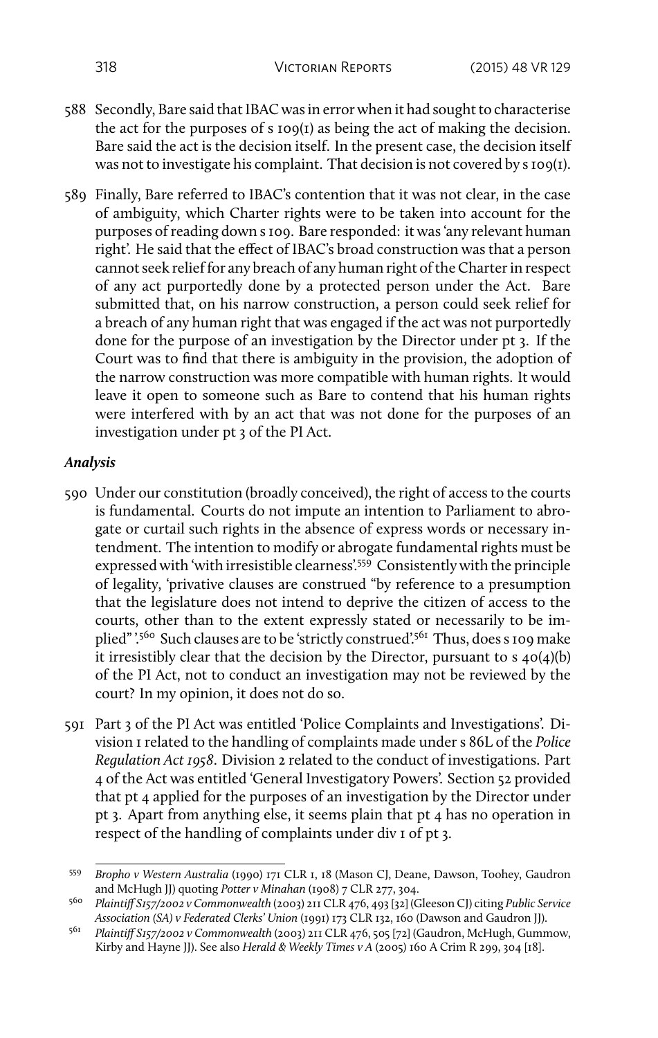- 588 Secondly, Bare said that IBAC was in error when it had sought to characterise the act for the purposes of s 109(1) as being the act of making the decision. Bare said the act is the decision itself. In the present case, the decision itself was not to investigate his complaint. That decision is not covered by s 109(1).
- 589 Finally, Bare referred to IBAC's contention that it was not clear, in the case of ambiguity, which Charter rights were to be taken into account for the purposes of reading down s 109. Bare responded: it was 'any relevant human right'. He said that the effect of IBAC's broad construction was that a person cannot seek relief for any breach of any human right of the Charter in respect of any act purportedly done by a protected person under the Act. Bare submitted that, on his narrow construction, a person could seek relief for a breach of any human right that was engaged if the act was not purportedly done for the purpose of an investigation by the Director under pt 3. If the Court was to find that there is ambiguity in the provision, the adoption of the narrow construction was more compatible with human rights. It would leave it open to someone such as Bare to contend that his human rights were interfered with by an act that was not done for the purposes of an investigation under pt 3 of the PI Act.

## *Analysis*

- 590 Under our constitution (broadly conceived), the right of access to the courts is fundamental. Courts do not impute an intention to Parliament to abrogate or curtail such rights in the absence of express words or necessary intendment. The intention to modify or abrogate fundamental rights must be expressed with 'with irresistible clearness'.<sup>559</sup> Consistently with the principle of legality, 'privative clauses are construed "by reference to a presumption that the legislature does not intend to deprive the citizen of access to the courts, other than to the extent expressly stated or necessarily to be implied" '.560 Such clauses are to be 'strictly construed'.<sup>561</sup> Thus, does s 109 make it irresistibly clear that the decision by the Director, pursuant to s 40(4)(b) of the PI Act, not to conduct an investigation may not be reviewed by the court? In my opinion, it does not do so.
- 591 Part 3 of the PI Act was entitled 'Police Complaints and Investigations'. Division 1 related to the handling of complaints made under s 86L of the *Police Regulation Act 1958*. Division 2 related to the conduct of investigations. Part 4 of the Act was entitled 'General Investigatory Powers'. Section 52 provided that pt 4 applied for the purposes of an investigation by the Director under pt 3. Apart from anything else, it seems plain that pt 4 has no operation in respect of the handling of complaints under div 1 of pt 3.

<sup>559</sup> *Bropho v Western Australia* (1990) 171 CLR 1, 18 (Mason CJ, Deane, Dawson, Toohey, Gaudron and McHugh JJ) quoting *Potter v Minahan* (1908) 7 CLR 277, 304.

<sup>560</sup> *Plaintiff S157/2002 v Commonwealth* (2003) 211 CLR 476, 493 [32] (Gleeson CJ) citing *Public Service Association (SA) v Federated Clerks' Union* (1991) 173 CLR 132, 160 (Dawson and Gaudron JJ).

<sup>561</sup> *Plaintiff S157/2002 v Commonwealth* (2003) 211 CLR 476, 505 [72] (Gaudron, McHugh, Gummow, Kirby and Hayne JJ). See also *Herald & Weekly Times v A* (2005) 160 A Crim R 299, 304 [18].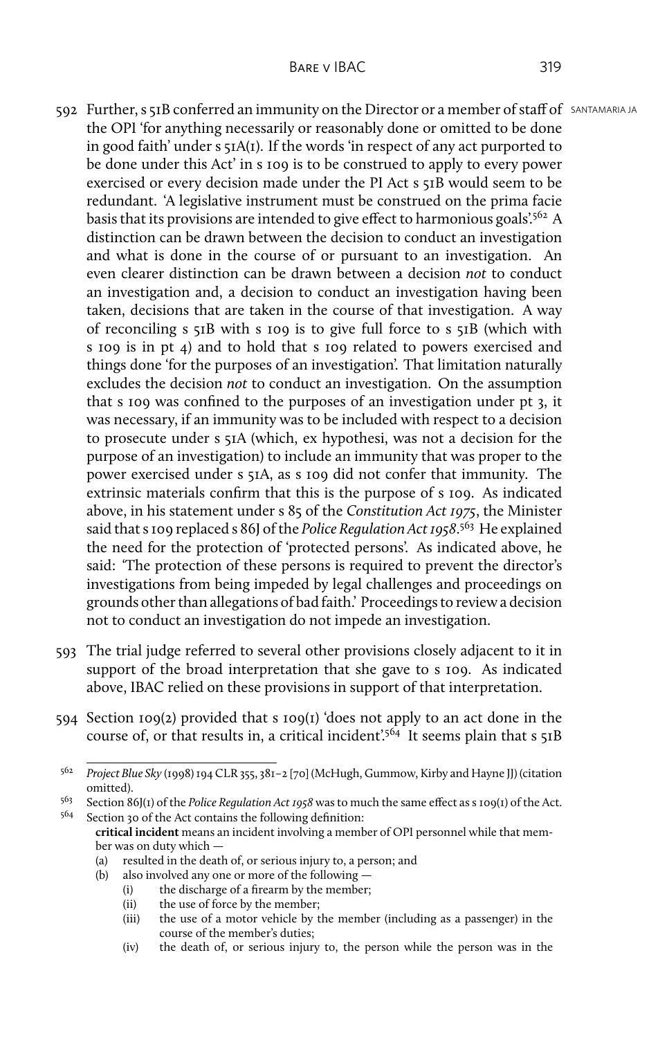- 592 Further, s 51B conferred an immunity on the Director or a member of staff of SANTAMARIA JA the OPI 'for anything necessarily or reasonably done or omitted to be done in good faith' under s 51A(1). If the words 'in respect of any act purported to be done under this Act' in s 109 is to be construed to apply to every power exercised or every decision made under the PI Act s 51B would seem to be redundant. 'A legislative instrument must be construed on the prima facie basis that its provisions are intended to give effect to harmonious goals.<sup>562</sup> A distinction can be drawn between the decision to conduct an investigation and what is done in the course of or pursuant to an investigation. An even clearer distinction can be drawn between a decision *not* to conduct an investigation and, a decision to conduct an investigation having been taken, decisions that are taken in the course of that investigation. A way of reconciling s 51B with s 109 is to give full force to s 51B (which with s 109 is in pt 4) and to hold that s 109 related to powers exercised and things done 'for the purposes of an investigation'. That limitation naturally excludes the decision *not* to conduct an investigation. On the assumption that s 109 was confined to the purposes of an investigation under pt 3, it was necessary, if an immunity was to be included with respect to a decision to prosecute under s 51A (which, ex hypothesi, was not a decision for the purpose of an investigation) to include an immunity that was proper to the power exercised under s 51A, as s 109 did not confer that immunity. The extrinsic materials confirm that this is the purpose of s 109. As indicated above, in his statement under s 85 of the *Constitution Act 1975*, the Minister said that s 109 replaced s 86J of the *Police Regulation Act 1958*. <sup>563</sup> He explained the need for the protection of 'protected persons'. As indicated above, he said: 'The protection of these persons is required to prevent the director's investigations from being impeded by legal challenges and proceedings on grounds other than allegations of bad faith.' Proceedings to review a decision not to conduct an investigation do not impede an investigation.
- 593 The trial judge referred to several other provisions closely adjacent to it in support of the broad interpretation that she gave to s 109. As indicated above, IBAC relied on these provisions in support of that interpretation.
- 594 Section 109(2) provided that s 109(1) 'does not apply to an act done in the course of, or that results in, a critical incident.<sup>564</sup> It seems plain that s 51B

Section 30 of the Act contains the following definition: **critical incident** means an incident involving a member of OPI personnel while that member was on duty which —

- (b) also involved any one or more of the following
	- (i) the discharge of a firearm by the member;
	- (ii) the use of force by the member;
	- (iii) the use of a motor vehicle by the member (including as a passenger) in the course of the member's duties;
	- (iv) the death of, or serious injury to, the person while the person was in the

<sup>562</sup> *Project Blue Sky* (1998) 194 CLR 355, 381–2 [70] (McHugh, Gummow, Kirby and Hayne JJ) (citation omitted).

<sup>&</sup>lt;sup>563</sup> Section 86J(1) of the *Police Regulation Act 1958* was to much the same effect as s 109(1) of the Act.<br><sup>564</sup> Section 20 of the Act contains the following definition:

<sup>(</sup>a) resulted in the death of, or serious injury to, a person; and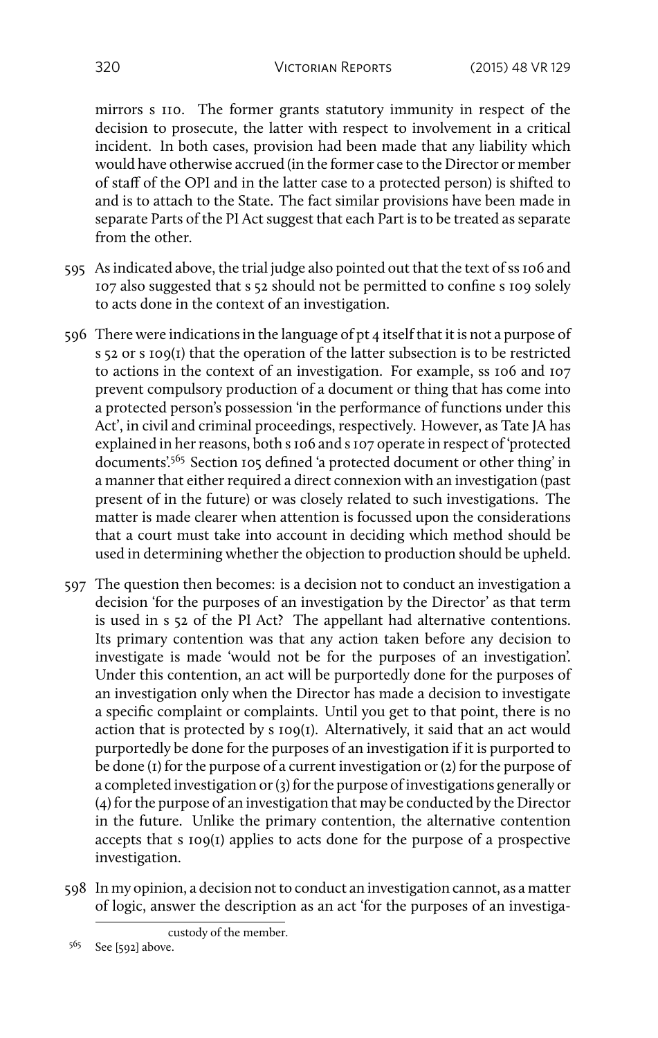mirrors s 110. The former grants statutory immunity in respect of the decision to prosecute, the latter with respect to involvement in a critical incident. In both cases, provision had been made that any liability which would have otherwise accrued (in the former case to the Director or member of staff of the OPI and in the latter case to a protected person) is shifted to and is to attach to the State. The fact similar provisions have been made in separate Parts of the PI Act suggest that each Part is to be treated as separate from the other.

- 595 As indicated above, the trial judge also pointed out that the text of ss 106 and 107 also suggested that s 52 should not be permitted to confine s 109 solely to acts done in the context of an investigation.
- 596 There were indications in the language of pt 4 itself that it is not a purpose of s 52 or s 109(1) that the operation of the latter subsection is to be restricted to actions in the context of an investigation. For example, ss 106 and 107 prevent compulsory production of a document or thing that has come into a protected person's possession 'in the performance of functions under this Act', in civil and criminal proceedings, respectively. However, as Tate JA has explained in her reasons, both s 106 and s 107 operate in respect of 'protected documents'.<sup>565</sup> Section 105 defined 'a protected document or other thing' in a manner that either required a direct connexion with an investigation (past present of in the future) or was closely related to such investigations. The matter is made clearer when attention is focussed upon the considerations that a court must take into account in deciding which method should be used in determining whether the objection to production should be upheld.
- 597 The question then becomes: is a decision not to conduct an investigation a decision 'for the purposes of an investigation by the Director' as that term is used in s 52 of the PI Act? The appellant had alternative contentions. Its primary contention was that any action taken before any decision to investigate is made 'would not be for the purposes of an investigation'. Under this contention, an act will be purportedly done for the purposes of an investigation only when the Director has made a decision to investigate a specific complaint or complaints. Until you get to that point, there is no action that is protected by s 109(1). Alternatively, it said that an act would purportedly be done for the purposes of an investigation if it is purported to be done (1) for the purpose of a current investigation or (2) for the purpose of a completed investigation or (3) for the purpose of investigations generally or (4) for the purpose of an investigation that may be conducted by the Director in the future. Unlike the primary contention, the alternative contention accepts that s 109(1) applies to acts done for the purpose of a prospective investigation.
- 598 In my opinion, a decision not to conduct an investigation cannot, as a matter of logic, answer the description as an act 'for the purposes of an investiga-

custody of the member.

 $5^{65}$  See [592] above.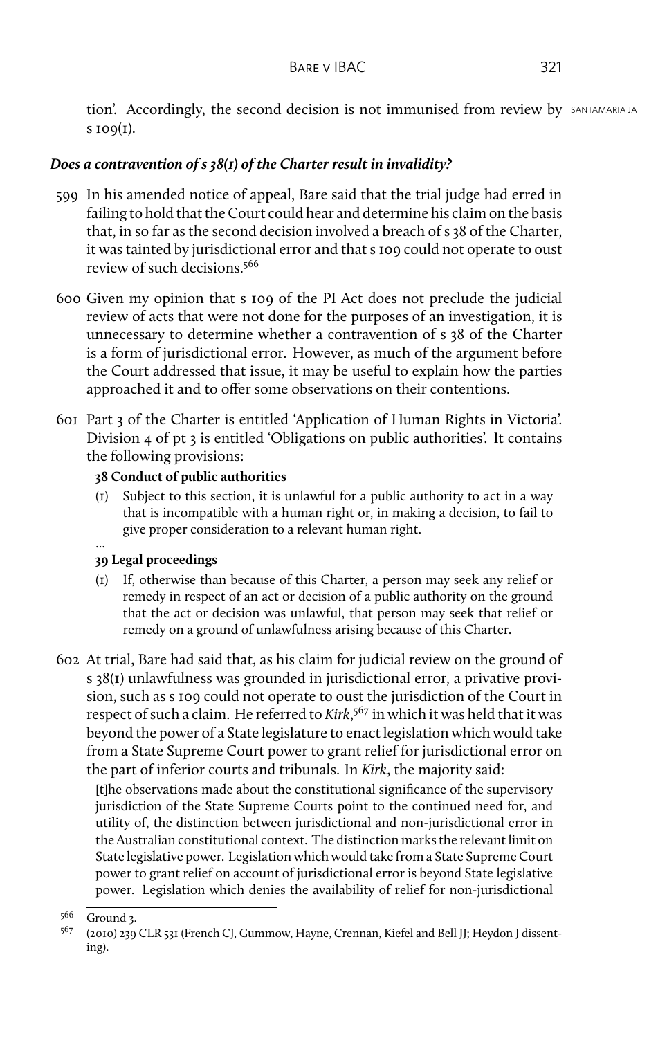tion'. Accordingly, the second decision is not immunised from review by SANTAMARIA JA  $s$  109 $(I)$ .

## *Does a contravention of s 38(1) of the Charter result in invalidity?*

- 599 In his amended notice of appeal, Bare said that the trial judge had erred in failing to hold that the Court could hear and determine his claim on the basis that, in so far as the second decision involved a breach of s 38 of the Charter, it was tainted by jurisdictional error and that s 109 could not operate to oust review of such decisions.<sup>566</sup>
- 600 Given my opinion that s 109 of the PI Act does not preclude the judicial review of acts that were not done for the purposes of an investigation, it is unnecessary to determine whether a contravention of s 38 of the Charter is a form of jurisdictional error. However, as much of the argument before the Court addressed that issue, it may be useful to explain how the parties approached it and to offer some observations on their contentions.
- 601 Part 3 of the Charter is entitled 'Application of Human Rights in Victoria'. Division 4 of pt 3 is entitled 'Obligations on public authorities'. It contains the following provisions:

## **38 Conduct of public authorities**

(1) Subject to this section, it is unlawful for a public authority to act in a way that is incompatible with a human right or, in making a decision, to fail to give proper consideration to a relevant human right.

#### ... **39 Legal proceedings**

- (1) If, otherwise than because of this Charter, a person may seek any relief or remedy in respect of an act or decision of a public authority on the ground that the act or decision was unlawful, that person may seek that relief or remedy on a ground of unlawfulness arising because of this Charter.
- 602 At trial, Bare had said that, as his claim for judicial review on the ground of s 38(1) unlawfulness was grounded in jurisdictional error, a privative provision, such as s 109 could not operate to oust the jurisdiction of the Court in respect of such a claim. He referred to *Kirk*, <sup>567</sup> in which it was held that it was beyond the power of a State legislature to enact legislation which would take from a State Supreme Court power to grant relief for jurisdictional error on the part of inferior courts and tribunals. In *Kirk*, the majority said:

[t]he observations made about the constitutional significance of the supervisory jurisdiction of the State Supreme Courts point to the continued need for, and utility of, the distinction between jurisdictional and non-jurisdictional error in the Australian constitutional context. The distinction marks the relevant limit on State legislative power. Legislation which would take from a State Supreme Court power to grant relief on account of jurisdictional error is beyond State legislative power. Legislation which denies the availability of relief for non-jurisdictional

<sup>566</sup> Ground 3.

<sup>567</sup> (2010) 239 CLR 531 (French CJ, Gummow, Hayne, Crennan, Kiefel and Bell JJ; Heydon J dissenting).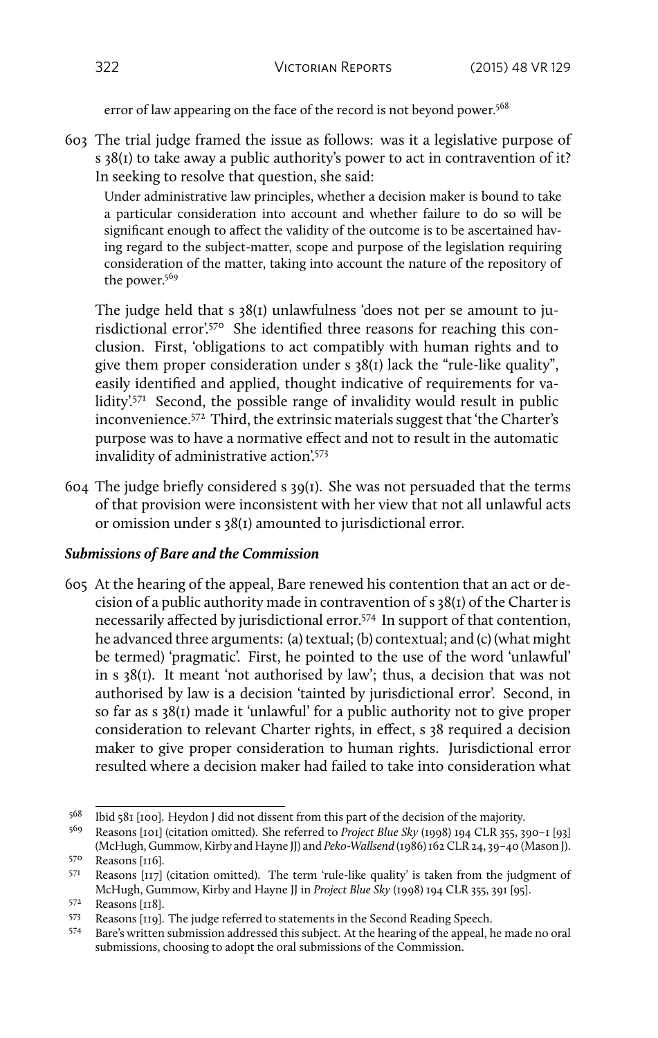error of law appearing on the face of the record is not beyond power.<sup>568</sup>

603 The trial judge framed the issue as follows: was it a legislative purpose of s 38(1) to take away a public authority's power to act in contravention of it? In seeking to resolve that question, she said:

Under administrative law principles, whether a decision maker is bound to take a particular consideration into account and whether failure to do so will be significant enough to affect the validity of the outcome is to be ascertained having regard to the subject-matter, scope and purpose of the legislation requiring consideration of the matter, taking into account the nature of the repository of the power.<sup>569</sup>

The judge held that s 38(1) unlawfulness 'does not per se amount to jurisdictional error'.<sup>570</sup> She identified three reasons for reaching this conclusion. First, 'obligations to act compatibly with human rights and to give them proper consideration under s 38(1) lack the "rule-like quality", easily identified and applied, thought indicative of requirements for validity<sup>'571</sup> Second, the possible range of invalidity would result in public inconvenience.<sup>572</sup> Third, the extrinsic materials suggest that 'the Charter's purpose was to have a normative effect and not to result in the automatic invalidity of administrative action'.<sup>573</sup>

604 The judge briefly considered s 39(1). She was not persuaded that the terms of that provision were inconsistent with her view that not all unlawful acts or omission under s 38(1) amounted to jurisdictional error.

## *Submissions of Bare and the Commission*

605 At the hearing of the appeal, Bare renewed his contention that an act or decision of a public authority made in contravention of s 38(1) of the Charter is necessarily affected by jurisdictional error.<sup>574</sup> In support of that contention, he advanced three arguments: (a) textual; (b) contextual; and (c) (what might be termed) 'pragmatic'. First, he pointed to the use of the word 'unlawful' in s 38(1). It meant 'not authorised by law'; thus, a decision that was not authorised by law is a decision 'tainted by jurisdictional error'. Second, in so far as s 38(1) made it 'unlawful' for a public authority not to give proper consideration to relevant Charter rights, in effect, s 38 required a decision maker to give proper consideration to human rights. Jurisdictional error resulted where a decision maker had failed to take into consideration what

<sup>&</sup>lt;sup>568</sup> Ibid 581 [100]. Heydon J did not dissent from this part of the decision of the majority.<br><sup>569</sup> Reasons [101] (citation omitted). She referred to *Project Blue Sky* (1008) 104 CLR 355, 36

<sup>569</sup> Reasons [101] (citation omitted). She referred to *Project Blue Sky* (1998) 194 CLR 355, 390–1 [93] (McHugh, Gummow, Kirby and Hayne JJ) and *Peko-Wallsend* (1986) 162 CLR 24, 39–40 (Mason J). <sup>570</sup> Reasons [116].

 $571$  Reasons [117] (citation omitted). The term 'rule-like quality' is taken from the judgment of McHugh, Gummow, Kirby and Hayne JJ in *Project Blue Sky* (1998) 194 CLR 355, 391 [95].

<sup>572</sup> Reasons [118].

<sup>573</sup> Reasons [119]. The judge referred to statements in the Second Reading Speech.

<sup>574</sup> Bare's written submission addressed this subject. At the hearing of the appeal, he made no oral submissions, choosing to adopt the oral submissions of the Commission.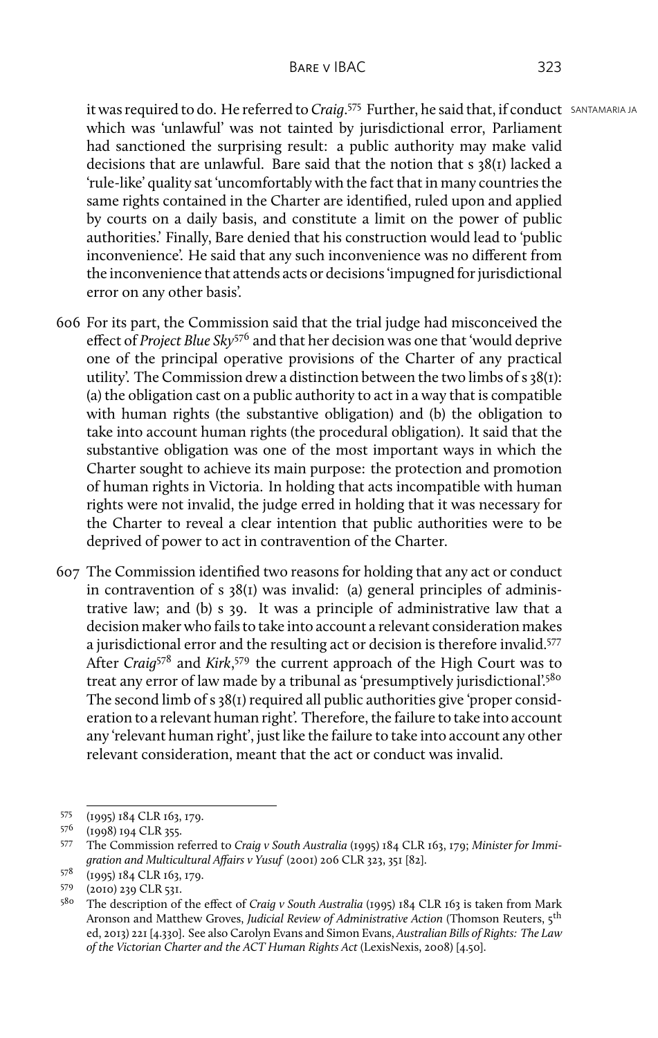It was required to do. He referred to *Craig*.<sup>575</sup> Further, he said that, if conduct SANTAMARIA JA which was 'unlawful' was not tainted by jurisdictional error, Parliament had sanctioned the surprising result: a public authority may make valid decisions that are unlawful. Bare said that the notion that s 38(1) lacked a 'rule-like' quality sat 'uncomfortably with the fact that in many countries the same rights contained in the Charter are identified, ruled upon and applied by courts on a daily basis, and constitute a limit on the power of public authorities.' Finally, Bare denied that his construction would lead to 'public inconvenience'. He said that any such inconvenience was no different from the inconvenience that attends acts or decisions 'impugned for jurisdictional error on any other basis'.

- 606 For its part, the Commission said that the trial judge had misconceived the effect of *Project Blue Sky*<sup>576</sup> and that her decision was one that 'would deprive one of the principal operative provisions of the Charter of any practical utility'. The Commission drew a distinction between the two limbs of s 38(1): (a) the obligation cast on a public authority to act in a way that is compatible with human rights (the substantive obligation) and (b) the obligation to take into account human rights (the procedural obligation). It said that the substantive obligation was one of the most important ways in which the Charter sought to achieve its main purpose: the protection and promotion of human rights in Victoria. In holding that acts incompatible with human rights were not invalid, the judge erred in holding that it was necessary for the Charter to reveal a clear intention that public authorities were to be deprived of power to act in contravention of the Charter.
- 607 The Commission identified two reasons for holding that any act or conduct in contravention of s 38(1) was invalid: (a) general principles of administrative law; and (b) s 39. It was a principle of administrative law that a decision maker who fails to take into account a relevant consideration makes a jurisdictional error and the resulting act or decision is therefore invalid.<sup>577</sup> After *Craig*<sup>578</sup> and *Kirk*, <sup>579</sup> the current approach of the High Court was to treat any error of law made by a tribunal as 'presumptively jurisdictional'.<sup>580</sup> The second limb of s 38(1) required all public authorities give 'proper consideration to a relevant human right'. Therefore, the failure to take into account any 'relevant human right', just like the failure to take into account any other relevant consideration, meant that the act or conduct was invalid.

 $575$  (1995) 184 CLR 163, 179.<br> $576$  (1008) 104 CLR 255

 $576$  (1998) 194 CLR 355.<br>577 The Commission r

<sup>577</sup> The Commission referred to *Craig v South Australia* (1995) 184 CLR 163, 179; *Minister for Immigration and Multicultural Affairs v Yusuf* (2001) 206 CLR 323, 351 [82].

<sup>578</sup> (1995) 184 CLR 163, 179.

<sup>579</sup> (2010) 239 CLR 531.

<sup>580</sup> The description of the effect of *Craig v South Australia* (1995) 184 CLR 163 is taken from Mark Aronson and Matthew Groves, *Judicial Review of Administrative Action* (Thomson Reuters, 5<sup>th</sup> ed, 2013) 221 [4.330]. See also Carolyn Evans and Simon Evans, *Australian Bills of Rights: The Law of the Victorian Charter and the ACT Human Rights Act* (LexisNexis, 2008) [4.50].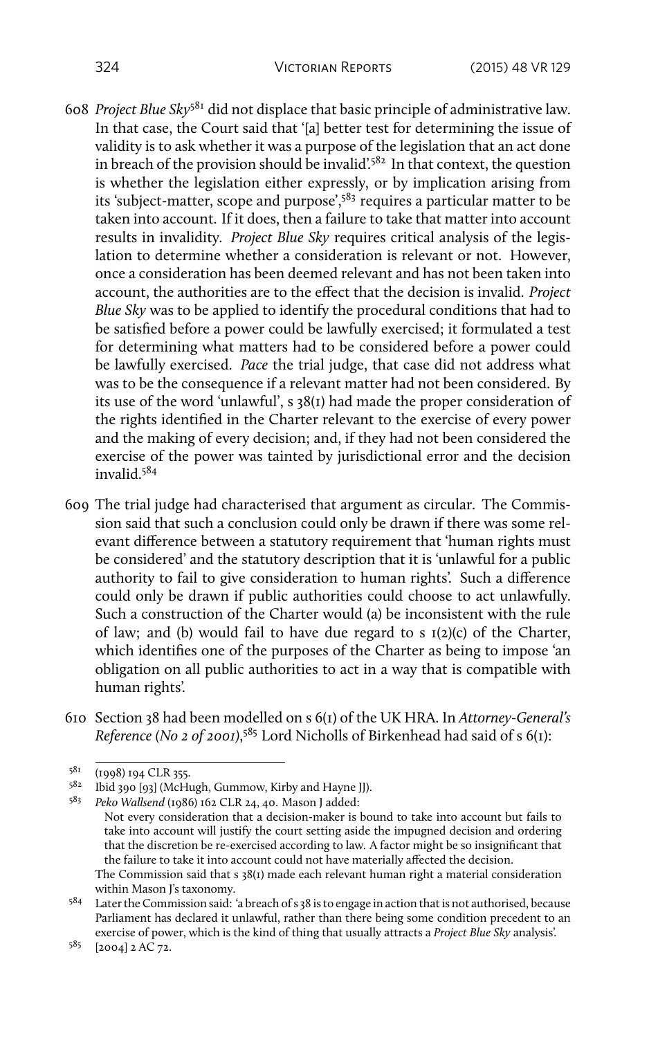- 608 *Project Blue Sky*<sup>581</sup> did not displace that basic principle of administrative law. In that case, the Court said that '[a] better test for determining the issue of validity is to ask whether it was a purpose of the legislation that an act done in breach of the provision should be invalid.<sup>582</sup> In that context, the question is whether the legislation either expressly, or by implication arising from its 'subject-matter, scope and purpose',<sup>583</sup> requires a particular matter to be taken into account. If it does, then a failure to take that matter into account results in invalidity. *Project Blue Sky* requires critical analysis of the legislation to determine whether a consideration is relevant or not. However, once a consideration has been deemed relevant and has not been taken into account, the authorities are to the effect that the decision is invalid. *Project Blue Sky* was to be applied to identify the procedural conditions that had to be satisfied before a power could be lawfully exercised; it formulated a test for determining what matters had to be considered before a power could be lawfully exercised. *Pace* the trial judge, that case did not address what was to be the consequence if a relevant matter had not been considered. By its use of the word 'unlawful', s 38(1) had made the proper consideration of the rights identified in the Charter relevant to the exercise of every power and the making of every decision; and, if they had not been considered the exercise of the power was tainted by jurisdictional error and the decision invalid.<sup>584</sup>
- 609 The trial judge had characterised that argument as circular. The Commission said that such a conclusion could only be drawn if there was some relevant difference between a statutory requirement that 'human rights must be considered' and the statutory description that it is 'unlawful for a public authority to fail to give consideration to human rights'. Such a difference could only be drawn if public authorities could choose to act unlawfully. Such a construction of the Charter would (a) be inconsistent with the rule of law; and (b) would fail to have due regard to s  $I(2)(c)$  of the Charter, which identifies one of the purposes of the Charter as being to impose 'an obligation on all public authorities to act in a way that is compatible with human rights'.
- 610 Section 38 had been modelled on s 6(1) of the UK HRA. In *Attorney-General's Reference (No 2 of 2001)*, <sup>585</sup> Lord Nicholls of Birkenhead had said of s 6(1):

 $5^{81}$  (1998) 194 CLR 355.<br> $5^{82}$  lbid 200 [02] (McH)

Ibid 390 [93] (McHugh, Gummow, Kirby and Hayne JJ).

<sup>583</sup> *Peko Wallsend* (1986) 162 CLR 24, 40. Mason J added:

Not every consideration that a decision-maker is bound to take into account but fails to take into account will justify the court setting aside the impugned decision and ordering that the discretion be re-exercised according to law. A factor might be so insignificant that the failure to take it into account could not have materially affected the decision. The Commission said that s 38(1) made each relevant human right a material consideration within Mason J's taxonomy.

<sup>584</sup> Later the Commission said: 'a breach of s 38 is to engage in action that is not authorised, because Parliament has declared it unlawful, rather than there being some condition precedent to an exercise of power, which is the kind of thing that usually attracts a *Project Blue Sky* analysis'.

<sup>585</sup> [2004] 2 AC 72.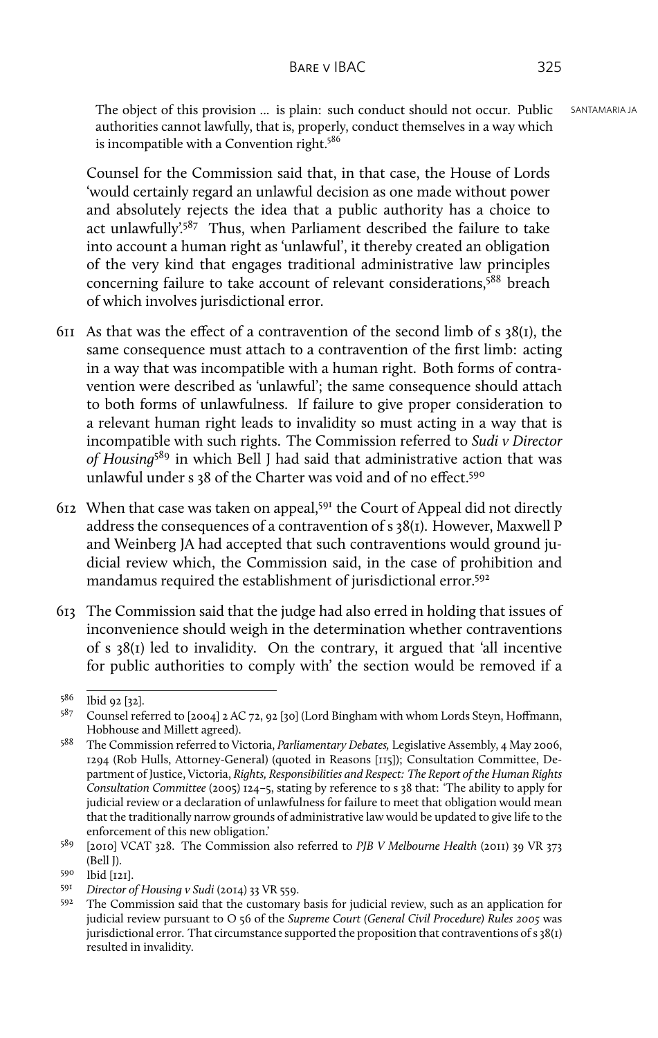The object of this provision ... is plain: such conduct should not occur. Public SANTAMARIA JA authorities cannot lawfully, that is, properly, conduct themselves in a way which is incompatible with a Convention right.<sup>586</sup>

Counsel for the Commission said that, in that case, the House of Lords 'would certainly regard an unlawful decision as one made without power and absolutely rejects the idea that a public authority has a choice to act unlawfully'. $587$  Thus, when Parliament described the failure to take into account a human right as 'unlawful', it thereby created an obligation of the very kind that engages traditional administrative law principles concerning failure to take account of relevant considerations,<sup>588</sup> breach of which involves jurisdictional error.

- 611 As that was the effect of a contravention of the second limb of s 38(1), the same consequence must attach to a contravention of the first limb: acting in a way that was incompatible with a human right. Both forms of contravention were described as 'unlawful'; the same consequence should attach to both forms of unlawfulness. If failure to give proper consideration to a relevant human right leads to invalidity so must acting in a way that is incompatible with such rights. The Commission referred to *Sudi v Director of Housing*<sup>589</sup> in which Bell J had said that administrative action that was unlawful under s 38 of the Charter was void and of no effect.<sup>590</sup>
- 612 When that case was taken on appeal,<sup>591</sup> the Court of Appeal did not directly address the consequences of a contravention of s 38(1). However, Maxwell P and Weinberg JA had accepted that such contraventions would ground judicial review which, the Commission said, in the case of prohibition and mandamus required the establishment of jurisdictional error.<sup>592</sup>
- 613 The Commission said that the judge had also erred in holding that issues of inconvenience should weigh in the determination whether contraventions of s 38(1) led to invalidity. On the contrary, it argued that 'all incentive for public authorities to comply with' the section would be removed if a

<sup>586</sup> Ibid 92 [32].

<sup>587</sup> Counsel referred to [2004] 2 AC 72, 92 [30] (Lord Bingham with whom Lords Steyn, Hoffmann, Hobhouse and Millett agreed).

<sup>588</sup> The Commission referred to Victoria, *Parliamentary Debates,* Legislative Assembly, 4 May 2006, 1294 (Rob Hulls, Attorney-General) (quoted in Reasons [115]); Consultation Committee, Department of Justice, Victoria, *Rights, Responsibilities and Respect: The Report of the Human Rights Consultation Committee* (2005) 124–5, stating by reference to s 38 that: 'The ability to apply for judicial review or a declaration of unlawfulness for failure to meet that obligation would mean that the traditionally narrow grounds of administrative law would be updated to give life to the enforcement of this new obligation.'

<sup>589</sup> [2010] VCAT 328. The Commission also referred to *PJB V Melbourne Health* (2011) 39 VR 373 (Bell J).

 $^{590}$  Ibid [121].

<sup>591</sup> *Director of Housing v Sudi* (2014) 33 VR 559.

<sup>592</sup> The Commission said that the customary basis for judicial review, such as an application for judicial review pursuant to O 56 of the *Supreme Court (General Civil Procedure) Rules 2005* was jurisdictional error. That circumstance supported the proposition that contraventions of s 38(1) resulted in invalidity.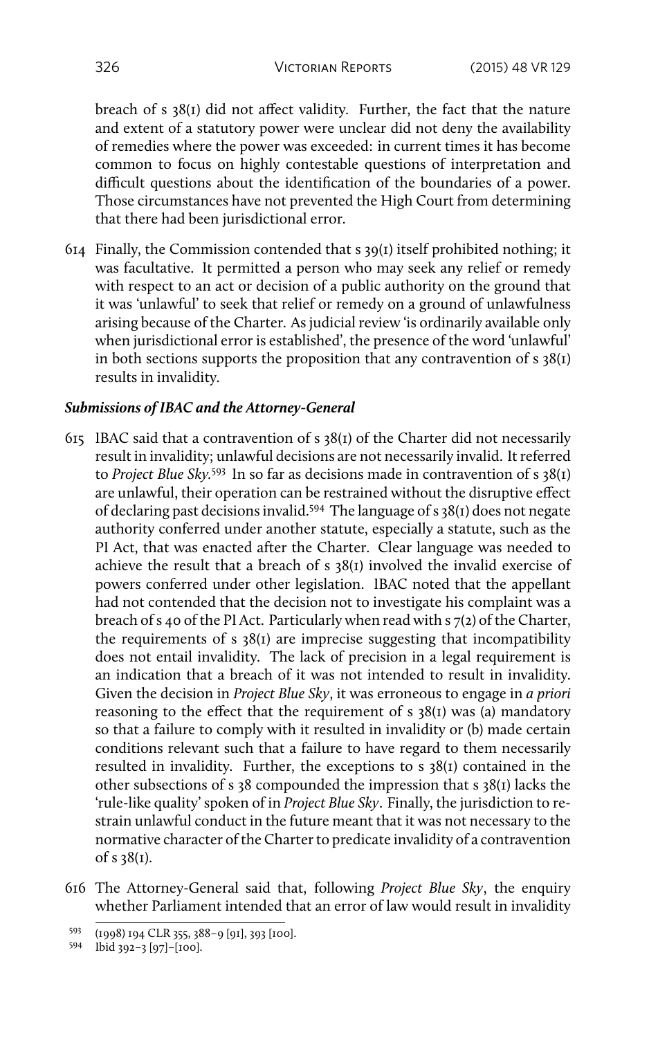breach of s 38(1) did not affect validity. Further, the fact that the nature and extent of a statutory power were unclear did not deny the availability of remedies where the power was exceeded: in current times it has become common to focus on highly contestable questions of interpretation and difficult questions about the identification of the boundaries of a power. Those circumstances have not prevented the High Court from determining that there had been jurisdictional error.

614 Finally, the Commission contended that  $s$  39(1) itself prohibited nothing; it was facultative. It permitted a person who may seek any relief or remedy with respect to an act or decision of a public authority on the ground that it was 'unlawful' to seek that relief or remedy on a ground of unlawfulness arising because of the Charter. As judicial review 'is ordinarily available only when jurisdictional error is established', the presence of the word 'unlawful' in both sections supports the proposition that any contravention of  $s$  38(1) results in invalidity.

#### *Submissions of IBAC and the Attorney-General*

- 615 IBAC said that a contravention of s 38(1) of the Charter did not necessarily result in invalidity; unlawful decisions are not necessarily invalid. It referred to *Project Blue Sky.*<sup>593</sup> In so far as decisions made in contravention of s 38(1) are unlawful, their operation can be restrained without the disruptive effect of declaring past decisions invalid.<sup>594</sup> The language of s 38(1) does not negate authority conferred under another statute, especially a statute, such as the PI Act, that was enacted after the Charter. Clear language was needed to achieve the result that a breach of s 38(1) involved the invalid exercise of powers conferred under other legislation. IBAC noted that the appellant had not contended that the decision not to investigate his complaint was a breach of s 40 of the PI Act. Particularly when read with s 7(2) of the Charter, the requirements of s  $38(i)$  are imprecise suggesting that incompatibility does not entail invalidity. The lack of precision in a legal requirement is an indication that a breach of it was not intended to result in invalidity. Given the decision in *Project Blue Sky*, it was erroneous to engage in *a priori* reasoning to the effect that the requirement of s  $38(I)$  was (a) mandatory so that a failure to comply with it resulted in invalidity or (b) made certain conditions relevant such that a failure to have regard to them necessarily resulted in invalidity. Further, the exceptions to s 38(1) contained in the other subsections of s 38 compounded the impression that s 38(1) lacks the 'rule-like quality' spoken of in *Project Blue Sky*. Finally, the jurisdiction to restrain unlawful conduct in the future meant that it was not necessary to the normative character of the Charter to predicate invalidity of a contravention of s 38(1).
- 616 The Attorney-General said that, following *Project Blue Sky*, the enquiry whether Parliament intended that an error of law would result in invalidity

<sup>593</sup> (1998) 194 CLR 355, 388–9 [91], 393 [100].

<sup>594</sup> Ibid 392–3 [97]–[100].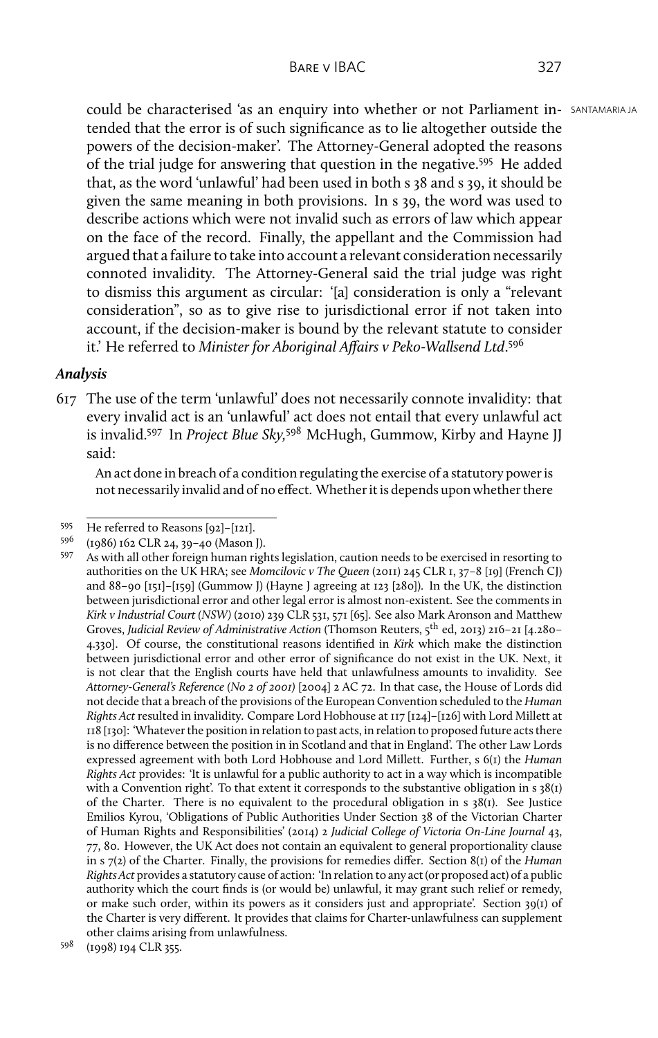could be characterised 'as an enquiry into whether or not Parliament in- SANTAMARIA JA tended that the error is of such significance as to lie altogether outside the powers of the decision-maker'. The Attorney-General adopted the reasons of the trial judge for answering that question in the negative.<sup>595</sup> He added that, as the word 'unlawful' had been used in both s 38 and s 39, it should be given the same meaning in both provisions. In s 39, the word was used to describe actions which were not invalid such as errors of law which appear on the face of the record. Finally, the appellant and the Commission had argued that a failure to take into account a relevant consideration necessarily connoted invalidity. The Attorney-General said the trial judge was right to dismiss this argument as circular: '[a] consideration is only a "relevant consideration", so as to give rise to jurisdictional error if not taken into account, if the decision-maker is bound by the relevant statute to consider it.' He referred to *Minister for Aboriginal Affairs v Peko-Wallsend Ltd*. 596

#### *Analysis*

617 The use of the term 'unlawful' does not necessarily connote invalidity: that every invalid act is an 'unlawful' act does not entail that every unlawful act is invalid.<sup>597</sup> In *Project Blue Sky,*<sup>598</sup> McHugh, Gummow, Kirby and Hayne JJ said:

An act done in breach of a condition regulating the exercise of a statutory power is not necessarily invalid and of no effect. Whether it is depends upon whether there

<sup>595</sup> He referred to Reasons [92]–[121].

<sup>596</sup> (1986) 162 CLR 24, 39–40 (Mason J).

<sup>597</sup> As with all other foreign human rights legislation, caution needs to be exercised in resorting to authorities on the UK HRA; see *Momcilovic v The Queen* (2011) 245 CLR 1, 37–8 [19] (French CJ) and 88–90 [151]–[159] (Gummow J) (Hayne J agreeing at 123 [280]). In the UK, the distinction between jurisdictional error and other legal error is almost non-existent. See the comments in *Kirk v Industrial Court (NSW)* (2010) 239 CLR 531, 571 [65]. See also Mark Aronson and Matthew Groves, *Judicial Review of Administrative Action* (Thomson Reuters, 5th ed, 2013) 216–21 [4.280– 4.330]. Of course, the constitutional reasons identified in *Kirk* which make the distinction between jurisdictional error and other error of significance do not exist in the UK. Next, it is not clear that the English courts have held that unlawfulness amounts to invalidity. See *Attorney-General's Reference (No 2 of 2001)* [2004] 2 AC 72. In that case, the House of Lords did not decide that a breach of the provisions of the European Convention scheduled to the *Human Rights Act* resulted in invalidity. Compare Lord Hobhouse at 117 [124]–[126] with Lord Millett at 118 [130]: 'Whatever the position in relation to past acts, in relation to proposed future acts there is no difference between the position in in Scotland and that in England'. The other Law Lords expressed agreement with both Lord Hobhouse and Lord Millett. Further, s 6(1) the *Human Rights Act* provides: 'It is unlawful for a public authority to act in a way which is incompatible with a Convention right'. To that extent it corresponds to the substantive obligation in  $s \, 38(i)$ of the Charter. There is no equivalent to the procedural obligation in  $s$  38(1). See Justice Emilios Kyrou, 'Obligations of Public Authorities Under Section 38 of the Victorian Charter of Human Rights and Responsibilities' (2014) 2 *Judicial College of Victoria On-Line Journal* 43, 77, 80. However, the UK Act does not contain an equivalent to general proportionality clause in s 7(2) of the Charter. Finally, the provisions for remedies differ. Section 8(1) of the *Human Rights Act* provides a statutory cause of action: 'In relation to any act (or proposed act) of a public authority which the court finds is (or would be) unlawful, it may grant such relief or remedy, or make such order, within its powers as it considers just and appropriate'. Section 39(1) of the Charter is very different. It provides that claims for Charter-unlawfulness can supplement other claims arising from unlawfulness.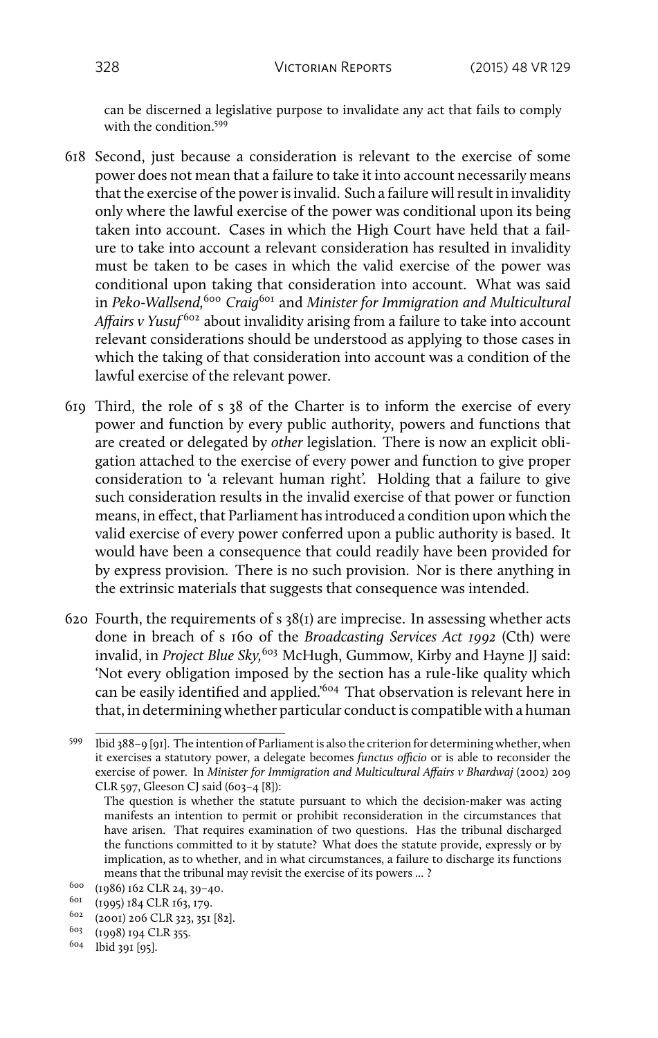can be discerned a legislative purpose to invalidate any act that fails to comply with the condition.<sup>599</sup>

- 618 Second, just because a consideration is relevant to the exercise of some power does not mean that a failure to take it into account necessarily means that the exercise of the power is invalid. Such a failure will result in invalidity only where the lawful exercise of the power was conditional upon its being taken into account. Cases in which the High Court have held that a failure to take into account a relevant consideration has resulted in invalidity must be taken to be cases in which the valid exercise of the power was conditional upon taking that consideration into account. What was said in *Peko-Wallsend,*<sup>600</sup> *Craig*<sup>601</sup> and *Minister for Immigration and Multicultural Affairs v Yusuf* <sup>602</sup> about invalidity arising from a failure to take into account relevant considerations should be understood as applying to those cases in which the taking of that consideration into account was a condition of the lawful exercise of the relevant power.
- 619 Third, the role of s 38 of the Charter is to inform the exercise of every power and function by every public authority, powers and functions that are created or delegated by *other* legislation. There is now an explicit obligation attached to the exercise of every power and function to give proper consideration to 'a relevant human right'. Holding that a failure to give such consideration results in the invalid exercise of that power or function means, in effect, that Parliament has introduced a condition upon which the valid exercise of every power conferred upon a public authority is based. It would have been a consequence that could readily have been provided for by express provision. There is no such provision. Nor is there anything in the extrinsic materials that suggests that consequence was intended.
- 620 Fourth, the requirements of s  $38(t)$  are imprecise. In assessing whether acts done in breach of s 160 of the *Broadcasting Services Act 1992* (Cth) were invalid, in *Project Blue Sky*,<sup>603</sup> McHugh, Gummow, Kirby and Hayne JJ said: 'Not every obligation imposed by the section has a rule-like quality which can be easily identified and applied.'<sup>604</sup> That observation is relevant here in that, in determining whether particular conduct is compatible with a human

<sup>604</sup> Ibid 391 [95].

<sup>599</sup> Ibid 388–9 [91]. The intention of Parliament is also the criterion for determining whether, when it exercises a statutory power, a delegate becomes *functus officio* or is able to reconsider the exercise of power. In *Minister for Immigration and Multicultural Affairs v Bhardwaj* (2002) 209 CLR 597, Gleeson CJ said (603–4 [8]):

The question is whether the statute pursuant to which the decision-maker was acting manifests an intention to permit or prohibit reconsideration in the circumstances that have arisen. That requires examination of two questions. Has the tribunal discharged the functions committed to it by statute? What does the statute provide, expressly or by implication, as to whether, and in what circumstances, a failure to discharge its functions means that the tribunal may revisit the exercise of its powers ... ?

<sup>600</sup> (1986) 162 CLR 24, 39–40.

<sup>601</sup> (1995) 184 CLR 163, 179.

<sup>602</sup> (2001) 206 CLR 323, 351 [82].

<sup>603</sup> (1998) 194 CLR 355.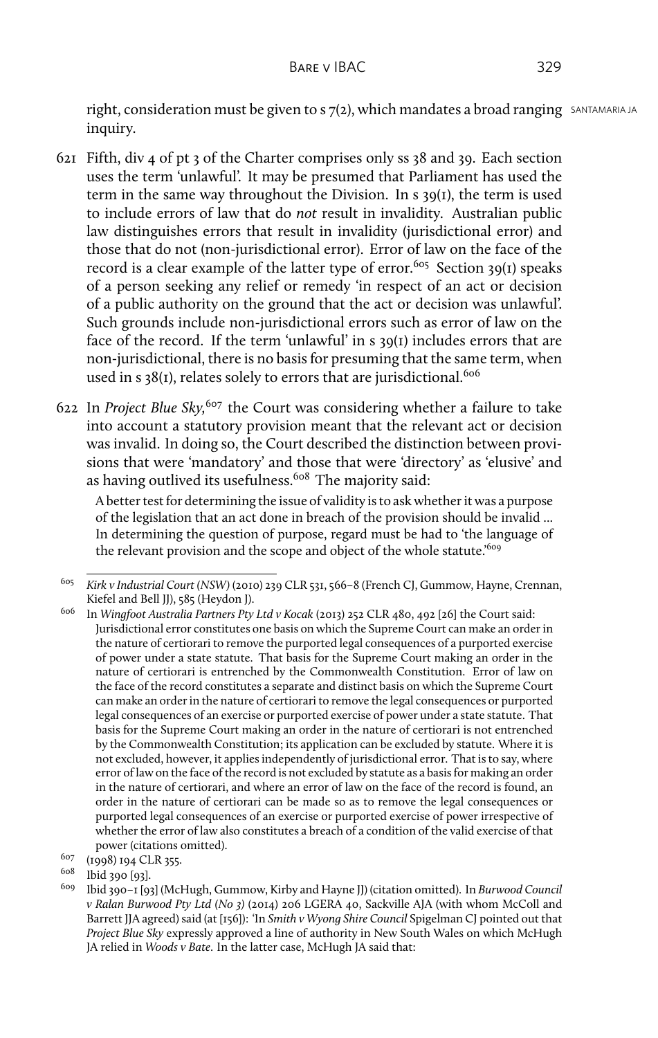right, consideration must be given to  $s$  7(2), which mandates a broad ranging SANTAMARIA JA inquiry.

- 621 Fifth, div 4 of pt 3 of the Charter comprises only ss 38 and 39. Each section uses the term 'unlawful'. It may be presumed that Parliament has used the term in the same way throughout the Division. In s 39(1), the term is used to include errors of law that do *not* result in invalidity. Australian public law distinguishes errors that result in invalidity (jurisdictional error) and those that do not (non-jurisdictional error). Error of law on the face of the record is a clear example of the latter type of error.<sup>605</sup> Section 39(1) speaks of a person seeking any relief or remedy 'in respect of an act or decision of a public authority on the ground that the act or decision was unlawful'. Such grounds include non-jurisdictional errors such as error of law on the face of the record. If the term 'unlawful' in s 39(1) includes errors that are non-jurisdictional, there is no basis for presuming that the same term, when used in s  $38(I)$ , relates solely to errors that are jurisdictional.<sup>606</sup>
- 622 In *Project Blue Sky,*<sup>607</sup> the Court was considering whether a failure to take into account a statutory provision meant that the relevant act or decision was invalid. In doing so, the Court described the distinction between provisions that were 'mandatory' and those that were 'directory' as 'elusive' and as having outlived its usefulness.<sup>608</sup> The majority said:

A better test for determining the issue of validity is to ask whether it was a purpose of the legislation that an act done in breach of the provision should be invalid ... In determining the question of purpose, regard must be had to 'the language of the relevant provision and the scope and object of the whole statute.'609

<sup>605</sup> *Kirk v Industrial Court (NSW)* (2010) 239 CLR 531, 566–8 (French CJ, Gummow, Hayne, Crennan, Kiefel and Bell JJ), 585 (Heydon J).

<sup>606</sup> In *Wingfoot Australia Partners Pty Ltd v Kocak* (2013) 252 CLR 480, 492 [26] the Court said: Jurisdictional error constitutes one basis on which the Supreme Court can make an order in the nature of certiorari to remove the purported legal consequences of a purported exercise of power under a state statute. That basis for the Supreme Court making an order in the nature of certiorari is entrenched by the Commonwealth Constitution. Error of law on the face of the record constitutes a separate and distinct basis on which the Supreme Court can make an order in the nature of certiorari to remove the legal consequences or purported legal consequences of an exercise or purported exercise of power under a state statute. That basis for the Supreme Court making an order in the nature of certiorari is not entrenched by the Commonwealth Constitution; its application can be excluded by statute. Where it is not excluded, however, it applies independently of jurisdictional error. That is to say, where error of law on the face of the record is not excluded by statute as a basis for making an order in the nature of certiorari, and where an error of law on the face of the record is found, an order in the nature of certiorari can be made so as to remove the legal consequences or purported legal consequences of an exercise or purported exercise of power irrespective of whether the error of law also constitutes a breach of a condition of the valid exercise of that power (citations omitted).

 $\frac{607}{608}$  (1998) 194 CLR 355.

 $^{608}$  Ibid 390 [93].

<sup>609</sup> Ibid 390–1 [93] (McHugh, Gummow, Kirby and Hayne JJ) (citation omitted). In *Burwood Council v Ralan Burwood Pty Ltd (No 3)* (2014) 206 LGERA 40, Sackville AJA (with whom McColl and Barrett JJA agreed) said (at [156]): 'In *Smith v Wyong Shire Council* Spigelman CJ pointed out that *Project Blue Sky* expressly approved a line of authority in New South Wales on which McHugh JA relied in *Woods v Bate*. In the latter case, McHugh JA said that: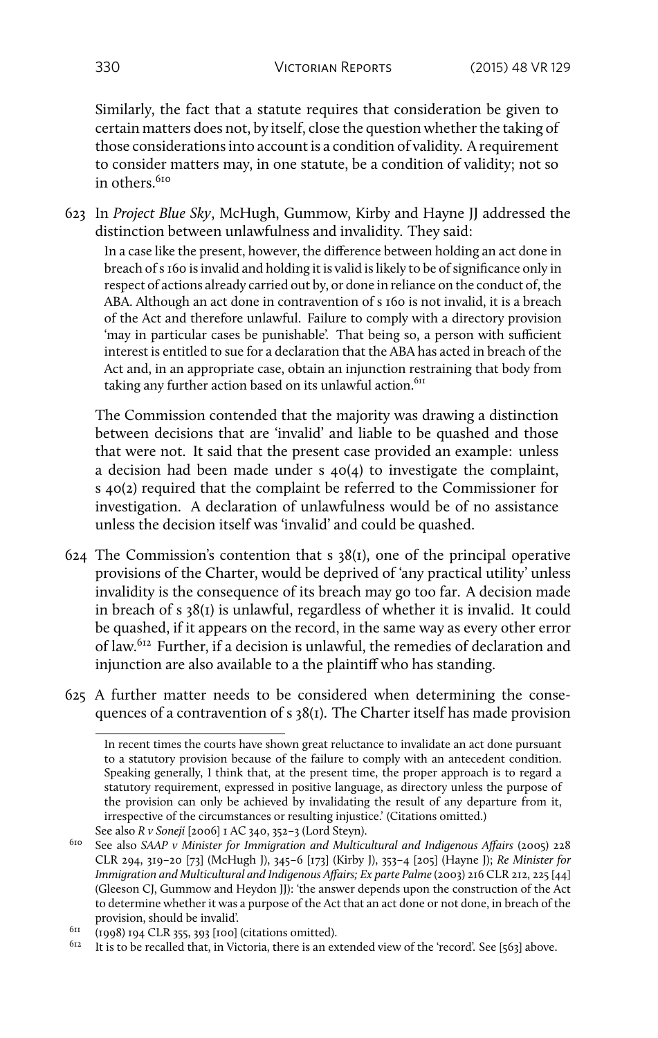Similarly, the fact that a statute requires that consideration be given to certain matters does not, by itself, close the question whether the taking of those considerations into account is a condition of validity. A requirement to consider matters may, in one statute, be a condition of validity; not so in others<sup>610</sup>

623 In *Project Blue Sky*, McHugh, Gummow, Kirby and Hayne JJ addressed the distinction between unlawfulness and invalidity. They said:

In a case like the present, however, the difference between holding an act done in breach of s 160 is invalid and holding it is valid is likely to be of significance only in respect of actions already carried out by, or done in reliance on the conduct of, the ABA. Although an act done in contravention of s 160 is not invalid, it is a breach of the Act and therefore unlawful. Failure to comply with a directory provision 'may in particular cases be punishable'. That being so, a person with sufficient interest is entitled to sue for a declaration that the ABA has acted in breach of the Act and, in an appropriate case, obtain an injunction restraining that body from taking any further action based on its unlawful action. $611$ 

The Commission contended that the majority was drawing a distinction between decisions that are 'invalid' and liable to be quashed and those that were not. It said that the present case provided an example: unless a decision had been made under s 40(4) to investigate the complaint, s 40(2) required that the complaint be referred to the Commissioner for investigation. A declaration of unlawfulness would be of no assistance unless the decision itself was 'invalid' and could be quashed.

- 624 The Commission's contention that  $s$  38(1), one of the principal operative provisions of the Charter, would be deprived of 'any practical utility' unless invalidity is the consequence of its breach may go too far. A decision made in breach of s 38(1) is unlawful, regardless of whether it is invalid. It could be quashed, if it appears on the record, in the same way as every other error of law.<sup>612</sup> Further, if a decision is unlawful, the remedies of declaration and injunction are also available to a the plaintiff who has standing.
- 625 A further matter needs to be considered when determining the consequences of a contravention of s 38(1). The Charter itself has made provision

In recent times the courts have shown great reluctance to invalidate an act done pursuant to a statutory provision because of the failure to comply with an antecedent condition. Speaking generally, I think that, at the present time, the proper approach is to regard a statutory requirement, expressed in positive language, as directory unless the purpose of the provision can only be achieved by invalidating the result of any departure from it, irrespective of the circumstances or resulting injustice.' (Citations omitted.) See also *R v Soneji* [2006] 1 AC 340, 352–3 (Lord Steyn).

<sup>610</sup> See also *SAAP v Minister for Immigration and Multicultural and Indigenous Affairs* (2005) 228 CLR 294, 319–20 [73] (McHugh J), 345–6 [173] (Kirby J), 353–4 [205] (Hayne J); *Re Minister for Immigration and Multicultural and Indigenous Affairs; Ex parte Palme*(2003) 216 CLR 212, 225 [44] (Gleeson CJ, Gummow and Heydon JJ): 'the answer depends upon the construction of the Act to determine whether it was a purpose of the Act that an act done or not done, in breach of the provision, should be invalid'.

 $611$  (1998) 194 CLR 355, 393 [100] (citations omitted).

 $612$  It is to be recalled that, in Victoria, there is an extended view of the 'record'. See [563] above.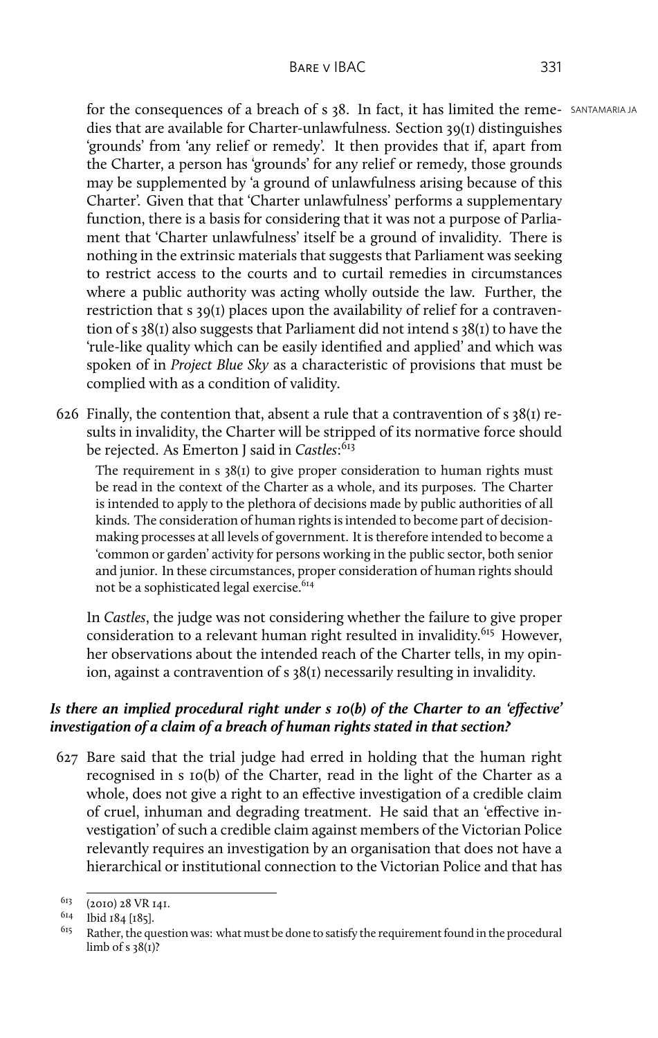for the consequences of a breach of s 38. In fact, it has limited the reme- SANTAMARIA JA dies that are available for Charter-unlawfulness. Section 39(1) distinguishes 'grounds' from 'any relief or remedy'. It then provides that if, apart from the Charter, a person has 'grounds' for any relief or remedy, those grounds may be supplemented by 'a ground of unlawfulness arising because of this Charter'. Given that that 'Charter unlawfulness' performs a supplementary function, there is a basis for considering that it was not a purpose of Parliament that 'Charter unlawfulness' itself be a ground of invalidity. There is nothing in the extrinsic materials that suggests that Parliament was seeking to restrict access to the courts and to curtail remedies in circumstances where a public authority was acting wholly outside the law. Further, the restriction that s 39(1) places upon the availability of relief for a contravention of s 38(1) also suggests that Parliament did not intend s 38(1) to have the 'rule-like quality which can be easily identified and applied' and which was spoken of in *Project Blue Sky* as a characteristic of provisions that must be complied with as a condition of validity.

626 Finally, the contention that, absent a rule that a contravention of  $s \frac{38}{1}$  results in invalidity, the Charter will be stripped of its normative force should be rejected. As Emerton J said in *Castles*: 613

The requirement in  $s$  38(1) to give proper consideration to human rights must be read in the context of the Charter as a whole, and its purposes. The Charter is intended to apply to the plethora of decisions made by public authorities of all kinds. The consideration of human rights is intended to become part of decisionmaking processes at all levels of government. It is therefore intended to become a 'common or garden' activity for persons working in the public sector, both senior and junior. In these circumstances, proper consideration of human rights should not be a sophisticated legal exercise.<sup>614</sup>

In *Castles*, the judge was not considering whether the failure to give proper consideration to a relevant human right resulted in invalidity.<sup>615</sup> However, her observations about the intended reach of the Charter tells, in my opinion, against a contravention of s 38(1) necessarily resulting in invalidity.

# *Is there an implied procedural right under s 10(b) of the Charter to an 'effective' investigation of a claim of a breach of human rights stated in that section?*

627 Bare said that the trial judge had erred in holding that the human right recognised in s 10(b) of the Charter, read in the light of the Charter as a whole, does not give a right to an effective investigation of a credible claim of cruel, inhuman and degrading treatment. He said that an 'effective investigation' of such a credible claim against members of the Victorian Police relevantly requires an investigation by an organisation that does not have a hierarchical or institutional connection to the Victorian Police and that has

<sup>613</sup> (2010) 28 VR 141.

 $^{614}$  Ibid 184 [185].

Rather, the question was: what must be done to satisfy the requirement found in the procedural limb of  $s$  38(1)?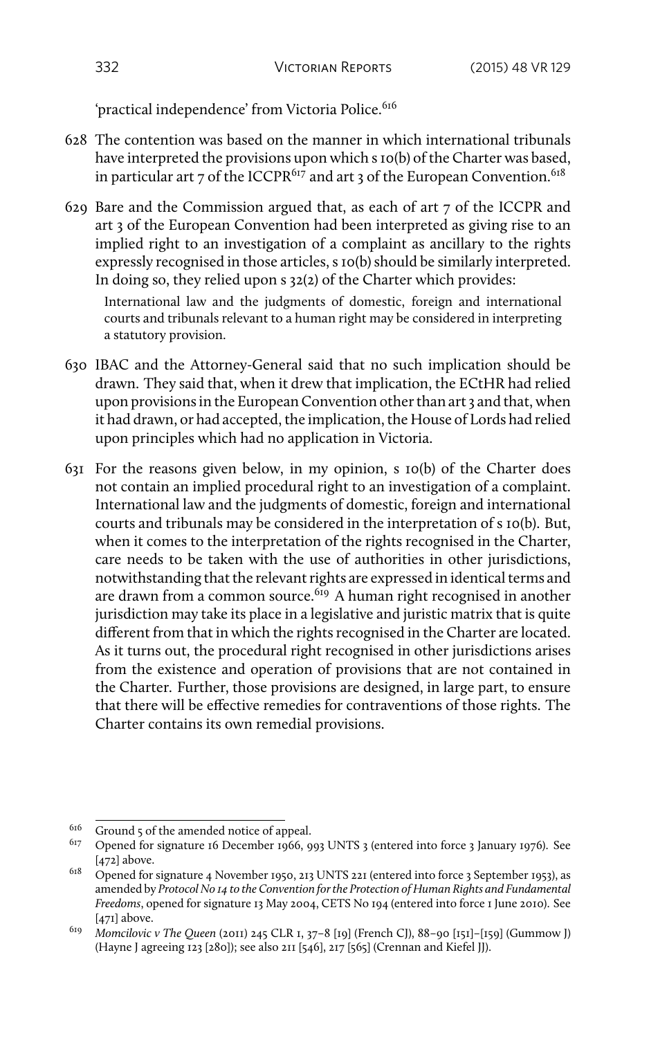'practical independence' from Victoria Police.<sup>616</sup>

- 628 The contention was based on the manner in which international tribunals have interpreted the provisions upon which s 10(b) of the Charter was based, in particular art 7 of the ICCPR<sup>617</sup> and art 3 of the European Convention.<sup>618</sup>
- 629 Bare and the Commission argued that, as each of art 7 of the ICCPR and art 3 of the European Convention had been interpreted as giving rise to an implied right to an investigation of a complaint as ancillary to the rights expressly recognised in those articles, s 10(b) should be similarly interpreted. In doing so, they relied upon s 32(2) of the Charter which provides:

International law and the judgments of domestic, foreign and international courts and tribunals relevant to a human right may be considered in interpreting a statutory provision.

- 630 IBAC and the Attorney-General said that no such implication should be drawn. They said that, when it drew that implication, the ECtHR had relied upon provisions in the European Convention other than art 3 and that, when it had drawn, or had accepted, the implication, the House of Lords had relied upon principles which had no application in Victoria.
- 631 For the reasons given below, in my opinion, s 10(b) of the Charter does not contain an implied procedural right to an investigation of a complaint. International law and the judgments of domestic, foreign and international courts and tribunals may be considered in the interpretation of s 10(b). But, when it comes to the interpretation of the rights recognised in the Charter, care needs to be taken with the use of authorities in other jurisdictions, notwithstanding that the relevant rights are expressed in identical terms and are drawn from a common source.<sup>619</sup> A human right recognised in another jurisdiction may take its place in a legislative and juristic matrix that is quite different from that in which the rights recognised in the Charter are located. As it turns out, the procedural right recognised in other jurisdictions arises from the existence and operation of provisions that are not contained in the Charter. Further, those provisions are designed, in large part, to ensure that there will be effective remedies for contraventions of those rights. The Charter contains its own remedial provisions.

 $\frac{616}{617}$  Ground 5 of the amended notice of appeal.

<sup>617</sup> Opened for signature 16 December 1966, 993 UNTS 3 (entered into force 3 January 1976). See [472] above.

<sup>618</sup> Opened for signature 4 November 1950, 213 UNTS 221 (entered into force 3 September 1953), as amended by *Protocol No 14 to the Convention for the Protection of Human Rights and Fundamental Freedoms*, opened for signature 13 May 2004, CETS No 194 (entered into force 1 June 2010). See [471] above.

<sup>619</sup> *Momcilovic v The Queen* (2011) 245 CLR 1, 37–8 [19] (French CJ), 88–90 [151]–[159] (Gummow J) (Hayne J agreeing 123 [280]); see also 211 [546], 217 [565] (Crennan and Kiefel JJ).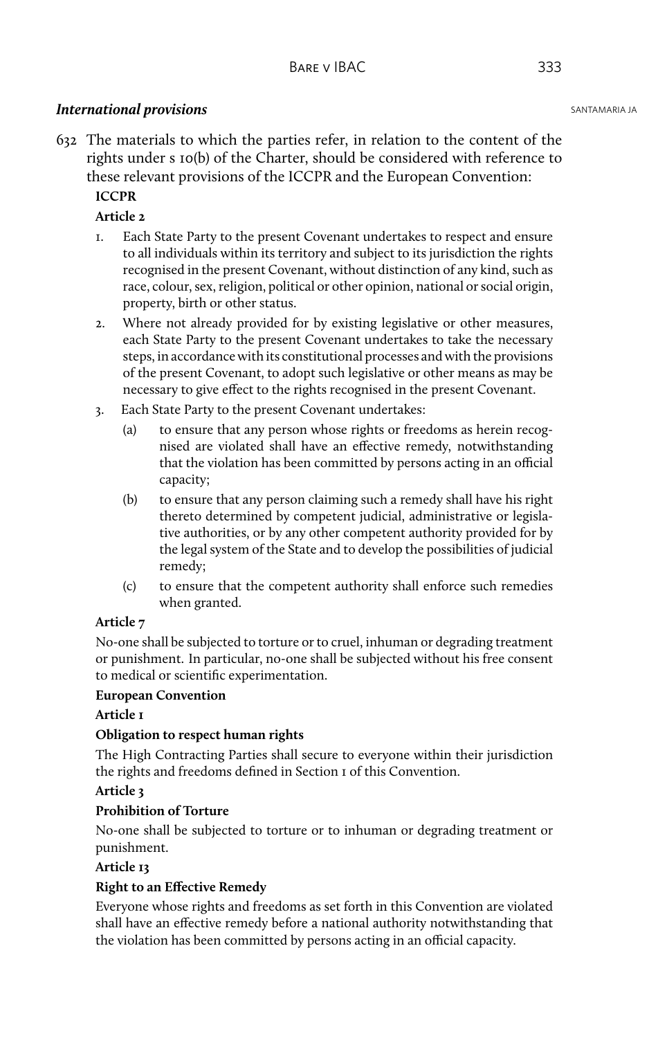## **International provisions** SANTAMARIA JA

632 The materials to which the parties refer, in relation to the content of the rights under s 10(b) of the Charter, should be considered with reference to these relevant provisions of the ICCPR and the European Convention:

# **ICCPR**

## **Article 2**

- 1. Each State Party to the present Covenant undertakes to respect and ensure to all individuals within its territory and subject to its jurisdiction the rights recognised in the present Covenant, without distinction of any kind, such as race, colour, sex, religion, political or other opinion, national or social origin, property, birth or other status.
- 2. Where not already provided for by existing legislative or other measures, each State Party to the present Covenant undertakes to take the necessary steps, in accordance with its constitutional processes and with the provisions of the present Covenant, to adopt such legislative or other means as may be necessary to give effect to the rights recognised in the present Covenant.
- 3. Each State Party to the present Covenant undertakes:
	- (a) to ensure that any person whose rights or freedoms as herein recognised are violated shall have an effective remedy, notwithstanding that the violation has been committed by persons acting in an official capacity;
	- (b) to ensure that any person claiming such a remedy shall have his right thereto determined by competent judicial, administrative or legislative authorities, or by any other competent authority provided for by the legal system of the State and to develop the possibilities of judicial remedy;
	- (c) to ensure that the competent authority shall enforce such remedies when granted.

## **Article 7**

No-one shall be subjected to torture or to cruel, inhuman or degrading treatment or punishment. In particular, no-one shall be subjected without his free consent to medical or scientific experimentation.

#### **European Convention**

#### **Article 1**

## **Obligation to respect human rights**

The High Contracting Parties shall secure to everyone within their jurisdiction the rights and freedoms defined in Section 1 of this Convention.

#### **Article 3**

## **Prohibition of Torture**

No-one shall be subjected to torture or to inhuman or degrading treatment or punishment.

## **Article 13**

## **Right to an Effective Remedy**

Everyone whose rights and freedoms as set forth in this Convention are violated shall have an effective remedy before a national authority notwithstanding that the violation has been committed by persons acting in an official capacity.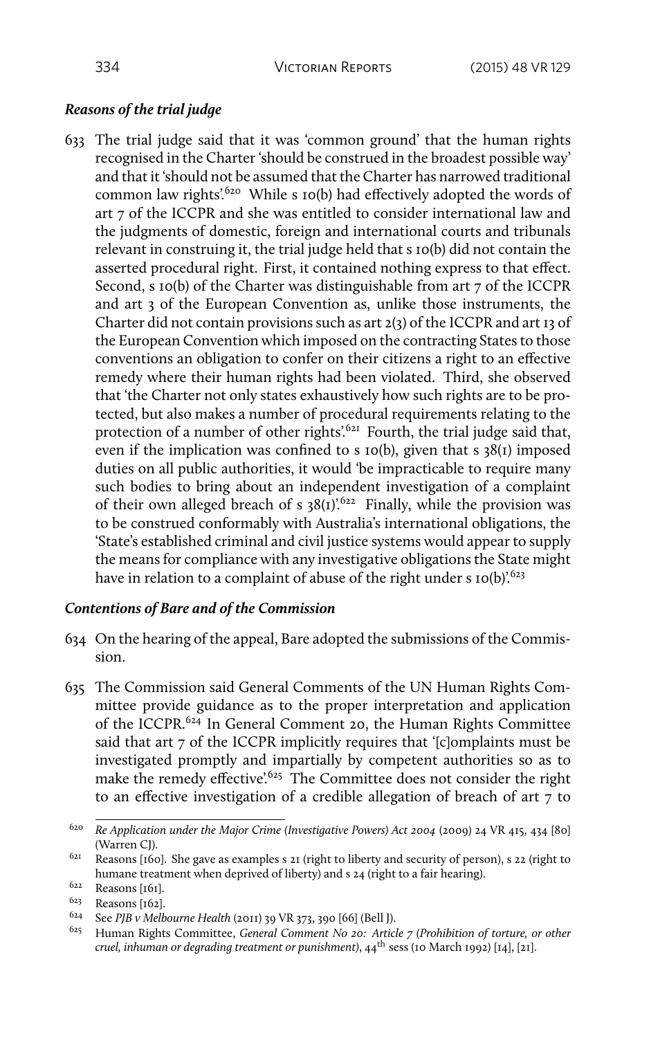## *Reasons of the trial judge*

633 The trial judge said that it was 'common ground' that the human rights recognised in the Charter 'should be construed in the broadest possible way' and that it 'should not be assumed that the Charter has narrowed traditional common law rights'.<sup>620</sup> While s 10(b) had effectively adopted the words of art 7 of the ICCPR and she was entitled to consider international law and the judgments of domestic, foreign and international courts and tribunals relevant in construing it, the trial judge held that s 10(b) did not contain the asserted procedural right. First, it contained nothing express to that effect. Second, s 10(b) of the Charter was distinguishable from art 7 of the ICCPR and art 3 of the European Convention as, unlike those instruments, the Charter did not contain provisions such as art 2(3) of the ICCPR and art 13 of the European Convention which imposed on the contracting States to those conventions an obligation to confer on their citizens a right to an effective remedy where their human rights had been violated. Third, she observed that 'the Charter not only states exhaustively how such rights are to be protected, but also makes a number of procedural requirements relating to the protection of a number of other rights'.<sup>621</sup> Fourth, the trial judge said that, even if the implication was confined to s  $10(b)$ , given that s  $38(1)$  imposed duties on all public authorities, it would 'be impracticable to require many such bodies to bring about an independent investigation of a complaint of their own alleged breach of s  $38(1)$ <sup>'.622</sup> Finally, while the provision was to be construed conformably with Australia's international obligations, the 'State's established criminal and civil justice systems would appear to supply the means for compliance with any investigative obligations the State might have in relation to a complaint of abuse of the right under s  $10(b)$ <sup>'.623</sup>

## *Contentions of Bare and of the Commission*

- 634 On the hearing of the appeal, Bare adopted the submissions of the Commission.
- 635 The Commission said General Comments of the UN Human Rights Committee provide guidance as to the proper interpretation and application of the ICCPR.<sup>624</sup> In General Comment 20, the Human Rights Committee said that art 7 of the ICCPR implicitly requires that '[c]omplaints must be investigated promptly and impartially by competent authorities so as to make the remedy effective<sup>'.625</sup> The Committee does not consider the right to an effective investigation of a credible allegation of breach of art 7 to

<sup>620</sup> *Re Application under the Major Crime (Investigative Powers) Act 2004* (2009) 24 VR 415, 434 [80] (Warren CJ).

<sup>&</sup>lt;sup>621</sup> Reasons [160]. She gave as examples s 21 (right to liberty and security of person), s 22 (right to humane treatment when deprived of liberty) and s 24 (right to a fair hearing).

<sup>622</sup> Reasons [161].

<sup>623</sup> Reasons [162].

<sup>624</sup> See *PJB v Melbourne Health* (2011) 39 VR 373, 390 [66] (Bell J).

<sup>625</sup> Human Rights Committee, *General Comment No 20: Article 7 (Prohibition of torture, or other cruel, inhuman or degrading treatment or punishment)*, 44th sess (10 March 1992) [14], [21].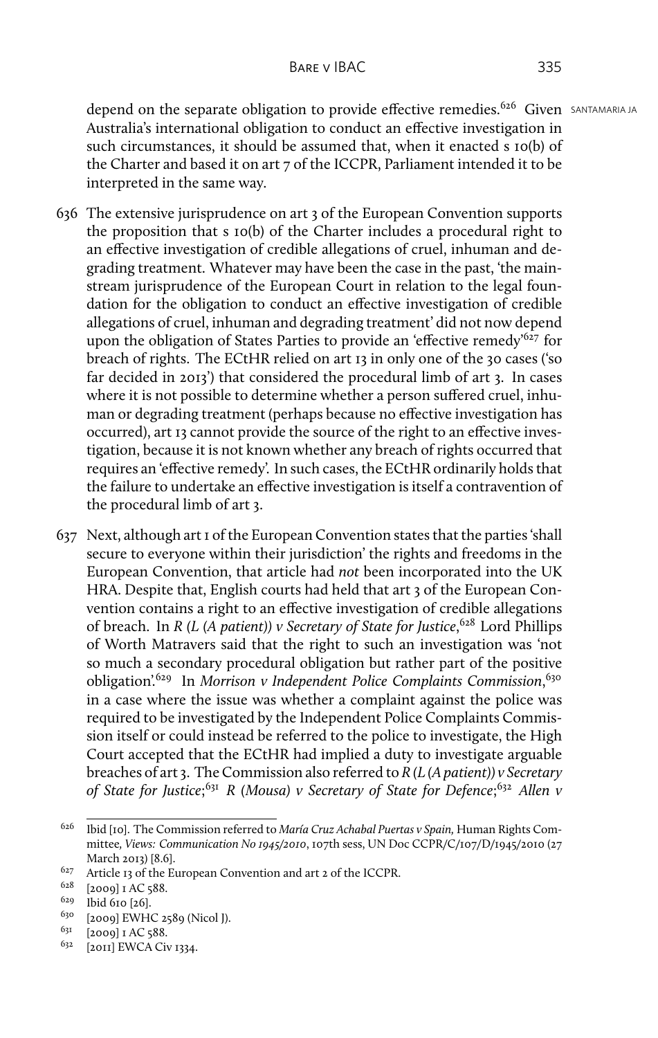depend on the separate obligation to provide effective remedies.<sup>626</sup> Given SANTAMARIA JA Australia's international obligation to conduct an effective investigation in such circumstances, it should be assumed that, when it enacted s 10(b) of the Charter and based it on art 7 of the ICCPR, Parliament intended it to be interpreted in the same way.

- 636 The extensive jurisprudence on art 3 of the European Convention supports the proposition that s 10(b) of the Charter includes a procedural right to an effective investigation of credible allegations of cruel, inhuman and degrading treatment. Whatever may have been the case in the past, 'the mainstream jurisprudence of the European Court in relation to the legal foundation for the obligation to conduct an effective investigation of credible allegations of cruel, inhuman and degrading treatment' did not now depend upon the obligation of States Parties to provide an 'effective remedy<sup>'627</sup> for breach of rights. The ECtHR relied on art 13 in only one of the 30 cases ('so far decided in 2013') that considered the procedural limb of art 3. In cases where it is not possible to determine whether a person suffered cruel, inhuman or degrading treatment (perhaps because no effective investigation has occurred), art 13 cannot provide the source of the right to an effective investigation, because it is not known whether any breach of rights occurred that requires an 'effective remedy'. In such cases, the ECtHR ordinarily holds that the failure to undertake an effective investigation is itself a contravention of the procedural limb of art 3.
- 637 Next, although art 1 of the European Convention states that the parties 'shall secure to everyone within their jurisdiction' the rights and freedoms in the European Convention, that article had *not* been incorporated into the UK HRA. Despite that, English courts had held that art 3 of the European Convention contains a right to an effective investigation of credible allegations of breach. In *R (L (A patient)) v Secretary of State for Justice*, <sup>628</sup> Lord Phillips of Worth Matravers said that the right to such an investigation was 'not so much a secondary procedural obligation but rather part of the positive obligation'.<sup>629</sup> In *Morrison v Independent Police Complaints Commission*, 630 in a case where the issue was whether a complaint against the police was required to be investigated by the Independent Police Complaints Commission itself or could instead be referred to the police to investigate, the High Court accepted that the ECtHR had implied a duty to investigate arguable breaches of art 3. The Commission also referred to *R (L (A patient)) v Secretary* of State for Justice;<sup>631</sup> R (Mousa) v Secretary of State for Defence;<sup>632</sup> Allen v

<sup>626</sup> Ibid [10]. The Commission referred to *María Cruz Achabal Puertas v Spain,* Human Rights Committee*, Views: Communication No 1945/2010*, 107th sess, UN Doc CCPR/C/107/D/1945/2010 (27 March 2013) [8.6].

<sup>627</sup> Article 13 of the European Convention and art 2 of the ICCPR.

<sup>628</sup> [2009] 1 AC 588.

<sup>629</sup> Ibid 610 [26].

<sup>630</sup> [2009] EWHC 2589 (Nicol J).

 $^{631}$  [2009] I AC 588.

<sup>&</sup>lt;sup>632</sup> [2011] EWCA Civ 1334.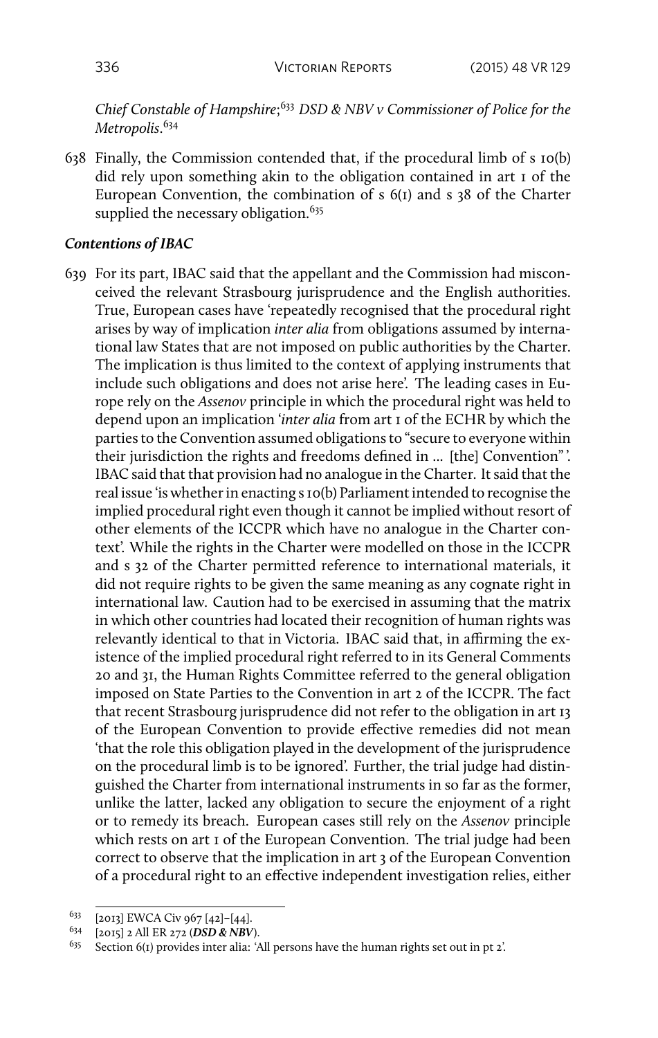*Chief Constable of Hampshire*; <sup>633</sup> *DSD & NBV v Commissioner of Police for the Metropolis*. 634

638 Finally, the Commission contended that, if the procedural limb of s 10(b) did rely upon something akin to the obligation contained in art 1 of the European Convention, the combination of s 6(1) and s 38 of the Charter supplied the necessary obligation.<sup>635</sup>

#### *Contentions of IBAC*

639 For its part, IBAC said that the appellant and the Commission had misconceived the relevant Strasbourg jurisprudence and the English authorities. True, European cases have 'repeatedly recognised that the procedural right arises by way of implication *inter alia* from obligations assumed by international law States that are not imposed on public authorities by the Charter. The implication is thus limited to the context of applying instruments that include such obligations and does not arise here'. The leading cases in Europe rely on the *Assenov* principle in which the procedural right was held to depend upon an implication '*inter alia* from art 1 of the ECHR by which the parties to the Convention assumed obligations to "secure to everyone within their jurisdiction the rights and freedoms defined in ... [the] Convention" '. IBAC said that that provision had no analogue in the Charter. It said that the real issue 'is whether in enacting s 10(b) Parliament intended to recognise the implied procedural right even though it cannot be implied without resort of other elements of the ICCPR which have no analogue in the Charter context'. While the rights in the Charter were modelled on those in the ICCPR and s 32 of the Charter permitted reference to international materials, it did not require rights to be given the same meaning as any cognate right in international law. Caution had to be exercised in assuming that the matrix in which other countries had located their recognition of human rights was relevantly identical to that in Victoria. IBAC said that, in affirming the existence of the implied procedural right referred to in its General Comments 20 and 31, the Human Rights Committee referred to the general obligation imposed on State Parties to the Convention in art 2 of the ICCPR. The fact that recent Strasbourg jurisprudence did not refer to the obligation in art 13 of the European Convention to provide effective remedies did not mean 'that the role this obligation played in the development of the jurisprudence on the procedural limb is to be ignored'. Further, the trial judge had distinguished the Charter from international instruments in so far as the former, unlike the latter, lacked any obligation to secure the enjoyment of a right or to remedy its breach. European cases still rely on the *Assenov* principle which rests on art 1 of the European Convention. The trial judge had been correct to observe that the implication in art 3 of the European Convention of a procedural right to an effective independent investigation relies, either

<sup>633</sup> [2013] EWCA Civ 967 [42]–[44].

<sup>634</sup> [2015] 2 All ER 272 (*DSD & NBV*).

<sup>&</sup>lt;sup>635</sup> Section 6(1) provides inter alia: 'All persons have the human rights set out in pt 2'.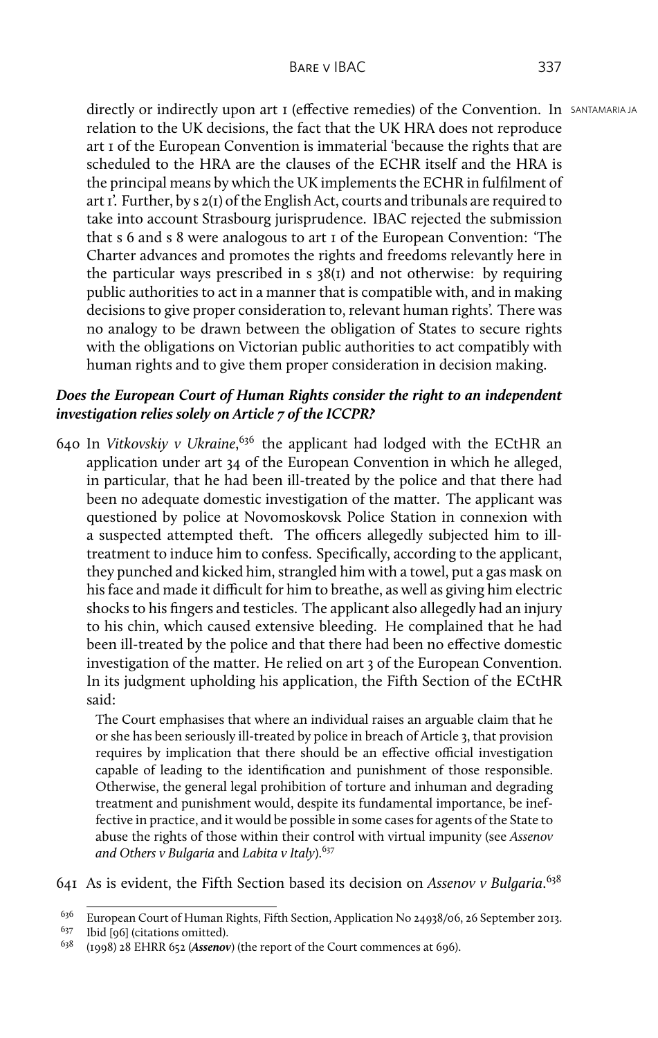directly or indirectly upon art 1 (effective remedies) of the Convention. In SANTAMARIA JA relation to the UK decisions, the fact that the UK HRA does not reproduce art 1 of the European Convention is immaterial 'because the rights that are scheduled to the HRA are the clauses of the ECHR itself and the HRA is the principal means by which the UK implements the ECHR in fulfilment of art 1'. Further, by s 2(1) of the English Act, courts and tribunals are required to take into account Strasbourg jurisprudence. IBAC rejected the submission that s 6 and s 8 were analogous to art 1 of the European Convention: 'The Charter advances and promotes the rights and freedoms relevantly here in the particular ways prescribed in  $s$  38( $i$ ) and not otherwise: by requiring public authorities to act in a manner that is compatible with, and in making decisions to give proper consideration to, relevant human rights'. There was no analogy to be drawn between the obligation of States to secure rights with the obligations on Victorian public authorities to act compatibly with human rights and to give them proper consideration in decision making.

# *Does the European Court of Human Rights consider the right to an independent investigation relies solely on Article 7 of the ICCPR?*

640 In *Vitkovskiy v Ukraine*,<sup>636</sup> the applicant had lodged with the ECtHR an application under art 34 of the European Convention in which he alleged, in particular, that he had been ill-treated by the police and that there had been no adequate domestic investigation of the matter. The applicant was questioned by police at Novomoskovsk Police Station in connexion with a suspected attempted theft. The officers allegedly subjected him to illtreatment to induce him to confess. Specifically, according to the applicant, they punched and kicked him, strangled him with a towel, put a gas mask on his face and made it difficult for him to breathe, as well as giving him electric shocks to his fingers and testicles. The applicant also allegedly had an injury to his chin, which caused extensive bleeding. He complained that he had been ill-treated by the police and that there had been no effective domestic investigation of the matter. He relied on art 3 of the European Convention. In its judgment upholding his application, the Fifth Section of the ECtHR said:

The Court emphasises that where an individual raises an arguable claim that he or she has been seriously ill-treated by police in breach of Article 3, that provision requires by implication that there should be an effective official investigation capable of leading to the identification and punishment of those responsible. Otherwise, the general legal prohibition of torture and inhuman and degrading treatment and punishment would, despite its fundamental importance, be ineffective in practice, and it would be possible in some cases for agents of the State to abuse the rights of those within their control with virtual impunity (see *Assenov and Others v Bulgaria* and *Labita v Italy*).<sup>637</sup>

641 As is evident, the Fifth Section based its decision on *Assenov v Bulgaria*. 638

<sup>&</sup>lt;sup>636</sup> European Court of Human Rights, Fifth Section, Application No 24938/06, 26 September 2013.

<sup>637</sup> Ibid [96] (citations omitted).

<sup>638</sup> (1998) 28 EHRR 652 (*Assenov*) (the report of the Court commences at 696).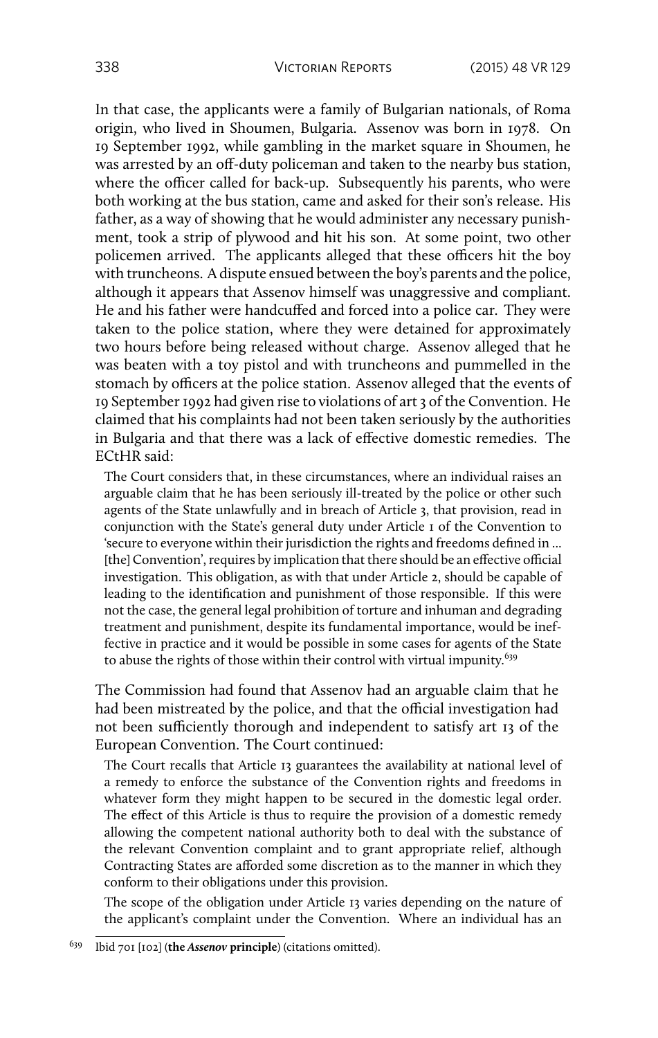In that case, the applicants were a family of Bulgarian nationals, of Roma origin, who lived in Shoumen, Bulgaria. Assenov was born in 1978. On 19 September 1992, while gambling in the market square in Shoumen, he was arrested by an off-duty policeman and taken to the nearby bus station, where the officer called for back-up. Subsequently his parents, who were both working at the bus station, came and asked for their son's release. His father, as a way of showing that he would administer any necessary punishment, took a strip of plywood and hit his son. At some point, two other policemen arrived. The applicants alleged that these officers hit the boy with truncheons. A dispute ensued between the boy's parents and the police, although it appears that Assenov himself was unaggressive and compliant. He and his father were handcuffed and forced into a police car. They were taken to the police station, where they were detained for approximately two hours before being released without charge. Assenov alleged that he was beaten with a toy pistol and with truncheons and pummelled in the stomach by officers at the police station. Assenov alleged that the events of 19 September 1992 had given rise to violations of art 3 of the Convention. He claimed that his complaints had not been taken seriously by the authorities in Bulgaria and that there was a lack of effective domestic remedies. The ECtHR said:

The Court considers that, in these circumstances, where an individual raises an arguable claim that he has been seriously ill-treated by the police or other such agents of the State unlawfully and in breach of Article 3, that provision, read in conjunction with the State's general duty under Article 1 of the Convention to 'secure to everyone within their jurisdiction the rights and freedoms defined in ... [the] Convention', requires by implication that there should be an effective official investigation. This obligation, as with that under Article 2, should be capable of leading to the identification and punishment of those responsible. If this were not the case, the general legal prohibition of torture and inhuman and degrading treatment and punishment, despite its fundamental importance, would be ineffective in practice and it would be possible in some cases for agents of the State to abuse the rights of those within their control with virtual impunity.<sup>639</sup>

The Commission had found that Assenov had an arguable claim that he had been mistreated by the police, and that the official investigation had not been sufficiently thorough and independent to satisfy art 13 of the European Convention. The Court continued:

The Court recalls that Article 13 guarantees the availability at national level of a remedy to enforce the substance of the Convention rights and freedoms in whatever form they might happen to be secured in the domestic legal order. The effect of this Article is thus to require the provision of a domestic remedy allowing the competent national authority both to deal with the substance of the relevant Convention complaint and to grant appropriate relief, although Contracting States are afforded some discretion as to the manner in which they conform to their obligations under this provision.

The scope of the obligation under Article 13 varies depending on the nature of the applicant's complaint under the Convention. Where an individual has an

<sup>639</sup> Ibid 701 [102] (**the** *Assenov* **principle**) (citations omitted).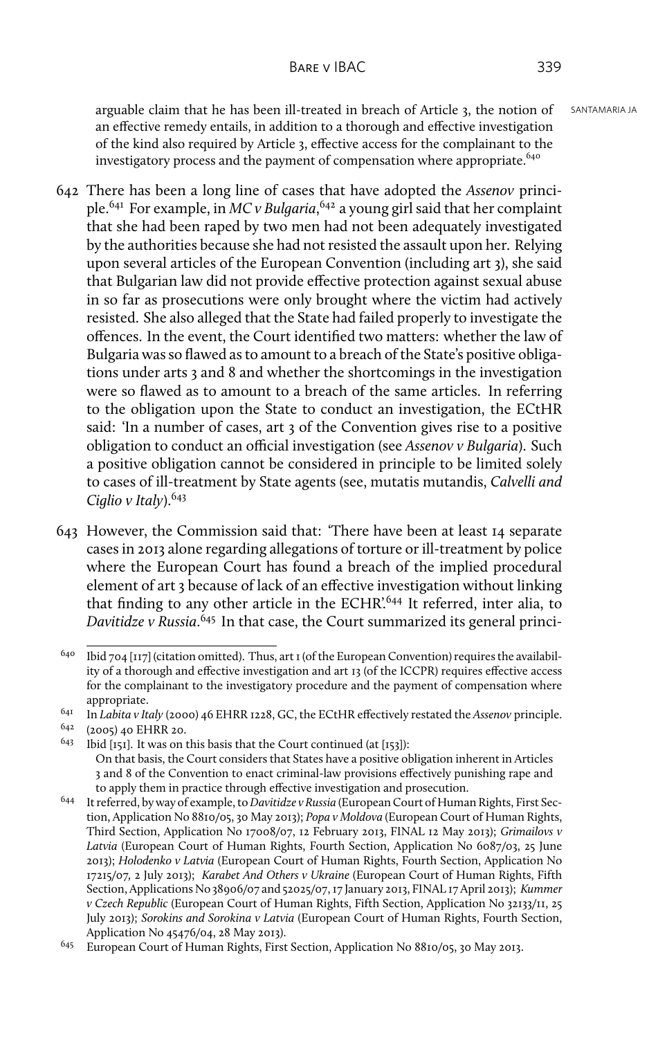arguable claim that he has been ill-treated in breach of Article 3, the notion of SANTAMARIA JA an effective remedy entails, in addition to a thorough and effective investigation of the kind also required by Article 3, effective access for the complainant to the investigatory process and the payment of compensation where appropriate.<sup>640</sup>

- 642 There has been a long line of cases that have adopted the *Assenov* principle.<sup>641</sup> For example, in *MC v Bulgaria*, <sup>642</sup> a young girl said that her complaint that she had been raped by two men had not been adequately investigated by the authorities because she had not resisted the assault upon her. Relying upon several articles of the European Convention (including art 3), she said that Bulgarian law did not provide effective protection against sexual abuse in so far as prosecutions were only brought where the victim had actively resisted. She also alleged that the State had failed properly to investigate the offences. In the event, the Court identified two matters: whether the law of Bulgaria was so flawed as to amount to a breach of the State's positive obligations under arts 3 and 8 and whether the shortcomings in the investigation were so flawed as to amount to a breach of the same articles. In referring to the obligation upon the State to conduct an investigation, the ECtHR said: 'In a number of cases, art 3 of the Convention gives rise to a positive obligation to conduct an official investigation (see *Assenov v Bulgaria*). Such a positive obligation cannot be considered in principle to be limited solely to cases of ill-treatment by State agents (see, mutatis mutandis, *Calvelli and Ciglio v Italy*).<sup>643</sup>
- 643 However, the Commission said that: 'There have been at least 14 separate cases in 2013 alone regarding allegations of torture or ill-treatment by police where the European Court has found a breach of the implied procedural element of art 3 because of lack of an effective investigation without linking that finding to any other article in the ECHR'.<sup>644</sup> It referred, inter alia, to *Davitidze v Russia*. <sup>645</sup> In that case, the Court summarized its general princi-

Ibid 704  $[117]$  (citation omitted). Thus, art  $I$  (of the European Convention) requires the availability of a thorough and effective investigation and art 13 (of the ICCPR) requires effective access for the complainant to the investigatory procedure and the payment of compensation where appropriate.

<sup>641</sup> In *Labita v Italy* (2000) 46 EHRR 1228, GC, the ECtHR effectively restated the *Assenov* principle.

 $^{642}$  (2005) 40 EHRR 20.<br><sup>643</sup> Ibid [151] It was on 1

Ibid [151]. It was on this basis that the Court continued (at [153]): On that basis, the Court considers that States have a positive obligation inherent in Articles 3 and 8 of the Convention to enact criminal-law provisions effectively punishing rape and to apply them in practice through effective investigation and prosecution.

<sup>644</sup> It referred, by way of example, to *Davitidze v Russia* (European Court of Human Rights, First Section, Application No 8810/05, 30 May 2013); *Popa v Moldova* (European Court of Human Rights, Third Section, Application No 17008/07, 12 February 2013, FINAL 12 May 2013); *Grimailovs v Latvia* (European Court of Human Rights, Fourth Section, Application No 6087/03, 25 June 2013); *Holodenko v Latvia* (European Court of Human Rights, Fourth Section, Application No 17215/07*,* 2 July 2013); *Karabet And Others v Ukraine* (European Court of Human Rights, Fifth Section, Applications No 38906/07 and 52025/07, 17 January 2013, FINAL 17 April 2013); *Kummer v Czech Republic* (European Court of Human Rights, Fifth Section, Application No 32133/11, 25 July 2013); *Sorokins and Sorokina v Latvia* (European Court of Human Rights, Fourth Section, Application No 45476/04, 28 May 2013).

<sup>645</sup> European Court of Human Rights, First Section, Application No 8810/05, 30 May 2013.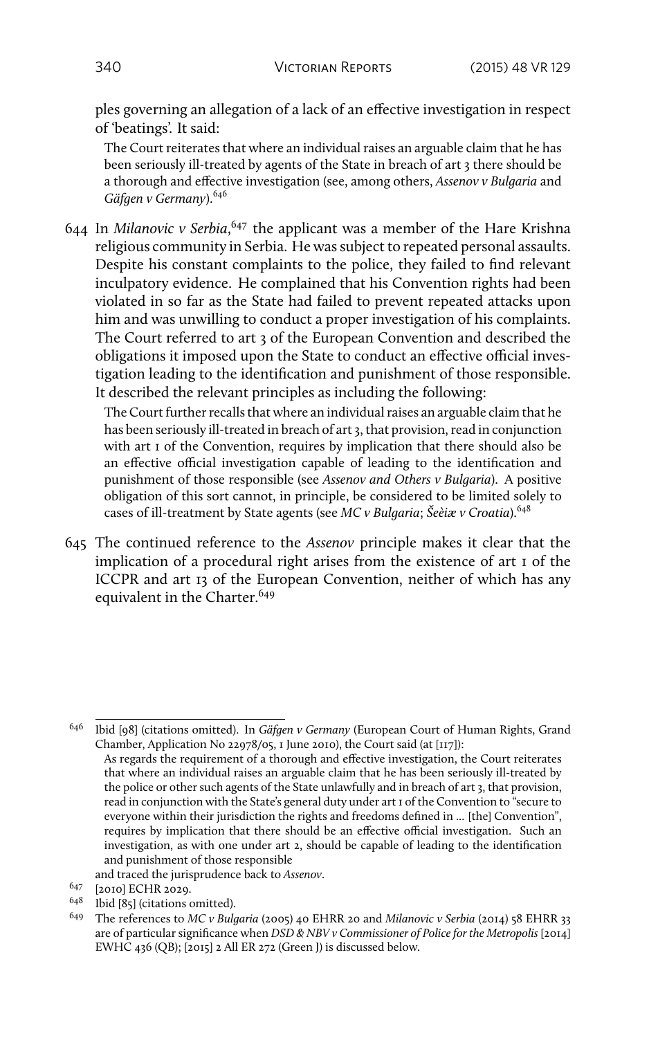ples governing an allegation of a lack of an effective investigation in respect of 'beatings'. It said:

The Court reiterates that where an individual raises an arguable claim that he has been seriously ill-treated by agents of the State in breach of art 3 there should be a thorough and effective investigation (see, among others, *Assenov v Bulgaria* and *Gäfgen v Germany*).<sup>646</sup>

644 In *Milanovic v Serbia*, <sup>647</sup> the applicant was a member of the Hare Krishna religious community in Serbia. He was subject to repeated personal assaults. Despite his constant complaints to the police, they failed to find relevant inculpatory evidence. He complained that his Convention rights had been violated in so far as the State had failed to prevent repeated attacks upon him and was unwilling to conduct a proper investigation of his complaints. The Court referred to art 3 of the European Convention and described the obligations it imposed upon the State to conduct an effective official investigation leading to the identification and punishment of those responsible. It described the relevant principles as including the following:

The Court further recalls that where an individual raises an arguable claim that he has been seriously ill-treated in breach of art 3, that provision, read in conjunction with art I of the Convention, requires by implication that there should also be an effective official investigation capable of leading to the identification and punishment of those responsible (see *Assenov and Others v Bulgaria*). A positive obligation of this sort cannot, in principle, be considered to be limited solely to cases of ill-treatment by State agents (see *MC v Bulgaria*; *Šeèiæ v Croatia*).<sup>648</sup>

645 The continued reference to the *Assenov* principle makes it clear that the implication of a procedural right arises from the existence of art 1 of the ICCPR and art 13 of the European Convention, neither of which has any equivalent in the Charter.<sup>649</sup>

<sup>648</sup> Ibid [85] (citations omitted).

<sup>646</sup> Ibid [98] (citations omitted). In *Gäfgen v Germany* (European Court of Human Rights, Grand Chamber, Application No 22978/05, 1 June 2010), the Court said (at [117]): As regards the requirement of a thorough and effective investigation, the Court reiterates that where an individual raises an arguable claim that he has been seriously ill-treated by the police or other such agents of the State unlawfully and in breach of art 3, that provision, read in conjunction with the State's general duty under art 1 of the Convention to "secure to everyone within their jurisdiction the rights and freedoms defined in ... [the] Convention", requires by implication that there should be an effective official investigation. Such an investigation, as with one under art 2, should be capable of leading to the identification and punishment of those responsible

and traced the jurisprudence back to *Assenov*.

<sup>647</sup> [2010] ECHR 2029.

<sup>649</sup> The references to *MC v Bulgaria* (2005) 40 EHRR 20 and *Milanovic v Serbia* (2014) 58 EHRR 33 are of particular significance when *DSD & NBV v Commissioner of Police for the Metropolis* [2014] EWHC 436 (QB); [2015] 2 All ER 272 (Green J) is discussed below.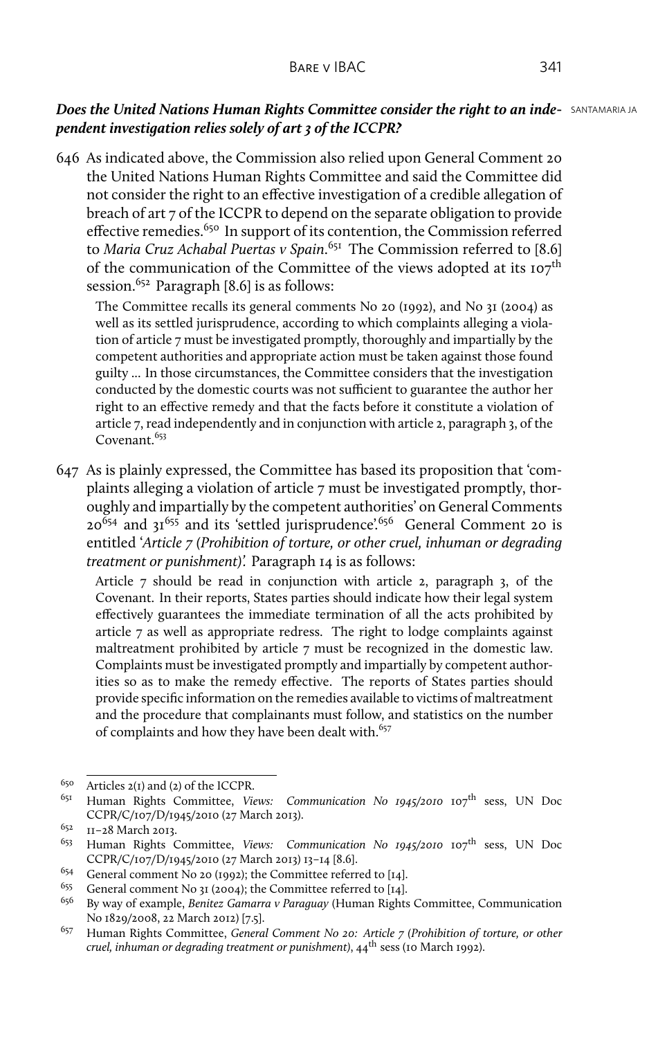## *Does the United Nations Human Rights Committee consider the right to an inde-* **SANTAMARIA JA** *pendent investigation relies solely of art 3 of the ICCPR?*

646 As indicated above, the Commission also relied upon General Comment 20 the United Nations Human Rights Committee and said the Committee did not consider the right to an effective investigation of a credible allegation of breach of art 7 of the ICCPR to depend on the separate obligation to provide effective remedies.<sup>650</sup> In support of its contention, the Commission referred to *Maria Cruz Achabal Puertas v Spain*. <sup>651</sup> The Commission referred to [8.6] of the communication of the Committee of the views adopted at its  $107<sup>th</sup>$ session.<sup>652</sup> Paragraph [8.6] is as follows:

The Committee recalls its general comments No 20 (1992), and No 31 (2004) as well as its settled jurisprudence, according to which complaints alleging a violation of article 7 must be investigated promptly, thoroughly and impartially by the competent authorities and appropriate action must be taken against those found guilty ... In those circumstances, the Committee considers that the investigation conducted by the domestic courts was not sufficient to guarantee the author her right to an effective remedy and that the facts before it constitute a violation of article 7, read independently and in conjunction with article 2, paragraph 3, of the Covenant.<sup>653</sup>

647 As is plainly expressed, the Committee has based its proposition that 'complaints alleging a violation of article 7 must be investigated promptly, thoroughly and impartially by the competent authorities' on General Comments  $20^{654}$  and  $31^{655}$  and its 'settled jurisprudence'.<sup>656</sup> General Comment 20 is entitled '*Article 7 (Prohibition of torture, or other cruel, inhuman or degrading treatment or punishment)'.* Paragraph 14 is as follows:

Article 7 should be read in conjunction with article 2, paragraph 3, of the Covenant. In their reports, States parties should indicate how their legal system effectively guarantees the immediate termination of all the acts prohibited by article 7 as well as appropriate redress. The right to lodge complaints against maltreatment prohibited by article 7 must be recognized in the domestic law. Complaints must be investigated promptly and impartially by competent authorities so as to make the remedy effective. The reports of States parties should provide specific information on the remedies available to victims of maltreatment and the procedure that complainants must follow, and statistics on the number of complaints and how they have been dealt with.<sup>657</sup>

<sup>&</sup>lt;sup>650</sup> Articles 2(1) and (2) of the ICCPR.<br><sup>651</sup> Human Bights, Committee, Vi

Human Rights Committee, *Views: Communication No 1945/2010* 107<sup>th</sup> sess, UN Doc CCPR/C/107/D/1945/2010 (27 March 2013).

 $^{652}$  II-28 March 2013.

Human Rights Committee, *Views: Communication No 1945/2010* 107<sup>th</sup> sess, UN Doc CCPR/C/107/D/1945/2010 (27 March 2013) 13–14 [8.6].

<sup>&</sup>lt;sup>654</sup> General comment No 20 (1992); the Committee referred to [14].<br><sup>655</sup> Ceneral comment No 21 (2004): the Committee referred to [14].

<sup>&</sup>lt;sup>655</sup> General comment No 31 (2004); the Committee referred to [14].<br><sup>656</sup> By way of example *Repitez Camarra y Paraguay* (Human Rights

<sup>656</sup> By way of example, *Benitez Gamarra v Paraguay* (Human Rights Committee, Communication No 1829/2008, 22 March 2012) [7.5].

<sup>657</sup> Human Rights Committee, *General Comment No 20: Article 7 (Prohibition of torture, or other cruel, inhuman or degrading treatment or punishment)*, 44th sess (10 March 1992).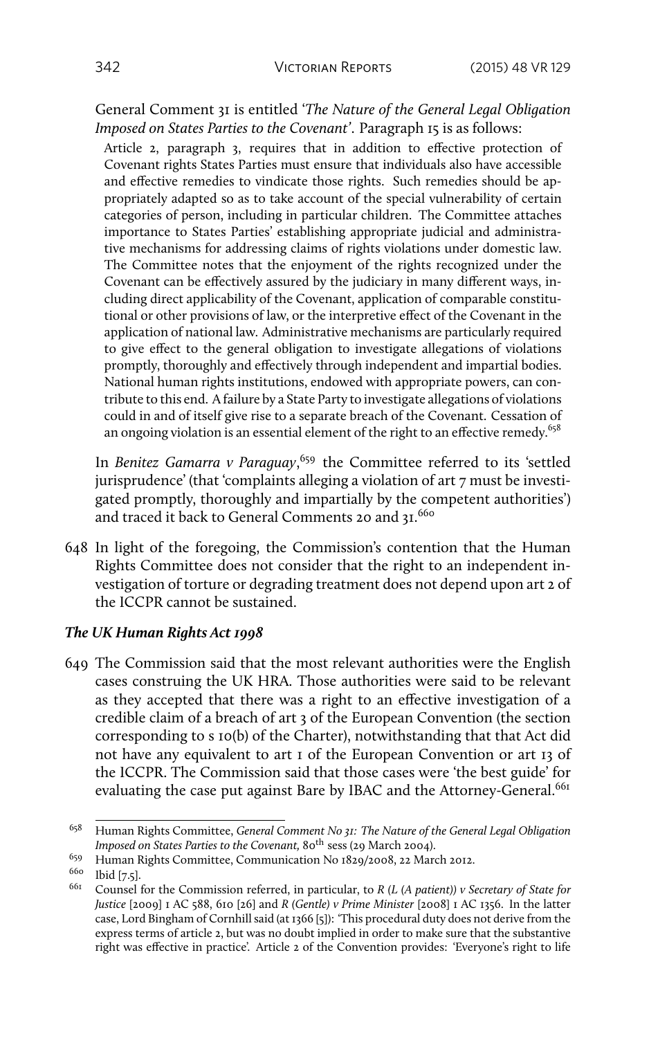General Comment 31 is entitled '*The Nature of the General Legal Obligation Imposed on States Parties to the Covenant'*. Paragraph 15 is as follows:

Article 2, paragraph 3, requires that in addition to effective protection of Covenant rights States Parties must ensure that individuals also have accessible and effective remedies to vindicate those rights. Such remedies should be appropriately adapted so as to take account of the special vulnerability of certain categories of person, including in particular children. The Committee attaches importance to States Parties' establishing appropriate judicial and administrative mechanisms for addressing claims of rights violations under domestic law. The Committee notes that the enjoyment of the rights recognized under the Covenant can be effectively assured by the judiciary in many different ways, including direct applicability of the Covenant, application of comparable constitutional or other provisions of law, or the interpretive effect of the Covenant in the application of national law. Administrative mechanisms are particularly required to give effect to the general obligation to investigate allegations of violations promptly, thoroughly and effectively through independent and impartial bodies. National human rights institutions, endowed with appropriate powers, can contribute to this end. A failure by a State Party to investigate allegations of violations could in and of itself give rise to a separate breach of the Covenant. Cessation of an ongoing violation is an essential element of the right to an effective remedy.<sup>658</sup>

In *Benitez Gamarra v Paraguay*, <sup>659</sup> the Committee referred to its 'settled jurisprudence' (that 'complaints alleging a violation of art 7 must be investigated promptly, thoroughly and impartially by the competent authorities') and traced it back to General Comments 20 and 31.660

648 In light of the foregoing, the Commission's contention that the Human Rights Committee does not consider that the right to an independent investigation of torture or degrading treatment does not depend upon art 2 of the ICCPR cannot be sustained.

## *The UK Human Rights Act 1998*

649 The Commission said that the most relevant authorities were the English cases construing the UK HRA. Those authorities were said to be relevant as they accepted that there was a right to an effective investigation of a credible claim of a breach of art 3 of the European Convention (the section corresponding to s 10(b) of the Charter), notwithstanding that that Act did not have any equivalent to art 1 of the European Convention or art 13 of the ICCPR. The Commission said that those cases were 'the best guide' for evaluating the case put against Bare by IBAC and the Attorney-General.<sup>661</sup>

<sup>658</sup> Human Rights Committee, *General Comment No 31: The Nature of the General Legal Obligation Imposed on States Parties to the Covenant,* 80<sup>th</sup> sess (29 March 2004).

<sup>659</sup> Human Rights Committee, Communication No 1829/2008, 22 March 2012.

 $^{660}$  Ibid [7.5].

<sup>661</sup> Counsel for the Commission referred, in particular, to *R (L (A patient)) v Secretary of State for Justice* [2009] 1 AC 588, 610 [26] and *R (Gentle) v Prime Minister* [2008] 1 AC 1356. In the latter case, Lord Bingham of Cornhill said (at 1366 [5]): 'This procedural duty does not derive from the express terms of article 2, but was no doubt implied in order to make sure that the substantive right was effective in practice'. Article 2 of the Convention provides: 'Everyone's right to life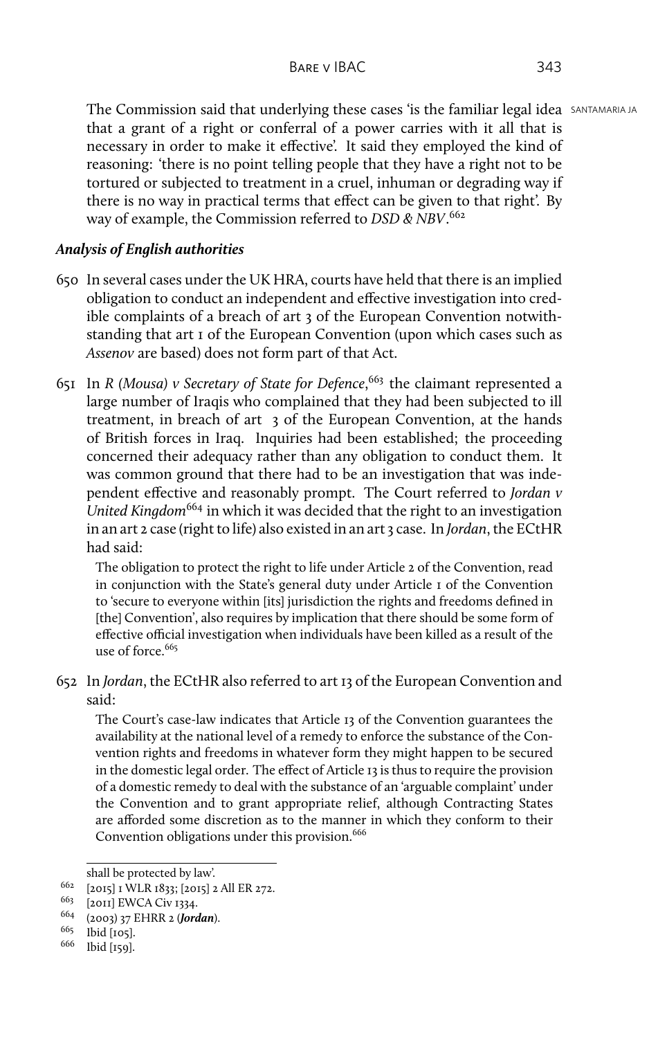The Commission said that underlying these cases 'is the familiar legal idea SANTAMARIA JA that a grant of a right or conferral of a power carries with it all that is necessary in order to make it effective'. It said they employed the kind of reasoning: 'there is no point telling people that they have a right not to be tortured or subjected to treatment in a cruel, inhuman or degrading way if there is no way in practical terms that effect can be given to that right'. By way of example, the Commission referred to *DSD & NBV*. 662

## *Analysis of English authorities*

- 650 In several cases under the UK HRA, courts have held that there is an implied obligation to conduct an independent and effective investigation into credible complaints of a breach of art 3 of the European Convention notwithstanding that art 1 of the European Convention (upon which cases such as *Assenov* are based) does not form part of that Act.
- 651 In *R (Mousa) v Secretary of State for Defence*, <sup>663</sup> the claimant represented a large number of Iraqis who complained that they had been subjected to ill treatment, in breach of art 3 of the European Convention, at the hands of British forces in Iraq. Inquiries had been established; the proceeding concerned their adequacy rather than any obligation to conduct them. It was common ground that there had to be an investigation that was independent effective and reasonably prompt. The Court referred to *Jordan v United Kingdom*<sup>664</sup> in which it was decided that the right to an investigation in an art 2 case (right to life) also existed in an art 3 case. In *Jordan*, the ECtHR had said:

The obligation to protect the right to life under Article 2 of the Convention, read in conjunction with the State's general duty under Article 1 of the Convention to 'secure to everyone within [its] jurisdiction the rights and freedoms defined in [the] Convention', also requires by implication that there should be some form of effective official investigation when individuals have been killed as a result of the use of force.<sup>665</sup>

652 In *Jordan*, the ECtHR also referred to art 13 of the European Convention and said:

The Court's case-law indicates that Article 13 of the Convention guarantees the availability at the national level of a remedy to enforce the substance of the Convention rights and freedoms in whatever form they might happen to be secured in the domestic legal order. The effect of Article 13 is thus to require the provision of a domestic remedy to deal with the substance of an 'arguable complaint' under the Convention and to grant appropriate relief, although Contracting States are afforded some discretion as to the manner in which they conform to their Convention obligations under this provision.<sup>666</sup>

shall be protected by law'.

<sup>662</sup> [2015] 1 WLR 1833; [2015] 2 All ER 272.

<sup>&</sup>lt;sup>663</sup> [2011] EWCA Civ 1334.

<sup>664</sup> (2003) 37 EHRR 2 (*Jordan*).

<sup>665</sup> Ibid [105].

<sup>666</sup> Ibid [159].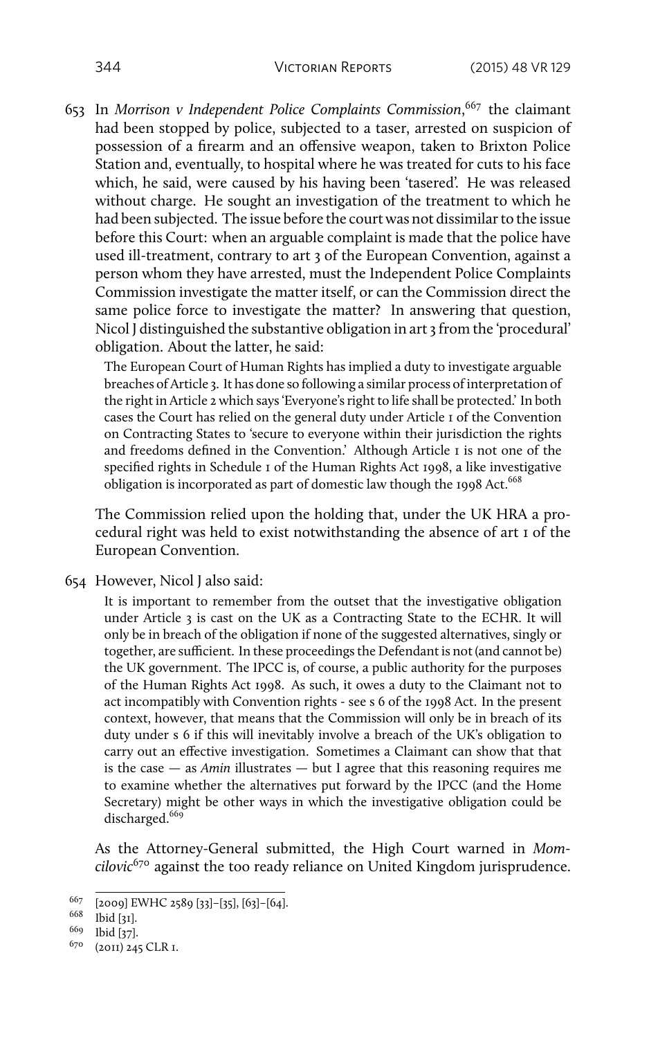653 In *Morrison v Independent Police Complaints Commission*, <sup>667</sup> the claimant had been stopped by police, subjected to a taser, arrested on suspicion of possession of a firearm and an offensive weapon, taken to Brixton Police Station and, eventually, to hospital where he was treated for cuts to his face which, he said, were caused by his having been 'tasered'. He was released without charge. He sought an investigation of the treatment to which he had been subjected. The issue before the court was not dissimilar to the issue before this Court: when an arguable complaint is made that the police have used ill-treatment, contrary to art 3 of the European Convention, against a person whom they have arrested, must the Independent Police Complaints Commission investigate the matter itself, or can the Commission direct the same police force to investigate the matter? In answering that question, Nicol J distinguished the substantive obligation in art 3 from the 'procedural' obligation. About the latter, he said:

The European Court of Human Rights has implied a duty to investigate arguable breaches of Article 3. It has done so following a similar process of interpretation of the right in Article 2 which says 'Everyone's right to life shall be protected.' In both cases the Court has relied on the general duty under Article 1 of the Convention on Contracting States to 'secure to everyone within their jurisdiction the rights and freedoms defined in the Convention.' Although Article 1 is not one of the specified rights in Schedule 1 of the Human Rights Act 1998, a like investigative obligation is incorporated as part of domestic law though the 1998 Act.<sup>668</sup>

The Commission relied upon the holding that, under the UK HRA a procedural right was held to exist notwithstanding the absence of art 1 of the European Convention.

654 However, Nicol J also said:

It is important to remember from the outset that the investigative obligation under Article 3 is cast on the UK as a Contracting State to the ECHR. It will only be in breach of the obligation if none of the suggested alternatives, singly or together, are sufficient. In these proceedings the Defendant is not (and cannot be) the UK government. The IPCC is, of course, a public authority for the purposes of the Human Rights Act 1998. As such, it owes a duty to the Claimant not to act incompatibly with Convention rights - see s 6 of the 1998 Act. In the present context, however, that means that the Commission will only be in breach of its duty under s 6 if this will inevitably involve a breach of the UK's obligation to carry out an effective investigation. Sometimes a Claimant can show that that is the case — as *Amin* illustrates — but I agree that this reasoning requires me to examine whether the alternatives put forward by the IPCC (and the Home Secretary) might be other ways in which the investigative obligation could be discharged.<sup>669</sup>

As the Attorney-General submitted, the High Court warned in *Momcilovic*<sup>670</sup> against the too ready reliance on United Kingdom jurisprudence.

<sup>667</sup> [2009] EWHC 2589 [33]–[35], [63]–[64].

<sup>668</sup> Ibid [31].

<sup>669</sup> Ibid [37].

<sup>670</sup> (2011) 245 CLR 1.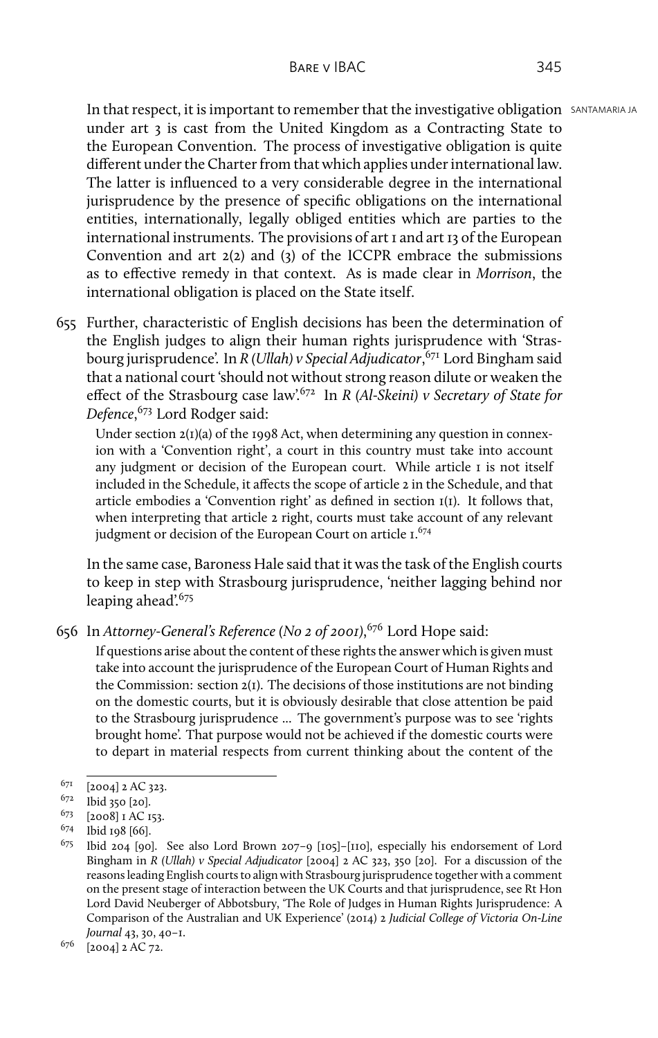In that respect, it is important to remember that the investigative obligation SANTAMARIA JA under art 3 is cast from the United Kingdom as a Contracting State to the European Convention. The process of investigative obligation is quite different under the Charter from that which applies under international law. The latter is influenced to a very considerable degree in the international jurisprudence by the presence of specific obligations on the international entities, internationally, legally obliged entities which are parties to the international instruments. The provisions of art 1 and art 13 of the European Convention and art 2(2) and (3) of the ICCPR embrace the submissions as to effective remedy in that context. As is made clear in *Morrison*, the international obligation is placed on the State itself.

655 Further, characteristic of English decisions has been the determination of the English judges to align their human rights jurisprudence with 'Strasbourg jurisprudence'. In *R (Ullah) v Special Adjudicator*, <sup>671</sup> Lord Bingham said that a national court 'should not without strong reason dilute or weaken the effect of the Strasbourg case law'.<sup>672</sup> In *R (Al-Skeini) v Secretary of State for Defence*, <sup>673</sup> Lord Rodger said:

Under section  $2(I)(a)$  of the 1998 Act, when determining any question in connexion with a 'Convention right', a court in this country must take into account any judgment or decision of the European court. While article 1 is not itself included in the Schedule, it affects the scope of article 2 in the Schedule, and that article embodies a 'Convention right' as defined in section 1(1). It follows that, when interpreting that article 2 right, courts must take account of any relevant judgment or decision of the European Court on article 1.<sup>674</sup>

In the same case, Baroness Hale said that it was the task of the English courts to keep in step with Strasbourg jurisprudence, 'neither lagging behind nor leaping ahead<sup>'.675</sup>

If questions arise about the content of these rights the answer which is given must take into account the jurisprudence of the European Court of Human Rights and the Commission: section 2(1). The decisions of those institutions are not binding on the domestic courts, but it is obviously desirable that close attention be paid to the Strasbourg jurisprudence ... The government's purpose was to see 'rights brought home'. That purpose would not be achieved if the domestic courts were to depart in material respects from current thinking about the content of the

<sup>656</sup> In *Attorney-General's Reference (No 2 of 2001)*, <sup>676</sup> Lord Hope said:

 $671$  [2004] 2 AC 323.

<sup>672</sup> Ibid 350 [20].

 $^{673}$  [2008] I AC 153.<br><sup>674</sup> Ibid 108 [66].

 $^{674}$  Ibid 198 [66].<br> $^{675}$  Ibid 204 [00]

<sup>675</sup> Ibid 204 [90]. See also Lord Brown 207–9 [105]–[110], especially his endorsement of Lord Bingham in *R (Ullah) v Special Adjudicator* [2004] 2 AC 323, 350 [20]. For a discussion of the reasons leading English courts to align with Strasbourg jurisprudence together with a comment on the present stage of interaction between the UK Courts and that jurisprudence, see Rt Hon Lord David Neuberger of Abbotsbury, 'The Role of Judges in Human Rights Jurisprudence: A Comparison of the Australian and UK Experience' (2014) 2 *Judicial College of Victoria On-Line Journal* 43, 30, 40–1.

<sup>676</sup> [2004] 2 AC 72.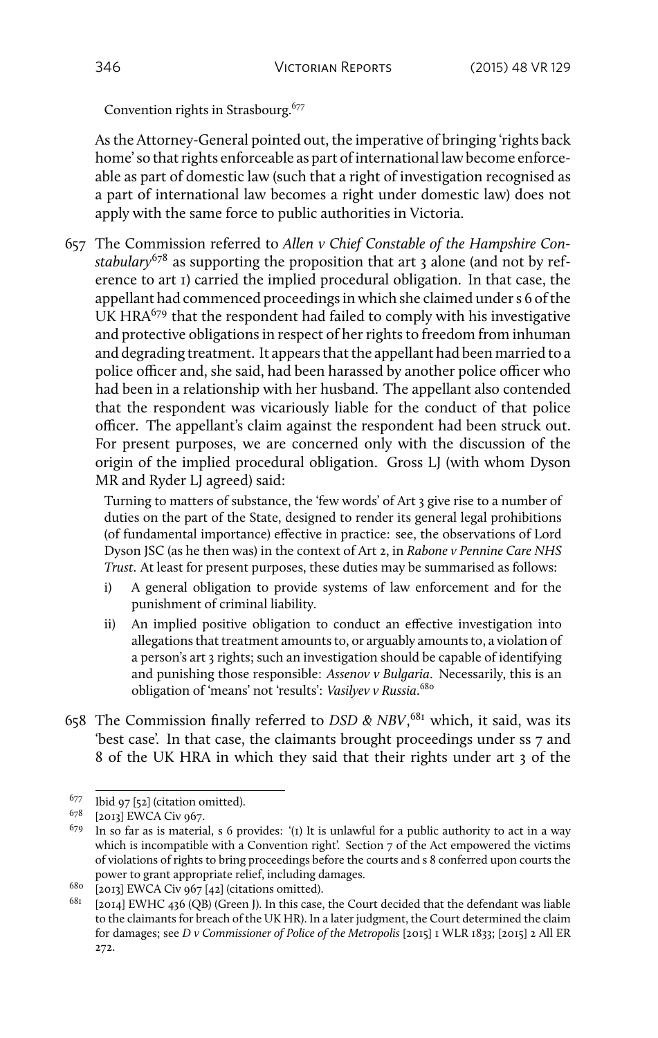Convention rights in Strasbourg.<sup>677</sup>

As the Attorney-General pointed out, the imperative of bringing 'rights back home' so that rights enforceable as part of international law become enforceable as part of domestic law (such that a right of investigation recognised as a part of international law becomes a right under domestic law) does not apply with the same force to public authorities in Victoria.

657 The Commission referred to *Allen v Chief Constable of the Hampshire Constabulary*<sup>678</sup> as supporting the proposition that art 3 alone (and not by reference to art 1) carried the implied procedural obligation. In that case, the appellant had commenced proceedings in which she claimed under s 6 of the UK HRA $679$  that the respondent had failed to comply with his investigative and protective obligations in respect of her rights to freedom from inhuman and degrading treatment. It appears that the appellant had been married to a police officer and, she said, had been harassed by another police officer who had been in a relationship with her husband. The appellant also contended that the respondent was vicariously liable for the conduct of that police officer. The appellant's claim against the respondent had been struck out. For present purposes, we are concerned only with the discussion of the origin of the implied procedural obligation. Gross LJ (with whom Dyson MR and Ryder LJ agreed) said:

Turning to matters of substance, the 'few words' of Art 3 give rise to a number of duties on the part of the State, designed to render its general legal prohibitions (of fundamental importance) effective in practice: see, the observations of Lord Dyson JSC (as he then was) in the context of Art 2, in *Rabone v Pennine Care NHS Trust*. At least for present purposes, these duties may be summarised as follows:

- i) A general obligation to provide systems of law enforcement and for the punishment of criminal liability.
- ii) An implied positive obligation to conduct an effective investigation into allegations that treatment amounts to, or arguably amounts to, a violation of a person's art 3 rights; such an investigation should be capable of identifying and punishing those responsible: *Assenov v Bulgaria*. Necessarily, this is an obligation of 'means' not 'results': *Vasilyev v Russia*. 680
- 658 The Commission finally referred to *DSD & NBV*, <sup>681</sup> which, it said, was its 'best case'. In that case, the claimants brought proceedings under ss 7 and 8 of the UK HRA in which they said that their rights under art 3 of the

<sup>677</sup> Ibid 97 [52] (citation omitted).

<sup>678</sup> [2013] EWCA Civ 967.

 $679$  In so far as is material, s 6 provides: '(1) It is unlawful for a public authority to act in a way which is incompatible with a Convention right'. Section 7 of the Act empowered the victims of violations of rights to bring proceedings before the courts and s 8 conferred upon courts the power to grant appropriate relief, including damages.

<sup>680</sup> [2013] EWCA Civ 967 [42] (citations omitted).

 $681$  [2014] EWHC 436 (QB) (Green J). In this case, the Court decided that the defendant was liable to the claimants for breach of the UK HR). In a later judgment, the Court determined the claim for damages; see *D v Commissioner of Police of the Metropolis* [2015] 1 WLR 1833; [2015] 2 All ER 272.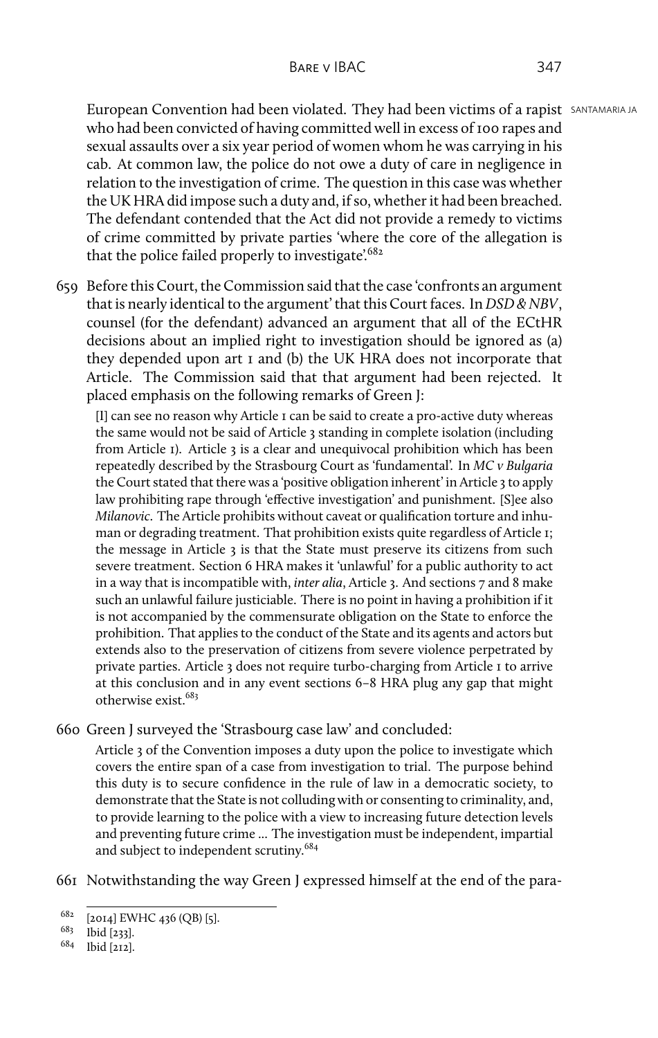European Convention had been violated. They had been victims of a rapist SANTAMARIA JA who had been convicted of having committed well in excess of 100 rapes and sexual assaults over a six year period of women whom he was carrying in his cab. At common law, the police do not owe a duty of care in negligence in relation to the investigation of crime. The question in this case was whether the UK HRA did impose such a duty and, if so, whether it had been breached. The defendant contended that the Act did not provide a remedy to victims of crime committed by private parties 'where the core of the allegation is that the police failed properly to investigate.<sup>682</sup>

659 Before this Court, the Commission said that the case 'confronts an argument that is nearly identical to the argument' that this Court faces. In *DSD & NBV*, counsel (for the defendant) advanced an argument that all of the ECtHR decisions about an implied right to investigation should be ignored as (a) they depended upon art 1 and (b) the UK HRA does not incorporate that Article. The Commission said that that argument had been rejected. It placed emphasis on the following remarks of Green J:

[I] can see no reason why Article 1 can be said to create a pro-active duty whereas the same would not be said of Article 3 standing in complete isolation (including from Article 1). Article 3 is a clear and unequivocal prohibition which has been repeatedly described by the Strasbourg Court as 'fundamental'. In *MC v Bulgaria* the Court stated that there was a 'positive obligation inherent' in Article 3 to apply law prohibiting rape through 'effective investigation' and punishment. [S]ee also *Milanovic*. The Article prohibits without caveat or qualification torture and inhuman or degrading treatment. That prohibition exists quite regardless of Article 1; the message in Article 3 is that the State must preserve its citizens from such severe treatment. Section 6 HRA makes it 'unlawful' for a public authority to act in a way that is incompatible with, *inter alia*, Article 3. And sections 7 and 8 make such an unlawful failure justiciable. There is no point in having a prohibition if it is not accompanied by the commensurate obligation on the State to enforce the prohibition. That applies to the conduct of the State and its agents and actors but extends also to the preservation of citizens from severe violence perpetrated by private parties. Article 3 does not require turbo-charging from Article 1 to arrive at this conclusion and in any event sections 6–8 HRA plug any gap that might otherwise exist<sup>683</sup>

660 Green J surveyed the 'Strasbourg case law' and concluded:

Article 3 of the Convention imposes a duty upon the police to investigate which covers the entire span of a case from investigation to trial. The purpose behind this duty is to secure confidence in the rule of law in a democratic society, to demonstrate that the State is not colluding with or consenting to criminality, and, to provide learning to the police with a view to increasing future detection levels and preventing future crime ... The investigation must be independent, impartial and subject to independent scrutiny.<sup>684</sup>

661 Notwithstanding the way Green J expressed himself at the end of the para-

<sup>682</sup> [2014] EWHC 436 (QB) [5].

<sup>683</sup> Ibid [233].

<sup>684</sup> Ibid [212].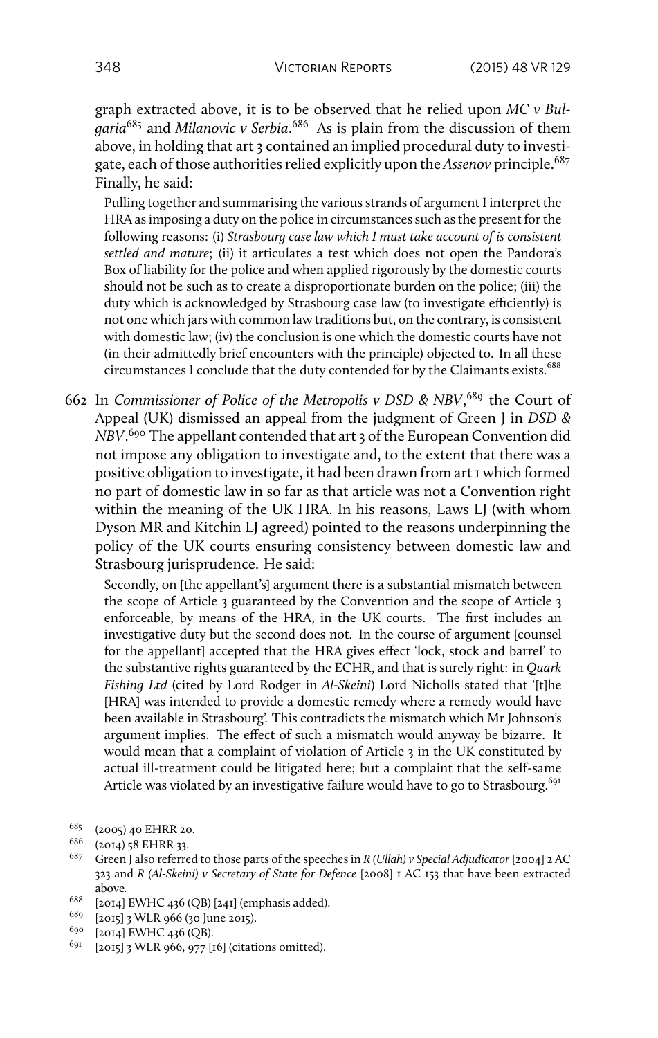graph extracted above, it is to be observed that he relied upon *MC v Bulgaria*<sup>685</sup> and *Milanovic v Serbia*. <sup>686</sup> As is plain from the discussion of them above, in holding that art 3 contained an implied procedural duty to investigate, each of those authorities relied explicitly upon the *Assenov* principle.<sup>687</sup> Finally, he said:

Pulling together and summarising the various strands of argument I interpret the HRA as imposing a duty on the police in circumstances such as the present for the following reasons: (i) *Strasbourg case law which I must take account of is consistent settled and mature*; (ii) it articulates a test which does not open the Pandora's Box of liability for the police and when applied rigorously by the domestic courts should not be such as to create a disproportionate burden on the police; (iii) the duty which is acknowledged by Strasbourg case law (to investigate efficiently) is not one which jars with common law traditions but, on the contrary, is consistent with domestic law; (iv) the conclusion is one which the domestic courts have not (in their admittedly brief encounters with the principle) objected to. In all these circumstances I conclude that the duty contended for by the Claimants exists.<sup>688</sup>

662 In *Commissioner of Police of the Metropolis v DSD & NBV*, <sup>689</sup> the Court of Appeal (UK) dismissed an appeal from the judgment of Green J in *DSD & NBV*. <sup>690</sup> The appellant contended that art 3 of the European Convention did not impose any obligation to investigate and, to the extent that there was a positive obligation to investigate, it had been drawn from art 1 which formed no part of domestic law in so far as that article was not a Convention right within the meaning of the UK HRA. In his reasons, Laws LJ (with whom Dyson MR and Kitchin LJ agreed) pointed to the reasons underpinning the policy of the UK courts ensuring consistency between domestic law and Strasbourg jurisprudence. He said:

Secondly, on [the appellant's] argument there is a substantial mismatch between the scope of Article 3 guaranteed by the Convention and the scope of Article 3 enforceable, by means of the HRA, in the UK courts. The first includes an investigative duty but the second does not. In the course of argument [counsel for the appellant] accepted that the HRA gives effect 'lock, stock and barrel' to the substantive rights guaranteed by the ECHR, and that is surely right: in *Quark Fishing Ltd* (cited by Lord Rodger in *Al-Skeini*) Lord Nicholls stated that '[t]he [HRA] was intended to provide a domestic remedy where a remedy would have been available in Strasbourg'. This contradicts the mismatch which Mr Johnson's argument implies. The effect of such a mismatch would anyway be bizarre. It would mean that a complaint of violation of Article 3 in the UK constituted by actual ill-treatment could be litigated here; but a complaint that the self-same Article was violated by an investigative failure would have to go to Strasbourg.<sup>691</sup>

 $^{685}$  (2005) 40 EHRR 20.<br>  $^{686}$  (2014) 58 EHRR 22

<sup>(2014) 58</sup> EHRR 33.

<sup>687</sup> Green J also referred to those parts of the speeches in *R (Ullah) v Special Adjudicator* [2004] 2 AC 323 and *R (Al-Skeini) v Secretary of State for Defence* [2008] 1 AC 153 that have been extracted above*.*

<sup>688</sup> [2014] EWHC 436 (QB) [241] (emphasis added).

<sup>689</sup> [2015] 3 WLR 966 (30 June 2015).

 $^{690}$  [2014] EWHC 436 (QB).

 $[2015]$  3 WLR 966, 977  $[16]$  (citations omitted).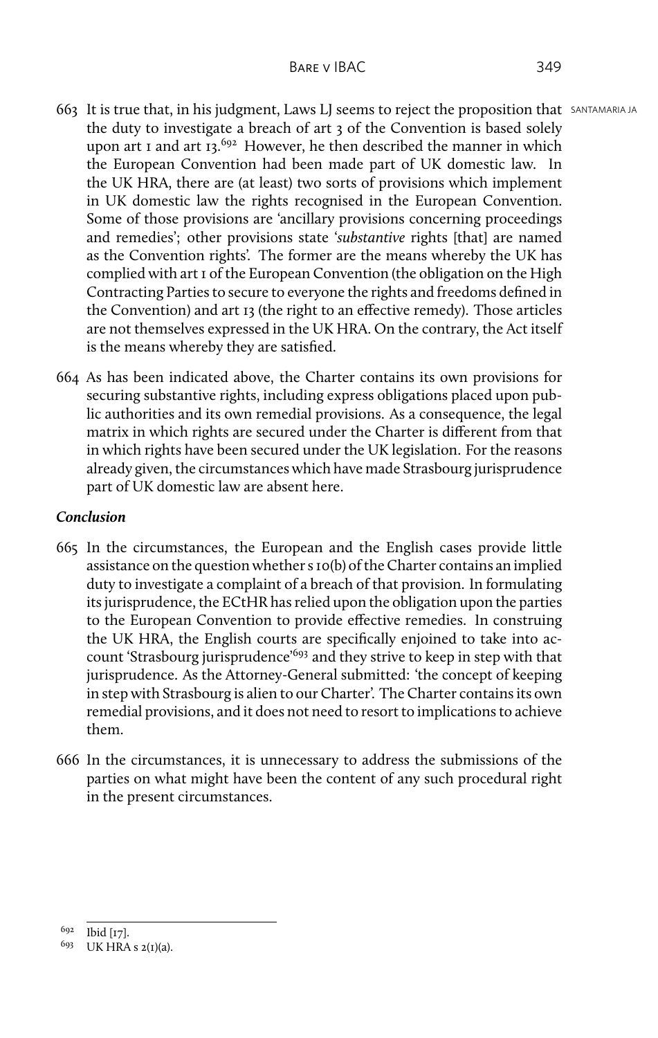- 663 It is true that, in his judgment, Laws LJ seems to reject the proposition that SANTAMARIA JA the duty to investigate a breach of art 3 of the Convention is based solely upon art 1 and art  $13.692$  However, he then described the manner in which the European Convention had been made part of UK domestic law. In the UK HRA, there are (at least) two sorts of provisions which implement in UK domestic law the rights recognised in the European Convention. Some of those provisions are 'ancillary provisions concerning proceedings and remedies'; other provisions state '*substantive* rights [that] are named as the Convention rights'. The former are the means whereby the UK has complied with art 1 of the European Convention (the obligation on the High Contracting Parties to secure to everyone the rights and freedoms defined in the Convention) and art 13 (the right to an effective remedy). Those articles are not themselves expressed in the UK HRA. On the contrary, the Act itself is the means whereby they are satisfied.
- 664 As has been indicated above, the Charter contains its own provisions for securing substantive rights, including express obligations placed upon public authorities and its own remedial provisions. As a consequence, the legal matrix in which rights are secured under the Charter is different from that in which rights have been secured under the UK legislation. For the reasons already given, the circumstances which have made Strasbourg jurisprudence part of UK domestic law are absent here.

## *Conclusion*

- 665 In the circumstances, the European and the English cases provide little assistance on the question whether s 10(b) of the Charter contains an implied duty to investigate a complaint of a breach of that provision. In formulating its jurisprudence, the ECtHR has relied upon the obligation upon the parties to the European Convention to provide effective remedies. In construing the UK HRA, the English courts are specifically enjoined to take into account 'Strasbourg jurisprudence'<sup>693</sup> and they strive to keep in step with that jurisprudence. As the Attorney-General submitted: 'the concept of keeping in step with Strasbourg is alien to our Charter'. The Charter contains its own remedial provisions, and it does not need to resort to implications to achieve them.
- 666 In the circumstances, it is unnecessary to address the submissions of the parties on what might have been the content of any such procedural right in the present circumstances.

<sup>692</sup> Ibid [17].

 $693$  UK HRA s  $2(I)(a)$ .